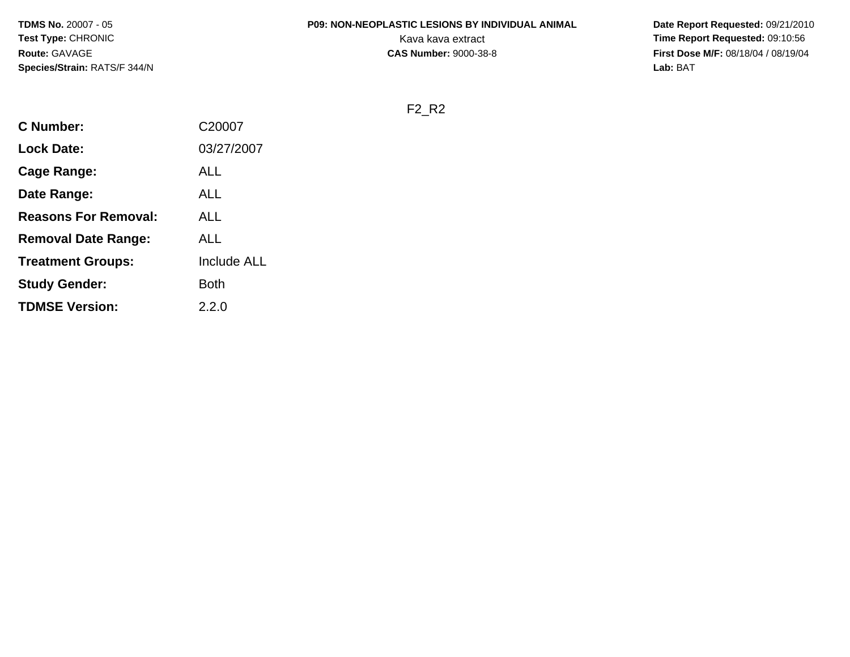## **P09: NON-NEOPLASTIC LESIONS BY INDIVIDUAL ANIMAL**

 **Date Report Requested:** 09/21/2010 Kava kava extract **Time Report Requested:** 09:10:56<br>**CAS Number:** 9000-38-8 **CAS Number:** 9000-38-8 **First Dose M/F:** 08/18/04 / 08/19/04 Lab: BAT **Lab:** BAT

F2\_R2

| <b>C</b> Number:            | C20007             |
|-----------------------------|--------------------|
| <b>Lock Date:</b>           | 03/27/2007         |
| Cage Range:                 | ALL                |
| Date Range:                 | ALL                |
| <b>Reasons For Removal:</b> | ALL                |
| <b>Removal Date Range:</b>  | ALL                |
| <b>Treatment Groups:</b>    | <b>Include ALL</b> |
| <b>Study Gender:</b>        | Both               |
| <b>TDMSE Version:</b>       | 2.2.0              |
|                             |                    |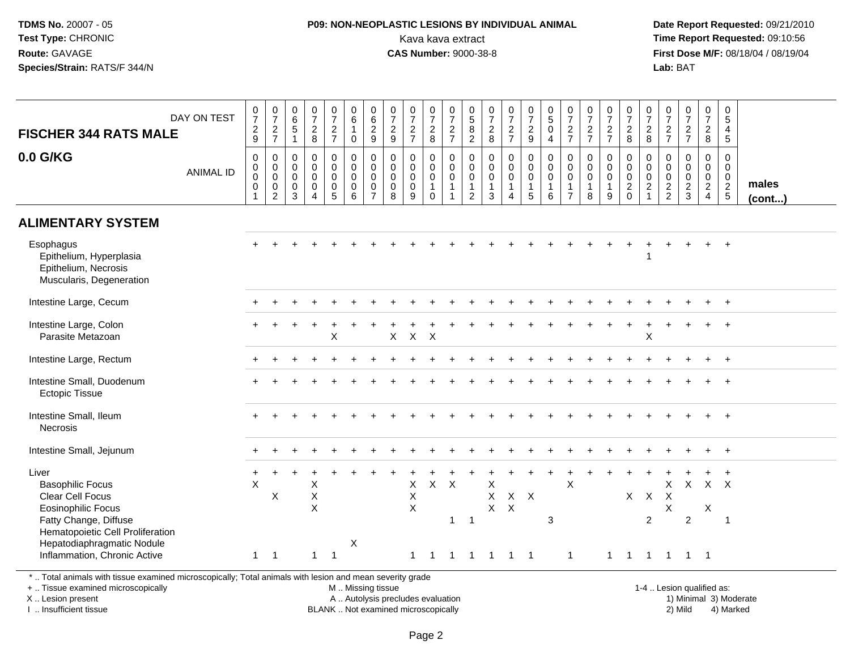## **P09: NON-NEOPLASTIC LESIONS BY INDIVIDUAL ANIMAL**Kava kava extract **Time Report Requested:** 09:10:56<br>**CAS Number:** 9000-38-8<br>**Tirst Dose M/F:** 08/18/04 / 08/19/04

 **Date Report Requested:** 09/21/2010 **First Dose M/F:** 08/18/04 / 08/19/04 Lab: BAT **Lab:** BAT

| <b>FISCHER 344 RATS MALE</b>                                                                                                                                                        | DAY ON TEST      | $\frac{0}{7}$<br>$\frac{2}{9}$ | $\frac{0}{7}$<br>$\frac{2}{7}$                                                      | $\begin{array}{c} 0 \\ 6 \end{array}$<br>$\overline{5}$<br>$\mathbf{1}$ | $\frac{0}{7}$<br>$\frac{2}{8}$                                             | $\frac{0}{7}$<br>$\frac{2}{7}$                                           | $\begin{array}{c} 0 \\ 6 \end{array}$<br>$\mathbf{1}$<br>$\mathbf 0$ | 0629                                             | $\frac{0}{7}$<br>$\frac{2}{9}$                                | $\frac{0}{7}$<br>$\frac{2}{7}$                                   | $\frac{0}{7}$<br>$\frac{2}{8}$                                 | $\frac{0}{7}$<br>$\frac{2}{7}$                                                        | $\begin{array}{c} 0 \\ 5 \\ 8 \\ 2 \end{array}$                   | $\frac{0}{7}$<br>8                                           | $\frac{0}{7}$<br>$\frac{2}{7}$                                    | $\begin{smallmatrix}0\\7\end{smallmatrix}$<br>$\frac{2}{9}$                    | $\frac{0}{5}$<br>$\mathbf 0$<br>$\overline{4}$                    | $\frac{0}{7}$<br>$\frac{2}{7}$                                              | $\frac{0}{7}$<br>$\frac{2}{7}$                                      | $\frac{0}{7}$<br>$\frac{2}{7}$             | $\frac{0}{7}$<br>8                                                | $\frac{0}{7}$<br>$\frac{2}{8}$                                                                  | $\frac{0}{7}$<br>$\frac{2}{7}$                             | $\frac{0}{7}$<br>$\frac{2}{7}$                                        | $\frac{0}{7}$<br>$\frac{2}{8}$                      | 0<br>5<br>4<br>$5\phantom{1}$                    |                 |
|-------------------------------------------------------------------------------------------------------------------------------------------------------------------------------------|------------------|--------------------------------|-------------------------------------------------------------------------------------|-------------------------------------------------------------------------|----------------------------------------------------------------------------|--------------------------------------------------------------------------|----------------------------------------------------------------------|--------------------------------------------------|---------------------------------------------------------------|------------------------------------------------------------------|----------------------------------------------------------------|---------------------------------------------------------------------------------------|-------------------------------------------------------------------|--------------------------------------------------------------|-------------------------------------------------------------------|--------------------------------------------------------------------------------|-------------------------------------------------------------------|-----------------------------------------------------------------------------|---------------------------------------------------------------------|--------------------------------------------|-------------------------------------------------------------------|-------------------------------------------------------------------------------------------------|------------------------------------------------------------|-----------------------------------------------------------------------|-----------------------------------------------------|--------------------------------------------------|-----------------|
| 0.0 G/KG                                                                                                                                                                            | <b>ANIMAL ID</b> | 0<br>0<br>0<br>0               | $\boldsymbol{0}$<br>$\overline{0}$ <sub>0</sub><br>$\overline{0}$<br>$\overline{2}$ | 0<br>0<br>$\mathbf 0$<br>$\mathbf 0$<br>3                               | $\mathbf 0$<br>$\mathbf 0$<br>$\mathbf 0$<br>$\mathbf 0$<br>$\overline{4}$ | 0<br>$\mathbf 0$<br>$\mathsf{O}\xspace$<br>$\mathsf 0$<br>$\overline{5}$ | 0<br>$\mathbf 0$<br>$\mathbf 0$<br>0<br>6                            | $\pmb{0}$<br>$_{\rm 0}^{\rm 0}$<br>$\frac{0}{7}$ | $\mathbf 0$<br>$\mathbf 0$<br>$\mathbf 0$<br>$\mathbf 0$<br>8 | $\mathbf 0$<br>$\mathbf 0$<br>$\overline{0}$<br>$\mathbf 0$<br>9 | 0<br>$\mathbf 0$<br>$\mathbf 0$<br>$\mathbf{1}$<br>$\mathbf 0$ | $\boldsymbol{0}$<br>$\mathbf 0$<br>$\overline{0}$<br>$\overline{1}$<br>$\overline{1}$ | 0<br>$\mathbf 0$<br>$\mathbf 0$<br>$\mathbf{1}$<br>$\overline{2}$ | $\mathbf 0$<br>$\pmb{0}$<br>$\mathbf 0$<br>$\mathbf{1}$<br>3 | $\pmb{0}$<br>$_{\rm 0}^{\rm 0}$<br>$\mathbf{1}$<br>$\overline{4}$ | $\mathbf 0$<br>$\overline{0}$<br>$\mathbf 0$<br>$\mathbf{1}$<br>$\overline{5}$ | $\mathbf 0$<br>$\overline{0}$<br>$\overline{1}$<br>$6\phantom{a}$ | $\mathbf 0$<br>$\mathbf 0$<br>$\mathbf 0$<br>$\mathbf{1}$<br>$\overline{7}$ | $\mathbf 0$<br>$\boldsymbol{0}$<br>$\mathbf 0$<br>$\mathbf{1}$<br>8 | 0<br>0<br>$\mathbf 0$<br>$\mathbf{1}$<br>9 | 0<br>$\begin{smallmatrix}0\0\0\end{smallmatrix}$<br>$\frac{2}{0}$ | $\mathbf 0$<br>$\begin{smallmatrix} 0\\0 \end{smallmatrix}$<br>$\overline{2}$<br>$\overline{1}$ | $\mathbf 0$<br>$\mathbf 0$<br>$\mathbf 0$<br>$\frac{2}{2}$ | $\mathbf 0$<br>$\mathsf{O}\xspace$<br>$\overline{0}$<br>$\frac{2}{3}$ | 0<br>$\mathbf 0$<br>$\overline{0}$<br>$\frac{2}{4}$ | 0<br>$\mathbf 0$<br>$\mathbf 0$<br>$\frac{2}{5}$ | males<br>(cont) |
| <b>ALIMENTARY SYSTEM</b>                                                                                                                                                            |                  |                                |                                                                                     |                                                                         |                                                                            |                                                                          |                                                                      |                                                  |                                                               |                                                                  |                                                                |                                                                                       |                                                                   |                                                              |                                                                   |                                                                                |                                                                   |                                                                             |                                                                     |                                            |                                                                   |                                                                                                 |                                                            |                                                                       |                                                     |                                                  |                 |
| Esophagus<br>Epithelium, Hyperplasia<br>Epithelium, Necrosis<br>Muscularis, Degeneration                                                                                            |                  |                                |                                                                                     |                                                                         |                                                                            |                                                                          |                                                                      |                                                  |                                                               |                                                                  |                                                                |                                                                                       |                                                                   |                                                              |                                                                   |                                                                                |                                                                   |                                                                             |                                                                     |                                            |                                                                   | -1                                                                                              |                                                            |                                                                       | $\ddot{}$                                           | $+$                                              |                 |
| Intestine Large, Cecum                                                                                                                                                              |                  |                                |                                                                                     |                                                                         |                                                                            |                                                                          |                                                                      |                                                  |                                                               |                                                                  |                                                                |                                                                                       |                                                                   |                                                              |                                                                   |                                                                                |                                                                   |                                                                             |                                                                     |                                            |                                                                   |                                                                                                 |                                                            |                                                                       |                                                     |                                                  |                 |
| Intestine Large, Colon<br>Parasite Metazoan                                                                                                                                         |                  |                                |                                                                                     |                                                                         |                                                                            | X                                                                        |                                                                      |                                                  | $\mathsf X$                                                   | $\mathsf{X}$                                                     | $\boldsymbol{\mathsf{X}}$                                      |                                                                                       |                                                                   |                                                              |                                                                   |                                                                                |                                                                   |                                                                             |                                                                     |                                            |                                                                   | $\boldsymbol{\mathsf{X}}$                                                                       |                                                            |                                                                       |                                                     |                                                  |                 |
| Intestine Large, Rectum                                                                                                                                                             |                  |                                |                                                                                     |                                                                         |                                                                            |                                                                          |                                                                      |                                                  |                                                               |                                                                  |                                                                |                                                                                       |                                                                   |                                                              |                                                                   |                                                                                |                                                                   |                                                                             |                                                                     |                                            |                                                                   |                                                                                                 |                                                            |                                                                       |                                                     |                                                  |                 |
| Intestine Small, Duodenum<br><b>Ectopic Tissue</b>                                                                                                                                  |                  |                                |                                                                                     |                                                                         |                                                                            |                                                                          |                                                                      |                                                  |                                                               |                                                                  |                                                                |                                                                                       |                                                                   |                                                              |                                                                   |                                                                                |                                                                   |                                                                             |                                                                     |                                            |                                                                   |                                                                                                 |                                                            |                                                                       |                                                     |                                                  |                 |
| Intestine Small, Ileum<br><b>Necrosis</b>                                                                                                                                           |                  |                                |                                                                                     |                                                                         |                                                                            |                                                                          |                                                                      |                                                  |                                                               |                                                                  |                                                                |                                                                                       |                                                                   |                                                              |                                                                   |                                                                                |                                                                   |                                                                             |                                                                     |                                            |                                                                   |                                                                                                 |                                                            |                                                                       |                                                     |                                                  |                 |
| Intestine Small, Jejunum                                                                                                                                                            |                  |                                |                                                                                     |                                                                         |                                                                            |                                                                          |                                                                      |                                                  |                                                               |                                                                  |                                                                |                                                                                       |                                                                   |                                                              |                                                                   |                                                                                |                                                                   |                                                                             |                                                                     |                                            |                                                                   |                                                                                                 |                                                            |                                                                       |                                                     |                                                  |                 |
| Liver<br><b>Basophilic Focus</b><br><b>Clear Cell Focus</b><br><b>Eosinophilic Focus</b><br>Fatty Change, Diffuse<br>Hematopoietic Cell Proliferation<br>Hepatodiaphragmatic Nodule |                  | X                              | X                                                                                   |                                                                         | Χ<br>X<br>X                                                                |                                                                          | X                                                                    |                                                  |                                                               | $\boldsymbol{\mathsf{X}}$<br>$\boldsymbol{\mathsf{X}}$<br>X      | $\mathsf{X}$                                                   | $\mathsf{X}$<br>$\mathbf{1}$                                                          | $\overline{1}$                                                    | X<br>X<br>$\mathsf{X}$                                       | $\mathsf{X}$                                                      | $X$ $X$                                                                        | 3                                                                 | $\mathsf X$                                                                 |                                                                     |                                            |                                                                   | $X$ $X$<br>2                                                                                    | X<br>$\boldsymbol{\mathsf{X}}$<br>X                        | $\mathsf{X}$<br>$\overline{2}$                                        | $X$ $X$<br>X                                        | $\overline{1}$                                   |                 |
| Inflammation, Chronic Active                                                                                                                                                        |                  | $\mathbf{1}$                   | $\overline{1}$                                                                      |                                                                         |                                                                            | $1 \quad 1$                                                              |                                                                      |                                                  |                                                               | $\mathbf{1}$                                                     | $\overline{1}$                                                 | $\mathbf{1}$                                                                          |                                                                   | 1 1 1 1                                                      |                                                                   |                                                                                |                                                                   | $\overline{1}$                                                              |                                                                     | $\mathbf{1}$                               |                                                                   |                                                                                                 |                                                            | 1 1 1 1 1                                                             |                                                     |                                                  |                 |
| *  Total animals with tissue examined microscopically; Total animals with lesion and mean severity grade                                                                            |                  |                                |                                                                                     |                                                                         |                                                                            |                                                                          |                                                                      |                                                  |                                                               |                                                                  |                                                                |                                                                                       |                                                                   |                                                              |                                                                   |                                                                                |                                                                   |                                                                             |                                                                     |                                            |                                                                   |                                                                                                 |                                                            |                                                                       |                                                     |                                                  |                 |

+ .. Tissue examined microscopically

X .. Lesion present

I .. Insufficient tissue

M .. Missing tissue

BLANK .. Not examined microscopically

 1-4 .. Lesion qualified as: A .. Autolysis precludes evaluation 19 and 10 minimal 3) Moderate 1 and 20 minimal 3) Moderate 19 minimal 3) Moderat<br>19 and 19 and 19 and 19 and 19 and 19 and 19 and 19 and 19 and 19 and 19 and 19 and 19 and 19 and 19 and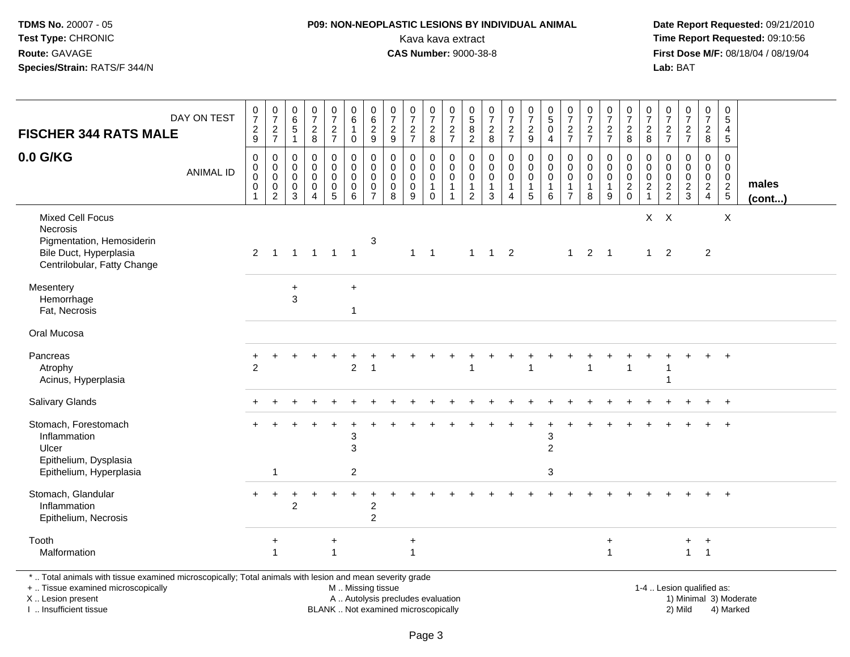## **P09: NON-NEOPLASTIC LESIONS BY INDIVIDUAL ANIMAL**Kava kava extract **Time Report Requested:** 09:10:56<br>**CAS Number:** 9000-38-8<br>**Tirst Dose M/F:** 08/18/04 / 08/19/04

 **Date Report Requested:** 09/21/2010 **First Dose M/F:** 08/18/04 / 08/19/04 Lab: BAT **Lab:** BAT

| <b>FISCHER 344 RATS MALE</b>                                                                                                                                        | DAY ON TEST      | $\frac{0}{7}$<br>$\frac{2}{9}$            | $\frac{0}{7}$<br>$rac{2}{7}$                                             | 0<br>6<br>5<br>$\mathbf{1}$                         | 0<br>$\overline{7}$<br>$\frac{2}{8}$                                       | $\frac{0}{7}$<br>$\frac{2}{7}$                              | $\begin{array}{c} 0 \\ 6 \end{array}$<br>$\mathbf{1}$<br>$\pmb{0}$ |                                                                            | $\frac{0}{7}$<br>$\frac{2}{9}$                                | $\frac{0}{7}$<br>$\frac{2}{7}$                      | $\frac{0}{7}$<br>$\frac{2}{8}$                    | $\frac{0}{7}$<br>$\frac{2}{7}$                                  | $\begin{array}{c} 0 \\ 5 \end{array}$<br>$^8_2$                             | $\frac{0}{7}$<br>$_{\rm 8}^2$                        | $\frac{0}{7}$<br>$\frac{2}{7}$                                                      | $\frac{0}{7}$<br>$\frac{2}{9}$             | $\begin{matrix} 0 \\ 5 \end{matrix}$<br>0<br>$\overline{4}$       | $\frac{0}{7}$<br>$rac{2}{7}$                                      | 0<br>$\overline{7}$<br>$\frac{2}{7}$                 | $\frac{0}{7}$<br>$\frac{2}{7}$                                   | $\frac{0}{7}$<br>$_{8}^2$                                | $\pmb{0}$<br>$\overline{7}$<br>$\frac{2}{8}$                                | 0<br>$\overline{7}$<br>$rac{2}{7}$     | $\frac{0}{7}$<br>$\frac{2}{7}$                             | $\frac{0}{7}$<br>$\frac{2}{8}$                                      | $\pmb{0}$<br>$5\,$<br>$\begin{array}{c} 4 \\ 5 \end{array}$ |                        |
|---------------------------------------------------------------------------------------------------------------------------------------------------------------------|------------------|-------------------------------------------|--------------------------------------------------------------------------|-----------------------------------------------------|----------------------------------------------------------------------------|-------------------------------------------------------------|--------------------------------------------------------------------|----------------------------------------------------------------------------|---------------------------------------------------------------|-----------------------------------------------------|---------------------------------------------------|-----------------------------------------------------------------|-----------------------------------------------------------------------------|------------------------------------------------------|-------------------------------------------------------------------------------------|--------------------------------------------|-------------------------------------------------------------------|-------------------------------------------------------------------|------------------------------------------------------|------------------------------------------------------------------|----------------------------------------------------------|-----------------------------------------------------------------------------|----------------------------------------|------------------------------------------------------------|---------------------------------------------------------------------|-------------------------------------------------------------|------------------------|
| 0.0 G/KG                                                                                                                                                            | <b>ANIMAL ID</b> | 0<br>0<br>$\mathbf 0$<br>$\mathbf 0$<br>1 | 0<br>$\mathbf 0$<br>$\mathsf{O}\xspace$<br>$\mathbf 0$<br>$\overline{2}$ | 0<br>$\mathbf 0$<br>$\mathbf 0$<br>$\mathbf 0$<br>3 | $\mathbf 0$<br>$\mathbf 0$<br>$\mathbf 0$<br>$\mathbf 0$<br>$\overline{4}$ | $\mathbf 0$<br>$\mathbf 0$<br>$\mathbf 0$<br>$\pmb{0}$<br>5 | 0<br>$\mathbf 0$<br>$\mathbf 0$<br>$\pmb{0}$<br>6                  | $\mathbf 0$<br>$\mathbf 0$<br>$\mathbf 0$<br>$\mathbf 0$<br>$\overline{7}$ | $\mathbf 0$<br>$\mathbf 0$<br>$\mathbf 0$<br>$\mathbf 0$<br>8 | $\mathbf 0$<br>$\mathbf 0$<br>0<br>$\mathbf 0$<br>9 | 0<br>$\mathbf 0$<br>0<br>$\mathbf{1}$<br>$\Omega$ | 0<br>$\mathbf 0$<br>$\pmb{0}$<br>$\mathbf{1}$<br>$\overline{1}$ | $\mathbf 0$<br>$\mathbf 0$<br>$\mathbf 0$<br>$\mathbf{1}$<br>$\overline{2}$ | 0<br>$\mathbf 0$<br>$\mathbf 0$<br>$\mathbf{1}$<br>3 | $\mathbf 0$<br>$\mathbf 0$<br>$\mathbf 0$<br>$\mathbf{1}$<br>$\boldsymbol{\Lambda}$ | 0<br>$\mathbf 0$<br>0<br>$\mathbf{1}$<br>5 | 0<br>$\mathbf 0$<br>$\mathbf 0$<br>$\mathbf{1}$<br>$6\phantom{a}$ | $\mathbf 0$<br>$\mathbf 0$<br>0<br>$\mathbf{1}$<br>$\overline{7}$ | $\mathbf 0$<br>$\mathbf 0$<br>0<br>$\mathbf{1}$<br>8 | $\mathbf 0$<br>$\mathbf 0$<br>$\pmb{0}$<br>$\mathbf{1}$<br>$9\,$ | 0<br>$\mathsf{O}\xspace$<br>$\mathbf 0$<br>$\frac{2}{0}$ | $\mathbf 0$<br>$\mathbf 0$<br>$\mathbf 0$<br>$\overline{2}$<br>$\mathbf{1}$ | 0<br>$\mathbf 0$<br>0<br>$\frac{2}{2}$ | $\mathbf 0$<br>$\mathbf 0$<br>$\mathbf 0$<br>$\frac{2}{3}$ | 0<br>$\mathbf 0$<br>$\mathbf 0$<br>$\overline{2}$<br>$\overline{4}$ | $\mathbf 0$<br>$\mathbf 0$<br>0<br>$\frac{2}{5}$            | males<br>$($ cont $)$  |
| <b>Mixed Cell Focus</b><br>Necrosis<br>Pigmentation, Hemosiderin<br>Bile Duct, Hyperplasia<br>Centrilobular, Fatty Change                                           |                  | $\overline{2}$                            | $\overline{1}$                                                           |                                                     | $1 \quad 1 \quad 1 \quad 1$                                                |                                                             |                                                                    | 3                                                                          |                                                               |                                                     | $1 \quad 1$                                       |                                                                 |                                                                             | $1 \quad 1 \quad 2$                                  |                                                                                     |                                            |                                                                   | 1                                                                 |                                                      | $2 \quad 1$                                                      |                                                          | $1 \quad$                                                                   | $X$ $X$<br>$\overline{2}$              |                                                            | $\overline{2}$                                                      | X                                                           |                        |
| Mesentery<br>Hemorrhage<br>Fat, Necrosis                                                                                                                            |                  |                                           |                                                                          | $\ddot{}$<br>$\mathbf{3}$                           |                                                                            |                                                             | $\ddot{}$<br>-1                                                    |                                                                            |                                                               |                                                     |                                                   |                                                                 |                                                                             |                                                      |                                                                                     |                                            |                                                                   |                                                                   |                                                      |                                                                  |                                                          |                                                                             |                                        |                                                            |                                                                     |                                                             |                        |
| Oral Mucosa                                                                                                                                                         |                  |                                           |                                                                          |                                                     |                                                                            |                                                             |                                                                    |                                                                            |                                                               |                                                     |                                                   |                                                                 |                                                                             |                                                      |                                                                                     |                                            |                                                                   |                                                                   |                                                      |                                                                  |                                                          |                                                                             |                                        |                                                            |                                                                     |                                                             |                        |
| Pancreas<br>Atrophy<br>Acinus, Hyperplasia                                                                                                                          |                  | $\mathfrak{p}$                            |                                                                          |                                                     |                                                                            |                                                             | $\overline{c}$                                                     |                                                                            |                                                               |                                                     |                                                   |                                                                 |                                                                             |                                                      |                                                                                     |                                            |                                                                   |                                                                   |                                                      |                                                                  |                                                          |                                                                             |                                        |                                                            |                                                                     |                                                             |                        |
| Salivary Glands                                                                                                                                                     |                  |                                           |                                                                          |                                                     |                                                                            |                                                             |                                                                    |                                                                            |                                                               |                                                     |                                                   |                                                                 |                                                                             |                                                      |                                                                                     |                                            |                                                                   |                                                                   |                                                      |                                                                  |                                                          |                                                                             |                                        |                                                            |                                                                     |                                                             |                        |
| Stomach, Forestomach<br>Inflammation<br>Ulcer<br>Epithelium, Dysplasia<br>Epithelium, Hyperplasia                                                                   |                  |                                           | 1                                                                        |                                                     |                                                                            |                                                             | 3<br>3<br>2                                                        |                                                                            |                                                               |                                                     |                                                   |                                                                 |                                                                             |                                                      |                                                                                     |                                            | 3<br>$\overline{c}$<br>3                                          |                                                                   |                                                      |                                                                  |                                                          |                                                                             |                                        |                                                            |                                                                     |                                                             |                        |
| Stomach, Glandular<br>Inflammation<br>Epithelium, Necrosis                                                                                                          |                  |                                           |                                                                          | $\overline{2}$                                      |                                                                            |                                                             |                                                                    | $\overline{c}$<br>$\overline{c}$                                           |                                                               |                                                     |                                                   |                                                                 |                                                                             |                                                      |                                                                                     |                                            |                                                                   |                                                                   |                                                      |                                                                  |                                                          |                                                                             |                                        |                                                            |                                                                     | $\ddot{}$                                                   |                        |
| Tooth<br>Malformation                                                                                                                                               |                  |                                           | +                                                                        |                                                     |                                                                            | $\ddot{}$<br>$\overline{1}$                                 |                                                                    |                                                                            |                                                               | $\ddot{}$<br>$\overline{1}$                         |                                                   |                                                                 |                                                                             |                                                      |                                                                                     |                                            |                                                                   |                                                                   |                                                      | $\ddot{}$<br>$\overline{1}$                                      |                                                          |                                                                             |                                        | $+$<br>$\mathbf{1}$                                        | $\ddot{}$<br>$\overline{1}$                                         |                                                             |                        |
| *  Total animals with tissue examined microscopically; Total animals with lesion and mean severity grade<br>+  Tissue examined microscopically<br>X  Lesion present |                  |                                           |                                                                          |                                                     |                                                                            |                                                             | M  Missing tissue                                                  |                                                                            | A  Autolysis precludes evaluation                             |                                                     |                                                   |                                                                 |                                                                             |                                                      |                                                                                     |                                            |                                                                   |                                                                   |                                                      |                                                                  |                                                          |                                                                             |                                        | 1-4  Lesion qualified as:                                  |                                                                     |                                                             | 1) Minimal 3) Moderate |

X .. Lesion present I .. Insufficient tissue

BLANK .. Not examined microscopically 2) Mild 4) Marked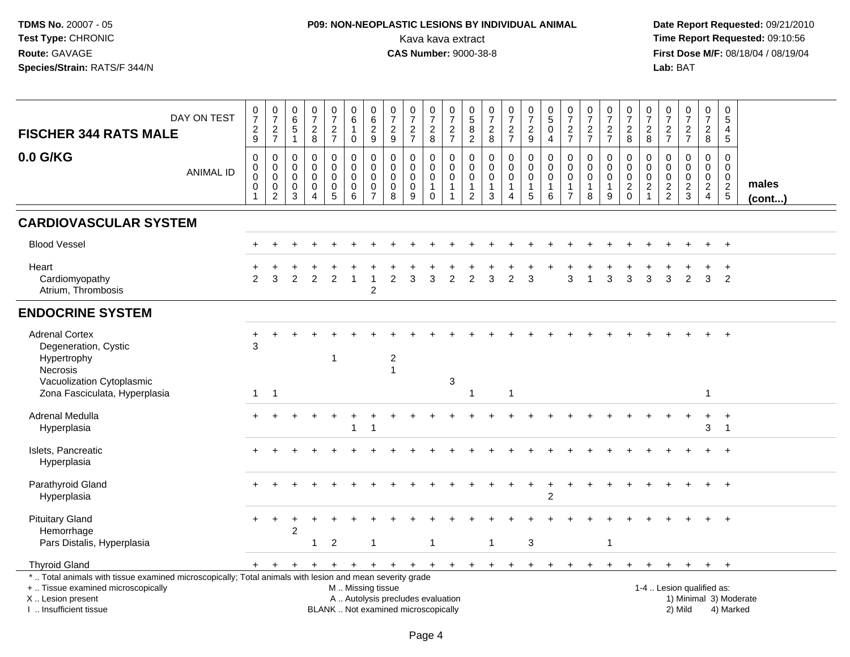## **P09: NON-NEOPLASTIC LESIONS BY INDIVIDUAL ANIMAL**Kava kava extract **Time Report Requested:** 09:10:56<br>**CAS Number:** 9000-38-8 **CAS Number:** 9000-38-8

| DAY ON TEST<br><b>FISCHER 344 RATS MALE</b>                                                                                                                                                  | $\begin{array}{c} 0 \\ 7 \end{array}$<br>$\frac{2}{9}$           | $\begin{array}{c} 0 \\ 7 \end{array}$<br>$\frac{2}{7}$                     | $_{6}^{\rm 0}$<br>$\,$ 5 $\,$<br>$\overline{1}$     | $\frac{0}{7}$<br>$\frac{2}{8}$                                   | $\frac{0}{7}$<br>$\frac{2}{7}$                               | $\begin{array}{c} 0 \\ 6 \end{array}$<br>$\mathbf{1}$<br>$\mathsf{O}\xspace$ | $\begin{array}{c} 0 \\ 6 \end{array}$<br>$\frac{2}{9}$           | $\frac{0}{7}$<br>$\frac{2}{9}$                                | $\frac{0}{7}$<br>$\frac{2}{7}$                                           | $\frac{0}{7}$<br>$_{8}^2$                                                   | $\frac{0}{7}$<br>$\frac{2}{7}$                          | $^{\rm 0}_{\rm 5}$<br>$\begin{smallmatrix} 8 \\ 2 \end{smallmatrix}$ | $\begin{array}{c} 0 \\ 7 \end{array}$<br>$\frac{2}{8}$     | $\frac{0}{7}$<br>$\frac{2}{7}$                   | $\begin{array}{c} 0 \\ 7 \end{array}$<br>$\frac{2}{9}$                  | $\begin{smallmatrix}0\0\0\end{smallmatrix}$<br>$\mathbf 0$<br>$\overline{4}$ | $\frac{0}{7}$<br>$\frac{2}{7}$                                            | $\frac{0}{7}$<br>$\frac{2}{7}$                | $\frac{0}{7}$<br>$\frac{2}{7}$                         | $\begin{array}{c} 0 \\ 7 \end{array}$<br>$_{\rm 8}^2$                  | $\frac{0}{7}$<br>$_{8}^{\rm 2}$                  | $\frac{0}{7}$<br>$\frac{2}{7}$                             | $\frac{0}{7}$<br>$\frac{2}{7}$                   | $\frac{0}{7}$<br>$_{8}^{\rm 2}$                                             | $\pmb{0}$<br>5<br>4<br>5                                               |                        |
|----------------------------------------------------------------------------------------------------------------------------------------------------------------------------------------------|------------------------------------------------------------------|----------------------------------------------------------------------------|-----------------------------------------------------|------------------------------------------------------------------|--------------------------------------------------------------|------------------------------------------------------------------------------|------------------------------------------------------------------|---------------------------------------------------------------|--------------------------------------------------------------------------|-----------------------------------------------------------------------------|---------------------------------------------------------|----------------------------------------------------------------------|------------------------------------------------------------|--------------------------------------------------|-------------------------------------------------------------------------|------------------------------------------------------------------------------|---------------------------------------------------------------------------|-----------------------------------------------|--------------------------------------------------------|------------------------------------------------------------------------|--------------------------------------------------|------------------------------------------------------------|--------------------------------------------------|-----------------------------------------------------------------------------|------------------------------------------------------------------------|------------------------|
| 0.0 G/KG<br><b>ANIMAL ID</b>                                                                                                                                                                 | $\mathbf 0$<br>$\mathsf 0$<br>$\mathbf 0$<br>0<br>$\overline{1}$ | $\mathbf 0$<br>$\mathbf 0$<br>$\mathbf 0$<br>$\mathbf 0$<br>$\overline{c}$ | $\mathbf 0$<br>$\mathbf 0$<br>$\mathbf 0$<br>0<br>3 | 0<br>$\mathbf 0$<br>$\mathbf 0$<br>$\mathbf 0$<br>$\overline{4}$ | $\pmb{0}$<br>$\overline{0}$<br>$\mathbf 0$<br>$\pmb{0}$<br>5 | $\mathbf 0$<br>$\mathbf 0$<br>$\pmb{0}$<br>$\pmb{0}$<br>6                    | $\mathbf 0$<br>$\mathbf 0$<br>$\mathbf 0$<br>0<br>$\overline{7}$ | $\mathbf 0$<br>$\mathbf 0$<br>$\mathbf 0$<br>$\mathbf 0$<br>8 | 0<br>$\mathbf 0$<br>$\pmb{0}$<br>$\mathbf 0$<br>9                        | $\mathbf 0$<br>$\overline{0}$<br>$\mathbf 0$<br>$\mathbf{1}$<br>$\mathbf 0$ | 0<br>$\mathbf 0$<br>0<br>$\mathbf{1}$<br>$\overline{1}$ | 0<br>$\mathbf 0$<br>$\mathbf 0$<br>$\mathbf{1}$<br>$\overline{2}$    | 0<br>$\ddot{\mathbf{0}}$<br>$\pmb{0}$<br>$\mathbf{1}$<br>3 | 0<br>$\pmb{0}$<br>$\pmb{0}$<br>$\mathbf{1}$<br>4 | $\mathbf 0$<br>$\mathbf 0$<br>$\mathbf 0$<br>$\mathbf{1}$<br>$\sqrt{5}$ | $\mathbf 0$<br>$\mathbf 0$<br>$\mathbf 0$<br>1<br>6                          | $\mathbf 0$<br>$\mathbf 0$<br>$\pmb{0}$<br>$\mathbf{1}$<br>$\overline{7}$ | 0<br>$\overline{0}$<br>0<br>$\mathbf{1}$<br>8 | 0<br>$\mathbf 0$<br>$\pmb{0}$<br>$\mathbf{1}$<br>$9\,$ | $\mathbf 0$<br>$\mathbf 0$<br>$\mathbf 0$<br>$\sqrt{2}$<br>$\mathbf 0$ | 0<br>$\mathbf 0$<br>$\mathbf 0$<br>$\frac{2}{1}$ | $\mathbf 0$<br>$\mathbf 0$<br>$\mathbf 0$<br>$\frac{2}{2}$ | 0<br>$\mathbf 0$<br>$\mathbf 0$<br>$\frac{2}{3}$ | 0<br>$\ddot{\mathbf{0}}$<br>$\mathbf 0$<br>$\overline{2}$<br>$\overline{4}$ | $\Omega$<br>$\mathbf 0$<br>$\mathbf 0$<br>$\sqrt{2}$<br>$\overline{5}$ | males<br>(cont)        |
| <b>CARDIOVASCULAR SYSTEM</b>                                                                                                                                                                 |                                                                  |                                                                            |                                                     |                                                                  |                                                              |                                                                              |                                                                  |                                                               |                                                                          |                                                                             |                                                         |                                                                      |                                                            |                                                  |                                                                         |                                                                              |                                                                           |                                               |                                                        |                                                                        |                                                  |                                                            |                                                  |                                                                             |                                                                        |                        |
| <b>Blood Vessel</b>                                                                                                                                                                          |                                                                  |                                                                            |                                                     |                                                                  |                                                              |                                                                              |                                                                  |                                                               |                                                                          |                                                                             |                                                         |                                                                      |                                                            |                                                  |                                                                         |                                                                              |                                                                           |                                               |                                                        |                                                                        |                                                  |                                                            |                                                  |                                                                             | $\overline{1}$                                                         |                        |
| Heart<br>Cardiomyopathy<br>Atrium, Thrombosis                                                                                                                                                | 2                                                                | 3                                                                          | 2                                                   | 2                                                                | 2                                                            |                                                                              | $\overline{c}$                                                   | 2                                                             | 3                                                                        | 3                                                                           | $\overline{2}$                                          | 2                                                                    | 3                                                          | $\overline{2}$                                   | 3                                                                       |                                                                              | 3                                                                         |                                               | 3                                                      | 3                                                                      | 3                                                | 3                                                          | $\overline{2}$                                   | 3                                                                           | $\ddot{}$<br>2                                                         |                        |
| <b>ENDOCRINE SYSTEM</b>                                                                                                                                                                      |                                                                  |                                                                            |                                                     |                                                                  |                                                              |                                                                              |                                                                  |                                                               |                                                                          |                                                                             |                                                         |                                                                      |                                                            |                                                  |                                                                         |                                                                              |                                                                           |                                               |                                                        |                                                                        |                                                  |                                                            |                                                  |                                                                             |                                                                        |                        |
| <b>Adrenal Cortex</b><br>Degeneration, Cystic<br>Hypertrophy<br>Necrosis                                                                                                                     | 3                                                                |                                                                            |                                                     |                                                                  | -1                                                           |                                                                              |                                                                  | $\overline{\mathbf{c}}$<br>$\overline{1}$                     |                                                                          |                                                                             |                                                         |                                                                      |                                                            |                                                  |                                                                         |                                                                              |                                                                           |                                               |                                                        |                                                                        |                                                  |                                                            |                                                  |                                                                             |                                                                        |                        |
| Vacuolization Cytoplasmic<br>Zona Fasciculata, Hyperplasia                                                                                                                                   | $\overline{1}$                                                   | $\overline{1}$                                                             |                                                     |                                                                  |                                                              |                                                                              |                                                                  |                                                               |                                                                          |                                                                             | 3                                                       | $\mathbf{1}$                                                         |                                                            | $\overline{1}$                                   |                                                                         |                                                                              |                                                                           |                                               |                                                        |                                                                        |                                                  |                                                            |                                                  | $\mathbf{1}$                                                                |                                                                        |                        |
| Adrenal Medulla<br>Hyperplasia                                                                                                                                                               |                                                                  |                                                                            |                                                     |                                                                  |                                                              |                                                                              |                                                                  |                                                               |                                                                          |                                                                             |                                                         |                                                                      |                                                            |                                                  |                                                                         |                                                                              |                                                                           |                                               |                                                        |                                                                        |                                                  |                                                            |                                                  | 3                                                                           | $^{+}$<br>$\mathbf{1}$                                                 |                        |
| Islets, Pancreatic<br>Hyperplasia                                                                                                                                                            |                                                                  |                                                                            |                                                     |                                                                  |                                                              |                                                                              |                                                                  |                                                               |                                                                          |                                                                             |                                                         |                                                                      |                                                            |                                                  |                                                                         |                                                                              |                                                                           |                                               |                                                        |                                                                        |                                                  |                                                            |                                                  |                                                                             | $\overline{1}$                                                         |                        |
| Parathyroid Gland<br>Hyperplasia                                                                                                                                                             |                                                                  |                                                                            |                                                     |                                                                  |                                                              |                                                                              |                                                                  |                                                               |                                                                          |                                                                             |                                                         |                                                                      |                                                            |                                                  |                                                                         | $\overline{2}$                                                               |                                                                           |                                               |                                                        |                                                                        |                                                  |                                                            |                                                  |                                                                             |                                                                        |                        |
| <b>Pituitary Gland</b><br>Hemorrhage<br>Pars Distalis, Hyperplasia                                                                                                                           |                                                                  |                                                                            | $\overline{c}$                                      | 1                                                                | $\overline{c}$                                               |                                                                              | $\overline{1}$                                                   |                                                               |                                                                          | $\overline{1}$                                                              |                                                         |                                                                      | $\mathbf{1}$                                               |                                                  | 3                                                                       |                                                                              |                                                                           |                                               | -1                                                     |                                                                        |                                                  |                                                            |                                                  |                                                                             |                                                                        |                        |
| <b>Thyroid Gland</b>                                                                                                                                                                         | $+$                                                              | $+$                                                                        | $+$                                                 | $+$                                                              | $+$                                                          | $+$                                                                          |                                                                  | $+$ $+$ $+$                                                   |                                                                          |                                                                             |                                                         | + + + +                                                              |                                                            | $+$                                              | $+$                                                                     | $+$                                                                          | $+$                                                                       | $+$                                           | $+$                                                    | $+$                                                                    | $+$                                              | $\ddot{}$                                                  | $+$                                              |                                                                             | $+$ $+$                                                                |                        |
| *  Total animals with tissue examined microscopically; Total animals with lesion and mean severity grade<br>+  Tissue examined microscopically<br>X Lesion present<br>I  Insufficient tissue |                                                                  |                                                                            |                                                     |                                                                  |                                                              | M  Missing tissue                                                            |                                                                  |                                                               | A  Autolysis precludes evaluation<br>BLANK  Not examined microscopically |                                                                             |                                                         |                                                                      |                                                            |                                                  |                                                                         |                                                                              |                                                                           |                                               |                                                        |                                                                        |                                                  |                                                            | 1-4  Lesion qualified as:<br>2) Mild             |                                                                             | 4) Marked                                                              | 1) Minimal 3) Moderate |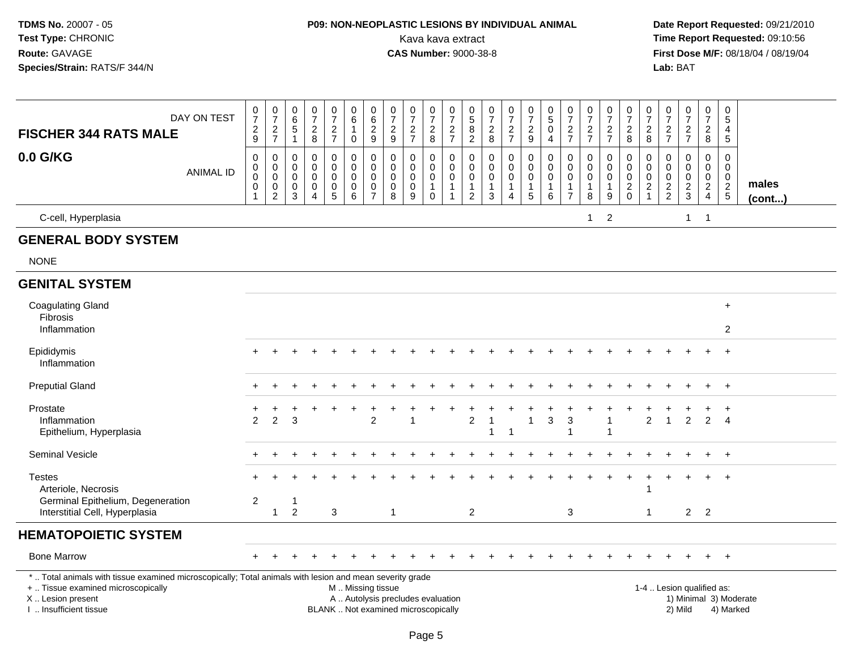## **P09: NON-NEOPLASTIC LESIONS BY INDIVIDUAL ANIMAL**Kava kava extract **Time Report Requested:** 09:10:56<br>**CAS Number:** 9000-38-8 **CAS Number:** 9000-38-8

| <b>FISCHER 344 RATS MALE</b>                                                                                                                                                                 | DAY ON TEST      | $\frac{0}{7}$<br>$\sqrt{2}$<br>9                     | $\frac{0}{7}$<br>$\frac{2}{7}$                                 | 0<br>$\,6$<br>$\overline{5}$<br>$\mathbf{1}$              | $\begin{array}{c} 0 \\ 7 \end{array}$<br>$\sqrt{2}$<br>8      | $\frac{0}{7}$<br>$\sqrt{2}$<br>$\overline{7}$                | $\begin{array}{c} 0 \\ 6 \end{array}$<br>$\mathbf{1}$<br>$\mathbf 0$ | $\pmb{0}$<br>$\,6\,$<br>$\overline{2}$<br>9                         | $\frac{0}{7}$<br>$\sqrt{2}$<br>$\boldsymbol{9}$                          | $\frac{0}{7}$<br>$\mathbf 2$<br>$\overline{7}$                | $\frac{0}{7}$<br>$\overline{c}$<br>8                 | $\begin{array}{c} 0 \\ 7 \end{array}$<br>$\sqrt{2}$<br>$\overline{7}$       | $\begin{array}{c} 0 \\ 5 \\ 8 \end{array}$<br>$\overline{2}$  | $\frac{0}{7}$<br>$\sqrt{2}$<br>$\bf 8$                          | $\begin{array}{c} 0 \\ 7 \end{array}$<br>$\frac{2}{7}$                              | $\begin{smallmatrix}0\\7\end{smallmatrix}$<br>$\sqrt{2}$<br>$\boldsymbol{9}$ | $\begin{array}{c} 0 \\ 5 \end{array}$<br>$\mathsf{O}\xspace$<br>$\overline{4}$ | $\frac{0}{7}$<br>$\overline{2}$<br>$\overline{7}$                        | $\begin{array}{c} 0 \\ 7 \end{array}$<br>$\sqrt{2}$<br>$\overline{7}$ | $\frac{0}{7}$<br>$\sqrt{2}$<br>$\overline{7}$                               | $\begin{smallmatrix}0\\7\end{smallmatrix}$<br>$\sqrt{2}$<br>8 | $\frac{0}{7}$<br>$\sqrt{2}$<br>8                                        | $\frac{0}{7}$<br>$\sqrt{2}$<br>$\overline{7}$           | $\begin{array}{c} 0 \\ 7 \end{array}$<br>$\frac{2}{7}$ | $\frac{0}{7}$<br>$\overline{2}$<br>8                                            | $\begin{array}{c} 0 \\ 5 \end{array}$<br>4<br>5                               |                        |
|----------------------------------------------------------------------------------------------------------------------------------------------------------------------------------------------|------------------|------------------------------------------------------|----------------------------------------------------------------|-----------------------------------------------------------|---------------------------------------------------------------|--------------------------------------------------------------|----------------------------------------------------------------------|---------------------------------------------------------------------|--------------------------------------------------------------------------|---------------------------------------------------------------|------------------------------------------------------|-----------------------------------------------------------------------------|---------------------------------------------------------------|-----------------------------------------------------------------|-------------------------------------------------------------------------------------|------------------------------------------------------------------------------|--------------------------------------------------------------------------------|--------------------------------------------------------------------------|-----------------------------------------------------------------------|-----------------------------------------------------------------------------|---------------------------------------------------------------|-------------------------------------------------------------------------|---------------------------------------------------------|--------------------------------------------------------|---------------------------------------------------------------------------------|-------------------------------------------------------------------------------|------------------------|
| 0.0 G/KG                                                                                                                                                                                     | <b>ANIMAL ID</b> | $\mathbf 0$<br>0<br>$\mathbf 0$<br>0<br>$\mathbf{1}$ | 0<br>$\mathsf 0$<br>$\mathbf 0$<br>$\pmb{0}$<br>$\overline{c}$ | $\Omega$<br>$\mathbf 0$<br>$\mathbf 0$<br>0<br>$\sqrt{3}$ | $\Omega$<br>$\mathbf 0$<br>$\mathbf 0$<br>0<br>$\overline{4}$ | 0<br>$\pmb{0}$<br>$\mathbf 0$<br>$\pmb{0}$<br>$\overline{5}$ | 0<br>$\mathbf 0$<br>$\mathbf 0$<br>$\mathbf 0$<br>$6\phantom{1}$     | $\Omega$<br>$\pmb{0}$<br>$\mathbf 0$<br>$\pmb{0}$<br>$\overline{7}$ | $\mathbf 0$<br>$\pmb{0}$<br>$\mathbf 0$<br>0<br>8                        | 0<br>$\boldsymbol{0}$<br>$\mathbf 0$<br>0<br>$\boldsymbol{9}$ | 0<br>$\mathbf 0$<br>0<br>$\mathbf{1}$<br>$\mathbf 0$ | $\mathbf 0$<br>$\mathbf 0$<br>$\mathbf 0$<br>$\mathbf{1}$<br>$\overline{1}$ | 0<br>$\mathsf 0$<br>$\mathsf 0$<br>$\mathbf{1}$<br>$\sqrt{2}$ | 0<br>$\pmb{0}$<br>$\mathbf 0$<br>$\overline{1}$<br>$\mathbf{3}$ | $\mathbf 0$<br>$\mathbf 0$<br>$\mathbf 0$<br>$\mathbf{1}$<br>$\boldsymbol{\Lambda}$ | 0<br>$\pmb{0}$<br>$\mathsf{O}\xspace$<br>1<br>5                              | 0<br>$\pmb{0}$<br>$\mathbf 0$<br>$\mathbf{1}$<br>6                             | $\Omega$<br>$\mathbf 0$<br>$\mathbf 0$<br>$\mathbf{1}$<br>$\overline{7}$ | $\mathbf 0$<br>$\mathbf 0$<br>0<br>$\mathbf{1}$<br>$\,8\,$            | $\mathbf 0$<br>$\pmb{0}$<br>$\mathbf 0$<br>$\mathbf{1}$<br>$\boldsymbol{9}$ | $\mathbf 0$<br>$\mathbf 0$<br>$\mathbf 0$<br>$^2_{\rm 0}$     | $\mathbf 0$<br>$\mathbf 0$<br>$\mathbf 0$<br>$\sqrt{2}$<br>$\mathbf{1}$ | $\Omega$<br>$\mathbf 0$<br>$\mathbf 0$<br>$\frac{2}{2}$ | 0<br>$\pmb{0}$<br>$\mathbf 0$<br>$\frac{2}{3}$         | $\mathbf 0$<br>$\mathsf{O}$<br>$\mathsf{O}$<br>$\overline{2}$<br>$\overline{4}$ | $\mathbf 0$<br>$\mathbf 0$<br>$\mathbf 0$<br>$\overline{2}$<br>$\overline{5}$ | males<br>$($ cont $)$  |
| C-cell, Hyperplasia                                                                                                                                                                          |                  |                                                      |                                                                |                                                           |                                                               |                                                              |                                                                      |                                                                     |                                                                          |                                                               |                                                      |                                                                             |                                                               |                                                                 |                                                                                     |                                                                              |                                                                                |                                                                          | $\mathbf{1}$                                                          | $\overline{2}$                                                              |                                                               |                                                                         |                                                         | $\mathbf{1}$                                           | $\mathbf{1}$                                                                    |                                                                               |                        |
| <b>GENERAL BODY SYSTEM</b>                                                                                                                                                                   |                  |                                                      |                                                                |                                                           |                                                               |                                                              |                                                                      |                                                                     |                                                                          |                                                               |                                                      |                                                                             |                                                               |                                                                 |                                                                                     |                                                                              |                                                                                |                                                                          |                                                                       |                                                                             |                                                               |                                                                         |                                                         |                                                        |                                                                                 |                                                                               |                        |
| <b>NONE</b>                                                                                                                                                                                  |                  |                                                      |                                                                |                                                           |                                                               |                                                              |                                                                      |                                                                     |                                                                          |                                                               |                                                      |                                                                             |                                                               |                                                                 |                                                                                     |                                                                              |                                                                                |                                                                          |                                                                       |                                                                             |                                                               |                                                                         |                                                         |                                                        |                                                                                 |                                                                               |                        |
| <b>GENITAL SYSTEM</b>                                                                                                                                                                        |                  |                                                      |                                                                |                                                           |                                                               |                                                              |                                                                      |                                                                     |                                                                          |                                                               |                                                      |                                                                             |                                                               |                                                                 |                                                                                     |                                                                              |                                                                                |                                                                          |                                                                       |                                                                             |                                                               |                                                                         |                                                         |                                                        |                                                                                 |                                                                               |                        |
| <b>Coagulating Gland</b><br>Fibrosis<br>Inflammation                                                                                                                                         |                  |                                                      |                                                                |                                                           |                                                               |                                                              |                                                                      |                                                                     |                                                                          |                                                               |                                                      |                                                                             |                                                               |                                                                 |                                                                                     |                                                                              |                                                                                |                                                                          |                                                                       |                                                                             |                                                               |                                                                         |                                                         |                                                        |                                                                                 | $+$<br>2                                                                      |                        |
| Epididymis<br>Inflammation                                                                                                                                                                   |                  |                                                      |                                                                |                                                           |                                                               |                                                              |                                                                      |                                                                     |                                                                          |                                                               |                                                      |                                                                             |                                                               |                                                                 |                                                                                     |                                                                              |                                                                                |                                                                          |                                                                       |                                                                             |                                                               |                                                                         |                                                         |                                                        |                                                                                 | $\ddot{}$                                                                     |                        |
| <b>Preputial Gland</b>                                                                                                                                                                       |                  |                                                      |                                                                |                                                           |                                                               |                                                              |                                                                      |                                                                     |                                                                          |                                                               |                                                      |                                                                             |                                                               |                                                                 |                                                                                     |                                                                              |                                                                                |                                                                          |                                                                       |                                                                             |                                                               |                                                                         |                                                         |                                                        | $\ddot{}$                                                                       | $+$                                                                           |                        |
| Prostate<br>Inflammation<br>Epithelium, Hyperplasia                                                                                                                                          |                  | $\mathcal{P}$                                        | $\mathcal{P}$                                                  | 3                                                         |                                                               |                                                              |                                                                      | $\overline{c}$                                                      |                                                                          | 1                                                             |                                                      |                                                                             | $\overline{c}$                                                | 1<br>1                                                          | $\overline{\mathbf{1}}$                                                             | $\mathbf{1}$                                                                 | $\mathbf{3}$                                                                   | $\sqrt{3}$<br>$\overline{1}$                                             |                                                                       | -1                                                                          |                                                               | $\overline{2}$                                                          | $\mathbf{1}$                                            | 2                                                      | $\ddot{}$<br>$\overline{2}$                                                     | $\ddot{}$<br>$\overline{4}$                                                   |                        |
| Seminal Vesicle                                                                                                                                                                              |                  |                                                      |                                                                |                                                           |                                                               |                                                              |                                                                      |                                                                     |                                                                          |                                                               |                                                      |                                                                             |                                                               |                                                                 |                                                                                     |                                                                              |                                                                                |                                                                          |                                                                       |                                                                             |                                                               |                                                                         |                                                         |                                                        | $+$                                                                             | $+$                                                                           |                        |
| <b>Testes</b><br>Arteriole, Necrosis                                                                                                                                                         |                  |                                                      |                                                                |                                                           |                                                               |                                                              |                                                                      |                                                                     |                                                                          |                                                               |                                                      |                                                                             |                                                               |                                                                 |                                                                                     |                                                                              |                                                                                |                                                                          |                                                                       |                                                                             | $\div$                                                        | $\ddot{}$<br>$\mathbf{1}$                                               | ÷                                                       |                                                        | $+$                                                                             | $\ddot{}$                                                                     |                        |
| Germinal Epithelium, Degeneration<br>Interstitial Cell, Hyperplasia                                                                                                                          |                  | $\overline{c}$                                       | $\mathbf{1}$                                                   | $\mathbf{1}$<br>$\overline{2}$                            |                                                               | 3                                                            |                                                                      |                                                                     | $\mathbf{1}$                                                             |                                                               |                                                      |                                                                             | 2                                                             |                                                                 |                                                                                     |                                                                              |                                                                                | 3                                                                        |                                                                       |                                                                             |                                                               | $\mathbf{1}$                                                            |                                                         | $2^{\circ}$                                            | $\overline{2}$                                                                  |                                                                               |                        |
| <b>HEMATOPOIETIC SYSTEM</b>                                                                                                                                                                  |                  |                                                      |                                                                |                                                           |                                                               |                                                              |                                                                      |                                                                     |                                                                          |                                                               |                                                      |                                                                             |                                                               |                                                                 |                                                                                     |                                                                              |                                                                                |                                                                          |                                                                       |                                                                             |                                                               |                                                                         |                                                         |                                                        |                                                                                 |                                                                               |                        |
| <b>Bone Marrow</b>                                                                                                                                                                           |                  |                                                      |                                                                |                                                           |                                                               |                                                              |                                                                      |                                                                     |                                                                          |                                                               |                                                      |                                                                             |                                                               |                                                                 |                                                                                     |                                                                              |                                                                                |                                                                          |                                                                       |                                                                             |                                                               |                                                                         |                                                         |                                                        | $\pm$                                                                           | $+$                                                                           |                        |
| *  Total animals with tissue examined microscopically; Total animals with lesion and mean severity grade<br>+  Tissue examined microscopically<br>X Lesion present<br>I. Insufficient tissue |                  |                                                      |                                                                |                                                           |                                                               |                                                              | M  Missing tissue                                                    |                                                                     | A  Autolysis precludes evaluation<br>BLANK  Not examined microscopically |                                                               |                                                      |                                                                             |                                                               |                                                                 |                                                                                     |                                                                              |                                                                                |                                                                          |                                                                       |                                                                             |                                                               |                                                                         |                                                         | 1-4  Lesion qualified as:<br>2) Mild                   |                                                                                 | 4) Marked                                                                     | 1) Minimal 3) Moderate |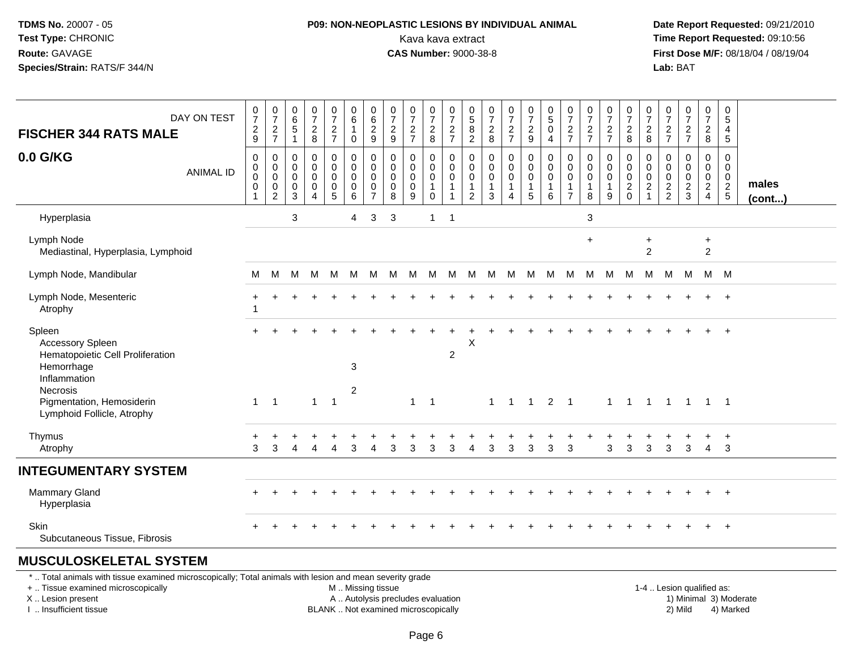#### **P09: NON-NEOPLASTIC LESIONS BY INDIVIDUAL ANIMAL**Kava kava extract **Time Report Requested:** 09:10:56<br>**CAS Number:** 9000-38-8<br>**Tirst Dose M/F:** 08/18/04 / 08/19/04

 **Date Report Requested:** 09/21/2010 **First Dose M/F:** 08/18/04 / 08/19/04 Lab: BAT **Lab:** BAT

|                                                                                                     | DAY ON TEST      |                                                                  | $\frac{0}{7}$                                          | $\begin{matrix} 0 \\ 6 \\ 5 \end{matrix}$ | $\frac{0}{7}$                                             | $\frac{0}{7}$                                                | 0<br>6                                              | 0<br>$6\phantom{a}$                                                        | $\frac{0}{7}$                                               | $\frac{0}{7}$                                       | $\frac{0}{7}$                                        | $\frac{0}{7}$                                                                 | $\begin{array}{c} 0 \\ 5 \\ 8 \end{array}$                     | $\frac{0}{7}$                                              | $\frac{0}{7}$                                        | $\frac{0}{7}$                                                   | $\frac{0}{5}$                    | 0<br>$\overline{7}$                                               | $\frac{0}{7}$                    | $\frac{0}{7}$                                           | $\frac{0}{7}$                                                              | 0<br>$\overline{7}$                                               | $\frac{0}{7}$                                                | $\frac{0}{7}$                                          | 0<br>$\overline{7}$                                                                 | 0<br>$\overline{5}$                                              |                 |
|-----------------------------------------------------------------------------------------------------|------------------|------------------------------------------------------------------|--------------------------------------------------------|-------------------------------------------|-----------------------------------------------------------|--------------------------------------------------------------|-----------------------------------------------------|----------------------------------------------------------------------------|-------------------------------------------------------------|-----------------------------------------------------|------------------------------------------------------|-------------------------------------------------------------------------------|----------------------------------------------------------------|------------------------------------------------------------|------------------------------------------------------|-----------------------------------------------------------------|----------------------------------|-------------------------------------------------------------------|----------------------------------|---------------------------------------------------------|----------------------------------------------------------------------------|-------------------------------------------------------------------|--------------------------------------------------------------|--------------------------------------------------------|-------------------------------------------------------------------------------------|------------------------------------------------------------------|-----------------|
| <b>FISCHER 344 RATS MALE</b>                                                                        |                  | 0729                                                             | $\frac{2}{7}$                                          | $\mathbf{1}$                              | $_{\rm 8}^2$                                              | $\frac{2}{7}$                                                | $\mathbf{1}$<br>0                                   | $\frac{2}{9}$                                                              | $\frac{2}{9}$                                               | $\frac{2}{7}$                                       | $\frac{2}{8}$                                        | $\frac{2}{7}$                                                                 | $\overline{2}$                                                 | $\frac{2}{8}$                                              | $\frac{2}{7}$                                        | $\boldsymbol{2}$<br>$\boldsymbol{9}$                            | $\pmb{0}$<br>4                   | $\frac{2}{7}$                                                     | $\frac{2}{7}$                    | $\frac{2}{7}$                                           | $\frac{2}{8}$                                                              | $\boldsymbol{2}$<br>8                                             | $\frac{2}{7}$                                                | $\frac{2}{7}$                                          | $\frac{2}{8}$                                                                       | 4<br>5                                                           |                 |
| 0.0 G/KG                                                                                            | <b>ANIMAL ID</b> | $\pmb{0}$<br>$\pmb{0}$<br>$\pmb{0}$<br>$\pmb{0}$<br>$\mathbf{1}$ | 0<br>$\mathbf 0$<br>$\mathbf 0$<br>0<br>$\overline{2}$ | $\pmb{0}$<br>0<br>0<br>$\pmb{0}$<br>3     | $\pmb{0}$<br>$\mathbf 0$<br>$\mathbf 0$<br>$\pmb{0}$<br>4 | 0<br>$\mathbf 0$<br>$\mathbf 0$<br>$\mathbf 0$<br>$\sqrt{5}$ | 0<br>$\mathbf 0$<br>$\mathbf 0$<br>$\mathbf 0$<br>6 | $\mathbf 0$<br>$\mathbf 0$<br>$\mathbf 0$<br>$\mathbf 0$<br>$\overline{7}$ | $\pmb{0}$<br>$\mathbf 0$<br>$\mathbf 0$<br>$\mathbf 0$<br>8 | 0<br>$\mathbf 0$<br>$\mathbf 0$<br>$\mathbf 0$<br>9 | 0<br>$\mathbf 0$<br>0<br>$\mathbf{1}$<br>$\mathbf 0$ | $\pmb{0}$<br>$\mathsf{O}\xspace$<br>$\mathsf{O}\xspace$<br>$\mathbf{1}$<br>-1 | $\mathbf 0$<br>$\mathbf 0$<br>$\mathbf 0$<br>$\mathbf{1}$<br>2 | $\pmb{0}$<br>$\pmb{0}$<br>$\mathbf 0$<br>$\mathbf{1}$<br>3 | 0<br>$\mathbf 0$<br>$\mathbf 0$<br>$\mathbf{1}$<br>4 | $\pmb{0}$<br>$\overline{0}$<br>$\mathbf 0$<br>$\mathbf{1}$<br>5 | 0<br>0<br>0<br>$\mathbf{1}$<br>6 | $\mathbf 0$<br>0<br>$\mathbf 0$<br>$\mathbf{1}$<br>$\overline{7}$ | 0<br>0<br>0<br>$\mathbf{1}$<br>8 | 0<br>$\mathbf 0$<br>$\mathbf{0}$<br>$\overline{1}$<br>9 | $\pmb{0}$<br>$\pmb{0}$<br>$\ddot{\mathbf{0}}$<br>$\sqrt{2}$<br>$\mathbf 0$ | 0<br>0<br>$\mathbf 0$<br>$\boldsymbol{2}$<br>$\blacktriangleleft$ | $\mathbf 0$<br>$\mathbf 0$<br>$\mathbf 0$<br>$\sqrt{2}$<br>2 | 0<br>$\mathbf 0$<br>$\mathbf 0$<br>$\overline{c}$<br>3 | $\pmb{0}$<br>$\mathsf{O}\xspace$<br>$\mathbf 0$<br>$\overline{2}$<br>$\overline{4}$ | 0<br>$\mathbf 0$<br>$\mathbf 0$<br>$\sqrt{2}$<br>$5\phantom{.0}$ | males<br>(cont) |
| Hyperplasia                                                                                         |                  |                                                                  |                                                        | 3                                         |                                                           |                                                              | 4                                                   | 3                                                                          | 3                                                           |                                                     | $\mathbf{1}$                                         | $\overline{1}$                                                                |                                                                |                                                            |                                                      |                                                                 |                                  |                                                                   | 3                                |                                                         |                                                                            |                                                                   |                                                              |                                                        |                                                                                     |                                                                  |                 |
| Lymph Node<br>Mediastinal, Hyperplasia, Lymphoid                                                    |                  |                                                                  |                                                        |                                           |                                                           |                                                              |                                                     |                                                                            |                                                             |                                                     |                                                      |                                                                               |                                                                |                                                            |                                                      |                                                                 |                                  |                                                                   | $+$                              |                                                         |                                                                            | $\ddot{}$<br>$\overline{2}$                                       |                                                              |                                                        | $\ddot{}$<br>$\overline{2}$                                                         |                                                                  |                 |
| Lymph Node, Mandibular                                                                              |                  | М                                                                | М                                                      | M                                         | M                                                         | M                                                            | M                                                   | M                                                                          | M                                                           | - M                                                 | M                                                    |                                                                               | M M M                                                          |                                                            | M                                                    | M                                                               | M                                |                                                                   | M M M                            |                                                         | M                                                                          | M                                                                 |                                                              | M M                                                    |                                                                                     | M M                                                              |                 |
| Lymph Node, Mesenteric<br>Atrophy                                                                   |                  |                                                                  |                                                        |                                           |                                                           |                                                              |                                                     |                                                                            |                                                             |                                                     |                                                      |                                                                               |                                                                |                                                            |                                                      |                                                                 |                                  |                                                                   |                                  |                                                         |                                                                            |                                                                   |                                                              |                                                        |                                                                                     | $\ddot{}$                                                        |                 |
| Spleen<br><b>Accessory Spleen</b><br>Hematopoietic Cell Proliferation<br>Hemorrhage<br>Inflammation |                  |                                                                  |                                                        |                                           |                                                           |                                                              | $\mathbf{3}$                                        |                                                                            |                                                             |                                                     |                                                      | $\overline{2}$                                                                | X                                                              |                                                            |                                                      |                                                                 |                                  |                                                                   |                                  |                                                         |                                                                            |                                                                   |                                                              |                                                        |                                                                                     | $\overline{+}$                                                   |                 |
| Necrosis<br>Pigmentation, Hemosiderin<br>Lymphoid Follicle, Atrophy                                 |                  | $\mathbf{1}$                                                     | $\overline{1}$                                         |                                           | $\mathbf{1}$                                              | $\overline{1}$                                               | $\overline{2}$                                      |                                                                            |                                                             |                                                     | $1 \quad 1$                                          |                                                                               |                                                                | $\mathbf{1}$                                               | $\overline{1}$                                       | $\overline{1}$                                                  | $2 \quad 1$                      |                                                                   |                                  |                                                         | 1 1 1 1 1                                                                  |                                                                   |                                                              |                                                        | $\overline{1}$                                                                      | $\overline{\phantom{1}}$                                         |                 |
| Thymus<br>Atrophy                                                                                   |                  | 3                                                                | 3                                                      |                                           |                                                           | Δ                                                            | 3                                                   |                                                                            | 3                                                           | 3                                                   | 3                                                    | 3                                                                             | 4                                                              | 3                                                          | $\mathbf{3}$                                         | 3                                                               | 3                                | 3                                                                 |                                  | 3                                                       | 3                                                                          | 3                                                                 | 3                                                            | 3                                                      | $\overline{4}$                                                                      | $\overline{+}$<br>3                                              |                 |
| <b>INTEGUMENTARY SYSTEM</b>                                                                         |                  |                                                                  |                                                        |                                           |                                                           |                                                              |                                                     |                                                                            |                                                             |                                                     |                                                      |                                                                               |                                                                |                                                            |                                                      |                                                                 |                                  |                                                                   |                                  |                                                         |                                                                            |                                                                   |                                                              |                                                        |                                                                                     |                                                                  |                 |
| Mammary Gland<br>Hyperplasia                                                                        |                  |                                                                  |                                                        |                                           |                                                           |                                                              |                                                     |                                                                            |                                                             |                                                     |                                                      |                                                                               |                                                                |                                                            |                                                      |                                                                 |                                  |                                                                   |                                  |                                                         |                                                                            |                                                                   |                                                              |                                                        |                                                                                     | $+$                                                              |                 |
| Skin<br>Subcutaneous Tissue, Fibrosis                                                               |                  |                                                                  |                                                        |                                           |                                                           |                                                              |                                                     |                                                                            |                                                             |                                                     |                                                      |                                                                               |                                                                |                                                            |                                                      |                                                                 |                                  |                                                                   |                                  |                                                         |                                                                            |                                                                   |                                                              |                                                        |                                                                                     | $+$                                                              |                 |
| <b>MUSCULOSKELETAL SYSTEM</b>                                                                       |                  |                                                                  |                                                        |                                           |                                                           |                                                              |                                                     |                                                                            |                                                             |                                                     |                                                      |                                                                               |                                                                |                                                            |                                                      |                                                                 |                                  |                                                                   |                                  |                                                         |                                                                            |                                                                   |                                                              |                                                        |                                                                                     |                                                                  |                 |

#### \* .. Total animals with tissue examined microscopically; Total animals with lesion and mean severity grade

+ .. Tissue examined microscopically

X .. Lesion present

I .. Insufficient tissue

M .. Missing tissue

A .. Autolysis precludes evaluation

BLANK .. Not examined microscopically 2) Mild 4) Marked

1-4 .. Lesion qualified as: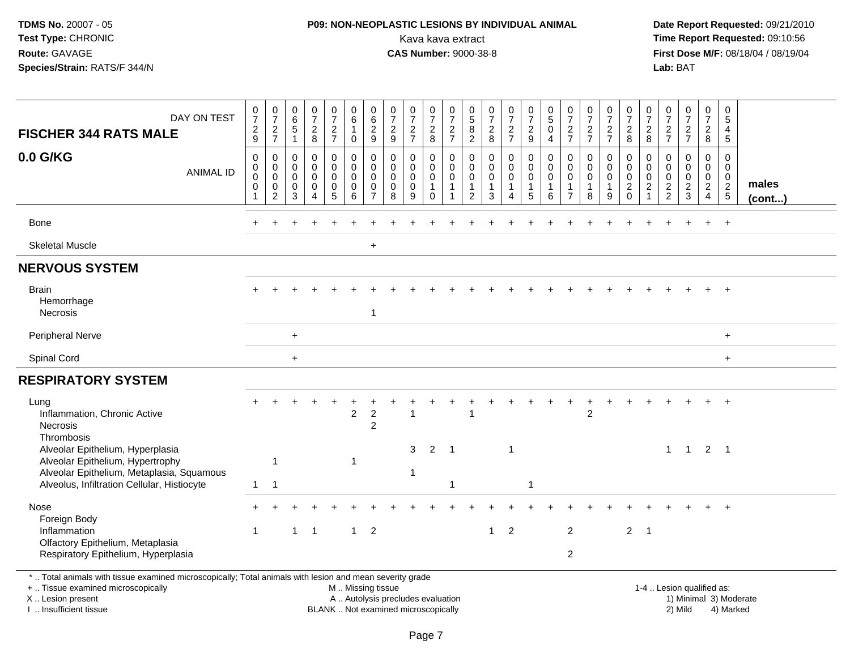## **P09: NON-NEOPLASTIC LESIONS BY INDIVIDUAL ANIMAL**Kava kava extract **Time Report Requested:** 09:10:56<br>**CAS Number:** 9000-38-8<br>**Tirst Dose M/F:** 08/18/04 / 08/19/04

 **Date Report Requested:** 09/21/2010 **First Dose M/F:** 08/18/04 / 08/19/04 Lab: BAT **Lab:** BAT

| DAY ON TEST<br><b>FISCHER 344 RATS MALE</b>                                                                                                             | $\frac{0}{7}$<br>$\overline{c}$<br>9 | $\frac{0}{7}$<br>$\overline{c}$<br>$\overline{7}$ | $\begin{matrix} 0 \\ 6 \\ 5 \end{matrix}$ | $\frac{0}{7}$<br>$\frac{2}{8}$                                   | $\frac{0}{7}$<br>$\frac{2}{7}$                           | 0<br>6<br>$\mathbf{1}$<br>0              | $\begin{array}{c} 0 \\ 6 \end{array}$<br>$\frac{2}{9}$   | $\frac{0}{7}$<br>$\overline{c}$<br>9 | 0<br>$\overline{7}$<br>$\overline{c}$<br>$\overline{7}$ | 0<br>$\overline{7}$<br>$\overline{c}$<br>8                     | 0<br>$\overline{7}$<br>$\overline{2}$<br>$\overline{7}$ | $\begin{array}{c} 0 \\ 5 \end{array}$<br>$\bf 8$<br>$\overline{c}$ | $\frac{0}{7}$<br>$\frac{2}{8}$                | $\begin{smallmatrix}0\\7\end{smallmatrix}$<br>$\overline{2}$<br>$\overline{7}$ | $\frac{0}{7}$<br>$\boldsymbol{2}$<br>9               | $\begin{array}{c} 0 \\ 5 \end{array}$<br>$\pmb{0}$<br>$\overline{4}$ | $\frac{0}{7}$<br>$rac{2}{7}$                              | 0<br>$\overline{7}$<br>$\frac{2}{7}$ | 0<br>$\overline{7}$<br>$\frac{2}{7}$                      | 0<br>$\overline{7}$<br>$\overline{c}$<br>8                      | 0<br>$\overline{7}$<br>$\overline{2}$<br>8     | $\frac{0}{7}$<br>$\frac{2}{7}$                               | $\frac{0}{7}$<br>$\frac{2}{7}$                      | 0<br>$\overline{7}$<br>$\overline{2}$<br>8               | 0<br>$\sqrt{5}$<br>4<br>$\sqrt{5}$                      |        |
|---------------------------------------------------------------------------------------------------------------------------------------------------------|--------------------------------------|---------------------------------------------------|-------------------------------------------|------------------------------------------------------------------|----------------------------------------------------------|------------------------------------------|----------------------------------------------------------|--------------------------------------|---------------------------------------------------------|----------------------------------------------------------------|---------------------------------------------------------|--------------------------------------------------------------------|-----------------------------------------------|--------------------------------------------------------------------------------|------------------------------------------------------|----------------------------------------------------------------------|-----------------------------------------------------------|--------------------------------------|-----------------------------------------------------------|-----------------------------------------------------------------|------------------------------------------------|--------------------------------------------------------------|-----------------------------------------------------|----------------------------------------------------------|---------------------------------------------------------|--------|
| 0.0 G/KG<br><b>ANIMAL ID</b>                                                                                                                            | $\mathbf 0$<br>0<br>0<br>0           | $\mathbf 0$<br>0<br>$\mathbf 0$<br>0              | $\mathbf 0$<br>0<br>$\mathbf 0$<br>0      | $\mathbf 0$<br>$\mathbf 0$<br>$\mathsf{O}\xspace$<br>$\mathbf 0$ | $\mathbf 0$<br>$\mathbf 0$<br>$\mathbf 0$<br>$\mathbf 0$ | $\Omega$<br>$\mathbf 0$<br>$\Omega$<br>0 | $\mathbf 0$<br>$\mathbf 0$<br>$\mathbf 0$<br>$\mathbf 0$ | 0<br>$\mathbf 0$<br>$\mathbf 0$<br>0 | $\mathbf 0$<br>$\overline{0}$<br>$\mathbf 0$<br>0       | $\mathbf 0$<br>$\boldsymbol{0}$<br>$\mathbf 0$<br>$\mathbf{1}$ | $\Omega$<br>$\mathbf 0$<br>$\mathbf{0}$<br>$\mathbf{1}$ | $\mathbf 0$<br>$\mathbf 0$<br>$\Omega$<br>$\overline{1}$           | 0<br>$\pmb{0}$<br>$\mathsf 0$<br>$\mathbf{1}$ | $\mathbf 0$<br>$\mathsf{O}$<br>$\mathbf 0$<br>$\mathbf{1}$                     | $\Omega$<br>$\pmb{0}$<br>$\mathbf 0$<br>$\mathbf{1}$ | $\mathbf 0$<br>$\mathbf 0$<br>$\mathbf 0$<br>$\mathbf{1}$            | $\mathbf 0$<br>$\mathbf 0$<br>$\mathbf 0$<br>$\mathbf{1}$ | 0<br>$\mathbf 0$<br>$\mathbf 0$<br>1 | $\mathbf 0$<br>$\mathbf 0$<br>$\mathbf 0$<br>$\mathbf{1}$ | $\Omega$<br>$\pmb{0}$<br>$\mathbf 0$<br>$\overline{\mathbf{c}}$ | $\Omega$<br>0<br>$\mathbf 0$<br>$\overline{c}$ | $\Omega$<br>$\mathbf 0$<br>$\boldsymbol{0}$<br>$\frac{2}{2}$ | 0<br>0<br>$\mathbf 0$<br>$\frac{2}{3}$              | $\Omega$<br>$\mathbf 0$<br>$\mathbf 0$<br>$\overline{a}$ | $\Omega$<br>$\mathbf 0$<br>$\mathbf 0$<br>$\frac{2}{5}$ | males  |
|                                                                                                                                                         |                                      | 2                                                 | 3                                         | $\overline{4}$                                                   | 5                                                        | 6                                        | $\overline{7}$                                           | 8                                    | 9                                                       | $\mathbf 0$                                                    |                                                         | 2                                                                  | 3                                             | 4                                                                              | 5                                                    | 6                                                                    | $\overline{7}$                                            | 8                                    | 9                                                         | $\mathbf 0$                                                     |                                                |                                                              |                                                     | $\overline{4}$                                           |                                                         | (cont) |
| <b>Bone</b>                                                                                                                                             |                                      |                                                   |                                           |                                                                  |                                                          |                                          |                                                          |                                      |                                                         |                                                                |                                                         |                                                                    |                                               |                                                                                |                                                      |                                                                      |                                                           |                                      |                                                           |                                                                 |                                                |                                                              |                                                     |                                                          | $+$                                                     |        |
| <b>Skeletal Muscle</b>                                                                                                                                  |                                      |                                                   |                                           |                                                                  |                                                          |                                          | $+$                                                      |                                      |                                                         |                                                                |                                                         |                                                                    |                                               |                                                                                |                                                      |                                                                      |                                                           |                                      |                                                           |                                                                 |                                                |                                                              |                                                     |                                                          |                                                         |        |
| <b>NERVOUS SYSTEM</b>                                                                                                                                   |                                      |                                                   |                                           |                                                                  |                                                          |                                          |                                                          |                                      |                                                         |                                                                |                                                         |                                                                    |                                               |                                                                                |                                                      |                                                                      |                                                           |                                      |                                                           |                                                                 |                                                |                                                              |                                                     |                                                          |                                                         |        |
| <b>Brain</b><br>Hemorrhage<br>Necrosis                                                                                                                  |                                      |                                                   |                                           |                                                                  |                                                          |                                          | $\mathbf{1}$                                             |                                      |                                                         |                                                                |                                                         |                                                                    |                                               |                                                                                |                                                      |                                                                      |                                                           |                                      |                                                           |                                                                 |                                                |                                                              |                                                     |                                                          |                                                         |        |
| Peripheral Nerve                                                                                                                                        |                                      |                                                   | $\ddot{}$                                 |                                                                  |                                                          |                                          |                                                          |                                      |                                                         |                                                                |                                                         |                                                                    |                                               |                                                                                |                                                      |                                                                      |                                                           |                                      |                                                           |                                                                 |                                                |                                                              |                                                     |                                                          | $\ddot{}$                                               |        |
| <b>Spinal Cord</b>                                                                                                                                      |                                      |                                                   | $\ddot{}$                                 |                                                                  |                                                          |                                          |                                                          |                                      |                                                         |                                                                |                                                         |                                                                    |                                               |                                                                                |                                                      |                                                                      |                                                           |                                      |                                                           |                                                                 |                                                |                                                              |                                                     |                                                          | $\ddot{}$                                               |        |
| <b>RESPIRATORY SYSTEM</b>                                                                                                                               |                                      |                                                   |                                           |                                                                  |                                                          |                                          |                                                          |                                      |                                                         |                                                                |                                                         |                                                                    |                                               |                                                                                |                                                      |                                                                      |                                                           |                                      |                                                           |                                                                 |                                                |                                                              |                                                     |                                                          |                                                         |        |
| Lung<br>Inflammation, Chronic Active<br>Necrosis                                                                                                        |                                      |                                                   |                                           |                                                                  |                                                          | $\overline{c}$                           | $\overline{2}$<br>$\overline{c}$                         |                                      |                                                         |                                                                |                                                         |                                                                    |                                               |                                                                                |                                                      |                                                                      |                                                           | $\overline{2}$                       |                                                           |                                                                 |                                                |                                                              |                                                     |                                                          | $+$                                                     |        |
| Thrombosis<br>Alveolar Epithelium, Hyperplasia<br>Alveolar Epithelium, Hypertrophy                                                                      |                                      | $\mathbf{1}$                                      |                                           |                                                                  |                                                          | 1                                        |                                                          |                                      | 3                                                       | 2                                                              | $\overline{1}$                                          |                                                                    |                                               | $\mathbf{1}$                                                                   |                                                      |                                                                      |                                                           |                                      |                                                           |                                                                 |                                                | $\mathbf{1}$                                                 | $\overline{1}$                                      | $\overline{2}$                                           | $\overline{\phantom{0}}$ 1                              |        |
| Alveolar Epithelium, Metaplasia, Squamous<br>Alveolus, Infiltration Cellular, Histiocyte                                                                | $\mathbf{1}$                         | $\mathbf{1}$                                      |                                           |                                                                  |                                                          |                                          |                                                          |                                      |                                                         |                                                                | $\overline{1}$                                          |                                                                    |                                               |                                                                                | $\overline{1}$                                       |                                                                      |                                                           |                                      |                                                           |                                                                 |                                                |                                                              |                                                     |                                                          |                                                         |        |
| Nose<br>Foreign Body                                                                                                                                    | $\ddot{}$                            |                                                   |                                           |                                                                  |                                                          |                                          |                                                          |                                      |                                                         |                                                                |                                                         |                                                                    |                                               |                                                                                |                                                      |                                                                      |                                                           |                                      |                                                           |                                                                 |                                                |                                                              |                                                     |                                                          |                                                         |        |
| Inflammation<br>Olfactory Epithelium, Metaplasia<br>Respiratory Epithelium, Hyperplasia                                                                 | $\mathbf{1}$                         |                                                   | $\mathbf{1}$                              | $\overline{\phantom{0}}$ 1                                       |                                                          | 1                                        | $\overline{2}$                                           |                                      |                                                         |                                                                |                                                         |                                                                    | $\mathbf{1}$                                  | $\overline{2}$                                                                 |                                                      |                                                                      | $\overline{2}$<br>$\overline{2}$                          |                                      |                                                           | $\overline{2}$                                                  | $\overline{1}$                                 |                                                              |                                                     |                                                          |                                                         |        |
| *  Total animals with tissue examined microscopically; Total animals with lesion and mean severity grade<br>and the send and some sensor send the self- |                                      |                                                   |                                           |                                                                  |                                                          |                                          |                                                          |                                      |                                                         |                                                                |                                                         |                                                                    |                                               |                                                                                |                                                      |                                                                      |                                                           |                                      |                                                           |                                                                 |                                                |                                                              | the state of the state of the state of the state of |                                                          |                                                         |        |

+ .. Tissue examined microscopically

X .. Lesion present

I .. Insufficient tissue

M .. Missing tissue

A .. Autolysis precludes evaluation

BLANK .. Not examined microscopically 2) Mild 4) Marked

1-4 .. Lesion qualified as: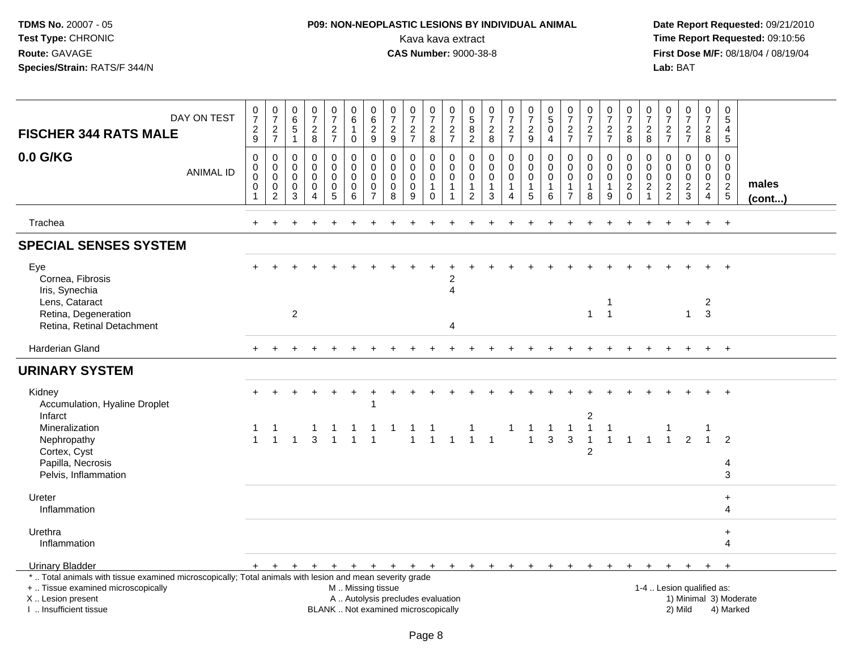## **P09: NON-NEOPLASTIC LESIONS BY INDIVIDUAL ANIMAL**Kava kava extract **Time Report Requested:** 09:10:56<br>**CAS Number:** 9000-38-8 **CAS Number:** 9000-38-8

|                                                                                                                                                                                              | DAY ON TEST      | 0<br>$\overline{7}$                                          | $\frac{0}{7}$                                                          | $\boldsymbol{0}$<br>$\,6\,$               | $\frac{0}{7}$                                                              | $\pmb{0}$<br>$\overline{7}$                                  | $\pmb{0}$<br>$\,6\,$                                          | $\pmb{0}$<br>$6\phantom{1}6$                        | $\frac{0}{7}$                                                            | $\frac{0}{7}$                                       | 0<br>$\overline{7}$                                            | $\pmb{0}$<br>$\overline{7}$                                           | 0<br>$\sqrt{5}$                                                             | $\frac{0}{7}$                                                                     | $\frac{0}{7}$                                        | $\frac{0}{7}$                                                              | $\begin{array}{c} 0 \\ 5 \end{array}$                       | $\frac{0}{7}$                                                               | $\frac{0}{7}$                                                    | 0<br>$\overline{7}$                                  | $\boldsymbol{0}$<br>$\overline{7}$                               | 0<br>$\overline{7}$                                                 | $\frac{0}{7}$                                              | $\frac{0}{7}$                                                 | $\pmb{0}$<br>$\overline{7}$                                                        | $\mathbf 0$<br>5                                                            |                        |
|----------------------------------------------------------------------------------------------------------------------------------------------------------------------------------------------|------------------|--------------------------------------------------------------|------------------------------------------------------------------------|-------------------------------------------|----------------------------------------------------------------------------|--------------------------------------------------------------|---------------------------------------------------------------|-----------------------------------------------------|--------------------------------------------------------------------------|-----------------------------------------------------|----------------------------------------------------------------|-----------------------------------------------------------------------|-----------------------------------------------------------------------------|-----------------------------------------------------------------------------------|------------------------------------------------------|----------------------------------------------------------------------------|-------------------------------------------------------------|-----------------------------------------------------------------------------|------------------------------------------------------------------|------------------------------------------------------|------------------------------------------------------------------|---------------------------------------------------------------------|------------------------------------------------------------|---------------------------------------------------------------|------------------------------------------------------------------------------------|-----------------------------------------------------------------------------|------------------------|
| <b>FISCHER 344 RATS MALE</b>                                                                                                                                                                 |                  | $\frac{2}{9}$                                                | $\frac{2}{7}$                                                          | $\,$ 5 $\,$<br>$\mathbf{1}$               | $\frac{2}{8}$                                                              | $\frac{2}{7}$                                                | $\mathbf{1}$<br>$\boldsymbol{0}$                              | $\overline{c}$<br>$9\,$                             | $\frac{2}{9}$                                                            | $\frac{2}{7}$                                       | $\overline{a}$<br>$\bf 8$                                      | $\frac{2}{7}$                                                         | 8<br>$\overline{2}$                                                         | $\frac{2}{8}$                                                                     | $\frac{2}{7}$                                        | $\frac{2}{9}$                                                              | 0<br>4                                                      | $\frac{2}{7}$                                                               | $\frac{2}{7}$                                                    | $\frac{2}{7}$                                        | $\overline{c}$<br>8                                              | $_{8}^2$                                                            | $\frac{2}{7}$                                              | $\frac{2}{7}$                                                 | $\boldsymbol{2}$<br>$\bf{8}$                                                       | 4<br>$\sqrt{5}$                                                             |                        |
| 0.0 G/KG                                                                                                                                                                                     | <b>ANIMAL ID</b> | $\pmb{0}$<br>$\mathbf 0$<br>$\mathbf 0$<br>0<br>$\mathbf{1}$ | $\pmb{0}$<br>$\mathbf 0$<br>$\mathbf 0$<br>$\pmb{0}$<br>$\overline{c}$ | $\mathbf 0$<br>0<br>$\mathbf 0$<br>0<br>3 | $\mathbf 0$<br>$\mathbf 0$<br>$\mathbf 0$<br>$\mathbf 0$<br>$\overline{4}$ | 0<br>$\mathbf 0$<br>$\mathbf 0$<br>$\mathbf 0$<br>$\sqrt{5}$ | $\pmb{0}$<br>$\boldsymbol{0}$<br>$\Omega$<br>$\mathbf 0$<br>6 | 0<br>$\mathbf 0$<br>$\Omega$<br>0<br>$\overline{7}$ | $\pmb{0}$<br>$\mathbf 0$<br>$\mathbf 0$<br>$\mathbf 0$<br>8              | 0<br>$\mathbf 0$<br>$\mathbf 0$<br>$\mathbf 0$<br>9 | 0<br>$\mathbf 0$<br>$\mathbf 0$<br>$\mathbf{1}$<br>$\mathbf 0$ | 0<br>$\mathsf{O}\xspace$<br>$\mathbf 0$<br>$\mathbf 1$<br>$\mathbf 1$ | $\mathbf 0$<br>$\mathbf 0$<br>$\mathbf 0$<br>$\mathbf{1}$<br>$\overline{2}$ | $\mathbf 0$<br>$\mathsf{O}\xspace$<br>$\mathbf 0$<br>$\mathbf{1}$<br>$\mathbf{3}$ | 0<br>$\mathbf 0$<br>$\mathbf 0$<br>$\mathbf{1}$<br>4 | $\pmb{0}$<br>$\boldsymbol{0}$<br>$\mathbf 0$<br>$\mathbf{1}$<br>$\sqrt{5}$ | $\mathbf 0$<br>$\mathbf 0$<br>$\Omega$<br>$\mathbf{1}$<br>6 | $\mathbf 0$<br>$\mathbf 0$<br>$\mathbf 0$<br>$\mathbf{1}$<br>$\overline{7}$ | 0<br>$\mathbf 0$<br>$\mathbf 0$<br>$\mathbf{1}$<br>8             | 0<br>$\mathbf 0$<br>$\mathbf 0$<br>$\mathbf{1}$<br>9 | 0<br>$\pmb{0}$<br>$\mathbf 0$<br>$\boldsymbol{2}$<br>$\mathbf 0$ | $\mathbf 0$<br>0<br>$\mathbf 0$<br>$\overline{c}$<br>$\overline{1}$ | $\mathbf 0$<br>$\mathbf 0$<br>$\mathbf 0$<br>$\frac{2}{2}$ | 0<br>$\mathbf 0$<br>$\mathbf 0$<br>$\sqrt{2}$<br>$\mathbf{3}$ | $\mathbf 0$<br>$\boldsymbol{0}$<br>$\mathbf 0$<br>$\overline{2}$<br>$\overline{4}$ | $\Omega$<br>$\mathbf 0$<br>$\mathbf 0$<br>$\overline{c}$<br>$5\phantom{.0}$ | males<br>$($ cont $)$  |
| Trachea                                                                                                                                                                                      |                  |                                                              |                                                                        |                                           |                                                                            |                                                              |                                                               |                                                     |                                                                          |                                                     |                                                                |                                                                       |                                                                             |                                                                                   |                                                      |                                                                            |                                                             |                                                                             |                                                                  |                                                      |                                                                  |                                                                     |                                                            |                                                               |                                                                                    | $\ddot{}$                                                                   |                        |
| <b>SPECIAL SENSES SYSTEM</b>                                                                                                                                                                 |                  |                                                              |                                                                        |                                           |                                                                            |                                                              |                                                               |                                                     |                                                                          |                                                     |                                                                |                                                                       |                                                                             |                                                                                   |                                                      |                                                                            |                                                             |                                                                             |                                                                  |                                                      |                                                                  |                                                                     |                                                            |                                                               |                                                                                    |                                                                             |                        |
| Eye<br>Cornea, Fibrosis<br>Iris, Synechia                                                                                                                                                    |                  |                                                              |                                                                        |                                           |                                                                            |                                                              |                                                               |                                                     |                                                                          |                                                     |                                                                | $\overline{c}$<br>$\overline{4}$                                      |                                                                             |                                                                                   |                                                      |                                                                            |                                                             |                                                                             |                                                                  |                                                      |                                                                  |                                                                     |                                                            |                                                               |                                                                                    |                                                                             |                        |
| Lens, Cataract<br>Retina, Degeneration<br>Retina, Retinal Detachment                                                                                                                         |                  |                                                              |                                                                        | $\overline{2}$                            |                                                                            |                                                              |                                                               |                                                     |                                                                          |                                                     |                                                                | $\boldsymbol{\Lambda}$                                                |                                                                             |                                                                                   |                                                      |                                                                            |                                                             |                                                                             | $\mathbf{1}$                                                     | 1<br>$\overline{1}$                                  |                                                                  |                                                                     |                                                            | $\mathbf{1}$                                                  | $\overline{c}$<br>3                                                                |                                                                             |                        |
| Harderian Gland                                                                                                                                                                              |                  |                                                              |                                                                        |                                           |                                                                            |                                                              |                                                               |                                                     |                                                                          |                                                     |                                                                |                                                                       |                                                                             |                                                                                   |                                                      |                                                                            |                                                             |                                                                             |                                                                  |                                                      |                                                                  |                                                                     |                                                            |                                                               |                                                                                    |                                                                             |                        |
| <b>URINARY SYSTEM</b>                                                                                                                                                                        |                  |                                                              |                                                                        |                                           |                                                                            |                                                              |                                                               |                                                     |                                                                          |                                                     |                                                                |                                                                       |                                                                             |                                                                                   |                                                      |                                                                            |                                                             |                                                                             |                                                                  |                                                      |                                                                  |                                                                     |                                                            |                                                               |                                                                                    |                                                                             |                        |
| Kidney<br>Accumulation, Hyaline Droplet                                                                                                                                                      |                  |                                                              |                                                                        |                                           |                                                                            |                                                              |                                                               | 1                                                   |                                                                          |                                                     |                                                                |                                                                       |                                                                             |                                                                                   |                                                      |                                                                            |                                                             |                                                                             |                                                                  |                                                      |                                                                  |                                                                     |                                                            |                                                               |                                                                                    |                                                                             |                        |
| Infarct<br>Mineralization<br>Nephropathy                                                                                                                                                     |                  |                                                              | $\overline{1}$                                                         |                                           | $\overline{3}$                                                             |                                                              |                                                               |                                                     |                                                                          | $\overline{1}$                                      |                                                                | $\overline{1}$                                                        |                                                                             | $\overline{1}$                                                                    |                                                      | 1<br>$\mathbf{1}$                                                          | $\overline{1}$<br>$\mathbf{3}$                              | $\mathbf{1}$<br>3                                                           | $\overline{c}$<br>$\mathbf{1}$<br>$\mathbf{1}$<br>$\overline{2}$ | $\mathbf{1}$<br>$\mathbf{1}$                         |                                                                  | $1 \quad 1$                                                         | $\overline{1}$                                             | 2                                                             |                                                                                    | $\overline{2}$                                                              |                        |
| Cortex, Cyst<br>Papilla, Necrosis<br>Pelvis, Inflammation                                                                                                                                    |                  |                                                              |                                                                        |                                           |                                                                            |                                                              |                                                               |                                                     |                                                                          |                                                     |                                                                |                                                                       |                                                                             |                                                                                   |                                                      |                                                                            |                                                             |                                                                             |                                                                  |                                                      |                                                                  |                                                                     |                                                            |                                                               |                                                                                    | 4<br>3                                                                      |                        |
| Ureter<br>Inflammation                                                                                                                                                                       |                  |                                                              |                                                                        |                                           |                                                                            |                                                              |                                                               |                                                     |                                                                          |                                                     |                                                                |                                                                       |                                                                             |                                                                                   |                                                      |                                                                            |                                                             |                                                                             |                                                                  |                                                      |                                                                  |                                                                     |                                                            |                                                               |                                                                                    | $\ddot{}$<br>4                                                              |                        |
| Urethra<br>Inflammation                                                                                                                                                                      |                  |                                                              |                                                                        |                                           |                                                                            |                                                              |                                                               |                                                     |                                                                          |                                                     |                                                                |                                                                       |                                                                             |                                                                                   |                                                      |                                                                            |                                                             |                                                                             |                                                                  |                                                      |                                                                  |                                                                     |                                                            |                                                               |                                                                                    | $\ddot{}$<br>4                                                              |                        |
| <b>Urinary Bladder</b>                                                                                                                                                                       |                  |                                                              | $+$ $+$                                                                | $+$                                       | $+$                                                                        | $+$                                                          |                                                               |                                                     |                                                                          |                                                     |                                                                |                                                                       |                                                                             | + + + + + + + + + +                                                               |                                                      |                                                                            | $+$                                                         | $+$                                                                         | $+$                                                              | $+$                                                  | $+$                                                              | $\pm$                                                               |                                                            |                                                               |                                                                                    | $\ddot{}$                                                                   |                        |
| *  Total animals with tissue examined microscopically; Total animals with lesion and mean severity grade<br>+  Tissue examined microscopically<br>X Lesion present<br>I. Insufficient tissue |                  |                                                              |                                                                        |                                           |                                                                            |                                                              | M  Missing tissue                                             |                                                     | A  Autolysis precludes evaluation<br>BLANK  Not examined microscopically |                                                     |                                                                |                                                                       |                                                                             |                                                                                   |                                                      |                                                                            |                                                             |                                                                             |                                                                  |                                                      |                                                                  |                                                                     |                                                            | 1-4  Lesion qualified as:<br>2) Mild                          |                                                                                    | 4) Marked                                                                   | 1) Minimal 3) Moderate |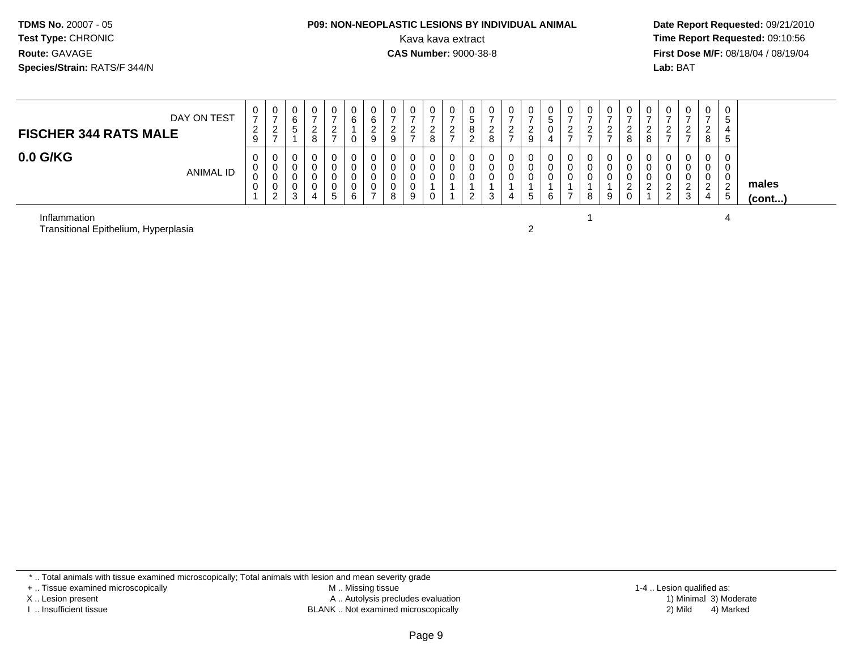# **P09: NON-NEOPLASTIC LESIONS BY INDIVIDUAL ANIMAL**

 **Date Report Requested:** 09/21/2010 Kava kava extract **Time Report Requested:** 09:10:56<br>**CAS Number:** 9000-38-8<br>**Tirst Dose M/F:** 08/18/04 / 08/19/04 **First Dose M/F:** 08/18/04 / 08/19/04 Lab: BAT **Lab:** BAT

| DAY ON TEST<br><b>FISCHER 344 RATS MALE</b> | U<br>-<br>$\sim$<br><u>_</u><br>9 | ◡<br><u>_</u><br>- | 0<br>6<br>ັ           | υ<br>_<br>8 | 0<br>റ<br><u>_</u><br>$\rightarrow$ | U<br>6<br>ັບ | 0<br>6<br>ົ<br><u>.</u><br>9 | -<br>$\Omega$ | ົ<br><u>_</u><br>$\rightarrow$ | 0<br>ົ<br>$\epsilon$<br>8 | U<br>ີ<br><u>_</u> | 0<br>ົວ<br>$\circ$ | ັບ<br><u>_</u> | 0<br>ົ<br>_<br>$\rightarrow$ | <u>_</u><br>$\Omega$ | ັບ<br>ು | v<br><u>_</u> | <u>_</u> | -<br>ົ<br><u>_</u><br>$\rightarrow$ | U<br>$\sim$<br><u>_</u><br>8 | υ<br>റ<br>8 | -        | 0<br>ົ<br><u>_</u><br>$\overline{\phantom{a}}$ | 0<br>ີ<br>$\epsilon$<br>8  | 0<br>- 12<br><sub>5</sub> |                       |
|---------------------------------------------|-----------------------------------|--------------------|-----------------------|-------------|-------------------------------------|--------------|------------------------------|---------------|--------------------------------|---------------------------|--------------------|--------------------|----------------|------------------------------|----------------------|---------|---------------|----------|-------------------------------------|------------------------------|-------------|----------|------------------------------------------------|----------------------------|---------------------------|-----------------------|
| $0.0$ G/KG<br><b>ANIMAL ID</b>              | 0<br>◡<br>◡<br>v                  | ◡                  | v<br>U<br>υ<br>υ<br>3 | U<br>4      | 0<br>0<br>0<br>0<br>b.              | v<br>6       | 0<br>0<br>0<br>0<br>-        | 8             | 9                              | 0<br>υ<br>υ<br>0          | U                  | 0<br>0             |                | 0<br>0<br>0<br>4             | b.                   |         | υ<br>u<br>U   | 8        | 0<br>0<br>9                         | U<br>v<br><u>_</u><br>ັ      | ◡<br>c      | <u>_</u> | ົ<br>3                                         | 0<br>0<br>0<br>ົ<br>∼<br>4 | 0<br>0<br><u>L</u><br>5   | males<br>$($ cont $)$ |

Inflammation

n and the contract of  $\sim$  4 Transitional Epithelium, Hyperplasiaa  $\sim$  2

\* .. Total animals with tissue examined microscopically; Total animals with lesion and mean severity grade

+ .. Tissue examined microscopically

X .. Lesion present

I .. Insufficient tissue

 M .. Missing tissueA .. Autolysis precludes evaluation

 1-4 .. Lesion qualified as: BLANK .. Not examined microscopically 2) Mild 4) Marked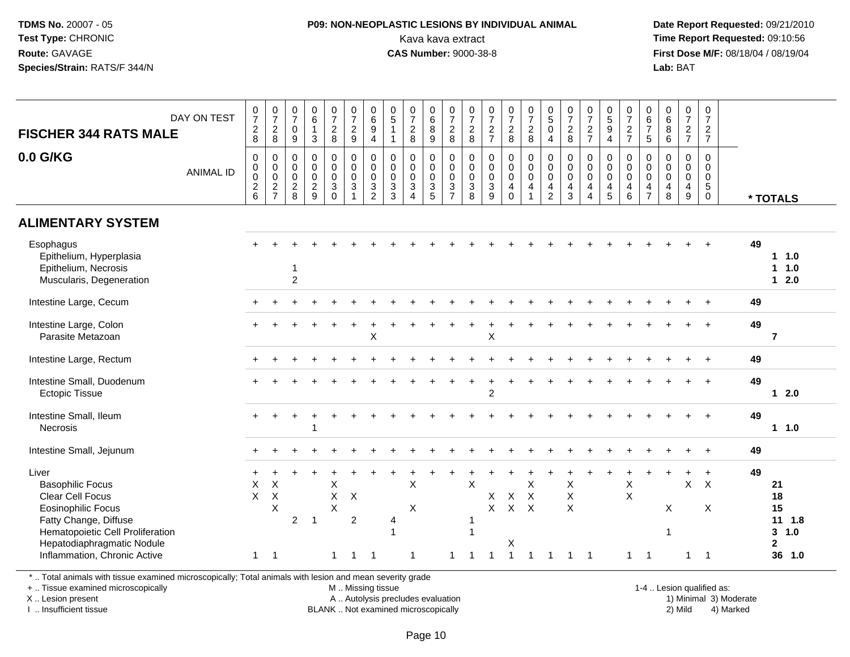#### **P09: NON-NEOPLASTIC LESIONS BY INDIVIDUAL ANIMAL**Kava kava extract **Time Report Requested:** 09:10:56<br>**CAS Number:** 9000-38-8<br>**Tirst Dose M/F:** 08/18/04 / 08/19/04

 **Date Report Requested:** 09/21/2010 **First Dose M/F:** 08/18/04 / 08/19/04 Lab: BAT **Lab:** BAT

| DAY ON TEST<br><b>FISCHER 344 RATS MALE</b>                                                                                                                                                                  | $\frac{0}{7}$<br>$\frac{2}{8}$                                      | $\frac{0}{7}$<br>$\overline{c}$<br>8                                    | $\frac{0}{7}$<br>$\mathbf 0$<br>$\overline{9}$             | $_{6}^{\rm 0}$<br>$\mathbf{1}$<br>$\mathbf{3}$                   | $\begin{array}{c} 0 \\ 7 \end{array}$<br>$_{\rm 8}^2$                                  | $\frac{0}{7}$<br>$\frac{2}{9}$                                                 | $\begin{array}{c} 0 \\ 6 \end{array}$<br>$\boldsymbol{9}$<br>$\overline{4}$ | $\begin{array}{c} 0 \\ 5 \end{array}$<br>$\overline{1}$<br>$\mathbf{1}$ | $\begin{array}{c} 0 \\ 7 \\ 2 \\ 8 \end{array}$                         | $_6^0$<br>$\overline{8}$<br>9                                     | 0728                                                                           | $\frac{0}{7}$<br>$_{\rm 8}^2$                                | $\frac{0}{7}$<br>$\frac{2}{7}$                                          | $\frac{0}{7}$<br>$\frac{2}{8}$                                          | $\frac{0}{7}$<br>$\frac{2}{8}$                          | $\begin{smallmatrix} 0\\5\\0 \end{smallmatrix}$<br>$\overline{4}$                          | $\begin{array}{c} 0 \\ 7 \end{array}$<br>$_{\rm 8}^2$         | $\frac{0}{7}$<br>$\frac{2}{7}$                               | $\begin{array}{c} 0 \\ 5 \\ 9 \end{array}$<br>$\overline{4}$ | $\begin{smallmatrix}0\\7\end{smallmatrix}$<br>$\frac{2}{7}$ | 0<br>$rac{6}{7}$<br>5                                                         | 0<br>$\,6\,$<br>8<br>6                              | $\frac{0}{7}$<br>$\frac{2}{7}$                                 | $\frac{0}{7}$<br>$\overline{c}$<br>$\overline{7}$             |    |                                                                       |
|--------------------------------------------------------------------------------------------------------------------------------------------------------------------------------------------------------------|---------------------------------------------------------------------|-------------------------------------------------------------------------|------------------------------------------------------------|------------------------------------------------------------------|----------------------------------------------------------------------------------------|--------------------------------------------------------------------------------|-----------------------------------------------------------------------------|-------------------------------------------------------------------------|-------------------------------------------------------------------------|-------------------------------------------------------------------|--------------------------------------------------------------------------------|--------------------------------------------------------------|-------------------------------------------------------------------------|-------------------------------------------------------------------------|---------------------------------------------------------|--------------------------------------------------------------------------------------------|---------------------------------------------------------------|--------------------------------------------------------------|--------------------------------------------------------------|-------------------------------------------------------------|-------------------------------------------------------------------------------|-----------------------------------------------------|----------------------------------------------------------------|---------------------------------------------------------------|----|-----------------------------------------------------------------------|
| 0.0 G/KG<br><b>ANIMAL ID</b>                                                                                                                                                                                 | $\mathbf 0$<br>$\,0\,$<br>$\pmb{0}$<br>$\sqrt{2}$<br>$6\phantom{1}$ | $\mathbf 0$<br>$\pmb{0}$<br>$\,0\,$<br>$\overline{c}$<br>$\overline{7}$ | $\mathbf 0$<br>$\pmb{0}$<br>$\mathbf 0$<br>$\sqrt{2}$<br>8 | $\mathbf 0$<br>$\mathbf 0$<br>$\mathbf 0$<br>$\overline{c}$<br>9 | $\pmb{0}$<br>$\mathsf{O}\xspace$<br>$\pmb{0}$<br>$\ensuremath{\mathsf{3}}$<br>$\Omega$ | $_{\rm 0}^{\rm 0}$<br>$\pmb{0}$<br>$\ensuremath{\mathsf{3}}$<br>$\overline{1}$ | $\mathbf 0$<br>$\mathbf 0$<br>$\pmb{0}$<br>$\sqrt{3}$<br>$\overline{2}$     | 0<br>$\mathbf 0$<br>$\mathbf 0$<br>$\ensuremath{\mathsf{3}}$<br>3       | $\mathsf{O}\xspace$<br>$\overline{0}$<br>$\mathbf{3}$<br>$\overline{4}$ | $\mathbf 0$<br>$\overline{0}$<br>$\mathbf 0$<br>$\mathbf{3}$<br>5 | $_{\rm 0}^{\rm 0}$<br>$\pmb{0}$<br>$\ensuremath{\mathsf{3}}$<br>$\overline{7}$ | 0<br>$\overline{0}$<br>$0$<br>$\ensuremath{\mathsf{3}}$<br>8 | $\mathbf 0$<br>$\pmb{0}$<br>$\pmb{0}$<br>$\ensuremath{\mathsf{3}}$<br>9 | $\mathbf 0$<br>$\mathbf 0$<br>$\mathbf 0$<br>$\overline{4}$<br>$\Omega$ | 0<br>$\ddot{\mathbf{0}}$<br>$\pmb{0}$<br>$\overline{4}$ | $\begin{smallmatrix}0\0\0\0\end{smallmatrix}$<br>$\overline{\mathbf{4}}$<br>$\overline{2}$ | 0<br>$\pmb{0}$<br>$\mathbf 0$<br>$\overline{\mathbf{4}}$<br>3 | 0<br>$\pmb{0}$<br>$\mathsf{O}\xspace$<br>4<br>$\overline{A}$ | $\mathbf 0$<br>$\pmb{0}$<br>$\pmb{0}$<br>$\overline{4}$<br>5 | 0<br>$\mathbf 0$<br>$\mathbf 0$<br>4<br>6                   | $\mathbf 0$<br>$\mathbf 0$<br>$\mathbf 0$<br>$\overline{a}$<br>$\overline{7}$ | $\mathbf 0$<br>$\mathbf 0$<br>$\mathbf 0$<br>4<br>8 | $\mathbf 0$<br>$\mathbf 0$<br>$\pmb{0}$<br>$\overline{4}$<br>9 | $\mathbf 0$<br>$\mathbf 0$<br>$\mathbf 0$<br>5<br>$\mathbf 0$ |    | * TOTALS                                                              |
| <b>ALIMENTARY SYSTEM</b>                                                                                                                                                                                     |                                                                     |                                                                         |                                                            |                                                                  |                                                                                        |                                                                                |                                                                             |                                                                         |                                                                         |                                                                   |                                                                                |                                                              |                                                                         |                                                                         |                                                         |                                                                                            |                                                               |                                                              |                                                              |                                                             |                                                                               |                                                     |                                                                |                                                               |    |                                                                       |
| Esophagus<br>Epithelium, Hyperplasia<br>Epithelium, Necrosis<br>Muscularis, Degeneration                                                                                                                     |                                                                     |                                                                         | $\mathbf{1}$<br>$\overline{2}$                             |                                                                  |                                                                                        |                                                                                |                                                                             |                                                                         |                                                                         |                                                                   |                                                                                |                                                              |                                                                         |                                                                         |                                                         |                                                                                            |                                                               |                                                              |                                                              |                                                             |                                                                               |                                                     |                                                                |                                                               | 49 | 11.0<br>$1 1.0$<br>$12.0$                                             |
| Intestine Large, Cecum                                                                                                                                                                                       |                                                                     |                                                                         |                                                            |                                                                  |                                                                                        |                                                                                |                                                                             |                                                                         |                                                                         |                                                                   |                                                                                |                                                              |                                                                         |                                                                         |                                                         |                                                                                            |                                                               |                                                              |                                                              |                                                             |                                                                               |                                                     |                                                                |                                                               | 49 |                                                                       |
| Intestine Large, Colon<br>Parasite Metazoan                                                                                                                                                                  |                                                                     |                                                                         |                                                            |                                                                  |                                                                                        |                                                                                | X                                                                           |                                                                         |                                                                         |                                                                   |                                                                                |                                                              | X                                                                       |                                                                         |                                                         |                                                                                            |                                                               |                                                              |                                                              |                                                             |                                                                               |                                                     |                                                                |                                                               | 49 | $\overline{7}$                                                        |
| Intestine Large, Rectum                                                                                                                                                                                      |                                                                     |                                                                         |                                                            |                                                                  |                                                                                        |                                                                                |                                                                             |                                                                         |                                                                         |                                                                   |                                                                                |                                                              |                                                                         |                                                                         |                                                         |                                                                                            |                                                               |                                                              |                                                              |                                                             |                                                                               |                                                     |                                                                |                                                               | 49 |                                                                       |
| Intestine Small, Duodenum<br><b>Ectopic Tissue</b>                                                                                                                                                           |                                                                     |                                                                         |                                                            |                                                                  |                                                                                        |                                                                                |                                                                             |                                                                         |                                                                         |                                                                   |                                                                                |                                                              | $\overline{c}$                                                          |                                                                         |                                                         |                                                                                            |                                                               |                                                              |                                                              |                                                             |                                                                               |                                                     |                                                                |                                                               | 49 | $12.0$                                                                |
| Intestine Small, Ileum<br>Necrosis                                                                                                                                                                           |                                                                     |                                                                         |                                                            | 1                                                                |                                                                                        |                                                                                |                                                                             |                                                                         |                                                                         |                                                                   |                                                                                |                                                              |                                                                         |                                                                         |                                                         |                                                                                            |                                                               |                                                              |                                                              |                                                             |                                                                               |                                                     |                                                                |                                                               | 49 | $1 1.0$                                                               |
| Intestine Small, Jejunum                                                                                                                                                                                     |                                                                     |                                                                         |                                                            |                                                                  |                                                                                        |                                                                                |                                                                             |                                                                         |                                                                         |                                                                   |                                                                                |                                                              |                                                                         |                                                                         |                                                         |                                                                                            |                                                               |                                                              |                                                              |                                                             |                                                                               |                                                     |                                                                |                                                               | 49 |                                                                       |
| Liver<br><b>Basophilic Focus</b><br>Clear Cell Focus<br><b>Eosinophilic Focus</b><br>Fatty Change, Diffuse<br>Hematopoietic Cell Proliferation<br>Hepatodiaphragmatic Nodule<br>Inflammation, Chronic Active | X<br>$\mathsf{X}$<br>$\mathbf{1}$                                   | Χ<br>$\boldsymbol{\mathsf{X}}$<br>X<br>$\overline{1}$                   | 2                                                          | $\mathbf{1}$                                                     | X<br>X<br>X<br>$\mathbf{1}$                                                            | $\boldsymbol{\mathsf{X}}$<br>$\overline{2}$<br>-1                              | -1                                                                          | 4<br>1                                                                  | X<br>X<br>$\overline{1}$                                                |                                                                   |                                                                                | $\sf X$<br>-1                                                | $\boldsymbol{\mathsf{X}}$<br>X                                          | $\boldsymbol{\mathsf{X}}$<br>$X$ $X$<br>Х<br>1                          | X<br>$\boldsymbol{\mathsf{X}}$                          |                                                                                            | $\mathsf X$<br>$\mathsf X$<br>X                               |                                                              |                                                              | +<br>$\mathsf X$<br>$\times$<br>1                           | -1                                                                            | X<br>$\mathbf{1}$                                   | $\mathsf{x}$<br>-1                                             | $\ddot{}$<br>$\boldsymbol{\mathsf{X}}$<br>X<br>$\overline{1}$ | 49 | 21<br>18<br>15<br>$11 \t1.8$<br>1.0<br>3<br>$\mathbf{2}$<br>36<br>1.0 |

\* .. Total animals with tissue examined microscopically; Total animals with lesion and mean severity grade

+ .. Tissue examined microscopically

X .. Lesion present

I .. Insufficient tissue

 M .. Missing tissueA .. Autolysis precludes evaluation

BLANK .. Not examined microscopically 2) Mild 4) Marked

1-4 .. Lesion qualified as:<br>1) Minimal 3) Moderate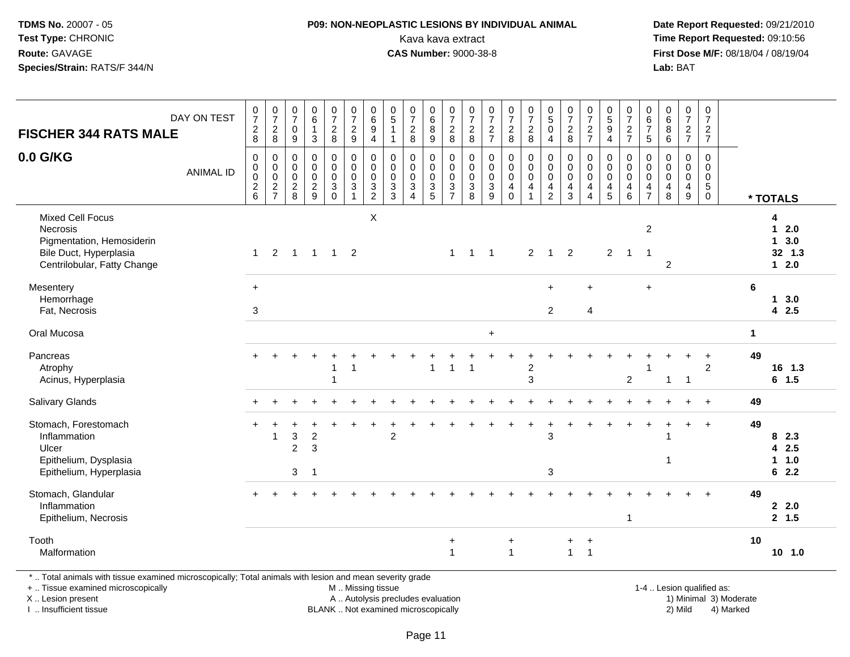#### **P09: NON-NEOPLASTIC LESIONS BY INDIVIDUAL ANIMAL**Kava kava extract **Time Report Requested:** 09:10:56<br>**CAS Number:** 9000-38-8<br>**Tirst Dose M/F:** 08/18/04 / 08/19/04

 **Date Report Requested:** 09/21/2010 **First Dose M/F:** 08/18/04 / 08/19/04 Lab: BAT **Lab:** BAT

| <b>FISCHER 344 RATS MALE</b>                                                                                              | DAY ON TEST      | $\frac{0}{7}$<br>$_{\rm 8}^2$                                        | $\frac{0}{7}$<br>$\boldsymbol{2}$<br>$\,8\,$                                  | $\frac{0}{7}$<br>$\boldsymbol{0}$<br>9         | $\begin{array}{c} 0 \\ 6 \end{array}$<br>$\mathbf{1}$<br>$\sqrt{3}$ | $\begin{array}{c} 0 \\ 7 \end{array}$<br>$\overline{2}$<br>8    | $\frac{0}{7}$<br>$\frac{2}{9}$                                                    | $\begin{array}{c} 0 \\ 6 \end{array}$<br>$\boldsymbol{9}$<br>$\overline{4}$ | $\begin{array}{c} 0 \\ 5 \end{array}$<br>$\mathbf{1}$<br>$\mathbf 1$ | $\frac{0}{7}$<br>$_{8}^{\rm 2}$                                                           | $_{6}^{\rm 0}$<br>$\overline{8}$<br>9     | $\frac{0}{7}$<br>$\frac{2}{8}$                                   | $\frac{0}{7}$<br>$_{\rm 8}^2$                                 | $\frac{0}{7}$<br>$\frac{2}{7}$          | $\begin{array}{c} 0 \\ 7 \end{array}$<br>$\frac{2}{8}$            | $\frac{0}{7}$<br>$\frac{2}{8}$                    | $\begin{smallmatrix}0\5\0\end{smallmatrix}$<br>$\overline{4}$          | $\frac{0}{7}$<br>$\sqrt{2}$<br>$\,8\,$                                         | $\frac{0}{7}$<br>$\frac{2}{7}$                                              | $\begin{array}{c} 0 \\ 5 \\ 9 \end{array}$<br>$\overline{4}$ | $\frac{0}{7}$<br>$\frac{2}{7}$                                       | 0<br>$\,6\,$<br>$\overline{7}$<br>$\sqrt{5}$                                  | $_{6}^{\rm 0}$<br>$\bf 8$<br>6                      | $\begin{array}{c} 0 \\ 7 \end{array}$<br>$\frac{2}{7}$         | $\pmb{0}$<br>$\overline{7}$<br>$\boldsymbol{2}$<br>$\overline{7}$ |                      |                                                                    |  |
|---------------------------------------------------------------------------------------------------------------------------|------------------|----------------------------------------------------------------------|-------------------------------------------------------------------------------|------------------------------------------------|---------------------------------------------------------------------|-----------------------------------------------------------------|-----------------------------------------------------------------------------------|-----------------------------------------------------------------------------|----------------------------------------------------------------------|-------------------------------------------------------------------------------------------|-------------------------------------------|------------------------------------------------------------------|---------------------------------------------------------------|-----------------------------------------|-------------------------------------------------------------------|---------------------------------------------------|------------------------------------------------------------------------|--------------------------------------------------------------------------------|-----------------------------------------------------------------------------|--------------------------------------------------------------|----------------------------------------------------------------------|-------------------------------------------------------------------------------|-----------------------------------------------------|----------------------------------------------------------------|-------------------------------------------------------------------|----------------------|--------------------------------------------------------------------|--|
| 0.0 G/KG                                                                                                                  | <b>ANIMAL ID</b> | 0<br>$\pmb{0}$<br>$\pmb{0}$<br>$\begin{array}{c} 2 \\ 6 \end{array}$ | $\mathbf 0$<br>$\pmb{0}$<br>$\mathbf 0$<br>$\boldsymbol{2}$<br>$\overline{7}$ | $\mathbf 0$<br>$\,0\,$<br>0<br>$\sqrt{2}$<br>8 | $\pmb{0}$<br>$\mathbf 0$<br>0<br>$\sqrt{2}$<br>9                    | $\pmb{0}$<br>$\pmb{0}$<br>$\pmb{0}$<br>$\mathbf{3}$<br>$\Omega$ | $\begin{smallmatrix}0\\0\\0\end{smallmatrix}$<br>$\overline{3}$<br>$\overline{1}$ | $\pmb{0}$<br>$\mathbf 0$<br>$\boldsymbol{0}$<br>$\sqrt{3}$<br>$\sqrt{2}$    | 0<br>$\pmb{0}$<br>$\mathbf 0$<br>$\ensuremath{\mathsf{3}}$<br>3      | $\pmb{0}$<br>$\begin{smallmatrix} 0\\0 \end{smallmatrix}$<br>$\sqrt{3}$<br>$\overline{4}$ | 0<br>$\mathbf 0$<br>$\mathbf 0$<br>3<br>5 | $\begin{matrix} 0 \\ 0 \\ 0 \\ 3 \end{matrix}$<br>$\overline{7}$ | $\mathbf 0$<br>$\begin{matrix} 0 \\ 0 \\ 3 \end{matrix}$<br>8 | 0<br>$\pmb{0}$<br>0<br>$\mathbf 3$<br>9 | $\pmb{0}$<br>$\pmb{0}$<br>$\pmb{0}$<br>$\overline{4}$<br>$\Omega$ | 0<br>$\mathbf 0$<br>$\mathbf 0$<br>$\overline{4}$ | 0<br>$\overline{0}$<br>$\mathbf 0$<br>$\overline{4}$<br>$\overline{2}$ | $\begin{smallmatrix}0\\0\end{smallmatrix}$<br>$\pmb{0}$<br>$\overline{4}$<br>3 | $\mathbf 0$<br>$\pmb{0}$<br>$\mathbf 0$<br>$\overline{4}$<br>$\overline{4}$ | $\mathbf 0$<br>$\mathbf 0$<br>$\mathbf 0$<br>4<br>5          | 0<br>$\mathsf{O}\xspace$<br>$\mathbf 0$<br>$\overline{a}$<br>$\,6\,$ | $\mathbf 0$<br>$\mathbf 0$<br>$\mathbf 0$<br>$\overline{4}$<br>$\overline{7}$ | 0<br>$\pmb{0}$<br>0<br>$\overline{\mathbf{4}}$<br>8 | $\pmb{0}$<br>$\mathbf 0$<br>$\mathbf 0$<br>$\overline{4}$<br>9 | $\pmb{0}$<br>0<br>$\mathbf 0$<br>$\sqrt{5}$<br>$\mathbf 0$        |                      | * TOTALS                                                           |  |
| <b>Mixed Cell Focus</b><br>Necrosis<br>Pigmentation, Hemosiderin<br>Bile Duct, Hyperplasia<br>Centrilobular, Fatty Change |                  | $\mathbf{1}$                                                         | 2                                                                             |                                                | $1 \quad 1 \quad 1 \quad 2$                                         |                                                                 |                                                                                   | X                                                                           |                                                                      |                                                                                           |                                           | $\mathbf{1}$                                                     | $\overline{1}$                                                | $\overline{1}$                          |                                                                   | $\overline{2}$                                    | $\mathbf{1}$                                                           | 2                                                                              |                                                                             | $\overline{2}$                                               | $\overline{1}$                                                       | $\overline{c}$<br>$\overline{1}$                                              | $\overline{2}$                                      |                                                                |                                                                   |                      | 4<br>2.0<br>$\mathbf{1}$<br>3.0<br>$\mathbf 1$<br>32 1.3<br>$12.0$ |  |
| Mesentery<br>Hemorrhage<br>Fat, Necrosis                                                                                  |                  | $+$<br>3                                                             |                                                                               |                                                |                                                                     |                                                                 |                                                                                   |                                                                             |                                                                      |                                                                                           |                                           |                                                                  |                                                               |                                         |                                                                   |                                                   | $+$<br>$\overline{2}$                                                  |                                                                                | $\ddot{}$<br>$\overline{4}$                                                 |                                                              |                                                                      | ÷                                                                             |                                                     |                                                                |                                                                   | 6                    | 13.0<br>42.5                                                       |  |
| Oral Mucosa                                                                                                               |                  |                                                                      |                                                                               |                                                |                                                                     |                                                                 |                                                                                   |                                                                             |                                                                      |                                                                                           |                                           |                                                                  |                                                               | $+$                                     |                                                                   |                                                   |                                                                        |                                                                                |                                                                             |                                                              |                                                                      |                                                                               |                                                     |                                                                |                                                                   | $\blacktriangleleft$ |                                                                    |  |
| Pancreas<br>Atrophy<br>Acinus, Hyperplasia                                                                                |                  |                                                                      |                                                                               |                                                |                                                                     |                                                                 |                                                                                   |                                                                             |                                                                      |                                                                                           | $\mathbf{1}$                              | $\mathbf{1}$                                                     | $\overline{1}$                                                |                                         |                                                                   | $\overline{c}$<br>3                               |                                                                        |                                                                                |                                                                             |                                                              | 2                                                                    |                                                                               | $\mathbf{1}$                                        | $\overline{1}$                                                 | $\overline{2}$                                                    | 49                   | 16 1.3<br>$6$ 1.5                                                  |  |
| Salivary Glands                                                                                                           |                  |                                                                      |                                                                               |                                                |                                                                     |                                                                 |                                                                                   |                                                                             |                                                                      |                                                                                           |                                           |                                                                  |                                                               |                                         |                                                                   |                                                   |                                                                        |                                                                                |                                                                             |                                                              |                                                                      |                                                                               |                                                     |                                                                | $\div$                                                            | 49                   |                                                                    |  |
| Stomach, Forestomach<br>Inflammation<br>Ulcer<br>Epithelium, Dysplasia<br>Epithelium, Hyperplasia                         |                  | $\div$                                                               |                                                                               | 3<br>$\overline{2}$<br>3                       | $\boldsymbol{2}$<br>3<br>$\overline{1}$                             |                                                                 |                                                                                   |                                                                             | $\overline{2}$                                                       |                                                                                           |                                           |                                                                  |                                                               |                                         |                                                                   | ÷.                                                | $\div$<br>3<br>3                                                       |                                                                                |                                                                             |                                                              | $\div$                                                               |                                                                               | $\overline{1}$                                      | $+$                                                            | $+$                                                               | 49                   | 8 2.3<br>42.5<br>11.0<br>62.2                                      |  |
| Stomach, Glandular<br>Inflammation<br>Epithelium, Necrosis                                                                |                  |                                                                      |                                                                               |                                                |                                                                     |                                                                 |                                                                                   |                                                                             |                                                                      |                                                                                           |                                           |                                                                  |                                                               |                                         |                                                                   |                                                   |                                                                        |                                                                                |                                                                             |                                                              | $\mathbf{1}$                                                         |                                                                               |                                                     |                                                                |                                                                   | 49                   | 2.2.0<br>2, 1.5                                                    |  |
| Tooth<br>Malformation                                                                                                     |                  |                                                                      |                                                                               |                                                |                                                                     |                                                                 |                                                                                   |                                                                             |                                                                      |                                                                                           |                                           | $\ddot{}$<br>$\overline{1}$                                      |                                                               |                                         | $\ddot{}$<br>$\mathbf{1}$                                         |                                                   |                                                                        | $\ddot{}$<br>$\mathbf{1}$                                                      | $\ddot{}$<br>$\overline{1}$                                                 |                                                              |                                                                      |                                                                               |                                                     |                                                                |                                                                   | 10                   | 10, 1.0                                                            |  |

\* .. Total animals with tissue examined microscopically; Total animals with lesion and mean severity grade

+ .. Tissue examined microscopically

X .. Lesion present

I .. Insufficient tissue

 M .. Missing tissueA .. Autolysis precludes evaluation

BLANK .. Not examined microscopically 2) Mild 4) Marked

1-4 .. Lesion qualified as:<br>1) Minimal 3) Moderate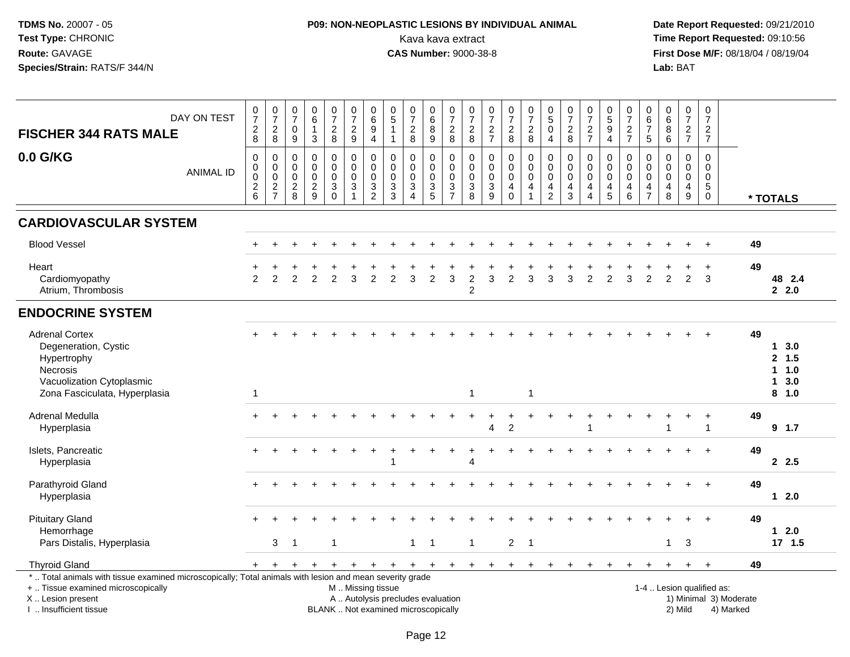## **P09: NON-NEOPLASTIC LESIONS BY INDIVIDUAL ANIMAL**Kava kava extract **Time Report Requested:** 09:10:56<br>**CAS Number:** 9000-38-8 **CAS Number:** 9000-38-8

| <b>FISCHER 344 RATS MALE</b>                                                                                                                                                                  | DAY ON TEST      | $\begin{array}{c} 0 \\ 7 \end{array}$<br>$_{\rm 8}^2$                         | $\begin{array}{c} 0 \\ 7 \end{array}$<br>$_{\rm 8}^2$      | $\begin{array}{c} 0 \\ 7 \end{array}$<br>0  | $\begin{array}{c} 0 \\ 6 \end{array}$<br>$\mathbf{1}$ | $\begin{array}{c} 0 \\ 7 \end{array}$<br>$\frac{2}{8}$                       | $\begin{array}{c} 0 \\ 7 \end{array}$<br>$\frac{2}{9}$                           | $\begin{array}{c} 0 \\ 6 \end{array}$<br>9                              | $\pmb{0}$<br>$\overline{5}$<br>$\mathbf{1}$                                            | $\frac{0}{7}$<br>$\overline{a}$                      | $\begin{smallmatrix}0\0\0\end{smallmatrix}$<br>8 | $\begin{array}{c} 0 \\ 7 \end{array}$<br>$\boldsymbol{2}$        | $\frac{0}{7}$<br>$\frac{2}{8}$                             | $\frac{0}{7}$<br>$\frac{2}{7}$                                            | $\begin{smallmatrix}0\\7\end{smallmatrix}$<br>$\frac{2}{8}$                        | $\frac{0}{7}$<br>$\frac{2}{8}$                                  | $\begin{array}{c} 0 \\ 5 \end{array}$<br>0                                             | $\begin{array}{c} 0 \\ 7 \end{array}$<br>$_{\rm 8}^2$               | $\frac{0}{7}$<br>$\frac{2}{7}$                                                               | $\begin{array}{c} 0 \\ 5 \end{array}$<br>$\boldsymbol{9}$        | 0<br>$\overline{7}$<br>$\frac{2}{7}$                             | $\begin{array}{c} 0 \\ 6 \end{array}$<br>$\overline{7}$                       | $_{6}^{\rm 0}$<br>8                                                    | $\frac{0}{7}$<br>$\frac{2}{7}$                       | $\begin{array}{c} 0 \\ 7 \end{array}$<br>$\frac{2}{7}$               |                                     |                                                                      |
|-----------------------------------------------------------------------------------------------------------------------------------------------------------------------------------------------|------------------|-------------------------------------------------------------------------------|------------------------------------------------------------|---------------------------------------------|-------------------------------------------------------|------------------------------------------------------------------------------|----------------------------------------------------------------------------------|-------------------------------------------------------------------------|----------------------------------------------------------------------------------------|------------------------------------------------------|--------------------------------------------------|------------------------------------------------------------------|------------------------------------------------------------|---------------------------------------------------------------------------|------------------------------------------------------------------------------------|-----------------------------------------------------------------|----------------------------------------------------------------------------------------|---------------------------------------------------------------------|----------------------------------------------------------------------------------------------|------------------------------------------------------------------|------------------------------------------------------------------|-------------------------------------------------------------------------------|------------------------------------------------------------------------|------------------------------------------------------|----------------------------------------------------------------------|-------------------------------------|----------------------------------------------------------------------|
|                                                                                                                                                                                               |                  |                                                                               |                                                            | $\boldsymbol{9}$                            | $\mathbf{3}$                                          |                                                                              |                                                                                  | $\overline{4}$                                                          | $\mathbf{1}$                                                                           | $\overline{8}$                                       | $\overline{9}$                                   | $\overline{8}$                                                   |                                                            |                                                                           |                                                                                    |                                                                 | $\overline{4}$                                                                         |                                                                     |                                                                                              | $\overline{4}$                                                   |                                                                  | $\overline{5}$                                                                | $\overline{6}$                                                         |                                                      |                                                                      |                                     |                                                                      |
| 0.0 G/KG                                                                                                                                                                                      | <b>ANIMAL ID</b> | $\mathbf 0$<br>$\mathbf 0$<br>$\mathbf 0$<br>$\overline{c}$<br>$6\phantom{1}$ | $\mathbf 0$<br>$\mathbf 0$<br>$\mathbf 0$<br>$\frac{2}{7}$ | 0<br>$\mathbf 0$<br>$\mathsf 0$<br>$_{8}^2$ | 0<br>$\pmb{0}$<br>$\pmb{0}$<br>$\frac{2}{9}$          | $\mathbf 0$<br>$\mathbf 0$<br>$\mathsf{O}\xspace$<br>$\mathsf 3$<br>$\Omega$ | $\mathbf 0$<br>$\mathbf 0$<br>$\boldsymbol{0}$<br>$\mathbf{3}$<br>$\overline{1}$ | $\mathbf 0$<br>$\mathbf 0$<br>$\pmb{0}$<br>$\sqrt{3}$<br>$\overline{2}$ | $\mathbf 0$<br>$\mathbf 0$<br>$\pmb{0}$<br>$\ensuremath{\mathsf{3}}$<br>$\overline{3}$ | 0<br>$\mathbf 0$<br>$\pmb{0}$<br>3<br>$\overline{4}$ | 0<br>$\mathbf 0$<br>$\mathbf 0$<br>$\frac{3}{5}$ | $\mathbf 0$<br>$\ddot{\mathbf{0}}$<br>$\pmb{0}$<br>$\frac{3}{7}$ | $\mathbf 0$<br>$\mathbf 0$<br>$\mathbf 0$<br>$\frac{3}{8}$ | $\mathbf 0$<br>$\mathbf 0$<br>$\pmb{0}$<br>$\ensuremath{\mathsf{3}}$<br>9 | $\mathbf 0$<br>$\mathbf 0$<br>$\mathsf{O}\xspace$<br>$\overline{4}$<br>$\mathbf 0$ | 0<br>$\mathbf 0$<br>$\pmb{0}$<br>$\overline{4}$<br>$\mathbf{1}$ | $\mathbf 0$<br>$\mathbf 0$<br>$\mathbf 0$<br>$\overline{\mathbf{4}}$<br>$\overline{2}$ | $\mathbf 0$<br>0<br>$\mathbf 0$<br>$\overline{4}$<br>$\overline{3}$ | $\mathbf 0$<br>$\mathbf 0$<br>$\pmb{0}$<br>$\overline{\mathbf{4}}$<br>$\boldsymbol{\Lambda}$ | $\mathbf 0$<br>$\mathbf 0$<br>$\mathbf 0$<br>$\overline{4}$<br>5 | $\mathbf 0$<br>$\mathbf 0$<br>$\mathbf 0$<br>$\overline{4}$<br>6 | $\mathbf 0$<br>$\mathbf 0$<br>$\mathbf 0$<br>$\overline{4}$<br>$\overline{7}$ | $\mathsf{O}\xspace$<br>$\mathbf 0$<br>$\pmb{0}$<br>$\overline{4}$<br>8 | $\mathbf 0$<br>$\mathbf 0$<br>$\mathsf{O}$<br>4<br>9 | $\mathbf 0$<br>0<br>$\mathsf{O}\xspace$<br>$\sqrt{5}$<br>$\mathbf 0$ |                                     | * TOTALS                                                             |
| <b>CARDIOVASCULAR SYSTEM</b>                                                                                                                                                                  |                  |                                                                               |                                                            |                                             |                                                       |                                                                              |                                                                                  |                                                                         |                                                                                        |                                                      |                                                  |                                                                  |                                                            |                                                                           |                                                                                    |                                                                 |                                                                                        |                                                                     |                                                                                              |                                                                  |                                                                  |                                                                               |                                                                        |                                                      |                                                                      |                                     |                                                                      |
| <b>Blood Vessel</b>                                                                                                                                                                           |                  |                                                                               |                                                            |                                             |                                                       |                                                                              |                                                                                  |                                                                         |                                                                                        |                                                      |                                                  |                                                                  |                                                            |                                                                           |                                                                                    |                                                                 |                                                                                        |                                                                     |                                                                                              |                                                                  |                                                                  |                                                                               |                                                                        |                                                      |                                                                      | 49                                  |                                                                      |
| Heart<br>Cardiomyopathy<br>Atrium, Thrombosis                                                                                                                                                 |                  | 2                                                                             | 2                                                          | 2                                           | $\overline{2}$                                        | $\overline{2}$                                                               | 3                                                                                | $\overline{2}$                                                          | $\overline{2}$                                                                         | 3                                                    | $\overline{2}$                                   | 3                                                                | $\overline{c}$<br>$\overline{c}$                           | 3                                                                         | $\overline{2}$                                                                     | 3                                                               | 3                                                                                      | 3                                                                   | $\overline{2}$                                                                               | $\overline{2}$                                                   | 3                                                                | $\overline{2}$                                                                | 2                                                                      | $\overline{2}$                                       | $\ddot{}$<br>3                                                       | 49                                  | 48 2.4<br>2.0                                                        |
| <b>ENDOCRINE SYSTEM</b>                                                                                                                                                                       |                  |                                                                               |                                                            |                                             |                                                       |                                                                              |                                                                                  |                                                                         |                                                                                        |                                                      |                                                  |                                                                  |                                                            |                                                                           |                                                                                    |                                                                 |                                                                                        |                                                                     |                                                                                              |                                                                  |                                                                  |                                                                               |                                                                        |                                                      |                                                                      |                                     |                                                                      |
| <b>Adrenal Cortex</b><br>Degeneration, Cystic<br>Hypertrophy<br><b>Necrosis</b><br>Vacuolization Cytoplasmic<br>Zona Fasciculata, Hyperplasia                                                 |                  | $\overline{1}$                                                                |                                                            |                                             |                                                       |                                                                              |                                                                                  |                                                                         |                                                                                        |                                                      |                                                  |                                                                  | $\mathbf{1}$                                               |                                                                           |                                                                                    | $\mathbf{1}$                                                    |                                                                                        |                                                                     |                                                                                              |                                                                  |                                                                  |                                                                               |                                                                        |                                                      |                                                                      | 49                                  | 3.0<br>$\mathbf 1$<br>2, 1.5<br>1.0<br>3.0<br>$\mathbf{1}$<br>8, 1.0 |
| Adrenal Medulla<br>Hyperplasia                                                                                                                                                                |                  |                                                                               |                                                            |                                             |                                                       |                                                                              |                                                                                  |                                                                         |                                                                                        |                                                      |                                                  |                                                                  |                                                            | 4                                                                         | $\overline{c}$                                                                     |                                                                 |                                                                                        |                                                                     |                                                                                              |                                                                  |                                                                  |                                                                               |                                                                        |                                                      |                                                                      | 49                                  | $9$ 1.7                                                              |
| Islets, Pancreatic<br>Hyperplasia                                                                                                                                                             |                  |                                                                               |                                                            |                                             |                                                       |                                                                              |                                                                                  |                                                                         |                                                                                        |                                                      |                                                  |                                                                  | Δ                                                          |                                                                           |                                                                                    |                                                                 |                                                                                        |                                                                     |                                                                                              |                                                                  |                                                                  |                                                                               |                                                                        |                                                      | $\div$                                                               | 49                                  | 2.5                                                                  |
| Parathyroid Gland<br>Hyperplasia                                                                                                                                                              |                  |                                                                               |                                                            |                                             |                                                       |                                                                              |                                                                                  |                                                                         |                                                                                        |                                                      |                                                  |                                                                  |                                                            |                                                                           |                                                                                    |                                                                 |                                                                                        |                                                                     |                                                                                              |                                                                  |                                                                  |                                                                               |                                                                        |                                                      |                                                                      | 49                                  | $12.0$                                                               |
| <b>Pituitary Gland</b><br>Hemorrhage<br>Pars Distalis, Hyperplasia                                                                                                                            |                  |                                                                               | 3                                                          | $\mathbf 1$                                 |                                                       | -1                                                                           |                                                                                  |                                                                         |                                                                                        | $\mathbf{1}$                                         | $\mathbf 1$                                      |                                                                  | $\overline{1}$                                             |                                                                           | $\overline{a}$                                                                     | $\overline{1}$                                                  |                                                                                        |                                                                     |                                                                                              |                                                                  |                                                                  |                                                                               | $\mathbf{1}$                                                           | 3                                                    |                                                                      | 49                                  | $12.0$<br>17, 1.5                                                    |
| <b>Thyroid Gland</b>                                                                                                                                                                          |                  | $+$                                                                           | $+$                                                        | $+$                                         | $+$                                                   | $+$                                                                          | $+$                                                                              |                                                                         | $+$ $+$ $+$                                                                            |                                                      | $+$                                              | $+$                                                              |                                                            | $+$ $+$                                                                   | $+$                                                                                | $+$                                                             | $+$                                                                                    | $+$                                                                 | $\ddot{}$                                                                                    | $^{+}$                                                           | $\ddot{}$                                                        | $\ddot{}$                                                                     | $\ddot{}$                                                              | $^{+}$                                               | $+$                                                                  | 49                                  |                                                                      |
| *  Total animals with tissue examined microscopically; Total animals with lesion and mean severity grade<br>+  Tissue examined microscopically<br>X  Lesion present<br>I  Insufficient tissue |                  |                                                                               |                                                            |                                             |                                                       |                                                                              | M  Missing tissue                                                                |                                                                         | A  Autolysis precludes evaluation<br>BLANK  Not examined microscopically               |                                                      |                                                  |                                                                  |                                                            |                                                                           |                                                                                    |                                                                 |                                                                                        |                                                                     |                                                                                              |                                                                  |                                                                  |                                                                               |                                                                        | 1-4  Lesion qualified as:<br>2) Mild                 |                                                                      | 1) Minimal 3) Moderate<br>4) Marked |                                                                      |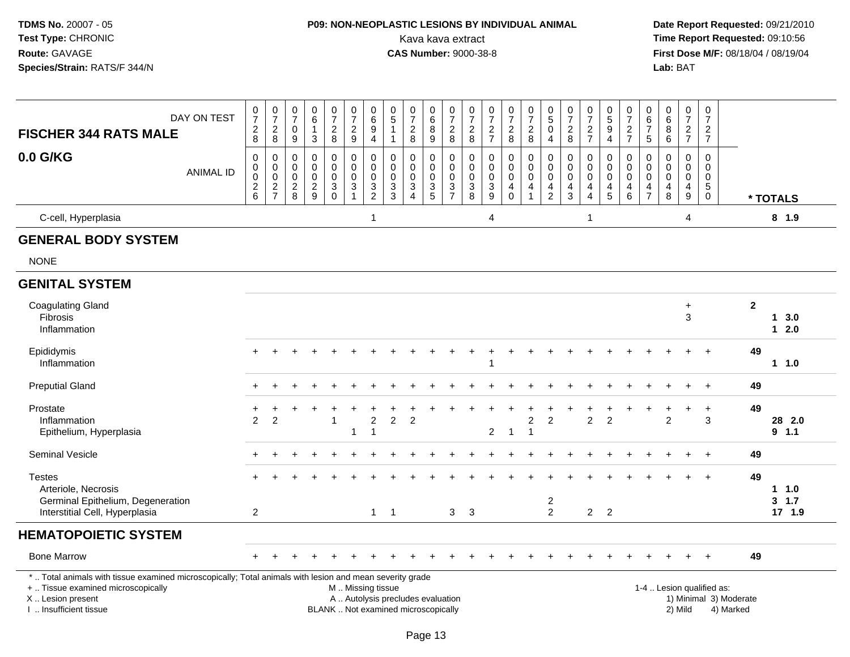# **P09: NON-NEOPLASTIC LESIONS BY INDIVIDUAL ANIMAL**

 **Date Report Requested:** 09/21/2010 Kava kava extract **Time Report Requested:** 09:10:56<br>**CAS Number:** 9000-38-8<br>**Tirst Dose M/F:** 08/18/04 / 08/19/04 **First Dose M/F:** 08/18/04 / 08/19/04 Lab: BAT **Lab:** BAT

| <b>FISCHER 344 RATS MALE</b>                                | DAY ON TEST      | $\frac{0}{7}$<br>$\overline{c}$<br>8 | $\frac{0}{7}$<br>$\overline{\mathbf{c}}$<br>8 | $\frac{0}{7}$<br>$\mathbf 0$<br>9                           | 6<br>3                       | $\frac{0}{7}$<br>$\frac{2}{8}$                            | $\frac{0}{7}$<br>$\frac{2}{9}$ | $\begin{matrix} 0 \\ 6 \\ 9 \end{matrix}$<br>4                   | 5           | $\overline{ }$<br>$\boldsymbol{2}$<br>8 | 0<br>6<br>8<br>9 | $\frac{0}{7}$<br>$_{\rm 2}^2$              | $\rightarrow$<br>$\boldsymbol{2}$<br>8 | $\frac{0}{7}$<br>$\frac{2}{7}$                           | $\overline{ }$<br>$\frac{2}{8}$ | $\frac{0}{7}$<br>$\frac{2}{8}$                 | 5<br>4              | $\begin{array}{c} 2 \\ 8 \end{array}$ | $\begin{array}{c} 0 \\ 5 \end{array}$<br>9<br>4 | $\overline{ }$<br>$\overline{c}$<br>- | 0<br>$\,6\,$<br>5 | 6<br>8<br>6 | 0<br>$\overline{7}$<br>$\overline{2}$<br>$\overline{7}$ | 0<br>$\overline{ }$<br>$\overline{\mathbf{c}}$<br>$\overline{ }$ |                |              |  |
|-------------------------------------------------------------|------------------|--------------------------------------|-----------------------------------------------|-------------------------------------------------------------|------------------------------|-----------------------------------------------------------|--------------------------------|------------------------------------------------------------------|-------------|-----------------------------------------|------------------|--------------------------------------------|----------------------------------------|----------------------------------------------------------|---------------------------------|------------------------------------------------|---------------------|---------------------------------------|-------------------------------------------------|---------------------------------------|-------------------|-------------|---------------------------------------------------------|------------------------------------------------------------------|----------------|--------------|--|
| 0.0 G/KG                                                    | <b>ANIMAL ID</b> | 2<br>6                               | 0<br>$\frac{2}{7}$                            | $\boldsymbol{0}$<br>0<br>$\mathbf 0$<br>$\overline{c}$<br>8 | $\overline{\mathbf{c}}$<br>9 | 0<br>$\pmb{0}$<br>$\pmb{0}$<br>$\mathsf 3$<br>$\mathbf 0$ | 0<br>0<br>0<br>3               | $_{\rm 0}^{\rm 0}$<br>$\pmb{0}$<br>$\mathbf 3$<br>$\overline{c}$ | 0<br>3<br>3 |                                         | 0<br>3<br>5      | 0<br>0<br>$\pmb{0}$<br>3<br>$\overline{ }$ | 0<br>3<br>8                            | $\pmb{0}$<br>$\pmb{0}$<br>$\ensuremath{\mathsf{3}}$<br>9 | 4                               | 0<br>0<br>$\pmb{0}$<br>$\overline{\mathbf{4}}$ | 0<br>$\overline{2}$ |                                       | 0<br>$\overline{5}$                             | 0<br>6                                | 0<br>0            | 8           | $\pmb{0}$<br>$\pmb{0}$<br>4<br>9                        | 0<br>0<br>0<br>5<br>0                                            |                | * TOTALS     |  |
| C-cell, Hyperplasia                                         |                  |                                      |                                               |                                                             |                              |                                                           |                                |                                                                  |             |                                         |                  |                                            |                                        | 4                                                        |                                 |                                                |                     |                                       |                                                 |                                       |                   |             | 4                                                       |                                                                  |                | $8$ 1.9      |  |
| <b>GENERAL BODY SYSTEM</b>                                  |                  |                                      |                                               |                                                             |                              |                                                           |                                |                                                                  |             |                                         |                  |                                            |                                        |                                                          |                                 |                                                |                     |                                       |                                                 |                                       |                   |             |                                                         |                                                                  |                |              |  |
| <b>NONE</b>                                                 |                  |                                      |                                               |                                                             |                              |                                                           |                                |                                                                  |             |                                         |                  |                                            |                                        |                                                          |                                 |                                                |                     |                                       |                                                 |                                       |                   |             |                                                         |                                                                  |                |              |  |
| <b>GENITAL SYSTEM</b>                                       |                  |                                      |                                               |                                                             |                              |                                                           |                                |                                                                  |             |                                         |                  |                                            |                                        |                                                          |                                 |                                                |                     |                                       |                                                 |                                       |                   |             |                                                         |                                                                  |                |              |  |
| <b>Coagulating Gland</b><br><b>Fibrosis</b><br>Inflammation |                  |                                      |                                               |                                                             |                              |                                                           |                                |                                                                  |             |                                         |                  |                                            |                                        |                                                          |                                 |                                                |                     |                                       |                                                 |                                       |                   |             | $\ddot{}$<br>3                                          |                                                                  | $\overline{2}$ | 3.0<br>1 2 N |  |

#### Inflammation **1 2.0** Epididymis <sup>+</sup> <sup>+</sup> <sup>+</sup> <sup>+</sup> <sup>+</sup> <sup>+</sup> <sup>+</sup> <sup>+</sup> <sup>+</sup> <sup>+</sup> <sup>+</sup> <sup>+</sup> <sup>+</sup> <sup>+</sup> <sup>+</sup> <sup>+</sup> <sup>+</sup> <sup>+</sup> <sup>+</sup> <sup>+</sup> <sup>+</sup> <sup>+</sup> <sup>+</sup> <sup>+</sup> **<sup>49</sup>** Inflammation <sup>1</sup> **1 1.0** Preputial Gland $\alpha$  <sup>+</sup> <sup>+</sup> <sup>+</sup> <sup>+</sup> <sup>+</sup> <sup>+</sup> <sup>+</sup> <sup>+</sup> <sup>+</sup> <sup>+</sup> <sup>+</sup> <sup>+</sup> <sup>+</sup> <sup>+</sup> <sup>+</sup> <sup>+</sup> <sup>+</sup> <sup>+</sup> <sup>+</sup> <sup>+</sup> <sup>+</sup> <sup>+</sup> <sup>+</sup> **<sup>49</sup>** Prostatee + <sup>+</sup> <sup>+</sup> <sup>+</sup> <sup>+</sup> <sup>+</sup> <sup>+</sup> <sup>+</sup> <sup>+</sup> <sup>+</sup> <sup>+</sup> <sup>+</sup> <sup>+</sup> <sup>+</sup> <sup>+</sup> <sup>+</sup> <sup>+</sup> <sup>+</sup> <sup>+</sup> <sup>+</sup> <sup>+</sup> <sup>+</sup> <sup>+</sup> <sup>+</sup> **<sup>49</sup>** Inflammationn 2 2 2 1 2 2 2 2 2 2 2 2 2 3 **28 2.0** Epithelium, Hyperplasiaa 1 1 2 1 1 **9 1.1** Seminal Vesicle $e$  + <sup>+</sup> <sup>+</sup> <sup>+</sup> <sup>+</sup> <sup>+</sup> <sup>+</sup> <sup>+</sup> <sup>+</sup> <sup>+</sup> <sup>+</sup> <sup>+</sup> <sup>+</sup> <sup>+</sup> <sup>+</sup> <sup>+</sup> <sup>+</sup> <sup>+</sup> <sup>+</sup> <sup>+</sup> <sup>+</sup> <sup>+</sup> <sup>+</sup> <sup>+</sup> **<sup>49</sup>** Testes <sup>+</sup> <sup>+</sup> <sup>+</sup> <sup>+</sup> <sup>+</sup> <sup>+</sup> <sup>+</sup> <sup>+</sup> <sup>+</sup> <sup>+</sup> <sup>+</sup> <sup>+</sup> <sup>+</sup> <sup>+</sup> <sup>+</sup> <sup>+</sup> <sup>+</sup> <sup>+</sup> <sup>+</sup> <sup>+</sup> <sup>+</sup> <sup>+</sup> <sup>+</sup> <sup>+</sup> **<sup>49</sup>** Arteriole, Necrosis **1 1.0**Germinal Epithelium, Degeneration<sup>2</sup> **3 1.7**

#### **HEMATOPOIETIC SYSTEM**

Interstitial Cell, Hyperplasia

| Bone Marrow                                                                                             |  |  |                   |  |  |  |  |  |  |  |  |  |                           | 49 |  |
|---------------------------------------------------------------------------------------------------------|--|--|-------------------|--|--|--|--|--|--|--|--|--|---------------------------|----|--|
| * Total animals with tissue examined microscopically; Total animals with lesion and mean severity grade |  |  |                   |  |  |  |  |  |  |  |  |  |                           |    |  |
| +  Tissue examined microscopically                                                                      |  |  | M  Missing tissue |  |  |  |  |  |  |  |  |  | 1-4  Lesion qualified as: |    |  |

<sup>2</sup> <sup>1</sup> <sup>1</sup> <sup>3</sup> <sup>3</sup> <sup>2</sup> <sup>2</sup> <sup>2</sup> **17 1.9**

X .. Lesion present

I .. Insufficient tissue

 M .. Missing tissueA .. Autolysis precludes evaluation

BLANK .. Not examined microscopically 2) Mild 4) Marked

1-4 .. Lesion qualified as:<br>1) Minimal 3) Moderate

 $3 \t1.7$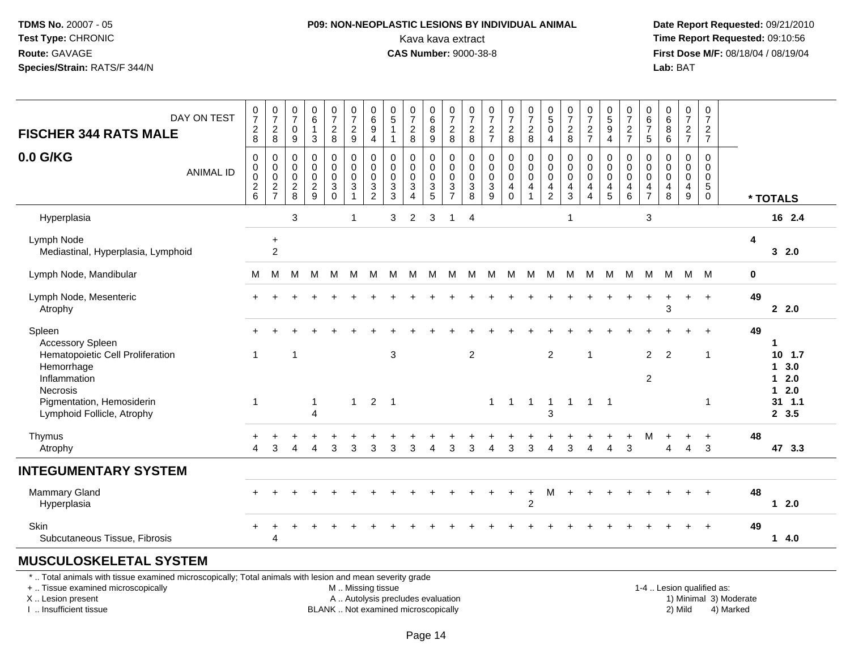## **P09: NON-NEOPLASTIC LESIONS BY INDIVIDUAL ANIMAL**Kava kava extract **Time Report Requested:** 09:10:56<br>**CAS Number:** 9000-38-8<br>**Tirst Dose M/F:** 08/18/04 / 08/19/04

 **Date Report Requested:** 09/21/2010 **First Dose M/F:** 08/18/04 / 08/19/04 Lab: BAT **Lab:** BAT

| DAY ON TEST<br><b>FISCHER 344 RATS MALE</b>                                                                                                                                | $\frac{0}{7}$<br>$_{\rm 8}^2$          | $\frac{0}{7}$<br>$\overline{2}$<br>$\,8\,$                  | 0<br>$\overline{7}$<br>$\mathbf 0$<br>9         | $\begin{matrix} 0 \\ 6 \end{matrix}$<br>$\mathbf{1}$<br>$\mathbf{3}$ | $\frac{0}{7}$<br>$_{\rm 8}^2$                                             | $\frac{0}{7}$<br>$\overline{2}$<br>$\mathsf g$ | $\begin{array}{c} 0 \\ 6 \end{array}$<br>$\boldsymbol{9}$<br>$\overline{4}$ | $\begin{array}{c} 0 \\ 5 \end{array}$<br>$\mathbf{1}$<br>$\mathbf{1}$   | $\frac{0}{7}$<br>$\overline{2}$<br>8                                           | $\begin{matrix} 0 \\ 6 \end{matrix}$<br>$\overline{8}$<br>$\overline{9}$ | $\frac{0}{7}$<br>$\boldsymbol{2}$<br>8                                    | $\frac{0}{7}$<br>$\boldsymbol{2}$<br>8                        | $\frac{0}{7}$<br>$\frac{2}{7}$       | $\frac{0}{7}$<br>$\frac{2}{8}$                                             | $\frac{0}{7}$<br>$\overline{c}$<br>8         | $\begin{array}{c} 0 \\ 5 \end{array}$<br>$\overline{0}$<br>$\overline{4}$              | $\frac{0}{7}$<br>$\overline{c}$<br>$\,8\,$                  | 0<br>$\overline{7}$<br>$\frac{2}{7}$ | $\begin{array}{c} 0 \\ 5 \\ 9 \end{array}$<br>$\overline{4}$                       | 0<br>$\overline{7}$<br>$\boldsymbol{2}$<br>$\overline{7}$ | 0<br>$\,6\,$<br>$\overline{7}$<br>$\sqrt{5}$                               | 0<br>$6\phantom{1}$<br>$\bf 8$<br>$6\phantom{1}$ | $\frac{0}{7}$<br>$\overline{c}$<br>$\overline{7}$   | 0<br>$\overline{7}$<br>$\boldsymbol{2}$<br>$\overline{7}$    |             |                                                                                             |
|----------------------------------------------------------------------------------------------------------------------------------------------------------------------------|----------------------------------------|-------------------------------------------------------------|-------------------------------------------------|----------------------------------------------------------------------|---------------------------------------------------------------------------|------------------------------------------------|-----------------------------------------------------------------------------|-------------------------------------------------------------------------|--------------------------------------------------------------------------------|--------------------------------------------------------------------------|---------------------------------------------------------------------------|---------------------------------------------------------------|--------------------------------------|----------------------------------------------------------------------------|----------------------------------------------|----------------------------------------------------------------------------------------|-------------------------------------------------------------|--------------------------------------|------------------------------------------------------------------------------------|-----------------------------------------------------------|----------------------------------------------------------------------------|--------------------------------------------------|-----------------------------------------------------|--------------------------------------------------------------|-------------|---------------------------------------------------------------------------------------------|
| 0.0 G/KG<br><b>ANIMAL ID</b>                                                                                                                                               | 0<br>0<br>$\mathbf 0$<br>$\frac{2}{6}$ | $\mathbf 0$<br>$\pmb{0}$<br>$\overline{0}$<br>$\frac{2}{7}$ | $\mathbf 0$<br>0<br>$\mathbf 0$<br>$_{\rm 8}^2$ | 0<br>$\mathbf 0$<br>$\mathbf 0$<br>$\frac{2}{9}$                     | $\pmb{0}$<br>$\pmb{0}$<br>$\mathsf 0$<br>$\overline{3}$<br>$\overline{0}$ | 0<br>$\mathbf 0$<br>$\mathbf 0$<br>$\mathsf 3$ | $\mathbf 0$<br>$\pmb{0}$<br>$\pmb{0}$<br>$\mathbf{3}$<br>$\overline{2}$     | $\mathbf 0$<br>$\mathbf 0$<br>$\mathbf 0$<br>$\mathbf{3}$<br>$\sqrt{3}$ | $\pmb{0}$<br>$\pmb{0}$<br>$\mathbf 0$<br>$\sqrt{3}$<br>$\overline{\mathbf{4}}$ | 0<br>$\mathbf 0$<br>$\mathbf 0$<br>3<br>$\overline{5}$                   | 0<br>$\mathsf{O}\xspace$<br>$\mathbf 0$<br>$\mathbf{3}$<br>$\overline{7}$ | $\mathbf 0$<br>0<br>$\pmb{0}$<br>$\sqrt{3}$<br>$\overline{8}$ | 0<br>0<br>$\pmb{0}$<br>$\frac{3}{9}$ | $\mathbf 0$<br>$\mathbf 0$<br>$\mathbf 0$<br>$\overline{4}$<br>$\mathbf 0$ | 0<br>$\mathsf{O}\xspace$<br>$\mathbf 0$<br>4 | 0<br>$\mathbf 0$<br>$\ddot{\mathbf{0}}$<br>$\overline{\mathbf{4}}$<br>$\boldsymbol{2}$ | 0<br>$\pmb{0}$<br>$\pmb{0}$<br>$\overline{\mathbf{4}}$<br>3 | 0<br>0<br>$\mathbf 0$<br>4<br>4      | $\mathbf 0$<br>$\mathbf 0$<br>$\boldsymbol{0}$<br>$\overline{4}$<br>$\overline{5}$ | 0<br>0<br>0<br>4<br>6                                     | $\Omega$<br>$\mathbf 0$<br>$\mathbf 0$<br>$\overline{a}$<br>$\overline{7}$ | $\Omega$<br>0<br>$\mathbf 0$<br>4<br>8           | $\mathbf 0$<br>$\mathbf 0$<br>$\mathbf 0$<br>4<br>9 | $\mathbf 0$<br>$\mathbf 0$<br>$\mathbf 0$<br>$\sqrt{5}$<br>0 |             | * TOTALS                                                                                    |
| Hyperplasia                                                                                                                                                                |                                        |                                                             | 3                                               |                                                                      |                                                                           | $\mathbf 1$                                    |                                                                             | 3                                                                       | 2                                                                              | 3                                                                        | -1                                                                        | $\overline{4}$                                                |                                      |                                                                            |                                              |                                                                                        | $\mathbf{1}$                                                |                                      |                                                                                    |                                                           | 3                                                                          |                                                  |                                                     |                                                              |             | 16 2.4                                                                                      |
| Lymph Node<br>Mediastinal, Hyperplasia, Lymphoid                                                                                                                           |                                        | $\ddot{}$<br>$\overline{c}$                                 |                                                 |                                                                      |                                                                           |                                                |                                                                             |                                                                         |                                                                                |                                                                          |                                                                           |                                                               |                                      |                                                                            |                                              |                                                                                        |                                                             |                                      |                                                                                    |                                                           |                                                                            |                                                  |                                                     |                                                              | 4           | 32.0                                                                                        |
| Lymph Node, Mandibular                                                                                                                                                     | м                                      | М                                                           | M                                               | м                                                                    | M                                                                         | M                                              | M                                                                           | M                                                                       | M                                                                              | M                                                                        | M                                                                         | M                                                             | M                                    |                                                                            | M M                                          | M                                                                                      | M                                                           | M                                    | M                                                                                  | M                                                         | M                                                                          | M                                                |                                                     | M M                                                          | $\mathbf 0$ |                                                                                             |
| Lymph Node, Mesenteric<br>Atrophy                                                                                                                                          |                                        |                                                             |                                                 |                                                                      |                                                                           |                                                |                                                                             |                                                                         |                                                                                |                                                                          |                                                                           |                                                               |                                      |                                                                            |                                              |                                                                                        |                                                             |                                      |                                                                                    |                                                           |                                                                            | 3                                                | $+$                                                 | $+$                                                          | 49          | 2.0                                                                                         |
| Spleen<br><b>Accessory Spleen</b><br>Hematopoietic Cell Proliferation<br>Hemorrhage<br>Inflammation<br>Necrosis<br>Pigmentation, Hemosiderin<br>Lymphoid Follicle, Atrophy | $\overline{1}$<br>-1                   |                                                             | $\mathbf{1}$                                    | $\mathbf{1}$<br>$\Delta$                                             |                                                                           | $\mathbf{1}$                                   | $\overline{2}$                                                              | 3<br>$\overline{1}$                                                     |                                                                                |                                                                          |                                                                           | $\overline{2}$                                                | $\mathbf{1}$                         | $\overline{1}$                                                             | $\mathbf{1}$                                 | $\overline{2}$<br>$\mathbf{1}$<br>3                                                    | $\mathbf{1}$                                                | -1<br>$1 \quad 1$                    |                                                                                    |                                                           | $\overline{2}$<br>2                                                        | $\overline{2}$                                   |                                                     | $\ddot{}$<br>$\mathbf{1}$<br>-1                              | 49          | 1<br>$10$ 1.7<br>3.0<br>$\mathbf{1}$<br>$12.0$<br>2.0<br>$\mathbf{1}$<br>$31$ 1.1<br>2, 3.5 |
| Thymus<br>Atrophy                                                                                                                                                          | 4                                      | 3                                                           |                                                 |                                                                      | 3                                                                         | 3                                              | 3                                                                           | 3                                                                       | 3                                                                              | $\boldsymbol{\Lambda}$                                                   | 3                                                                         | 3                                                             | Δ                                    | 3                                                                          | 3                                            | 4                                                                                      | 3                                                           |                                      | 4                                                                                  | 3                                                         | M                                                                          |                                                  | 4                                                   | $\ddot{}$<br>3                                               | 48          | 47 3.3                                                                                      |
| <b>INTEGUMENTARY SYSTEM</b>                                                                                                                                                |                                        |                                                             |                                                 |                                                                      |                                                                           |                                                |                                                                             |                                                                         |                                                                                |                                                                          |                                                                           |                                                               |                                      |                                                                            |                                              |                                                                                        |                                                             |                                      |                                                                                    |                                                           |                                                                            |                                                  |                                                     |                                                              |             |                                                                                             |
| Mammary Gland<br>Hyperplasia                                                                                                                                               |                                        |                                                             |                                                 |                                                                      |                                                                           |                                                |                                                                             |                                                                         |                                                                                |                                                                          |                                                                           |                                                               |                                      |                                                                            | $\ddot{}$<br>$\overline{2}$                  | M                                                                                      |                                                             |                                      |                                                                                    |                                                           |                                                                            |                                                  |                                                     |                                                              | 48          | $12.0$                                                                                      |
| Skin<br>Subcutaneous Tissue, Fibrosis                                                                                                                                      |                                        | 4                                                           |                                                 |                                                                      |                                                                           |                                                |                                                                             |                                                                         |                                                                                |                                                                          |                                                                           |                                                               |                                      |                                                                            |                                              |                                                                                        |                                                             |                                      |                                                                                    |                                                           |                                                                            |                                                  |                                                     |                                                              | 49          | 4.0<br>$\mathbf{1}$                                                                         |
| <b>MUSCULOSKELETAL SYSTEM</b>                                                                                                                                              |                                        |                                                             |                                                 |                                                                      |                                                                           |                                                |                                                                             |                                                                         |                                                                                |                                                                          |                                                                           |                                                               |                                      |                                                                            |                                              |                                                                                        |                                                             |                                      |                                                                                    |                                                           |                                                                            |                                                  |                                                     |                                                              |             |                                                                                             |
| *  Total animals with tissue examined microscopically; Total animals with lesion and mean severity grade                                                                   |                                        |                                                             |                                                 |                                                                      |                                                                           |                                                |                                                                             |                                                                         |                                                                                |                                                                          |                                                                           |                                                               |                                      |                                                                            |                                              |                                                                                        |                                                             |                                      |                                                                                    |                                                           |                                                                            |                                                  |                                                     |                                                              |             |                                                                                             |

+ .. Tissue examined microscopically

X .. Lesion present

I .. Insufficient tissue

M .. Missing tissue

BLANK .. Not examined microscopically

1-4 .. Lesion qualified as:<br>1) Minimal 3) Moderate A .. Autolysis precludes evaluation 19 and 10 minimal 3) Moderate 1 and 20 minimal 3) Moderate 19 minimal 3) Moderat<br>19 and 19 and 19 and 19 and 19 and 19 and 19 and 19 and 19 and 19 and 19 and 19 and 19 and 19 and 19 and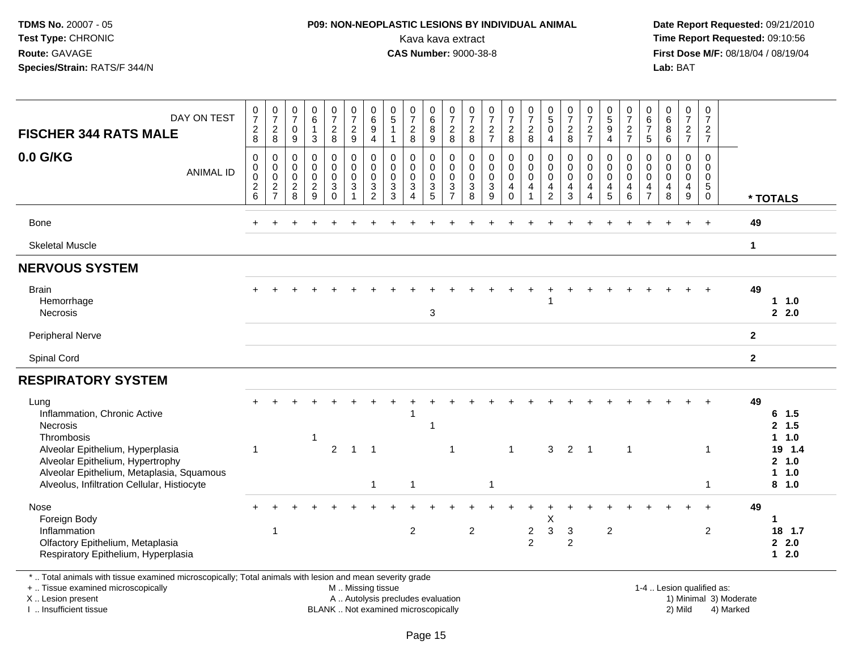#### **P09: NON-NEOPLASTIC LESIONS BY INDIVIDUAL ANIMAL**Kava kava extract **Time Report Requested:** 09:10:56<br>**CAS Number:** 9000-38-8<br>**Tirst Dose M/F:** 08/18/04 / 08/19/04

 **Date Report Requested:** 09/21/2010 **First Dose M/F:** 08/18/04 / 08/19/04 Lab: BAT **Lab:** BAT

| DAY ON TEST<br><b>FISCHER 344 RATS MALE</b><br>0.0 G/KG<br><b>ANIMAL ID</b><br>Bone                                                                                                                                                | $\frac{0}{7}$<br>8<br>$\mathbf 0$<br>0<br>$\pmb{0}$<br>$\frac{2}{6}$ | $\frac{0}{7}$<br>$\frac{2}{8}$<br>0<br>$\boldsymbol{0}$<br>$\frac{0}{2}$ | $\frac{0}{7}$<br>$\mathbf 0$<br>$\boldsymbol{9}$<br>$\mathbf 0$<br>$\mathbf 0$<br>$\mathbf 0$<br>$\begin{array}{c} 2 \\ 8 \end{array}$ | $\begin{array}{c} 0 \\ 6 \end{array}$<br>$\overline{1}$<br>3<br>$\mathbf 0$<br>$\pmb{0}$<br>$\mathsf{O}\xspace$<br>$\boldsymbol{2}$<br>$\overline{9}$ | $\frac{0}{7}$<br>$\frac{2}{8}$<br>0<br>$\pmb{0}$<br>$\mathsf{O}\xspace$<br>$\ensuremath{\mathsf{3}}$<br>$\mathbf 0$ | $\frac{0}{7}$<br>$\frac{2}{9}$<br>0<br>$\pmb{0}$<br>$\mathbf 0$<br>$\mathbf{3}$<br>1 | $_{6}^{\rm 0}$<br>$\boldsymbol{9}$<br>$\overline{4}$<br>0<br>$\mathsf{O}\xspace$<br>$\pmb{0}$<br>3<br>$\overline{2}$ | $\begin{matrix} 0 \\ 5 \end{matrix}$<br>$\mathbf{1}$<br>$\mathbf{1}$<br>$\mathbf 0$<br>0<br>$\mathbf 0$<br>3<br>3 | $\frac{0}{7}$<br>$_{\rm 8}^2$<br>$\mathbf 0$<br>$\mathsf{O}\xspace$<br>$\pmb{0}$<br>$\mathbf{3}$<br>$\boldsymbol{\Lambda}$ | 0<br>8<br>9<br>$\mathbf 0$<br>$\mathbf 0$<br>$\mathsf{O}\xspace$<br>$\frac{3}{5}$ | 0728<br>$\mathbf 0$<br>$\mathbf 0$<br>$\mathsf{O}\xspace$<br>$\frac{3}{7}$ | $\frac{0}{7}$<br>$\sqrt{2}$<br>$\,8\,$<br>$\mathbf 0$<br>$\boldsymbol{0}$<br>$\mathbf 0$<br>$\sqrt{3}$<br>8 | $\frac{0}{7}$<br>$\frac{2}{7}$<br>$\mathbf 0$<br>$\pmb{0}$<br>$\mathbf 0$<br>$\mathbf{3}$<br>9 | $\frac{0}{7}$<br>$\frac{2}{8}$<br>0<br>$\mathbf 0$<br>$\mathbf 0$<br>4<br>$\Omega$ | $\frac{0}{7}$<br>8<br>$\boldsymbol{0}$<br>$\ddot{\mathbf{0}}$<br>$\mathsf{O}\xspace$<br>$\overline{4}$<br>$\mathbf{1}$ | $\begin{smallmatrix} 0\\5 \end{smallmatrix}$<br>$\pmb{0}$<br>$\overline{4}$<br>$\pmb{0}$<br>$\ddot{\mathbf{0}}$<br>$\pmb{0}$<br>4<br>$\overline{2}$ | $\begin{array}{c} 0 \\ 7 \\ 2 \\ 8 \end{array}$<br>0<br>$\pmb{0}$<br>$\mathbf 0$<br>$\overline{4}$<br>$\mathbf{3}$ | $\frac{0}{7}$<br>$\frac{2}{7}$<br>$\mathbf 0$<br>$\pmb{0}$<br>$\mathbf 0$<br>$\overline{4}$<br>$\boldsymbol{\Lambda}$ | $\begin{array}{c} 0 \\ 5 \\ 9 \\ 4 \end{array}$<br>0<br>$\mathsf{O}\xspace$<br>$\pmb{0}$<br>4<br>5 | $\frac{0}{7}$<br>$\frac{2}{7}$<br>0<br>$\mathsf 0$<br>$\mathbf 0$<br>4<br>$\,6\,$ | 0<br>$rac{6}{7}$<br>$\overline{5}$<br>$\Omega$<br>$\mathbf 0$<br>0<br>4<br>$\overline{7}$ | $0$<br>$6$<br>$6$<br>$\mathbf 0$<br>$\mathbf 0$<br>$\pmb{0}$<br>4<br>8 | $\frac{0}{7}$<br>$\frac{2}{7}$<br>$\pmb{0}$<br>$\pmb{0}$<br>$\pmb{0}$<br>4<br>$\boldsymbol{9}$ | $\begin{array}{c} 0 \\ 7 \end{array}$<br>$\frac{2}{7}$<br>$\mathbf 0$<br>$\mathbf 0$<br>$\pmb{0}$<br>$^5_{\rm 0}$<br>$+$ | 49           | * TOTALS                                                |
|------------------------------------------------------------------------------------------------------------------------------------------------------------------------------------------------------------------------------------|----------------------------------------------------------------------|--------------------------------------------------------------------------|----------------------------------------------------------------------------------------------------------------------------------------|-------------------------------------------------------------------------------------------------------------------------------------------------------|---------------------------------------------------------------------------------------------------------------------|--------------------------------------------------------------------------------------|----------------------------------------------------------------------------------------------------------------------|-------------------------------------------------------------------------------------------------------------------|----------------------------------------------------------------------------------------------------------------------------|-----------------------------------------------------------------------------------|----------------------------------------------------------------------------|-------------------------------------------------------------------------------------------------------------|------------------------------------------------------------------------------------------------|------------------------------------------------------------------------------------|------------------------------------------------------------------------------------------------------------------------|-----------------------------------------------------------------------------------------------------------------------------------------------------|--------------------------------------------------------------------------------------------------------------------|-----------------------------------------------------------------------------------------------------------------------|----------------------------------------------------------------------------------------------------|-----------------------------------------------------------------------------------|-------------------------------------------------------------------------------------------|------------------------------------------------------------------------|------------------------------------------------------------------------------------------------|--------------------------------------------------------------------------------------------------------------------------|--------------|---------------------------------------------------------|
| <b>Skeletal Muscle</b>                                                                                                                                                                                                             |                                                                      |                                                                          |                                                                                                                                        |                                                                                                                                                       |                                                                                                                     |                                                                                      |                                                                                                                      |                                                                                                                   |                                                                                                                            |                                                                                   |                                                                            |                                                                                                             |                                                                                                |                                                                                    |                                                                                                                        |                                                                                                                                                     |                                                                                                                    |                                                                                                                       |                                                                                                    |                                                                                   |                                                                                           |                                                                        |                                                                                                |                                                                                                                          | $\mathbf 1$  |                                                         |
| <b>NERVOUS SYSTEM</b>                                                                                                                                                                                                              |                                                                      |                                                                          |                                                                                                                                        |                                                                                                                                                       |                                                                                                                     |                                                                                      |                                                                                                                      |                                                                                                                   |                                                                                                                            |                                                                                   |                                                                            |                                                                                                             |                                                                                                |                                                                                    |                                                                                                                        |                                                                                                                                                     |                                                                                                                    |                                                                                                                       |                                                                                                    |                                                                                   |                                                                                           |                                                                        |                                                                                                |                                                                                                                          |              |                                                         |
| <b>Brain</b><br>Hemorrhage<br>Necrosis                                                                                                                                                                                             |                                                                      |                                                                          |                                                                                                                                        |                                                                                                                                                       |                                                                                                                     |                                                                                      |                                                                                                                      |                                                                                                                   |                                                                                                                            | 3                                                                                 |                                                                            |                                                                                                             |                                                                                                |                                                                                    |                                                                                                                        |                                                                                                                                                     |                                                                                                                    |                                                                                                                       |                                                                                                    |                                                                                   |                                                                                           |                                                                        |                                                                                                | $\ddot{}$                                                                                                                | 49           | 1.0<br>2.0                                              |
| Peripheral Nerve                                                                                                                                                                                                                   |                                                                      |                                                                          |                                                                                                                                        |                                                                                                                                                       |                                                                                                                     |                                                                                      |                                                                                                                      |                                                                                                                   |                                                                                                                            |                                                                                   |                                                                            |                                                                                                             |                                                                                                |                                                                                    |                                                                                                                        |                                                                                                                                                     |                                                                                                                    |                                                                                                                       |                                                                                                    |                                                                                   |                                                                                           |                                                                        |                                                                                                |                                                                                                                          | $\mathbf{2}$ |                                                         |
| Spinal Cord                                                                                                                                                                                                                        |                                                                      |                                                                          |                                                                                                                                        |                                                                                                                                                       |                                                                                                                     |                                                                                      |                                                                                                                      |                                                                                                                   |                                                                                                                            |                                                                                   |                                                                            |                                                                                                             |                                                                                                |                                                                                    |                                                                                                                        |                                                                                                                                                     |                                                                                                                    |                                                                                                                       |                                                                                                    |                                                                                   |                                                                                           |                                                                        |                                                                                                |                                                                                                                          | $\mathbf{2}$ |                                                         |
| <b>RESPIRATORY SYSTEM</b>                                                                                                                                                                                                          |                                                                      |                                                                          |                                                                                                                                        |                                                                                                                                                       |                                                                                                                     |                                                                                      |                                                                                                                      |                                                                                                                   |                                                                                                                            |                                                                                   |                                                                            |                                                                                                             |                                                                                                |                                                                                    |                                                                                                                        |                                                                                                                                                     |                                                                                                                    |                                                                                                                       |                                                                                                    |                                                                                   |                                                                                           |                                                                        |                                                                                                |                                                                                                                          |              |                                                         |
| Lung<br>Inflammation, Chronic Active<br>Necrosis<br>Thrombosis<br>Alveolar Epithelium, Hyperplasia<br>Alveolar Epithelium, Hypertrophy<br>Alveolar Epithelium, Metaplasia, Squamous<br>Alveolus, Infiltration Cellular, Histiocyte | -1                                                                   |                                                                          |                                                                                                                                        | $\overline{1}$                                                                                                                                        | $\overline{2}$                                                                                                      | $\mathbf{1}$                                                                         | $\overline{1}$                                                                                                       |                                                                                                                   | -1                                                                                                                         |                                                                                   | -1                                                                         |                                                                                                             | -1                                                                                             | $\mathbf{1}$                                                                       |                                                                                                                        | 3                                                                                                                                                   | 2                                                                                                                  | $\overline{1}$                                                                                                        |                                                                                                    | $\mathbf 1$                                                                       |                                                                                           |                                                                        |                                                                                                |                                                                                                                          | 49           | $6$ 1.5<br>2, 1.5<br>1 1.0<br>19 1.4<br>2, 1.0<br>1 1.0 |
| Nose<br>Foreign Body<br>Inflammation<br>Olfactory Epithelium, Metaplasia<br>Respiratory Epithelium, Hyperplasia                                                                                                                    |                                                                      | -1                                                                       |                                                                                                                                        |                                                                                                                                                       |                                                                                                                     |                                                                                      | $\mathbf{1}$                                                                                                         |                                                                                                                   | $\mathbf{1}$<br>$\overline{2}$                                                                                             |                                                                                   |                                                                            | $\overline{c}$                                                                                              |                                                                                                |                                                                                    | $\overline{c}$<br>$\overline{2}$                                                                                       | X<br>$\sqrt{3}$                                                                                                                                     | 3<br>2                                                                                                             |                                                                                                                       | $\overline{c}$                                                                                     |                                                                                   |                                                                                           |                                                                        |                                                                                                | $\overline{2}$                                                                                                           | 49           | 8, 1.0<br>1<br>18 1.7<br>2.0<br>$12.0$                  |

\* .. Total animals with tissue examined microscopically; Total animals with lesion and mean severity grade

+ .. Tissue examined microscopically

X .. Lesion present

I .. Insufficient tissue

M .. Missing tissue

A .. Autolysis precludes evaluation

BLANK .. Not examined microscopically 2) Mild 4) Marked

1-4 .. Lesion qualified as: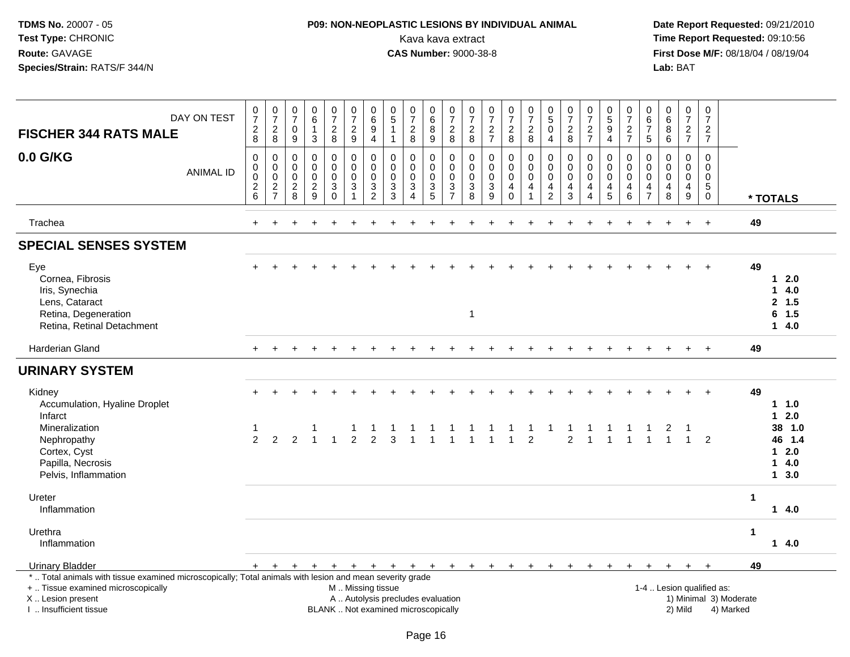## **P09: NON-NEOPLASTIC LESIONS BY INDIVIDUAL ANIMAL**Kava kava extract **Time Report Requested:** 09:10:56<br>**CAS Number:** 9000-38-8 **CAS Number:** 9000-38-8

| <b>FISCHER 344 RATS MALE</b>                                                                                                                                                                  | DAY ON TEST      | $\frac{0}{7}$<br>$_{\rm 8}^2$                                    | $\frac{0}{7}$<br>$\sqrt{2}$<br>8                 | $\frac{0}{7}$<br>$\mathbf 0$<br>9                          | $\begin{array}{c} 0 \\ 6 \end{array}$<br>$\mathbf{1}$<br>$\mathbf{3}$ | $\frac{0}{7}$<br>$\frac{2}{8}$                   | $\frac{0}{7}$<br>$\frac{2}{9}$                                                                | $\begin{array}{c} 0 \\ 6 \end{array}$<br>$\boldsymbol{9}$<br>$\overline{4}$ | $\begin{matrix} 0 \\ 5 \end{matrix}$<br>$\overline{1}$<br>$\overline{1}$ | $\frac{0}{7}$<br>$\frac{2}{8}$                                          | $\begin{matrix} 0 \\ 6 \end{matrix}$<br>$\overline{8}$<br>9 | $\begin{smallmatrix}0\\7\end{smallmatrix}$<br>$\frac{2}{8}$ | $\frac{0}{7}$<br>$\overline{c}$<br>8             | $\frac{0}{7}$<br>$\frac{2}{7}$                   | $\frac{0}{7}$<br>$\frac{2}{8}$                      | $\frac{0}{7}$<br>$\frac{2}{8}$                                 | $\begin{array}{c} 0 \\ 5 \end{array}$<br>$\mathsf{O}\xspace$<br>$\overline{4}$ | $\frac{0}{7}$<br>$\sqrt{2}$<br>8                 | $\frac{0}{7}$<br>$\frac{2}{7}$                                   | $\begin{array}{c} 0 \\ 5 \\ 9 \end{array}$<br>$\overline{4}$  | $\frac{0}{7}$<br>$\frac{2}{7}$                                     | $\mathbf 0$<br>$6\phantom{a}$<br>$\overline{7}$<br>$\sqrt{5}$ | $\begin{array}{c} 0 \\ 6 \end{array}$<br>$^8_6$    | $\begin{array}{c} 0 \\ 7 \end{array}$<br>$\frac{2}{7}$                | $\frac{0}{7}$<br>$\frac{2}{7}$                      |                                     |                      |                                                                          |  |
|-----------------------------------------------------------------------------------------------------------------------------------------------------------------------------------------------|------------------|------------------------------------------------------------------|--------------------------------------------------|------------------------------------------------------------|-----------------------------------------------------------------------|--------------------------------------------------|-----------------------------------------------------------------------------------------------|-----------------------------------------------------------------------------|--------------------------------------------------------------------------|-------------------------------------------------------------------------|-------------------------------------------------------------|-------------------------------------------------------------|--------------------------------------------------|--------------------------------------------------|-----------------------------------------------------|----------------------------------------------------------------|--------------------------------------------------------------------------------|--------------------------------------------------|------------------------------------------------------------------|---------------------------------------------------------------|--------------------------------------------------------------------|---------------------------------------------------------------|----------------------------------------------------|-----------------------------------------------------------------------|-----------------------------------------------------|-------------------------------------|----------------------|--------------------------------------------------------------------------|--|
| 0.0 G/KG                                                                                                                                                                                      | <b>ANIMAL ID</b> | $\mathbf 0$<br>$\boldsymbol{0}$<br>$\pmb{0}$<br>$^2\phantom{1}6$ | 0<br>$\mathbf 0$<br>$\mathsf 0$<br>$\frac{2}{7}$ | $\mathbf 0$<br>$\mathbf 0$<br>$\mathbf 0$<br>$\frac{2}{8}$ | $\mathbf 0$<br>$\mathbf 0$<br>$\mathbf 0$<br>$\frac{2}{9}$            | 0<br>$\mathbf 0$<br>$\mathbf 0$<br>3<br>$\Omega$ | 0<br>$\mathbf 0$<br>$\pmb{0}$<br>$\sqrt{3}$<br>$\overline{1}$                                 | $\mathbf 0$<br>$\mathbf{0}$<br>$\mathbf 0$<br>$\frac{3}{2}$                 | $\mathbf 0$<br>$\mathbf 0$<br>0<br>$\frac{3}{3}$                         | $\mathbf 0$<br>$\Omega$<br>$\mathbf 0$<br>$\mathsf 3$<br>$\overline{4}$ | 0<br>$\mathbf 0$<br>$\mathbf 0$<br>$\frac{3}{5}$            | $\pmb{0}$<br>$\mathbf 0$<br>$\mathsf 0$<br>$\frac{3}{7}$    | $\mathbf 0$<br>$\Omega$<br>$\mathbf 0$<br>3<br>8 | $\mathbf 0$<br>$\mathbf 0$<br>0<br>$\frac{3}{9}$ | $\pmb{0}$<br>$\Omega$<br>$\pmb{0}$<br>4<br>$\Omega$ | $\pmb{0}$<br>$\mathbf 0$<br>$\mathbf 0$<br>4<br>$\overline{1}$ | $\pmb{0}$<br>$\mathbf 0$<br>$\mathbf 0$<br>$\frac{4}{2}$                       | $\mathbf 0$<br>$\Omega$<br>$\mathbf 0$<br>4<br>3 | $\mathbf 0$<br>$\mathbf 0$<br>$\mathbf 0$<br>4<br>$\overline{4}$ | $\mathbf 0$<br>$\Omega$<br>$\mathbf 0$<br>$\overline{4}$<br>5 | 0<br>$\mathsf{O}$<br>$\pmb{0}$<br>$\overline{4}$<br>$\overline{6}$ | $\mathbf 0$<br>$\Omega$<br>$\mathbf 0$<br>4<br>$\overline{7}$ | 0<br>$\mathbf 0$<br>0<br>$\overline{4}$<br>$\,8\,$ | $\mathbf 0$<br>$\mathbf{0}$<br>$\mathbf 0$<br>$\overline{a}$<br>$9\,$ | $\mathbf 0$<br>$\mathbf 0$<br>$\mathbf 0$<br>5<br>0 |                                     |                      | * TOTALS                                                                 |  |
| Trachea                                                                                                                                                                                       |                  | $+$                                                              |                                                  |                                                            |                                                                       |                                                  |                                                                                               |                                                                             |                                                                          |                                                                         |                                                             |                                                             |                                                  |                                                  |                                                     |                                                                |                                                                                |                                                  |                                                                  |                                                               |                                                                    |                                                               |                                                    |                                                                       | $\ddot{}$                                           |                                     | 49                   |                                                                          |  |
| <b>SPECIAL SENSES SYSTEM</b>                                                                                                                                                                  |                  |                                                                  |                                                  |                                                            |                                                                       |                                                  |                                                                                               |                                                                             |                                                                          |                                                                         |                                                             |                                                             |                                                  |                                                  |                                                     |                                                                |                                                                                |                                                  |                                                                  |                                                               |                                                                    |                                                               |                                                    |                                                                       |                                                     |                                     |                      |                                                                          |  |
| Eye<br>Cornea, Fibrosis<br>Iris, Synechia<br>Lens, Cataract<br>Retina, Degeneration<br>Retina, Retinal Detachment                                                                             |                  | $+$                                                              |                                                  |                                                            |                                                                       |                                                  |                                                                                               |                                                                             |                                                                          |                                                                         |                                                             |                                                             | $\overline{1}$                                   |                                                  |                                                     |                                                                |                                                                                |                                                  |                                                                  |                                                               |                                                                    |                                                               |                                                    |                                                                       | $+$                                                 |                                     | 49                   | 12.0<br>14.0<br>2, 1.5<br>6, 1.5<br>14.0                                 |  |
| <b>Harderian Gland</b>                                                                                                                                                                        |                  | $+$                                                              |                                                  |                                                            |                                                                       |                                                  |                                                                                               |                                                                             |                                                                          |                                                                         |                                                             |                                                             |                                                  |                                                  |                                                     |                                                                |                                                                                |                                                  |                                                                  |                                                               |                                                                    |                                                               |                                                    |                                                                       | $\ddot{}$                                           |                                     | 49                   |                                                                          |  |
| <b>URINARY SYSTEM</b>                                                                                                                                                                         |                  |                                                                  |                                                  |                                                            |                                                                       |                                                  |                                                                                               |                                                                             |                                                                          |                                                                         |                                                             |                                                             |                                                  |                                                  |                                                     |                                                                |                                                                                |                                                  |                                                                  |                                                               |                                                                    |                                                               |                                                    |                                                                       |                                                     |                                     |                      |                                                                          |  |
| Kidney<br>Accumulation, Hyaline Droplet<br>Infarct<br>Mineralization<br>Nephropathy<br>Cortex, Cyst<br>Papilla, Necrosis<br>Pelvis, Inflammation                                              |                  | $\mathbf{1}$<br>$\mathcal{P}$                                    | 2                                                | $\mathcal{P}$                                              |                                                                       |                                                  | $\frac{1}{2}$                                                                                 | $\frac{1}{2}$                                                               | $\frac{1}{3}$                                                            |                                                                         |                                                             | $\frac{1}{1}$                                               |                                                  |                                                  | $\overline{1}$                                      | $\mathbf{1}$<br>$\overline{2}$                                 |                                                                                | $\overline{2}$                                   |                                                                  |                                                               |                                                                    |                                                               |                                                    | $\mathbf{1}$                                                          | $+$<br>$\overline{2}$                               |                                     | 49                   | $1 \t1.0$<br>$12.0$<br>38 1.0<br>46 1.4<br>$1 \quad 2.0$<br>14.0<br>13.0 |  |
| Ureter<br>Inflammation                                                                                                                                                                        |                  |                                                                  |                                                  |                                                            |                                                                       |                                                  |                                                                                               |                                                                             |                                                                          |                                                                         |                                                             |                                                             |                                                  |                                                  |                                                     |                                                                |                                                                                |                                                  |                                                                  |                                                               |                                                                    |                                                               |                                                    |                                                                       |                                                     |                                     | 1                    | $14.0$                                                                   |  |
| Urethra<br>Inflammation                                                                                                                                                                       |                  |                                                                  |                                                  |                                                            |                                                                       |                                                  |                                                                                               |                                                                             |                                                                          |                                                                         |                                                             |                                                             |                                                  |                                                  |                                                     |                                                                |                                                                                |                                                  |                                                                  |                                                               |                                                                    |                                                               |                                                    |                                                                       |                                                     |                                     | $\blacktriangleleft$ | 14.0                                                                     |  |
| <b>Urinary Bladder</b>                                                                                                                                                                        |                  |                                                                  | $+$ $+$                                          |                                                            |                                                                       | $+ + +$                                          | + + + + + + + + + + +                                                                         |                                                                             |                                                                          |                                                                         |                                                             |                                                             |                                                  |                                                  |                                                     |                                                                |                                                                                | $+$                                              | $+$                                                              | $+$                                                           | $+$                                                                | $+$                                                           | $+$                                                |                                                                       | $+$                                                 |                                     | 49                   |                                                                          |  |
| *  Total animals with tissue examined microscopically; Total animals with lesion and mean severity grade<br>+  Tissue examined microscopically<br>X  Lesion present<br>I  Insufficient tissue |                  |                                                                  |                                                  |                                                            |                                                                       |                                                  | M  Missing tissue<br>A  Autolysis precludes evaluation<br>BLANK  Not examined microscopically |                                                                             |                                                                          |                                                                         |                                                             |                                                             |                                                  |                                                  |                                                     |                                                                |                                                                                |                                                  |                                                                  |                                                               |                                                                    |                                                               |                                                    | 1-4  Lesion qualified as:<br>2) Mild                                  |                                                     | 1) Minimal 3) Moderate<br>4) Marked |                      |                                                                          |  |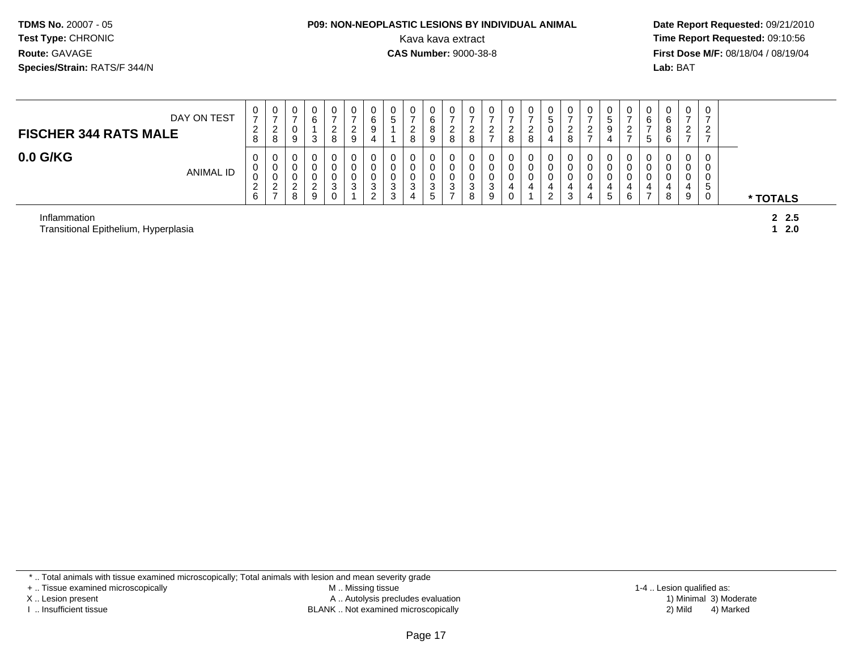#### **P09: NON-NEOPLASTIC LESIONS BY INDIVIDUAL ANIMAL**Kava kava extract **Time Report Requested:** 09:10:56<br>**CAS Number:** 9000-38-8<br>**Tirst Dose M/F:** 08/18/04 / 08/19/04

 **Date Report Requested:** 09/21/2010 **First Dose M/F:** 08/18/04 / 08/19/04 Lab: BAT **Lab:** BAT

| DAY ON TEST<br><b>FISCHER 344 RATS MALE</b> | $\mathbf{0}$<br>$\rightarrow$<br>2<br>8       | U<br>$\rightarrow$<br><u>_</u><br>8           | 0<br>0<br>9                     | ت           | _<br>o | U<br>ے<br>9  | υ<br>6<br>9                       | 0<br>5                | -<br>ົ<br><u>_</u><br>8 | 0<br>6<br>8<br>9      | O           |   | O<br>8      | U<br><u>_</u><br>8         | U<br>৾৾<br>◡<br>4     | 0<br>ົ<br><u>_</u><br>8 |   |   |   | b<br>ົວ | 6<br>O<br>b | 0<br>$\rightarrow$<br>ົ<br><u>_</u><br>$\rightarrow$ | 0<br>–<br>ົ<br>∼<br>-            |          |
|---------------------------------------------|-----------------------------------------------|-----------------------------------------------|---------------------------------|-------------|--------|--------------|-----------------------------------|-----------------------|-------------------------|-----------------------|-------------|---|-------------|----------------------------|-----------------------|-------------------------|---|---|---|---------|-------------|------------------------------------------------------|----------------------------------|----------|
| $0.0$ G/KG<br><b>ANIMAL ID</b>              | $\mathbf 0$<br>0<br>0<br>ົ<br>$\epsilon$<br>6 | U<br>U<br>U<br>ົ<br><u>_</u><br>$\rightarrow$ | 0<br>0<br>0<br>$\sim$<br>∼<br>8 | $\sim$<br>9 | ົ      | 0<br>ົ<br>J. | O<br>U<br>U<br>3<br>ີ<br><u>.</u> | 0<br>0<br>0<br>3<br>3 | 0<br>0<br>3<br>4        | 0<br>0<br>0<br>3<br>5 | $\sim$<br>◡ | 9 | 0<br>U<br>0 | 0<br>0<br>$\mathbf 0$<br>4 | 0<br>v<br>4<br>っ<br>∼ | 0<br>0<br>0<br>4<br>3   | 4 | G | b | U       | 0<br>8      | 0<br>0<br>0<br>4<br>9                                | 0<br>0<br>0<br><sub>5</sub><br>0 | * TOTALS |
| Inflammation                                |                                               |                                               |                                 |             |        |              |                                   |                       |                         |                       |             |   |             |                            |                       |                         |   |   |   |         |             |                                                      |                                  | 2, 2.5   |

Transitional Epithelium, Hyperplasia

**1 2.0**

\* .. Total animals with tissue examined microscopically; Total animals with lesion and mean severity grade

+ .. Tissue examined microscopically

X .. Lesion present

I .. Insufficient tissue

 M .. Missing tissueA .. Autolysis precludes evaluation

BLANK .. Not examined microscopically 2) Mild 4) Marked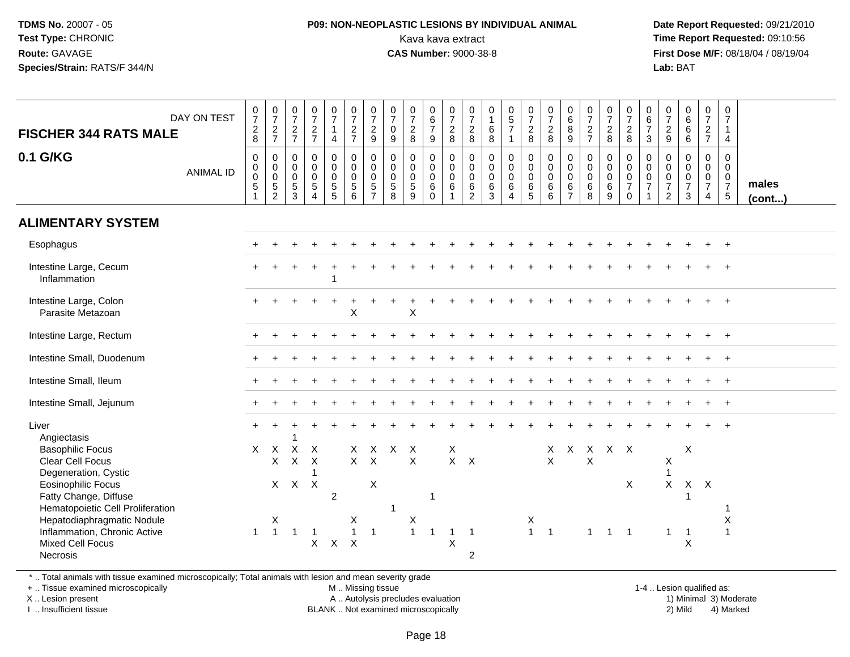#### **P09: NON-NEOPLASTIC LESIONS BY INDIVIDUAL ANIMAL**Kava kava extract **Time Report Requested:** 09:10:56<br>**CAS Number:** 9000-38-8<br>**Tirst Dose M/F:** 08/18/04 / 08/19/04

 **Date Report Requested:** 09/21/2010 **First Dose M/F:** 08/18/04 / 08/19/04 Lab: BAT **Lab:** BAT

| <b>FISCHER 344 RATS MALE</b><br>0.1 G/KG                                                                | DAY ON TEST      | $\frac{0}{7}$<br>$_{8}^2$<br>$\mathsf{O}\xspace$ | $\begin{array}{c} 0 \\ 7 \end{array}$<br>$\frac{2}{7}$<br>$\mathbf 0$            | $\frac{0}{7}$<br>$\frac{2}{7}$<br>$\mathbf 0$ | $\begin{array}{c} 0 \\ 7 \end{array}$<br>$\frac{2}{7}$<br>$\mathbf 0$ | $\frac{0}{7}$<br>$\mathbf{1}$<br>$\overline{4}$<br>$\mathbf 0$ | $\frac{0}{7}$<br>$\frac{2}{7}$<br>$\mathbf 0$ | $\begin{array}{c} 0 \\ 7 \end{array}$<br>$\frac{2}{9}$<br>$\pmb{0}$ | $\frac{0}{7}$<br>$\mathbf 0$<br>9<br>$\mathbf 0$ | $\begin{array}{c} 0 \\ 7 \end{array}$<br>$\frac{2}{8}$<br>$\mathbf 0$ | $\begin{array}{c} 0 \\ 6 \end{array}$<br>$\overline{7}$<br>9<br>$\pmb{0}$ | $\frac{0}{7}$<br>$\frac{2}{8}$<br>$\mathbf 0$             | 0<br>$\overline{7}$<br>$_{8}^2$<br>$\mathsf{O}\xspace$ | 0<br>$\mathbf{1}$<br>6<br>8<br>$\mathbf 0$         | $\begin{array}{c} 0 \\ 5 \\ 7 \end{array}$<br>$\pmb{0}$         | $\begin{array}{c} 0 \\ 7 \end{array}$<br>$\frac{2}{8}$<br>$\mathbf 0$ | $\frac{0}{7}$<br>$_{8}^2$<br>$\mathbf 0$   | $\begin{array}{c} 0 \\ 6 \end{array}$<br>8<br>$9\,$<br>$\pmb{0}$ | $\frac{0}{7}$<br>$rac{2}{7}$<br>$\mathbf 0$               | $\frac{0}{7}$<br>$_{8}^2$<br>$\mathbf 0$                  | $\begin{array}{c} 0 \\ 7 \end{array}$<br>$\frac{2}{8}$<br>$\mathsf{O}\xspace$ | $\begin{array}{c} 0 \\ 6 \end{array}$<br>$\overline{7}$<br>3<br>$\mathsf 0$ | $\frac{0}{7}$<br>$\frac{2}{9}$<br>$\mathbf 0$                     | $\begin{array}{c} 0 \\ 6 \end{array}$<br>$6\phantom{a}$<br>6<br>$\mathbf 0$ | $\frac{0}{7}$<br>$rac{2}{7}$<br>$\mathbf 0$                    | 0<br>$\overline{7}$<br>$\mathbf{1}$<br>$\overline{4}$<br>$\mathbf 0$ |                       |
|---------------------------------------------------------------------------------------------------------|------------------|--------------------------------------------------|----------------------------------------------------------------------------------|-----------------------------------------------|-----------------------------------------------------------------------|----------------------------------------------------------------|-----------------------------------------------|---------------------------------------------------------------------|--------------------------------------------------|-----------------------------------------------------------------------|---------------------------------------------------------------------------|-----------------------------------------------------------|--------------------------------------------------------|----------------------------------------------------|-----------------------------------------------------------------|-----------------------------------------------------------------------|--------------------------------------------|------------------------------------------------------------------|-----------------------------------------------------------|-----------------------------------------------------------|-------------------------------------------------------------------------------|-----------------------------------------------------------------------------|-------------------------------------------------------------------|-----------------------------------------------------------------------------|----------------------------------------------------------------|----------------------------------------------------------------------|-----------------------|
|                                                                                                         | <b>ANIMAL ID</b> | 0<br>$\mathsf 0$<br>5                            | $\begin{smallmatrix} 0\\0 \end{smallmatrix}$<br>$\overline{5}$<br>$\overline{2}$ | 0<br>$\mathbf 0$<br>5<br>3                    | $\mathbf 0$<br>$\ddot{\mathbf{0}}$<br>$\sqrt{5}$<br>$\overline{4}$    | $\mathbf 0$<br>$\mathbf 0$<br>$5\phantom{.0}$<br>5             | $\mathbf 0$<br>$\overline{0}$<br>5<br>6       | $\pmb{0}$<br>$\ddot{\mathbf{0}}$<br>5<br>$\overline{7}$             | $\mathbf 0$<br>$\overline{0}$<br>$\sqrt{5}$<br>8 | $\mathbf 0$<br>$\mathbf 0$<br>$\sqrt{5}$<br>9                         | $\mathbf 0$<br>$\mathbf 0$<br>6<br>$\mathbf 0$                            | $\boldsymbol{0}$<br>$\overline{0}$<br>6<br>$\overline{1}$ | $\mathbf 0$<br>$\mathbf 0$<br>6<br>$\overline{2}$      | $\mathbf 0$<br>$\ddot{\mathbf{0}}$<br>$\,6\,$<br>3 | $\mathbf 0$<br>$\ddot{\mathbf{0}}$<br>$\,6\,$<br>$\overline{4}$ | $\mathbf 0$<br>$\mathsf{O}\xspace$<br>$6\phantom{1}$<br>$\sqrt{5}$    | $\mathbf 0$<br>$\mathbf 0$<br>$\,6\,$<br>6 | $\mathbf 0$<br>$\mathbf 0$<br>6<br>$\overline{7}$                | $\mathbf 0$<br>$\ddot{\mathbf{0}}$<br>$6\phantom{1}$<br>8 | $\mathbf 0$<br>$\ddot{\mathbf{0}}$<br>$6\phantom{1}$<br>9 | $\mathsf{O}\xspace$<br>$\ddot{\mathbf{0}}$<br>$\overline{7}$<br>$\mathbf 0$   | $\mathbf 0$<br>$\ddot{\mathbf{0}}$<br>$\overline{7}$                        | $\mathbf 0$<br>$\overline{0}$<br>$\overline{7}$<br>$\overline{2}$ | $\mathbf 0$<br>$\mathbf 0$<br>$\overline{7}$<br>$\mathbf{3}$                | $\mathbf 0$<br>$\mathbf 0$<br>$\overline{7}$<br>$\overline{4}$ | $\mathbf 0$<br>$\boldsymbol{0}$<br>$\frac{7}{5}$                     | males<br>$($ cont $)$ |
| <b>ALIMENTARY SYSTEM</b>                                                                                |                  |                                                  |                                                                                  |                                               |                                                                       |                                                                |                                               |                                                                     |                                                  |                                                                       |                                                                           |                                                           |                                                        |                                                    |                                                                 |                                                                       |                                            |                                                                  |                                                           |                                                           |                                                                               |                                                                             |                                                                   |                                                                             |                                                                |                                                                      |                       |
| Esophagus                                                                                               |                  |                                                  |                                                                                  |                                               |                                                                       |                                                                |                                               |                                                                     |                                                  |                                                                       |                                                                           |                                                           |                                                        |                                                    |                                                                 |                                                                       |                                            |                                                                  |                                                           |                                                           |                                                                               |                                                                             |                                                                   |                                                                             |                                                                |                                                                      |                       |
| Intestine Large, Cecum<br>Inflammation                                                                  |                  |                                                  |                                                                                  |                                               |                                                                       | 1                                                              |                                               |                                                                     |                                                  |                                                                       |                                                                           |                                                           |                                                        |                                                    |                                                                 |                                                                       |                                            |                                                                  |                                                           |                                                           |                                                                               |                                                                             |                                                                   |                                                                             |                                                                |                                                                      |                       |
| Intestine Large, Colon<br>Parasite Metazoan                                                             |                  |                                                  |                                                                                  |                                               |                                                                       |                                                                | X                                             |                                                                     |                                                  | X                                                                     |                                                                           |                                                           |                                                        |                                                    |                                                                 |                                                                       |                                            |                                                                  |                                                           |                                                           |                                                                               |                                                                             |                                                                   |                                                                             |                                                                |                                                                      |                       |
| Intestine Large, Rectum                                                                                 |                  |                                                  |                                                                                  |                                               |                                                                       |                                                                |                                               |                                                                     |                                                  |                                                                       |                                                                           |                                                           |                                                        |                                                    |                                                                 |                                                                       |                                            |                                                                  |                                                           |                                                           |                                                                               |                                                                             |                                                                   |                                                                             |                                                                |                                                                      |                       |
| Intestine Small, Duodenum                                                                               |                  |                                                  |                                                                                  |                                               |                                                                       |                                                                |                                               |                                                                     |                                                  |                                                                       |                                                                           |                                                           |                                                        |                                                    |                                                                 |                                                                       |                                            |                                                                  |                                                           |                                                           |                                                                               |                                                                             |                                                                   |                                                                             |                                                                |                                                                      |                       |
| Intestine Small, Ileum                                                                                  |                  |                                                  |                                                                                  |                                               |                                                                       |                                                                |                                               |                                                                     |                                                  |                                                                       |                                                                           |                                                           |                                                        |                                                    |                                                                 |                                                                       |                                            |                                                                  |                                                           |                                                           |                                                                               |                                                                             |                                                                   |                                                                             |                                                                |                                                                      |                       |
| Intestine Small, Jejunum                                                                                |                  |                                                  |                                                                                  |                                               |                                                                       |                                                                |                                               |                                                                     |                                                  |                                                                       |                                                                           |                                                           |                                                        |                                                    |                                                                 |                                                                       |                                            |                                                                  |                                                           |                                                           |                                                                               |                                                                             |                                                                   |                                                                             |                                                                | $\overline{+}$                                                       |                       |
| Liver<br>Angiectasis                                                                                    |                  |                                                  |                                                                                  |                                               |                                                                       |                                                                |                                               |                                                                     |                                                  |                                                                       |                                                                           |                                                           |                                                        |                                                    |                                                                 |                                                                       |                                            |                                                                  |                                                           |                                                           |                                                                               |                                                                             |                                                                   |                                                                             |                                                                |                                                                      |                       |
| <b>Basophilic Focus</b><br><b>Clear Cell Focus</b><br>Degeneration, Cystic<br><b>Eosinophilic Focus</b> |                  |                                                  | $X \times X$<br>$\mathsf{X}$                                                     | $\mathsf{X}$<br>$\mathsf{X}$<br>$X$ $X$ $X$   | $\times$<br>$\boldsymbol{\mathsf{X}}$<br>1                            |                                                                | $X$ $X$                                       | $X$ $X$<br>$\times$                                                 | $X$ $X$                                          | X                                                                     |                                                                           | X<br>$X$ $X$                                              |                                                        |                                                    |                                                                 |                                                                       | $\times$<br>$\mathsf{X}$                   |                                                                  | X X X X<br>X                                              |                                                           | $\times$                                                                      |                                                                             | X<br>X                                                            | $\mathsf X$                                                                 | X X                                                            |                                                                      |                       |
| Fatty Change, Diffuse<br>Hematopoietic Cell Proliferation                                               |                  |                                                  |                                                                                  |                                               |                                                                       | 2                                                              |                                               |                                                                     | $\mathbf{1}$                                     |                                                                       | $\mathbf 1$                                                               |                                                           |                                                        |                                                    |                                                                 |                                                                       |                                            |                                                                  |                                                           |                                                           |                                                                               |                                                                             |                                                                   | -1                                                                          |                                                                | 1                                                                    |                       |
| Hepatodiaphragmatic Nodule<br>Inflammation, Chronic Active<br>Mixed Cell Focus<br><b>Necrosis</b>       |                  | $\mathbf{1}$                                     | Χ<br>$\overline{1}$                                                              | $\overline{1}$                                | $\overline{1}$<br>$\mathsf{X}$                                        | $\mathsf{X}$                                                   | Χ<br>$\mathbf{1}$<br>$\mathsf{X}$             | $\overline{1}$                                                      |                                                  | $\boldsymbol{\mathsf{X}}$<br>$\overline{1}$                           | $\overline{1}$                                                            | $\overline{1}$<br>$\sf X$                                 | $\overline{1}$<br>$\overline{2}$                       |                                                    |                                                                 | X<br>$1 \quad 1$                                                      |                                            |                                                                  | $\mathbf 1$                                               | $\overline{1}$                                            | $\overline{1}$                                                                |                                                                             | $\mathbf 1$                                                       | $\overline{1}$<br>$\boldsymbol{\mathsf{X}}$                                 |                                                                | Χ<br>$\mathbf{1}$                                                    |                       |

\* .. Total animals with tissue examined microscopically; Total animals with lesion and mean severity grade

+ .. Tissue examined microscopically

X .. Lesion present

I .. Insufficient tissue

M .. Missing tissue

A .. Autolysis precludes evaluation

BLANK .. Not examined microscopically 2) Mild 4) Marked

1-4 .. Lesion qualified as: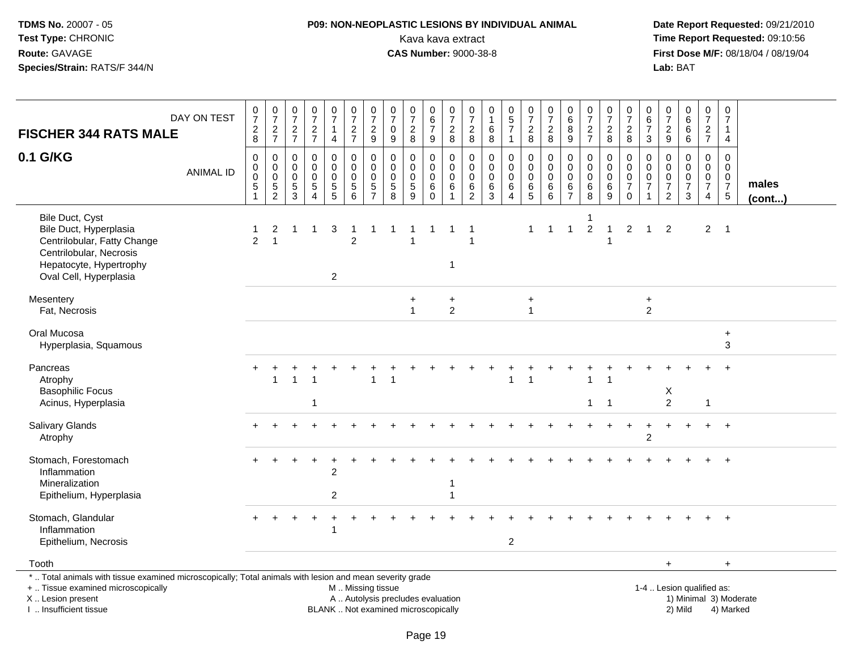## **P09: NON-NEOPLASTIC LESIONS BY INDIVIDUAL ANIMAL**Kava kava extract **Time Report Requested:** 09:10:56<br>**CAS Number:** 9000-38-8<br>**Tirst Dose M/F:** 08/18/04 / 08/19/04

 **Date Report Requested:** 09/21/2010 **First Dose M/F:** 08/18/04 / 08/19/04 Lab: BAT **Lab:** BAT

| <b>FISCHER 344 RATS MALE</b>                                                                                                                                        | DAY ON TEST      | $\frac{0}{7}$<br>$\frac{2}{8}$                                   | $\begin{array}{c} 0 \\ 7 \end{array}$<br>$\frac{2}{7}$     | $\frac{0}{7}$<br>$\frac{2}{7}$                | $\frac{0}{7}$<br>$\frac{2}{7}$                                | $\frac{0}{7}$<br>1<br>$\overline{4}$                     | $\frac{0}{7}$<br>$\overline{a}$<br>$\overline{7}$               | $\begin{array}{c} 0 \\ 7 \end{array}$<br>$\sqrt{2}$<br>$\boldsymbol{9}$ | 0<br>$\overline{7}$<br>$\mathbf 0$<br>9                 | $\frac{0}{7}$<br>$\overline{2}$<br>8                | $_6^0$<br>$\overline{7}$<br>9                      | $\frac{0}{7}$<br>$\overline{c}$<br>8                         | $\frac{0}{7}$<br>$\overline{c}$<br>8                               | $\mathbf 0$<br>$\,6$<br>8                 | $\begin{array}{c} 0 \\ 5 \\ 7 \end{array}$<br>$\mathbf{1}$                      | $\frac{0}{7}$<br>$\frac{2}{8}$    | $\frac{0}{7}$<br>$\boldsymbol{2}$<br>8                       | 0<br>$\overline{6}$<br>$\bf8$<br>$9\,$                        | $\frac{0}{7}$<br>$rac{2}{7}$                        | $\frac{0}{7}$<br>$\overline{c}$<br>8               | $\frac{0}{7}$<br>$\overline{c}$<br>8                                                | $\mathsf 0$<br>$6\overline{6}$<br>$\overline{7}$<br>3          | $\mathbf 0$<br>$\overline{7}$<br>$\frac{2}{9}$             | $\begin{array}{c} 0 \\ 6 \end{array}$<br>$\,6\,$<br>6      | $\frac{0}{7}$<br>$\frac{2}{7}$                                                | $\frac{0}{7}$<br>$\mathbf{1}$<br>$\overline{4}$                                    |                        |
|---------------------------------------------------------------------------------------------------------------------------------------------------------------------|------------------|------------------------------------------------------------------|------------------------------------------------------------|-----------------------------------------------|---------------------------------------------------------------|----------------------------------------------------------|-----------------------------------------------------------------|-------------------------------------------------------------------------|---------------------------------------------------------|-----------------------------------------------------|----------------------------------------------------|--------------------------------------------------------------|--------------------------------------------------------------------|-------------------------------------------|---------------------------------------------------------------------------------|-----------------------------------|--------------------------------------------------------------|---------------------------------------------------------------|-----------------------------------------------------|----------------------------------------------------|-------------------------------------------------------------------------------------|----------------------------------------------------------------|------------------------------------------------------------|------------------------------------------------------------|-------------------------------------------------------------------------------|------------------------------------------------------------------------------------|------------------------|
| 0.1 G/KG                                                                                                                                                            | <b>ANIMAL ID</b> | $\mathbf 0$<br>0<br>$\mathbf 0$<br>$\,$ 5 $\,$<br>$\overline{1}$ | $\mathbf 0$<br>$\mathbf 0$<br>$\mathbf 0$<br>$\frac{5}{2}$ | 0<br>$\Omega$<br>$\Omega$<br>$\,$ 5 $\,$<br>3 | $\mathbf 0$<br>$\Omega$<br>$\Omega$<br>$\sqrt{5}$<br>$\Delta$ | $\mathsf 0$<br>$\mathbf 0$<br>$\pmb{0}$<br>$\frac{5}{5}$ | 0<br>$\mathbf{0}$<br>0<br>$\begin{array}{c} 5 \\ 6 \end{array}$ | $\pmb{0}$<br>$\overline{0}$<br>$\ddot{\mathbf{0}}$<br>$\frac{5}{7}$     | $\mathbf 0$<br>$\Omega$<br>$\Omega$<br>$\,$ 5 $\,$<br>8 | $\Omega$<br>$\Omega$<br>$\Omega$<br>$\sqrt{5}$<br>9 | 0<br>$\Omega$<br>$\mathbf{0}$<br>$\,6$<br>$\Omega$ | 0<br>$\bar{0}$<br>$\ddot{\mathbf{0}}$<br>6<br>$\overline{1}$ | $\mathsf{O}\xspace$<br>$\mathbf 0$<br>$\mathbf 0$<br>$\frac{6}{2}$ | $\mathbf 0$<br>0<br>$\mathbf 0$<br>$^6_3$ | $\mathbf 0$<br>$\overline{0}$<br>$\pmb{0}$<br>$\,6\,$<br>$\boldsymbol{\Lambda}$ | 0<br>0<br>$\pmb{0}$<br>$6\over 5$ | $\mathsf 0$<br>$\overline{0}$<br>$\mathbf 0$<br>$\,6\,$<br>6 | $\mathbf 0$<br>$\Omega$<br>$\mathbf 0$<br>6<br>$\overline{7}$ | $\mathbf 0$<br>$\mathbf 0$<br>$\mathbf 0$<br>$^6_8$ | 0<br>$\overline{0}$<br>$\mathbf 0$<br>$\,6\,$<br>9 | 0<br>$\overline{0}$<br>$\ddot{\mathbf{0}}$<br>$\overline{7}$<br>$\mathsf{O}\xspace$ | $\mathbf 0$<br>$\overline{0}$<br>$\mathsf 0$<br>$\overline{7}$ | $\mathbf 0$<br>$\mathbf 0$<br>$\mathbf 0$<br>$\frac{7}{2}$ | $\Omega$<br>$\Omega$<br>$\mathbf 0$<br>$\overline{7}$<br>3 | $\mathbf 0$<br>$\mathbf 0$<br>$\pmb{0}$<br>$\boldsymbol{7}$<br>$\overline{4}$ | $\mathbf 0$<br>$\mathbf 0$<br>$\mathbf 0$<br>$\begin{array}{c} 7 \\ 5 \end{array}$ | males<br>(cont)        |
| Bile Duct, Cyst<br>Bile Duct, Hyperplasia<br>Centrilobular, Fatty Change<br>Centrilobular, Necrosis<br>Hepatocyte, Hypertrophy<br>Oval Cell, Hyperplasia            |                  | $\overline{2}$                                                   | 2<br>$\overline{1}$                                        | 1                                             | -1                                                            | 3<br>$\overline{2}$                                      | $\overline{2}$                                                  | -1                                                                      | 1                                                       |                                                     |                                                    | -1                                                           | -1<br>$\overline{\mathbf{1}}$                                      |                                           |                                                                                 | 1                                 | $\mathbf{1}$                                                 | $\overline{1}$                                                | -1<br>2                                             | $\mathbf{1}$                                       | $\overline{2}$                                                                      | $\overline{1}$                                                 | 2                                                          |                                                            | $\overline{2}$                                                                | $\overline{\phantom{0}}$                                                           |                        |
| Mesentery<br>Fat, Necrosis                                                                                                                                          |                  |                                                                  |                                                            |                                               |                                                               |                                                          |                                                                 |                                                                         |                                                         | $\ddot{}$<br>$\mathbf{1}$                           |                                                    | $\ddot{}$<br>$\overline{2}$                                  |                                                                    |                                           |                                                                                 | $\ddot{}$<br>1                    |                                                              |                                                               |                                                     |                                                    |                                                                                     | $\ddot{}$<br>2                                                 |                                                            |                                                            |                                                                               |                                                                                    |                        |
| Oral Mucosa<br>Hyperplasia, Squamous                                                                                                                                |                  |                                                                  |                                                            |                                               |                                                               |                                                          |                                                                 |                                                                         |                                                         |                                                     |                                                    |                                                              |                                                                    |                                           |                                                                                 |                                   |                                                              |                                                               |                                                     |                                                    |                                                                                     |                                                                |                                                            |                                                            |                                                                               | $\ddot{}$<br>3                                                                     |                        |
| Pancreas<br>Atrophy<br><b>Basophilic Focus</b><br>Acinus, Hyperplasia                                                                                               |                  |                                                                  |                                                            |                                               |                                                               |                                                          |                                                                 |                                                                         |                                                         |                                                     |                                                    |                                                              |                                                                    |                                           |                                                                                 |                                   |                                                              |                                                               | $\mathbf{1}$                                        | $\overline{1}$                                     |                                                                                     |                                                                | X<br>$\overline{2}$                                        |                                                            | $\mathbf{1}$                                                                  |                                                                                    |                        |
| Salivary Glands<br>Atrophy                                                                                                                                          |                  | $\div$                                                           |                                                            |                                               |                                                               |                                                          |                                                                 |                                                                         |                                                         |                                                     |                                                    |                                                              |                                                                    |                                           |                                                                                 |                                   |                                                              |                                                               |                                                     |                                                    |                                                                                     | 2                                                              |                                                            |                                                            | $+$                                                                           | $+$                                                                                |                        |
| Stomach, Forestomach<br>Inflammation<br>Mineralization<br>Epithelium, Hyperplasia                                                                                   |                  |                                                                  |                                                            |                                               |                                                               | $\overline{2}$<br>$\overline{c}$                         |                                                                 |                                                                         |                                                         |                                                     |                                                    |                                                              |                                                                    |                                           |                                                                                 |                                   |                                                              |                                                               |                                                     |                                                    |                                                                                     |                                                                |                                                            |                                                            |                                                                               |                                                                                    |                        |
| Stomach, Glandular<br>Inflammation<br>Epithelium, Necrosis                                                                                                          |                  |                                                                  |                                                            |                                               |                                                               | $\overline{1}$                                           |                                                                 |                                                                         |                                                         |                                                     |                                                    |                                                              |                                                                    |                                           | $\sqrt{2}$                                                                      |                                   |                                                              |                                                               |                                                     |                                                    |                                                                                     |                                                                |                                                            |                                                            |                                                                               |                                                                                    |                        |
| Tooth                                                                                                                                                               |                  |                                                                  |                                                            |                                               |                                                               |                                                          |                                                                 |                                                                         |                                                         |                                                     |                                                    |                                                              |                                                                    |                                           |                                                                                 |                                   |                                                              |                                                               |                                                     |                                                    |                                                                                     |                                                                | $\ddot{}$                                                  |                                                            |                                                                               | $\ddot{}$                                                                          |                        |
| *  Total animals with tissue examined microscopically; Total animals with lesion and mean severity grade<br>+  Tissue examined microscopically<br>X  Lesion present |                  |                                                                  |                                                            |                                               |                                                               |                                                          | M  Missing tissue<br>A  Autolysis precludes evaluation          |                                                                         |                                                         |                                                     |                                                    |                                                              |                                                                    |                                           |                                                                                 |                                   |                                                              |                                                               |                                                     |                                                    |                                                                                     |                                                                |                                                            | 1-4  Lesion qualified as:                                  |                                                                               |                                                                                    | 1) Minimal 3) Moderate |

I .. Insufficient tissue

BLANK .. Not examined microscopically 2) Mild 4) Marked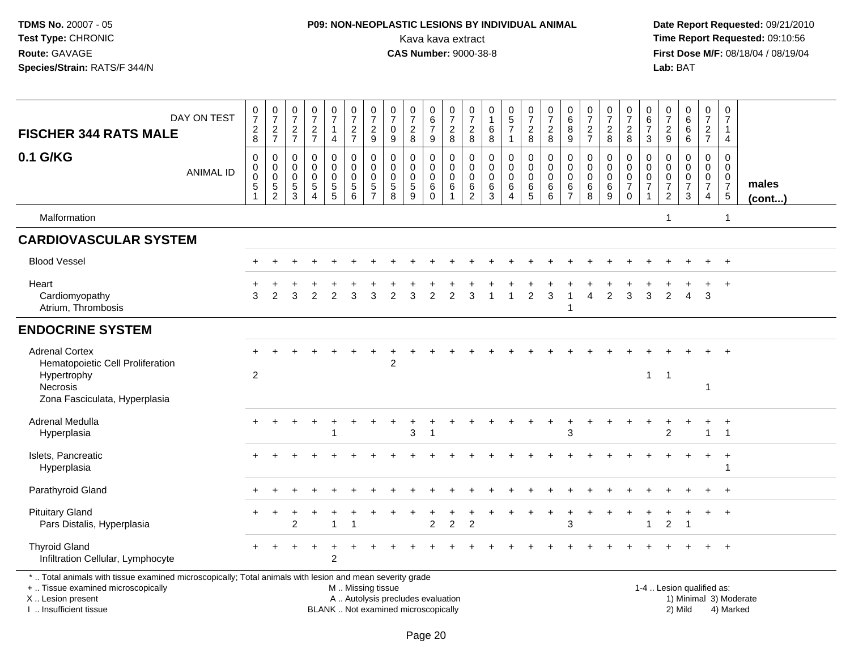## **P09: NON-NEOPLASTIC LESIONS BY INDIVIDUAL ANIMAL**Kava kava extract **Time Report Requested:** 09:10:56<br>**CAS Number:** 9000-38-8 **CAS Number:** 9000-38-8

| <b>FISCHER 344 RATS MALE</b>                                                                                                                                                                  | DAY ON TEST      | $\frac{0}{7}$<br>$\begin{array}{c} 2 \\ 8 \end{array}$     | $\frac{0}{7}$<br>$\frac{2}{7}$                           | $\frac{0}{7}$<br>$\frac{2}{7}$                   | $\frac{0}{7}$<br>$\frac{2}{7}$                                                  | $\frac{0}{7}$<br>1<br>$\overline{4}$                       | $\begin{array}{c} 0 \\ 7 \end{array}$<br>$\frac{2}{7}$   | $\frac{0}{7}$<br>$\frac{2}{9}$                           | $\begin{array}{c} 0 \\ 7 \end{array}$<br>$\pmb{0}$<br>9                   | $\frac{0}{7}$<br>$\sqrt{2}$<br>8                           | $\begin{array}{c} 0 \\ 6 \end{array}$<br>$\overline{7}$<br>$9\,$        | $\begin{array}{c} 0 \\ 7 \end{array}$<br>$\boldsymbol{2}$<br>$\, 8$ | $\frac{0}{7}$<br>$\boldsymbol{2}$<br>8                               | 0<br>$\mathbf{1}$<br>6<br>8                         | $\begin{array}{c} 0 \\ 5 \\ 7 \end{array}$<br>$\mathbf{1}$       | $\begin{array}{c} 0 \\ 7 \end{array}$<br>$\frac{2}{8}$ | $\frac{0}{7}$<br>$_{\rm 8}^2$                     | $\begin{array}{c} 0 \\ 6 \end{array}$<br>$\overline{8}$<br>9 | $\begin{array}{c} 0 \\ 7 \end{array}$<br>$\frac{2}{7}$            | $\begin{array}{c} 0 \\ 7 \end{array}$<br>$\sqrt{2}$<br>$\bf 8$ | $\frac{0}{7}$<br>$\sqrt{2}$<br>8                                             | $\mathbf 0$<br>$\overline{6}$<br>$\overline{7}$<br>3 | $\frac{0}{7}$<br>$\frac{2}{9}$                        | $_6^0$<br>$\overline{6}$<br>$6\phantom{1}$              | $\begin{smallmatrix}0\\7\end{smallmatrix}$<br>$\frac{2}{7}$                 | $\mathbf 0$<br>$\frac{5}{7}$<br>1<br>$\overline{4}$                       |                                     |
|-----------------------------------------------------------------------------------------------------------------------------------------------------------------------------------------------|------------------|------------------------------------------------------------|----------------------------------------------------------|--------------------------------------------------|---------------------------------------------------------------------------------|------------------------------------------------------------|----------------------------------------------------------|----------------------------------------------------------|---------------------------------------------------------------------------|------------------------------------------------------------|-------------------------------------------------------------------------|---------------------------------------------------------------------|----------------------------------------------------------------------|-----------------------------------------------------|------------------------------------------------------------------|--------------------------------------------------------|---------------------------------------------------|--------------------------------------------------------------|-------------------------------------------------------------------|----------------------------------------------------------------|------------------------------------------------------------------------------|------------------------------------------------------|-------------------------------------------------------|---------------------------------------------------------|-----------------------------------------------------------------------------|---------------------------------------------------------------------------|-------------------------------------|
| 0.1 G/KG                                                                                                                                                                                      | <b>ANIMAL ID</b> | $\pmb{0}$<br>$\pmb{0}$<br>$\mathbf 0$<br>5<br>$\mathbf{1}$ | $\mathbf 0$<br>$\pmb{0}$<br>$\mathbf 0$<br>$\frac{5}{2}$ | $\mathbf 0$<br>$\mathbf 0$<br>0<br>$\frac{5}{3}$ | $\mathbf 0$<br>$\Omega$<br>$\mathbf 0$<br>$\,$ 5 $\,$<br>$\boldsymbol{\Lambda}$ | $\mathsf 0$<br>$\mathbf 0$<br>$\mathbf 0$<br>$\frac{5}{5}$ | 0<br>$\mathsf{O}\xspace$<br>$\mathbf 0$<br>$\frac{5}{6}$ | $\pmb{0}$<br>$\mathbf 0$<br>$\mathbf 0$<br>$\frac{5}{7}$ | $\boldsymbol{0}$<br>$\boldsymbol{0}$<br>$\boldsymbol{0}$<br>$\frac{5}{8}$ | $\mathbf 0$<br>$\mathbf 0$<br>$\mathbf 0$<br>$\frac{5}{9}$ | 0<br>$\mathbf 0$<br>$\mathbf 0$<br>$\begin{matrix} 6 \\ 0 \end{matrix}$ | $\mathbf 0$<br>$\mathbf 0$<br>$\Omega$<br>$\,6\,$<br>1              | $\mathbf 0$<br>$\mathbf 0$<br>$\mathbf 0$<br>$\,6$<br>$\overline{2}$ | $\mathbf 0$<br>$\mathbf 0$<br>$\mathbf 0$<br>$^6_3$ | $\mathsf 0$<br>$\mathbf 0$<br>$\mathbf 0$<br>6<br>$\overline{4}$ | 0<br>$\mathsf{O}\xspace$<br>$\pmb{0}$<br>$\frac{6}{5}$ | $\pmb{0}$<br>$\mathbf 0$<br>$\mathbf 0$<br>$^6_6$ | $\mathbf 0$<br>$\pmb{0}$<br>$\mathbf 0$<br>$\frac{6}{7}$     | $\mathbf 0$<br>$\Omega$<br>$\mathbf 0$<br>$\,6\,$<br>$\mathbf{8}$ | 0<br>$\mathbf 0$<br>$\mathbf 0$<br>$\frac{6}{9}$               | $\mathbf 0$<br>$\mathbf 0$<br>$\mathbf 0$<br>$\boldsymbol{7}$<br>$\mathsf 0$ | $\mathbf 0$<br>$\mathbf 0$<br>0<br>$\overline{7}$    | $\mathbf 0$<br>$\Omega$<br>$\pmb{0}$<br>$\frac{7}{2}$ | $\mathsf{O}$<br>$\mathbf 0$<br>0<br>$\overline{7}$<br>3 | $\pmb{0}$<br>$\mathbf 0$<br>$\mathbf 0$<br>$\overline{7}$<br>$\overline{4}$ | $\mathbf 0$<br>$\mathbf 0$<br>$\mathbf 0$<br>$\overline{7}$<br>$\sqrt{5}$ | males<br>$($ cont $)$               |
| Malformation                                                                                                                                                                                  |                  |                                                            |                                                          |                                                  |                                                                                 |                                                            |                                                          |                                                          |                                                                           |                                                            |                                                                         |                                                                     |                                                                      |                                                     |                                                                  |                                                        |                                                   |                                                              |                                                                   |                                                                |                                                                              |                                                      | -1                                                    |                                                         |                                                                             | $\overline{1}$                                                            |                                     |
| <b>CARDIOVASCULAR SYSTEM</b>                                                                                                                                                                  |                  |                                                            |                                                          |                                                  |                                                                                 |                                                            |                                                          |                                                          |                                                                           |                                                            |                                                                         |                                                                     |                                                                      |                                                     |                                                                  |                                                        |                                                   |                                                              |                                                                   |                                                                |                                                                              |                                                      |                                                       |                                                         |                                                                             |                                                                           |                                     |
| <b>Blood Vessel</b>                                                                                                                                                                           |                  |                                                            |                                                          |                                                  |                                                                                 |                                                            |                                                          |                                                          |                                                                           |                                                            |                                                                         |                                                                     |                                                                      |                                                     |                                                                  |                                                        |                                                   |                                                              |                                                                   |                                                                |                                                                              |                                                      |                                                       |                                                         |                                                                             | $+$                                                                       |                                     |
| Heart<br>Cardiomyopathy<br>Atrium, Thrombosis                                                                                                                                                 |                  | 3                                                          | 2                                                        | 3                                                | 2                                                                               | $\overline{2}$                                             | 3                                                        | 3                                                        | 2                                                                         | 3                                                          | $\overline{2}$                                                          |                                                                     | 3                                                                    |                                                     |                                                                  | $\overline{2}$                                         | 3                                                 | 1                                                            | Δ                                                                 | $\overline{2}$                                                 | 3                                                                            | 3                                                    | $\overline{2}$                                        | $\overline{4}$                                          | 3                                                                           | $^{+}$                                                                    |                                     |
| <b>ENDOCRINE SYSTEM</b>                                                                                                                                                                       |                  |                                                            |                                                          |                                                  |                                                                                 |                                                            |                                                          |                                                          |                                                                           |                                                            |                                                                         |                                                                     |                                                                      |                                                     |                                                                  |                                                        |                                                   |                                                              |                                                                   |                                                                |                                                                              |                                                      |                                                       |                                                         |                                                                             |                                                                           |                                     |
| <b>Adrenal Cortex</b><br>Hematopoietic Cell Proliferation<br>Hypertrophy<br>Necrosis<br>Zona Fasciculata, Hyperplasia                                                                         |                  | 2                                                          |                                                          |                                                  |                                                                                 |                                                            |                                                          |                                                          | $\overline{2}$                                                            |                                                            |                                                                         |                                                                     |                                                                      |                                                     |                                                                  |                                                        |                                                   |                                                              |                                                                   |                                                                |                                                                              | $\mathbf{1}$                                         | -1                                                    |                                                         | $\mathbf{1}$                                                                | $\ddot{}$                                                                 |                                     |
| Adrenal Medulla<br>Hyperplasia                                                                                                                                                                |                  |                                                            |                                                          |                                                  |                                                                                 |                                                            |                                                          |                                                          |                                                                           | 3                                                          | -1                                                                      |                                                                     |                                                                      |                                                     |                                                                  |                                                        |                                                   | 3                                                            |                                                                   |                                                                |                                                                              |                                                      | 2                                                     |                                                         | $\overline{1}$                                                              | $+$<br>$\overline{1}$                                                     |                                     |
| Islets, Pancreatic<br>Hyperplasia                                                                                                                                                             |                  |                                                            |                                                          |                                                  |                                                                                 |                                                            |                                                          |                                                          |                                                                           |                                                            |                                                                         |                                                                     |                                                                      |                                                     |                                                                  |                                                        |                                                   |                                                              |                                                                   |                                                                |                                                                              |                                                      |                                                       |                                                         | $+$                                                                         | $\ddot{}$                                                                 |                                     |
| Parathyroid Gland                                                                                                                                                                             |                  |                                                            |                                                          |                                                  |                                                                                 |                                                            |                                                          |                                                          |                                                                           |                                                            |                                                                         |                                                                     |                                                                      |                                                     |                                                                  |                                                        |                                                   |                                                              |                                                                   |                                                                |                                                                              |                                                      |                                                       |                                                         |                                                                             | $\ddot{}$                                                                 |                                     |
| <b>Pituitary Gland</b><br>Pars Distalis, Hyperplasia                                                                                                                                          |                  |                                                            |                                                          | $\overline{c}$                                   |                                                                                 |                                                            |                                                          |                                                          |                                                                           |                                                            | $\overline{c}$                                                          | $\overline{c}$                                                      | $\overline{c}$                                                       |                                                     |                                                                  |                                                        |                                                   | 3                                                            |                                                                   |                                                                |                                                                              |                                                      | $\overline{c}$                                        | -1                                                      |                                                                             | $^+$                                                                      |                                     |
| <b>Thyroid Gland</b><br>Infiltration Cellular, Lymphocyte                                                                                                                                     |                  |                                                            |                                                          |                                                  |                                                                                 | $\overline{2}$                                             |                                                          |                                                          |                                                                           |                                                            |                                                                         |                                                                     |                                                                      |                                                     |                                                                  |                                                        |                                                   |                                                              |                                                                   |                                                                |                                                                              |                                                      |                                                       |                                                         |                                                                             | $\ddot{}$                                                                 |                                     |
| *  Total animals with tissue examined microscopically; Total animals with lesion and mean severity grade<br>+  Tissue examined microscopically<br>X  Lesion present<br>I. Insufficient tissue |                  |                                                            |                                                          |                                                  |                                                                                 |                                                            | M  Missing tissue                                        |                                                          | A  Autolysis precludes evaluation<br>BLANK  Not examined microscopically  |                                                            |                                                                         |                                                                     |                                                                      |                                                     |                                                                  |                                                        |                                                   |                                                              |                                                                   |                                                                |                                                                              |                                                      |                                                       | 1-4  Lesion qualified as:<br>2) Mild                    |                                                                             |                                                                           | 1) Minimal 3) Moderate<br>4) Marked |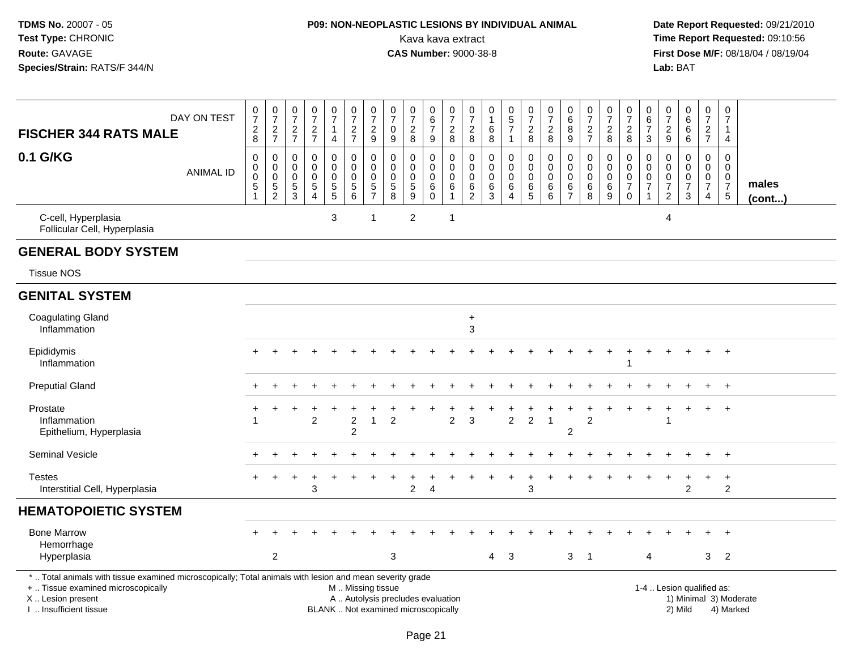## **P09: NON-NEOPLASTIC LESIONS BY INDIVIDUAL ANIMAL**Kava kava extract **Time Report Requested:** 09:10:56<br>**CAS Number:** 9000-38-8 **CAS Number:** 9000-38-8

|                                                                                                                                                                                               | DAY ON TEST      | $\boldsymbol{0}$<br>$\overline{7}$   | $\frac{0}{7}$                                        | $\frac{0}{7}$                          | $\frac{0}{7}$                                                    | $\frac{0}{7}$                                            | $\frac{0}{7}$                                          | 0<br>$\overline{7}$                              | $\frac{0}{7}$                                              | 0<br>$\boldsymbol{7}$        | 0<br>$\,6\,$                                                  | 0<br>$\overline{7}$     | $\frac{0}{7}$                             | 0<br>$\mathbf{1}$                                | 0<br>$\frac{5}{7}$                           | $\frac{0}{7}$                                                      | 0<br>$\overline{7}$                 | 0<br>$\,6\,$                                               | $\frac{0}{7}$                                 | 0<br>$\overline{7}$                       | 0<br>$\overline{7}$                                                        | 0<br>6                                      | $\frac{0}{7}$                                                          | 0<br>$\,6\,$                                           | 0<br>$\boldsymbol{7}$                                     | 0<br>$\overline{7}$                          |                        |
|-----------------------------------------------------------------------------------------------------------------------------------------------------------------------------------------------|------------------|--------------------------------------|------------------------------------------------------|----------------------------------------|------------------------------------------------------------------|----------------------------------------------------------|--------------------------------------------------------|--------------------------------------------------|------------------------------------------------------------|------------------------------|---------------------------------------------------------------|-------------------------|-------------------------------------------|--------------------------------------------------|----------------------------------------------|--------------------------------------------------------------------|-------------------------------------|------------------------------------------------------------|-----------------------------------------------|-------------------------------------------|----------------------------------------------------------------------------|---------------------------------------------|------------------------------------------------------------------------|--------------------------------------------------------|-----------------------------------------------------------|----------------------------------------------|------------------------|
| <b>FISCHER 344 RATS MALE</b>                                                                                                                                                                  |                  | $\sqrt{2}$<br>8                      | $\overline{c}$<br>$\overline{7}$                     | $\sqrt{2}$<br>$\overline{7}$           | $\sqrt{2}$<br>$\overline{7}$                                     | $\mathbf{1}$<br>$\overline{4}$                           | $\overline{c}$<br>$\overline{7}$                       | $\overline{c}$<br>9                              | $\mathbf 0$<br>9                                           | $\overline{c}$<br>8          | $\overline{7}$<br>9                                           | $\overline{c}$<br>8     | $\boldsymbol{2}$<br>8                     | $\,6$<br>8                                       |                                              | $\sqrt{2}$<br>8                                                    | $\overline{c}$<br>8                 | 8<br>9                                                     | $\overline{c}$<br>$\overline{7}$              | $\overline{c}$<br>8                       | $\overline{c}$<br>8                                                        | $\overline{7}$<br>3                         | $\overline{c}$<br>9                                                    | $\,6\,$<br>6                                           | $\overline{2}$<br>$\overline{7}$                          | 1<br>4                                       |                        |
| 0.1 G/KG                                                                                                                                                                                      | <b>ANIMAL ID</b> | $\mathbf 0$<br>$\mathbf 0$<br>0<br>5 | $\pmb{0}$<br>$\pmb{0}$<br>$\pmb{0}$<br>$\frac{5}{2}$ | 0<br>0<br>$\mathbf 0$<br>$\frac{5}{3}$ | 0<br>$\mathbf 0$<br>$\mathbf 0$<br>$\,$ 5 $\,$<br>$\overline{4}$ | $\pmb{0}$<br>$\mathbf 0$<br>$\mathbf 0$<br>$\frac{5}{5}$ | $\mathbf 0$<br>0<br>$\mathbf 0$<br>5<br>$\overline{6}$ | $\mathbf 0$<br>0<br>$\mathbf 0$<br>$\frac{5}{7}$ | $\mathbf 0$<br>$\mathbf 0$<br>$\pmb{0}$<br>$\sqrt{5}$<br>8 | 0<br>0<br>0<br>$\frac{5}{9}$ | $\mathbf 0$<br>$\mathsf 0$<br>$\mathbf 0$<br>6<br>$\mathbf 0$ | 0<br>$\Omega$<br>0<br>6 | 0<br>$\mathbf 0$<br>$\mathbf 0$<br>$^6_2$ | $\mathbf 0$<br>0<br>$\mathbf 0$<br>$\frac{6}{3}$ | 0<br>0<br>$\mathbf 0$<br>6<br>$\overline{4}$ | $\mathbf 0$<br>$\pmb{0}$<br>$\mathbf 0$<br>$\,6$<br>$\overline{5}$ | 0<br>$\Omega$<br>$\Omega$<br>6<br>6 | $\mathbf 0$<br>$\Omega$<br>$\Omega$<br>6<br>$\overline{7}$ | 0<br>$\mathbf 0$<br>$\mathbf 0$<br>$\,6$<br>8 | $\mathbf 0$<br>0<br>$\mathbf 0$<br>6<br>9 | $\mathbf 0$<br>$\mathbf 0$<br>$\mathbf 0$<br>$\overline{7}$<br>$\mathbf 0$ | $\mathbf 0$<br>$\Omega$<br>$\mathbf 0$<br>7 | $\mathbf 0$<br>$\Omega$<br>$\mathbf 0$<br>$\overline{7}$<br>$\sqrt{2}$ | 0<br>$\mathbf 0$<br>$\mathbf 0$<br>$\overline{7}$<br>3 | $\mathbf 0$<br>0<br>0<br>$\overline{7}$<br>$\overline{4}$ | 0<br>0<br>$\mathbf 0$<br>$\overline{7}$<br>5 | males<br>$($ cont $)$  |
| C-cell, Hyperplasia<br>Follicular Cell, Hyperplasia                                                                                                                                           |                  |                                      |                                                      |                                        |                                                                  | $\mathbf{3}$                                             |                                                        | $\mathbf{1}$                                     |                                                            | $\overline{2}$               |                                                               | $\mathbf 1$             |                                           |                                                  |                                              |                                                                    |                                     |                                                            |                                               |                                           |                                                                            |                                             | 4                                                                      |                                                        |                                                           |                                              |                        |
| <b>GENERAL BODY SYSTEM</b>                                                                                                                                                                    |                  |                                      |                                                      |                                        |                                                                  |                                                          |                                                        |                                                  |                                                            |                              |                                                               |                         |                                           |                                                  |                                              |                                                                    |                                     |                                                            |                                               |                                           |                                                                            |                                             |                                                                        |                                                        |                                                           |                                              |                        |
| <b>Tissue NOS</b>                                                                                                                                                                             |                  |                                      |                                                      |                                        |                                                                  |                                                          |                                                        |                                                  |                                                            |                              |                                                               |                         |                                           |                                                  |                                              |                                                                    |                                     |                                                            |                                               |                                           |                                                                            |                                             |                                                                        |                                                        |                                                           |                                              |                        |
| <b>GENITAL SYSTEM</b>                                                                                                                                                                         |                  |                                      |                                                      |                                        |                                                                  |                                                          |                                                        |                                                  |                                                            |                              |                                                               |                         |                                           |                                                  |                                              |                                                                    |                                     |                                                            |                                               |                                           |                                                                            |                                             |                                                                        |                                                        |                                                           |                                              |                        |
| <b>Coagulating Gland</b><br>Inflammation                                                                                                                                                      |                  |                                      |                                                      |                                        |                                                                  |                                                          |                                                        |                                                  |                                                            |                              |                                                               |                         | $\ddot{}$<br>3                            |                                                  |                                              |                                                                    |                                     |                                                            |                                               |                                           |                                                                            |                                             |                                                                        |                                                        |                                                           |                                              |                        |
| Epididymis<br>Inflammation                                                                                                                                                                    |                  |                                      |                                                      |                                        |                                                                  |                                                          |                                                        |                                                  |                                                            |                              |                                                               |                         |                                           |                                                  |                                              |                                                                    |                                     |                                                            |                                               |                                           | -1                                                                         |                                             |                                                                        |                                                        |                                                           | $\ddot{}$                                    |                        |
| <b>Preputial Gland</b>                                                                                                                                                                        |                  |                                      |                                                      |                                        |                                                                  |                                                          |                                                        |                                                  |                                                            |                              |                                                               |                         |                                           |                                                  |                                              |                                                                    |                                     |                                                            |                                               |                                           |                                                                            |                                             |                                                                        |                                                        |                                                           |                                              |                        |
| Prostate<br>Inflammation<br>Epithelium, Hyperplasia                                                                                                                                           |                  |                                      |                                                      |                                        | $\overline{2}$                                                   |                                                          | $\overline{2}$<br>$\overline{2}$                       | 1                                                | $\overline{2}$                                             |                              |                                                               | $\overline{2}$          | 3                                         |                                                  | $\overline{2}$                               | $\overline{c}$                                                     | $\overline{1}$                      | $\overline{c}$                                             | $\overline{2}$                                |                                           |                                                                            |                                             |                                                                        |                                                        |                                                           | $\ddot{}$                                    |                        |
| <b>Seminal Vesicle</b>                                                                                                                                                                        |                  |                                      |                                                      |                                        |                                                                  |                                                          |                                                        |                                                  |                                                            |                              |                                                               |                         |                                           |                                                  |                                              |                                                                    |                                     |                                                            |                                               |                                           |                                                                            |                                             |                                                                        |                                                        |                                                           | $\ddot{}$                                    |                        |
| <b>Testes</b><br>Interstitial Cell, Hyperplasia                                                                                                                                               |                  |                                      |                                                      |                                        | 3                                                                |                                                          |                                                        |                                                  |                                                            | $\overline{2}$               | $\overline{4}$                                                |                         |                                           |                                                  | ÷                                            | 3                                                                  |                                     |                                                            |                                               |                                           |                                                                            |                                             |                                                                        | $\overline{2}$                                         | +                                                         | $\ddot{}$<br>$\overline{2}$                  |                        |
| <b>HEMATOPOIETIC SYSTEM</b>                                                                                                                                                                   |                  |                                      |                                                      |                                        |                                                                  |                                                          |                                                        |                                                  |                                                            |                              |                                                               |                         |                                           |                                                  |                                              |                                                                    |                                     |                                                            |                                               |                                           |                                                                            |                                             |                                                                        |                                                        |                                                           |                                              |                        |
| <b>Bone Marrow</b><br>Hemorrhage<br>Hyperplasia                                                                                                                                               |                  |                                      | $\overline{2}$                                       |                                        |                                                                  |                                                          |                                                        |                                                  | $\mathbf{3}$                                               |                              |                                                               |                         |                                           | 4                                                | 3                                            |                                                                    |                                     |                                                            | 3 <sub>1</sub>                                |                                           |                                                                            | 4                                           |                                                                        |                                                        | 3                                                         | $\overline{2}$                               |                        |
| *  Total animals with tissue examined microscopically; Total animals with lesion and mean severity grade<br>+  Tissue examined microscopically<br>X  Lesion present<br>I  Insufficient tissue |                  |                                      |                                                      |                                        |                                                                  | BLANK  Not examined microscopically                      | M. Missing tissue                                      |                                                  | A  Autolysis precludes evaluation                          |                              |                                                               |                         |                                           |                                                  |                                              |                                                                    |                                     |                                                            |                                               |                                           |                                                                            |                                             |                                                                        | 1-4  Lesion qualified as:<br>2) Mild                   |                                                           | 4) Marked                                    | 1) Minimal 3) Moderate |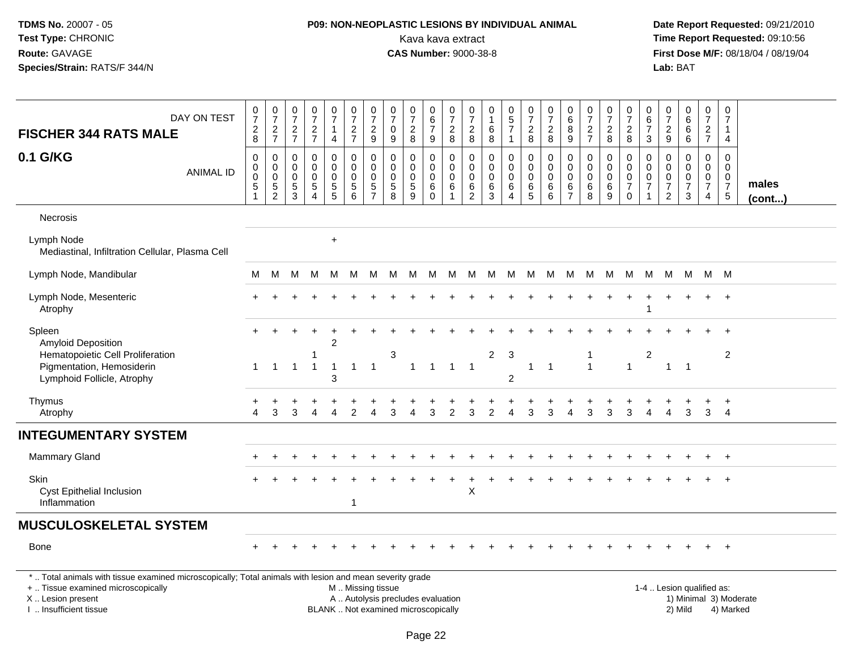## **P09: NON-NEOPLASTIC LESIONS BY INDIVIDUAL ANIMAL**Kava kava extract **Time Report Requested:** 09:10:56<br>**CAS Number:** 9000-38-8<br>**Tirst Dose M/F:** 08/18/04 / 08/19/04

 **Date Report Requested:** 09/21/2010 **First Dose M/F:** 08/18/04 / 08/19/04 Lab: BAT **Lab:** BAT

| DAY ON TEST                                                                                                                                                         | $\frac{0}{7}$                           | $\begin{array}{c} 0 \\ 7 \end{array}$                                 | $\begin{array}{c} 0 \\ 7 \end{array}$               | $\frac{0}{7}$                                                                  | $\frac{0}{7}$<br>$\mathbf{1}$          | $\frac{0}{7}$                                                               | $\frac{0}{7}$<br>$\overline{c}$                         | $\begin{array}{c} 0 \\ 7 \end{array}$<br>$\mathbf 0$           | $\begin{array}{c} 0 \\ 7 \end{array}$<br>$\overline{c}$     | $\begin{array}{c} 0 \\ 6 \end{array}$<br>$\overline{7}$             | $\begin{array}{c} 0 \\ 7 \end{array}$<br>$\boldsymbol{2}$            | $\mathbf 0$<br>$\overline{7}$<br>$\boldsymbol{2}$                   | $\mathbf 0$<br>$\mathbf{1}$<br>6                  | $\begin{array}{c} 0 \\ 5 \end{array}$<br>$\overline{7}$ | $\frac{0}{7}$<br>$\overline{a}$          | $\frac{0}{7}$<br>$\overline{2}$                         | 0<br>$\,6\,$<br>$\bf 8$                                | $\frac{0}{7}$                                       | $\frac{0}{7}$<br>$\sqrt{2}$                      | $\begin{matrix} 0 \\ 7 \end{matrix}$<br>$\overline{c}$           | 0<br>$\,6$<br>$\overline{7}$                        | $\frac{0}{7}$                                  | $\begin{matrix} 0\ 6\ 6 \end{matrix}$                     | $\begin{array}{c} 0 \\ 7 \end{array}$                       | $\pmb{0}$<br>$\overline{7}$<br>1                                               |                        |
|---------------------------------------------------------------------------------------------------------------------------------------------------------------------|-----------------------------------------|-----------------------------------------------------------------------|-----------------------------------------------------|--------------------------------------------------------------------------------|----------------------------------------|-----------------------------------------------------------------------------|---------------------------------------------------------|----------------------------------------------------------------|-------------------------------------------------------------|---------------------------------------------------------------------|----------------------------------------------------------------------|---------------------------------------------------------------------|---------------------------------------------------|---------------------------------------------------------|------------------------------------------|---------------------------------------------------------|--------------------------------------------------------|-----------------------------------------------------|--------------------------------------------------|------------------------------------------------------------------|-----------------------------------------------------|------------------------------------------------|-----------------------------------------------------------|-------------------------------------------------------------|--------------------------------------------------------------------------------|------------------------|
| <b>FISCHER 344 RATS MALE</b>                                                                                                                                        | $\frac{2}{8}$                           | $\frac{2}{7}$                                                         | $\frac{2}{7}$                                       | $\frac{2}{7}$                                                                  | $\overline{4}$                         | $\frac{2}{7}$                                                               | 9                                                       | 9                                                              | 8                                                           | $\mathsf g$                                                         | $\,8\,$                                                              | $\,8\,$                                                             | 8                                                 | 1                                                       | 8                                        | 8                                                       | $9\,$                                                  | $\frac{2}{7}$                                       | $\,8\,$                                          | 8                                                                | 3                                                   | $\frac{2}{9}$                                  | $6^{\circ}$                                               | $\frac{2}{7}$                                               | 4                                                                              |                        |
| 0.1 G/KG<br><b>ANIMAL ID</b>                                                                                                                                        | 0<br>0<br>$\overline{0}$<br>$\,$ 5 $\,$ | $\mathbf 0$<br>$\ddot{\mathbf{0}}$<br>$\overline{0}$<br>$\frac{5}{2}$ | 0<br>0<br>$\mathbf 0$<br>$\sqrt{5}$<br>$\mathbf{3}$ | $\mathbf 0$<br>$\Omega$<br>$\mathbf 0$<br>$\sqrt{5}$<br>$\boldsymbol{\Lambda}$ | 0<br>$\mathbf 0$<br>0<br>$\frac{5}{5}$ | 0<br>$\overline{0}$<br>$\mathsf 0$<br>$\begin{array}{c} 5 \\ 6 \end{array}$ | 0<br>$\mathbf{0}$<br>$\mathbf 0$<br>5<br>$\overline{7}$ | 0<br>0<br>$\mathbf 0$<br>$\begin{array}{c} 5 \\ 8 \end{array}$ | $\mathbf 0$<br>$\mathbf 0$<br>$\pmb{0}$<br>$\,$ 5 $\,$<br>9 | $\mathbf 0$<br>$\mathbf 0$<br>$\mathbf 0$<br>$\,6\,$<br>$\mathbf 0$ | $\mathbf 0$<br>$\mathbf 0$<br>$\mathbf 0$<br>$\,6$<br>$\overline{1}$ | $\mathbf 0$<br>$\Omega$<br>$\mathbf 0$<br>$\,6\,$<br>$\overline{2}$ | $\mathbf 0$<br>$\Omega$<br>$\Omega$<br>$\,6$<br>3 | 0<br>$\mathbf 0$<br>0<br>$\,6$<br>4                     | 0<br>$\mathbf 0$<br>0<br>6<br>$\sqrt{5}$ | $\pmb{0}$<br>$\ddot{\mathbf{0}}$<br>$\pmb{0}$<br>6<br>6 | $\mathbf 0$<br>$\mathbf 0$<br>0<br>6<br>$\overline{7}$ | 0<br>$\ddot{\mathbf{0}}$<br>$\pmb{0}$<br>$\,6$<br>8 | 0<br>$\mathbf{0}$<br>$\mathbf 0$<br>$\,6\,$<br>9 | 0<br>$\mathbf 0$<br>$\mathbf 0$<br>$\overline{7}$<br>$\mathbf 0$ | 0<br>$\Omega$<br>$\boldsymbol{0}$<br>$\overline{7}$ | 0<br>$\mathbf 0$<br>$\pmb{0}$<br>$\frac{7}{2}$ | $\mathbf 0$<br>$\overline{0}$<br>0<br>$\overline{7}$<br>3 | 0<br>$\boldsymbol{0}$<br>$\mathbf 0$<br>$\overline{7}$<br>4 | $\mathbf 0$<br>$\mathbf 0$<br>$\mathbf 0$<br>$\overline{7}$<br>$5\phantom{.0}$ | males<br>$($ cont $)$  |
| Necrosis                                                                                                                                                            |                                         |                                                                       |                                                     |                                                                                |                                        |                                                                             |                                                         |                                                                |                                                             |                                                                     |                                                                      |                                                                     |                                                   |                                                         |                                          |                                                         |                                                        |                                                     |                                                  |                                                                  |                                                     |                                                |                                                           |                                                             |                                                                                |                        |
| Lymph Node<br>Mediastinal, Infiltration Cellular, Plasma Cell                                                                                                       |                                         |                                                                       |                                                     |                                                                                | $\ddot{}$                              |                                                                             |                                                         |                                                                |                                                             |                                                                     |                                                                      |                                                                     |                                                   |                                                         |                                          |                                                         |                                                        |                                                     |                                                  |                                                                  |                                                     |                                                |                                                           |                                                             |                                                                                |                        |
| Lymph Node, Mandibular                                                                                                                                              | М                                       | M                                                                     | M                                                   | M                                                                              | M                                      | M                                                                           | M                                                       | M                                                              | M M                                                         |                                                                     | M                                                                    |                                                                     | M M M                                             |                                                         | M                                        |                                                         | M M M                                                  |                                                     | M                                                | M                                                                | M                                                   | M                                              | M                                                         |                                                             | M M                                                                            |                        |
| Lymph Node, Mesenteric<br>Atrophy                                                                                                                                   |                                         |                                                                       |                                                     |                                                                                |                                        |                                                                             |                                                         |                                                                |                                                             |                                                                     |                                                                      |                                                                     |                                                   |                                                         |                                          |                                                         |                                                        |                                                     |                                                  |                                                                  |                                                     |                                                |                                                           |                                                             | $\div$                                                                         |                        |
| Spleen<br><b>Amyloid Deposition</b><br>Hematopoietic Cell Proliferation                                                                                             | $+$                                     |                                                                       |                                                     | 1                                                                              | $\overline{c}$                         |                                                                             |                                                         | 3                                                              |                                                             |                                                                     |                                                                      |                                                                     | $\overline{c}$                                    | 3                                                       |                                          |                                                         |                                                        | -1                                                  |                                                  |                                                                  | $\boldsymbol{2}$                                    |                                                |                                                           |                                                             | $\div$<br>2                                                                    |                        |
| Pigmentation, Hemosiderin<br>Lymphoid Follicle, Atrophy                                                                                                             | $\mathbf{1}$                            | $\overline{1}$                                                        | $\overline{1}$                                      | $\overline{1}$                                                                 | $\mathbf{1}$<br>3                      | $\overline{1}$                                                              | $\overline{1}$                                          |                                                                | $\mathbf{1}$                                                | $\overline{1}$                                                      | $\overline{1}$                                                       | $\overline{1}$                                                      |                                                   | $\overline{2}$                                          | $\mathbf{1}$                             | $\overline{1}$                                          |                                                        | $\overline{1}$                                      |                                                  | $\mathbf{1}$                                                     |                                                     | $\mathbf{1}$                                   | $\overline{1}$                                            |                                                             |                                                                                |                        |
| Thymus<br>Atrophy                                                                                                                                                   | Δ                                       | 3                                                                     | 3                                                   | Δ                                                                              | $\boldsymbol{\Lambda}$                 | $\mathfrak{p}$                                                              | $\boldsymbol{\Lambda}$                                  | 3                                                              | $\overline{\mathbf{A}}$                                     | 3                                                                   | 2                                                                    | 3                                                                   | $\overline{2}$                                    | 4                                                       | 3                                        | 3                                                       | Δ                                                      | 3                                                   | 3                                                | 3                                                                | 4                                                   | 4                                              | 3                                                         | 3                                                           | $\ddot{}$<br>$\overline{4}$                                                    |                        |
| <b>INTEGUMENTARY SYSTEM</b>                                                                                                                                         |                                         |                                                                       |                                                     |                                                                                |                                        |                                                                             |                                                         |                                                                |                                                             |                                                                     |                                                                      |                                                                     |                                                   |                                                         |                                          |                                                         |                                                        |                                                     |                                                  |                                                                  |                                                     |                                                |                                                           |                                                             |                                                                                |                        |
| <b>Mammary Gland</b>                                                                                                                                                |                                         |                                                                       |                                                     |                                                                                |                                        |                                                                             |                                                         |                                                                |                                                             |                                                                     |                                                                      |                                                                     |                                                   |                                                         |                                          |                                                         |                                                        |                                                     |                                                  |                                                                  |                                                     |                                                |                                                           |                                                             | $^{+}$                                                                         |                        |
| Skin<br>Cyst Epithelial Inclusion<br>Inflammation                                                                                                                   |                                         |                                                                       |                                                     |                                                                                |                                        | 1                                                                           |                                                         |                                                                |                                                             |                                                                     |                                                                      | X                                                                   |                                                   |                                                         |                                          |                                                         |                                                        |                                                     |                                                  |                                                                  |                                                     |                                                |                                                           |                                                             | $+$                                                                            |                        |
| <b>MUSCULOSKELETAL SYSTEM</b>                                                                                                                                       |                                         |                                                                       |                                                     |                                                                                |                                        |                                                                             |                                                         |                                                                |                                                             |                                                                     |                                                                      |                                                                     |                                                   |                                                         |                                          |                                                         |                                                        |                                                     |                                                  |                                                                  |                                                     |                                                |                                                           |                                                             |                                                                                |                        |
| <b>Bone</b>                                                                                                                                                         |                                         |                                                                       |                                                     |                                                                                |                                        |                                                                             |                                                         |                                                                |                                                             |                                                                     |                                                                      |                                                                     |                                                   |                                                         |                                          |                                                         |                                                        |                                                     |                                                  |                                                                  |                                                     |                                                |                                                           |                                                             | $+$                                                                            |                        |
| *  Total animals with tissue examined microscopically; Total animals with lesion and mean severity grade<br>+  Tissue examined microscopically<br>X  Lesion present |                                         |                                                                       |                                                     |                                                                                |                                        | M  Missing tissue<br>A  Autolysis precludes evaluation                      |                                                         |                                                                |                                                             |                                                                     |                                                                      |                                                                     |                                                   |                                                         |                                          |                                                         |                                                        |                                                     |                                                  |                                                                  |                                                     |                                                | 1-4  Lesion qualified as:                                 |                                                             |                                                                                | 1) Minimal 3) Moderate |

I .. Insufficient tissue

BLANK .. Not examined microscopically 2) Mild 4) Marked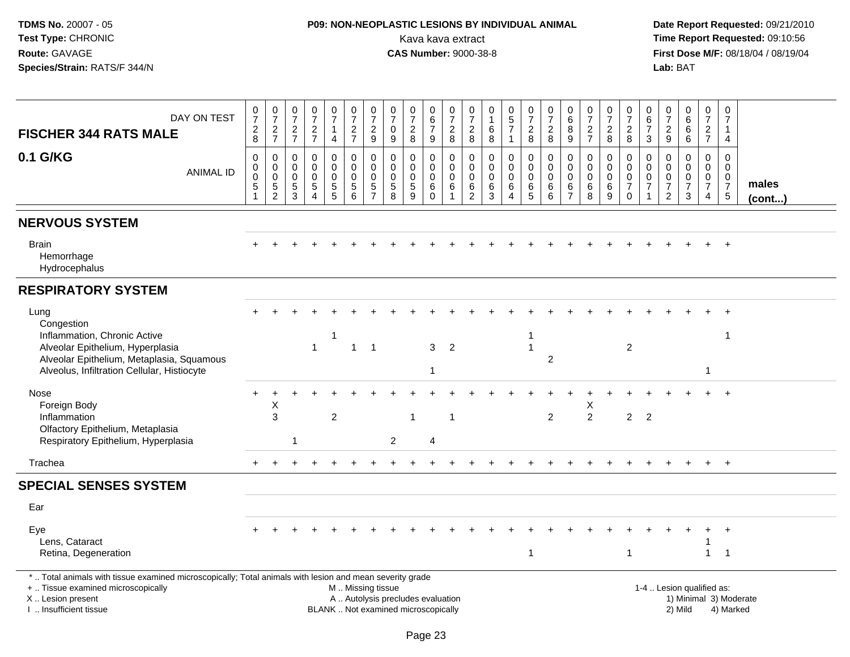## **P09: NON-NEOPLASTIC LESIONS BY INDIVIDUAL ANIMAL**Kava kava extract **Time Report Requested:** 09:10:56<br>**CAS Number:** 9000-38-8 **CAS Number:** 9000-38-8

| DAY ON TEST<br><b>FISCHER 344 RATS MALE</b>                                                                                                                                                   | $\frac{0}{7}$<br>$_{\rm 8}^2$                        | $\frac{0}{7}$<br>$\frac{2}{7}$                           | $\frac{0}{7}$<br>$\frac{2}{7}$                              | $\frac{0}{7}$<br>$\frac{2}{7}$                                         | $\begin{smallmatrix}0\\7\end{smallmatrix}$<br>$\mathbf{1}$<br>$\overline{4}$ | $\frac{0}{7}$<br>$\frac{2}{7}$                  | $\frac{0}{7}$<br>$\frac{2}{9}$                                 | $\frac{0}{7}$<br>$\mathbf 0$<br>$\overline{9}$                           | $\begin{array}{c} 0 \\ 7 \end{array}$<br>$^2_{\bf 8}$          | $\begin{array}{c} 0 \\ 6 \end{array}$<br>$\overline{7}$<br>$\boldsymbol{9}$ | $\frac{0}{7}$<br>$\frac{2}{8}$                                | $\frac{0}{7}$<br>$\frac{2}{8}$                                        | 0<br>$\mathbf{1}$<br>$\,6$<br>$\overline{8}$        | $\begin{array}{c} 0 \\ 5 \\ 7 \end{array}$<br>$\mathbf{1}$  | $\begin{smallmatrix}0\\7\end{smallmatrix}$<br>$\frac{2}{8}$ | $\begin{array}{c} 0 \\ 7 \end{array}$<br>$\boldsymbol{2}$<br>$\overline{8}$ | $_{6}^{\rm 0}$<br>$^8_9$                                             | $\frac{0}{7}$<br>$\frac{2}{7}$                 | $\frac{0}{7}$<br>$\frac{2}{8}$                        | 0<br>$\overline{7}$<br>$_{\rm 8}^2$                                             | 0<br>$6\phantom{a}$<br>$\overline{7}$<br>$\mathbf{3}$  | $\frac{0}{7}$<br>$\frac{2}{9}$                                    | $_{6}^{\rm 0}$<br>$\begin{matrix} 6 \\ 6 \end{matrix}$      | $\begin{array}{c} 0 \\ 7 \end{array}$<br>$\frac{2}{7}$                         | $\mathbf 0$<br>$\overline{7}$<br>$\mathbf{1}$<br>$\overline{4}$          |                        |
|-----------------------------------------------------------------------------------------------------------------------------------------------------------------------------------------------|------------------------------------------------------|----------------------------------------------------------|-------------------------------------------------------------|------------------------------------------------------------------------|------------------------------------------------------------------------------|-------------------------------------------------|----------------------------------------------------------------|--------------------------------------------------------------------------|----------------------------------------------------------------|-----------------------------------------------------------------------------|---------------------------------------------------------------|-----------------------------------------------------------------------|-----------------------------------------------------|-------------------------------------------------------------|-------------------------------------------------------------|-----------------------------------------------------------------------------|----------------------------------------------------------------------|------------------------------------------------|-------------------------------------------------------|---------------------------------------------------------------------------------|--------------------------------------------------------|-------------------------------------------------------------------|-------------------------------------------------------------|--------------------------------------------------------------------------------|--------------------------------------------------------------------------|------------------------|
| 0.1 G/KG<br><b>ANIMAL ID</b>                                                                                                                                                                  | 0<br>$\pmb{0}$<br>$\pmb{0}$<br>$5\,$<br>$\mathbf{1}$ | 0<br>$\ddot{\mathbf{0}}$<br>$\mathbf 0$<br>$\frac{5}{2}$ | $\mathbf 0$<br>0<br>$\boldsymbol{0}$<br>$\overline{5}$<br>3 | $\mathbf 0$<br>$\Omega$<br>$\mathbf 0$<br>$\sqrt{5}$<br>$\overline{4}$ | 0<br>$\mathbf 0$<br>$\pmb{0}$<br>$\frac{5}{5}$                               | 0<br>$\ddot{\mathbf{0}}$<br>$\pmb{0}$<br>5<br>6 | $\pmb{0}$<br>$\ddot{\mathbf{0}}$<br>$\pmb{0}$<br>$\frac{5}{7}$ | 0<br>$\mathbf 0$<br>$\pmb{0}$<br>$\sqrt{5}$<br>8                         | $\mathbf 0$<br>$\mathbf 0$<br>$\pmb{0}$<br>$\overline{5}$<br>9 | $\mathbf 0$<br>$\mathbf 0$<br>$\mathbf 0$<br>$\,6\,$<br>$\Omega$            | $\mathbf 0$<br>$\Omega$<br>$\mathbf 0$<br>6<br>$\overline{1}$ | $\mathbf 0$<br>$\mathbf 0$<br>$\boldsymbol{0}$<br>6<br>$\overline{2}$ | $\mathbf 0$<br>$\mathbf 0$<br>$\mathbf 0$<br>6<br>3 | 0<br>$\overline{0}$<br>$\pmb{0}$<br>$\,6$<br>$\overline{4}$ | 0<br>$\overline{0}$<br>$\mathsf{O}\xspace$<br>$\,6\,$<br>5  | $\mathbf 0$<br>$\ddot{\mathbf{0}}$<br>$\pmb{0}$<br>6<br>$6\phantom{a}$      | $\mathbf 0$<br>$\mathbf 0$<br>$\pmb{0}$<br>$\,6\,$<br>$\overline{7}$ | $\mathbf 0$<br>$\Omega$<br>$\pmb{0}$<br>6<br>8 | 0<br>$\mathsf{O}\xspace$<br>$\pmb{0}$<br>$\,6\,$<br>9 | $\mathbf 0$<br>$\overline{0}$<br>$\mathbf 0$<br>$\boldsymbol{7}$<br>$\mathbf 0$ | $\mathbf 0$<br>$\Omega$<br>$\pmb{0}$<br>$\overline{7}$ | $\mathbf 0$<br>$\mathbf{0}$<br>$\pmb{0}$<br>$\boldsymbol{7}$<br>2 | $\mathbf 0$<br>$\mathbf 0$<br>$\frac{0}{7}$<br>$\mathbf{3}$ | $\mathbf 0$<br>$\mathbf{0}$<br>$\mathbf 0$<br>$\overline{7}$<br>$\overline{4}$ | $\Omega$<br>$\Omega$<br>$\mathbf 0$<br>$\overline{7}$<br>$5\phantom{.0}$ | males<br>(cont)        |
| <b>NERVOUS SYSTEM</b>                                                                                                                                                                         |                                                      |                                                          |                                                             |                                                                        |                                                                              |                                                 |                                                                |                                                                          |                                                                |                                                                             |                                                               |                                                                       |                                                     |                                                             |                                                             |                                                                             |                                                                      |                                                |                                                       |                                                                                 |                                                        |                                                                   |                                                             |                                                                                |                                                                          |                        |
| <b>Brain</b><br>Hemorrhage<br>Hydrocephalus                                                                                                                                                   |                                                      |                                                          |                                                             |                                                                        |                                                                              |                                                 |                                                                |                                                                          |                                                                |                                                                             |                                                               |                                                                       |                                                     |                                                             |                                                             |                                                                             |                                                                      |                                                |                                                       |                                                                                 |                                                        |                                                                   |                                                             |                                                                                |                                                                          |                        |
| <b>RESPIRATORY SYSTEM</b>                                                                                                                                                                     |                                                      |                                                          |                                                             |                                                                        |                                                                              |                                                 |                                                                |                                                                          |                                                                |                                                                             |                                                               |                                                                       |                                                     |                                                             |                                                             |                                                                             |                                                                      |                                                |                                                       |                                                                                 |                                                        |                                                                   |                                                             |                                                                                |                                                                          |                        |
| Lung<br>Congestion<br>Inflammation, Chronic Active<br>Alveolar Epithelium, Hyperplasia                                                                                                        |                                                      |                                                          |                                                             | $\overline{1}$                                                         | -1                                                                           | $\mathbf{1}$                                    | $\overline{1}$                                                 |                                                                          |                                                                | 3                                                                           | $\overline{2}$                                                |                                                                       |                                                     |                                                             | -1<br>$\overline{1}$                                        |                                                                             |                                                                      |                                                |                                                       | $\boldsymbol{2}$                                                                |                                                        |                                                                   |                                                             |                                                                                | $\overline{\mathbf{1}}$                                                  |                        |
| Alveolar Epithelium, Metaplasia, Squamous<br>Alveolus, Infiltration Cellular, Histiocyte                                                                                                      |                                                      |                                                          |                                                             |                                                                        |                                                                              |                                                 |                                                                |                                                                          |                                                                |                                                                             |                                                               |                                                                       |                                                     |                                                             |                                                             | $\overline{c}$                                                              |                                                                      |                                                |                                                       |                                                                                 |                                                        |                                                                   |                                                             |                                                                                |                                                                          |                        |
| Nose<br>Foreign Body<br>Inflammation                                                                                                                                                          | $+$                                                  | X<br>$\mathbf{3}$                                        |                                                             |                                                                        | $\overline{c}$                                                               |                                                 |                                                                |                                                                          | -1                                                             |                                                                             | $\overline{\mathbf{1}}$                                       |                                                                       |                                                     |                                                             |                                                             | $\overline{2}$                                                              |                                                                      | Х<br>$\overline{2}$                            |                                                       | $\overline{c}$                                                                  | $\overline{2}$                                         |                                                                   |                                                             |                                                                                | $\ddot{}$                                                                |                        |
| Olfactory Epithelium, Metaplasia<br>Respiratory Epithelium, Hyperplasia                                                                                                                       |                                                      |                                                          | 1                                                           |                                                                        |                                                                              |                                                 |                                                                | $\overline{2}$                                                           |                                                                | 4                                                                           |                                                               |                                                                       |                                                     |                                                             |                                                             |                                                                             |                                                                      |                                                |                                                       |                                                                                 |                                                        |                                                                   |                                                             |                                                                                |                                                                          |                        |
| Trachea                                                                                                                                                                                       |                                                      |                                                          |                                                             |                                                                        |                                                                              |                                                 |                                                                |                                                                          |                                                                |                                                                             |                                                               |                                                                       |                                                     |                                                             |                                                             |                                                                             |                                                                      |                                                |                                                       |                                                                                 |                                                        |                                                                   |                                                             | $+$                                                                            | $+$                                                                      |                        |
| <b>SPECIAL SENSES SYSTEM</b>                                                                                                                                                                  |                                                      |                                                          |                                                             |                                                                        |                                                                              |                                                 |                                                                |                                                                          |                                                                |                                                                             |                                                               |                                                                       |                                                     |                                                             |                                                             |                                                                             |                                                                      |                                                |                                                       |                                                                                 |                                                        |                                                                   |                                                             |                                                                                |                                                                          |                        |
| Ear                                                                                                                                                                                           |                                                      |                                                          |                                                             |                                                                        |                                                                              |                                                 |                                                                |                                                                          |                                                                |                                                                             |                                                               |                                                                       |                                                     |                                                             |                                                             |                                                                             |                                                                      |                                                |                                                       |                                                                                 |                                                        |                                                                   |                                                             |                                                                                |                                                                          |                        |
| Eye<br>Lens, Cataract<br>Retina, Degeneration                                                                                                                                                 |                                                      |                                                          |                                                             |                                                                        |                                                                              |                                                 |                                                                |                                                                          |                                                                |                                                                             |                                                               |                                                                       |                                                     |                                                             | $\mathbf{1}$                                                |                                                                             |                                                                      |                                                |                                                       | $\overline{1}$                                                                  |                                                        |                                                                   |                                                             | 1<br>$\mathbf{1}$                                                              | $\overline{\mathbf{1}}$                                                  |                        |
| *  Total animals with tissue examined microscopically; Total animals with lesion and mean severity grade<br>+  Tissue examined microscopically<br>X  Lesion present<br>I  Insufficient tissue |                                                      |                                                          |                                                             |                                                                        |                                                                              | M  Missing tissue                               |                                                                | A  Autolysis precludes evaluation<br>BLANK  Not examined microscopically |                                                                |                                                                             |                                                               |                                                                       |                                                     |                                                             |                                                             |                                                                             |                                                                      |                                                |                                                       |                                                                                 |                                                        |                                                                   | 1-4  Lesion qualified as:<br>2) Mild                        |                                                                                | 4) Marked                                                                | 1) Minimal 3) Moderate |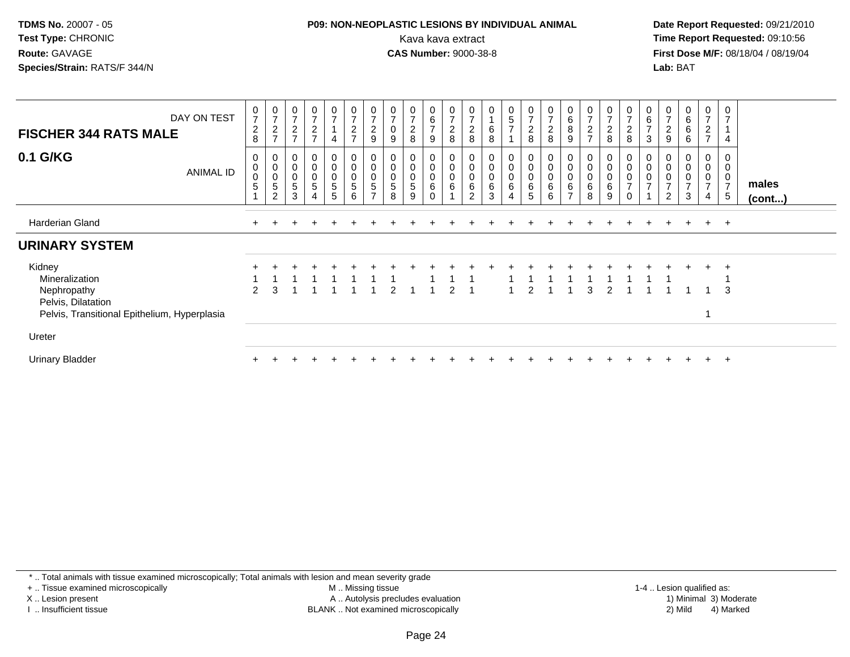#### **P09: NON-NEOPLASTIC LESIONS BY INDIVIDUAL ANIMAL**Kava kava extract **Time Report Requested:** 09:10:56<br>**CAS Number:** 9000-38-8<br>**Tirst Dose M/F:** 08/18/04 / 08/19/04

 **Date Report Requested:** 09/21/2010 **First Dose M/F:** 08/18/04 / 08/19/04 Lab: BAT **Lab:** BAT

| DAY ON TEST<br><b>FISCHER 344 RATS MALE</b>                                                                   | $\frac{0}{7}$<br>$\boldsymbol{2}$<br>8 | $\frac{0}{7}$<br>$\frac{2}{7}$                                                                 | 0<br>$\overline{ }$<br>$\overline{c}$<br>$\overline{z}$ | $\pmb{0}$<br>$\overline{ }$<br>$\overline{c}$<br>$\overline{z}$           | $\frac{0}{7}$<br>$\overline{4}$                | 0<br>7<br>$\boldsymbol{2}$<br>$\overline{7}$ | 0<br>$\overline{ }$<br>$\frac{2}{9}$ | $\overline{ }$<br>$\pmb{0}$<br>9 | $\overline{ }$<br>$\overline{c}$<br>8 | $\begin{array}{c} 0 \\ 6 \\ 7 \end{array}$<br>9        | 0<br>$\overline{7}$<br>$\overline{c}$<br>$\,8\,$ | $\frac{0}{7}$<br>$\overline{2}$<br>8                      | 0<br>$\,6$<br>8                       | 0<br>5<br>$\overline{7}$ | $\frac{0}{7}$<br>$\frac{2}{8}$                  | 0<br>$\overline{ }$<br>$\frac{2}{8}$        | $\begin{array}{c} 0 \\ 6 \end{array}$<br>$\bf 8$<br>9           | 0<br>$\overline{7}$<br>$\sqrt{2}$<br>$\overline{z}$ | $\frac{0}{7}$<br>$\overline{c}$<br>8 | $\mathbf 0$<br>$\overline{7}$<br>$\overline{c}$<br>8 | 0<br>6<br>$\overline{7}$<br>3 | $\overline{7}$<br>$\sqrt{2}$<br>$\boldsymbol{9}$ | 0<br>$\,6\,$<br>$\,6\,$<br>$\,6\,$       | $\begin{array}{c} 0 \\ 7 \end{array}$<br>$\overline{c}$<br>$\overline{7}$ | 0<br>$\overline{7}$<br>1<br>$\overline{4}$   |                       |
|---------------------------------------------------------------------------------------------------------------|----------------------------------------|------------------------------------------------------------------------------------------------|---------------------------------------------------------|---------------------------------------------------------------------------|------------------------------------------------|----------------------------------------------|--------------------------------------|----------------------------------|---------------------------------------|--------------------------------------------------------|--------------------------------------------------|-----------------------------------------------------------|---------------------------------------|--------------------------|-------------------------------------------------|---------------------------------------------|-----------------------------------------------------------------|-----------------------------------------------------|--------------------------------------|------------------------------------------------------|-------------------------------|--------------------------------------------------|------------------------------------------|---------------------------------------------------------------------------|----------------------------------------------|-----------------------|
| 0.1 G/KG<br>ANIMAL ID                                                                                         | 0<br>$\,0\,$<br>$\pmb{0}$<br>5         | $\boldsymbol{0}$<br>$\pmb{0}$<br>$\begin{smallmatrix}0\0\0\end{smallmatrix}$<br>$\overline{2}$ | 0<br>0<br>$\pmb{0}$<br>$\sqrt{5}$<br>3                  | 0<br>$\pmb{0}$<br>$\begin{array}{c} 0 \\ 5 \end{array}$<br>$\overline{4}$ | 0<br>$\pmb{0}$<br>$\pmb{0}$<br>$\sqrt{5}$<br>5 | 0<br>$\boldsymbol{0}$<br>$\sqrt{5}$<br>6     | 0<br>0<br>5<br>$\overline{ }$        | $\pmb{0}$<br>0<br>5<br>8         | 0<br>0<br>5<br>9                      | 0<br>$\mathbf 0$<br>$\mathbf 0$<br>$\,6\,$<br>$\Omega$ | $\mathbf 0$<br>$\boldsymbol{0}$<br>6             | 0<br>$\boldsymbol{0}$<br>$\boldsymbol{0}$<br>$\,6\,$<br>2 | 0<br>$\boldsymbol{0}$<br>$\,6\,$<br>3 | 0<br>0<br>0<br>6         | $\mathbf 0$<br>$\pmb{0}$<br>$\pmb{0}$<br>6<br>5 | 0<br>$\pmb{0}$<br>$\pmb{0}$<br>$\,6\,$<br>6 | 0<br>$\pmb{0}$<br>$\pmb{0}$<br>$6\phantom{a}$<br>$\overline{ }$ | $\pmb{0}$<br>$\pmb{0}$<br>$6\phantom{a}$<br>8       | 0<br>$\pmb{0}$<br>0<br>$\,6\,$<br>9  | $\pmb{0}$<br>$\pmb{0}$<br>$\overline{7}$<br>$\Omega$ | 0<br>0<br>$\overline{ }$      | 0<br>$\overline{7}$<br>$\overline{2}$            | 0<br>0<br>$\,0\,$<br>$\overline{ }$<br>3 | 0<br>$\mathbf 0$<br>$\frac{0}{7}$<br>4                                    | 0<br>0<br>$\mathbf 0$<br>$\overline{7}$<br>5 | males<br>$($ cont $)$ |
| Harderian Gland                                                                                               |                                        |                                                                                                |                                                         |                                                                           |                                                |                                              |                                      |                                  |                                       |                                                        |                                                  |                                                           |                                       |                          |                                                 |                                             |                                                                 |                                                     |                                      |                                                      |                               |                                                  | $\div$                                   | $+$                                                                       | $+$                                          |                       |
| <b>URINARY SYSTEM</b>                                                                                         |                                        |                                                                                                |                                                         |                                                                           |                                                |                                              |                                      |                                  |                                       |                                                        |                                                  |                                                           |                                       |                          |                                                 |                                             |                                                                 |                                                     |                                      |                                                      |                               |                                                  |                                          |                                                                           |                                              |                       |
| Kidney<br>Mineralization<br>Nephropathy<br>Pelvis, Dilatation<br>Pelvis, Transitional Epithelium, Hyperplasia | $\overline{2}$                         | 3                                                                                              |                                                         |                                                                           |                                                |                                              |                                      | 2                                |                                       |                                                        | 2                                                |                                                           |                                       |                          |                                                 |                                             |                                                                 | 3                                                   | 2                                    |                                                      |                               |                                                  |                                          |                                                                           | $\overline{ }$<br>3                          |                       |
| Ureter                                                                                                        |                                        |                                                                                                |                                                         |                                                                           |                                                |                                              |                                      |                                  |                                       |                                                        |                                                  |                                                           |                                       |                          |                                                 |                                             |                                                                 |                                                     |                                      |                                                      |                               |                                                  |                                          |                                                                           |                                              |                       |
| <b>Urinary Bladder</b>                                                                                        |                                        |                                                                                                |                                                         |                                                                           |                                                |                                              |                                      |                                  |                                       |                                                        |                                                  |                                                           |                                       |                          |                                                 |                                             |                                                                 |                                                     |                                      |                                                      |                               |                                                  |                                          | +                                                                         | $+$                                          |                       |

\* .. Total animals with tissue examined microscopically; Total animals with lesion and mean severity grade

+ .. Tissue examined microscopically

X .. Lesion present

I .. Insufficient tissue

 M .. Missing tissueA .. Autolysis precludes evaluation

BLANK .. Not examined microscopically 2) Mild 4) Marked

1-4 .. Lesion qualified as: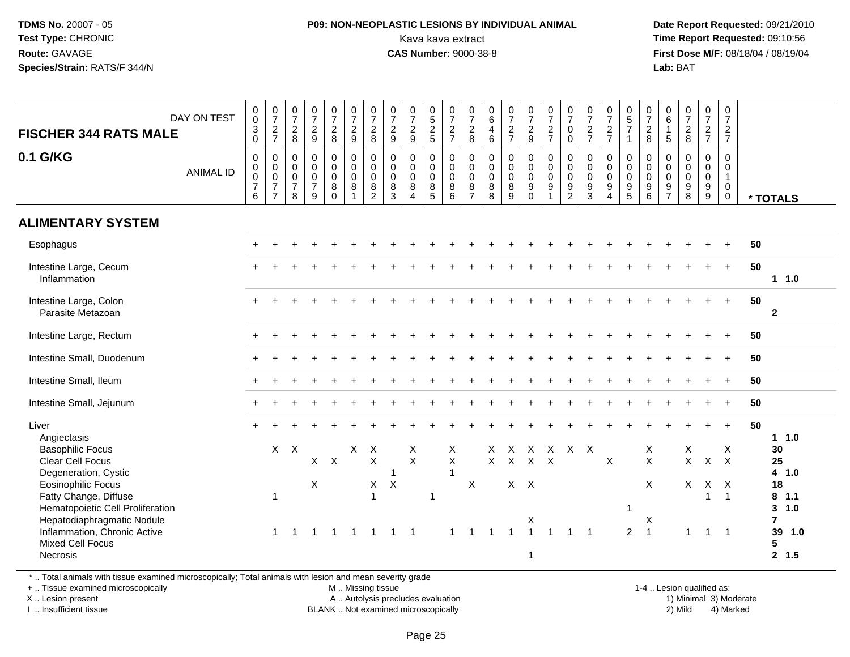#### **P09: NON-NEOPLASTIC LESIONS BY INDIVIDUAL ANIMAL**Kava kava extract **Time Report Requested:** 09:10:56<br>**CAS Number:** 9000-38-8<br>**Tirst Dose M/F:** 08/18/04 / 08/19/04

 **Date Report Requested:** 09/21/2010 **First Dose M/F:** 08/18/04 / 08/19/04 Lab: BAT **Lab:** BAT

| DAY ON TEST<br><b>FISCHER 344 RATS MALE</b><br>0.1 G/KG<br><b>ANIMAL ID</b>             | $\begin{smallmatrix}0\0\0\end{smallmatrix}$<br>$\overline{3}$ 0<br>$\pmb{0}$<br>$\begin{matrix} 0 \\ 0 \\ 7 \end{matrix}$ | $\frac{0}{7}$<br>$\frac{2}{7}$<br>$\mathsf{O}$<br>$\mathsf{O}\xspace$<br>$\ddot{\mathbf{0}}$ | $\begin{smallmatrix}0\\7\end{smallmatrix}$<br>$_{8}^{\rm 2}$<br>$\pmb{0}$<br>$\pmb{0}$<br>$\mathbf 0$ | $\begin{array}{c} 0 \\ 7 \end{array}$<br>$\frac{2}{9}$<br>$\pmb{0}$<br>$\mathsf{O}\xspace$<br>$\overline{0}$ | $\begin{smallmatrix}0\\7\end{smallmatrix}$<br>$\frac{2}{8}$<br>$\mathbf 0$<br>$\overline{0}$<br>$\overline{0}$ | $\frac{0}{7}$<br>$\frac{2}{9}$<br>$\mathbf 0$<br>$\overline{0}$<br>$\overline{0}$ | $\frac{0}{7}$<br>$\sqrt{2}$<br>8<br>$\mathbf 0$<br>$\mathbf 0$<br>$\mathbf 0$ | $\frac{0}{7}$<br>$\frac{2}{9}$<br>$\pmb{0}$<br>$\mathbf 0$<br>$\ddot{\mathbf{0}}$ | $\frac{0}{7}$<br>$\frac{2}{9}$<br>$\mathbf 0$<br>$\mathbf 0$<br>$\mathbf 0$ | $\begin{array}{c} 0 \\ 5 \\ 2 \\ 5 \end{array}$<br>$\pmb{0}$<br>$\ddot{\mathbf{0}}$<br>$\ddot{\mathbf{0}}$ | $\frac{0}{7}$<br>$\frac{2}{7}$<br>$\pmb{0}$<br>$\mathsf{O}\xspace$<br>$\mathbf 0$ | $\frac{0}{7}$<br>$\frac{2}{8}$<br>$\mathsf{O}\xspace$<br>$\mathbf 0$<br>$\ddot{\mathbf{0}}$ | $\begin{matrix} 0 \\ 6 \\ 4 \end{matrix}$<br>6<br>$\mathsf{O}\xspace$<br>$\mathsf{O}\xspace$<br>$\bar{0}$ | $\frac{0}{7}$<br>$\frac{2}{7}$<br>0<br>$\mathbf 0$<br>$\ddot{\mathbf{0}}$ | $\frac{0}{7}$<br>$\frac{2}{9}$<br>$\mathsf 0$<br>$\ddot{\mathbf{0}}$<br>$\overline{0}$ | $\frac{0}{7}$<br>$\frac{2}{7}$<br>$\pmb{0}$<br>$\pmb{0}$<br>$\ddot{\mathbf{0}}$ | $\frac{0}{7}$<br>$\mathbf 0$<br>$\mathbf 0$<br>$\pmb{0}$<br>$\mathbf 0$<br>$\mathbf 0$ | $\frac{0}{7}$<br>$\frac{2}{7}$<br>$\mathbf 0$<br>$\mathbf 0$<br>$\mathbf 0$ | $\frac{0}{7}$<br>$\frac{2}{7}$<br>$\pmb{0}$<br>$\mathbf 0$<br>$\ddot{\mathbf{0}}$ | 0<br>$\frac{5}{7}$<br>$\mathbf{1}$<br>0<br>$\mathbf 0$<br>$\mathbf 0$ | $\begin{array}{c} 0 \\ 7 \\ 2 \\ 8 \end{array}$<br>$\pmb{0}$<br>$\overline{0}$ | $_6^0$<br>$\mathbf{1}$<br>5<br>$\mathbf 0$<br>$\mathbf 0$<br>$\overline{0}$ | $\frac{0}{7}$<br>$\frac{2}{8}$<br>$\begin{smallmatrix}0\0\0\0\end{smallmatrix}$ | $\frac{0}{7}$<br>$\frac{2}{7}$<br>$\pmb{0}$<br>$\pmb{0}$<br>$\overline{0}$ | 0<br>$\overline{7}$<br>$\overline{2}$<br>$\overline{7}$<br>$\Omega$<br>$\Omega$<br>$\overline{1}$ |    |                                     |
|-----------------------------------------------------------------------------------------|---------------------------------------------------------------------------------------------------------------------------|----------------------------------------------------------------------------------------------|-------------------------------------------------------------------------------------------------------|--------------------------------------------------------------------------------------------------------------|----------------------------------------------------------------------------------------------------------------|-----------------------------------------------------------------------------------|-------------------------------------------------------------------------------|-----------------------------------------------------------------------------------|-----------------------------------------------------------------------------|------------------------------------------------------------------------------------------------------------|-----------------------------------------------------------------------------------|---------------------------------------------------------------------------------------------|-----------------------------------------------------------------------------------------------------------|---------------------------------------------------------------------------|----------------------------------------------------------------------------------------|---------------------------------------------------------------------------------|----------------------------------------------------------------------------------------|-----------------------------------------------------------------------------|-----------------------------------------------------------------------------------|-----------------------------------------------------------------------|--------------------------------------------------------------------------------|-----------------------------------------------------------------------------|---------------------------------------------------------------------------------|----------------------------------------------------------------------------|---------------------------------------------------------------------------------------------------|----|-------------------------------------|
|                                                                                         | 6                                                                                                                         | $\overline{7}$<br>$\overline{7}$                                                             | $\overline{7}$<br>8                                                                                   | $\overline{7}$<br>9                                                                                          | $\bf 8$<br>$\mathbf 0$                                                                                         | $\, 8$<br>$\overline{1}$                                                          | 8<br>$\overline{2}$                                                           | $\bf8$<br>$\mathbf{3}$                                                            | $\bf8$<br>$\overline{4}$                                                    | $\overline{8}$<br>$5\phantom{.0}$                                                                          | 8<br>6                                                                            | $\bf 8$<br>$\overline{7}$                                                                   | $\overline{8}$<br>$\overline{8}$                                                                          | 8<br>9                                                                    | $\overline{9}$<br>$\mathbf 0$                                                          | $\boldsymbol{9}$<br>$\overline{1}$                                              | $\boldsymbol{9}$<br>$\overline{2}$                                                     | $\boldsymbol{9}$<br>$\overline{3}$                                          | $\overline{9}$<br>$\overline{4}$                                                  | $\boldsymbol{9}$<br>5                                                 | $\frac{9}{6}$                                                                  | $\frac{9}{7}$                                                               | $\frac{9}{8}$                                                                   | $\frac{9}{9}$                                                              | $\mathbf 0$<br>$\mathbf 0$                                                                        |    | * TOTALS                            |
| <b>ALIMENTARY SYSTEM</b>                                                                |                                                                                                                           |                                                                                              |                                                                                                       |                                                                                                              |                                                                                                                |                                                                                   |                                                                               |                                                                                   |                                                                             |                                                                                                            |                                                                                   |                                                                                             |                                                                                                           |                                                                           |                                                                                        |                                                                                 |                                                                                        |                                                                             |                                                                                   |                                                                       |                                                                                |                                                                             |                                                                                 |                                                                            |                                                                                                   |    |                                     |
| Esophagus                                                                               |                                                                                                                           |                                                                                              |                                                                                                       |                                                                                                              |                                                                                                                |                                                                                   |                                                                               |                                                                                   |                                                                             |                                                                                                            |                                                                                   |                                                                                             |                                                                                                           |                                                                           |                                                                                        |                                                                                 |                                                                                        |                                                                             |                                                                                   |                                                                       |                                                                                |                                                                             |                                                                                 |                                                                            |                                                                                                   | 50 |                                     |
| Intestine Large, Cecum<br>Inflammation                                                  |                                                                                                                           |                                                                                              |                                                                                                       |                                                                                                              |                                                                                                                |                                                                                   |                                                                               |                                                                                   |                                                                             |                                                                                                            |                                                                                   |                                                                                             |                                                                                                           |                                                                           |                                                                                        |                                                                                 |                                                                                        |                                                                             |                                                                                   |                                                                       |                                                                                |                                                                             |                                                                                 |                                                                            | $\ddot{}$                                                                                         | 50 | 1 1.0                               |
| Intestine Large, Colon<br>Parasite Metazoan                                             |                                                                                                                           |                                                                                              |                                                                                                       |                                                                                                              |                                                                                                                |                                                                                   |                                                                               |                                                                                   |                                                                             |                                                                                                            |                                                                                   |                                                                                             |                                                                                                           |                                                                           |                                                                                        |                                                                                 |                                                                                        |                                                                             |                                                                                   |                                                                       |                                                                                |                                                                             |                                                                                 |                                                                            |                                                                                                   | 50 | $\overline{2}$                      |
| Intestine Large, Rectum                                                                 |                                                                                                                           |                                                                                              |                                                                                                       |                                                                                                              |                                                                                                                |                                                                                   |                                                                               |                                                                                   |                                                                             |                                                                                                            |                                                                                   |                                                                                             |                                                                                                           |                                                                           |                                                                                        |                                                                                 |                                                                                        |                                                                             |                                                                                   |                                                                       |                                                                                |                                                                             |                                                                                 |                                                                            |                                                                                                   | 50 |                                     |
| Intestine Small, Duodenum                                                               |                                                                                                                           |                                                                                              |                                                                                                       |                                                                                                              |                                                                                                                |                                                                                   |                                                                               |                                                                                   |                                                                             |                                                                                                            |                                                                                   |                                                                                             |                                                                                                           |                                                                           |                                                                                        |                                                                                 |                                                                                        |                                                                             |                                                                                   |                                                                       |                                                                                |                                                                             |                                                                                 |                                                                            |                                                                                                   | 50 |                                     |
| Intestine Small, Ileum                                                                  |                                                                                                                           |                                                                                              |                                                                                                       |                                                                                                              |                                                                                                                |                                                                                   |                                                                               |                                                                                   |                                                                             |                                                                                                            |                                                                                   |                                                                                             |                                                                                                           |                                                                           |                                                                                        |                                                                                 |                                                                                        |                                                                             |                                                                                   |                                                                       |                                                                                |                                                                             |                                                                                 |                                                                            |                                                                                                   | 50 |                                     |
| Intestine Small, Jejunum                                                                |                                                                                                                           |                                                                                              |                                                                                                       |                                                                                                              |                                                                                                                |                                                                                   |                                                                               |                                                                                   |                                                                             |                                                                                                            |                                                                                   |                                                                                             |                                                                                                           |                                                                           |                                                                                        |                                                                                 |                                                                                        |                                                                             |                                                                                   |                                                                       |                                                                                |                                                                             |                                                                                 | $+$                                                                        | $\div$                                                                                            | 50 |                                     |
| Liver<br>Angiectasis                                                                    |                                                                                                                           |                                                                                              |                                                                                                       |                                                                                                              |                                                                                                                |                                                                                   |                                                                               |                                                                                   |                                                                             |                                                                                                            |                                                                                   |                                                                                             |                                                                                                           |                                                                           |                                                                                        |                                                                                 |                                                                                        |                                                                             |                                                                                   |                                                                       |                                                                                |                                                                             |                                                                                 |                                                                            | $\ddot{}$                                                                                         | 50 | $1 1.0$                             |
| <b>Basophilic Focus</b><br><b>Clear Cell Focus</b><br>Degeneration, Cystic              |                                                                                                                           |                                                                                              | $X$ $X$                                                                                               |                                                                                                              | $X$ $X$                                                                                                        | $\mathsf{X}$                                                                      | $\times$<br>$\pmb{\times}$                                                    | 1                                                                                 | X<br>$\mathsf{X}$                                                           |                                                                                                            | X<br>$\mathsf X$<br>$\overline{1}$                                                |                                                                                             |                                                                                                           | $X$ $X$                                                                   | X X X X X X<br>$X$ $X$                                                                 |                                                                                 |                                                                                        |                                                                             | $\mathsf{X}$                                                                      |                                                                       | X<br>$\mathsf{X}$                                                              |                                                                             | X<br>$\mathsf{X}^-$                                                             |                                                                            | Χ<br>$X$ $X$                                                                                      |    | 30<br>25<br>4 1.0                   |
| <b>Eosinophilic Focus</b>                                                               |                                                                                                                           |                                                                                              |                                                                                                       | X                                                                                                            |                                                                                                                |                                                                                   | X                                                                             | $\boldsymbol{X}$                                                                  |                                                                             |                                                                                                            |                                                                                   | $\sf X$                                                                                     |                                                                                                           | $X$ $X$                                                                   |                                                                                        |                                                                                 |                                                                                        |                                                                             |                                                                                   |                                                                       | $\boldsymbol{\mathsf{X}}$                                                      |                                                                             |                                                                                 | X X X                                                                      |                                                                                                   |    | 18                                  |
| Fatty Change, Diffuse<br>Hematopoietic Cell Proliferation<br>Hepatodiaphragmatic Nodule |                                                                                                                           | $\mathbf 1$                                                                                  |                                                                                                       |                                                                                                              |                                                                                                                |                                                                                   | $\overline{1}$                                                                |                                                                                   |                                                                             | $\mathbf{1}$                                                                                               |                                                                                   |                                                                                             |                                                                                                           |                                                                           | X                                                                                      |                                                                                 |                                                                                        |                                                                             |                                                                                   | $\mathbf{1}$                                                          | X                                                                              |                                                                             |                                                                                 | $\overline{1}$                                                             | $\mathbf{1}$                                                                                      |    | $8$ 1.1<br>3, 1.0<br>$\overline{7}$ |
| Inflammation, Chronic Active<br>Mixed Cell Focus<br>Necrosis                            |                                                                                                                           | $\mathbf{1}$                                                                                 | $\overline{1}$                                                                                        | $\overline{1}$                                                                                               | $\overline{1}$                                                                                                 | $\overline{1}$                                                                    | $\overline{1}$                                                                | $\mathbf 1$                                                                       | $\overline{\phantom{1}}$                                                    |                                                                                                            | -1                                                                                | $\mathbf{1}$                                                                                | $\overline{1}$                                                                                            | $\overline{1}$                                                            | $\overline{1}$<br>$\overline{1}$                                                       | $\overline{1}$                                                                  | -1                                                                                     | $\overline{1}$                                                              |                                                                                   | $\overline{2}$                                                        | $\overline{1}$                                                                 |                                                                             | $\mathbf{1}$                                                                    | $\mathbf{1}$                                                               | $\overline{1}$                                                                                    |    | 39 1.0<br>5<br>2, 1.5               |

\* .. Total animals with tissue examined microscopically; Total animals with lesion and mean severity grade

+ .. Tissue examined microscopically

X .. Lesion present

I .. Insufficient tissue

M .. Missing tissue

BLANK .. Not examined microscopically

1-4 .. Lesion qualified as:<br>1) Minimal 3) Moderate A .. Autolysis precludes evaluation 19 (1999) 1999 10: 12 (1999) 1999 10: 12 (1999) A .. Autolysis precludes evaluation 1999 10: 13 (1999) 1999 10: 13 (1999) 1999 10: 13 (1999) 1999 10: 13 (1999) 1999 10: 13 (1999) 1999 10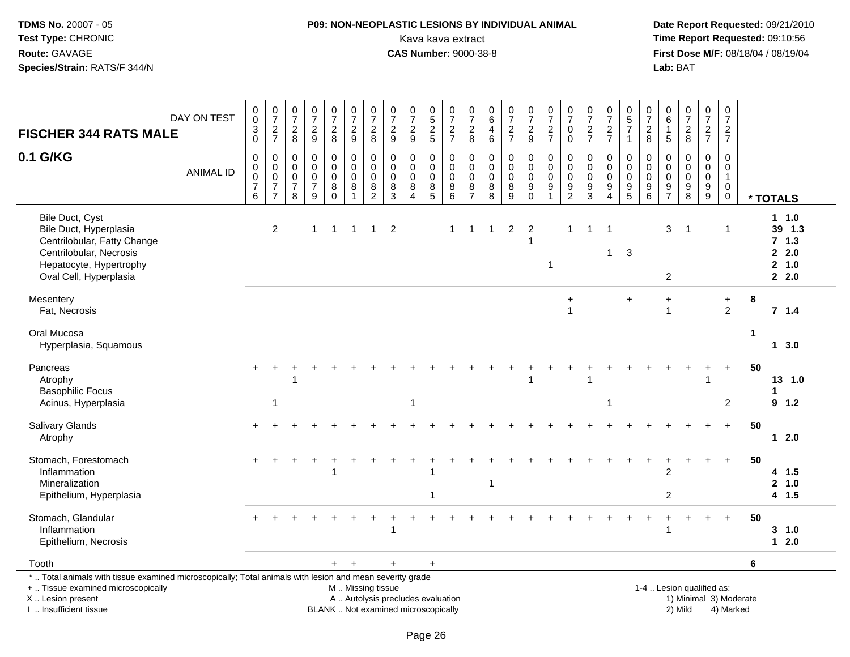## **P09: NON-NEOPLASTIC LESIONS BY INDIVIDUAL ANIMAL**Kava kava extract **Time Report Requested:** 09:10:56<br>**CAS Number:** 9000-38-8<br>**Tirst Dose M/F:** 08/18/04 / 08/19/04

 **Date Report Requested:** 09/21/2010 **First Dose M/F:** 08/18/04 / 08/19/04 Lab: BAT **Lab:** BAT

|                                                                                                                                                                     | DAY ON TEST      | $_{\rm 0}^{\rm 0}$                                                          | $\frac{0}{7}$                                           | $\frac{0}{7}$                                | $\frac{0}{7}$                                                | $\frac{0}{7}$                             | $\frac{0}{7}$                                                         | $\frac{0}{7}$                                        | $\frac{0}{7}$                                           | $\frac{0}{7}$                                | $\begin{array}{c} 0 \\ 5 \end{array}$              | $\frac{0}{7}$                                        | $\frac{0}{7}$                                               | $\begin{array}{c} 0 \\ 6 \end{array}$      | $\frac{0}{7}$                         | $\frac{0}{7}$                                               | $\frac{0}{7}$                   | $\frac{0}{7}$                        | $\frac{0}{7}$                                                                 | $\frac{0}{7}$                                  | $\begin{array}{c} 0 \\ 5 \end{array}$                                    | $\frac{0}{7}$                          | $\begin{matrix} 0 \\ 6 \end{matrix}$                    | $\frac{0}{7}$                                  | $\frac{0}{7}$                          | 0<br>$\overline{7}$                                  |    |                                                  |
|---------------------------------------------------------------------------------------------------------------------------------------------------------------------|------------------|-----------------------------------------------------------------------------|---------------------------------------------------------|----------------------------------------------|--------------------------------------------------------------|-------------------------------------------|-----------------------------------------------------------------------|------------------------------------------------------|---------------------------------------------------------|----------------------------------------------|----------------------------------------------------|------------------------------------------------------|-------------------------------------------------------------|--------------------------------------------|---------------------------------------|-------------------------------------------------------------|---------------------------------|--------------------------------------|-------------------------------------------------------------------------------|------------------------------------------------|--------------------------------------------------------------------------|----------------------------------------|---------------------------------------------------------|------------------------------------------------|----------------------------------------|------------------------------------------------------|----|--------------------------------------------------|
| <b>FISCHER 344 RATS MALE</b>                                                                                                                                        |                  | $\ensuremath{\mathsf{3}}$<br>$\mathbf 0$                                    | $\frac{2}{7}$                                           | $^2_8$                                       | $\frac{2}{9}$                                                | $\frac{2}{8}$                             | $\frac{2}{9}$                                                         | $\overline{c}$<br>8                                  | $\overline{c}$<br>$\boldsymbol{9}$                      | $\frac{2}{9}$                                | $\frac{2}{5}$                                      | $\frac{2}{7}$                                        | $\begin{array}{c} 2 \\ 8 \end{array}$                       | $\overline{\mathbf{4}}$<br>$6\phantom{1}6$ | $\frac{2}{7}$                         | $\frac{2}{9}$                                               | $\frac{2}{7}$                   | $\pmb{0}$<br>$\mathbf 0$             | $\frac{2}{7}$                                                                 | $\frac{2}{7}$                                  | $\overline{7}$<br>$\overline{1}$                                         | $\overline{c}$<br>8                    | $\mathbf{1}$<br>5                                       | $\frac{2}{8}$                                  | $\frac{2}{7}$                          | $\overline{c}$<br>$\overline{7}$                     |    |                                                  |
| 0.1 G/KG                                                                                                                                                            | <b>ANIMAL ID</b> | $\mathbf 0$<br>$\pmb{0}$<br>$\mathbf 0$<br>$\overline{7}$<br>$6\phantom{1}$ | 0<br>0<br>$\pmb{0}$<br>$\overline{7}$<br>$\overline{7}$ | 0<br>0<br>$\mathbf 0$<br>$\overline{7}$<br>8 | $\mathbf 0$<br>$\pmb{0}$<br>$\pmb{0}$<br>$\overline{7}$<br>9 | 0<br>0<br>$\mathbf 0$<br>8<br>$\mathbf 0$ | $\mathbf 0$<br>$\mathbf 0$<br>$\mathbf 0$<br>$\, 8$<br>$\overline{1}$ | $\mathbf 0$<br>0<br>$\pmb{0}$<br>8<br>$\overline{2}$ | $\mathbf 0$<br>$\mathbf 0$<br>$\pmb{0}$<br>$\,8\,$<br>3 | 0<br>0<br>$\mathbf 0$<br>8<br>$\overline{4}$ | 0<br>0<br>$\mathbf 0$<br>$\bf 8$<br>$\overline{5}$ | 0<br>$\pmb{0}$<br>$\mathsf 0$<br>8<br>$6\phantom{1}$ | $\mathbf 0$<br>0<br>$\boldsymbol{0}$<br>8<br>$\overline{7}$ | 0<br>0<br>$\mathbf 0$<br>8<br>8            | 0<br>$\pmb{0}$<br>$\pmb{0}$<br>$^8_9$ | 0<br>$\mathbf 0$<br>$\mathsf{O}\xspace$<br>9<br>$\mathbf 0$ | 0<br>0<br>$\mathsf 0$<br>9<br>1 | 0<br>0<br>$\pmb{0}$<br>$\frac{9}{2}$ | $\mathbf 0$<br>$\mathbf 0$<br>$\pmb{0}$<br>$\boldsymbol{9}$<br>$\overline{3}$ | 0<br>0<br>$\pmb{0}$<br>$9\,$<br>$\overline{4}$ | 0<br>$\mathbf 0$<br>$\mathsf 0$<br>$\begin{array}{c} 9 \\ 5 \end{array}$ | $\Omega$<br>$\mathbf 0$<br>0<br>9<br>6 | $\Omega$<br>$\mathbf 0$<br>$\mathbf 0$<br>$\frac{9}{7}$ | 0<br>$\pmb{0}$<br>$\mathbf 0$<br>$\frac{9}{8}$ | 0<br>0<br>$\mathbf 0$<br>$\frac{9}{9}$ | 0<br>0<br>$\mathbf{1}$<br>$\mathbf 0$<br>$\mathbf 0$ |    | * TOTALS                                         |
| Bile Duct, Cyst<br>Bile Duct, Hyperplasia<br>Centrilobular, Fatty Change<br>Centrilobular, Necrosis<br>Hepatocyte, Hypertrophy<br>Oval Cell, Hyperplasia            |                  |                                                                             | $\boldsymbol{2}$                                        |                                              | $\mathbf{1}$                                                 | $\mathbf{1}$                              | $\overline{1}$                                                        | $\mathbf{1}$                                         | $\overline{c}$                                          |                                              |                                                    | $\overline{1}$                                       | -1                                                          | -1                                         | $\overline{c}$                        | $\overline{c}$                                              | -1                              | $\mathbf 1$                          | $\overline{1}$                                                                | -1<br>1                                        | 3                                                                        |                                        | 3<br>$\overline{2}$                                     | $\overline{1}$                                 |                                        | $\mathbf 1$                                          |    | 1 1.0<br>39 1.3<br>7, 1.3<br>2.0<br>2 1.0<br>2.0 |
| Mesentery<br>Fat, Necrosis                                                                                                                                          |                  |                                                                             |                                                         |                                              |                                                              |                                           |                                                                       |                                                      |                                                         |                                              |                                                    |                                                      |                                                             |                                            |                                       |                                                             |                                 | $\ddot{}$<br>$\overline{1}$          |                                                                               |                                                | $\ddot{}$                                                                |                                        | $\ddot{}$<br>-1                                         |                                                |                                        | $\ddot{}$<br>2                                       | 8  | $7 \quad 1.4$                                    |
| Oral Mucosa<br>Hyperplasia, Squamous                                                                                                                                |                  |                                                                             |                                                         |                                              |                                                              |                                           |                                                                       |                                                      |                                                         |                                              |                                                    |                                                      |                                                             |                                            |                                       |                                                             |                                 |                                      |                                                                               |                                                |                                                                          |                                        |                                                         |                                                |                                        |                                                      | 1  | $1 \quad 3.0$                                    |
| Pancreas<br>Atrophy<br><b>Basophilic Focus</b><br>Acinus, Hyperplasia                                                                                               |                  |                                                                             | 1                                                       |                                              |                                                              |                                           |                                                                       |                                                      |                                                         |                                              |                                                    |                                                      |                                                             |                                            |                                       |                                                             |                                 |                                      |                                                                               |                                                |                                                                          |                                        |                                                         |                                                |                                        | $\ddot{}$<br>2                                       | 50 | 13 1.0<br>$9 - 1.2$                              |
| <b>Salivary Glands</b><br>Atrophy                                                                                                                                   |                  |                                                                             |                                                         |                                              |                                                              |                                           |                                                                       |                                                      |                                                         |                                              |                                                    |                                                      |                                                             |                                            |                                       |                                                             |                                 |                                      |                                                                               |                                                |                                                                          |                                        |                                                         |                                                |                                        | $+$                                                  | 50 | $12.0$                                           |
| Stomach, Forestomach<br>Inflammation<br>Mineralization<br>Epithelium, Hyperplasia                                                                                   |                  |                                                                             |                                                         |                                              |                                                              |                                           |                                                                       |                                                      |                                                         |                                              |                                                    |                                                      |                                                             | $\overline{\mathbf{1}}$                    |                                       |                                                             |                                 |                                      |                                                                               |                                                |                                                                          |                                        | 2<br>$\overline{2}$                                     |                                                |                                        | $+$                                                  | 50 | 4 1.5<br>2 1.0<br>4 1.5                          |
| Stomach, Glandular<br>Inflammation<br>Epithelium, Necrosis                                                                                                          |                  |                                                                             |                                                         |                                              |                                                              |                                           |                                                                       |                                                      | 1                                                       |                                              |                                                    |                                                      |                                                             |                                            |                                       |                                                             |                                 |                                      |                                                                               |                                                |                                                                          |                                        |                                                         |                                                | $\pm$                                  | $+$                                                  | 50 | 3, 1.0<br>$12.0$                                 |
| Tooth                                                                                                                                                               |                  |                                                                             |                                                         |                                              |                                                              | $+$                                       | $+$                                                                   |                                                      | $+$                                                     |                                              | $+$                                                |                                                      |                                                             |                                            |                                       |                                                             |                                 |                                      |                                                                               |                                                |                                                                          |                                        |                                                         |                                                |                                        |                                                      | 6  |                                                  |
| *  Total animals with tissue examined microscopically; Total animals with lesion and mean severity grade<br>+  Tissue examined microscopically<br>X  Lesion present |                  |                                                                             |                                                         |                                              |                                                              |                                           | M  Missing tissue<br>A  Autolysis precludes evaluation                |                                                      |                                                         |                                              |                                                    |                                                      |                                                             |                                            |                                       |                                                             |                                 |                                      |                                                                               |                                                |                                                                          |                                        |                                                         | 1-4  Lesion qualified as:                      |                                        | 1) Minimal 3) Moderate                               |    |                                                  |

I .. Insufficient tissue

BLANK .. Not examined microscopically 2) Mild 4) Marked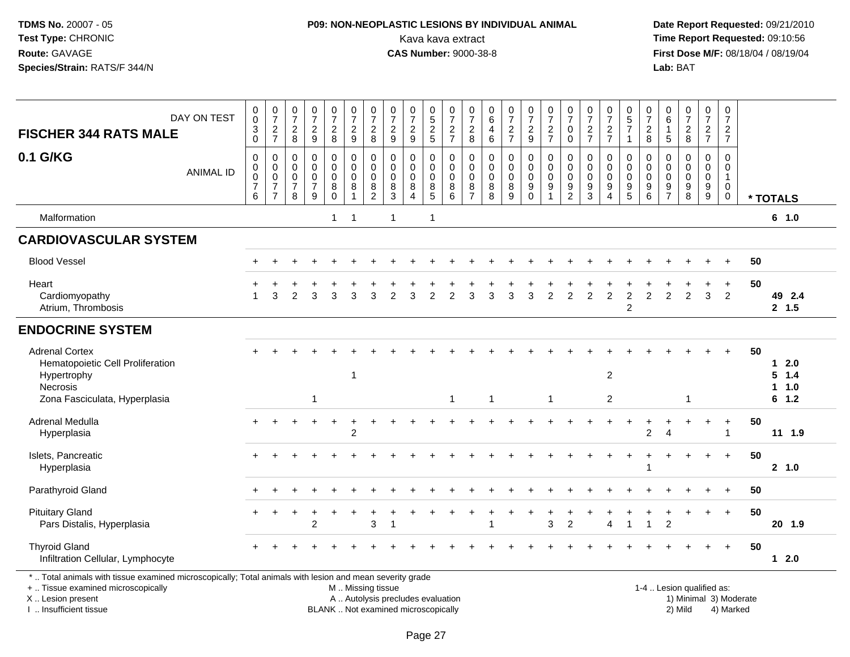## **P09: NON-NEOPLASTIC LESIONS BY INDIVIDUAL ANIMAL**Kava kava extract **Time Report Requested:** 09:10:56<br>**CAS Number:** 9000-38-8 **CAS Number:** 9000-38-8

| <b>FISCHER 344 RATS MALE</b>                                                                                                                                                                  | DAY ON TEST      | $_{\rm 0}^{\rm 0}$<br>$\frac{3}{0}$                    | $\frac{0}{7}$<br>$\frac{2}{7}$                                                   | $\frac{0}{7}$<br>$_{\rm 8}^2$                                         | $\begin{array}{c} 0 \\ 7 \end{array}$<br>$\frac{2}{9}$                     | $\frac{0}{7}$<br>$\frac{2}{8}$                                  | $\pmb{0}$<br>$\overline{7}$<br>$\frac{2}{9}$                   | $\frac{0}{7}$<br>$_{8}^{2}$            | $\begin{array}{c} 0 \\ 7 \end{array}$<br>$\frac{2}{9}$                   | $\begin{array}{c} 0 \\ 7 \end{array}$<br>$\frac{2}{9}$                 | $\begin{array}{c} 0 \\ 5 \end{array}$<br>$\frac{2}{5}$ | 0<br>$\overline{7}$<br>$\frac{2}{7}$                                | 0<br>$\overline{7}$<br>$\frac{2}{8}$                        | 0<br>6<br>4<br>$\,6\,$                           | $\frac{0}{7}$<br>$\frac{2}{7}$            | $\frac{0}{7}$<br>$\frac{2}{9}$                                            | $\frac{0}{7}$<br>$\frac{2}{7}$                            | $\frac{0}{7}$<br>$\pmb{0}$<br>$\mathbf 0$                  | $\frac{0}{7}$<br>$\frac{2}{7}$                                                | 0<br>$\overline{7}$<br>$\frac{2}{7}$                                  | 0<br>$\overline{5}$<br>$\overline{7}$<br>$\mathbf{1}$                           | 0<br>$\overline{7}$<br>$\boldsymbol{2}$<br>8 | 0<br>$6\overline{6}$<br>1<br>$\overline{5}$                        | $\frac{0}{7}$<br>$_{\rm 8}^2$                             | $\frac{0}{7}$<br>$\frac{2}{7}$          | $\pmb{0}$<br>$\overline{7}$<br>$\overline{2}$<br>$\overline{7}$            |                        |                         |
|-----------------------------------------------------------------------------------------------------------------------------------------------------------------------------------------------|------------------|--------------------------------------------------------|----------------------------------------------------------------------------------|-----------------------------------------------------------------------|----------------------------------------------------------------------------|-----------------------------------------------------------------|----------------------------------------------------------------|----------------------------------------|--------------------------------------------------------------------------|------------------------------------------------------------------------|--------------------------------------------------------|---------------------------------------------------------------------|-------------------------------------------------------------|--------------------------------------------------|-------------------------------------------|---------------------------------------------------------------------------|-----------------------------------------------------------|------------------------------------------------------------|-------------------------------------------------------------------------------|-----------------------------------------------------------------------|---------------------------------------------------------------------------------|----------------------------------------------|--------------------------------------------------------------------|-----------------------------------------------------------|-----------------------------------------|----------------------------------------------------------------------------|------------------------|-------------------------|
| 0.1 G/KG                                                                                                                                                                                      | <b>ANIMAL ID</b> | $\pmb{0}$<br>$_{\rm 0}^{\rm 0}$<br>$\overline{7}$<br>6 | $\mathsf 0$<br>$\mathbf 0$<br>$\overline{0}$<br>$\overline{7}$<br>$\overline{7}$ | $\boldsymbol{0}$<br>$\mathbf 0$<br>$\pmb{0}$<br>$\boldsymbol{7}$<br>8 | $\mathbf 0$<br>$\Omega$<br>$\mathbf 0$<br>$\overline{7}$<br>$\overline{9}$ | $\pmb{0}$<br>$\pmb{0}$<br>$\mathsf 0$<br>$\bf 8$<br>$\mathsf 0$ | $\mathsf 0$<br>$\mathbf 0$<br>$\mathsf 0$<br>8<br>$\mathbf{1}$ | 0<br>$\mathbf 0$<br>0<br>$\frac{8}{2}$ | $\mathbf 0$<br>$\mathbf 0$<br>$\mathbf 0$<br>$\frac{8}{3}$               | $\mathbf 0$<br>$\mathbf 0$<br>$\mathbf 0$<br>$\bf 8$<br>$\overline{4}$ | $\mathbf 0$<br>$\mathbf 0$<br>$\mathbf 0$<br>$^8$ 5    | $\mathbf 0$<br>$\Omega$<br>$\mathbf 0$<br>$\, 8$<br>$6\phantom{1}6$ | $\pmb{0}$<br>$\Omega$<br>$\mathbf 0$<br>8<br>$\overline{7}$ | $\mathbf 0$<br>$\Omega$<br>$\mathbf 0$<br>8<br>8 | 0<br>$\mathbf 0$<br>$\mathbf 0$<br>8<br>9 | $\mathsf 0$<br>$\mathbf 0$<br>$\mathbf 0$<br>$\boldsymbol{9}$<br>$\Omega$ | $\pmb{0}$<br>$\pmb{0}$<br>$\mathsf 0$<br>$\boldsymbol{9}$ | $\mathbf 0$<br>$\mathbf 0$<br>$\mathbf 0$<br>$\frac{9}{2}$ | $\mathbf 0$<br>$\mathbf 0$<br>$\pmb{0}$<br>$\boldsymbol{9}$<br>$\overline{3}$ | 0<br>$\mathbf 0$<br>$\mathbf 0$<br>$\boldsymbol{9}$<br>$\overline{4}$ | $\mathbf 0$<br>$\mathbf 0$<br>$\mathbf 0$<br>$\boldsymbol{9}$<br>$\overline{5}$ | $\mathbf 0$<br>$\Omega$<br>0<br>9<br>6       | 0<br>$\Omega$<br>$\mathbf 0$<br>$\boldsymbol{9}$<br>$\overline{7}$ | $\mathsf 0$<br>$\mathsf{O}$<br>$\pmb{0}$<br>$\frac{9}{8}$ | 0<br>0<br>$\mathsf{O}\xspace$<br>$^9_9$ | $\mathbf 0$<br>$\mathbf 0$<br>$\overline{1}$<br>$\mathbf 0$<br>$\mathbf 0$ |                        | * TOTALS                |
| Malformation                                                                                                                                                                                  |                  |                                                        |                                                                                  |                                                                       |                                                                            | 1                                                               | $\overline{1}$                                                 |                                        | $\mathbf{1}$                                                             |                                                                        | $\mathbf{1}$                                           |                                                                     |                                                             |                                                  |                                           |                                                                           |                                                           |                                                            |                                                                               |                                                                       |                                                                                 |                                              |                                                                    |                                                           |                                         |                                                                            |                        | 6 1.0                   |
| <b>CARDIOVASCULAR SYSTEM</b>                                                                                                                                                                  |                  |                                                        |                                                                                  |                                                                       |                                                                            |                                                                 |                                                                |                                        |                                                                          |                                                                        |                                                        |                                                                     |                                                             |                                                  |                                           |                                                                           |                                                           |                                                            |                                                                               |                                                                       |                                                                                 |                                              |                                                                    |                                                           |                                         |                                                                            |                        |                         |
| <b>Blood Vessel</b>                                                                                                                                                                           |                  |                                                        |                                                                                  |                                                                       |                                                                            |                                                                 |                                                                |                                        |                                                                          |                                                                        |                                                        |                                                                     |                                                             |                                                  |                                           |                                                                           |                                                           |                                                            |                                                                               |                                                                       |                                                                                 |                                              |                                                                    |                                                           |                                         |                                                                            | 50                     |                         |
| Heart<br>Cardiomyopathy<br>Atrium, Thrombosis                                                                                                                                                 |                  | $\blacktriangleleft$                                   | 3                                                                                | $\mathfrak{p}$                                                        | 3                                                                          | 3                                                               | 3                                                              | 3                                      | $\overline{2}$                                                           | 3                                                                      | $\overline{2}$                                         | $\overline{2}$                                                      | 3                                                           | 3                                                | 3                                         | 3                                                                         | $\overline{2}$                                            | $\overline{2}$                                             | $\mathfrak{p}$                                                                | 2                                                                     | 2<br>2                                                                          | $\overline{2}$                               | 2                                                                  | $\overline{2}$                                            | 3                                       | $\ddot{}$<br>$\overline{2}$                                                | 50                     | 49 2.4<br>2, 1.5        |
| <b>ENDOCRINE SYSTEM</b>                                                                                                                                                                       |                  |                                                        |                                                                                  |                                                                       |                                                                            |                                                                 |                                                                |                                        |                                                                          |                                                                        |                                                        |                                                                     |                                                             |                                                  |                                           |                                                                           |                                                           |                                                            |                                                                               |                                                                       |                                                                                 |                                              |                                                                    |                                                           |                                         |                                                                            |                        |                         |
| <b>Adrenal Cortex</b><br>Hematopoietic Cell Proliferation<br>Hypertrophy<br><b>Necrosis</b>                                                                                                   |                  |                                                        |                                                                                  |                                                                       |                                                                            |                                                                 | $\mathbf 1$                                                    |                                        |                                                                          |                                                                        |                                                        |                                                                     |                                                             |                                                  |                                           |                                                                           |                                                           |                                                            |                                                                               | $\overline{c}$                                                        |                                                                                 |                                              |                                                                    |                                                           |                                         |                                                                            | 50                     | $12.0$<br>5 1.4<br>11.0 |
| Zona Fasciculata, Hyperplasia                                                                                                                                                                 |                  |                                                        |                                                                                  |                                                                       | -1                                                                         |                                                                 |                                                                |                                        |                                                                          |                                                                        |                                                        | -1                                                                  |                                                             | -1                                               |                                           |                                                                           | $\mathbf 1$                                               |                                                            |                                                                               | $\overline{c}$                                                        |                                                                                 |                                              |                                                                    | $\mathbf 1$                                               |                                         |                                                                            |                        | 6 1.2                   |
| Adrenal Medulla<br>Hyperplasia                                                                                                                                                                |                  |                                                        |                                                                                  |                                                                       |                                                                            |                                                                 | 2                                                              |                                        |                                                                          |                                                                        |                                                        |                                                                     |                                                             |                                                  |                                           |                                                                           |                                                           |                                                            |                                                                               |                                                                       |                                                                                 | 2                                            |                                                                    |                                                           | $\div$                                  | $\ddot{}$<br>$\overline{1}$                                                | 50                     | $11 \quad 1.9$          |
| Islets, Pancreatic<br>Hyperplasia                                                                                                                                                             |                  |                                                        |                                                                                  |                                                                       |                                                                            |                                                                 |                                                                |                                        |                                                                          |                                                                        |                                                        |                                                                     |                                                             |                                                  |                                           |                                                                           |                                                           |                                                            |                                                                               |                                                                       |                                                                                 |                                              |                                                                    |                                                           |                                         | $+$                                                                        | 50                     | 2 1.0                   |
| Parathyroid Gland                                                                                                                                                                             |                  |                                                        |                                                                                  |                                                                       |                                                                            |                                                                 |                                                                |                                        |                                                                          |                                                                        |                                                        |                                                                     |                                                             |                                                  |                                           |                                                                           |                                                           |                                                            |                                                                               |                                                                       |                                                                                 |                                              |                                                                    |                                                           |                                         | $\overline{+}$                                                             | 50                     |                         |
| <b>Pituitary Gland</b><br>Pars Distalis, Hyperplasia                                                                                                                                          |                  |                                                        |                                                                                  |                                                                       | $\overline{2}$                                                             |                                                                 |                                                                | 3                                      |                                                                          |                                                                        |                                                        |                                                                     |                                                             |                                                  |                                           |                                                                           | 3                                                         | $\overline{c}$                                             |                                                                               | $\overline{4}$                                                        | $\overline{\phantom{a}}$                                                        | 1                                            | $\overline{2}$                                                     | $\ddot{}$                                                 | $\ddot{}$                               | $+$                                                                        | 50                     | 20 1.9                  |
| <b>Thyroid Gland</b><br>Infiltration Cellular, Lymphocyte                                                                                                                                     |                  |                                                        |                                                                                  |                                                                       |                                                                            |                                                                 |                                                                |                                        |                                                                          |                                                                        |                                                        |                                                                     |                                                             |                                                  |                                           |                                                                           |                                                           |                                                            |                                                                               |                                                                       |                                                                                 |                                              |                                                                    |                                                           |                                         | $+$                                                                        | 50                     | $12.0$                  |
| *  Total animals with tissue examined microscopically; Total animals with lesion and mean severity grade<br>+  Tissue examined microscopically<br>X  Lesion present<br>I. Insufficient tissue |                  |                                                        |                                                                                  |                                                                       |                                                                            |                                                                 | M  Missing tissue                                              |                                        | A  Autolysis precludes evaluation<br>BLANK  Not examined microscopically |                                                                        |                                                        |                                                                     |                                                             |                                                  |                                           |                                                                           |                                                           |                                                            |                                                                               |                                                                       |                                                                                 |                                              |                                                                    | 1-4  Lesion qualified as:<br>2) Mild                      |                                         | 4) Marked                                                                  | 1) Minimal 3) Moderate |                         |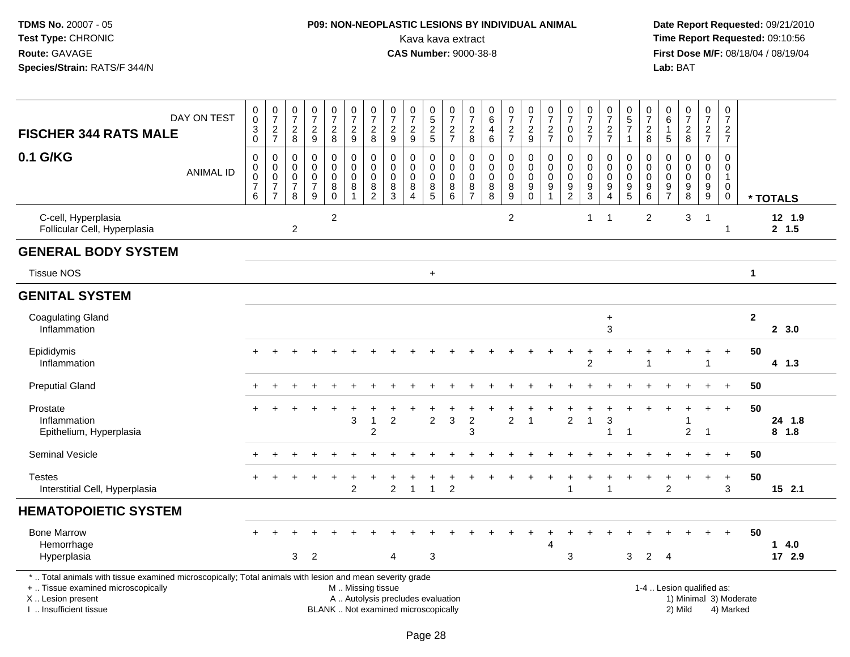## **P09: NON-NEOPLASTIC LESIONS BY INDIVIDUAL ANIMAL**Kava kava extract **Time Report Requested:** 09:10:56<br>**CAS Number:** 9000-38-8 **CAS Number:** 9000-38-8

| DAY ON TEST<br><b>FISCHER 344 RATS MALE</b>                                                                                                                                                   |                  | $\pmb{0}$<br>$\mathbf 0$<br>$\ensuremath{\mathsf{3}}$<br>$\pmb{0}$ | $\begin{array}{c} 0 \\ 7 \end{array}$<br>$\frac{2}{7}$     | $\frac{0}{7}$<br>$\overline{c}$<br>8         | $\pmb{0}$<br>$\overline{7}$<br>$\overline{c}$<br>$9\,$ | $\begin{array}{c} 0 \\ 7 \end{array}$<br>$\overline{c}$<br>8         | $\pmb{0}$<br>$\overline{7}$<br>$\overline{c}$<br>9 | $\frac{0}{7}$<br>$\boldsymbol{2}$<br>8                 | $\begin{array}{c} 0 \\ 7 \end{array}$<br>$\overline{c}$<br>9             | $\frac{0}{7}$<br>$\boldsymbol{2}$<br>$9\,$                    | $\begin{array}{c} 0 \\ 5 \end{array}$<br>$\overline{2}$<br>5 | 0<br>$\overline{7}$<br>$\frac{2}{7}$            | $\begin{array}{c} 0 \\ 7 \end{array}$<br>$\overline{c}$<br>8 | 0<br>$\,6\,$<br>4<br>$\,6\,$                | $\frac{0}{7}$<br>$\frac{2}{7}$                  | $\begin{smallmatrix}0\\7\end{smallmatrix}$<br>$\boldsymbol{2}$<br>$\boldsymbol{9}$ | $\begin{array}{c} 0 \\ 7 \end{array}$<br>$\frac{2}{7}$                   | $\frac{0}{7}$<br>0<br>$\pmb{0}$                        | $\frac{0}{7}$<br>$\frac{2}{7}$                             | $\begin{array}{c} 0 \\ 7 \end{array}$<br>$\boldsymbol{2}$<br>$\overline{7}$   | $^{\rm 0}_{\rm 5}$<br>$\overline{7}$<br>$\mathbf{1}$           | $\frac{0}{7}$<br>$\overline{c}$<br>$\,8\,$                                              | 0<br>6<br>$\mathbf{1}$<br>$\sqrt{5}$       | $\frac{0}{7}$<br>$\sqrt{2}$<br>$\boldsymbol{8}$                                 | $\frac{0}{7}$<br>$\frac{2}{7}$                      | $\pmb{0}$<br>$\overline{7}$<br>$\overline{a}$<br>$\overline{7}$        |                        |                   |
|-----------------------------------------------------------------------------------------------------------------------------------------------------------------------------------------------|------------------|--------------------------------------------------------------------|------------------------------------------------------------|----------------------------------------------|--------------------------------------------------------|----------------------------------------------------------------------|----------------------------------------------------|--------------------------------------------------------|--------------------------------------------------------------------------|---------------------------------------------------------------|--------------------------------------------------------------|-------------------------------------------------|--------------------------------------------------------------|---------------------------------------------|-------------------------------------------------|------------------------------------------------------------------------------------|--------------------------------------------------------------------------|--------------------------------------------------------|------------------------------------------------------------|-------------------------------------------------------------------------------|----------------------------------------------------------------|-----------------------------------------------------------------------------------------|--------------------------------------------|---------------------------------------------------------------------------------|-----------------------------------------------------|------------------------------------------------------------------------|------------------------|-------------------|
| 0.1 G/KG                                                                                                                                                                                      | <b>ANIMAL ID</b> | 0<br>$\pmb{0}$<br>$\pmb{0}$<br>$\boldsymbol{7}$<br>$\,6\,$         | $\mathbf 0$<br>$\mathbf 0$<br>$\mathbf 0$<br>$\frac{7}{7}$ | 0<br>$\mathbf 0$<br>0<br>$\overline{7}$<br>8 | $\mathbf 0$<br>$\mathbf 0$<br>0<br>$\frac{7}{9}$       | $\pmb{0}$<br>$\pmb{0}$<br>$\mathbf 0$<br>$\overline{8}$ <sup>0</sup> | 0<br>$\mathsf{O}\xspace$<br>$\mathbf 0$<br>$\bf 8$ | $\pmb{0}$<br>$\pmb{0}$<br>$\mathbf 0$<br>$\frac{8}{2}$ | 0<br>$\mathbf 0$<br>$\mathbf{0}$<br>8<br>3                               | $\mathbf 0$<br>$\mathbf 0$<br>$\Omega$<br>8<br>$\overline{4}$ | 0<br>$\mathbf 0$<br>$\mathbf 0$<br>$^8_5$                    | 0<br>$\mathsf 0$<br>$\mathbf 0$<br>8<br>$\,6\,$ | 0<br>$\mathbf 0$<br>$\mathbf 0$<br>$\frac{8}{7}$             | $\pmb{0}$<br>$\pmb{0}$<br>0<br>$\bf 8$<br>8 | $\pmb{0}$<br>$\pmb{0}$<br>$\mathbf 0$<br>$^8_9$ | 0<br>$\mathbf 0$<br>$\mathbf 0$<br>$\boldsymbol{9}$<br>$\mathbf 0$                 | $\mathbf 0$<br>$\pmb{0}$<br>$\Omega$<br>$\boldsymbol{9}$<br>$\mathbf{1}$ | 0<br>$\mathbf 0$<br>$\mathbf 0$<br>9<br>$\overline{2}$ | $\mathbf 0$<br>$\mathbf 0$<br>$\mathbf 0$<br>$\frac{9}{3}$ | 0<br>$\mathsf{O}\xspace$<br>$\mathbf 0$<br>$\boldsymbol{9}$<br>$\overline{4}$ | 0<br>$\mathbf 0$<br>0<br>$\begin{array}{c} 9 \\ 5 \end{array}$ | $\mathbf 0$<br>$\boldsymbol{0}$<br>$\mathbf 0$<br>$\begin{array}{c} 9 \\ 6 \end{array}$ | 0<br>$\Omega$<br>$\Omega$<br>$\frac{9}{7}$ | $\mathbf 0$<br>$\mathbf 0$<br>$\Omega$<br>$\begin{array}{c} 9 \\ 8 \end{array}$ | $\mathbf 0$<br>$\mathbf 0$<br>$\mathbf 0$<br>$^9_9$ | $\mathbf 0$<br>$\pmb{0}$<br>$\mathbf{1}$<br>$\mathbf 0$<br>$\mathbf 0$ |                        | * TOTALS          |
| C-cell, Hyperplasia<br>Follicular Cell, Hyperplasia                                                                                                                                           |                  |                                                                    |                                                            | $\overline{c}$                               |                                                        | $\overline{c}$                                                       |                                                    |                                                        |                                                                          |                                                               |                                                              |                                                 |                                                              |                                             | $\overline{c}$                                  |                                                                                    |                                                                          |                                                        | $\mathbf{1}$                                               | $\overline{\mathbf{1}}$                                                       |                                                                | $\overline{2}$                                                                          |                                            | 3                                                                               | $\overline{1}$                                      |                                                                        |                        | 12 1.9<br>2, 1.5  |
| <b>GENERAL BODY SYSTEM</b>                                                                                                                                                                    |                  |                                                                    |                                                            |                                              |                                                        |                                                                      |                                                    |                                                        |                                                                          |                                                               |                                                              |                                                 |                                                              |                                             |                                                 |                                                                                    |                                                                          |                                                        |                                                            |                                                                               |                                                                |                                                                                         |                                            |                                                                                 |                                                     |                                                                        |                        |                   |
| <b>Tissue NOS</b>                                                                                                                                                                             |                  |                                                                    |                                                            |                                              |                                                        |                                                                      |                                                    |                                                        |                                                                          |                                                               | $\ddot{}$                                                    |                                                 |                                                              |                                             |                                                 |                                                                                    |                                                                          |                                                        |                                                            |                                                                               |                                                                |                                                                                         |                                            |                                                                                 |                                                     |                                                                        | $\mathbf 1$            |                   |
| <b>GENITAL SYSTEM</b>                                                                                                                                                                         |                  |                                                                    |                                                            |                                              |                                                        |                                                                      |                                                    |                                                        |                                                                          |                                                               |                                                              |                                                 |                                                              |                                             |                                                 |                                                                                    |                                                                          |                                                        |                                                            |                                                                               |                                                                |                                                                                         |                                            |                                                                                 |                                                     |                                                                        |                        |                   |
| <b>Coagulating Gland</b><br>Inflammation                                                                                                                                                      |                  |                                                                    |                                                            |                                              |                                                        |                                                                      |                                                    |                                                        |                                                                          |                                                               |                                                              |                                                 |                                                              |                                             |                                                 |                                                                                    |                                                                          |                                                        |                                                            | $\ddot{}$<br>3                                                                |                                                                |                                                                                         |                                            |                                                                                 |                                                     |                                                                        | $\mathbf{2}$           | 2, 3.0            |
| Epididymis<br>Inflammation                                                                                                                                                                    |                  | $+$                                                                | $\div$                                                     | $\div$                                       |                                                        |                                                                      |                                                    |                                                        |                                                                          |                                                               |                                                              |                                                 |                                                              |                                             |                                                 |                                                                                    |                                                                          |                                                        | 2                                                          |                                                                               |                                                                |                                                                                         |                                            |                                                                                 | 1                                                   | $\ddot{}$                                                              | 50                     | 4 1.3             |
| <b>Preputial Gland</b>                                                                                                                                                                        |                  |                                                                    |                                                            |                                              |                                                        |                                                                      |                                                    |                                                        |                                                                          |                                                               |                                                              |                                                 |                                                              |                                             |                                                 |                                                                                    |                                                                          |                                                        |                                                            |                                                                               |                                                                |                                                                                         |                                            |                                                                                 |                                                     | $\ddot{}$                                                              | 50                     |                   |
| Prostate<br>Inflammation<br>Epithelium, Hyperplasia                                                                                                                                           |                  |                                                                    |                                                            |                                              |                                                        |                                                                      | 3                                                  | -1<br>2                                                | $\overline{c}$                                                           |                                                               | $\overline{c}$                                               | 3                                               | $\sqrt{2}$<br>3                                              |                                             | $\overline{c}$                                  | $\overline{1}$                                                                     |                                                                          | $\overline{c}$                                         | -1                                                         | 3<br>$\overline{1}$                                                           |                                                                |                                                                                         |                                            | $\overline{2}$                                                                  | $\ddot{}$<br>$\overline{1}$                         | $\ddot{}$                                                              | 50                     | 24 1.8<br>$8$ 1.8 |
| <b>Seminal Vesicle</b>                                                                                                                                                                        |                  |                                                                    |                                                            |                                              |                                                        |                                                                      |                                                    |                                                        |                                                                          |                                                               |                                                              |                                                 |                                                              |                                             |                                                 |                                                                                    |                                                                          |                                                        |                                                            |                                                                               |                                                                |                                                                                         |                                            |                                                                                 |                                                     | $\ddot{+}$                                                             | 50                     |                   |
| <b>Testes</b><br>Interstitial Cell, Hyperplasia                                                                                                                                               |                  |                                                                    |                                                            |                                              |                                                        |                                                                      | 2                                                  |                                                        | 2                                                                        | $\overline{1}$                                                | $\mathbf{1}$                                                 | $\overline{c}$                                  |                                                              |                                             |                                                 |                                                                                    |                                                                          | 1                                                      |                                                            | $\overline{1}$                                                                |                                                                |                                                                                         | $\overline{c}$                             |                                                                                 | $\ddot{}$                                           | $\ddot{}$<br>3                                                         | 50                     | $15$ 2.1          |
| <b>HEMATOPOIETIC SYSTEM</b>                                                                                                                                                                   |                  |                                                                    |                                                            |                                              |                                                        |                                                                      |                                                    |                                                        |                                                                          |                                                               |                                                              |                                                 |                                                              |                                             |                                                 |                                                                                    |                                                                          |                                                        |                                                            |                                                                               |                                                                |                                                                                         |                                            |                                                                                 |                                                     |                                                                        |                        |                   |
| <b>Bone Marrow</b><br>Hemorrhage<br>Hyperplasia                                                                                                                                               |                  |                                                                    |                                                            | 3                                            | $\overline{2}$                                         |                                                                      |                                                    |                                                        | 4                                                                        |                                                               | 3                                                            |                                                 |                                                              |                                             |                                                 |                                                                                    | 4                                                                        | 3                                                      |                                                            |                                                                               | 3                                                              | $\overline{2}$                                                                          | 4                                          |                                                                                 |                                                     |                                                                        | 50                     | 14.0<br>17 2.9    |
| *  Total animals with tissue examined microscopically; Total animals with lesion and mean severity grade<br>+  Tissue examined microscopically<br>X  Lesion present<br>I  Insufficient tissue |                  |                                                                    |                                                            |                                              |                                                        |                                                                      | M  Missing tissue                                  |                                                        | A  Autolysis precludes evaluation<br>BLANK  Not examined microscopically |                                                               |                                                              |                                                 |                                                              |                                             |                                                 |                                                                                    |                                                                          |                                                        |                                                            |                                                                               |                                                                |                                                                                         |                                            | 1-4  Lesion qualified as:<br>2) Mild                                            |                                                     | 4) Marked                                                              | 1) Minimal 3) Moderate |                   |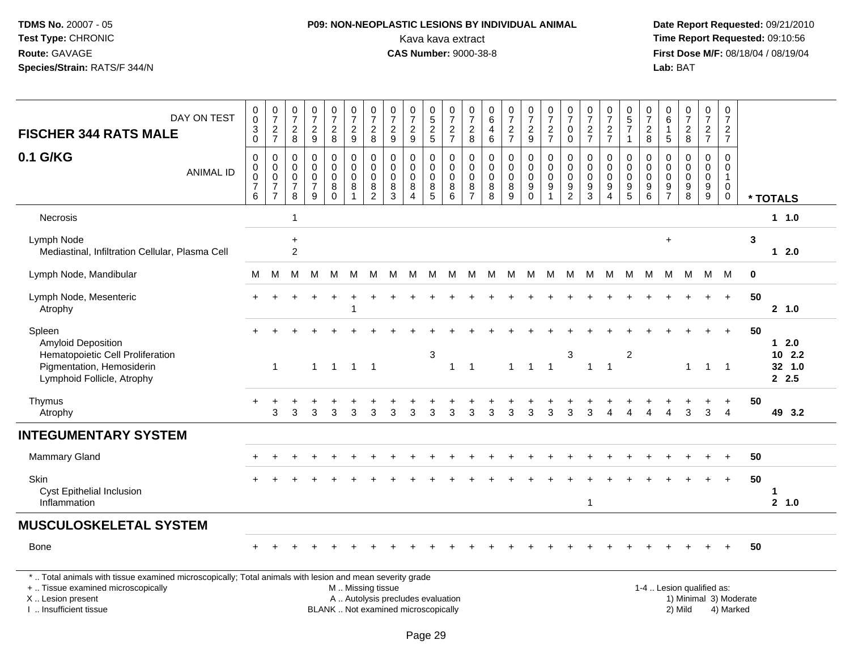## **P09: NON-NEOPLASTIC LESIONS BY INDIVIDUAL ANIMAL**Kava kava extract **Time Report Requested:** 09:10:56<br>**CAS Number:** 9000-38-8 **CAS Number:** 9000-38-8

 **Date Report Requested:** 09/21/2010 **First Dose M/F:** 08/18/04 / 08/19/04 Lab: BAT **Lab:** BAT

| DAY ON TEST<br><b>FISCHER 344 RATS MALE</b>                                                                                                                                                   | $\begin{smallmatrix}0\0\0\end{smallmatrix}$<br>$\frac{3}{0}$ | $\begin{smallmatrix}0\\7\end{smallmatrix}$<br>$\frac{2}{7}$                    | $\frac{0}{7}$<br>$_{8}^{\rm 2}$                        | $\frac{0}{7}$<br>$\frac{2}{9}$                                   | $\frac{0}{7}$<br>$_{8}^{\rm 2}$                | $\frac{0}{7}$<br>$\frac{2}{9}$                                                                | $\frac{0}{7}$<br>$_{8}^{\rm 2}$                                  | $\frac{0}{7}$<br>$\frac{2}{9}$                                     | $\frac{0}{7}$<br>$\overline{c}$<br>$\overline{9}$            | $\begin{array}{c} 0 \\ 5 \end{array}$<br>$\frac{2}{5}$ | $\frac{0}{7}$<br>$\frac{2}{7}$          | $\frac{0}{7}$<br>$\frac{2}{8}$         | $\begin{array}{c} 0 \\ 6 \end{array}$<br>$\begin{array}{c} 4 \\ 6 \end{array}$ | $\frac{0}{7}$<br>$\frac{2}{7}$        | $\frac{0}{7}$<br>$\frac{2}{9}$                                        | $\frac{0}{7}$<br>$\frac{2}{7}$                                        | $\frac{0}{7}$<br>$\pmb{0}$<br>$\pmb{0}$ | $\frac{0}{7}$<br>$\frac{2}{7}$                         | $\frac{0}{7}$<br>$\frac{2}{7}$                                        | 0<br>$\overline{5}$<br>$\overline{7}$<br>$\mathbf{1}$                 | $\boldsymbol{0}$<br>$\overline{7}$<br>$_{\rm 8}^2$               | 0<br>$6\overline{6}$<br>$\mathbf{1}$<br>$\overline{5}$              | $\frac{0}{7}$<br>$\frac{2}{8}$                               | $\frac{0}{7}$<br>$rac{2}{7}$                                | 0<br>$\overline{7}$<br>$\overline{2}$<br>$\overline{7}$        |                        |                                  |
|-----------------------------------------------------------------------------------------------------------------------------------------------------------------------------------------------|--------------------------------------------------------------|--------------------------------------------------------------------------------|--------------------------------------------------------|------------------------------------------------------------------|------------------------------------------------|-----------------------------------------------------------------------------------------------|------------------------------------------------------------------|--------------------------------------------------------------------|--------------------------------------------------------------|--------------------------------------------------------|-----------------------------------------|----------------------------------------|--------------------------------------------------------------------------------|---------------------------------------|-----------------------------------------------------------------------|-----------------------------------------------------------------------|-----------------------------------------|--------------------------------------------------------|-----------------------------------------------------------------------|-----------------------------------------------------------------------|------------------------------------------------------------------|---------------------------------------------------------------------|--------------------------------------------------------------|-------------------------------------------------------------|----------------------------------------------------------------|------------------------|----------------------------------|
| 0.1 G/KG<br><b>ANIMAL ID</b>                                                                                                                                                                  | $\mathbf 0$<br>0<br>$\bar{0}$<br>$\boldsymbol{7}$<br>6       | $\pmb{0}$<br>$\mathbf 0$<br>$\overline{0}$<br>$\overline{7}$<br>$\overline{7}$ | 0<br>$\mathbf 0$<br>$\mathbf 0$<br>$\overline{7}$<br>8 | $\mathbf 0$<br>$\mathbf 0$<br>$\pmb{0}$<br>$\boldsymbol{7}$<br>9 | 0<br>$\mathbf 0$<br>$\pmb{0}$<br>8<br>$\Omega$ | $\pmb{0}$<br>$\pmb{0}$<br>$\pmb{0}$<br>$\bf 8$<br>$\overline{1}$                              | $\mathbf 0$<br>$\mathbf 0$<br>$\mathbf 0$<br>8<br>$\overline{2}$ | $\mathsf{O}\xspace$<br>0<br>$\pmb{0}$<br>$\bf 8$<br>$\overline{3}$ | 0<br>$\mathbf 0$<br>$\pmb{0}$<br>8<br>$\boldsymbol{\Lambda}$ | 0<br>0<br>$\mathbf 0$<br>$^8_5$                        | 0<br>$\mathbf 0$<br>$\pmb{0}$<br>$^8_6$ | 0<br>$\mathbf 0$<br>0<br>$\frac{8}{7}$ | $\mathsf{O}\xspace$<br>$\mathbf 0$<br>$\pmb{0}$<br>$\, 8$<br>$\overline{8}$    | 0<br>$\mathbf 0$<br>0<br>$\bf 8$<br>9 | $\boldsymbol{0}$<br>$\pmb{0}$<br>$\overline{0}$<br>$_{\rm 0}^{\rm 9}$ | $\mathsf 0$<br>$\mathbf 0$<br>$\mathsf{O}\xspace$<br>$\boldsymbol{9}$ | $\mathbf 0$<br>0<br>0<br>$\frac{9}{2}$  | $\pmb{0}$<br>$\mathbf 0$<br>$\pmb{0}$<br>$\frac{9}{3}$ | 0<br>$\mathbf 0$<br>$\mathsf 0$<br>$\boldsymbol{9}$<br>$\overline{4}$ | 0<br>$\Omega$<br>$\mathbf 0$<br>$\begin{array}{c} 9 \\ 5 \end{array}$ | $\pmb{0}$<br>$\mathbf 0$<br>$\mathbf 0$<br>$\boldsymbol{9}$<br>6 | $\pmb{0}$<br>$\mathbf 0$<br>0<br>$\boldsymbol{9}$<br>$\overline{7}$ | $\mathsf{O}$<br>$\mathbf 0$<br>$\mathbf 0$<br>$_{8}^{\rm 9}$ | $\mathsf 0$<br>$\mathbf 0$<br>$\ddot{\mathbf{0}}$<br>$^9_9$ | $\mathbf 0$<br>$\mathbf 0$<br>$\mathbf{1}$<br>$\mathbf 0$<br>0 |                        | * TOTALS                         |
| Necrosis                                                                                                                                                                                      |                                                              |                                                                                | 1                                                      |                                                                  |                                                |                                                                                               |                                                                  |                                                                    |                                                              |                                                        |                                         |                                        |                                                                                |                                       |                                                                       |                                                                       |                                         |                                                        |                                                                       |                                                                       |                                                                  |                                                                     |                                                              |                                                             |                                                                |                        | 1 1.0                            |
| Lymph Node<br>Mediastinal, Infiltration Cellular, Plasma Cell                                                                                                                                 |                                                              |                                                                                | $\ddot{}$<br>$\sqrt{2}$                                |                                                                  |                                                |                                                                                               |                                                                  |                                                                    |                                                              |                                                        |                                         |                                        |                                                                                |                                       |                                                                       |                                                                       |                                         |                                                        |                                                                       |                                                                       |                                                                  | $\ddot{}$                                                           |                                                              |                                                             |                                                                | 3                      | $12.0$                           |
| Lymph Node, Mandibular                                                                                                                                                                        | м                                                            | M                                                                              | м                                                      | м                                                                | м                                              | М                                                                                             | M                                                                | M                                                                  | M                                                            | M                                                      | M                                       | М                                      | М                                                                              | M                                     | M                                                                     | М                                                                     | M                                       | M                                                      | M                                                                     | М                                                                     | M                                                                | М                                                                   | M                                                            | M                                                           | M                                                              | 0                      |                                  |
| Lymph Node, Mesenteric<br>Atrophy                                                                                                                                                             |                                                              |                                                                                |                                                        |                                                                  |                                                | $\overline{1}$                                                                                |                                                                  |                                                                    |                                                              |                                                        |                                         |                                        |                                                                                |                                       |                                                                       |                                                                       |                                         |                                                        |                                                                       |                                                                       |                                                                  |                                                                     |                                                              |                                                             | $\ddot{}$                                                      | 50                     | 2 1.0                            |
| Spleen<br><b>Amyloid Deposition</b><br>Hematopoietic Cell Proliferation<br>Pigmentation, Hemosiderin<br>Lymphoid Follicle, Atrophy                                                            |                                                              | $\mathbf{1}$                                                                   |                                                        | $\mathbf{1}$                                                     | $\overline{1}$                                 |                                                                                               | $1 \quad 1$                                                      |                                                                    |                                                              | 3                                                      | $\mathbf{1}$                            | $\overline{1}$                         |                                                                                | $\mathbf{1}$                          | $\overline{1}$                                                        | $\overline{1}$                                                        | 3                                       | $\overline{1}$                                         | $\overline{1}$                                                        | $\overline{2}$                                                        |                                                                  |                                                                     | $\mathbf{1}$                                                 | $\mathbf{1}$                                                | $\overline{1}$                                                 | 50                     | $12.0$<br>102.2<br>32 1.0<br>2.5 |
| Thymus<br>Atrophy                                                                                                                                                                             |                                                              | 3                                                                              | 3                                                      | 3                                                                | 3                                              | 3                                                                                             | 3                                                                | 3                                                                  | 3                                                            | 3                                                      | 3                                       | 3                                      | 3                                                                              | 3                                     | 3                                                                     | 3                                                                     | 3                                       | 3                                                      | 4                                                                     |                                                                       |                                                                  |                                                                     | 3                                                            | 3                                                           | $\overline{4}$                                                 | 50                     | 49 3.2                           |
| <b>INTEGUMENTARY SYSTEM</b>                                                                                                                                                                   |                                                              |                                                                                |                                                        |                                                                  |                                                |                                                                                               |                                                                  |                                                                    |                                                              |                                                        |                                         |                                        |                                                                                |                                       |                                                                       |                                                                       |                                         |                                                        |                                                                       |                                                                       |                                                                  |                                                                     |                                                              |                                                             |                                                                |                        |                                  |
| Mammary Gland                                                                                                                                                                                 |                                                              |                                                                                |                                                        |                                                                  |                                                |                                                                                               |                                                                  |                                                                    |                                                              |                                                        |                                         |                                        |                                                                                |                                       |                                                                       |                                                                       |                                         |                                                        |                                                                       |                                                                       |                                                                  |                                                                     |                                                              |                                                             |                                                                | 50                     |                                  |
| Skin<br><b>Cyst Epithelial Inclusion</b><br>Inflammation                                                                                                                                      |                                                              |                                                                                |                                                        |                                                                  |                                                |                                                                                               |                                                                  |                                                                    |                                                              |                                                        |                                         |                                        |                                                                                |                                       |                                                                       |                                                                       |                                         | 1                                                      |                                                                       |                                                                       |                                                                  |                                                                     |                                                              |                                                             | $\ddot{}$                                                      | 50                     | 2, 1.0                           |
| <b>MUSCULOSKELETAL SYSTEM</b>                                                                                                                                                                 |                                                              |                                                                                |                                                        |                                                                  |                                                |                                                                                               |                                                                  |                                                                    |                                                              |                                                        |                                         |                                        |                                                                                |                                       |                                                                       |                                                                       |                                         |                                                        |                                                                       |                                                                       |                                                                  |                                                                     |                                                              |                                                             |                                                                |                        |                                  |
| <b>Bone</b>                                                                                                                                                                                   |                                                              |                                                                                |                                                        |                                                                  |                                                |                                                                                               |                                                                  |                                                                    |                                                              |                                                        |                                         |                                        |                                                                                |                                       |                                                                       |                                                                       |                                         |                                                        |                                                                       |                                                                       |                                                                  |                                                                     |                                                              |                                                             |                                                                | 50                     |                                  |
| *  Total animals with tissue examined microscopically; Total animals with lesion and mean severity grade<br>+  Tissue examined microscopically<br>X  Lesion present<br>I  Insufficient tissue |                                                              |                                                                                |                                                        |                                                                  |                                                | M  Missing tissue<br>A  Autolysis precludes evaluation<br>BLANK  Not examined microscopically |                                                                  |                                                                    |                                                              |                                                        |                                         |                                        |                                                                                |                                       |                                                                       |                                                                       |                                         |                                                        |                                                                       |                                                                       |                                                                  |                                                                     | 1-4  Lesion qualified as:<br>2) Mild                         |                                                             | 4) Marked                                                      | 1) Minimal 3) Moderate |                                  |

Page 29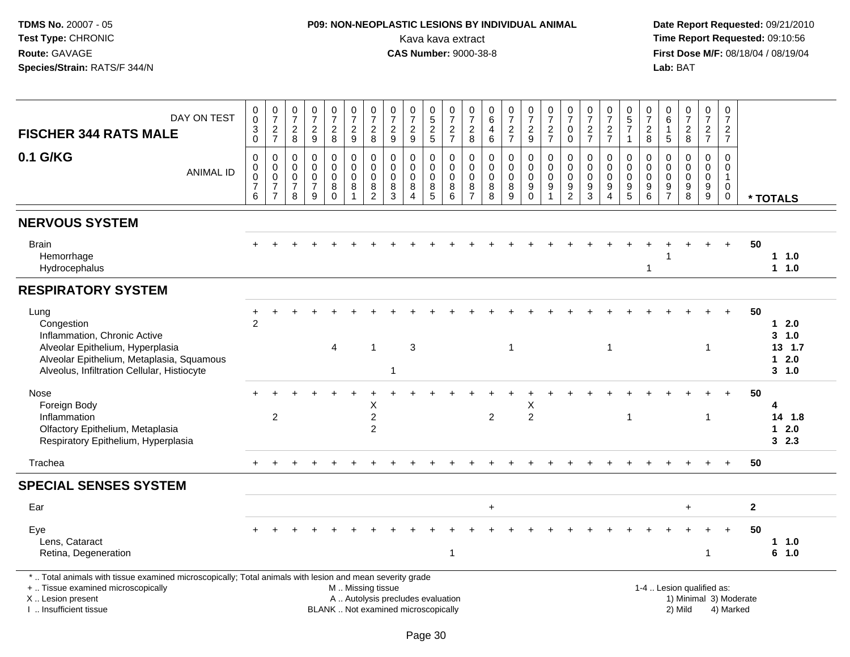## **P09: NON-NEOPLASTIC LESIONS BY INDIVIDUAL ANIMAL**Kava kava extract **Time Report Requested:** 09:10:56<br>**CAS Number:** 9000-38-8<br>**Tirst Dose M/F:** 08/18/04 / 08/19/04

 **Date Report Requested:** 09/21/2010 **First Dose M/F:** 08/18/04 / 08/19/04 Lab: BAT **Lab:** BAT

| DAY ON TEST<br><b>FISCHER 344 RATS MALE</b>                                                                                                                                                   | $_{\rm 0}^{\rm 0}$<br>$_{\rm 0}^3$                             | $\frac{0}{7}$<br>$\frac{2}{7}$                            | 0<br>$\overline{7}$<br>$\overline{c}$<br>$\,8\,$              | $\frac{0}{7}$<br>$\frac{2}{9}$                                  | $\frac{0}{7}$<br>$\frac{2}{8}$                | $\begin{array}{c} 0 \\ 7 \end{array}$<br>$\frac{2}{9}$ | $\begin{array}{c} 0 \\ 7 \end{array}$<br>$\frac{2}{8}$       | $\frac{0}{7}$<br>$\frac{2}{9}$                                           | $\frac{0}{7}$<br>$\frac{2}{9}$                            | 0,52,5                               | $\frac{0}{7}$<br>$\frac{2}{7}$                           | 0<br>$\overline{7}$<br>$_{8}^2$                  | 0<br>6<br>4<br>$\,6$                             | $\frac{0}{7}$<br>$\frac{2}{7}$                            | $\frac{0}{7}$<br>$\frac{2}{9}$                                  | $\frac{0}{7}$<br>$\frac{2}{7}$                                               | 0<br>$\overline{7}$<br>0<br>$\mathbf 0$                               | $\frac{0}{7}$<br>$\frac{2}{7}$                            | $\frac{0}{7}$<br>$\frac{2}{7}$                                              | $\begin{array}{c} 0 \\ 5 \\ 7 \end{array}$<br>$\overline{1}$ | 0<br>$\overline{7}$<br>$\boldsymbol{2}$<br>8                       | 0<br>6<br>$\sqrt{5}$                      | $\begin{array}{c} 0 \\ 7 \end{array}$<br>$\frac{2}{8}$          | 0<br>$\overline{7}$<br>$\frac{2}{7}$        | 0<br>$\overline{7}$<br>$\frac{2}{7}$                               |              |                                                               |
|-----------------------------------------------------------------------------------------------------------------------------------------------------------------------------------------------|----------------------------------------------------------------|-----------------------------------------------------------|---------------------------------------------------------------|-----------------------------------------------------------------|-----------------------------------------------|--------------------------------------------------------|--------------------------------------------------------------|--------------------------------------------------------------------------|-----------------------------------------------------------|--------------------------------------|----------------------------------------------------------|--------------------------------------------------|--------------------------------------------------|-----------------------------------------------------------|-----------------------------------------------------------------|------------------------------------------------------------------------------|-----------------------------------------------------------------------|-----------------------------------------------------------|-----------------------------------------------------------------------------|--------------------------------------------------------------|--------------------------------------------------------------------|-------------------------------------------|-----------------------------------------------------------------|---------------------------------------------|--------------------------------------------------------------------|--------------|---------------------------------------------------------------|
| 0.1 G/KG<br><b>ANIMAL ID</b>                                                                                                                                                                  | $\mathbf 0$<br>$\mathsf{O}\xspace$<br>0<br>$\overline{7}$<br>6 | 0<br>$\mathbf 0$<br>0<br>$\overline{7}$<br>$\overline{7}$ | $\mathbf 0$<br>$\Omega$<br>$\mathbf 0$<br>$\overline{7}$<br>8 | $\mathbf 0$<br>$\Omega$<br>$\mathbf 0$<br>$\boldsymbol{7}$<br>9 | 0<br>$\Omega$<br>$\mathbf 0$<br>8<br>$\Omega$ | 0<br>$\mathbf 0$<br>0<br>$\bf 8$<br>$\overline{1}$     | $\mathbf 0$<br>$\mathbf 0$<br>0<br>$\bf 8$<br>$\overline{2}$ | $\mathbf 0$<br>$\mathbf 0$<br>$\mathbf 0$<br>$\bf8$<br>3                 | $\mathbf{0}$<br>$\mathbf{0}$<br>$\Omega$<br>8<br>$\Delta$ | 0<br>$\mathbf 0$<br>0<br>$\, 8$<br>5 | $\mathbf 0$<br>$\mathbf 0$<br>$\mathbf 0$<br>$\, 8$<br>6 | 0<br>$\Omega$<br>$\Omega$<br>8<br>$\overline{7}$ | $\mathbf 0$<br>$\Omega$<br>$\mathbf 0$<br>8<br>8 | $\mathbf 0$<br>$\mathbf 0$<br>$\mathbf 0$<br>$\,8\,$<br>9 | 0<br>$\mathbf 0$<br>$\mathbf 0$<br>$\boldsymbol{9}$<br>$\Omega$ | $\mathbf 0$<br>$\Omega$<br>$\mathbf 0$<br>$\boldsymbol{9}$<br>$\overline{1}$ | $\mathbf 0$<br>$\mathbf{0}$<br>$\mathbf 0$<br>$9\,$<br>$\overline{2}$ | $\Omega$<br>$\Omega$<br>$\Omega$<br>$\boldsymbol{9}$<br>3 | 0<br>$\Omega$<br>$\mathbf 0$<br>$\boldsymbol{9}$<br>$\overline{\mathbf{A}}$ | $\mathbf 0$<br>$\mathbf 0$<br>0<br>$\boldsymbol{9}$<br>5     | $\mathbf 0$<br>$\mathbf 0$<br>$\mathbf 0$<br>$\boldsymbol{9}$<br>6 | 0<br>$\Omega$<br>0<br>9<br>$\overline{7}$ | $\mathbf 0$<br>$\Omega$<br>$\mathbf 0$<br>$\boldsymbol{9}$<br>8 | 0<br>$\Omega$<br>0<br>$\boldsymbol{9}$<br>9 | $\Omega$<br>$\Omega$<br>$\mathbf{1}$<br>$\mathbf 0$<br>$\mathbf 0$ |              | * TOTALS                                                      |
| <b>NERVOUS SYSTEM</b>                                                                                                                                                                         |                                                                |                                                           |                                                               |                                                                 |                                               |                                                        |                                                              |                                                                          |                                                           |                                      |                                                          |                                                  |                                                  |                                                           |                                                                 |                                                                              |                                                                       |                                                           |                                                                             |                                                              |                                                                    |                                           |                                                                 |                                             |                                                                    |              |                                                               |
| <b>Brain</b><br>Hemorrhage<br>Hydrocephalus                                                                                                                                                   |                                                                |                                                           |                                                               |                                                                 |                                               |                                                        |                                                              |                                                                          |                                                           |                                      |                                                          |                                                  |                                                  |                                                           |                                                                 |                                                                              |                                                                       |                                                           |                                                                             |                                                              | $\mathbf{1}$                                                       |                                           |                                                                 |                                             | $+$                                                                | 50           | 11.0<br>1 1.0                                                 |
| <b>RESPIRATORY SYSTEM</b>                                                                                                                                                                     |                                                                |                                                           |                                                               |                                                                 |                                               |                                                        |                                                              |                                                                          |                                                           |                                      |                                                          |                                                  |                                                  |                                                           |                                                                 |                                                                              |                                                                       |                                                           |                                                                             |                                                              |                                                                    |                                           |                                                                 |                                             |                                                                    |              |                                                               |
| Lung<br>Congestion<br>Inflammation, Chronic Active<br>Alveolar Epithelium, Hyperplasia<br>Alveolar Epithelium, Metaplasia, Squamous<br>Alveolus, Infiltration Cellular, Histiocyte            | +<br>$\overline{2}$                                            |                                                           |                                                               |                                                                 | 4                                             |                                                        | $\overline{1}$                                               | 1                                                                        | 3                                                         |                                      |                                                          |                                                  |                                                  | $\overline{1}$                                            |                                                                 |                                                                              |                                                                       |                                                           | $\mathbf{1}$                                                                |                                                              |                                                                    |                                           |                                                                 | 1                                           |                                                                    | 50           | $1 \quad 2.0$<br>3, 1.0<br>13, 1.7<br>$1 \quad 2.0$<br>3, 1.0 |
| Nose<br>Foreign Body<br>Inflammation<br>Olfactory Epithelium, Metaplasia<br>Respiratory Epithelium, Hyperplasia                                                                               |                                                                | 2                                                         |                                                               |                                                                 |                                               |                                                        | Χ<br>$\boldsymbol{2}$<br>$\overline{2}$                      |                                                                          |                                                           |                                      |                                                          |                                                  | $\overline{c}$                                   |                                                           | Х<br>$\overline{2}$                                             |                                                                              |                                                                       |                                                           |                                                                             | -1                                                           |                                                                    |                                           |                                                                 | 1                                           |                                                                    | 50           | 4<br>14 1.8<br>$1 \quad 2.0$<br>32.3                          |
| Trachea                                                                                                                                                                                       |                                                                |                                                           |                                                               |                                                                 |                                               |                                                        |                                                              |                                                                          |                                                           |                                      |                                                          |                                                  |                                                  |                                                           |                                                                 |                                                                              |                                                                       |                                                           |                                                                             |                                                              |                                                                    |                                           |                                                                 |                                             |                                                                    | 50           |                                                               |
| <b>SPECIAL SENSES SYSTEM</b>                                                                                                                                                                  |                                                                |                                                           |                                                               |                                                                 |                                               |                                                        |                                                              |                                                                          |                                                           |                                      |                                                          |                                                  |                                                  |                                                           |                                                                 |                                                                              |                                                                       |                                                           |                                                                             |                                                              |                                                                    |                                           |                                                                 |                                             |                                                                    |              |                                                               |
| Ear                                                                                                                                                                                           |                                                                |                                                           |                                                               |                                                                 |                                               |                                                        |                                                              |                                                                          |                                                           |                                      |                                                          |                                                  | $\ddot{}$                                        |                                                           |                                                                 |                                                                              |                                                                       |                                                           |                                                                             |                                                              |                                                                    |                                           | $\ddot{}$                                                       |                                             |                                                                    | $\mathbf{2}$ |                                                               |
| Eye<br>Lens, Cataract<br>Retina, Degeneration                                                                                                                                                 |                                                                |                                                           |                                                               |                                                                 |                                               |                                                        |                                                              |                                                                          |                                                           |                                      | -1                                                       |                                                  |                                                  |                                                           |                                                                 |                                                                              |                                                                       |                                                           |                                                                             |                                                              |                                                                    |                                           |                                                                 | -1                                          | $+$                                                                | 50           | 11.0<br>6 1.0                                                 |
| *  Total animals with tissue examined microscopically; Total animals with lesion and mean severity grade<br>+  Tissue examined microscopically<br>X  Lesion present<br>I  Insufficient tissue |                                                                |                                                           |                                                               |                                                                 |                                               | M  Missing tissue                                      |                                                              | A  Autolysis precludes evaluation<br>BLANK  Not examined microscopically |                                                           |                                      |                                                          |                                                  |                                                  |                                                           |                                                                 |                                                                              |                                                                       |                                                           |                                                                             |                                                              |                                                                    |                                           | 1-4  Lesion qualified as:<br>2) Mild                            |                                             | 1) Minimal 3) Moderate<br>4) Marked                                |              |                                                               |

#### I .. Insufficient tissue

Page 30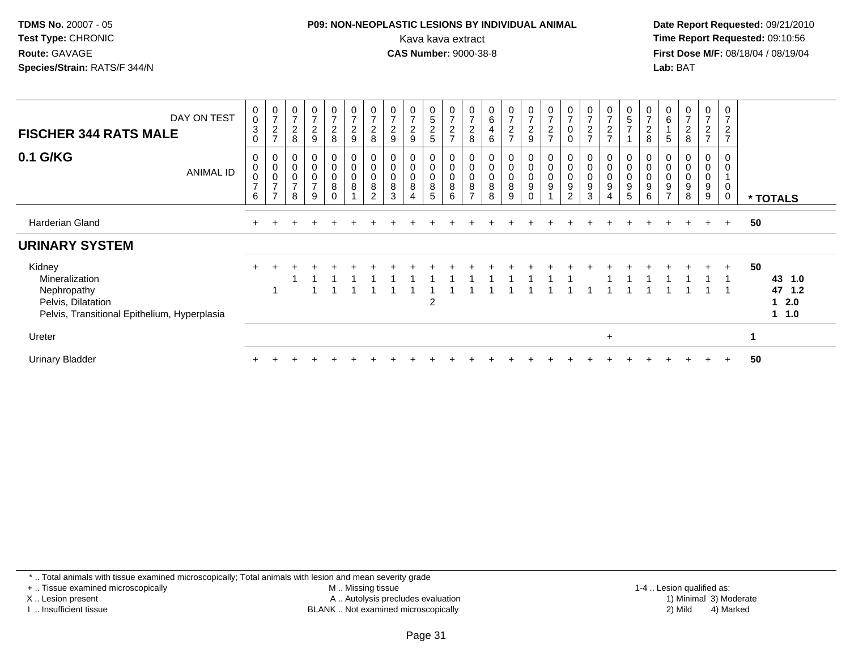#### **P09: NON-NEOPLASTIC LESIONS BY INDIVIDUAL ANIMAL**Kava kava extract **Time Report Requested:** 09:10:56<br>**CAS Number:** 9000-38-8<br>**Tirst Dose M/F:** 08/18/04 / 08/19/04

 **Date Report Requested:** 09/21/2010 **First Dose M/F:** 08/18/04 / 08/19/04 Lab: BAT **Lab:** BAT

| DAY ON TEST<br><b>FISCHER 344 RATS MALE</b>                                                                   | $_{\rm 0}^{\rm 0}$<br>$\sqrt{3}$<br>$\Omega$                   | $\frac{0}{7}$<br>$\boldsymbol{2}$<br>$\rightarrow$                       | $\rightarrow$<br>$\sqrt{2}$<br>8      | 0<br>$\overline{7}$<br>$\boldsymbol{2}$<br>$9\,$ | $\frac{0}{7}$<br>$\frac{2}{8}$ | $\mathbf 0$<br>$\overline{7}$<br>$\overline{2}$<br>$\boldsymbol{9}$ | 0<br>$\overline{\mathbf{c}}$<br>8                 | $\overline{7}$<br>$\overline{c}$<br>9 | $\overline{ }$<br>$\sqrt{2}$<br>9 | 0<br>5<br>$\overline{c}$<br>5 | $\mathbf 0$<br>$\overline{7}$<br>$\frac{2}{7}$ | $\frac{0}{7}$<br>$\boldsymbol{2}$<br>8        | 0<br>$\,6\,$<br>4<br>6                 | 0<br>$\overline{z}$<br>$\overline{a}$<br>$\overline{ }$ | $\frac{0}{7}$<br>$\boldsymbol{2}$<br>9                 | 0<br>$\overline{ }$<br>$\overline{c}$<br>$\rightarrow$ | $\Omega$             | 0<br>$\overline{z}$<br>$\sqrt{2}$<br>$\overline{ }$  | $\frac{0}{7}$<br>$\sqrt{2}$<br>$\overline{z}$ | 0<br>$\mathbf 5$<br>$\overline{ }$                     | 0<br>$\overline{7}$<br>$\overline{\mathbf{c}}$<br>8 | $\,6$                                                            | 0<br>$\boldsymbol{2}$<br>8      | 0<br>$\sqrt{2}$<br>$\overline{ }$ | 0<br>$\overline{7}$<br>$\overline{2}$<br>$\overline{z}$ |                                                  |
|---------------------------------------------------------------------------------------------------------------|----------------------------------------------------------------|--------------------------------------------------------------------------|---------------------------------------|--------------------------------------------------|--------------------------------|---------------------------------------------------------------------|---------------------------------------------------|---------------------------------------|-----------------------------------|-------------------------------|------------------------------------------------|-----------------------------------------------|----------------------------------------|---------------------------------------------------------|--------------------------------------------------------|--------------------------------------------------------|----------------------|------------------------------------------------------|-----------------------------------------------|--------------------------------------------------------|-----------------------------------------------------|------------------------------------------------------------------|---------------------------------|-----------------------------------|---------------------------------------------------------|--------------------------------------------------|
| 0.1 G/KG<br>ANIMAL ID                                                                                         | 0<br>$\mathbf 0$<br>$\ddot{\mathbf{0}}$<br>$\overline{7}$<br>6 | $\pmb{0}$<br>$\begin{matrix} 0 \\ 0 \\ 7 \end{matrix}$<br>$\overline{ }$ | 0<br>$\pmb{0}$<br>$\overline{ }$<br>8 | $\pmb{0}$<br>$\pmb{0}$<br>$\frac{0}{7}$<br>9     | 0<br>0<br>0<br>8<br>$\Omega$   | 0<br>$\pmb{0}$<br>$\boldsymbol{0}$<br>8                             | $\mathbf 0$<br>$\mathbf 0$<br>8<br>$\overline{2}$ | $\mathbf 0$<br>8<br>3                 | 0<br>0<br>8<br>4                  | 0<br>0<br>8<br>5              | 0<br>$\pmb{0}$<br>$\frac{0}{8}$<br>6           | $\pmb{0}$<br>$\pmb{0}$<br>8<br>$\overline{ }$ | $\pmb{0}$<br>$\pmb{0}$<br>$\,8\,$<br>8 | $\pmb{0}$<br>$\pmb{0}$<br>8<br>9                        | $\,0\,$<br>$\mathbf 0$<br>$\boldsymbol{9}$<br>$\Omega$ | 0<br>$\pmb{0}$<br>$\pmb{0}$<br>$9\,$                   | 0<br>0<br>$9\,$<br>2 | 0<br>$\pmb{0}$<br>$\pmb{0}$<br>$\boldsymbol{9}$<br>3 | 0<br>$\pmb{0}$<br>0<br>9<br>4                 | $\pmb{0}$<br>$\boldsymbol{0}$<br>$\boldsymbol{9}$<br>5 | $\mathbf 0$<br>$\pmb{0}$<br>9<br>6                  | $\mathbf 0$<br>$\mathbf 0$<br>$\boldsymbol{9}$<br>$\overline{7}$ | 0<br>0<br>$\boldsymbol{9}$<br>8 | 0<br>0<br>0<br>9<br>9             | 0<br>$\mathbf 0$<br>0<br>0                              | * TOTALS                                         |
| Harderian Gland                                                                                               |                                                                |                                                                          |                                       |                                                  |                                |                                                                     |                                                   |                                       |                                   |                               |                                                |                                               |                                        |                                                         |                                                        |                                                        |                      |                                                      |                                               |                                                        |                                                     |                                                                  | $+$                             | $+$                               | $+$                                                     | 50                                               |
| <b>URINARY SYSTEM</b>                                                                                         |                                                                |                                                                          |                                       |                                                  |                                |                                                                     |                                                   |                                       |                                   |                               |                                                |                                               |                                        |                                                         |                                                        |                                                        |                      |                                                      |                                               |                                                        |                                                     |                                                                  |                                 |                                   |                                                         |                                                  |
| Kidney<br>Mineralization<br>Nephropathy<br>Pelvis, Dilatation<br>Pelvis, Transitional Epithelium, Hyperplasia |                                                                |                                                                          |                                       |                                                  |                                |                                                                     |                                                   |                                       |                                   | $\overline{2}$                |                                                |                                               |                                        |                                                         |                                                        |                                                        |                      |                                                      |                                               |                                                        |                                                     |                                                                  |                                 |                                   | $+$                                                     | 50<br>43 1.0<br>47 1.2<br>$1 \quad 2.0$<br>1 1.0 |
| Ureter                                                                                                        |                                                                |                                                                          |                                       |                                                  |                                |                                                                     |                                                   |                                       |                                   |                               |                                                |                                               |                                        |                                                         |                                                        |                                                        |                      |                                                      | $\ddot{}$                                     |                                                        |                                                     |                                                                  |                                 |                                   |                                                         | 1                                                |
| <b>Urinary Bladder</b>                                                                                        |                                                                |                                                                          |                                       |                                                  |                                |                                                                     |                                                   |                                       |                                   |                               |                                                |                                               |                                        |                                                         |                                                        |                                                        |                      |                                                      |                                               |                                                        |                                                     |                                                                  |                                 |                                   | $\ddot{}$                                               | 50                                               |

\* .. Total animals with tissue examined microscopically; Total animals with lesion and mean severity grade

+ .. Tissue examined microscopically

X .. Lesion present

I .. Insufficient tissue

 M .. Missing tissueA .. Autolysis precludes evaluation

1-4 .. Lesion qualified as:<br>1) Minimal 3) Moderate BLANK .. Not examined microscopically 2) Mild 4) Marked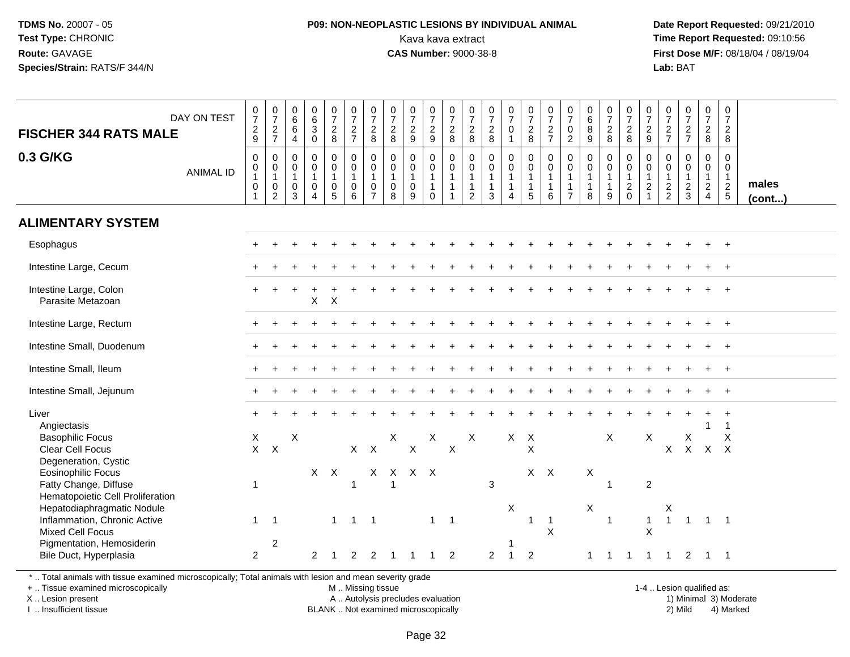#### **P09: NON-NEOPLASTIC LESIONS BY INDIVIDUAL ANIMAL**Kava kava extract **Time Report Requested:** 09:10:56<br>**CAS Number:** 9000-38-8<br>**Tirst Dose M/F:** 08/18/04 / 08/19/04

 **Date Report Requested:** 09/21/2010 **First Dose M/F:** 08/18/04 / 08/19/04 Lab: BAT **Lab:** BAT

| <b>FISCHER 344 RATS MALE</b><br>0.3 G/KG                                                           | DAY ON TEST<br><b>ANIMAL ID</b> | $\frac{0}{7}$<br>$\frac{2}{9}$<br>0<br>$\pmb{0}$ | $\begin{array}{c} 0 \\ 7 \end{array}$<br>$\frac{2}{7}$<br>$\mathbf 0$<br>$\mathbf 0$ | 0<br>$6\overline{6}$<br>$\,6\,$<br>$\overline{4}$<br>$\mathbf 0$<br>$\mathbf 0$ | $_{6}^{\rm 0}$<br>$\mathfrak{S}$<br>$\mathbf 0$<br>0<br>$\mathsf{O}\xspace$ | $\frac{0}{7}$<br>$\frac{2}{8}$<br>$\mathbf 0$<br>$\overline{0}$ | $\frac{0}{7}$<br>$\frac{2}{7}$<br>$\mathbf 0$<br>$\mathsf{O}\xspace$ | $\frac{0}{7}$<br>$\frac{2}{8}$<br>$\Omega$<br>$\mathbf 0$ | $\frac{0}{7}$<br>$\frac{2}{8}$<br>$\mathbf 0$<br>$\mathbf 0$ | $\frac{0}{7}$<br>$\frac{2}{9}$<br>$\mathbf 0$<br>$\mathbf 0$ | $\frac{0}{7}$<br>$\frac{2}{9}$<br>0<br>$\mathbf 0$ | $\frac{0}{7}$<br>$_{8}^2$<br>$\mathbf 0$<br>$\mathbf 0$ | $\frac{0}{7}$<br>$^2_8$<br>$\mathbf 0$<br>$\mathbf 0$ | $\frac{0}{7}$<br>$_{8}^2$<br>0<br>$\pmb{0}$ | $\frac{0}{7}$<br>$\mathbf 0$<br>$\mathbf 0$<br>$\overline{0}$ | $\frac{0}{7}$<br>$\frac{2}{8}$<br>$\mathbf 0$<br>$\mathsf{O}\xspace$ | $\frac{0}{7}$<br>$\frac{2}{7}$<br>$\Omega$<br>$\mathbf 0$ | $\frac{0}{7}$<br>$\mathbf 0$<br>$\overline{2}$<br>$\mathbf 0$<br>$\mathbf 0$ | $\begin{array}{c} 0 \\ 6 \end{array}$<br>8<br>9<br>0<br>$\mathbf 0$ | $\frac{0}{7}$<br>$\frac{2}{8}$<br>$\mathbf 0$<br>$\mathbf 0$ | $\frac{0}{7}$<br>$_{8}^2$<br>$\mathbf 0$<br>$\mathsf 0$ | $\frac{0}{7}$<br>$\frac{2}{9}$<br>$\mathbf 0$<br>$\mathbf 0$ | $\frac{0}{7}$<br>$\frac{2}{7}$<br>0<br>$\pmb{0}$ | $\frac{0}{7}$<br>$\frac{2}{7}$<br>0<br>$\overline{0}$ | $\begin{array}{c} 0 \\ 7 \end{array}$<br>$\frac{2}{8}$<br>$\mathbf 0$<br>$\mathbf 0$ | $\mathbf 0$<br>$\overline{7}$<br>$\overline{c}$<br>8<br>$\Omega$<br>$\mathbf 0$ |                 |
|----------------------------------------------------------------------------------------------------|---------------------------------|--------------------------------------------------|--------------------------------------------------------------------------------------|---------------------------------------------------------------------------------|-----------------------------------------------------------------------------|-----------------------------------------------------------------|----------------------------------------------------------------------|-----------------------------------------------------------|--------------------------------------------------------------|--------------------------------------------------------------|----------------------------------------------------|---------------------------------------------------------|-------------------------------------------------------|---------------------------------------------|---------------------------------------------------------------|----------------------------------------------------------------------|-----------------------------------------------------------|------------------------------------------------------------------------------|---------------------------------------------------------------------|--------------------------------------------------------------|---------------------------------------------------------|--------------------------------------------------------------|--------------------------------------------------|-------------------------------------------------------|--------------------------------------------------------------------------------------|---------------------------------------------------------------------------------|-----------------|
|                                                                                                    |                                 | $\mathbf{1}$<br>$\mathsf 0$<br>$\mathbf{1}$      | $\mathbf{1}$<br>$\mathbf 0$<br>$\overline{2}$                                        | $\mathbf{1}$<br>$\mathbf 0$<br>3                                                | $\mathbf{1}$<br>$\mathbf 0$<br>$\overline{4}$                               | $\mathbf{1}$<br>0<br>$\overline{5}$                             | $\mathbf{1}$<br>$\mathbf 0$<br>6                                     | $\overline{1}$<br>$\mathbf 0$<br>$\overline{7}$           | $\overline{1}$<br>$\mathbf 0$<br>8                           | 1<br>$\mathbf 0$<br>9                                        | $\mathbf{1}$<br>$\mathbf{1}$<br>$\mathbf 0$        | $\mathbf{1}$<br>$\mathbf 1$                             | $\mathbf{1}$<br>$\mathbf{1}$<br>$\overline{2}$        | $\mathbf{1}$<br>$\mathbf{1}$<br>3           | $\overline{A}$                                                | $\overline{1}$<br>$\overline{1}$<br>5                                | $\overline{1}$<br>$\overline{1}$<br>6                     | $\mathbf{1}$<br>$\mathbf{1}$<br>$\overline{7}$                               | 1<br>1<br>8                                                         | $\mathbf{1}$<br>$\mathbf{1}$<br>9                            | $\mathbf{1}$<br>$\overline{c}$<br>$\Omega$              | $\mathbf{1}$<br>$\overline{c}$                               | $\mathbf{1}$<br>$\frac{2}{2}$                    | $\frac{2}{3}$                                         | $\mathbf{1}$<br>$\frac{2}{4}$                                                        | $\overline{1}$<br>$\frac{2}{5}$                                                 | males<br>(cont) |
| <b>ALIMENTARY SYSTEM</b>                                                                           |                                 |                                                  |                                                                                      |                                                                                 |                                                                             |                                                                 |                                                                      |                                                           |                                                              |                                                              |                                                    |                                                         |                                                       |                                             |                                                               |                                                                      |                                                           |                                                                              |                                                                     |                                                              |                                                         |                                                              |                                                  |                                                       |                                                                                      |                                                                                 |                 |
| Esophagus                                                                                          |                                 |                                                  |                                                                                      |                                                                                 |                                                                             |                                                                 |                                                                      |                                                           |                                                              |                                                              |                                                    |                                                         |                                                       |                                             |                                                               |                                                                      |                                                           |                                                                              |                                                                     |                                                              |                                                         |                                                              |                                                  |                                                       |                                                                                      |                                                                                 |                 |
| Intestine Large, Cecum                                                                             |                                 |                                                  |                                                                                      |                                                                                 |                                                                             |                                                                 |                                                                      |                                                           |                                                              |                                                              |                                                    |                                                         |                                                       |                                             |                                                               |                                                                      |                                                           |                                                                              |                                                                     |                                                              |                                                         |                                                              |                                                  |                                                       |                                                                                      |                                                                                 |                 |
| Intestine Large, Colon<br>Parasite Metazoan                                                        |                                 |                                                  |                                                                                      |                                                                                 | $X$ $X$                                                                     |                                                                 |                                                                      |                                                           |                                                              |                                                              |                                                    |                                                         |                                                       |                                             |                                                               |                                                                      |                                                           |                                                                              |                                                                     |                                                              |                                                         |                                                              |                                                  |                                                       |                                                                                      |                                                                                 |                 |
| Intestine Large, Rectum                                                                            |                                 |                                                  |                                                                                      |                                                                                 |                                                                             |                                                                 |                                                                      |                                                           |                                                              |                                                              |                                                    |                                                         |                                                       |                                             |                                                               |                                                                      |                                                           |                                                                              |                                                                     |                                                              |                                                         |                                                              |                                                  |                                                       |                                                                                      |                                                                                 |                 |
| Intestine Small, Duodenum                                                                          |                                 |                                                  |                                                                                      |                                                                                 |                                                                             |                                                                 |                                                                      |                                                           |                                                              |                                                              |                                                    |                                                         |                                                       |                                             |                                                               |                                                                      |                                                           |                                                                              |                                                                     |                                                              |                                                         |                                                              |                                                  |                                                       |                                                                                      |                                                                                 |                 |
| Intestine Small, Ileum                                                                             |                                 |                                                  |                                                                                      |                                                                                 |                                                                             |                                                                 |                                                                      |                                                           |                                                              |                                                              |                                                    |                                                         |                                                       |                                             |                                                               |                                                                      |                                                           |                                                                              |                                                                     |                                                              |                                                         |                                                              |                                                  |                                                       |                                                                                      |                                                                                 |                 |
| Intestine Small, Jejunum                                                                           |                                 |                                                  |                                                                                      |                                                                                 |                                                                             |                                                                 |                                                                      |                                                           |                                                              |                                                              |                                                    |                                                         |                                                       |                                             |                                                               |                                                                      |                                                           |                                                                              |                                                                     |                                                              |                                                         |                                                              |                                                  |                                                       |                                                                                      |                                                                                 |                 |
| Liver<br>Angiectasis<br><b>Basophilic Focus</b><br><b>Clear Cell Focus</b><br>Degeneration, Cystic |                                 | X<br>$\mathsf{X}$                                | $\mathsf{X}$                                                                         | $\boldsymbol{\mathsf{X}}$                                                       |                                                                             |                                                                 | $X$ $X$                                                              |                                                           | X                                                            | $\mathsf X$                                                  | X                                                  | $\boldsymbol{\mathsf{X}}$                               | $\boldsymbol{\mathsf{X}}$                             |                                             | $X$ $X$                                                       | $\boldsymbol{\mathsf{X}}$                                            |                                                           |                                                                              |                                                                     | X                                                            |                                                         | X                                                            | X                                                | $\mathsf X$                                           | $\overline{1}$<br>X X X                                                              | $\overline{\mathbf{1}}$<br>X                                                    |                 |
| <b>Eosinophilic Focus</b><br>Fatty Change, Diffuse<br>Hematopoietic Cell Proliferation             |                                 | $\mathbf{1}$                                     |                                                                                      |                                                                                 |                                                                             | $X$ $X$                                                         | $\overline{1}$                                                       |                                                           | X X X X<br>$\overline{1}$                                    |                                                              |                                                    |                                                         |                                                       | 3                                           |                                                               | $X$ $X$                                                              |                                                           |                                                                              | X                                                                   | $\overline{1}$                                               |                                                         | $\overline{2}$                                               |                                                  |                                                       |                                                                                      |                                                                                 |                 |
| Hepatodiaphragmatic Nodule<br>Inflammation, Chronic Active<br><b>Mixed Cell Focus</b>              |                                 | $\mathbf{1}$                                     | $\overline{1}$                                                                       |                                                                                 |                                                                             | $\mathbf{1}$                                                    | $1 \quad 1$                                                          |                                                           |                                                              |                                                              | $\mathbf{1}$                                       | $\overline{1}$                                          |                                                       |                                             | X                                                             | $\overline{1}$                                                       | $\overline{1}$<br>$\sf X$                                 |                                                                              | X                                                                   | $\overline{1}$                                               |                                                         | $\mathbf{1}$<br>$\mathsf{x}$                                 | Χ<br>$\overline{1}$                              |                                                       | $1 \quad 1$                                                                          |                                                                                 |                 |
| Pigmentation, Hemosiderin<br>Bile Duct, Hyperplasia                                                |                                 | $\overline{2}$                                   | $\overline{2}$                                                                       |                                                                                 | 2                                                                           |                                                                 | 2                                                                    | 2                                                         |                                                              |                                                              |                                                    | 2                                                       |                                                       | $\overline{2}$                              | $\mathbf{1}$                                                  | $\overline{2}$                                                       |                                                           |                                                                              | $\mathbf{1}$                                                        | -1                                                           | -1                                                      |                                                              | $\overline{1}$                                   | 2                                                     | -1                                                                                   | - 1                                                                             |                 |

\* .. Total animals with tissue examined microscopically; Total animals with lesion and mean severity grade

+ .. Tissue examined microscopically

X .. Lesion present

I .. Insufficient tissue

 M .. Missing tissueA .. Autolysis precludes evaluation

BLANK .. Not examined microscopically 2) Mild 4) Marked

1-4 .. Lesion qualified as:<br>1) Minimal 3) Moderate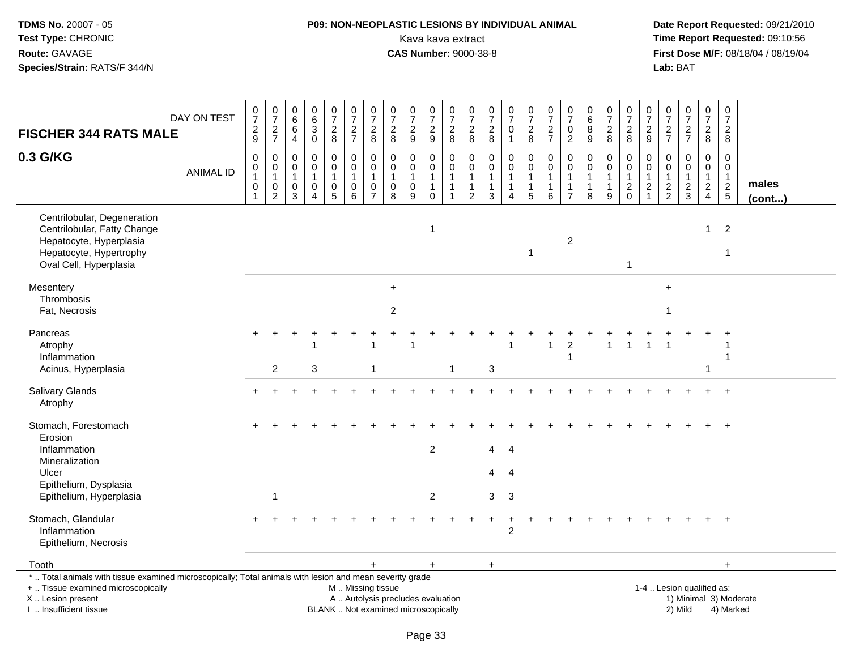## **P09: NON-NEOPLASTIC LESIONS BY INDIVIDUAL ANIMAL**Kava kava extract **Time Report Requested:** 09:10:56<br>**CAS Number:** 9000-38-8 **CAS Number:** 9000-38-8

| <b>FISCHER 344 RATS MALE</b>                                                                                                                                                                  | DAY ON TEST      | $\frac{0}{7}$<br>$\boldsymbol{2}$<br>9     | $\begin{smallmatrix}0\\7\end{smallmatrix}$<br>$\overline{2}$<br>$\overline{7}$ | $\pmb{0}$<br>$\,6\,$<br>$\,6\,$<br>$\overline{4}$            | $\pmb{0}$<br>$\,6$<br>$\overline{3}$<br>$\mathbf 0$               | $\begin{smallmatrix} 0\\7 \end{smallmatrix}$<br>$\boldsymbol{2}$<br>$\bf 8$         | $\begin{smallmatrix} 0\\7 \end{smallmatrix}$<br>$\boldsymbol{2}$<br>$\boldsymbol{7}$          | $\begin{array}{c} 0 \\ 7 \end{array}$<br>$\boldsymbol{2}$<br>8             | $\begin{matrix} 0 \\ 7 \end{matrix}$<br>$\sqrt{2}$<br>8 | $\frac{0}{7}$<br>$\boldsymbol{2}$<br>$\boldsymbol{9}$       | $\frac{0}{7}$<br>$\boldsymbol{2}$<br>9                              | $\begin{array}{c} 0 \\ 7 \end{array}$<br>$\overline{2}$<br>$\bf 8$            | $\frac{0}{7}$<br>$\overline{c}$<br>8                                       | $\pmb{0}$<br>$\overline{7}$<br>$\overline{c}$<br>$\bf 8$       | $\frac{0}{7}$<br>$\mathbf 0$<br>$\mathbf{1}$                                       | $\begin{array}{c} 0 \\ 7 \end{array}$<br>$\overline{c}$<br>$\bf 8$ | $\frac{0}{7}$<br>$\overline{c}$<br>$\overline{7}$            | $\begin{array}{c} 0 \\ 7 \end{array}$<br>$\mathbf 0$<br>$\boldsymbol{2}$  | $\pmb{0}$<br>$\,6\,$<br>8<br>9                              | $\begin{array}{c} 0 \\ 7 \end{array}$<br>$\sqrt{2}$<br>8 | $\frac{0}{7}$<br>$\overline{2}$<br>8                                     | $\pmb{0}$<br>$\overline{7}$<br>$\overline{2}$<br>9                           | $\pmb{0}$<br>$\overline{7}$<br>$\overline{c}$<br>$\overline{7}$ | $\frac{0}{7}$<br>$\overline{2}$<br>$\overline{7}$                          | $\begin{array}{c} 0 \\ 7 \end{array}$<br>$\overline{c}$<br>8                   | $\pmb{0}$<br>$\overline{7}$<br>$\boldsymbol{2}$<br>8                  |                        |
|-----------------------------------------------------------------------------------------------------------------------------------------------------------------------------------------------|------------------|--------------------------------------------|--------------------------------------------------------------------------------|--------------------------------------------------------------|-------------------------------------------------------------------|-------------------------------------------------------------------------------------|-----------------------------------------------------------------------------------------------|----------------------------------------------------------------------------|---------------------------------------------------------|-------------------------------------------------------------|---------------------------------------------------------------------|-------------------------------------------------------------------------------|----------------------------------------------------------------------------|----------------------------------------------------------------|------------------------------------------------------------------------------------|--------------------------------------------------------------------|--------------------------------------------------------------|---------------------------------------------------------------------------|-------------------------------------------------------------|----------------------------------------------------------|--------------------------------------------------------------------------|------------------------------------------------------------------------------|-----------------------------------------------------------------|----------------------------------------------------------------------------|--------------------------------------------------------------------------------|-----------------------------------------------------------------------|------------------------|
| 0.3 G/KG                                                                                                                                                                                      | <b>ANIMAL ID</b> | $\mathbf 0$<br>0<br>$\mathbf{1}$<br>0<br>1 | $\mathbf 0$<br>$\mathbf 0$<br>$\mathbf{1}$<br>$\pmb{0}$<br>$\overline{2}$      | $\mathbf 0$<br>$\mathsf{O}\xspace$<br>$\mathbf{1}$<br>0<br>3 | $\mathbf 0$<br>$\mathbf 0$<br>$\mathbf{1}$<br>0<br>$\overline{4}$ | $\mathbf 0$<br>$\mathbf 0$<br>$\mathbf{1}$<br>$\begin{array}{c} 0 \\ 5 \end{array}$ | $\mathbf 0$<br>$\mathbf 0$<br>$\mathbf{1}$<br>$\mathbf 0$<br>6                                | $\Omega$<br>$\mathbf 0$<br>$\overline{1}$<br>$\mathbf 0$<br>$\overline{7}$ | $\Omega$<br>$\mathbf 0$<br>$\mathbf{1}$<br>0<br>8       | $\Omega$<br>$\mathbf 0$<br>$\mathbf{1}$<br>$\mathbf 0$<br>9 | $\mathbf 0$<br>$\pmb{0}$<br>$\mathbf{1}$<br>$\mathbf 1$<br>$\Omega$ | $\Omega$<br>$\mathbf 0$<br>$\overline{1}$<br>$\overline{1}$<br>$\overline{1}$ | 0<br>$\mathsf{O}\xspace$<br>$\mathbf{1}$<br>$\mathbf{1}$<br>$\overline{2}$ | $\mathbf 0$<br>$\mathbf 0$<br>$\mathbf{1}$<br>$\mathbf 1$<br>3 | $\mathbf 0$<br>$\pmb{0}$<br>$\mathbf{1}$<br>$\mathbf{1}$<br>$\boldsymbol{\Lambda}$ | $\mathbf 0$<br>$\mathbf 0$<br>$\overline{1}$<br>$\mathbf{1}$<br>5  | $\Omega$<br>$\mathbf 0$<br>$\mathbf{1}$<br>$\mathbf{1}$<br>6 | $\Omega$<br>$\mathbf 0$<br>$\mathbf{1}$<br>$\mathbf{1}$<br>$\overline{7}$ | $\Omega$<br>$\mathbf 0$<br>$\mathbf{1}$<br>$\mathbf 1$<br>8 | 0<br>$\mathbf 0$<br>$\mathbf{1}$<br>$\mathbf{1}$<br>9    | $\Omega$<br>$\mathbf 0$<br>$\mathbf{1}$<br>$\overline{c}$<br>$\mathbf 0$ | $\mathbf 0$<br>$\mathbf 0$<br>$\mathbf{1}$<br>$\overline{2}$<br>$\mathbf{1}$ | $\Omega$<br>$\mathbf 0$<br>$\mathbf{1}$<br>$\frac{2}{2}$        | $\mathbf 0$<br>$\pmb{0}$<br>$\mathbf{1}$<br>$\overline{c}$<br>$\mathbf{3}$ | $\mathbf 0$<br>$\mathbf 0$<br>$\mathbf{1}$<br>$\overline{c}$<br>$\overline{4}$ | $\Omega$<br>$\mathbf 0$<br>$\overline{1}$<br>$\sqrt{2}$<br>$\sqrt{5}$ | males<br>(cont)        |
| Centrilobular, Degeneration<br>Centrilobular, Fatty Change<br>Hepatocyte, Hyperplasia<br>Hepatocyte, Hypertrophy<br>Oval Cell, Hyperplasia                                                    |                  |                                            |                                                                                |                                                              |                                                                   |                                                                                     |                                                                                               |                                                                            |                                                         |                                                             | $\mathbf{1}$                                                        |                                                                               |                                                                            |                                                                |                                                                                    | $\overline{1}$                                                     |                                                              | $\overline{c}$                                                            |                                                             |                                                          | 1                                                                        |                                                                              |                                                                 |                                                                            | $\mathbf{1}$                                                                   | $\overline{2}$<br>$\overline{\mathbf{1}}$                             |                        |
| Mesentery<br>Thrombosis<br>Fat, Necrosis                                                                                                                                                      |                  |                                            |                                                                                |                                                              |                                                                   |                                                                                     |                                                                                               |                                                                            | $+$<br>$\sqrt{2}$                                       |                                                             |                                                                     |                                                                               |                                                                            |                                                                |                                                                                    |                                                                    |                                                              |                                                                           |                                                             |                                                          |                                                                          |                                                                              | $+$<br>$\mathbf 1$                                              |                                                                            |                                                                                |                                                                       |                        |
| Pancreas<br>Atrophy<br>Inflammation<br>Acinus, Hyperplasia                                                                                                                                    |                  |                                            | 2                                                                              |                                                              | 3                                                                 |                                                                                     |                                                                                               | -1                                                                         |                                                         |                                                             |                                                                     |                                                                               |                                                                            | 3                                                              |                                                                                    |                                                                    | 1                                                            | $\overline{c}$<br>$\mathbf{1}$                                            |                                                             |                                                          |                                                                          | $\overline{1}$                                                               |                                                                 |                                                                            |                                                                                | -1<br>1                                                               |                        |
| Salivary Glands<br>Atrophy                                                                                                                                                                    |                  |                                            |                                                                                |                                                              |                                                                   |                                                                                     |                                                                                               |                                                                            |                                                         |                                                             |                                                                     |                                                                               |                                                                            |                                                                |                                                                                    |                                                                    |                                                              |                                                                           |                                                             |                                                          |                                                                          |                                                                              |                                                                 |                                                                            |                                                                                | $\ddot{+}$                                                            |                        |
| Stomach, Forestomach<br>Erosion<br>Inflammation<br>Mineralization<br>Ulcer<br>Epithelium, Dysplasia<br>Epithelium, Hyperplasia                                                                |                  |                                            | $\mathbf 1$                                                                    |                                                              |                                                                   |                                                                                     |                                                                                               |                                                                            |                                                         |                                                             | $\overline{2}$<br>$\overline{c}$                                    |                                                                               |                                                                            | $\overline{4}$<br>4<br>3                                       | $\overline{4}$<br>$\overline{4}$<br>3                                              |                                                                    |                                                              |                                                                           |                                                             |                                                          |                                                                          |                                                                              |                                                                 |                                                                            |                                                                                |                                                                       |                        |
| Stomach, Glandular<br>Inflammation<br>Epithelium, Necrosis                                                                                                                                    |                  |                                            |                                                                                |                                                              |                                                                   |                                                                                     |                                                                                               |                                                                            |                                                         |                                                             |                                                                     |                                                                               |                                                                            |                                                                | $\overline{2}$                                                                     |                                                                    |                                                              |                                                                           |                                                             |                                                          |                                                                          |                                                                              |                                                                 |                                                                            |                                                                                |                                                                       |                        |
| Tooth                                                                                                                                                                                         |                  |                                            |                                                                                |                                                              |                                                                   |                                                                                     |                                                                                               | $+$                                                                        |                                                         |                                                             | $\ddot{}$                                                           |                                                                               |                                                                            | $+$                                                            |                                                                                    |                                                                    |                                                              |                                                                           |                                                             |                                                          |                                                                          |                                                                              |                                                                 |                                                                            |                                                                                | $+$                                                                   |                        |
| *  Total animals with tissue examined microscopically; Total animals with lesion and mean severity grade<br>+  Tissue examined microscopically<br>X  Lesion present<br>I  Insufficient tissue |                  |                                            |                                                                                |                                                              |                                                                   |                                                                                     | M  Missing tissue<br>A  Autolysis precludes evaluation<br>BLANK  Not examined microscopically |                                                                            |                                                         |                                                             |                                                                     |                                                                               |                                                                            |                                                                |                                                                                    |                                                                    |                                                              |                                                                           |                                                             |                                                          |                                                                          |                                                                              |                                                                 | 1-4  Lesion qualified as:<br>2) Mild                                       |                                                                                | 4) Marked                                                             | 1) Minimal 3) Moderate |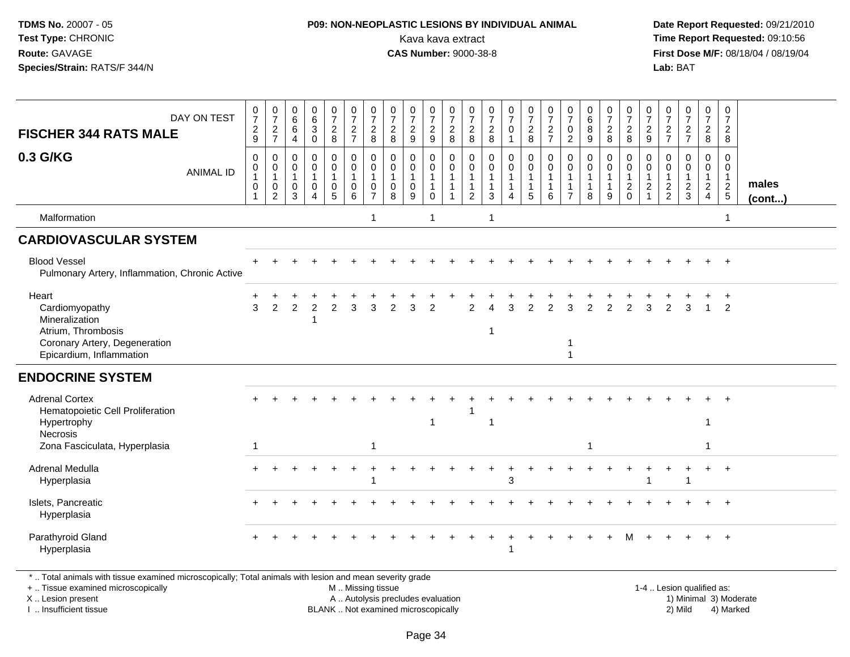## **P09: NON-NEOPLASTIC LESIONS BY INDIVIDUAL ANIMAL**Kava kava extract **Time Report Requested:** 09:10:56<br>**CAS Number:** 9000-38-8<br>**Tirst Dose M/F:** 08/18/04 / 08/19/04

 **Date Report Requested:** 09/21/2010 **First Dose M/F:** 08/18/04 / 08/19/04 Lab: BAT **Lab:** BAT

| DAY ON TEST<br><b>FISCHER 344 RATS MALE</b>                                                                                  | $\frac{0}{7}$<br>$\frac{2}{9}$ | $\frac{0}{7}$<br>$\frac{2}{7}$                                              | 0<br>$\,6\,$<br>6<br>4                              | 0<br>6<br>$\mathbf{3}$<br>$\mathbf 0$                                    | $\frac{0}{7}$<br>$\overline{2}$<br>8       | $\frac{0}{7}$<br>$\frac{2}{7}$                                       | $\frac{0}{7}$<br>$\overline{2}$<br>8                            | $\frac{0}{7}$<br>$\overline{c}$<br>8              | $\frac{0}{7}$<br>$\frac{2}{9}$                             | 0<br>$\overline{7}$<br>$\boldsymbol{2}$<br>$9\,$          | $\frac{0}{7}$<br>$\frac{2}{8}$                                                         | 0<br>$\overline{7}$<br>$\overline{c}$<br>8 | $\frac{0}{7}$<br>$\frac{2}{8}$                                   | $\frac{0}{7}$<br>$\mathbf 0$<br>$\mathbf{1}$        | $\frac{0}{7}$<br>$\frac{2}{8}$ | $\frac{0}{7}$<br>$\frac{2}{7}$                            | 0<br>$\overline{7}$<br>0<br>$\overline{2}$      | $\begin{array}{c} 0 \\ 6 \end{array}$<br>$\, 8$<br>$9\,$        | 0<br>$\overline{7}$<br>$\overline{c}$<br>8 | $\frac{0}{7}$<br>$\frac{2}{8}$                                    | $\frac{0}{7}$<br>$\overline{c}$<br>9                     | 0<br>$\overline{7}$<br>$\frac{2}{7}$           | $\begin{smallmatrix}0\\7\end{smallmatrix}$<br>$\frac{2}{7}$ | 0<br>$\overline{7}$<br>$\boldsymbol{2}$<br>8                         | 0<br>$\overline{7}$<br>$\overline{2}$<br>8                  |                 |
|------------------------------------------------------------------------------------------------------------------------------|--------------------------------|-----------------------------------------------------------------------------|-----------------------------------------------------|--------------------------------------------------------------------------|--------------------------------------------|----------------------------------------------------------------------|-----------------------------------------------------------------|---------------------------------------------------|------------------------------------------------------------|-----------------------------------------------------------|----------------------------------------------------------------------------------------|--------------------------------------------|------------------------------------------------------------------|-----------------------------------------------------|--------------------------------|-----------------------------------------------------------|-------------------------------------------------|-----------------------------------------------------------------|--------------------------------------------|-------------------------------------------------------------------|----------------------------------------------------------|------------------------------------------------|-------------------------------------------------------------|----------------------------------------------------------------------|-------------------------------------------------------------|-----------------|
| 0.3 G/KG<br><b>ANIMAL ID</b>                                                                                                 | 0<br>0<br>0                    | $\mathbf 0$<br>$\pmb{0}$<br>$\overline{1}$<br>$\mathbf 0$<br>$\overline{2}$ | $\Omega$<br>0<br>$\overline{1}$<br>$\mathbf 0$<br>3 | $\mathbf 0$<br>$\mathbf 0$<br>$\mathbf{1}$<br>$\Omega$<br>$\overline{4}$ | 0<br>$\mathsf{O}\xspace$<br>$\pmb{0}$<br>5 | $\mathbf 0$<br>$\mathbf 0$<br>$\mathbf{1}$<br>$\mathbf 0$<br>$\,6\,$ | 0<br>$\mathsf{O}\xspace$<br>$\mathbf{1}$<br>0<br>$\overline{7}$ | $\Omega$<br>0<br>$\mathbf{1}$<br>$\mathbf 0$<br>8 | $\mathbf 0$<br>$\pmb{0}$<br>$\mathbf{1}$<br>$\pmb{0}$<br>9 | 0<br>$\mathbf 0$<br>$\overline{1}$<br>$\overline{1}$<br>0 | $\mathbf 0$<br>$\mathsf{O}\xspace$<br>$\overline{1}$<br>$\mathbf{1}$<br>$\overline{1}$ | 0<br>$\mathbf 0$<br>$\overline{2}$         | 0<br>$\mathbf 0$<br>$\mathbf{1}$<br>$\mathbf{1}$<br>$\mathbf{3}$ | 0<br>$\pmb{0}$<br>$\mathbf{1}$<br>$\mathbf{1}$<br>4 | 0<br>$\mathbf 0$<br>$\sqrt{5}$ | 0<br>$\mathbf 0$<br>$\overline{1}$<br>$\overline{1}$<br>6 | $\Omega$<br>0<br>$\mathbf{1}$<br>$\overline{7}$ | $\mathbf 0$<br>$\mathbf 0$<br>$\mathbf{1}$<br>$\mathbf{1}$<br>8 | 0<br>$\mathbf 0$<br>9                      | 0<br>$\mathbf 0$<br>$\mathbf{1}$<br>$\overline{2}$<br>$\mathbf 0$ | 0<br>0<br>$\mathbf{1}$<br>$\overline{a}$<br>$\mathbf{1}$ | $\Omega$<br>0<br>$\mathbf{1}$<br>$\frac{2}{2}$ | 0<br>$\mathbf 0$<br>$\mathbf{1}$<br>$\frac{2}{3}$           | 0<br>$\mathbf 0$<br>$\mathbf{1}$<br>$\overline{2}$<br>$\overline{4}$ | $\mathbf 0$<br>$\mathbf 0$<br>$\mathbf{1}$<br>$\frac{2}{5}$ | males<br>(cont) |
| Malformation                                                                                                                 |                                |                                                                             |                                                     |                                                                          |                                            |                                                                      | $\overline{1}$                                                  |                                                   |                                                            | -1                                                        |                                                                                        |                                            | $\mathbf 1$                                                      |                                                     |                                |                                                           |                                                 |                                                                 |                                            |                                                                   |                                                          |                                                |                                                             |                                                                      | $\mathbf 1$                                                 |                 |
| <b>CARDIOVASCULAR SYSTEM</b>                                                                                                 |                                |                                                                             |                                                     |                                                                          |                                            |                                                                      |                                                                 |                                                   |                                                            |                                                           |                                                                                        |                                            |                                                                  |                                                     |                                |                                                           |                                                 |                                                                 |                                            |                                                                   |                                                          |                                                |                                                             |                                                                      |                                                             |                 |
| <b>Blood Vessel</b><br>Pulmonary Artery, Inflammation, Chronic Active                                                        |                                |                                                                             |                                                     |                                                                          |                                            |                                                                      |                                                                 |                                                   |                                                            |                                                           |                                                                                        |                                            |                                                                  |                                                     |                                |                                                           |                                                 |                                                                 |                                            |                                                                   |                                                          |                                                |                                                             |                                                                      |                                                             |                 |
| Heart<br>Cardiomyopathy<br>Mineralization<br>Atrium, Thrombosis<br>Coronary Artery, Degeneration<br>Epicardium, Inflammation | 3                              | 2                                                                           | 2                                                   | 2                                                                        | $\overline{2}$                             | 3                                                                    | 3                                                               | $\overline{2}$                                    | 3                                                          | 2                                                         |                                                                                        | $\mathcal{P}$                              | 1                                                                | 3                                                   | $\overline{2}$                 | 2                                                         | 3<br>-1<br>$\overline{\phantom{a}}$             | 2                                                               | $\overline{2}$                             | $\overline{2}$                                                    | 3                                                        | 2                                              | 3                                                           | $\overline{1}$                                                       | 2                                                           |                 |
| <b>ENDOCRINE SYSTEM</b>                                                                                                      |                                |                                                                             |                                                     |                                                                          |                                            |                                                                      |                                                                 |                                                   |                                                            |                                                           |                                                                                        |                                            |                                                                  |                                                     |                                |                                                           |                                                 |                                                                 |                                            |                                                                   |                                                          |                                                |                                                             |                                                                      |                                                             |                 |
| <b>Adrenal Cortex</b><br>Hematopoietic Cell Proliferation<br>Hypertrophy<br>Necrosis                                         |                                |                                                                             |                                                     |                                                                          |                                            |                                                                      |                                                                 |                                                   |                                                            | $\overline{1}$                                            |                                                                                        |                                            | 1                                                                |                                                     |                                |                                                           |                                                 |                                                                 |                                            |                                                                   |                                                          |                                                |                                                             | $\ddot{}$<br>-1                                                      | $+$                                                         |                 |
| Zona Fasciculata, Hyperplasia                                                                                                | $\mathbf 1$                    |                                                                             |                                                     |                                                                          |                                            |                                                                      | $\mathbf{1}$                                                    |                                                   |                                                            |                                                           |                                                                                        |                                            |                                                                  |                                                     |                                |                                                           |                                                 | $\mathbf{1}$                                                    |                                            |                                                                   |                                                          |                                                |                                                             | -1                                                                   |                                                             |                 |
| Adrenal Medulla<br>Hyperplasia                                                                                               |                                |                                                                             |                                                     |                                                                          |                                            |                                                                      |                                                                 |                                                   |                                                            |                                                           |                                                                                        |                                            |                                                                  | 3                                                   |                                |                                                           |                                                 |                                                                 |                                            |                                                                   |                                                          |                                                |                                                             | $+$                                                                  | $+$                                                         |                 |
| Islets, Pancreatic<br>Hyperplasia                                                                                            |                                |                                                                             |                                                     |                                                                          |                                            |                                                                      |                                                                 |                                                   |                                                            |                                                           |                                                                                        |                                            |                                                                  |                                                     |                                |                                                           |                                                 |                                                                 |                                            |                                                                   |                                                          |                                                |                                                             |                                                                      | $\overline{+}$                                              |                 |
| Parathyroid Gland<br>Hyperplasia                                                                                             |                                |                                                                             |                                                     |                                                                          |                                            |                                                                      |                                                                 |                                                   |                                                            |                                                           |                                                                                        |                                            |                                                                  | $\mathbf 1$                                         |                                |                                                           |                                                 |                                                                 |                                            |                                                                   |                                                          |                                                |                                                             |                                                                      | $\overline{+}$                                              |                 |
| *  Total animals with tissue examined microscopically; Total animals with lesion and mean severity grade                     |                                |                                                                             |                                                     |                                                                          |                                            |                                                                      |                                                                 |                                                   |                                                            |                                                           |                                                                                        |                                            |                                                                  |                                                     |                                |                                                           |                                                 |                                                                 |                                            |                                                                   |                                                          |                                                |                                                             |                                                                      |                                                             |                 |

+ .. Tissue examined microscopically

X .. Lesion present

I .. Insufficient tissue

M .. Missing tissue

A .. Autolysis precludes evaluation 1) Minimal 3 ... Autolysis precludes evaluation 1, and 30 ... (1) Minimal 3<br>1) Minimal 30 ... Autor microscopically 1990 ... (1) Minimal 30 ... (1) Minimal 30 ... (1) Minimal 30 ... (1) BLANK .. Not examined microscopically 2) Mild 4) Marked

1-4 .. Lesion qualified as: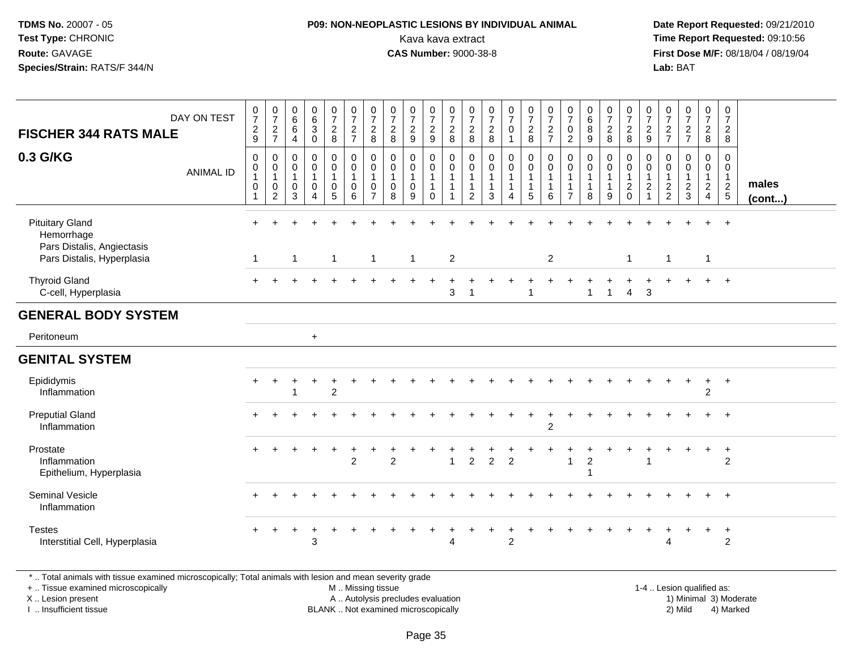#### **P09: NON-NEOPLASTIC LESIONS BY INDIVIDUAL ANIMAL**Kava kava extract **Time Report Requested:** 09:10:56<br>**CAS Number:** 9000-38-8<br>**Tirst Dose M/F:** 08/18/04 / 08/19/04

 **Date Report Requested:** 09/21/2010 **First Dose M/F:** 08/18/04 / 08/19/04 Lab: BAT **Lab:** BAT

| <b>FISCHER 344 RATS MALE</b><br>0.3 G/KG                                                         | DAY ON TEST<br><b>ANIMAL ID</b> | $\frac{0}{7}$<br>$\frac{2}{9}$<br>0<br>0<br>$\overline{1}$<br>$\pmb{0}$<br>$\mathbf{1}$ | $\frac{0}{7}$<br>$\frac{2}{7}$<br>$\mathbf 0$<br>$\mathbf 0$<br>$\mathbf{1}$<br>0<br>$\overline{2}$ | 0<br>$\,6$<br>$\,6\,$<br>$\overline{4}$<br>$\mathbf 0$<br>0<br>$\mathbf{1}$<br>0<br>3 | $\begin{array}{c} 0 \\ 6 \end{array}$<br>$\sqrt{3}$<br>$\mathbf 0$<br>$\mathbf 0$<br>$\mathbf 0$<br>$\mathbf{1}$<br>$\mathbf 0$<br>$\overline{4}$ | $\frac{0}{7}$<br>$\overline{2}$<br>8<br>0<br>$\pmb{0}$<br>$\mathbf{1}$<br>0<br>$\overline{5}$ | $\frac{0}{7}$<br>$\frac{2}{7}$<br>$\pmb{0}$<br>$\boldsymbol{0}$<br>$\overline{1}$<br>$\pmb{0}$<br>6 | $\frac{0}{7}$<br>$_{8}^2$<br>$\mathbf 0$<br>$\pmb{0}$<br>$\mathbf{1}$<br>0<br>$\overline{7}$ | $\frac{0}{7}$<br>$_{\rm 8}^2$<br>$\mathbf 0$<br>$\mathbf 0$<br>$\overline{1}$<br>0<br>8 | $\frac{0}{7}$<br>$\overline{c}$<br>$9\,$<br>$\mathbf 0$<br>$\mathsf{O}\xspace$<br>$\mathbf{1}$<br>$\mathbf 0$<br>9 | $\frac{0}{7}$<br>$\frac{2}{9}$<br>$\mathbf 0$<br>$\mathbf 0$<br>$\mathbf{1}$<br>$\mathbf 1$<br>$\mathbf 0$ | $\frac{0}{7}$<br>$\overline{c}$<br>8<br>0<br>$\mathbf 0$<br>$\mathbf{1}$<br>$\mathbf{1}$<br>$\mathbf{1}$ | $\frac{0}{7}$<br>$\boldsymbol{2}$<br>8<br>0<br>$\mathbf 0$<br>$\overline{1}$<br>1<br>$\overline{2}$ | $\frac{0}{7}$<br>$\frac{2}{8}$<br>$\mathbf 0$<br>$\mathbf 0$<br>$\mathbf{1}$<br>$\mathbf{1}$<br>3 | $\frac{0}{7}$<br>$\mathsf{O}$<br>$\mathbf{1}$<br>$\mathbf 0$<br>$\mathbf 0$<br>$\mathbf{1}$<br>$\mathbf{1}$<br>$\boldsymbol{\Lambda}$ | $\frac{0}{7}$<br>$\frac{2}{8}$<br>0<br>$\mathbf 0$<br>$\mathbf{1}$<br>5 | $\frac{0}{7}$<br>$\frac{2}{7}$<br>$\pmb{0}$<br>$\pmb{0}$<br>$\overline{1}$<br>$\overline{1}$<br>6 | $\frac{0}{7}$<br>$\mathbf 0$<br>$\overline{c}$<br>$\mathbf 0$<br>$\mathbf 0$<br>$\overline{1}$<br>$\overline{7}$ | 0<br>$\,6\,$<br>8<br>$9$<br>$\mathbf 0$<br>$\mathbf 0$<br>$\mathbf{1}$<br>$\mathbf{1}$<br>8 | $\frac{0}{7}$<br>$_{8}^2$<br>$\mathbf 0$<br>$\mathbf 0$<br>$\mathbf{1}$<br>9 | $\frac{0}{7}$<br>$_{\rm 8}^2$<br>$\mathbf 0$<br>$\mathbf 0$<br>$\mathbf{1}$<br>$\frac{2}{0}$ | $\frac{0}{7}$<br>$\frac{2}{9}$<br>0<br>$\mathsf 0$<br>$\mathbf{1}$<br>$\boldsymbol{2}$<br>1 | $\frac{0}{7}$<br>$\frac{2}{7}$<br>$\mathbf 0$<br>$\mathbf 0$<br>$\frac{1}{2}$ | $\frac{0}{7}$<br>$\frac{2}{7}$<br>$\mathbf 0$<br>0<br>$\overline{1}$<br>$\sqrt{2}$<br>3 | $\frac{0}{7}$<br>$\frac{2}{8}$<br>0<br>$\mathbf 0$<br>$\mathbf{1}$<br>$\frac{2}{4}$ | $\frac{0}{7}$<br>$\frac{2}{8}$<br>0<br>$\mathbf 0$<br>$\mathbf{1}$<br>$\frac{2}{5}$ | males<br>(cont) |
|--------------------------------------------------------------------------------------------------|---------------------------------|-----------------------------------------------------------------------------------------|-----------------------------------------------------------------------------------------------------|---------------------------------------------------------------------------------------|---------------------------------------------------------------------------------------------------------------------------------------------------|-----------------------------------------------------------------------------------------------|-----------------------------------------------------------------------------------------------------|----------------------------------------------------------------------------------------------|-----------------------------------------------------------------------------------------|--------------------------------------------------------------------------------------------------------------------|------------------------------------------------------------------------------------------------------------|----------------------------------------------------------------------------------------------------------|-----------------------------------------------------------------------------------------------------|---------------------------------------------------------------------------------------------------|---------------------------------------------------------------------------------------------------------------------------------------|-------------------------------------------------------------------------|---------------------------------------------------------------------------------------------------|------------------------------------------------------------------------------------------------------------------|---------------------------------------------------------------------------------------------|------------------------------------------------------------------------------|----------------------------------------------------------------------------------------------|---------------------------------------------------------------------------------------------|-------------------------------------------------------------------------------|-----------------------------------------------------------------------------------------|-------------------------------------------------------------------------------------|-------------------------------------------------------------------------------------|-----------------|
| <b>Pituitary Gland</b><br>Hemorrhage<br>Pars Distalis, Angiectasis<br>Pars Distalis, Hyperplasia |                                 | $+$<br>$\overline{1}$                                                                   | $\div$                                                                                              | $\mathbf{1}$                                                                          |                                                                                                                                                   | ÷<br>$\overline{1}$                                                                           |                                                                                                     | $\mathbf{1}$                                                                                 |                                                                                         | $\mathbf{1}$                                                                                                       |                                                                                                            | $\overline{2}$                                                                                           |                                                                                                     |                                                                                                   |                                                                                                                                       |                                                                         | $\overline{2}$                                                                                    |                                                                                                                  |                                                                                             |                                                                              | $\mathbf{1}$                                                                                 | ÷.                                                                                          | $\overline{1}$                                                                |                                                                                         | $+$<br>$\mathbf{1}$                                                                 | $+$                                                                                 |                 |
| <b>Thyroid Gland</b><br>C-cell, Hyperplasia                                                      |                                 |                                                                                         |                                                                                                     |                                                                                       |                                                                                                                                                   |                                                                                               |                                                                                                     |                                                                                              |                                                                                         |                                                                                                                    |                                                                                                            | $\sqrt{3}$                                                                                               | -1                                                                                                  |                                                                                                   |                                                                                                                                       |                                                                         |                                                                                                   |                                                                                                                  | -1                                                                                          | $\mathbf{1}$                                                                 | 4                                                                                            | 3                                                                                           |                                                                               |                                                                                         | $\ddot{}$                                                                           | $+$                                                                                 |                 |
| <b>GENERAL BODY SYSTEM</b>                                                                       |                                 |                                                                                         |                                                                                                     |                                                                                       |                                                                                                                                                   |                                                                                               |                                                                                                     |                                                                                              |                                                                                         |                                                                                                                    |                                                                                                            |                                                                                                          |                                                                                                     |                                                                                                   |                                                                                                                                       |                                                                         |                                                                                                   |                                                                                                                  |                                                                                             |                                                                              |                                                                                              |                                                                                             |                                                                               |                                                                                         |                                                                                     |                                                                                     |                 |
| Peritoneum                                                                                       |                                 |                                                                                         |                                                                                                     |                                                                                       | $+$                                                                                                                                               |                                                                                               |                                                                                                     |                                                                                              |                                                                                         |                                                                                                                    |                                                                                                            |                                                                                                          |                                                                                                     |                                                                                                   |                                                                                                                                       |                                                                         |                                                                                                   |                                                                                                                  |                                                                                             |                                                                              |                                                                                              |                                                                                             |                                                                               |                                                                                         |                                                                                     |                                                                                     |                 |
| <b>GENITAL SYSTEM</b>                                                                            |                                 |                                                                                         |                                                                                                     |                                                                                       |                                                                                                                                                   |                                                                                               |                                                                                                     |                                                                                              |                                                                                         |                                                                                                                    |                                                                                                            |                                                                                                          |                                                                                                     |                                                                                                   |                                                                                                                                       |                                                                         |                                                                                                   |                                                                                                                  |                                                                                             |                                                                              |                                                                                              |                                                                                             |                                                                               |                                                                                         |                                                                                     |                                                                                     |                 |
| Epididymis<br>Inflammation                                                                       |                                 |                                                                                         | $\div$                                                                                              |                                                                                       |                                                                                                                                                   | $\overline{c}$                                                                                |                                                                                                     |                                                                                              |                                                                                         |                                                                                                                    |                                                                                                            |                                                                                                          |                                                                                                     |                                                                                                   |                                                                                                                                       |                                                                         |                                                                                                   |                                                                                                                  |                                                                                             |                                                                              |                                                                                              |                                                                                             |                                                                               |                                                                                         | $\ddot{}$<br>$\boldsymbol{2}$                                                       | $+$                                                                                 |                 |
| <b>Preputial Gland</b><br>Inflammation                                                           |                                 |                                                                                         |                                                                                                     |                                                                                       |                                                                                                                                                   |                                                                                               |                                                                                                     |                                                                                              |                                                                                         |                                                                                                                    |                                                                                                            |                                                                                                          |                                                                                                     |                                                                                                   |                                                                                                                                       | $\ddot{}$                                                               | $\overline{2}$                                                                                    |                                                                                                                  |                                                                                             |                                                                              |                                                                                              |                                                                                             |                                                                               |                                                                                         |                                                                                     | $\overline{ }$                                                                      |                 |
| Prostate<br>Inflammation<br>Epithelium, Hyperplasia                                              |                                 |                                                                                         |                                                                                                     |                                                                                       |                                                                                                                                                   |                                                                                               | $\overline{2}$                                                                                      |                                                                                              | $\overline{2}$                                                                          |                                                                                                                    |                                                                                                            | $\overline{1}$                                                                                           | $\overline{c}$                                                                                      | $\overline{2}$                                                                                    | $\overline{2}$                                                                                                                        |                                                                         |                                                                                                   | 1                                                                                                                | $\boldsymbol{2}$                                                                            |                                                                              |                                                                                              |                                                                                             |                                                                               |                                                                                         |                                                                                     | $\ddot{}$<br>$\overline{2}$                                                         |                 |
| <b>Seminal Vesicle</b><br>Inflammation                                                           |                                 |                                                                                         |                                                                                                     |                                                                                       |                                                                                                                                                   |                                                                                               |                                                                                                     |                                                                                              |                                                                                         |                                                                                                                    |                                                                                                            |                                                                                                          |                                                                                                     |                                                                                                   |                                                                                                                                       |                                                                         |                                                                                                   |                                                                                                                  |                                                                                             |                                                                              |                                                                                              |                                                                                             |                                                                               |                                                                                         |                                                                                     | $\overline{+}$                                                                      |                 |
| <b>Testes</b><br>Interstitial Cell, Hyperplasia                                                  |                                 |                                                                                         |                                                                                                     |                                                                                       | 3                                                                                                                                                 |                                                                                               |                                                                                                     |                                                                                              |                                                                                         |                                                                                                                    |                                                                                                            | 4                                                                                                        |                                                                                                     |                                                                                                   | $\overline{c}$                                                                                                                        |                                                                         |                                                                                                   |                                                                                                                  |                                                                                             |                                                                              |                                                                                              |                                                                                             | 4                                                                             |                                                                                         | $\ddot{}$                                                                           | $+$<br>$\overline{2}$                                                               |                 |

\* .. Total animals with tissue examined microscopically; Total animals with lesion and mean severity grade

+ .. Tissue examined microscopically

X .. Lesion present

I .. Insufficient tissue

 M .. Missing tissueA .. Autolysis precludes evaluation

 1-4 .. Lesion qualified as: BLANK .. Not examined microscopically 2) Mild 4) Marked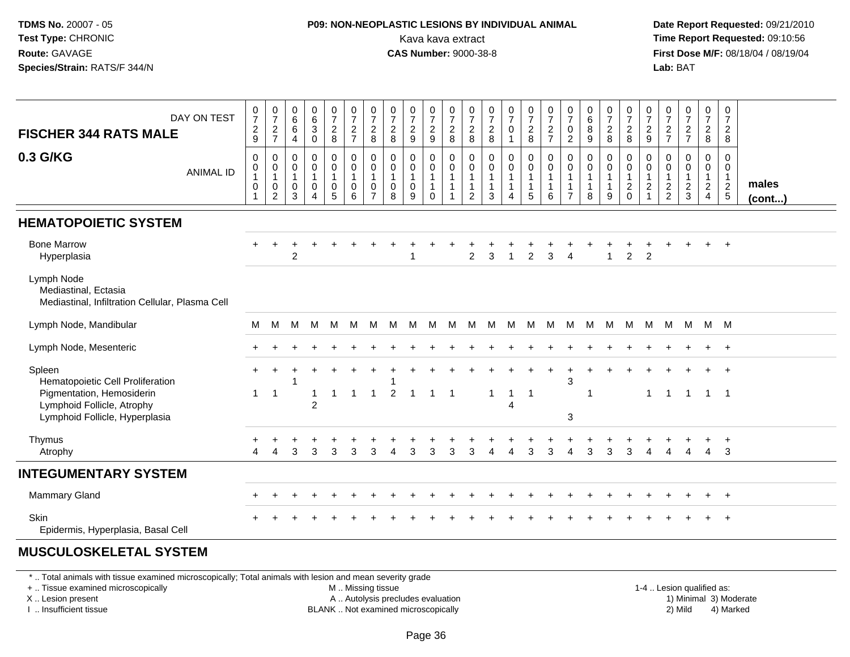#### **P09: NON-NEOPLASTIC LESIONS BY INDIVIDUAL ANIMAL**Kava kava extract **Time Report Requested:** 09:10:56<br>**CAS Number:** 9000-38-8<br>**Tirst Dose M/F:** 08/18/04 / 08/19/04

 **Date Report Requested:** 09/21/2010 **First Dose M/F:** 08/18/04 / 08/19/04 Lab: BAT **Lab:** BAT

| DAY ON TEST<br><b>FISCHER 344 RATS MALE</b>                                           | $\begin{array}{c} 0 \\ 7 \end{array}$<br>$\frac{2}{9}$                                 | $\begin{smallmatrix}0\\7\end{smallmatrix}$<br>$\frac{2}{7}$ | $\begin{matrix}0\0\0\0\end{matrix}$<br>$\overline{4}$      | $\begin{array}{c} 0 \\ 6 \\ 3 \end{array}$<br>$\mathsf 0$  | 0728                                                               | $\frac{0}{7}$<br>$\frac{2}{7}$                                                      | $\frac{0}{7}$<br>$\sqrt{2}$<br>8                                    | $\frac{0}{7}$<br>$\sqrt{2}$<br>8                           | $\frac{0}{7}$<br>$\frac{2}{9}$           | 0729                                                    | $\frac{0}{7}$<br>$\frac{2}{8}$              | $\frac{0}{7}$<br>$\frac{2}{8}$              | $\frac{0}{7}$<br>$\frac{2}{8}$                                     | $\frac{0}{7}$<br>$\pmb{0}$<br>$\overline{\mathbf{1}}$ | $\frac{0}{7}$<br>8                                    | $\frac{0}{7}$<br>$\frac{2}{7}$ | $\frac{0}{7}$<br>$\pmb{0}$<br>2                                            | $\begin{matrix}0\6\8\end{matrix}$<br>9              | 0728                             | 0728                                            | $\frac{0}{7}$<br>$\frac{2}{9}$             | $\frac{0}{7}$<br>$\frac{2}{7}$                            | $\frac{0}{7}$<br>$\frac{2}{7}$ | $\frac{0}{7}$<br>$\frac{2}{8}$                                   | 0<br>$\overline{7}$<br>$\overline{a}$<br>8           |                 |
|---------------------------------------------------------------------------------------|----------------------------------------------------------------------------------------|-------------------------------------------------------------|------------------------------------------------------------|------------------------------------------------------------|--------------------------------------------------------------------|-------------------------------------------------------------------------------------|---------------------------------------------------------------------|------------------------------------------------------------|------------------------------------------|---------------------------------------------------------|---------------------------------------------|---------------------------------------------|--------------------------------------------------------------------|-------------------------------------------------------|-------------------------------------------------------|--------------------------------|----------------------------------------------------------------------------|-----------------------------------------------------|----------------------------------|-------------------------------------------------|--------------------------------------------|-----------------------------------------------------------|--------------------------------|------------------------------------------------------------------|------------------------------------------------------|-----------------|
| 0.3 G/KG<br><b>ANIMAL ID</b>                                                          | $\mathbf 0$<br>$\begin{smallmatrix}0\\1\end{smallmatrix}$<br>$\pmb{0}$<br>$\mathbf{1}$ | 0<br>$\pmb{0}$<br>$\mathbf{1}$<br>$\pmb{0}$<br>2            | $\mathbf 0$<br>$\pmb{0}$<br>$\mathbf{1}$<br>$\pmb{0}$<br>3 | 0<br>$\overline{0}$<br>1<br>$\mathsf{O}$<br>$\overline{4}$ | 0<br>$\pmb{0}$<br>$\mathbf{1}$<br>$\begin{matrix}0\\5\end{matrix}$ | $\mathbf 0$<br>$\pmb{0}$<br>$\overline{1}$<br>$\begin{array}{c} 0 \\ 6 \end{array}$ | 0<br>$\mathbf 0$<br>$\overline{1}$<br>$\mathbf 0$<br>$\overline{7}$ | $\mathbf 0$<br>$\pmb{0}$<br>$\mathbf{1}$<br>$\pmb{0}$<br>8 | 0<br>0<br>$\mathbf{1}$<br>$\pmb{0}$<br>9 | 0<br>$\overline{0}$<br>1<br>$\mathbf{1}$<br>$\mathbf 0$ | 0<br>0<br>$\mathbf{1}$<br>$\mathbf{1}$<br>1 | 0<br>0<br>$\mathbf{1}$<br>$\mathbf{1}$<br>2 | $\mathbf 0$<br>$\overline{0}$<br>$\mathbf{1}$<br>$\mathbf{1}$<br>3 | 0<br>$\mathbf 0$<br>$\mathbf{1}$<br>$\mathbf{1}$<br>4 | $\pmb{0}$<br>$\overline{0}$<br>1<br>$\mathbf{1}$<br>5 | 0<br>0<br>1<br>1<br>6          | $\mathbf 0$<br>$\pmb{0}$<br>$\mathbf{1}$<br>$\mathbf{1}$<br>$\overline{7}$ | 0<br>$\pmb{0}$<br>$\mathbf{1}$<br>$\mathbf{1}$<br>8 | 0<br>0<br>$\mathbf{1}$<br>1<br>9 | 0<br>$\pmb{0}$<br>$\mathbf{1}$<br>$\frac{2}{0}$ | 0<br>0<br>$\mathbf{1}$<br>$\boldsymbol{2}$ | $\mathbf 0$<br>$\pmb{0}$<br>$\mathbf{1}$<br>$\frac{2}{2}$ | 0<br>0<br>1<br>$\frac{2}{3}$   | 0<br>$\begin{smallmatrix}0\\1\end{smallmatrix}$<br>$\frac{2}{4}$ | $\Omega$<br>0<br>$\mathbf{1}$<br>$\overline{2}$<br>5 | males<br>(cont) |
| <b>HEMATOPOIETIC SYSTEM</b>                                                           |                                                                                        |                                                             |                                                            |                                                            |                                                                    |                                                                                     |                                                                     |                                                            |                                          |                                                         |                                             |                                             |                                                                    |                                                       |                                                       |                                |                                                                            |                                                     |                                  |                                                 |                                            |                                                           |                                |                                                                  |                                                      |                 |
| <b>Bone Marrow</b><br>Hyperplasia                                                     |                                                                                        |                                                             | 2                                                          |                                                            |                                                                    |                                                                                     |                                                                     |                                                            |                                          |                                                         |                                             | 2                                           | 3                                                                  | 1                                                     | 2                                                     | 3                              |                                                                            |                                                     |                                  | 2                                               | $\overline{2}$                             |                                                           |                                |                                                                  |                                                      |                 |
| Lymph Node<br>Mediastinal, Ectasia<br>Mediastinal, Infiltration Cellular, Plasma Cell |                                                                                        |                                                             |                                                            |                                                            |                                                                    |                                                                                     |                                                                     |                                                            |                                          |                                                         |                                             |                                             |                                                                    |                                                       |                                                       |                                |                                                                            |                                                     |                                  |                                                 |                                            |                                                           |                                |                                                                  |                                                      |                 |
| Lymph Node, Mandibular                                                                | M                                                                                      | M                                                           | M                                                          | M                                                          | M                                                                  | M                                                                                   | M                                                                   | M                                                          | M                                        | M                                                       | M                                           |                                             | M M                                                                | M                                                     | M                                                     | M                              | M                                                                          | M                                                   | M                                | M                                               | M                                          |                                                           | M M                            | M M                                                              |                                                      |                 |
| Lymph Node, Mesenteric                                                                |                                                                                        |                                                             |                                                            |                                                            |                                                                    |                                                                                     |                                                                     |                                                            |                                          |                                                         |                                             |                                             |                                                                    |                                                       |                                                       |                                |                                                                            |                                                     |                                  |                                                 |                                            |                                                           |                                |                                                                  | $\ddot{}$                                            |                 |
| Spleen<br>Hematopoietic Cell Proliferation<br>Pigmentation, Hemosiderin               | $\div$<br>$\mathbf{1}$                                                                 | $\overline{1}$                                              |                                                            |                                                            |                                                                    | $\overline{1}$                                                                      | -1                                                                  | $\overline{2}$                                             | $\overline{1}$                           | $\mathbf{1}$                                            | $\overline{1}$                              |                                             | $\mathbf{1}$                                                       | -1                                                    | $\overline{1}$                                        |                                | 3                                                                          |                                                     |                                  |                                                 | -1                                         | $\overline{1}$                                            | $\overline{1}$                 | $\overline{1}$                                                   | $\overline{1}$<br>- 1                                |                 |
| Lymphoid Follicle, Atrophy<br>Lymphoid Follicle, Hyperplasia                          |                                                                                        |                                                             |                                                            | $\overline{2}$                                             |                                                                    |                                                                                     |                                                                     |                                                            |                                          |                                                         |                                             |                                             |                                                                    | 4                                                     |                                                       |                                | 3                                                                          |                                                     |                                  |                                                 |                                            |                                                           |                                |                                                                  |                                                      |                 |
| Thymus<br>Atrophy                                                                     | Δ                                                                                      | Δ                                                           | 3                                                          | 3                                                          | 3                                                                  | 3                                                                                   | 3                                                                   | Δ                                                          | 3                                        | 3                                                       | 3                                           | 3                                           | Δ                                                                  | 4                                                     | 3                                                     | 3                              |                                                                            | 3                                                   | 3                                | 3                                               | 4                                          | 4                                                         | 4                              | 4                                                                | 3                                                    |                 |
| <b>INTEGUMENTARY SYSTEM</b>                                                           |                                                                                        |                                                             |                                                            |                                                            |                                                                    |                                                                                     |                                                                     |                                                            |                                          |                                                         |                                             |                                             |                                                                    |                                                       |                                                       |                                |                                                                            |                                                     |                                  |                                                 |                                            |                                                           |                                |                                                                  |                                                      |                 |
| <b>Mammary Gland</b>                                                                  |                                                                                        |                                                             |                                                            |                                                            |                                                                    |                                                                                     |                                                                     |                                                            |                                          |                                                         |                                             |                                             |                                                                    |                                                       |                                                       |                                |                                                                            |                                                     |                                  |                                                 |                                            |                                                           |                                |                                                                  | $+$                                                  |                 |
| <b>Skin</b><br>Epidermis, Hyperplasia, Basal Cell                                     |                                                                                        |                                                             |                                                            |                                                            |                                                                    |                                                                                     |                                                                     |                                                            |                                          |                                                         |                                             |                                             |                                                                    |                                                       |                                                       |                                |                                                                            |                                                     |                                  |                                                 |                                            |                                                           |                                |                                                                  | $^{+}$                                               |                 |
| MUCCULOCKELETAL CVCTEM                                                                |                                                                                        |                                                             |                                                            |                                                            |                                                                    |                                                                                     |                                                                     |                                                            |                                          |                                                         |                                             |                                             |                                                                    |                                                       |                                                       |                                |                                                                            |                                                     |                                  |                                                 |                                            |                                                           |                                |                                                                  |                                                      |                 |

#### **MUSCULOSKELETAL SYSTEM**

\* .. Total animals with tissue examined microscopically; Total animals with lesion and mean severity grade

+ .. Tissue examined microscopically

X .. Lesion present

I .. Insufficient tissue

M .. Missing tissue

A .. Autolysis precludes evaluation

BLANK .. Not examined microscopically 2) Mild 4) Marked

1-4 .. Lesion qualified as: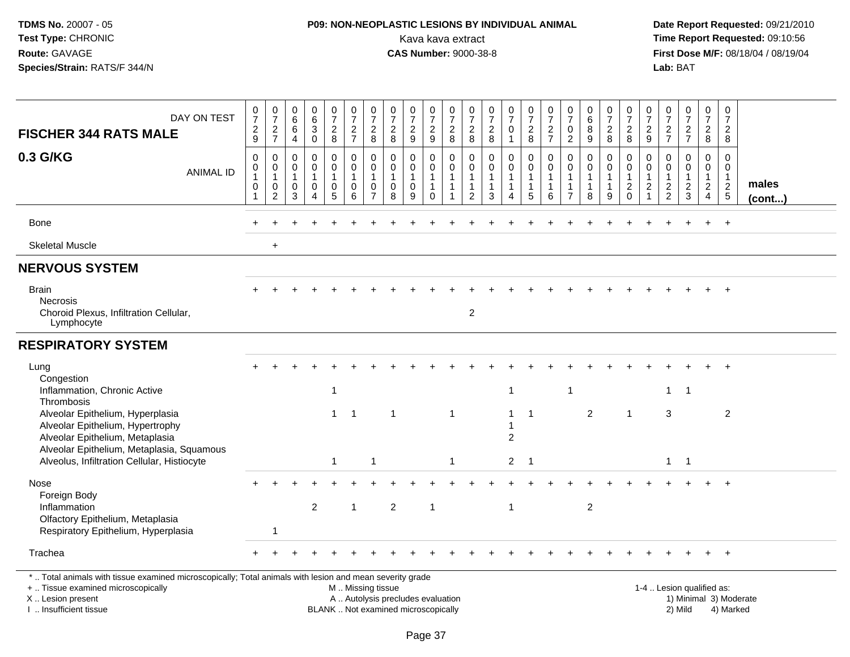# **P09: NON-NEOPLASTIC LESIONS BY INDIVIDUAL ANIMAL**Kava kava extract **Time Report Requested:** 09:10:56<br>**CAS Number:** 9000-38-8<br>**Tirst Dose M/F:** 08/18/04 / 08/19/04

 **Date Report Requested:** 09/21/2010 **First Dose M/F:** 08/18/04 / 08/19/04<br>Lab: BAT **Lab:** BAT

| DAY ON TEST<br><b>FISCHER 344 RATS MALE</b>                                                                                                                         | $\mathbf 0$<br>$\overline{7}$<br>$\frac{2}{9}$                              | 0<br>$\overline{7}$<br>$\frac{2}{7}$                              | 0<br>$\,6\,$<br>6<br>$\overline{4}$               | 0<br>$^6_3$<br>$\mathbf 0$                                 | 0<br>$\overline{7}$<br>$\frac{2}{8}$                 | $\boldsymbol{0}$<br>$\overline{7}$<br>$\frac{2}{7}$    | $\frac{0}{7}$<br>$\frac{2}{8}$                          | $\frac{0}{7}$<br>$\frac{2}{8}$                       | 0<br>$\overline{7}$<br>$\overline{2}$<br>$9\,$ | $\frac{0}{7}$<br>$\frac{2}{9}$                               | 0<br>$\overline{7}$<br>$\overline{c}$<br>8                         | 0<br>$\overline{7}$<br>$\frac{2}{8}$                 | $\frac{0}{7}$<br>$\frac{2}{8}$                                  | 0<br>$\overline{7}$<br>$\mathbf 0$<br>$\mathbf{1}$ | 0<br>$\overline{7}$<br>$\overline{2}$<br>8            | 0<br>$\overline{7}$<br>$\frac{2}{7}$                  | 0<br>$\overline{7}$<br>$\pmb{0}$<br>$\overline{2}$       | $\begin{array}{c} 0 \\ 6 \end{array}$<br>$\overline{8}$<br>9    | $\boldsymbol{0}$<br>$\overline{7}$<br>$\frac{2}{8}$ | 0<br>$\overline{7}$<br>$\frac{2}{8}$                       | 0<br>$\overline{7}$<br>$\overline{2}$<br>9 | 0<br>$\overline{7}$<br>$\frac{2}{7}$             | 0<br>$\overline{7}$<br>$\frac{2}{7}$              | 0<br>$\overline{7}$<br>$\overline{2}$<br>8                                 | 0<br>$\overline{7}$<br>$\overline{2}$<br>8                  |                 |
|---------------------------------------------------------------------------------------------------------------------------------------------------------------------|-----------------------------------------------------------------------------|-------------------------------------------------------------------|---------------------------------------------------|------------------------------------------------------------|------------------------------------------------------|--------------------------------------------------------|---------------------------------------------------------|------------------------------------------------------|------------------------------------------------|--------------------------------------------------------------|--------------------------------------------------------------------|------------------------------------------------------|-----------------------------------------------------------------|----------------------------------------------------|-------------------------------------------------------|-------------------------------------------------------|----------------------------------------------------------|-----------------------------------------------------------------|-----------------------------------------------------|------------------------------------------------------------|--------------------------------------------|--------------------------------------------------|---------------------------------------------------|----------------------------------------------------------------------------|-------------------------------------------------------------|-----------------|
| 0.3 G/KG<br><b>ANIMAL ID</b>                                                                                                                                        | $\mathbf 0$<br>$\mathbf 0$<br>$\mathbf{1}$<br>$\mathbf 0$<br>$\overline{1}$ | 0<br>$\mathbf 0$<br>$\mathbf{1}$<br>$\mathbf 0$<br>$\overline{2}$ | 0<br>$\Omega$<br>$\mathbf{1}$<br>$\mathbf 0$<br>3 | 0<br>$\mathbf 0$<br>$\mathbf 1$<br>$\mathbf 0$<br>$\Delta$ | 0<br>$\mathbf 0$<br>$\mathbf{1}$<br>$\mathbf 0$<br>5 | $\mathbf 0$<br>$\mathbf 0$<br>1<br>$\mathbf 0$<br>6    | 0<br>0<br>$\mathbf{1}$<br>$\mathbf 0$<br>$\overline{7}$ | $\mathbf 0$<br>0<br>$\mathbf{1}$<br>$\mathbf 0$<br>8 | 0<br>0<br>$\mathbf 0$<br>9                     | 0<br>$\mathbf 0$<br>$\mathbf{1}$<br>$\mathbf{1}$<br>$\Omega$ | 0<br>$\mathbf 0$<br>$\mathbf{1}$<br>$\mathbf{1}$<br>$\overline{1}$ | 0<br>$\mathbf 0$<br>$\overline{1}$<br>$\overline{2}$ | $\mathbf 0$<br>$\mathbf 0$<br>$\mathbf{1}$<br>$\mathbf{1}$<br>3 | 0<br>0<br>$\mathbf{1}$<br>1<br>$\overline{A}$      | 0<br>$\mathbf 0$<br>$\mathbf{1}$<br>$\mathbf{1}$<br>5 | 0<br>$\mathbf 0$<br>$\mathbf{1}$<br>$\mathbf{1}$<br>6 | 0<br>0<br>$\mathbf{1}$<br>$\mathbf{1}$<br>$\overline{7}$ | $\mathbf 0$<br>$\mathbf 0$<br>$\mathbf{1}$<br>$\mathbf{1}$<br>8 | 0<br>0<br>$\overline{1}$<br>$\mathbf{1}$<br>9       | 0<br>$\mathbf 0$<br>$\mathbf{1}$<br>$\sqrt{2}$<br>$\Omega$ | 0<br>$\Omega$<br>$\overline{c}$            | 0<br>$\Omega$<br>$\overline{1}$<br>$\frac{2}{2}$ | $\mathbf 0$<br>0<br>$\mathbf{1}$<br>$\frac{2}{3}$ | $\mathbf 0$<br>$\mathbf 0$<br>$\mathbf{1}$<br>$\sqrt{2}$<br>$\overline{4}$ | $\mathbf 0$<br>$\mathbf 0$<br>$\mathbf{1}$<br>$\frac{2}{5}$ | males<br>(cont) |
| Bone                                                                                                                                                                |                                                                             |                                                                   |                                                   |                                                            |                                                      |                                                        |                                                         |                                                      |                                                |                                                              |                                                                    |                                                      |                                                                 |                                                    |                                                       |                                                       |                                                          |                                                                 |                                                     |                                                            |                                            |                                                  |                                                   | $\ddot{}$                                                                  | $+$                                                         |                 |
| <b>Skeletal Muscle</b>                                                                                                                                              |                                                                             | $\ddot{}$                                                         |                                                   |                                                            |                                                      |                                                        |                                                         |                                                      |                                                |                                                              |                                                                    |                                                      |                                                                 |                                                    |                                                       |                                                       |                                                          |                                                                 |                                                     |                                                            |                                            |                                                  |                                                   |                                                                            |                                                             |                 |
| <b>NERVOUS SYSTEM</b>                                                                                                                                               |                                                                             |                                                                   |                                                   |                                                            |                                                      |                                                        |                                                         |                                                      |                                                |                                                              |                                                                    |                                                      |                                                                 |                                                    |                                                       |                                                       |                                                          |                                                                 |                                                     |                                                            |                                            |                                                  |                                                   |                                                                            |                                                             |                 |
| <b>Brain</b><br><b>Necrosis</b><br>Choroid Plexus, Infiltration Cellular,<br>Lymphocyte                                                                             |                                                                             |                                                                   |                                                   |                                                            |                                                      |                                                        |                                                         |                                                      |                                                |                                                              |                                                                    | $\boldsymbol{2}$                                     |                                                                 |                                                    |                                                       |                                                       |                                                          |                                                                 |                                                     |                                                            |                                            |                                                  |                                                   |                                                                            |                                                             |                 |
| <b>RESPIRATORY SYSTEM</b>                                                                                                                                           |                                                                             |                                                                   |                                                   |                                                            |                                                      |                                                        |                                                         |                                                      |                                                |                                                              |                                                                    |                                                      |                                                                 |                                                    |                                                       |                                                       |                                                          |                                                                 |                                                     |                                                            |                                            |                                                  |                                                   |                                                                            |                                                             |                 |
| Lung<br>Congestion<br>Inflammation, Chronic Active<br>Thrombosis                                                                                                    |                                                                             |                                                                   |                                                   |                                                            | $\mathbf{1}$                                         |                                                        |                                                         |                                                      |                                                |                                                              |                                                                    |                                                      |                                                                 | $\mathbf{1}$                                       |                                                       |                                                       | $\mathbf{1}$                                             |                                                                 |                                                     |                                                            |                                            | $\mathbf{1}$                                     | $\overline{1}$                                    |                                                                            |                                                             |                 |
| Alveolar Epithelium, Hyperplasia<br>Alveolar Epithelium, Hypertrophy<br>Alveolar Epithelium, Metaplasia<br>Alveolar Epithelium, Metaplasia, Squamous                |                                                                             |                                                                   |                                                   |                                                            |                                                      | $1 \quad 1$                                            |                                                         | $\mathbf{1}$                                         |                                                |                                                              | $\mathbf{1}$                                                       |                                                      |                                                                 | $\mathbf{1}$<br>$\overline{2}$                     | $\mathbf{1}$                                          |                                                       |                                                          | 2                                                               |                                                     | $\mathbf{1}$                                               |                                            | 3                                                |                                                   |                                                                            | $\overline{2}$                                              |                 |
| Alveolus, Infiltration Cellular, Histiocyte                                                                                                                         |                                                                             |                                                                   |                                                   |                                                            | $\mathbf{1}$                                         |                                                        | $\overline{1}$                                          |                                                      |                                                |                                                              | $\mathbf{1}$                                                       |                                                      |                                                                 | 2 <sup>1</sup>                                     | $\overline{1}$                                        |                                                       |                                                          |                                                                 |                                                     |                                                            |                                            | $\mathbf{1}$                                     | $\overline{1}$                                    |                                                                            |                                                             |                 |
| Nose<br>Foreign Body                                                                                                                                                |                                                                             |                                                                   |                                                   |                                                            |                                                      |                                                        |                                                         |                                                      |                                                |                                                              |                                                                    |                                                      |                                                                 |                                                    |                                                       |                                                       |                                                          |                                                                 |                                                     |                                                            |                                            |                                                  |                                                   |                                                                            |                                                             |                 |
| Inflammation<br>Olfactory Epithelium, Metaplasia<br>Respiratory Epithelium, Hyperplasia                                                                             |                                                                             | $\mathbf{1}$                                                      |                                                   | $\overline{2}$                                             |                                                      | $\overline{1}$                                         |                                                         | $\overline{c}$                                       |                                                | $\overline{1}$                                               |                                                                    |                                                      |                                                                 | $\mathbf{1}$                                       |                                                       |                                                       |                                                          | $\overline{2}$                                                  |                                                     |                                                            |                                            |                                                  |                                                   |                                                                            |                                                             |                 |
| Trachea                                                                                                                                                             |                                                                             |                                                                   |                                                   |                                                            |                                                      |                                                        |                                                         |                                                      |                                                |                                                              |                                                                    |                                                      |                                                                 |                                                    |                                                       |                                                       |                                                          |                                                                 |                                                     |                                                            |                                            |                                                  |                                                   |                                                                            | $+$                                                         |                 |
| *  Total animals with tissue examined microscopically; Total animals with lesion and mean severity grade<br>+  Tissue examined microscopically<br>X  Lesion present |                                                                             |                                                                   |                                                   |                                                            |                                                      | M  Missing tissue<br>A  Autolysis precludes evaluation |                                                         |                                                      |                                                |                                                              |                                                                    |                                                      |                                                                 |                                                    |                                                       |                                                       |                                                          |                                                                 |                                                     |                                                            |                                            |                                                  | 1-4  Lesion qualified as:                         |                                                                            | 1) Minimal 3) Moderate                                      |                 |

I .. Insufficient tissue

BLANK .. Not examined microscopically 2) Mild 4) Marked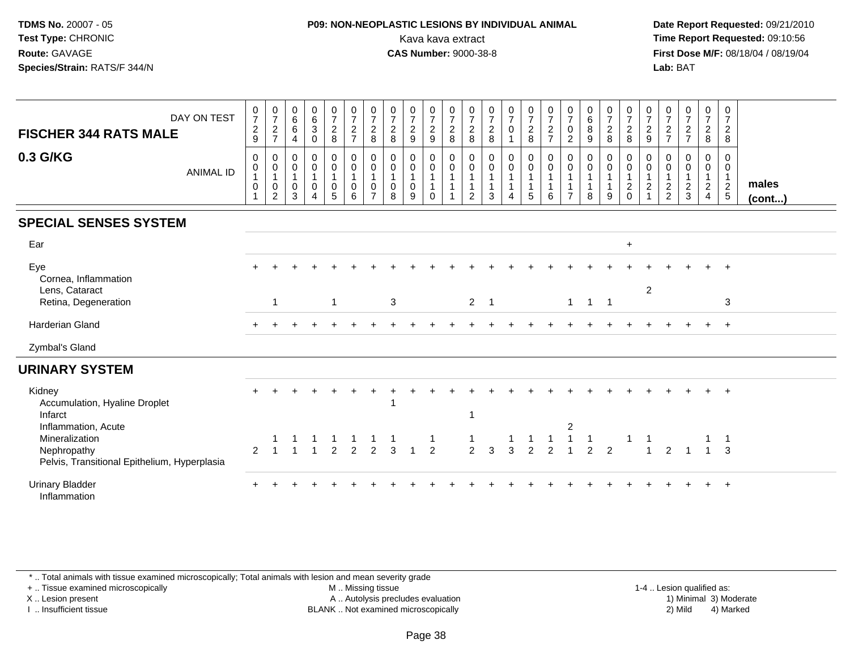### **P09: NON-NEOPLASTIC LESIONS BY INDIVIDUAL ANIMAL**Kava kava extract **Time Report Requested:** 09:10:56<br>**CAS Number:** 9000-38-8<br>**Tirst Dose M/F:** 08/18/04 / 08/19/04

 **Date Report Requested:** 09/21/2010 **First Dose M/F:** 08/18/04 / 08/19/04 Lab: BAT **Lab:** BAT

| DAY ON TEST<br><b>FISCHER 344 RATS MALE</b>                                                          | $\frac{0}{7}$<br>$\overline{c}$<br>9                        | $\frac{0}{7}$<br>$\overline{c}$<br>$\overline{7}$             | $\begin{matrix} 0 \\ 6 \end{matrix}$<br>$6\phantom{1}$<br>$\overline{4}$ | $\begin{array}{c} 0 \\ 6 \end{array}$<br>$\mathbf 3$<br>$\mathbf 0$            | $\frac{0}{7}$<br>$\overline{2}$<br>$\,8\,$        | $\frac{0}{7}$<br>$\frac{2}{7}$                                                  | $\frac{0}{7}$<br>$\overline{2}$<br>8                    | $\frac{0}{7}$<br>$\overline{2}$<br>8 | $\frac{0}{7}$<br>$\boldsymbol{2}$<br>$\boldsymbol{9}$ | $\frac{0}{7}$<br>$\overline{c}$<br>$\boldsymbol{9}$ | $\frac{0}{7}$<br>$\overline{2}$<br>8                                   | $\frac{0}{7}$<br>$\overline{c}$<br>8 | $\frac{0}{7}$<br>$\overline{2}$<br>8                | $\frac{0}{7}$<br>$\pmb{0}$                                                | $\frac{0}{7}$<br>$\overline{2}$<br>8                               | $\frac{0}{7}$<br>$\overline{c}$<br>$\overline{7}$       | $\frac{0}{7}$<br>$\mathbf 0$<br>$\overline{2}$                               | $\begin{matrix} 0 \\ 6 \end{matrix}$<br>$\,8\,$<br>9          | $\frac{0}{7}$<br>$\overline{2}$<br>8                  | $\frac{0}{7}$<br>$\overline{2}$<br>8                          | $\frac{0}{7}$<br>$\overline{c}$<br>9                           | $\frac{0}{7}$<br>$\sqrt{2}$<br>$\overline{7}$ | $\frac{0}{7}$<br>$\frac{2}{7}$                               | $\frac{0}{7}$<br>$\frac{2}{8}$                    | $\frac{0}{7}$<br>$\overline{2}$<br>8              |                 |
|------------------------------------------------------------------------------------------------------|-------------------------------------------------------------|---------------------------------------------------------------|--------------------------------------------------------------------------|--------------------------------------------------------------------------------|---------------------------------------------------|---------------------------------------------------------------------------------|---------------------------------------------------------|--------------------------------------|-------------------------------------------------------|-----------------------------------------------------|------------------------------------------------------------------------|--------------------------------------|-----------------------------------------------------|---------------------------------------------------------------------------|--------------------------------------------------------------------|---------------------------------------------------------|------------------------------------------------------------------------------|---------------------------------------------------------------|-------------------------------------------------------|---------------------------------------------------------------|----------------------------------------------------------------|-----------------------------------------------|--------------------------------------------------------------|---------------------------------------------------|---------------------------------------------------|-----------------|
| 0.3 G/KG<br><b>ANIMAL ID</b>                                                                         | 0<br>0<br>$\mathbf{1}$<br>$\pmb{0}$<br>$\blacktriangleleft$ | 0<br>$\pmb{0}$<br>$\mathbf{1}$<br>$\pmb{0}$<br>$\overline{c}$ | 0<br>$\boldsymbol{0}$<br>$\overline{1}$<br>$\mathbf 0$<br>$\mathbf{3}$   | 0<br>$\begin{smallmatrix}0\\1\end{smallmatrix}$<br>$\pmb{0}$<br>$\overline{4}$ | $\mathbf 0$<br>$\mathbf 0$<br>1<br>$\pmb{0}$<br>5 | $\mathbf 0$<br>$\mathbf 0$<br>$\mathbf{1}$<br>$\mathbf 0$<br>6                  | 0<br>$\mathbf 0$<br>$\mathbf{1}$<br>0<br>$\overline{7}$ | 0<br>0<br>0<br>8                     | 0<br>$\pmb{0}$<br>$\mathbf{1}$<br>$\pmb{0}$<br>9      | 0<br>$\mathbf 0$<br>$\overline{1}$<br>$\Omega$      | 0<br>$\mathbf 0$<br>$\overline{1}$<br>$\overline{1}$<br>$\overline{1}$ | 0<br>$\mathbf 0$<br>1<br>2           | 0<br>$\pmb{0}$<br>$\mathbf{1}$<br>$\mathbf{1}$<br>3 | 0<br>$\pmb{0}$<br>$\mathbf{1}$<br>$\mathbf{1}$<br>$\overline{\mathbf{4}}$ | $\overline{0}$<br>$\mathbf 0$<br>$\mathbf{1}$<br>$\mathbf{1}$<br>5 | 0<br>$\mathbf 0$<br>$\mathbf{1}$<br>$\overline{1}$<br>6 | $\mathbf 0$<br>$\mathbf 0$<br>$\mathbf{1}$<br>$\mathbf{1}$<br>$\overline{7}$ | $\mathbf 0$<br>$\pmb{0}$<br>$\mathbf{1}$<br>$\mathbf{1}$<br>8 | 0<br>$\mathbf 0$<br>$\mathbf{1}$<br>$\mathbf{1}$<br>9 | 0<br>$\mathbf 0$<br>$\mathbf{1}$<br>$\sqrt{2}$<br>$\mathbf 0$ | $\mathbf 0$<br>$\mathbf 0$<br>$\mathbf{1}$<br>$\boldsymbol{2}$ | 0<br>0<br>$\overline{1}$<br>$\frac{2}{2}$     | 0<br>$\pmb{0}$<br>$\mathbf{1}$<br>$\sqrt{2}$<br>$\mathbf{3}$ | 0<br>$\mathbf 0$<br>$\mathbf{1}$<br>$\frac{2}{4}$ | 0<br>$\mathbf 0$<br>$\mathbf{1}$<br>$\frac{2}{5}$ | males<br>(cont) |
| <b>SPECIAL SENSES SYSTEM</b>                                                                         |                                                             |                                                               |                                                                          |                                                                                |                                                   |                                                                                 |                                                         |                                      |                                                       |                                                     |                                                                        |                                      |                                                     |                                                                           |                                                                    |                                                         |                                                                              |                                                               |                                                       |                                                               |                                                                |                                               |                                                              |                                                   |                                                   |                 |
| Ear                                                                                                  |                                                             |                                                               |                                                                          |                                                                                |                                                   |                                                                                 |                                                         |                                      |                                                       |                                                     |                                                                        |                                      |                                                     |                                                                           |                                                                    |                                                         |                                                                              |                                                               |                                                       | $+$                                                           |                                                                |                                               |                                                              |                                                   |                                                   |                 |
| Eye<br>Cornea, Inflammation                                                                          |                                                             |                                                               |                                                                          |                                                                                |                                                   |                                                                                 |                                                         |                                      |                                                       |                                                     |                                                                        |                                      |                                                     |                                                                           |                                                                    |                                                         |                                                                              |                                                               |                                                       |                                                               |                                                                |                                               |                                                              |                                                   |                                                   |                 |
| Lens, Cataract<br>Retina, Degeneration                                                               |                                                             | $\mathbf{1}$                                                  |                                                                          |                                                                                | $\mathbf{1}$                                      |                                                                                 |                                                         | $\mathbf{3}$                         |                                                       |                                                     |                                                                        | $\overline{2}$                       | $\overline{1}$                                      |                                                                           |                                                                    |                                                         |                                                                              | $1 \quad 1 \quad 1$                                           |                                                       |                                                               | $\overline{2}$                                                 |                                               |                                                              |                                                   | 3                                                 |                 |
| <b>Harderian Gland</b>                                                                               |                                                             |                                                               |                                                                          |                                                                                |                                                   |                                                                                 |                                                         |                                      |                                                       |                                                     |                                                                        |                                      |                                                     |                                                                           |                                                                    |                                                         |                                                                              |                                                               |                                                       |                                                               |                                                                |                                               |                                                              |                                                   |                                                   |                 |
| Zymbal's Gland                                                                                       |                                                             |                                                               |                                                                          |                                                                                |                                                   |                                                                                 |                                                         |                                      |                                                       |                                                     |                                                                        |                                      |                                                     |                                                                           |                                                                    |                                                         |                                                                              |                                                               |                                                       |                                                               |                                                                |                                               |                                                              |                                                   |                                                   |                 |
| <b>URINARY SYSTEM</b>                                                                                |                                                             |                                                               |                                                                          |                                                                                |                                                   |                                                                                 |                                                         |                                      |                                                       |                                                     |                                                                        |                                      |                                                     |                                                                           |                                                                    |                                                         |                                                                              |                                                               |                                                       |                                                               |                                                                |                                               |                                                              |                                                   |                                                   |                 |
| Kidney<br>Accumulation, Hyaline Droplet<br>Infarct                                                   |                                                             |                                                               |                                                                          |                                                                                |                                                   |                                                                                 |                                                         |                                      |                                                       |                                                     |                                                                        | $\mathbf 1$                          |                                                     |                                                                           |                                                                    |                                                         |                                                                              |                                                               |                                                       |                                                               |                                                                |                                               |                                                              |                                                   | $\ddot{+}$                                        |                 |
| Inflammation, Acute<br>Mineralization<br>Nephropathy<br>Pelvis, Transitional Epithelium, Hyperplasia | $\mathcal{P}$                                               |                                                               |                                                                          |                                                                                |                                                   | $\begin{array}{ccccccccc}\n1 & 1 & 1 & 1 & 1 \\ 1 & 2 & 2 & 2 & 3\n\end{array}$ |                                                         |                                      | $\overline{1}$                                        | $\frac{1}{2}$                                       |                                                                        | $\frac{1}{2}$                        | $\overline{3}$                                      | $\frac{1}{3}$                                                             | $\frac{1}{2}$                                                      | $\mathfrak{p}$                                          | 2                                                                            | $\frac{1}{2}$                                                 | $\overline{c}$                                        |                                                               | $\frac{1}{1}$                                                  | $\overline{2}$                                |                                                              |                                                   | $1 \quad 3$                                       |                 |
| <b>Urinary Bladder</b><br>Inflammation                                                               |                                                             |                                                               |                                                                          |                                                                                |                                                   |                                                                                 |                                                         |                                      |                                                       |                                                     |                                                                        |                                      |                                                     |                                                                           |                                                                    |                                                         |                                                                              |                                                               |                                                       |                                                               |                                                                |                                               |                                                              |                                                   |                                                   |                 |

\* .. Total animals with tissue examined microscopically; Total animals with lesion and mean severity grade

+ .. Tissue examined microscopically

X .. Lesion present

I .. Insufficient tissue

 M .. Missing tissueA .. Autolysis precludes evaluation

 1-4 .. Lesion qualified as: BLANK .. Not examined microscopically 2) Mild 4) Marked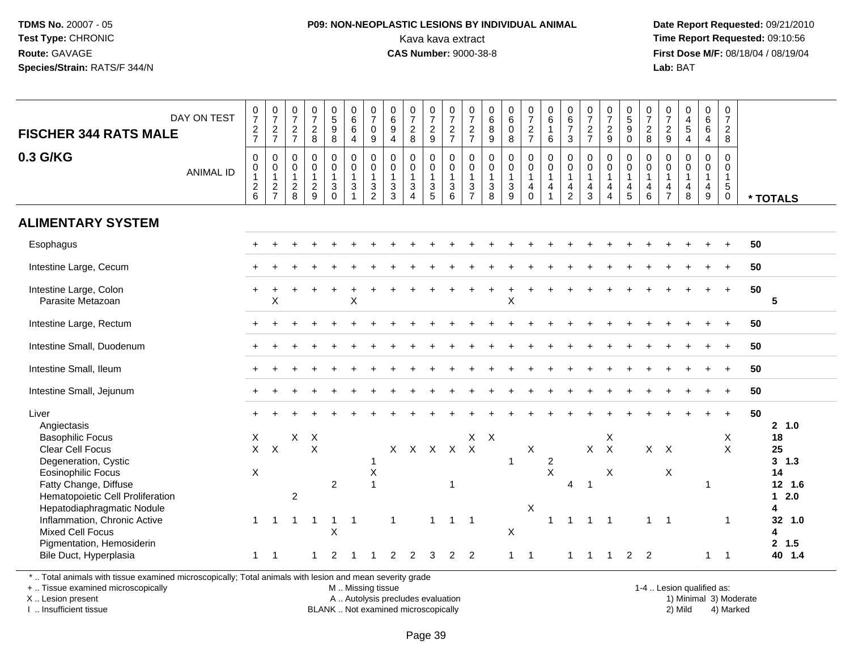### **P09: NON-NEOPLASTIC LESIONS BY INDIVIDUAL ANIMAL**Kava kava extract **Time Report Requested:** 09:10:56<br>**CAS Number:** 9000-38-8<br>**Tirst Dose M/F:** 08/18/04 / 08/19/04

 **Date Report Requested:** 09/21/2010 **First Dose M/F:** 08/18/04 / 08/19/04 Lab: BAT **Lab:** BAT

| DAY ON TEST<br><b>FISCHER 344 RATS MALE</b><br>0.3 G/KG<br><b>ANIMAL ID</b>                                                                                                                                                                                                                                                                  | $\frac{0}{7}$<br>$\frac{2}{7}$<br>$\pmb{0}$<br>$\pmb{0}$<br>$\mathbf{1}$<br>$^2$ 6 | $\frac{0}{7}$<br>$\frac{2}{7}$<br>$\mathsf{O}\xspace$<br>$\begin{smallmatrix}0\1\end{smallmatrix}$<br>$\sqrt{2}$<br>$\overline{7}$ | $\frac{0}{7}$<br>$\frac{2}{7}$<br>0<br>$\mathbf 0$<br>$\mathbf{1}$<br>$\overline{\mathbf{c}}$<br>8 | $\frac{0}{7}$<br>$\frac{2}{8}$<br>$\pmb{0}$<br>0<br>$\mathbf{1}$<br>$\overline{a}$<br>9 | 0<br>9<br>9<br>8<br>$\pmb{0}$<br>$\ddot{\mathbf{0}}$<br>$\mathbf{1}$<br>$\ensuremath{\mathsf{3}}$<br>$\mathbf 0$ | $\begin{matrix} 0 \\ 6 \\ 6 \end{matrix}$<br>$\overline{4}$<br>0<br>$\ddot{\mathbf{0}}$<br>$\mathbf{1}$<br>$\sqrt{3}$<br>$\overline{\mathbf{1}}$ | $\begin{matrix} 0 \\ 7 \end{matrix}$<br>$\mathbf 0$<br>9<br>$\mathbf 0$<br>$\ddot{\mathbf{0}}$<br>$\overline{1}$<br>$\sqrt{3}$<br>$\sqrt{2}$ | $_{6}^{\rm 0}$<br>9<br>$\overline{4}$<br>$\mathbf 0$<br>$\pmb{0}$<br>3<br>3 | $\frac{0}{7}$<br>8<br>$\pmb{0}$<br>$\pmb{0}$<br>$\overline{1}$<br>$\mathbf{3}$<br>$\overline{4}$ | $\frac{0}{7}$<br>$\frac{2}{9}$<br>$\mathsf{O}\xspace$<br>$\mathbf 0$<br>$\mathbf{1}$<br>$\mathbf{3}$<br>5 | $\frac{0}{7}$<br>$\frac{2}{7}$<br>$\mathbf 0$<br>$\mathsf{O}\xspace$<br>$\overline{1}$<br>$\mathsf 3$<br>$6\phantom{1}$ | $\frac{0}{7}$<br>$\frac{2}{7}$<br>$\mathbf 0$<br>$\mathsf{O}\xspace$<br>$\mathbf{1}$<br>$\sqrt{3}$<br>$\overline{7}$ | $\begin{array}{c} 0 \\ 6 \end{array}$<br>$\bf8$<br>9<br>$\mathbf 0$<br>0<br>$\overline{1}$<br>$\sqrt{3}$<br>8 | $\begin{array}{c} 0 \\ 6 \end{array}$<br>$\mathbf 0$<br>$\,8\,$<br>$\mathbf 0$<br>$\pmb{0}$<br>$\mathbf{1}$<br>$\sqrt{3}$<br>9 | $\frac{0}{7}$<br>$\frac{2}{7}$<br>0<br>$\mathbf 0$<br>$\mathbf{1}$<br>4<br>$\Omega$ | $_{6}^{\rm 0}$<br>$\mathbf{1}$<br>6<br>$\mathbf 0$<br>$\mathbf 0$<br>$\mathbf{1}$<br>$\overline{4}$<br>$\overline{1}$ | $\begin{array}{c} 0 \\ 6 \\ 7 \end{array}$<br>$\mathfrak{Z}$<br>$\pmb{0}$<br>$\mathbf 0$<br>$\mathbf{1}$<br>$\overline{\mathbf{4}}$<br>$\overline{2}$ | $\frac{0}{7}$<br>$\frac{2}{7}$<br>$\mathbf 0$<br>$\mathbf 0$<br>$\overline{1}$<br>$\overline{4}$<br>3 | $\frac{0}{7}$<br>$\frac{2}{9}$<br>$\pmb{0}$<br>$\mathbf 0$<br>$\mathbf{1}$<br>$\overline{4}$<br>$\overline{4}$ | $\begin{array}{c} 0 \\ 5 \\ 9 \end{array}$<br>$\mathbf 0$<br>0<br>$\mathbf 0$<br>$\mathbf{1}$<br>4<br>$\overline{5}$ | $\frac{0}{7}$<br>$\frac{2}{8}$<br>0<br>$\mathbf 0$<br>$\mathbf{1}$<br>$\overline{4}$<br>6 | $\frac{0}{7}$<br>$\frac{2}{9}$<br>0<br>0<br>$\mathbf{1}$<br>4<br>$\overline{7}$ | $\begin{smallmatrix}0\0\4\end{smallmatrix}$<br>$\frac{5}{4}$<br>$\mathbf 0$<br>$\mathbf 0$<br>$\mathbf{1}$<br>$\overline{4}$<br>8 | $\begin{array}{c} 0 \\ 6 \end{array}$<br>$\overline{6}$<br>$\overline{4}$<br>$\pmb{0}$<br>$\mathbf 0$<br>$\mathbf{1}$<br>$\overline{4}$<br>$\boldsymbol{9}$ | $\pmb{0}$<br>$\overline{7}$<br>$\sqrt{2}$<br>$\,8\,$<br>$\pmb{0}$<br>$\mathbf 0$<br>$\mathbf{1}$<br>$\sqrt{5}$<br>$\boldsymbol{0}$ | * TOTALS |                                                                                                                      |
|----------------------------------------------------------------------------------------------------------------------------------------------------------------------------------------------------------------------------------------------------------------------------------------------------------------------------------------------|------------------------------------------------------------------------------------|------------------------------------------------------------------------------------------------------------------------------------|----------------------------------------------------------------------------------------------------|-----------------------------------------------------------------------------------------|------------------------------------------------------------------------------------------------------------------|--------------------------------------------------------------------------------------------------------------------------------------------------|----------------------------------------------------------------------------------------------------------------------------------------------|-----------------------------------------------------------------------------|--------------------------------------------------------------------------------------------------|-----------------------------------------------------------------------------------------------------------|-------------------------------------------------------------------------------------------------------------------------|----------------------------------------------------------------------------------------------------------------------|---------------------------------------------------------------------------------------------------------------|--------------------------------------------------------------------------------------------------------------------------------|-------------------------------------------------------------------------------------|-----------------------------------------------------------------------------------------------------------------------|-------------------------------------------------------------------------------------------------------------------------------------------------------|-------------------------------------------------------------------------------------------------------|----------------------------------------------------------------------------------------------------------------|----------------------------------------------------------------------------------------------------------------------|-------------------------------------------------------------------------------------------|---------------------------------------------------------------------------------|-----------------------------------------------------------------------------------------------------------------------------------|-------------------------------------------------------------------------------------------------------------------------------------------------------------|------------------------------------------------------------------------------------------------------------------------------------|----------|----------------------------------------------------------------------------------------------------------------------|
| <b>ALIMENTARY SYSTEM</b>                                                                                                                                                                                                                                                                                                                     |                                                                                    |                                                                                                                                    |                                                                                                    |                                                                                         |                                                                                                                  |                                                                                                                                                  |                                                                                                                                              |                                                                             |                                                                                                  |                                                                                                           |                                                                                                                         |                                                                                                                      |                                                                                                               |                                                                                                                                |                                                                                     |                                                                                                                       |                                                                                                                                                       |                                                                                                       |                                                                                                                |                                                                                                                      |                                                                                           |                                                                                 |                                                                                                                                   |                                                                                                                                                             |                                                                                                                                    |          |                                                                                                                      |
| Esophagus                                                                                                                                                                                                                                                                                                                                    |                                                                                    |                                                                                                                                    |                                                                                                    |                                                                                         |                                                                                                                  |                                                                                                                                                  |                                                                                                                                              |                                                                             |                                                                                                  |                                                                                                           |                                                                                                                         |                                                                                                                      |                                                                                                               |                                                                                                                                |                                                                                     |                                                                                                                       |                                                                                                                                                       |                                                                                                       |                                                                                                                |                                                                                                                      |                                                                                           |                                                                                 |                                                                                                                                   |                                                                                                                                                             |                                                                                                                                    | 50       |                                                                                                                      |
| Intestine Large, Cecum                                                                                                                                                                                                                                                                                                                       |                                                                                    |                                                                                                                                    |                                                                                                    |                                                                                         |                                                                                                                  |                                                                                                                                                  |                                                                                                                                              |                                                                             |                                                                                                  |                                                                                                           |                                                                                                                         |                                                                                                                      |                                                                                                               |                                                                                                                                |                                                                                     |                                                                                                                       |                                                                                                                                                       |                                                                                                       |                                                                                                                |                                                                                                                      |                                                                                           |                                                                                 |                                                                                                                                   |                                                                                                                                                             |                                                                                                                                    | 50       |                                                                                                                      |
| Intestine Large, Colon<br>Parasite Metazoan                                                                                                                                                                                                                                                                                                  | ÷.                                                                                 | X                                                                                                                                  |                                                                                                    |                                                                                         |                                                                                                                  | $\sf X$                                                                                                                                          |                                                                                                                                              |                                                                             |                                                                                                  |                                                                                                           |                                                                                                                         |                                                                                                                      |                                                                                                               | X                                                                                                                              |                                                                                     |                                                                                                                       |                                                                                                                                                       |                                                                                                       |                                                                                                                |                                                                                                                      |                                                                                           |                                                                                 |                                                                                                                                   |                                                                                                                                                             | $+$                                                                                                                                | 50       | 5                                                                                                                    |
| Intestine Large, Rectum                                                                                                                                                                                                                                                                                                                      |                                                                                    |                                                                                                                                    |                                                                                                    |                                                                                         |                                                                                                                  |                                                                                                                                                  |                                                                                                                                              |                                                                             |                                                                                                  |                                                                                                           |                                                                                                                         |                                                                                                                      |                                                                                                               |                                                                                                                                |                                                                                     |                                                                                                                       |                                                                                                                                                       |                                                                                                       |                                                                                                                |                                                                                                                      |                                                                                           |                                                                                 |                                                                                                                                   |                                                                                                                                                             | $+$                                                                                                                                | 50       |                                                                                                                      |
| Intestine Small, Duodenum                                                                                                                                                                                                                                                                                                                    |                                                                                    |                                                                                                                                    |                                                                                                    |                                                                                         |                                                                                                                  |                                                                                                                                                  |                                                                                                                                              |                                                                             |                                                                                                  |                                                                                                           |                                                                                                                         |                                                                                                                      |                                                                                                               |                                                                                                                                |                                                                                     |                                                                                                                       |                                                                                                                                                       |                                                                                                       |                                                                                                                |                                                                                                                      |                                                                                           |                                                                                 |                                                                                                                                   |                                                                                                                                                             |                                                                                                                                    | 50       |                                                                                                                      |
| Intestine Small, Ileum                                                                                                                                                                                                                                                                                                                       |                                                                                    |                                                                                                                                    |                                                                                                    |                                                                                         |                                                                                                                  |                                                                                                                                                  |                                                                                                                                              |                                                                             |                                                                                                  |                                                                                                           |                                                                                                                         |                                                                                                                      |                                                                                                               |                                                                                                                                |                                                                                     |                                                                                                                       |                                                                                                                                                       |                                                                                                       |                                                                                                                |                                                                                                                      |                                                                                           |                                                                                 |                                                                                                                                   |                                                                                                                                                             |                                                                                                                                    | 50       |                                                                                                                      |
| Intestine Small, Jejunum                                                                                                                                                                                                                                                                                                                     |                                                                                    |                                                                                                                                    |                                                                                                    |                                                                                         |                                                                                                                  |                                                                                                                                                  |                                                                                                                                              |                                                                             |                                                                                                  |                                                                                                           |                                                                                                                         |                                                                                                                      |                                                                                                               |                                                                                                                                |                                                                                     |                                                                                                                       |                                                                                                                                                       |                                                                                                       |                                                                                                                |                                                                                                                      |                                                                                           |                                                                                 |                                                                                                                                   |                                                                                                                                                             |                                                                                                                                    | 50       |                                                                                                                      |
| Liver<br>Angiectasis<br><b>Basophilic Focus</b><br><b>Clear Cell Focus</b><br>Degeneration, Cystic<br><b>Eosinophilic Focus</b><br>Fatty Change, Diffuse<br>Hematopoietic Cell Proliferation<br>Hepatodiaphragmatic Nodule<br>Inflammation, Chronic Active<br><b>Mixed Cell Focus</b><br>Pigmentation, Hemosiderin<br>Bile Duct, Hyperplasia | X<br>X<br>$\mathbf{1}$<br>1                                                        | $X$ $X$<br>-1<br>$\overline{1}$                                                                                                    | $\pmb{\times}$<br>2<br>1                                                                           | $\boldsymbol{\mathsf{X}}$<br>$\pmb{\times}$<br>-1                                       | $\overline{2}$<br>$\mathbf 1$<br>X<br>2                                                                          | -1                                                                                                                                               | 1<br>$\boldsymbol{\mathsf{X}}$<br>$\mathbf{1}$                                                                                               | $\mathbf{1}$<br>2                                                           |                                                                                                  | X X X X<br>$\mathbf{1}$<br>3                                                                              | $\mathbf{1}$<br>2                                                                                                       | $X$ $X$<br>$\mathsf{X}$<br>$\overline{1}$<br>$\overline{2}$                                                          |                                                                                                               | 1<br>$\sf X$<br>$\mathbf{1}$                                                                                                   | $\pmb{\times}$<br>X<br>$\overline{1}$                                               | $\overline{c}$<br>$\mathsf{X}$<br>$\mathbf{1}$                                                                        | 4<br>$\overline{1}$                                                                                                                                   | $X$ $X$<br>$\overline{1}$<br>$\mathbf{1}$                                                             | $\boldsymbol{\mathsf{X}}$<br>X<br>$\overline{\phantom{0}}$ 1                                                   | 2                                                                                                                    | $X$ $X$<br>1<br>$\overline{2}$                                                            | X<br>$\overline{1}$                                                             |                                                                                                                                   | -1                                                                                                                                                          | $\ddot{}$<br>X<br>$\times$<br>-1                                                                                                   | 50       | 2 1.0<br>18<br>25<br>$3 \t1.3$<br>14<br>12, 1.6<br>$12.0$<br>4<br>32 <sub>2</sub><br>1.0<br>4<br>2, 1.5<br>40<br>1.4 |

\* .. Total animals with tissue examined microscopically; Total animals with lesion and mean severity grade

+ .. Tissue examined microscopically

X .. Lesion present

I .. Insufficient tissue

 M .. Missing tissueA .. Autolysis precludes evaluation

BLANK .. Not examined microscopically 2) Mild 4) Marked

1-4 .. Lesion qualified as: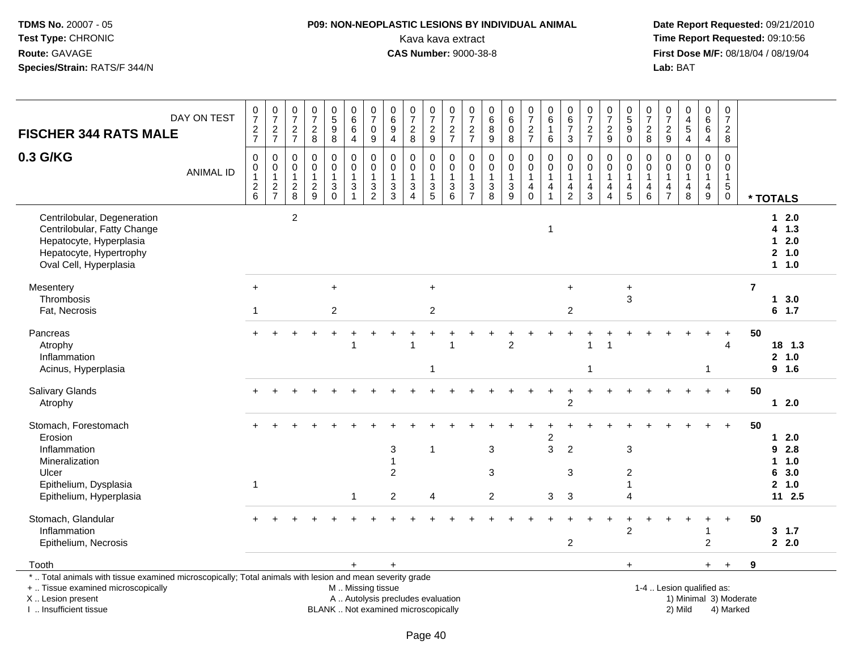# **P09: NON-NEOPLASTIC LESIONS BY INDIVIDUAL ANIMAL**Kava kava extract **Time Report Requested:** 09:10:56

| <b>FISCHER 344 RATS MALE</b>                                                                                                                                                                  | DAY ON TEST      | $\frac{0}{7}$<br>$\frac{2}{7}$         | $\frac{0}{7}$<br>$rac{2}{7}$                              | $\frac{0}{7}$<br>$\frac{2}{7}$                    | $\begin{smallmatrix}0\\7\end{smallmatrix}$<br>$\frac{2}{8}$ | $\begin{array}{c} 0 \\ 5 \end{array}$<br>$\boldsymbol{9}$<br>$\overline{8}$ | $\begin{array}{c} 0 \\ 6 \end{array}$<br>$6\phantom{1}$<br>4                                  | $\frac{0}{7}$<br>$\mathbf 0$<br>$\boldsymbol{9}$                      | $\pmb{0}$<br>$6\phantom{a}$<br>9<br>$\overline{4}$                                          | $\begin{array}{c} 0 \\ 7 \end{array}$<br>$_{\rm 8}^2$                    | $\frac{0}{7}$<br>$\frac{2}{9}$    | $\frac{0}{7}$<br>$\frac{2}{7}$                              | $\frac{0}{7}$<br>$\frac{2}{7}$                            | $\pmb{0}$<br>$\,6\,$<br>$\bf 8$<br>$\overline{9}$  | $\begin{array}{c} 0 \\ 6 \end{array}$<br>$\mathbf 0$<br>$\, 8$ | $\begin{array}{c} 0 \\ 7 \end{array}$<br>$\frac{2}{7}$ | $\begin{array}{c} 0 \\ 6 \end{array}$<br>$\mathbf{1}$<br>$\,6\,$                            | 0<br>$rac{6}{7}$<br>3                             | $\begin{array}{c} 0 \\ 7 \\ 2 \\ 7 \end{array}$ | $\frac{0}{7}$<br>$\frac{2}{9}$                                    | $\begin{array}{c} 0 \\ 5 \\ 9 \end{array}$<br>$\overline{0}$              | $\frac{0}{7}$<br>$^{\,2}_{\,8}$                                       | $\frac{0}{7}$<br>$\frac{2}{9}$                                                   | $\mathbf 0$<br>$\frac{4}{5}$<br>$\overline{\mathbf{4}}$                                   | $\pmb{0}$<br>$6\phantom{a}$<br>$\,6\,$<br>$\overline{4}$  | $\frac{0}{7}$<br>$\frac{2}{8}$                                            |                        |                                                             |
|-----------------------------------------------------------------------------------------------------------------------------------------------------------------------------------------------|------------------|----------------------------------------|-----------------------------------------------------------|---------------------------------------------------|-------------------------------------------------------------|-----------------------------------------------------------------------------|-----------------------------------------------------------------------------------------------|-----------------------------------------------------------------------|---------------------------------------------------------------------------------------------|--------------------------------------------------------------------------|-----------------------------------|-------------------------------------------------------------|-----------------------------------------------------------|----------------------------------------------------|----------------------------------------------------------------|--------------------------------------------------------|---------------------------------------------------------------------------------------------|---------------------------------------------------|-------------------------------------------------|-------------------------------------------------------------------|---------------------------------------------------------------------------|-----------------------------------------------------------------------|----------------------------------------------------------------------------------|-------------------------------------------------------------------------------------------|-----------------------------------------------------------|---------------------------------------------------------------------------|------------------------|-------------------------------------------------------------|
| 0.3 G/KG                                                                                                                                                                                      | <b>ANIMAL ID</b> | $\mathbf 0$<br>0<br>1<br>$\frac{2}{6}$ | $\mathbf 0$<br>$\pmb{0}$<br>$\mathbf{1}$<br>$\frac{2}{7}$ | $\mathbf 0$<br>0<br>$\mathbf{1}$<br>$\frac{2}{8}$ | $\mathbf 0$<br>$\pmb{0}$<br>$\mathbf{1}$<br>$\frac{2}{9}$   | $\pmb{0}$<br>$\pmb{0}$<br>$\mathbf{1}$<br>$\frac{3}{0}$                     | 0<br>$\ddot{\mathbf{0}}$<br>$\mathbf{1}$<br>$\frac{3}{1}$                                     | $\mathbf 0$<br>$\mathsf{O}\xspace$<br>$\overline{1}$<br>$\frac{3}{2}$ | $\mathbf 0$<br>$\mathbf 0$<br>$\overline{1}$<br>$\ensuremath{\mathsf{3}}$<br>$\overline{3}$ | $\mathbf 0$<br>$\mathbf 0$<br>$\mathbf{1}$<br>3<br>$\boldsymbol{\Delta}$ | 0<br>$\mathbf 0$<br>$\frac{3}{5}$ | $\mathbf 0$<br>$\mathbf 0$<br>$\mathbf{1}$<br>$\frac{3}{6}$ | $\mathbf 0$<br>$\pmb{0}$<br>$\mathbf{1}$<br>$\frac{3}{7}$ | $\mathbf 0$<br>$\pmb{0}$<br>$\mathbf{1}$<br>$_8^3$ | $\mathbf 0$<br>$\overline{0}$<br>$\mathbf{1}$<br>$\frac{3}{9}$ | 0<br>$\pmb{0}$<br>$\overline{1}$<br>4<br>$\pmb{0}$     | $\mathbf 0$<br>$\mathsf{O}\xspace$<br>$\mathbf{1}$<br>$\begin{array}{c} 4 \\ 1 \end{array}$ | 0<br>$\mathbf 0$<br>$\mathbf{1}$<br>$\frac{4}{2}$ | 0<br>$\pmb{0}$<br>$\mathbf{1}$<br>$\frac{4}{3}$ | $\mathbf 0$<br>$\mathbf 0$<br>$\mathbf{1}$<br>4<br>$\overline{A}$ | 0<br>$\mathbf 0$<br>$\mathbf{1}$<br>$\begin{array}{c} 4 \\ 5 \end{array}$ | $\mathbf 0$<br>$\pmb{0}$<br>$\overline{1}$<br>$\overline{4}$<br>$\,6$ | $\mathbf 0$<br>$\mathbf 0$<br>$\overline{1}$<br>$\overline{4}$<br>$\overline{7}$ | $\mathbf 0$<br>$\mathbf 0$<br>$\mathbf{1}$<br>$\overline{\mathbf{4}}$<br>$\boldsymbol{8}$ | 0<br>$\mathbf 0$<br>$\mathbf{1}$<br>4<br>$\boldsymbol{9}$ | $\Omega$<br>$\mathbf 0$<br>$\mathbf{1}$<br>$5\phantom{.0}$<br>$\mathbf 0$ |                        | * TOTALS                                                    |
| Centrilobular, Degeneration<br>Centrilobular, Fatty Change<br>Hepatocyte, Hyperplasia<br>Hepatocyte, Hypertrophy<br>Oval Cell, Hyperplasia                                                    |                  |                                        |                                                           | $\overline{c}$                                    |                                                             |                                                                             |                                                                                               |                                                                       |                                                                                             |                                                                          |                                   |                                                             |                                                           |                                                    |                                                                |                                                        | $\mathbf 1$                                                                                 |                                                   |                                                 |                                                                   |                                                                           |                                                                       |                                                                                  |                                                                                           |                                                           |                                                                           |                        | $12.0$<br>4 1.3<br>$12.0$<br>2, 1.0<br>1 1.0                |
| Mesentery<br>Thrombosis<br>Fat, Necrosis                                                                                                                                                      |                  | $\ddot{}$<br>$\mathbf{1}$              |                                                           |                                                   |                                                             | $\ddot{}$<br>$\overline{2}$                                                 |                                                                                               |                                                                       |                                                                                             |                                                                          | $\ddot{}$<br>$\boldsymbol{2}$     |                                                             |                                                           |                                                    |                                                                |                                                        |                                                                                             | $\ddot{}$<br>$\overline{c}$                       |                                                 |                                                                   | $\ddot{}$<br>3                                                            |                                                                       |                                                                                  |                                                                                           |                                                           |                                                                           | $\overline{7}$         | 13.0<br>$6$ 1.7                                             |
| Pancreas<br>Atrophy<br>Inflammation<br>Acinus, Hyperplasia                                                                                                                                    |                  |                                        |                                                           |                                                   |                                                             |                                                                             |                                                                                               |                                                                       |                                                                                             |                                                                          | 1                                 |                                                             |                                                           |                                                    | $\overline{c}$                                                 |                                                        |                                                                                             |                                                   | $\mathbf{1}$                                    |                                                                   |                                                                           |                                                                       |                                                                                  |                                                                                           | 1                                                         | 4                                                                         | 50                     | 18 1.3<br>2 1.0<br>9 1.6                                    |
| Salivary Glands<br>Atrophy                                                                                                                                                                    |                  |                                        |                                                           |                                                   |                                                             |                                                                             |                                                                                               |                                                                       |                                                                                             |                                                                          |                                   |                                                             |                                                           |                                                    |                                                                |                                                        |                                                                                             | $\overline{2}$                                    |                                                 |                                                                   |                                                                           |                                                                       |                                                                                  |                                                                                           |                                                           | $+$                                                                       | 50                     | $12.0$                                                      |
| Stomach, Forestomach<br>Erosion<br>Inflammation<br>Mineralization<br>Ulcer<br>Epithelium, Dysplasia<br>Epithelium, Hyperplasia                                                                |                  | $\mathbf{1}$                           |                                                           |                                                   |                                                             |                                                                             |                                                                                               |                                                                       | 3<br>1<br>$\overline{c}$<br>$\overline{c}$                                                  |                                                                          | $\mathbf{1}$<br>4                 |                                                             |                                                           | 3<br>3<br>$\overline{2}$                           |                                                                |                                                        | $\overline{c}$<br>3<br>3                                                                    | $\overline{c}$<br>3<br>$\mathbf{3}$               |                                                 |                                                                   | 3<br>2<br>1<br>4                                                          |                                                                       |                                                                                  |                                                                                           |                                                           |                                                                           | 50                     | $12.0$<br>92.8<br>1 1.0<br>6<br>3.0<br>2, 1.0<br>$11 \t2.5$ |
| Stomach, Glandular<br>Inflammation<br>Epithelium, Necrosis                                                                                                                                    |                  |                                        |                                                           |                                                   |                                                             |                                                                             |                                                                                               |                                                                       |                                                                                             |                                                                          |                                   |                                                             |                                                           |                                                    |                                                                |                                                        |                                                                                             | $\overline{c}$                                    |                                                 |                                                                   | $\div$<br>$\overline{c}$                                                  |                                                                       |                                                                                  |                                                                                           | 1<br>$\overline{c}$                                       | $+$                                                                       | 50                     | 3, 1.7<br>2.0                                               |
| Tooth                                                                                                                                                                                         |                  |                                        |                                                           |                                                   |                                                             |                                                                             | $+$                                                                                           |                                                                       | $\ddot{}$                                                                                   |                                                                          |                                   |                                                             |                                                           |                                                    |                                                                |                                                        |                                                                                             |                                                   |                                                 |                                                                   | $+$                                                                       |                                                                       |                                                                                  |                                                                                           | $+$                                                       | $+$                                                                       | 9                      |                                                             |
| *  Total animals with tissue examined microscopically; Total animals with lesion and mean severity grade<br>+  Tissue examined microscopically<br>X  Lesion present<br>I  Insufficient tissue |                  |                                        |                                                           |                                                   |                                                             |                                                                             | M  Missing tissue<br>A  Autolysis precludes evaluation<br>BLANK  Not examined microscopically |                                                                       |                                                                                             |                                                                          |                                   |                                                             |                                                           |                                                    |                                                                |                                                        |                                                                                             |                                                   |                                                 |                                                                   |                                                                           |                                                                       |                                                                                  | 1-4  Lesion qualified as:<br>2) Mild                                                      |                                                           | 4) Marked                                                                 | 1) Minimal 3) Moderate |                                                             |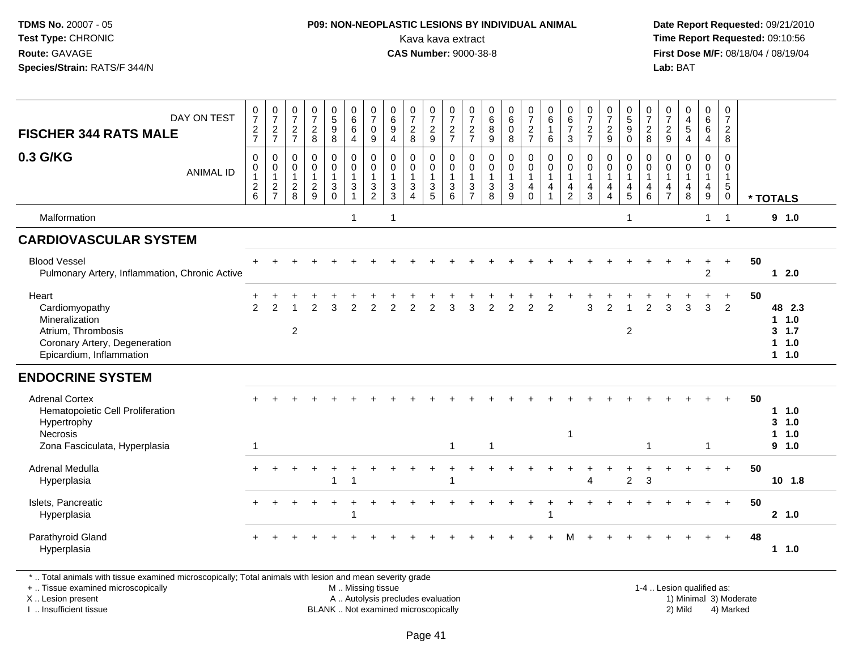### **P09: NON-NEOPLASTIC LESIONS BY INDIVIDUAL ANIMAL**Kava kava extract **Time Report Requested:** 09:10:56<br>**CAS Number:** 9000-38-8<br>**Tirst Dose M/F:** 08/18/04 / 08/19/04

 **Date Report Requested:** 09/21/2010 **First Dose M/F:** 08/18/04 / 08/19/04 Lab: BAT **Lab:** BAT

| DAY ON TEST<br><b>FISCHER 344 RATS MALE</b>                                                                                  | $\frac{0}{7}$<br>$\frac{2}{7}$                                       | $\frac{0}{7}$<br>$\frac{2}{7}$                                   | $\frac{0}{7}$<br>$\sqrt{2}$<br>$\overline{7}$         | $\begin{array}{c} 0 \\ 7 \end{array}$<br>$\sqrt{2}$<br>8          | $\begin{array}{c} 0 \\ 5 \end{array}$<br>$\boldsymbol{9}$<br>8         | 0<br>$6\overline{6}$<br>$6\phantom{1}6$<br>$\overline{4}$ | $\pmb{0}$<br>$\overline{7}$<br>$\mathbf 0$<br>9         | $\pmb{0}$<br>$\,6$<br>$9\,$<br>$\overline{4}$      | $\frac{0}{7}$<br>$\sqrt{2}$<br>8                        | $\begin{array}{c} 0 \\ 7 \\ 2 \end{array}$<br>9                        | $\frac{0}{7}$<br>$\boldsymbol{2}$<br>$\overline{7}$ | 0<br>$\overline{7}$<br>$\sqrt{2}$<br>$\overline{7}$     | $\begin{matrix}0\\6\\8\end{matrix}$<br>$9\,$                          | $\begin{array}{c} 0 \\ 6 \end{array}$<br>$\mathbf 0$<br>8 | $\frac{0}{7}$<br>$\frac{2}{7}$                                    | 0<br>6<br>$\mathbf{1}$<br>6           | $\begin{array}{c} 0 \\ 6 \end{array}$<br>$\boldsymbol{7}$<br>$\mathbf{3}$      | $\frac{0}{7}$<br>$\frac{2}{7}$                           | $\frac{0}{7}$<br>$\frac{2}{9}$                                                       | $\begin{array}{c} 0 \\ 5 \end{array}$<br>$\boldsymbol{9}$<br>$\mathbf 0$ | 0<br>$\overline{7}$<br>$\sqrt{2}$<br>8                              | $\frac{0}{7}$<br>$\sqrt{2}$<br>$\boldsymbol{9}$         | 0<br>$\frac{4}{5}$<br>$\overline{4}$       | 0<br>6<br>$6\phantom{1}6$<br>4                                           | 0<br>$\overline{7}$<br>$\overline{2}$<br>8     |    |                                               |
|------------------------------------------------------------------------------------------------------------------------------|----------------------------------------------------------------------|------------------------------------------------------------------|-------------------------------------------------------|-------------------------------------------------------------------|------------------------------------------------------------------------|-----------------------------------------------------------|---------------------------------------------------------|----------------------------------------------------|---------------------------------------------------------|------------------------------------------------------------------------|-----------------------------------------------------|---------------------------------------------------------|-----------------------------------------------------------------------|-----------------------------------------------------------|-------------------------------------------------------------------|---------------------------------------|--------------------------------------------------------------------------------|----------------------------------------------------------|--------------------------------------------------------------------------------------|--------------------------------------------------------------------------|---------------------------------------------------------------------|---------------------------------------------------------|--------------------------------------------|--------------------------------------------------------------------------|------------------------------------------------|----|-----------------------------------------------|
| 0.3 G/KG<br><b>ANIMAL ID</b>                                                                                                 | $\pmb{0}$<br>$\pmb{0}$<br>$\begin{array}{c} 1 \\ 2 \\ 6 \end{array}$ | $\mathbf 0$<br>0<br>$\mathbf{1}$<br>$\sqrt{2}$<br>$\overline{7}$ | $\pmb{0}$<br>0<br>$\mathbf{1}$<br>$\overline{2}$<br>8 | $\pmb{0}$<br>$\mathbf 0$<br>$\mathbf{1}$<br>$\boldsymbol{2}$<br>9 | $\mathbf 0$<br>$\mathsf{O}\xspace$<br>$\mathbf{1}$<br>3<br>$\mathbf 0$ | 0<br>$\mathbf 0$<br>$\mathbf{1}$<br>3<br>$\overline{1}$   | 0<br>$\mathbf 0$<br>$\mathbf{1}$<br>3<br>$\overline{2}$ | $\pmb{0}$<br>$\mathbf 0$<br>$\mathbf{1}$<br>3<br>3 | 0<br>$\mathbf 0$<br>$\mathbf{1}$<br>3<br>$\overline{4}$ | $\pmb{0}$<br>$\mathbf 0$<br>$\mathbf{1}$<br>$\mathbf{3}$<br>$\sqrt{5}$ | $\pmb{0}$<br>$\pmb{0}$<br>$\mathbf{1}$<br>3<br>6    | 0<br>$\mathbf 0$<br>$\mathbf{1}$<br>3<br>$\overline{7}$ | $\mathbf 0$<br>$\ddot{\mathbf{0}}$<br>$\mathbf{1}$<br>$\sqrt{3}$<br>8 | $\mathbf 0$<br>$\mathbf 0$<br>$\mathbf{1}$<br>3<br>9      | $\mathsf 0$<br>$\overline{0}$<br>$\mathbf{1}$<br>4<br>$\mathbf 0$ | 0<br>$\mathbf 0$<br>$\mathbf{1}$<br>4 | $\mathbf 0$<br>$\mathbf 0$<br>$\mathbf{1}$<br>$\overline{4}$<br>$\overline{2}$ | 0<br>$\mathbf{0}$<br>$\mathbf{1}$<br>$\overline{4}$<br>3 | $\pmb{0}$<br>$\ddot{\mathbf{0}}$<br>$\mathbf{1}$<br>$\overline{4}$<br>$\overline{4}$ | $\mathbf 0$<br>$\mathbf 0$<br>$\mathbf{1}$<br>$\overline{4}$<br>5        | $\mathbf 0$<br>$\mathbf 0$<br>$\overline{1}$<br>$\overline{4}$<br>6 | 0<br>$\mathbf 0$<br>$\mathbf{1}$<br>4<br>$\overline{7}$ | 0<br>$\mathbf 0$<br>$\mathbf{1}$<br>4<br>8 | $\pmb{0}$<br>$\mathbf 0$<br>$\mathbf{1}$<br>$\overline{\mathbf{4}}$<br>9 | 0<br>0<br>$\mathbf{1}$<br>$5\phantom{.0}$<br>0 |    | * TOTALS                                      |
| Malformation                                                                                                                 |                                                                      |                                                                  |                                                       |                                                                   |                                                                        | $\overline{\mathbf{1}}$                                   |                                                         | $\mathbf 1$                                        |                                                         |                                                                        |                                                     |                                                         |                                                                       |                                                           |                                                                   |                                       |                                                                                |                                                          |                                                                                      | -1                                                                       |                                                                     |                                                         |                                            | $\mathbf{1}$                                                             | $\overline{1}$                                 |    | 9 1.0                                         |
| <b>CARDIOVASCULAR SYSTEM</b>                                                                                                 |                                                                      |                                                                  |                                                       |                                                                   |                                                                        |                                                           |                                                         |                                                    |                                                         |                                                                        |                                                     |                                                         |                                                                       |                                                           |                                                                   |                                       |                                                                                |                                                          |                                                                                      |                                                                          |                                                                     |                                                         |                                            |                                                                          |                                                |    |                                               |
| <b>Blood Vessel</b><br>Pulmonary Artery, Inflammation, Chronic Active                                                        |                                                                      |                                                                  |                                                       |                                                                   |                                                                        |                                                           |                                                         |                                                    |                                                         |                                                                        |                                                     |                                                         |                                                                       |                                                           |                                                                   |                                       |                                                                                |                                                          |                                                                                      |                                                                          |                                                                     |                                                         |                                            | $\overline{2}$                                                           | $\ddot{}$                                      | 50 | $12.0$                                        |
| Heart<br>Cardiomyopathy<br>Mineralization<br>Atrium, Thrombosis<br>Coronary Artery, Degeneration<br>Epicardium, Inflammation | +<br>$\mathcal{P}$                                                   | $\mathfrak{p}$                                                   | $\overline{c}$                                        | $\mathcal{P}$                                                     | 3                                                                      | $\overline{2}$                                            | $\mathfrak{p}$                                          | $\mathcal{P}$                                      | $\mathcal{P}$                                           | $\mathcal{P}$                                                          | 3                                                   | 3                                                       | $\mathcal{P}$                                                         | $\overline{2}$                                            | $\mathfrak{p}$                                                    | $\overline{2}$                        |                                                                                | 3                                                        | $\overline{2}$                                                                       | $\overline{2}$                                                           | $\mathcal{P}$                                                       | 3                                                       | 3                                          | 3                                                                        | $\ddot{}$<br>$\overline{2}$                    | 50 | 48 2.3<br>1 1.0<br>3, 1.7<br>1 1.0<br>$1 1.0$ |
| <b>ENDOCRINE SYSTEM</b>                                                                                                      |                                                                      |                                                                  |                                                       |                                                                   |                                                                        |                                                           |                                                         |                                                    |                                                         |                                                                        |                                                     |                                                         |                                                                       |                                                           |                                                                   |                                       |                                                                                |                                                          |                                                                                      |                                                                          |                                                                     |                                                         |                                            |                                                                          |                                                |    |                                               |
| <b>Adrenal Cortex</b><br>Hematopoietic Cell Proliferation<br>Hypertrophy<br><b>Necrosis</b><br>Zona Fasciculata, Hyperplasia |                                                                      |                                                                  |                                                       |                                                                   |                                                                        |                                                           |                                                         |                                                    |                                                         |                                                                        | $\mathbf{1}$                                        |                                                         | $\overline{1}$                                                        |                                                           |                                                                   |                                       | $\mathbf{1}$                                                                   |                                                          |                                                                                      |                                                                          | 1                                                                   |                                                         |                                            | -1                                                                       |                                                | 50 | 1 1.0<br>3, 1.0<br>1.0<br>1.<br>9 1.0         |
| <b>Adrenal Medulla</b><br>Hyperplasia                                                                                        |                                                                      |                                                                  |                                                       |                                                                   | 1                                                                      | $\overline{1}$                                            |                                                         |                                                    |                                                         |                                                                        |                                                     |                                                         |                                                                       |                                                           |                                                                   |                                       |                                                                                |                                                          |                                                                                      | 2                                                                        | 3                                                                   |                                                         |                                            |                                                                          | $+$                                            | 50 | 10 1.8                                        |
| Islets, Pancreatic<br>Hyperplasia                                                                                            |                                                                      |                                                                  |                                                       |                                                                   |                                                                        | $\overline{\mathbf{1}}$                                   |                                                         |                                                    |                                                         |                                                                        |                                                     |                                                         |                                                                       |                                                           |                                                                   | 1                                     |                                                                                |                                                          |                                                                                      |                                                                          |                                                                     |                                                         |                                            |                                                                          | $\ddot{}$                                      | 50 | 2, 1.0                                        |
| Parathyroid Gland<br>Hyperplasia                                                                                             |                                                                      |                                                                  |                                                       |                                                                   |                                                                        |                                                           |                                                         |                                                    |                                                         |                                                                        |                                                     |                                                         |                                                                       |                                                           |                                                                   |                                       |                                                                                |                                                          |                                                                                      |                                                                          |                                                                     |                                                         |                                            |                                                                          |                                                | 48 | 1.0                                           |

\* .. Total animals with tissue examined microscopically; Total animals with lesion and mean severity grade

+ .. Tissue examined microscopically

X .. Lesion present

I .. Insufficient tissue

 M .. Missing tissueA .. Autolysis precludes evaluation

 1-4 .. Lesion qualified as: BLANK .. Not examined microscopically 2) Mild 4) Marked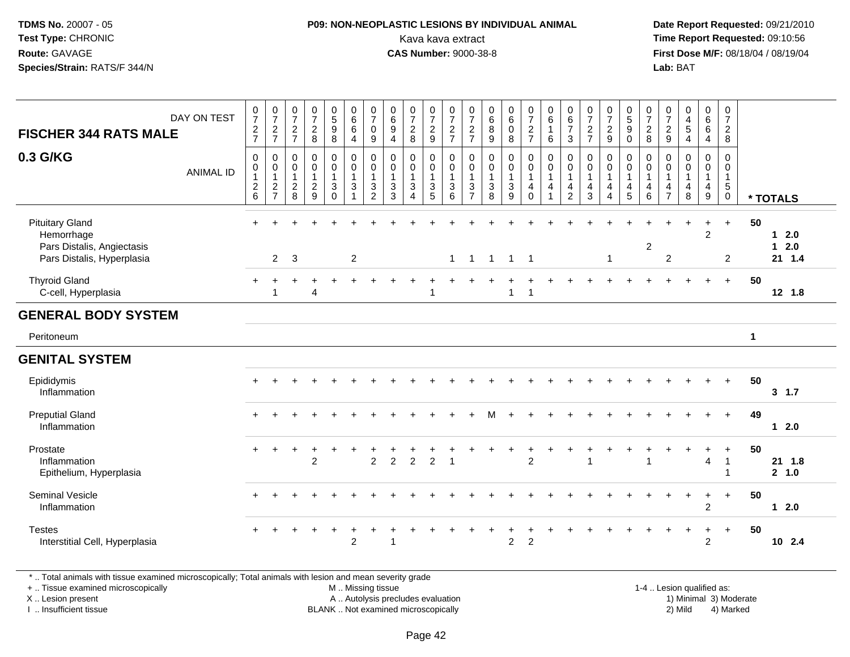### **P09: NON-NEOPLASTIC LESIONS BY INDIVIDUAL ANIMAL**Kava kava extract **Time Report Requested:** 09:10:56<br>**CAS Number:** 9000-38-8<br>**Tirst Dose M/F:** 08/18/04 / 08/19/04

 **Date Report Requested:** 09/21/2010 **First Dose M/F:** 08/18/04 / 08/19/04 Lab: BAT **Lab:** BAT

| <b>FISCHER 344 RATS MALE</b><br>0.3 G/KG                                                         | DAY ON TEST<br><b>ANIMAL ID</b> | $\frac{0}{7}$<br>$\frac{2}{7}$<br>$\mathsf 0$<br>$\begin{smallmatrix}0\\1\end{smallmatrix}$<br>$\frac{2}{6}$ | $\begin{array}{c} 0 \\ 7 \end{array}$<br>$\frac{2}{7}$<br>$\mathbf 0$<br>$\begin{smallmatrix}0\1\end{smallmatrix}$<br>$\frac{2}{7}$ | $\frac{0}{7}$<br>$\frac{2}{7}$<br>$\mathbf 0$<br>0<br>$\mathbf{1}$<br>$^2_{\bf 8}$ | $\begin{smallmatrix}0\\7\end{smallmatrix}$<br>$\frac{2}{8}$<br>$\pmb{0}$<br>$\pmb{0}$<br>$\mathbf{1}$<br>$\frac{2}{9}$ | $\begin{array}{c} 0 \\ 5 \end{array}$<br>$\boldsymbol{9}$<br>8<br>0<br>$\mathsf 0$<br>$\overline{1}$<br>3<br>$\Omega$ | $\begin{array}{c} 0 \\ 6 \end{array}$<br>$\,6\,$<br>$\overline{4}$<br>$\pmb{0}$<br>$\pmb{0}$<br>$\overline{1}$<br>3<br>$\overline{1}$ | $\frac{0}{7}$<br>$\mathbf 0$<br>9<br>0<br>$\pmb{0}$<br>$\mathbf{1}$<br>3<br>$\overline{2}$ | $\begin{array}{c} 0 \\ 6 \end{array}$<br>9<br>$\overline{4}$<br>$\mathbf 0$<br>0<br>$\mathbf{1}$<br>$\sqrt{3}$<br>$\overline{3}$ | $\frac{0}{7}$<br>$\overline{c}$<br>8<br>0<br>$\pmb{0}$<br>$\mathbf{1}$<br>$\mathbf{3}$<br>$\Delta$ | $\frac{0}{7}$<br>$\frac{2}{9}$<br>$\mathbf 0$<br>$\mathbf 0$<br>$\mathbf{1}$<br>$\frac{3}{5}$ | $\frac{0}{7}$<br>$\frac{2}{7}$<br>$\mathbf 0$<br>0<br>$\overline{1}$<br>$\sqrt{3}$<br>$6\phantom{1}$ | $\frac{0}{7}$<br>$\boldsymbol{2}$<br>$\overline{7}$<br>$\mathbf 0$<br>$\mathbf 0$<br>$\mathbf{1}$<br>3<br>$\overline{7}$ | $\begin{matrix}0\\6\\8\end{matrix}$<br>$\boldsymbol{9}$<br>$\mathbf 0$<br>$\begin{smallmatrix}0\\1\end{smallmatrix}$<br>$\ensuremath{\mathsf{3}}$<br>$\overline{8}$ | $_{6}^{\rm 0}$<br>$\pmb{0}$<br>8<br>$\mathsf{O}$<br>$\overline{0}$<br>1<br>$\mathbf{3}$<br>$\overline{9}$ | $\frac{0}{7}$<br>$\frac{2}{7}$<br>0<br>$\boldsymbol{0}$<br>$\mathbf{1}$<br>$\overline{4}$<br>$\mathbf 0$ | $\begin{array}{c} 0 \\ 6 \end{array}$<br>$\overline{1}$<br>6<br>$\mathbf 0$<br>$\pmb{0}$<br>$\overline{1}$<br>$\overline{4}$ | $\begin{array}{c} 0 \\ 6 \end{array}$<br>$\overline{7}$<br>$\mathbf{3}$<br>$\mathbf 0$<br>$\mathbf 0$<br>$\overline{1}$<br>4<br>$\overline{2}$ | $\frac{0}{7}$<br>$\overline{c}$<br>$\overline{7}$<br>$\mathbf 0$<br>$\mathbf 0$<br>$\mathbf{1}$<br>$\overline{4}$<br>3 | $\frac{0}{7}$<br>$\overline{c}$<br>$\boldsymbol{9}$<br>$\mathbf 0$<br>0<br>$\mathbf{1}$<br>4<br>$\boldsymbol{\Lambda}$ | $\begin{array}{c} 0 \\ 5 \\ 9 \end{array}$<br>$\mathsf{O}\xspace$<br>0<br>0<br>$\mathbf{1}$<br>4<br>$\overline{5}$ | $\frac{0}{7}$<br>$_{\rm 8}^2$<br>0<br>$\pmb{0}$<br>$\mathbf{1}$<br>$\overline{4}$<br>$6\phantom{1}$ | $\frac{0}{7}$<br>$\frac{2}{9}$<br>$\mathbf 0$<br>$\mathbf 0$<br>$\overline{1}$<br>$\overline{4}$<br>$\overline{7}$ | $\begin{smallmatrix}0\0\4\end{smallmatrix}$<br>$\sqrt{5}$<br>$\overline{4}$<br>$\mathbf 0$<br>$\mathbf 0$<br>$\overline{1}$<br>$\overline{\mathbf{4}}$<br>8 | 0<br>$\overline{6}$<br>$\,6\,$<br>$\overline{4}$<br>0<br>0<br>$\mathbf{1}$<br>$\overline{4}$<br>9 | $\frac{0}{7}$<br>$\overline{a}$<br>8<br>$\mathbf 0$<br>$\pmb{0}$<br>$\mathbf{1}$<br>$\overline{5}$<br>$\overline{0}$ |             | * TOTALS                     |
|--------------------------------------------------------------------------------------------------|---------------------------------|--------------------------------------------------------------------------------------------------------------|-------------------------------------------------------------------------------------------------------------------------------------|------------------------------------------------------------------------------------|------------------------------------------------------------------------------------------------------------------------|-----------------------------------------------------------------------------------------------------------------------|---------------------------------------------------------------------------------------------------------------------------------------|--------------------------------------------------------------------------------------------|----------------------------------------------------------------------------------------------------------------------------------|----------------------------------------------------------------------------------------------------|-----------------------------------------------------------------------------------------------|------------------------------------------------------------------------------------------------------|--------------------------------------------------------------------------------------------------------------------------|---------------------------------------------------------------------------------------------------------------------------------------------------------------------|-----------------------------------------------------------------------------------------------------------|----------------------------------------------------------------------------------------------------------|------------------------------------------------------------------------------------------------------------------------------|------------------------------------------------------------------------------------------------------------------------------------------------|------------------------------------------------------------------------------------------------------------------------|------------------------------------------------------------------------------------------------------------------------|--------------------------------------------------------------------------------------------------------------------|-----------------------------------------------------------------------------------------------------|--------------------------------------------------------------------------------------------------------------------|-------------------------------------------------------------------------------------------------------------------------------------------------------------|---------------------------------------------------------------------------------------------------|----------------------------------------------------------------------------------------------------------------------|-------------|------------------------------|
| <b>Pituitary Gland</b><br>Hemorrhage<br>Pars Distalis, Angiectasis<br>Pars Distalis, Hyperplasia |                                 | $+$                                                                                                          | ÷<br>$\overline{2}$                                                                                                                 | 3                                                                                  |                                                                                                                        | $\div$                                                                                                                | 2                                                                                                                                     |                                                                                            |                                                                                                                                  |                                                                                                    |                                                                                               |                                                                                                      | $1 \quad 1 \quad 1$                                                                                                      |                                                                                                                                                                     | $1 \quad 1$                                                                                               |                                                                                                          |                                                                                                                              |                                                                                                                                                |                                                                                                                        | $\mathbf{1}$                                                                                                           |                                                                                                                    | $\overline{c}$                                                                                      | $\overline{c}$                                                                                                     |                                                                                                                                                             | $\ddot{}$<br>$\overline{2}$                                                                       | $+$<br>$\overline{2}$                                                                                                | 50          | $12.0$<br>$12.0$<br>$21$ 1.4 |
| <b>Thyroid Gland</b><br>C-cell, Hyperplasia                                                      |                                 |                                                                                                              | -1                                                                                                                                  |                                                                                    | $\overline{4}$                                                                                                         |                                                                                                                       |                                                                                                                                       |                                                                                            |                                                                                                                                  |                                                                                                    |                                                                                               |                                                                                                      |                                                                                                                          |                                                                                                                                                                     | $\mathbf{1}$                                                                                              |                                                                                                          |                                                                                                                              |                                                                                                                                                |                                                                                                                        |                                                                                                                        |                                                                                                                    |                                                                                                     |                                                                                                                    |                                                                                                                                                             |                                                                                                   | $+$                                                                                                                  | 50          | 12 1.8                       |
| <b>GENERAL BODY SYSTEM</b>                                                                       |                                 |                                                                                                              |                                                                                                                                     |                                                                                    |                                                                                                                        |                                                                                                                       |                                                                                                                                       |                                                                                            |                                                                                                                                  |                                                                                                    |                                                                                               |                                                                                                      |                                                                                                                          |                                                                                                                                                                     |                                                                                                           |                                                                                                          |                                                                                                                              |                                                                                                                                                |                                                                                                                        |                                                                                                                        |                                                                                                                    |                                                                                                     |                                                                                                                    |                                                                                                                                                             |                                                                                                   |                                                                                                                      |             |                              |
| Peritoneum                                                                                       |                                 |                                                                                                              |                                                                                                                                     |                                                                                    |                                                                                                                        |                                                                                                                       |                                                                                                                                       |                                                                                            |                                                                                                                                  |                                                                                                    |                                                                                               |                                                                                                      |                                                                                                                          |                                                                                                                                                                     |                                                                                                           |                                                                                                          |                                                                                                                              |                                                                                                                                                |                                                                                                                        |                                                                                                                        |                                                                                                                    |                                                                                                     |                                                                                                                    |                                                                                                                                                             |                                                                                                   |                                                                                                                      | $\mathbf 1$ |                              |
| <b>GENITAL SYSTEM</b>                                                                            |                                 |                                                                                                              |                                                                                                                                     |                                                                                    |                                                                                                                        |                                                                                                                       |                                                                                                                                       |                                                                                            |                                                                                                                                  |                                                                                                    |                                                                                               |                                                                                                      |                                                                                                                          |                                                                                                                                                                     |                                                                                                           |                                                                                                          |                                                                                                                              |                                                                                                                                                |                                                                                                                        |                                                                                                                        |                                                                                                                    |                                                                                                     |                                                                                                                    |                                                                                                                                                             |                                                                                                   |                                                                                                                      |             |                              |
| Epididymis<br>Inflammation                                                                       |                                 |                                                                                                              |                                                                                                                                     |                                                                                    |                                                                                                                        |                                                                                                                       |                                                                                                                                       |                                                                                            |                                                                                                                                  |                                                                                                    |                                                                                               |                                                                                                      |                                                                                                                          |                                                                                                                                                                     |                                                                                                           |                                                                                                          |                                                                                                                              |                                                                                                                                                |                                                                                                                        |                                                                                                                        |                                                                                                                    |                                                                                                     |                                                                                                                    |                                                                                                                                                             | $\ddot{}$                                                                                         | $+$                                                                                                                  | 50          | 3, 1.7                       |
| <b>Preputial Gland</b><br>Inflammation                                                           |                                 |                                                                                                              |                                                                                                                                     |                                                                                    |                                                                                                                        |                                                                                                                       |                                                                                                                                       |                                                                                            |                                                                                                                                  |                                                                                                    |                                                                                               |                                                                                                      |                                                                                                                          |                                                                                                                                                                     |                                                                                                           |                                                                                                          |                                                                                                                              |                                                                                                                                                |                                                                                                                        |                                                                                                                        |                                                                                                                    |                                                                                                     |                                                                                                                    |                                                                                                                                                             |                                                                                                   | $+$                                                                                                                  | 49          | $12.0$                       |
| Prostate<br>Inflammation<br>Epithelium, Hyperplasia                                              |                                 | $+$                                                                                                          | $\ddot{}$                                                                                                                           | $\pm$                                                                              | $\overline{2}$                                                                                                         |                                                                                                                       |                                                                                                                                       | $\overline{2}$                                                                             | $\overline{2}$                                                                                                                   | $\overline{2}$                                                                                     | $\overline{2}$                                                                                | $\overline{\mathbf{1}}$                                                                              |                                                                                                                          |                                                                                                                                                                     |                                                                                                           | $\overline{2}$                                                                                           |                                                                                                                              |                                                                                                                                                |                                                                                                                        |                                                                                                                        |                                                                                                                    |                                                                                                     |                                                                                                                    |                                                                                                                                                             | 4                                                                                                 | $\ddot{}$<br>-1                                                                                                      | 50          | 21 1.8<br>2, 1.0             |
| <b>Seminal Vesicle</b><br>Inflammation                                                           |                                 |                                                                                                              |                                                                                                                                     |                                                                                    |                                                                                                                        |                                                                                                                       |                                                                                                                                       |                                                                                            |                                                                                                                                  |                                                                                                    |                                                                                               |                                                                                                      |                                                                                                                          |                                                                                                                                                                     |                                                                                                           |                                                                                                          |                                                                                                                              |                                                                                                                                                |                                                                                                                        |                                                                                                                        |                                                                                                                    |                                                                                                     |                                                                                                                    |                                                                                                                                                             | $\ddot{}$<br>$\overline{2}$                                                                       | $\ddot{}$                                                                                                            | 50          | $12.0$                       |
| <b>Testes</b><br>Interstitial Cell, Hyperplasia                                                  |                                 |                                                                                                              | $\div$                                                                                                                              |                                                                                    |                                                                                                                        | ÷                                                                                                                     | $\overline{2}$                                                                                                                        |                                                                                            |                                                                                                                                  |                                                                                                    |                                                                                               |                                                                                                      |                                                                                                                          |                                                                                                                                                                     | $\overline{c}$                                                                                            | $\overline{c}$                                                                                           |                                                                                                                              |                                                                                                                                                |                                                                                                                        |                                                                                                                        |                                                                                                                    |                                                                                                     |                                                                                                                    |                                                                                                                                                             | $\ddot{}$<br>$\overline{2}$                                                                       | $+$                                                                                                                  | 50          | 10 2.4                       |

\* .. Total animals with tissue examined microscopically; Total animals with lesion and mean severity grade

+ .. Tissue examined microscopically

X .. Lesion present

I .. Insufficient tissue

 M .. Missing tissueA .. Autolysis precludes evaluation

 1-4 .. Lesion qualified as: BLANK .. Not examined microscopically 2) Mild 4) Marked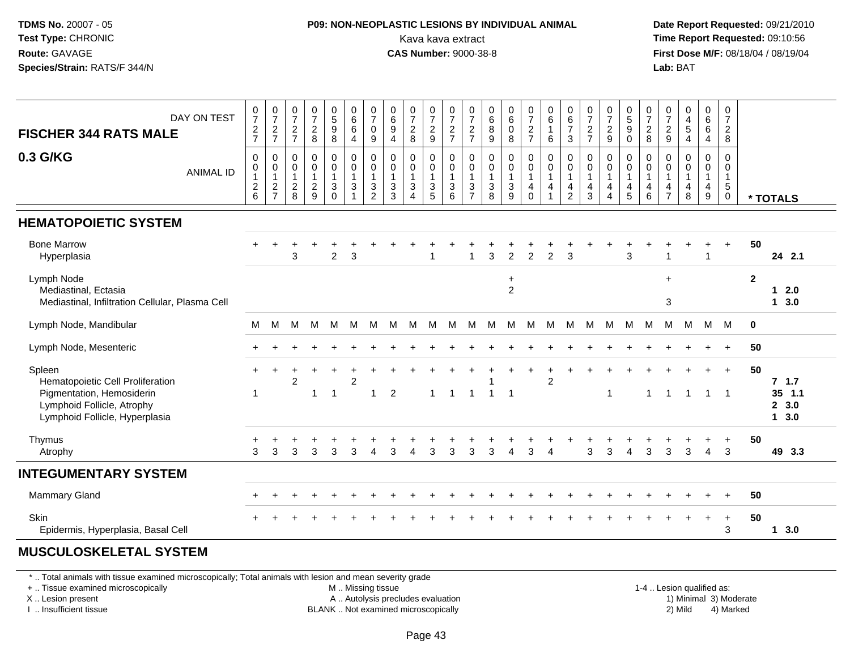### **P09: NON-NEOPLASTIC LESIONS BY INDIVIDUAL ANIMAL**Kava kava extract **Time Report Requested:** 09:10:56<br>**CAS Number:** 9000-38-8<br>**Tirst Dose M/F:** 08/18/04 / 08/19/04

 **Date Report Requested:** 09/21/2010 **First Dose M/F:** 08/18/04 / 08/19/04 Lab: BAT **Lab:** BAT

| DAY ON TEST<br><b>FISCHER 344 RATS MALE</b>                                                                                             | $\frac{0}{7}$<br>$\frac{2}{7}$                       | $\begin{smallmatrix} 0\\7 \end{smallmatrix}$<br>$\frac{2}{7}$    | $\frac{0}{7}$<br>$\frac{2}{7}$                      | $\begin{array}{c} 0 \\ 7 \\ 2 \\ 8 \end{array}$             | $\begin{array}{c} 0 \\ 5 \\ 9 \end{array}$<br>$\overline{8}$ | $_{6}^{\rm 0}$<br>$\,6\,$<br>$\overline{4}$                 | $\begin{array}{c} 0 \\ 7 \end{array}$<br>$\mathbf 0$<br>9 | $_{6}^{\rm 0}$<br>$\boldsymbol{9}$<br>$\overline{4}$                | $\frac{0}{7}$<br>$^{\,2}_{\,8}$                                                              | $\frac{0}{7}$<br>$\frac{2}{9}$                               | $\frac{0}{7}$<br>$\frac{2}{7}$                                           | $\frac{0}{7}$<br>$\frac{2}{7}$                | $\begin{matrix} 0 \\ 6 \\ 8 \end{matrix}$<br>$\overline{9}$ | $_{6}^{\rm 0}$<br>$\pmb{0}$<br>$\overline{8}$       | $\frac{0}{7}$<br>$\frac{2}{7}$                          | $\begin{array}{c} 0 \\ 6 \end{array}$<br>$\overline{1}$<br>6                  | $\begin{array}{c} 0 \\ 6 \end{array}$<br>$\overline{7}$<br>$\mathbf{3}$ | $\frac{0}{7}$<br>$\frac{2}{7}$                              | $\frac{0}{7}$<br>$\frac{2}{9}$                                              | $\begin{array}{c} 0 \\ 5 \\ 9 \end{array}$<br>$\ddot{\mathbf{0}}$ | $\frac{0}{7}$<br>$_{\rm 2}^2$                             | $\frac{0}{7}$<br>$\frac{2}{9}$                                    | $\begin{smallmatrix}0\0\4\end{smallmatrix}$<br>$\,$ 5 $\,$<br>$\overline{4}$ | 0<br>$\overline{6}$<br>$6\phantom{1}6$<br>$\overline{4}$ | 0<br>$\overline{7}$<br>$\overline{2}$<br>8                        |                         |                                     |
|-----------------------------------------------------------------------------------------------------------------------------------------|------------------------------------------------------|------------------------------------------------------------------|-----------------------------------------------------|-------------------------------------------------------------|--------------------------------------------------------------|-------------------------------------------------------------|-----------------------------------------------------------|---------------------------------------------------------------------|----------------------------------------------------------------------------------------------|--------------------------------------------------------------|--------------------------------------------------------------------------|-----------------------------------------------|-------------------------------------------------------------|-----------------------------------------------------|---------------------------------------------------------|-------------------------------------------------------------------------------|-------------------------------------------------------------------------|-------------------------------------------------------------|-----------------------------------------------------------------------------|-------------------------------------------------------------------|-----------------------------------------------------------|-------------------------------------------------------------------|------------------------------------------------------------------------------|----------------------------------------------------------|-------------------------------------------------------------------|-------------------------|-------------------------------------|
| 0.3 G/KG<br><b>ANIMAL ID</b>                                                                                                            | 0<br>$\pmb{0}$<br>$\overline{1}$<br>$^2\phantom{1}6$ | 0<br>$\begin{smallmatrix}0\\1\end{smallmatrix}$<br>$\frac{2}{7}$ | 0<br>$\mathbf 0$<br>$\overline{1}$<br>$\frac{2}{8}$ | $\mathbf 0$<br>$\pmb{0}$<br>$\overline{1}$<br>$\frac{2}{9}$ | 0<br>0<br>$\mathbf{1}$<br>3<br>$\Omega$                      | $_{\rm 0}^{\rm 0}$<br>$\overline{1}$<br>3<br>$\overline{1}$ | 0<br>$\pmb{0}$<br>$\mathbf{1}$<br>3<br>$\overline{2}$     | 0<br>0<br>$\mathbf{1}$<br>$\ensuremath{\mathsf{3}}$<br>$\mathbf{3}$ | $\boldsymbol{0}$<br>$\pmb{0}$<br>$\mathbf{1}$<br>$\ensuremath{\mathsf{3}}$<br>$\overline{4}$ | 0<br>$\pmb{0}$<br>$\overline{1}$<br>$\sqrt{3}$<br>$\sqrt{5}$ | 0<br>$\boldsymbol{0}$<br>$\overline{1}$<br>$\sqrt{3}$<br>$6\phantom{1}6$ | 0<br>0<br>$\mathbf{1}$<br>3<br>$\overline{7}$ | 0<br>$\mathbf 0$<br>$\mathbf{1}$<br>$\sqrt{3}$<br>8         | 0<br>$\pmb{0}$<br>$\overline{1}$<br>$\sqrt{3}$<br>9 | 0<br>$\mathbf 0$<br>$\mathbf{1}$<br>$\overline{4}$<br>0 | 0<br>$\pmb{0}$<br>$\overline{1}$<br>$\overline{4}$<br>$\overline{\mathbf{1}}$ | 0<br>$\pmb{0}$<br>$\mathbf{1}$<br>$\overline{4}$<br>$\overline{c}$      | $\mathbf 0$<br>$\boldsymbol{0}$<br>$\overline{1}$<br>4<br>3 | 0<br>$\pmb{0}$<br>$\mathbf{1}$<br>$\overline{4}$<br>$\overline{\mathbf{4}}$ | 0<br>$\pmb{0}$<br>$\overline{1}$<br>$\overline{4}$<br>$\sqrt{5}$  | 0<br>$\pmb{0}$<br>$\mathbf{1}$<br>$\overline{4}$<br>$\,6$ | $\Omega$<br>0<br>$\mathbf{1}$<br>$\overline{4}$<br>$\overline{7}$ | 0<br>$\pmb{0}$<br>$\overline{1}$<br>$\overline{4}$<br>$\bf8$                 | 0<br>$\pmb{0}$<br>$\mathbf{1}$<br>4<br>$9\,$             | 0<br>$\mathbf 0$<br>$\mathbf{1}$<br>$\overline{5}$<br>$\mathbf 0$ |                         | * TOTALS                            |
| <b>HEMATOPOIETIC SYSTEM</b>                                                                                                             |                                                      |                                                                  |                                                     |                                                             |                                                              |                                                             |                                                           |                                                                     |                                                                                              |                                                              |                                                                          |                                               |                                                             |                                                     |                                                         |                                                                               |                                                                         |                                                             |                                                                             |                                                                   |                                                           |                                                                   |                                                                              |                                                          |                                                                   |                         |                                     |
| <b>Bone Marrow</b><br>Hyperplasia                                                                                                       |                                                      |                                                                  | 3                                                   |                                                             | $\overline{c}$                                               | 3                                                           |                                                           |                                                                     |                                                                                              |                                                              |                                                                          |                                               | 3                                                           | $\overline{2}$                                      | $\overline{2}$                                          | $\overline{2}$                                                                | 3                                                                       |                                                             |                                                                             | 3                                                                 |                                                           |                                                                   |                                                                              | 1                                                        | $\ddot{}$                                                         | 50                      | 24 2.1                              |
| Lymph Node<br>Mediastinal, Ectasia<br>Mediastinal, Infiltration Cellular, Plasma Cell                                                   |                                                      |                                                                  |                                                     |                                                             |                                                              |                                                             |                                                           |                                                                     |                                                                                              |                                                              |                                                                          |                                               |                                                             | $\ddot{}$<br>$\overline{c}$                         |                                                         |                                                                               |                                                                         |                                                             |                                                                             |                                                                   |                                                           | $\ddot{}$<br>$\sqrt{3}$                                           |                                                                              |                                                          |                                                                   | $\overline{\mathbf{2}}$ | $12.0$<br>13.0                      |
| Lymph Node, Mandibular                                                                                                                  | м                                                    | м                                                                | м                                                   | M                                                           | M                                                            | M                                                           | M                                                         | м                                                                   | м                                                                                            | м                                                            | M                                                                        | M                                             | м                                                           | M                                                   | м                                                       | м                                                                             | M                                                                       | M                                                           | M                                                                           | M                                                                 | M                                                         | M                                                                 | M                                                                            | M                                                        | M                                                                 | $\mathbf 0$             |                                     |
| Lymph Node, Mesenteric                                                                                                                  |                                                      |                                                                  |                                                     |                                                             |                                                              |                                                             |                                                           |                                                                     |                                                                                              |                                                              |                                                                          |                                               |                                                             |                                                     |                                                         |                                                                               |                                                                         |                                                             |                                                                             |                                                                   |                                                           |                                                                   |                                                                              |                                                          |                                                                   | 50                      |                                     |
| Spleen<br>Hematopoietic Cell Proliferation<br>Pigmentation, Hemosiderin<br>Lymphoid Follicle, Atrophy<br>Lymphoid Follicle, Hyperplasia | $+$<br>$\blacktriangleleft$                          | $\overline{+}$                                                   | $\overline{c}$                                      | 1                                                           | $\ddot{}$<br>$\overline{1}$                                  | $\overline{2}$                                              | $\mathbf{1}$                                              | 2                                                                   |                                                                                              | $\overline{1}$                                               | $\mathbf{1}$                                                             | $\overline{1}$                                |                                                             | $\overline{1}$                                      | $\ddot{}$                                               | $\overline{c}$                                                                |                                                                         |                                                             | $\mathbf{1}$                                                                |                                                                   | $\overline{1}$                                            | $\mathbf{1}$                                                      | $\overline{1}$                                                               | $+$<br>$\overline{1}$                                    | $+$<br>$\overline{\phantom{0}}$ 1                                 | 50                      | 7.1.7<br>$35$ 1.1<br>2, 3.0<br>13.0 |
| Thymus<br>Atrophy                                                                                                                       | 3                                                    | 3                                                                | 3                                                   | 3                                                           | 3                                                            | 3                                                           | $\boldsymbol{\Delta}$                                     | 3                                                                   | $\boldsymbol{\varDelta}$                                                                     | 3                                                            | 3                                                                        | 3                                             | 3                                                           | $\boldsymbol{\Lambda}$                              | 3                                                       | $\boldsymbol{\Lambda}$                                                        |                                                                         | 3                                                           | 3                                                                           | $\boldsymbol{\Lambda}$                                            | 3                                                         | 3                                                                 | 3                                                                            | $\overline{4}$                                           | $\ddot{}$<br>3                                                    | 50                      | 49 3.3                              |
| <b>INTEGUMENTARY SYSTEM</b>                                                                                                             |                                                      |                                                                  |                                                     |                                                             |                                                              |                                                             |                                                           |                                                                     |                                                                                              |                                                              |                                                                          |                                               |                                                             |                                                     |                                                         |                                                                               |                                                                         |                                                             |                                                                             |                                                                   |                                                           |                                                                   |                                                                              |                                                          |                                                                   |                         |                                     |
| <b>Mammary Gland</b>                                                                                                                    |                                                      |                                                                  |                                                     |                                                             |                                                              |                                                             |                                                           |                                                                     |                                                                                              |                                                              |                                                                          |                                               |                                                             |                                                     |                                                         |                                                                               |                                                                         |                                                             |                                                                             |                                                                   |                                                           |                                                                   |                                                                              |                                                          | $\ddot{}$                                                         | 50                      |                                     |
| <b>Skin</b><br>Epidermis, Hyperplasia, Basal Cell                                                                                       |                                                      |                                                                  |                                                     |                                                             |                                                              |                                                             |                                                           |                                                                     |                                                                                              |                                                              |                                                                          |                                               |                                                             |                                                     |                                                         |                                                                               |                                                                         |                                                             |                                                                             |                                                                   |                                                           |                                                                   |                                                                              | ÷.                                                       | $\ddot{}$<br>3                                                    | 50                      | 13.0                                |
|                                                                                                                                         |                                                      |                                                                  |                                                     |                                                             |                                                              |                                                             |                                                           |                                                                     |                                                                                              |                                                              |                                                                          |                                               |                                                             |                                                     |                                                         |                                                                               |                                                                         |                                                             |                                                                             |                                                                   |                                                           |                                                                   |                                                                              |                                                          |                                                                   |                         |                                     |

#### **MUSCULOSKELETAL SYSTEM**

\* .. Total animals with tissue examined microscopically; Total animals with lesion and mean severity grade

+ .. Tissue examined microscopically

X .. Lesion present

I .. Insufficient tissue

M .. Missing tissue

A .. Autolysis precludes evaluation

BLANK .. Not examined microscopically 2) Mild 4) Marked

1-4 .. Lesion qualified as: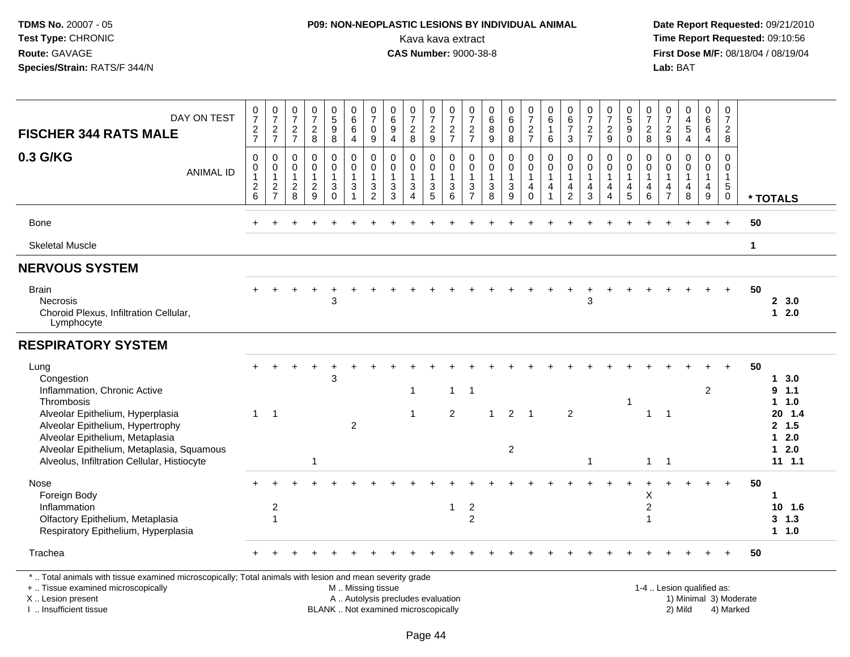# **P09: NON-NEOPLASTIC LESIONS BY INDIVIDUAL ANIMAL**Kava kava extract **Time Report Requested:** 09:10:56<br>**CAS Number:** 9000-38-8<br>**Tirst Dose M/F:** 08/18/04 / 08/19/04

 **Date Report Requested:** 09/21/2010 **First Dose M/F:** 08/18/04 / 08/19/04<br>Lab: BAT **Lab:** BAT

| DAY ON TEST<br><b>FISCHER 344 RATS MALE</b>                                                                                                                         | $\frac{0}{7}$<br>$\frac{2}{7}$          | $\frac{0}{7}$<br>$\frac{2}{7}$                                | 0<br>$\overline{7}$<br>$\frac{2}{7}$                            | $\frac{0}{7}$<br>$\frac{2}{8}$                                | 0<br>5<br>9<br>8                                     | $\begin{array}{c} 0 \\ 6 \end{array}$<br>6<br>$\overline{4}$     | $\frac{0}{7}$<br>$\mathsf{O}\xspace$<br>9                                     | $\begin{array}{c} 0 \\ 6 \end{array}$<br>$\boldsymbol{9}$<br>$\overline{4}$ | $\frac{0}{7}$<br>$\frac{2}{8}$                                                     | $\frac{0}{7}$<br>$\frac{2}{9}$                           | $\frac{0}{7}$<br>$rac{2}{7}$                                       | 0<br>$\overline{7}$<br>$\frac{2}{7}$                    | 0<br>$\,6\,$<br>$^8_9$                              | $\begin{array}{c} 0 \\ 6 \end{array}$<br>$\mathbf 0$<br>8     | $\frac{0}{7}$<br>$\frac{2}{7}$             | 0<br>$\,6\,$<br>$\mathbf{1}$<br>6                                              | 0<br>$\,6\,$<br>$\overline{7}$<br>3           | $\frac{0}{7}$<br>$\frac{2}{7}$                       | $\frac{0}{7}$<br>$\frac{2}{9}$                       | $\begin{array}{c} 0 \\ 5 \end{array}$<br>9<br>$\Omega$          | $\frac{0}{7}$<br>$\frac{2}{8}$                                    | 0<br>$\overline{7}$<br>$\frac{2}{9}$                                           | 0<br>$\overline{\mathbf{4}}$<br>$\sqrt{5}$<br>4      | 0<br>$\overline{6}$<br>6<br>4                           | $\frac{0}{7}$<br>$\frac{2}{8}$                                          |              |                                              |
|---------------------------------------------------------------------------------------------------------------------------------------------------------------------|-----------------------------------------|---------------------------------------------------------------|-----------------------------------------------------------------|---------------------------------------------------------------|------------------------------------------------------|------------------------------------------------------------------|-------------------------------------------------------------------------------|-----------------------------------------------------------------------------|------------------------------------------------------------------------------------|----------------------------------------------------------|--------------------------------------------------------------------|---------------------------------------------------------|-----------------------------------------------------|---------------------------------------------------------------|--------------------------------------------|--------------------------------------------------------------------------------|-----------------------------------------------|------------------------------------------------------|------------------------------------------------------|-----------------------------------------------------------------|-------------------------------------------------------------------|--------------------------------------------------------------------------------|------------------------------------------------------|---------------------------------------------------------|-------------------------------------------------------------------------|--------------|----------------------------------------------|
| 0.3 G/KG<br><b>ANIMAL ID</b>                                                                                                                                        | 0<br>0<br>$\mathbf{1}$<br>$\frac{2}{6}$ | $\mathbf 0$<br>$\mathbf 0$<br>$\overline{1}$<br>$\frac{2}{7}$ | $\mathbf 0$<br>$\mathbf 0$<br>$\overline{1}$<br>$\sqrt{2}$<br>8 | $\mathbf 0$<br>$\mathbf 0$<br>$\mathbf{1}$<br>$\sqrt{2}$<br>9 | 0<br>0<br>$\mathbf{1}$<br>$\mathfrak{S}$<br>$\Omega$ | 0<br>$\mathbf 0$<br>$\mathbf{1}$<br>$\mathbf{3}$<br>$\mathbf{1}$ | 0<br>$\pmb{0}$<br>$\mathbf{1}$<br>$\ensuremath{\mathsf{3}}$<br>$\overline{2}$ | 0<br>$\mathbf 0$<br>$\mathbf{1}$<br>$\ensuremath{\mathsf{3}}$<br>3          | $\mathbf 0$<br>$\mathbf 0$<br>$\mathbf{1}$<br>$\sqrt{3}$<br>$\boldsymbol{\Lambda}$ | 0<br>0<br>$\mathbf{1}$<br>$\ensuremath{\mathsf{3}}$<br>5 | 0<br>$\mathbf 0$<br>$\mathbf{1}$<br>$\ensuremath{\mathsf{3}}$<br>6 | $\mathbf 0$<br>0<br>$\mathbf{1}$<br>3<br>$\overline{7}$ | $\mathbf 0$<br>0<br>$\mathbf{1}$<br>$\sqrt{3}$<br>8 | $\mathbf 0$<br>$\mathbf 0$<br>$\mathbf{1}$<br>$\sqrt{3}$<br>9 | 0<br>0<br>$\mathbf{1}$<br>4<br>$\mathbf 0$ | $\mathbf 0$<br>$\mathbf 0$<br>$\overline{1}$<br>$\overline{4}$<br>$\mathbf{1}$ | 0<br>0<br>$\mathbf{1}$<br>4<br>$\overline{2}$ | $\Omega$<br>0<br>$\mathbf{1}$<br>$\overline{4}$<br>3 | $\mathbf 0$<br>$\mathbf 0$<br>$\mathbf{1}$<br>4<br>4 | $\mathbf 0$<br>$\mathbf 0$<br>$\overline{1}$<br>4<br>$\sqrt{5}$ | 0<br>$\mathsf{O}\xspace$<br>$\overline{1}$<br>$\overline{4}$<br>6 | $\mathbf 0$<br>$\mathbf 0$<br>$\mathbf{1}$<br>$\overline{4}$<br>$\overline{7}$ | $\mathbf 0$<br>$\mathbf 0$<br>$\mathbf{1}$<br>4<br>8 | $\mathbf 0$<br>0<br>$\mathbf{1}$<br>$\overline{4}$<br>9 | $\mathbf 0$<br>$\mathbf 0$<br>$\mathbf{1}$<br>$\sqrt{5}$<br>$\mathbf 0$ |              | * TOTALS                                     |
| <b>Bone</b>                                                                                                                                                         |                                         |                                                               |                                                                 |                                                               |                                                      |                                                                  |                                                                               |                                                                             |                                                                                    |                                                          |                                                                    |                                                         |                                                     |                                                               |                                            |                                                                                |                                               |                                                      |                                                      |                                                                 |                                                                   |                                                                                |                                                      |                                                         | $+$                                                                     | 50           |                                              |
| <b>Skeletal Muscle</b>                                                                                                                                              |                                         |                                                               |                                                                 |                                                               |                                                      |                                                                  |                                                                               |                                                                             |                                                                                    |                                                          |                                                                    |                                                         |                                                     |                                                               |                                            |                                                                                |                                               |                                                      |                                                      |                                                                 |                                                                   |                                                                                |                                                      |                                                         |                                                                         | $\mathbf{1}$ |                                              |
| <b>NERVOUS SYSTEM</b>                                                                                                                                               |                                         |                                                               |                                                                 |                                                               |                                                      |                                                                  |                                                                               |                                                                             |                                                                                    |                                                          |                                                                    |                                                         |                                                     |                                                               |                                            |                                                                                |                                               |                                                      |                                                      |                                                                 |                                                                   |                                                                                |                                                      |                                                         |                                                                         |              |                                              |
| <b>Brain</b><br><b>Necrosis</b><br>Choroid Plexus, Infiltration Cellular,<br>Lymphocyte                                                                             |                                         |                                                               |                                                                 |                                                               | 3                                                    |                                                                  |                                                                               |                                                                             |                                                                                    |                                                          |                                                                    |                                                         |                                                     |                                                               |                                            |                                                                                |                                               | 3                                                    |                                                      |                                                                 |                                                                   |                                                                                |                                                      |                                                         |                                                                         | 50           | 2, 3.0<br>$12.0$                             |
| <b>RESPIRATORY SYSTEM</b>                                                                                                                                           |                                         |                                                               |                                                                 |                                                               |                                                      |                                                                  |                                                                               |                                                                             |                                                                                    |                                                          |                                                                    |                                                         |                                                     |                                                               |                                            |                                                                                |                                               |                                                      |                                                      |                                                                 |                                                                   |                                                                                |                                                      |                                                         |                                                                         |              |                                              |
| Lung<br>Congestion<br>Inflammation, Chronic Active<br>Thrombosis<br>Alveolar Epithelium, Hyperplasia                                                                | $\mathbf{1}$                            | $\overline{\phantom{1}}$                                      |                                                                 |                                                               | 3                                                    |                                                                  |                                                                               |                                                                             | $\mathbf{1}$<br>$\mathbf{1}$                                                       |                                                          | $\mathbf{1}$<br>2                                                  | $\overline{1}$                                          | $\overline{1}$                                      |                                                               | $2 \quad 1$                                |                                                                                | 2                                             |                                                      |                                                      |                                                                 | $\overline{1}$                                                    | $\overline{1}$                                                                 |                                                      | 2                                                       |                                                                         | 50           | 13.0<br>9, 1.1<br>$1 1.0$<br>20 1.4          |
| Alveolar Epithelium, Hypertrophy<br>Alveolar Epithelium, Metaplasia<br>Alveolar Epithelium, Metaplasia, Squamous<br>Alveolus, Infiltration Cellular, Histiocyte     |                                         |                                                               |                                                                 | 1                                                             |                                                      | $\overline{2}$                                                   |                                                                               |                                                                             |                                                                                    |                                                          |                                                                    |                                                         |                                                     | $\overline{2}$                                                |                                            |                                                                                |                                               | -1                                                   |                                                      |                                                                 | $\mathbf{1}$                                                      | $\overline{1}$                                                                 |                                                      |                                                         |                                                                         |              | 2, 1.5<br>$12.0$<br>$12.0$<br>$11$ 1.1       |
| Nose<br>Foreign Body<br>Inflammation<br>Olfactory Epithelium, Metaplasia<br>Respiratory Epithelium, Hyperplasia                                                     |                                         | $\overline{c}$<br>$\overline{1}$                              |                                                                 |                                                               |                                                      |                                                                  |                                                                               |                                                                             |                                                                                    |                                                          | $\mathbf{1}$                                                       | $\overline{c}$<br>$\overline{2}$                        |                                                     |                                                               |                                            |                                                                                |                                               |                                                      |                                                      |                                                                 | X<br>$\boldsymbol{2}$<br>$\overline{1}$                           |                                                                                |                                                      |                                                         |                                                                         | 50           | $\mathbf 1$<br>$10$ 1.6<br>$3 \t1.3$<br>11.0 |
| Trachea                                                                                                                                                             |                                         |                                                               |                                                                 |                                                               |                                                      |                                                                  |                                                                               |                                                                             |                                                                                    |                                                          |                                                                    |                                                         |                                                     |                                                               |                                            |                                                                                |                                               |                                                      |                                                      |                                                                 |                                                                   |                                                                                |                                                      |                                                         |                                                                         | 50           |                                              |
| *  Total animals with tissue examined microscopically; Total animals with lesion and mean severity grade<br>+  Tissue examined microscopically<br>X  Lesion present |                                         |                                                               |                                                                 |                                                               |                                                      | M  Missing tissue                                                |                                                                               | A  Autolysis precludes evaluation                                           |                                                                                    |                                                          |                                                                    |                                                         |                                                     |                                                               |                                            |                                                                                |                                               |                                                      |                                                      |                                                                 |                                                                   |                                                                                | 1-4  Lesion qualified as:<br>1) Minimal 3) Moderate  |                                                         |                                                                         |              |                                              |

I .. Insufficient tissue

BLANK .. Not examined microscopically 2) Mild 4) Marked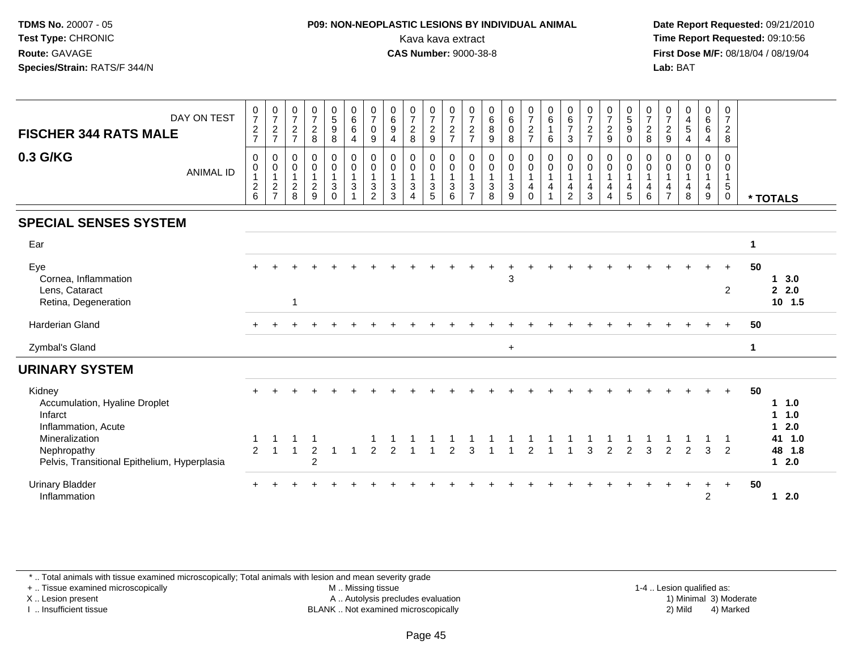### **P09: NON-NEOPLASTIC LESIONS BY INDIVIDUAL ANIMAL**Kava kava extract **Time Report Requested:** 09:10:56<br>**CAS Number:** 9000-38-8<br>**Tirst Dose M/F:** 08/18/04 / 08/19/04

 **Date Report Requested:** 09/21/2010 **First Dose M/F:** 08/18/04 / 08/19/04 Lab: BAT **Lab:** BAT

| DAY ON TEST<br><b>FISCHER 344 RATS MALE</b><br>0.3 G/KG<br><b>ANIMAL ID</b>   | $072$<br>$727$<br>$\pmb{0}$<br>$\mathbf 0$<br>$\mathbf{1}$<br>$\frac{2}{6}$ | $\frac{0}{7}$<br>$\boldsymbol{2}$<br>$\overline{7}$<br>$\pmb{0}$<br>$\pmb{0}$<br>$\mathbf{1}$<br>$\frac{2}{7}$ | $\frac{0}{7}$<br>$\overline{c}$<br>$\overline{7}$<br>0<br>$\mathbf 0$<br>$\mathbf{1}$<br>$^{\mathsf{2}}_{\mathsf{8}}$ | $\begin{smallmatrix}0\\7\end{smallmatrix}$<br>$\frac{2}{8}$<br>$\mathbf 0$<br>$\pmb{0}$<br>$\mathbf{1}$<br>$\frac{2}{9}$ | $\begin{smallmatrix}0\0\5\end{smallmatrix}$<br>9<br>$\bf 8$<br>$\mathbf 0$<br>$\mathsf{O}$<br>$\mathbf{1}$<br>$\mathbf{3}$<br>$\Omega$ | $\begin{array}{c} 0 \\ 6 \end{array}$<br>$\,6\,$<br>4<br>$\pmb{0}$<br>$\mathbf 0$<br>$\mathbf{1}$<br>$\sqrt{3}$<br>$\mathbf{1}$ | $\frac{0}{7}$<br>$\mathbf 0$<br>9<br>0<br>$\mathbf 0$<br>3<br>2 | $\begin{array}{c} 0 \\ 6 \\ 9 \end{array}$<br>$\overline{4}$<br>0<br>$\pmb{0}$<br>$\mathbf{1}$<br>$\mathbf{3}$<br>3 | $\frac{0}{7}$<br>$\overline{c}$<br>8<br>0<br>$\mathsf{O}\xspace$<br>$\mathbf{1}$<br>3<br>4 | 0729<br>0<br>$\mathbf 0$<br>$\mathbf{1}$<br>$\frac{3}{5}$ | $\frac{0}{7}$<br>$\frac{2}{7}$<br>0<br>$\mathbf 0$<br>$\mathbf{1}$<br>$\sqrt{3}$<br>6 | $\frac{0}{7}$<br>$\sqrt{2}$<br>$\overline{7}$<br>0<br>$\pmb{0}$<br>$\overline{1}$<br>$\sqrt{3}$<br>$\overline{7}$ | $\begin{matrix} 0 \\ 6 \\ 8 \end{matrix}$<br>9<br>$\pmb{0}$<br>$\begin{smallmatrix}0\\1\end{smallmatrix}$<br>$\mathbf 3$<br>8 | $_{6}^{\rm 0}$<br>0<br>8<br>0<br>$\mathbf 0$<br>3<br>9 | $\frac{0}{7}$<br>$\frac{2}{7}$<br>$\pmb{0}$<br>$\mathsf{O}\xspace$<br>$\mathbf{1}$<br>$\overline{4}$<br>$\mathbf 0$ | $_{6}^{\rm 0}$<br>$\mathbf{1}$<br>6<br>0<br>$\mathsf{O}\xspace$<br>$\mathbf{1}$<br>4 | $\begin{array}{c} 0 \\ 6 \\ 7 \end{array}$<br>$\mathbf{3}$<br>0<br>$\pmb{0}$<br>$\mathbf{1}$<br>$\overline{4}$<br>$\overline{c}$ | $\frac{0}{7}$<br>$\sqrt{2}$<br>$\overline{7}$<br>$\mathbf 0$<br>$\pmb{0}$<br>$\mathbf{1}$<br>$\overline{a}$<br>$\mathbf{3}$ | $\frac{0}{7}$<br>$\overline{2}$<br>$\boldsymbol{9}$<br>0<br>$\mathbf 0$<br>$\overline{1}$<br>$\overline{4}$<br>$\overline{4}$ | $\begin{array}{c} 0 \\ 5 \end{array}$<br>$\boldsymbol{9}$<br>$\mathbf 0$<br>0<br>$\mathbf 0$<br>$\mathbf{1}$<br>$\overline{4}$<br>$\overline{5}$ | $\frac{0}{7}$<br>$\overline{c}$<br>8<br>0<br>$\pmb{0}$<br>$\mathbf{1}$<br>4<br>6 | $\frac{0}{7}$<br>$\boldsymbol{2}$<br>$\boldsymbol{9}$<br>0<br>$\mathbf 0$<br>$\mathbf{1}$<br>4<br>$\overline{7}$ | $\begin{array}{c} 0 \\ 4 \\ 5 \end{array}$<br>4<br>0<br>$\mathbf 0$<br>4<br>8 | $\begin{matrix}0\0\0\0\end{matrix}$<br>$\overline{4}$<br>0<br>$\mathbf 0$<br>$\mathbf{1}$<br>$\overline{4}$<br>9 | $\frac{0}{7}$<br>$\overline{2}$<br>8<br>0<br>0<br>1<br>5<br>$\pmb{0}$ | * TOTALS                               |
|-------------------------------------------------------------------------------|-----------------------------------------------------------------------------|----------------------------------------------------------------------------------------------------------------|-----------------------------------------------------------------------------------------------------------------------|--------------------------------------------------------------------------------------------------------------------------|----------------------------------------------------------------------------------------------------------------------------------------|---------------------------------------------------------------------------------------------------------------------------------|-----------------------------------------------------------------|---------------------------------------------------------------------------------------------------------------------|--------------------------------------------------------------------------------------------|-----------------------------------------------------------|---------------------------------------------------------------------------------------|-------------------------------------------------------------------------------------------------------------------|-------------------------------------------------------------------------------------------------------------------------------|--------------------------------------------------------|---------------------------------------------------------------------------------------------------------------------|--------------------------------------------------------------------------------------|----------------------------------------------------------------------------------------------------------------------------------|-----------------------------------------------------------------------------------------------------------------------------|-------------------------------------------------------------------------------------------------------------------------------|--------------------------------------------------------------------------------------------------------------------------------------------------|----------------------------------------------------------------------------------|------------------------------------------------------------------------------------------------------------------|-------------------------------------------------------------------------------|------------------------------------------------------------------------------------------------------------------|-----------------------------------------------------------------------|----------------------------------------|
| <b>SPECIAL SENSES SYSTEM</b>                                                  |                                                                             |                                                                                                                |                                                                                                                       |                                                                                                                          |                                                                                                                                        |                                                                                                                                 |                                                                 |                                                                                                                     |                                                                                            |                                                           |                                                                                       |                                                                                                                   |                                                                                                                               |                                                        |                                                                                                                     |                                                                                      |                                                                                                                                  |                                                                                                                             |                                                                                                                               |                                                                                                                                                  |                                                                                  |                                                                                                                  |                                                                               |                                                                                                                  |                                                                       |                                        |
| Ear                                                                           |                                                                             |                                                                                                                |                                                                                                                       |                                                                                                                          |                                                                                                                                        |                                                                                                                                 |                                                                 |                                                                                                                     |                                                                                            |                                                           |                                                                                       |                                                                                                                   |                                                                                                                               |                                                        |                                                                                                                     |                                                                                      |                                                                                                                                  |                                                                                                                             |                                                                                                                               |                                                                                                                                                  |                                                                                  |                                                                                                                  |                                                                               |                                                                                                                  |                                                                       | $\mathbf 1$                            |
| Eye<br>Cornea, Inflammation<br>Lens, Cataract<br>Retina, Degeneration         |                                                                             |                                                                                                                |                                                                                                                       |                                                                                                                          |                                                                                                                                        |                                                                                                                                 |                                                                 |                                                                                                                     |                                                                                            |                                                           |                                                                                       |                                                                                                                   |                                                                                                                               | 3                                                      |                                                                                                                     |                                                                                      |                                                                                                                                  |                                                                                                                             |                                                                                                                               |                                                                                                                                                  |                                                                                  |                                                                                                                  |                                                                               |                                                                                                                  | $\ddot{}$<br>$\overline{2}$                                           | 50<br>1, 3.0<br>2.2.0<br>$10$ 1.5      |
| Harderian Gland                                                               |                                                                             |                                                                                                                |                                                                                                                       |                                                                                                                          |                                                                                                                                        |                                                                                                                                 |                                                                 |                                                                                                                     |                                                                                            |                                                           |                                                                                       |                                                                                                                   |                                                                                                                               |                                                        |                                                                                                                     |                                                                                      |                                                                                                                                  |                                                                                                                             |                                                                                                                               |                                                                                                                                                  |                                                                                  |                                                                                                                  |                                                                               |                                                                                                                  | $\ddot{}$                                                             | 50                                     |
| Zymbal's Gland                                                                |                                                                             |                                                                                                                |                                                                                                                       |                                                                                                                          |                                                                                                                                        |                                                                                                                                 |                                                                 |                                                                                                                     |                                                                                            |                                                           |                                                                                       |                                                                                                                   |                                                                                                                               | $\ddot{}$                                              |                                                                                                                     |                                                                                      |                                                                                                                                  |                                                                                                                             |                                                                                                                               |                                                                                                                                                  |                                                                                  |                                                                                                                  |                                                                               |                                                                                                                  |                                                                       | $\overline{1}$                         |
| <b>URINARY SYSTEM</b>                                                         |                                                                             |                                                                                                                |                                                                                                                       |                                                                                                                          |                                                                                                                                        |                                                                                                                                 |                                                                 |                                                                                                                     |                                                                                            |                                                           |                                                                                       |                                                                                                                   |                                                                                                                               |                                                        |                                                                                                                     |                                                                                      |                                                                                                                                  |                                                                                                                             |                                                                                                                               |                                                                                                                                                  |                                                                                  |                                                                                                                  |                                                                               |                                                                                                                  |                                                                       |                                        |
| Kidney<br>Accumulation, Hyaline Droplet<br>Infarct<br>Inflammation, Acute     |                                                                             |                                                                                                                |                                                                                                                       |                                                                                                                          |                                                                                                                                        |                                                                                                                                 |                                                                 |                                                                                                                     |                                                                                            |                                                           |                                                                                       |                                                                                                                   |                                                                                                                               |                                                        |                                                                                                                     |                                                                                      |                                                                                                                                  |                                                                                                                             |                                                                                                                               |                                                                                                                                                  |                                                                                  |                                                                                                                  |                                                                               |                                                                                                                  | $\ddot{}$                                                             | 50<br>$1 \t1.0$<br>$1 \t1.0$<br>$12.0$ |
| Mineralization<br>Nephropathy<br>Pelvis, Transitional Epithelium, Hyperplasia | $\mathcal{P}$                                                               |                                                                                                                |                                                                                                                       | $\overline{2}$<br>$\overline{2}$                                                                                         | $\overline{\mathbf{1}}$                                                                                                                |                                                                                                                                 | $\mathfrak{p}$                                                  | $\mathcal{P}$                                                                                                       |                                                                                            |                                                           | 2                                                                                     | 3                                                                                                                 |                                                                                                                               |                                                        | $\mathcal{P}$                                                                                                       |                                                                                      |                                                                                                                                  | 3                                                                                                                           | $\overline{2}$                                                                                                                | 2                                                                                                                                                | 3                                                                                | $\mathcal{P}$                                                                                                    | $\mathcal{P}$                                                                 | 3                                                                                                                | $\overline{2}$                                                        | 41 1.0<br>48 1.8<br>$12.0$             |
| <b>Urinary Bladder</b><br>Inflammation                                        |                                                                             |                                                                                                                |                                                                                                                       |                                                                                                                          |                                                                                                                                        |                                                                                                                                 |                                                                 |                                                                                                                     |                                                                                            |                                                           |                                                                                       |                                                                                                                   |                                                                                                                               |                                                        |                                                                                                                     |                                                                                      |                                                                                                                                  |                                                                                                                             |                                                                                                                               |                                                                                                                                                  |                                                                                  |                                                                                                                  |                                                                               | $\ddot{}$<br>2                                                                                                   | $+$                                                                   | 50<br>$12.0$                           |

\* .. Total animals with tissue examined microscopically; Total animals with lesion and mean severity grade

+ .. Tissue examined microscopically

X .. Lesion present

I .. Insufficient tissue

 M .. Missing tissueA .. Autolysis precludes evaluation

BLANK .. Not examined microscopically 2) Mild 4) Marked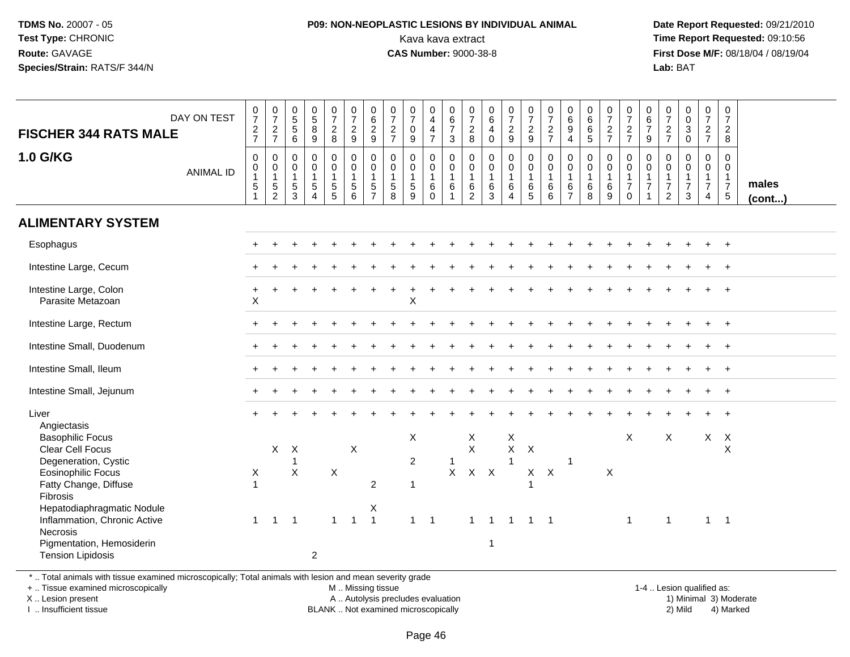### **P09: NON-NEOPLASTIC LESIONS BY INDIVIDUAL ANIMAL**Kava kava extract **Time Report Requested:** 09:10:56<br>**CAS Number:** 9000-38-8<br>**Tirst Dose M/F:** 08/18/04 / 08/19/04

 **Date Report Requested:** 09/21/2010 **First Dose M/F:** 08/18/04 / 08/19/04 Lab: BAT **Lab:** BAT

| DAY ON TEST<br><b>FISCHER 344 RATS MALE</b>                                                                                                                                                                                                                              | $\frac{0}{7}$<br>$\frac{2}{7}$                 | $\begin{array}{c} 0 \\ 7 \end{array}$<br>$\frac{2}{7}$                           | $^{\rm 0}_{\rm 5}$<br>$\sqrt{5}$<br>6                   | $\begin{array}{c} 0 \\ 5 \end{array}$<br>8<br>$\overline{9}$               | $\frac{0}{7}$<br>$\frac{2}{8}$                        | $\begin{smallmatrix}0\\7\end{smallmatrix}$<br>$\frac{2}{9}$     | $\begin{array}{c} 0 \\ 6 \end{array}$<br>$\frac{2}{9}$                           | $\frac{0}{7}$<br>$\overline{2}$<br>$\overline{7}$             | $\frac{0}{7}$<br>$\boldsymbol{0}$<br>9                        | $\begin{smallmatrix}0\0\4\end{smallmatrix}$<br>$\overline{4}$<br>$\overline{7}$ | $_{6}^{\rm 0}$<br>$\overline{7}$<br>3                               | $\frac{0}{7}$<br>$\begin{array}{c} 2 \\ 8 \end{array}$                  | $\begin{array}{c} 0 \\ 6 \end{array}$<br>$\overline{4}$<br>$\mathbf 0$ | $\frac{0}{7}$<br>$\frac{2}{9}$                                          | $\frac{0}{7}$<br>$\frac{2}{9}$             | $\begin{smallmatrix}0\\7\end{smallmatrix}$<br>$\frac{2}{7}$ | $_{6}^{\rm 0}$<br>9<br>$\overline{4}$                             | $\begin{array}{c} 0 \\ 6 \end{array}$<br>$\,6\,$<br>$\sqrt{5}$ | $\frac{0}{7}$<br>$\frac{2}{7}$                         | $\frac{0}{7}$<br>$\frac{2}{7}$                          | $\pmb{0}$<br>$\,6\,$<br>$\boldsymbol{7}$<br>9                                       | $\frac{0}{7}$<br>$\frac{2}{7}$                                      | $\pmb{0}$<br>$\mathbf 0$<br>$\ensuremath{\mathsf{3}}$<br>$\mathbf 0$ | $\frac{0}{7}$<br>$\frac{2}{7}$                                       | $\pmb{0}$<br>$\overline{7}$<br>$\frac{2}{8}$                                 |                 |
|--------------------------------------------------------------------------------------------------------------------------------------------------------------------------------------------------------------------------------------------------------------------------|------------------------------------------------|----------------------------------------------------------------------------------|---------------------------------------------------------|----------------------------------------------------------------------------|-------------------------------------------------------|-----------------------------------------------------------------|----------------------------------------------------------------------------------|---------------------------------------------------------------|---------------------------------------------------------------|---------------------------------------------------------------------------------|---------------------------------------------------------------------|-------------------------------------------------------------------------|------------------------------------------------------------------------|-------------------------------------------------------------------------|--------------------------------------------|-------------------------------------------------------------|-------------------------------------------------------------------|----------------------------------------------------------------|--------------------------------------------------------|---------------------------------------------------------|-------------------------------------------------------------------------------------|---------------------------------------------------------------------|----------------------------------------------------------------------|----------------------------------------------------------------------|------------------------------------------------------------------------------|-----------------|
| <b>1.0 G/KG</b><br><b>ANIMAL ID</b>                                                                                                                                                                                                                                      | 0<br>$\pmb{0}$<br>$\overline{1}$<br>$\sqrt{5}$ | $\mathbf 0$<br>$\mathbf 0$<br>$\overline{1}$<br>$\overline{5}$<br>$\overline{2}$ | $\mathbf 0$<br>0<br>$\mathbf{1}$<br>$\sqrt{5}$<br>3     | $\mathbf 0$<br>$\mathbf 0$<br>$\mathbf{1}$<br>5<br>$\overline{\mathbf{4}}$ | 0<br>$\pmb{0}$<br>$\mathbf{1}$<br>5<br>$\overline{5}$ | $\mathbf 0$<br>$\mathbf 0$<br>$\overline{1}$<br>$\sqrt{5}$<br>6 | $\mathbf 0$<br>$\mathbf 0$<br>$\overline{1}$<br>$\overline{5}$<br>$\overline{7}$ | $\mathbf 0$<br>$\mathbf 0$<br>$\mathbf{1}$<br>$\sqrt{5}$<br>8 | $\mathbf 0$<br>$\mathbf 0$<br>$\mathbf{1}$<br>$\sqrt{5}$<br>9 | $\mathbf 0$<br>$\mathbf 0$<br>$\mathbf{1}$<br>6<br>$\Omega$                     | 0<br>$\mathsf{O}\xspace$<br>$\mathbf{1}$<br>$\,6\,$<br>$\mathbf{1}$ | $\mathbf 0$<br>$\mathbf 0$<br>$\mathbf{1}$<br>$\,6\,$<br>$\overline{c}$ | $\mathbf 0$<br>$\pmb{0}$<br>$\overline{1}$<br>6<br>$\overline{3}$      | $\mathbf 0$<br>$\mathbf 0$<br>$\mathbf{1}$<br>$\,6\,$<br>$\overline{4}$ | 0<br>$\mathbf 0$<br>$\mathbf{1}$<br>6<br>5 | $\mathbf 0$<br>$\mathbf 0$<br>$\mathbf{1}$<br>6<br>6        | $\mathbf 0$<br>$\mathbf 0$<br>$\mathbf{1}$<br>6<br>$\overline{7}$ | $\mathbf 0$<br>0<br>$\mathbf{1}$<br>6<br>8                     | $\mathbf 0$<br>$\mathbf 0$<br>$\overline{1}$<br>6<br>9 | 0<br>0<br>$\mathbf{1}$<br>$\overline{7}$<br>$\mathbf 0$ | $\mathbf 0$<br>$\boldsymbol{0}$<br>$\overline{1}$<br>$\overline{7}$<br>$\mathbf{1}$ | $\mathbf 0$<br>$\mathbf 0$<br>1<br>$\overline{7}$<br>$\overline{2}$ | $\mathbf 0$<br>$\mathbf 0$<br>$\mathbf{1}$<br>$\overline{7}$<br>3    | $\mathbf 0$<br>0<br>$\mathbf{1}$<br>$\overline{7}$<br>$\overline{4}$ | $\mathbf 0$<br>$\mathbf 0$<br>$\overline{1}$<br>$\overline{7}$<br>$\sqrt{5}$ | males<br>(cont) |
| <b>ALIMENTARY SYSTEM</b>                                                                                                                                                                                                                                                 |                                                |                                                                                  |                                                         |                                                                            |                                                       |                                                                 |                                                                                  |                                                               |                                                               |                                                                                 |                                                                     |                                                                         |                                                                        |                                                                         |                                            |                                                             |                                                                   |                                                                |                                                        |                                                         |                                                                                     |                                                                     |                                                                      |                                                                      |                                                                              |                 |
| Esophagus                                                                                                                                                                                                                                                                |                                                |                                                                                  |                                                         |                                                                            |                                                       |                                                                 |                                                                                  |                                                               |                                                               |                                                                                 |                                                                     |                                                                         |                                                                        |                                                                         |                                            |                                                             |                                                                   |                                                                |                                                        |                                                         |                                                                                     |                                                                     |                                                                      |                                                                      | $\ddot{}$                                                                    |                 |
| Intestine Large, Cecum                                                                                                                                                                                                                                                   |                                                |                                                                                  |                                                         |                                                                            |                                                       |                                                                 |                                                                                  |                                                               |                                                               |                                                                                 |                                                                     |                                                                         |                                                                        |                                                                         |                                            |                                                             |                                                                   |                                                                |                                                        |                                                         |                                                                                     |                                                                     |                                                                      |                                                                      |                                                                              |                 |
| Intestine Large, Colon<br>Parasite Metazoan                                                                                                                                                                                                                              | +<br>$\sf X$                                   |                                                                                  |                                                         |                                                                            |                                                       |                                                                 |                                                                                  |                                                               | X                                                             |                                                                                 |                                                                     |                                                                         |                                                                        |                                                                         |                                            |                                                             |                                                                   |                                                                |                                                        |                                                         |                                                                                     |                                                                     |                                                                      |                                                                      |                                                                              |                 |
| Intestine Large, Rectum                                                                                                                                                                                                                                                  |                                                |                                                                                  |                                                         |                                                                            |                                                       |                                                                 |                                                                                  |                                                               |                                                               |                                                                                 |                                                                     |                                                                         |                                                                        |                                                                         |                                            |                                                             |                                                                   |                                                                |                                                        |                                                         |                                                                                     |                                                                     |                                                                      |                                                                      | $\overline{+}$                                                               |                 |
| Intestine Small, Duodenum                                                                                                                                                                                                                                                |                                                |                                                                                  |                                                         |                                                                            |                                                       |                                                                 |                                                                                  |                                                               |                                                               |                                                                                 |                                                                     |                                                                         |                                                                        |                                                                         |                                            |                                                             |                                                                   |                                                                |                                                        |                                                         |                                                                                     |                                                                     |                                                                      |                                                                      | $\overline{+}$                                                               |                 |
| Intestine Small, Ileum                                                                                                                                                                                                                                                   |                                                |                                                                                  |                                                         |                                                                            |                                                       |                                                                 |                                                                                  |                                                               |                                                               |                                                                                 |                                                                     |                                                                         |                                                                        |                                                                         |                                            |                                                             |                                                                   |                                                                |                                                        |                                                         |                                                                                     |                                                                     |                                                                      |                                                                      |                                                                              |                 |
| Intestine Small, Jejunum                                                                                                                                                                                                                                                 |                                                |                                                                                  |                                                         |                                                                            |                                                       |                                                                 |                                                                                  |                                                               |                                                               |                                                                                 |                                                                     |                                                                         |                                                                        |                                                                         |                                            |                                                             |                                                                   |                                                                |                                                        |                                                         |                                                                                     |                                                                     |                                                                      |                                                                      | $\ddot{}$                                                                    |                 |
| Liver<br>Angiectasis                                                                                                                                                                                                                                                     |                                                |                                                                                  |                                                         |                                                                            |                                                       |                                                                 |                                                                                  |                                                               |                                                               |                                                                                 |                                                                     |                                                                         |                                                                        |                                                                         |                                            |                                                             |                                                                   |                                                                |                                                        |                                                         |                                                                                     |                                                                     |                                                                      |                                                                      |                                                                              |                 |
| <b>Basophilic Focus</b><br>Clear Cell Focus<br>Degeneration, Cystic<br><b>Eosinophilic Focus</b><br>Fatty Change, Diffuse<br>Fibrosis<br>Hepatodiaphragmatic Nodule<br>Inflammation, Chronic Active<br>Necrosis<br>Pigmentation, Hemosiderin<br><b>Tension Lipidosis</b> | X<br>$\overline{1}$                            | $\mathsf X$<br>$\mathbf{1}$                                                      | $\boldsymbol{X}$<br>$\mathbf{1}$<br>X<br>$\overline{1}$ | $\overline{2}$                                                             | Χ<br>$\mathbf{1}$                                     | X<br>$\mathbf{1}$                                               | 2<br>Χ<br>$\overline{1}$                                                         |                                                               | X<br>$\overline{2}$<br>$\mathbf{1}$<br>$1 \quad 1$            |                                                                                 | $\mathbf{1}$                                                        | X<br>$\mathsf X$<br>$X$ $X$ $X$<br>$\mathbf{1}$                         | $\overline{1}$<br>-1                                                   | X<br>$\mathsf X$<br>$\mathbf{1}$<br>$\overline{1}$                      | $\boldsymbol{\mathsf{X}}$<br>$1 \quad 1$   | $X$ $X$                                                     | $\overline{1}$                                                    |                                                                | X                                                      | X<br>$\overline{1}$                                     |                                                                                     | X<br>$\mathbf{1}$                                                   |                                                                      | $\mathsf{X}$<br>$\mathbf{1}$                                         | $\mathsf{X}$<br>$\boldsymbol{\mathsf{X}}$<br>$\overline{\phantom{0}}$ 1      |                 |

\* .. Total animals with tissue examined microscopically; Total animals with lesion and mean severity grade

+ .. Tissue examined microscopically

X .. Lesion present

I .. Insufficient tissue

M .. Missing tissue

A .. Autolysis precludes evaluation

BLANK .. Not examined microscopically 2) Mild 4) Marked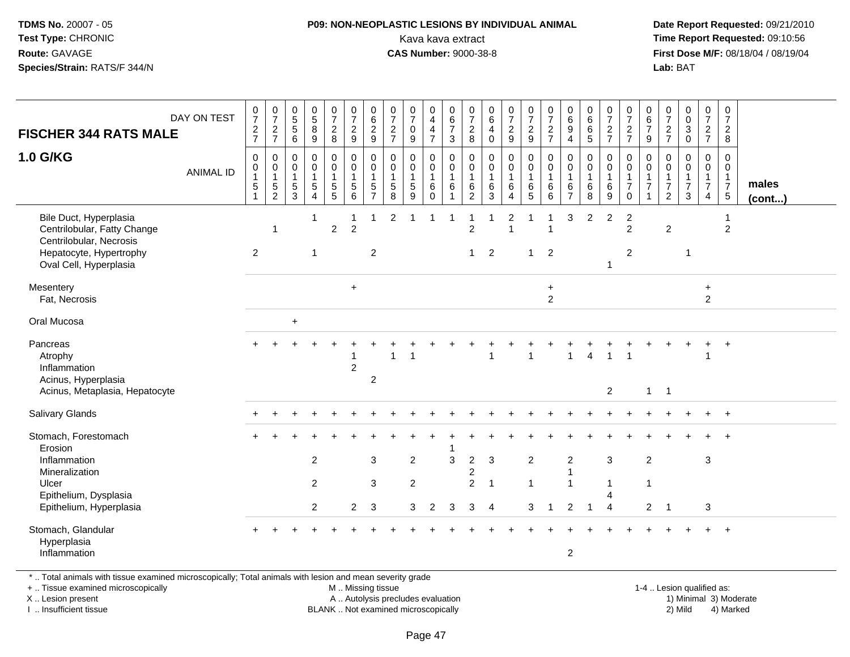### **P09: NON-NEOPLASTIC LESIONS BY INDIVIDUAL ANIMAL**Kava kava extract **Time Report Requested:** 09:10:56<br>**CAS Number:** 9000-38-8<br>**Tirst Dose M/F:** 08/18/04 / 08/19/04

 **Date Report Requested:** 09/21/2010 **First Dose M/F:** 08/18/04 / 08/19/04 Lab: BAT **Lab:** BAT

| <b>FISCHER 344 RATS MALE</b>                                                     | DAY ON TEST      | $\frac{0}{7}$<br>$\frac{2}{7}$ | $\begin{array}{c} 0 \\ 7 \end{array}$<br>$\frac{2}{7}$         | $\begin{array}{c} 0 \\ 5 \end{array}$<br>$\sqrt{5}$<br>6 | $\begin{array}{c} 0 \\ 5 \end{array}$<br>$\,8\,$<br>9                      | $\frac{0}{7}$<br>$\overline{2}$<br>8      | $\frac{0}{7}$<br>$\overline{a}$<br>9      | $\begin{array}{c} 0 \\ 6 \end{array}$<br>$\overline{c}$<br>9            | $\frac{0}{7}$<br>$\sqrt{2}$<br>$\overline{7}$ | $\begin{array}{c} 0 \\ 7 \end{array}$<br>$\mathbf 0$<br>9               | 0<br>4<br>$\overline{4}$<br>$\overline{7}$ | $\pmb{0}$<br>$\,6\,$<br>$\overline{7}$<br>3          | $\frac{0}{7}$<br>$\boldsymbol{2}$<br>8        | $\pmb{0}$<br>6<br>4<br>$\mathbf 0$         | $\begin{array}{c} 0 \\ 7 \end{array}$<br>$\sqrt{2}$<br>$\overline{9}$ | $\begin{smallmatrix}0\\7\end{smallmatrix}$<br>$\frac{2}{9}$   | $\frac{0}{7}$<br>$\frac{2}{7}$     | $\begin{array}{c} 0 \\ 6 \end{array}$<br>$9\,$<br>$\overline{4}$  | $\begin{array}{c} 0 \\ 6 \end{array}$<br>$\,6$<br>5  | $\frac{0}{7}$<br>$\frac{2}{7}$   | $\frac{0}{7}$<br>$rac{2}{7}$                             | $\begin{array}{c} 0 \\ 6 \end{array}$<br>$\overline{7}$<br>$\boldsymbol{9}$ | $\frac{0}{7}$<br>$\frac{2}{7}$                                     | $_{\rm 0}^{\rm 0}$<br>$\ensuremath{\mathsf{3}}$<br>$\mathbf 0$ | $\frac{0}{7}$<br>$rac{2}{7}$                  | $\frac{0}{7}$<br>$\overline{a}$<br>8                      |                       |
|----------------------------------------------------------------------------------|------------------|--------------------------------|----------------------------------------------------------------|----------------------------------------------------------|----------------------------------------------------------------------------|-------------------------------------------|-------------------------------------------|-------------------------------------------------------------------------|-----------------------------------------------|-------------------------------------------------------------------------|--------------------------------------------|------------------------------------------------------|-----------------------------------------------|--------------------------------------------|-----------------------------------------------------------------------|---------------------------------------------------------------|------------------------------------|-------------------------------------------------------------------|------------------------------------------------------|----------------------------------|----------------------------------------------------------|-----------------------------------------------------------------------------|--------------------------------------------------------------------|----------------------------------------------------------------|-----------------------------------------------|-----------------------------------------------------------|-----------------------|
| 1.0 G/KG                                                                         | <b>ANIMAL ID</b> | 0<br>0<br>$\sqrt{5}$           | 0<br>$\pmb{0}$<br>$\mathbf{1}$<br>$\sqrt{5}$<br>$\overline{2}$ | 0<br>0<br>$\overline{1}$<br>5<br>3                       | $\mathbf 0$<br>$\mathbf 0$<br>$\mathbf{1}$<br>$\sqrt{5}$<br>$\overline{4}$ | 0<br>$\mathbf 0$<br>1<br>$\mathbf 5$<br>5 | 0<br>0<br>$\mathbf{1}$<br>$\sqrt{5}$<br>6 | $\pmb{0}$<br>$\pmb{0}$<br>$\mathbf{1}$<br>$\,$ 5 $\,$<br>$\overline{7}$ | 0<br>0<br>$\overline{1}$<br>$\sqrt{5}$<br>8   | $\boldsymbol{0}$<br>$\mathbf 0$<br>$\mathbf{1}$<br>$5\phantom{.0}$<br>9 | 0<br>0<br>$\mathbf{1}$<br>6<br>$\mathbf 0$ | $\mathbf 0$<br>$\mathbf 0$<br>$\mathbf{1}$<br>6<br>1 | 0<br>0<br>$\mathbf{1}$<br>6<br>$\overline{2}$ | $\mathbf 0$<br>0<br>$\mathbf{1}$<br>6<br>3 | $\pmb{0}$<br>$\pmb{0}$<br>1<br>$\,6\,$<br>$\overline{4}$              | $\mathbf 0$<br>$\mathbf 0$<br>$\mathbf{1}$<br>6<br>$\sqrt{5}$ | 0<br>0<br>$\overline{1}$<br>6<br>6 | $\mathbf 0$<br>$\mathbf 0$<br>$\mathbf{1}$<br>6<br>$\overline{7}$ | $\mathbf 0$<br>$\mathbf 0$<br>$\mathbf{1}$<br>6<br>8 | 0<br>0<br>$\mathbf{1}$<br>6<br>9 | 0<br>$\mathsf{O}$<br>$\mathbf{1}$<br>$\overline{7}$<br>0 | 0<br>$\mathbf 0$<br>$\overline{7}$                                          | 0<br>$\mathbf 0$<br>$\overline{1}$<br>$\overline{7}$<br>$\sqrt{2}$ | $\pmb{0}$<br>0<br>$\mathbf{1}$<br>$\overline{7}$<br>3          | 0<br>0<br>$\mathbf{1}$<br>$\overline{7}$<br>4 | $\mathbf 0$<br>$\mathbf 0$<br>$\frac{1}{7}$<br>$\sqrt{5}$ | males<br>$($ cont $)$ |
| Bile Duct, Hyperplasia<br>Centrilobular, Fatty Change<br>Centrilobular, Necrosis |                  |                                | $\mathbf 1$                                                    |                                                          | 1                                                                          | $\overline{2}$                            | $\overline{2}$                            | $\mathbf 1$                                                             | $\overline{c}$                                | -1                                                                      | 1                                          | -1                                                   | 1<br>$\overline{2}$                           |                                            | 2<br>$\overline{\mathbf{1}}$                                          |                                                               | 1<br>$\overline{\mathbf{1}}$       | 3                                                                 | 2                                                    | $\overline{2}$                   | $\overline{c}$<br>2                                      |                                                                             | $\overline{2}$                                                     |                                                                |                                               | -1<br>$\overline{2}$                                      |                       |
| Hepatocyte, Hypertrophy<br>Oval Cell, Hyperplasia                                |                  | $\overline{2}$                 |                                                                |                                                          | $\mathbf{1}$                                                               |                                           |                                           | $\overline{2}$                                                          |                                               |                                                                         |                                            |                                                      | $\mathbf{1}$                                  | $\overline{2}$                             |                                                                       | $\mathbf{1}$                                                  | 2                                  |                                                                   |                                                      | 1                                | $\overline{2}$                                           |                                                                             |                                                                    | $\overline{1}$                                                 |                                               |                                                           |                       |
| Mesentery<br>Fat, Necrosis                                                       |                  |                                |                                                                |                                                          |                                                                            |                                           | $+$                                       |                                                                         |                                               |                                                                         |                                            |                                                      |                                               |                                            |                                                                       |                                                               | $\ddot{}$<br>$\overline{2}$        |                                                                   |                                                      |                                  |                                                          |                                                                             |                                                                    |                                                                | $\ddot{}$<br>$\overline{c}$                   |                                                           |                       |
| Oral Mucosa                                                                      |                  |                                |                                                                | $\ddot{}$                                                |                                                                            |                                           |                                           |                                                                         |                                               |                                                                         |                                            |                                                      |                                               |                                            |                                                                       |                                                               |                                    |                                                                   |                                                      |                                  |                                                          |                                                                             |                                                                    |                                                                |                                               |                                                           |                       |
| Pancreas<br>Atrophy<br>Inflammation<br>Acinus, Hyperplasia                       |                  |                                |                                                                |                                                          |                                                                            |                                           | $\overline{c}$                            | $\overline{c}$                                                          |                                               | -1                                                                      |                                            |                                                      |                                               |                                            |                                                                       | 1                                                             |                                    | 1                                                                 | 4                                                    | $\overline{1}$                   | $\overline{1}$                                           |                                                                             |                                                                    |                                                                | 1                                             |                                                           |                       |
| Acinus, Metaplasia, Hepatocyte<br>Salivary Glands                                |                  |                                |                                                                |                                                          |                                                                            |                                           |                                           |                                                                         |                                               |                                                                         |                                            |                                                      |                                               |                                            |                                                                       |                                                               |                                    |                                                                   |                                                      | $\overline{2}$                   |                                                          | $\mathbf{1}$                                                                | $\overline{1}$                                                     |                                                                |                                               |                                                           |                       |
|                                                                                  |                  |                                |                                                                |                                                          |                                                                            |                                           |                                           |                                                                         |                                               |                                                                         |                                            |                                                      |                                               |                                            |                                                                       |                                                               |                                    |                                                                   |                                                      |                                  |                                                          |                                                                             |                                                                    |                                                                |                                               | $\ddot{}$                                                 |                       |
| Stomach, Forestomach<br>Erosion<br>Inflammation<br>Mineralization                |                  |                                |                                                                |                                                          | $\overline{c}$                                                             |                                           |                                           | $\sqrt{3}$                                                              |                                               | $\overline{c}$                                                          |                                            | $\mathbf{3}$                                         | $\boldsymbol{2}$<br>$\overline{\mathbf{c}}$   | $\mathbf{3}$                               |                                                                       | $\overline{c}$                                                |                                    | $\boldsymbol{2}$<br>$\mathbf{1}$                                  |                                                      | $\mathbf{3}$                     |                                                          | $\overline{2}$                                                              |                                                                    |                                                                | 3                                             |                                                           |                       |
| Ulcer<br>Epithelium, Dysplasia<br>Epithelium, Hyperplasia                        |                  |                                |                                                                |                                                          | $\overline{2}$<br>$\overline{2}$                                           |                                           | $\overline{2}$                            | 3<br>3                                                                  |                                               | $\overline{2}$<br>3                                                     | 2                                          | 3                                                    | $\overline{2}$<br>3                           | $\overline{1}$<br>4                        |                                                                       | $\mathbf{1}$<br>3                                             | $\overline{1}$                     | $\mathbf{1}$<br>$\overline{2}$                                    | -1                                                   | -1<br>$\overline{4}$             |                                                          | $\overline{1}$<br>$\overline{2}$                                            | -1                                                                 |                                                                | 3                                             |                                                           |                       |
| Stomach, Glandular<br>Hyperplasia<br>Inflammation                                |                  |                                |                                                                |                                                          |                                                                            |                                           |                                           |                                                                         |                                               |                                                                         |                                            |                                                      |                                               |                                            |                                                                       |                                                               |                                    | $\overline{c}$                                                    |                                                      |                                  |                                                          |                                                                             |                                                                    |                                                                |                                               |                                                           |                       |

\* .. Total animals with tissue examined microscopically; Total animals with lesion and mean severity grade

+ .. Tissue examined microscopically

X .. Lesion present

I .. Insufficient tissue

M .. Missing tissue

A .. Autolysis precludes evaluation

BLANK .. Not examined microscopically 2) Mild 4) Marked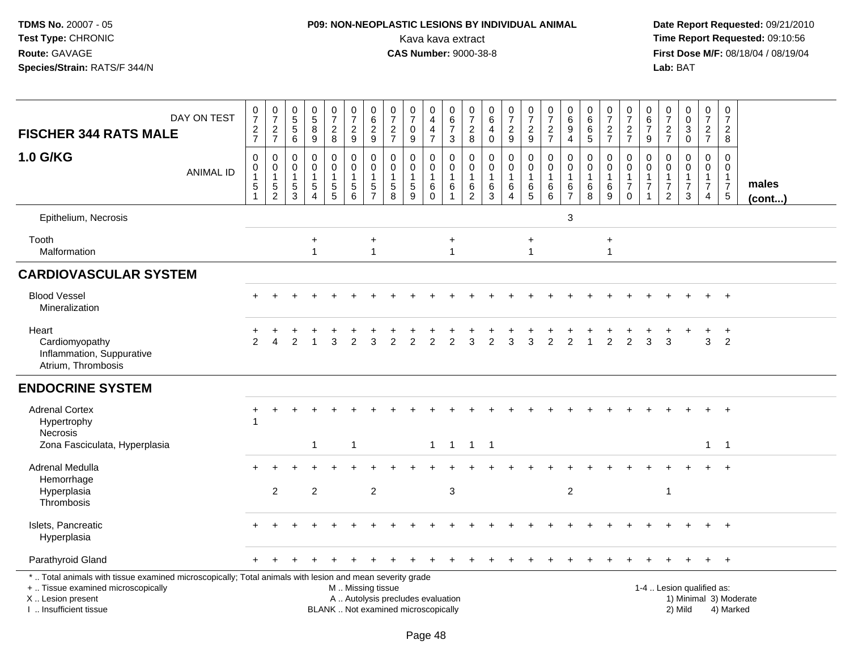# **P09: NON-NEOPLASTIC LESIONS BY INDIVIDUAL ANIMAL**Kava kava extract **Time Report Requested:** 09:10:56

| <b>FISCHER 344 RATS MALE</b>                                                                                                                                                                  | DAY ON TEST      | $\frac{0}{7}$<br>$\frac{2}{7}$                       | $\frac{0}{7}$<br>$\frac{2}{7}$                                  | $\begin{array}{c} 0 \\ 5 \\ 5 \end{array}$<br>6                | $\begin{array}{c} 0 \\ 5 \end{array}$<br>$\overline{8}$<br>9      | $\begin{array}{c} 0 \\ 7 \end{array}$<br>$_{\rm 8}^2$               | $\frac{0}{7}$<br>$\sqrt{2}$<br>9                                              | $\begin{array}{c} 0 \\ 6 \end{array}$<br>$\sqrt{2}$<br>9 | $\frac{0}{7}$<br>$\frac{2}{7}$                                           | $\frac{0}{7}$<br>$\pmb{0}$<br>9      | 0<br>$\overline{4}$<br>$\overline{\mathbf{4}}$<br>$\overline{7}$ | $\begin{array}{c} 0 \\ 6 \\ 7 \end{array}$<br>3                         | 0<br>$\overline{7}$<br>$_{\rm 8}^2$                                 | $\begin{array}{c} 0 \\ 6 \end{array}$<br>$\overline{\mathbf{4}}$<br>$\mathbf 0$ | $\begin{array}{c} 0 \\ 7 \end{array}$<br>$\sqrt{2}$<br>$\boldsymbol{9}$ | $\frac{0}{7}$<br>$\sqrt{2}$<br>9                                    | $\frac{0}{7}$<br>$\frac{2}{7}$  | 0<br>$6\phantom{a}$<br>$\overline{9}$<br>$\overline{4}$     | $_6^0$<br>$\overline{6}$<br>5              | $\frac{0}{7}$<br>$\frac{2}{7}$ | $\begin{array}{c} 0 \\ 7 \end{array}$<br>$\frac{2}{7}$                          | 0<br>6<br>$\overline{7}$<br>9   | $\frac{0}{7}$<br>$\frac{2}{7}$                                              | $\begin{smallmatrix}0\0\0\end{smallmatrix}$<br>$\sqrt{3}$<br>$\mathbf 0$ | $\begin{array}{c} 0 \\ 7 \end{array}$<br>$\frac{2}{7}$                         | $\begin{array}{c} 0 \\ 7 \end{array}$<br>$\overline{c}$<br>8  |                        |
|-----------------------------------------------------------------------------------------------------------------------------------------------------------------------------------------------|------------------|------------------------------------------------------|-----------------------------------------------------------------|----------------------------------------------------------------|-------------------------------------------------------------------|---------------------------------------------------------------------|-------------------------------------------------------------------------------|----------------------------------------------------------|--------------------------------------------------------------------------|--------------------------------------|------------------------------------------------------------------|-------------------------------------------------------------------------|---------------------------------------------------------------------|---------------------------------------------------------------------------------|-------------------------------------------------------------------------|---------------------------------------------------------------------|---------------------------------|-------------------------------------------------------------|--------------------------------------------|--------------------------------|---------------------------------------------------------------------------------|---------------------------------|-----------------------------------------------------------------------------|--------------------------------------------------------------------------|--------------------------------------------------------------------------------|---------------------------------------------------------------|------------------------|
| 1.0 G/KG                                                                                                                                                                                      | <b>ANIMAL ID</b> | $\mathbf 0$<br>0<br>$\mathbf 1$<br>5<br>$\mathbf{1}$ | $\mathbf 0$<br>$\pmb{0}$<br>$\mathbf{1}$<br>5<br>$\overline{c}$ | $\mathbf 0$<br>0<br>$\mathbf{1}$<br>$\sqrt{5}$<br>$\mathbf{3}$ | 0<br>$\mathsf 0$<br>$\mathbf{1}$<br>$\mathbf 5$<br>$\overline{4}$ | 0<br>$\mathbf 0$<br>$\overline{1}$<br>$\sqrt{5}$<br>$5\phantom{.0}$ | $\mathbf 0$<br>$\mathbf 0$<br>$\overline{1}$<br>$\sqrt{5}$<br>$6\phantom{1}6$ | 0<br>$\mathbf 0$<br>$\mathbf{1}$<br>5<br>$\overline{7}$  | $\Omega$<br>$\mathbf 0$<br>1<br>$\overline{5}$<br>8                      | 0<br>$\mathbf 0$<br>$\,$ 5 $\,$<br>9 | 0<br>$\mathbf 0$<br>$\overline{1}$<br>$\,6$<br>$\mathbf 0$       | $\mathbf 0$<br>$\mathsf{O}\xspace$<br>$\mathbf{1}$<br>6<br>$\mathbf{1}$ | $\mathbf 0$<br>$\mathbf 0$<br>$\overline{1}$<br>6<br>$\overline{2}$ | $\mathbf 0$<br>$\mathsf{O}\xspace$<br>$\overline{1}$<br>$^6_3$                  | 0<br>$\mathbf 0$<br>$\mathbf{1}$<br>$\,6\,$<br>4                        | $\mathbf 0$<br>$\mathbf 0$<br>$\overline{1}$<br>$\,6$<br>$\sqrt{5}$ | 0<br>$\mathbf 0$<br>1<br>6<br>6 | $\mathbf 0$<br>$\mathbf 0$<br>$\mathbf{1}$<br>$\frac{6}{7}$ | 0<br>$\mathbf 0$<br>$\mathbf{1}$<br>6<br>8 | 0<br>$\mathbf 0$<br>6<br>9     | $\mathbf 0$<br>$\mathbf 0$<br>$\overline{1}$<br>$\boldsymbol{7}$<br>$\mathbf 0$ | $\Omega$<br>0<br>$\overline{7}$ | $\Omega$<br>$\mathbf 0$<br>$\mathbf{1}$<br>$\overline{7}$<br>$\overline{2}$ | $\mathbf 0$<br>$\mathbf 0$<br>$\overline{7}$<br>$\mathbf{3}$             | $\mathbf 0$<br>$\mathbf 0$<br>$\mathbf{1}$<br>$\overline{7}$<br>$\overline{4}$ | $\Omega$<br>0<br>$\mathbf{1}$<br>$\overline{7}$<br>$\sqrt{5}$ | males<br>$($ cont $)$  |
| Epithelium, Necrosis                                                                                                                                                                          |                  |                                                      |                                                                 |                                                                |                                                                   |                                                                     |                                                                               |                                                          |                                                                          |                                      |                                                                  |                                                                         |                                                                     |                                                                                 |                                                                         |                                                                     |                                 | 3                                                           |                                            |                                |                                                                                 |                                 |                                                                             |                                                                          |                                                                                |                                                               |                        |
| Tooth<br>Malformation                                                                                                                                                                         |                  |                                                      |                                                                 |                                                                | $\ddot{}$<br>$\mathbf{1}$                                         |                                                                     |                                                                               | $\ddot{}$<br>$\mathbf{1}$                                |                                                                          |                                      |                                                                  | $\ddot{}$<br>$\overline{1}$                                             |                                                                     |                                                                                 |                                                                         | $\ddot{}$<br>$\mathbf{1}$                                           |                                 |                                                             |                                            | $\ddot{}$<br>$\mathbf{1}$      |                                                                                 |                                 |                                                                             |                                                                          |                                                                                |                                                               |                        |
| <b>CARDIOVASCULAR SYSTEM</b>                                                                                                                                                                  |                  |                                                      |                                                                 |                                                                |                                                                   |                                                                     |                                                                               |                                                          |                                                                          |                                      |                                                                  |                                                                         |                                                                     |                                                                                 |                                                                         |                                                                     |                                 |                                                             |                                            |                                |                                                                                 |                                 |                                                                             |                                                                          |                                                                                |                                                               |                        |
| <b>Blood Vessel</b><br>Mineralization                                                                                                                                                         |                  |                                                      |                                                                 |                                                                |                                                                   |                                                                     |                                                                               |                                                          |                                                                          |                                      |                                                                  |                                                                         |                                                                     |                                                                                 |                                                                         |                                                                     |                                 |                                                             |                                            |                                |                                                                                 |                                 |                                                                             |                                                                          | $+$                                                                            | $+$                                                           |                        |
| Heart<br>Cardiomyopathy<br>Inflammation, Suppurative<br>Atrium, Thrombosis                                                                                                                    |                  | $\mathcal{P}$                                        | Δ                                                               | $\overline{2}$                                                 | -1                                                                | 3                                                                   | 2                                                                             | 3                                                        | 2                                                                        | $\overline{2}$                       | 2                                                                | 2                                                                       | 3                                                                   | $\overline{2}$                                                                  | 3                                                                       | 3                                                                   | 2                               | 2                                                           | $\overline{1}$                             | $\overline{2}$                 | 2                                                                               | 3                               | 3                                                                           |                                                                          | $+$<br>3                                                                       | $+$<br>2                                                      |                        |
| <b>ENDOCRINE SYSTEM</b>                                                                                                                                                                       |                  |                                                      |                                                                 |                                                                |                                                                   |                                                                     |                                                                               |                                                          |                                                                          |                                      |                                                                  |                                                                         |                                                                     |                                                                                 |                                                                         |                                                                     |                                 |                                                             |                                            |                                |                                                                                 |                                 |                                                                             |                                                                          |                                                                                |                                                               |                        |
| <b>Adrenal Cortex</b><br>Hypertrophy<br>Necrosis                                                                                                                                              |                  |                                                      |                                                                 |                                                                |                                                                   |                                                                     |                                                                               |                                                          |                                                                          |                                      |                                                                  |                                                                         |                                                                     |                                                                                 |                                                                         |                                                                     |                                 |                                                             |                                            |                                |                                                                                 |                                 |                                                                             |                                                                          |                                                                                | $+$                                                           |                        |
| Zona Fasciculata, Hyperplasia                                                                                                                                                                 |                  |                                                      |                                                                 |                                                                | $\mathbf 1$                                                       |                                                                     | $\overline{1}$                                                                |                                                          |                                                                          |                                      |                                                                  |                                                                         | 1 1 1 1                                                             |                                                                                 |                                                                         |                                                                     |                                 |                                                             |                                            |                                |                                                                                 |                                 |                                                                             |                                                                          | $\mathbf{1}$                                                                   | $\overline{1}$                                                |                        |
| Adrenal Medulla<br>Hemorrhage                                                                                                                                                                 |                  |                                                      |                                                                 |                                                                |                                                                   |                                                                     |                                                                               |                                                          |                                                                          |                                      |                                                                  |                                                                         |                                                                     |                                                                                 |                                                                         |                                                                     |                                 |                                                             |                                            |                                |                                                                                 |                                 |                                                                             |                                                                          |                                                                                | $+$                                                           |                        |
| Hyperplasia<br>Thrombosis                                                                                                                                                                     |                  |                                                      | $\overline{2}$                                                  |                                                                | $\overline{2}$                                                    |                                                                     |                                                                               | $\overline{2}$                                           |                                                                          |                                      |                                                                  | 3                                                                       |                                                                     |                                                                                 |                                                                         |                                                                     |                                 | $\overline{2}$                                              |                                            |                                |                                                                                 |                                 | $\mathbf{1}$                                                                |                                                                          |                                                                                |                                                               |                        |
| Islets, Pancreatic<br>Hyperplasia                                                                                                                                                             |                  |                                                      |                                                                 |                                                                |                                                                   |                                                                     |                                                                               |                                                          |                                                                          |                                      |                                                                  |                                                                         |                                                                     |                                                                                 |                                                                         |                                                                     |                                 |                                                             |                                            |                                |                                                                                 |                                 |                                                                             |                                                                          |                                                                                | $\ddot{+}$                                                    |                        |
| Parathyroid Gland                                                                                                                                                                             |                  |                                                      |                                                                 |                                                                |                                                                   |                                                                     |                                                                               |                                                          |                                                                          |                                      |                                                                  |                                                                         |                                                                     |                                                                                 |                                                                         |                                                                     |                                 |                                                             |                                            |                                |                                                                                 |                                 |                                                                             |                                                                          |                                                                                | $+$                                                           |                        |
| *  Total animals with tissue examined microscopically; Total animals with lesion and mean severity grade<br>+  Tissue examined microscopically<br>X  Lesion present<br>I. Insufficient tissue |                  |                                                      |                                                                 |                                                                |                                                                   |                                                                     | M  Missing tissue                                                             |                                                          | A  Autolysis precludes evaluation<br>BLANK  Not examined microscopically |                                      |                                                                  |                                                                         |                                                                     |                                                                                 |                                                                         |                                                                     |                                 |                                                             |                                            |                                |                                                                                 |                                 |                                                                             | 1-4  Lesion qualified as:<br>2) Mild                                     |                                                                                | 4) Marked                                                     | 1) Minimal 3) Moderate |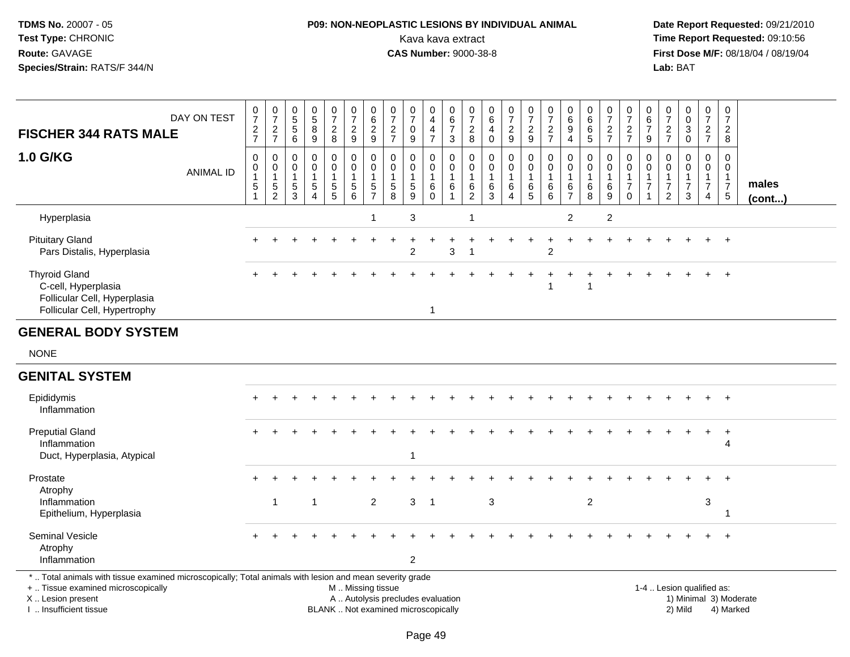# **P09: NON-NEOPLASTIC LESIONS BY INDIVIDUAL ANIMAL**Kava kava extract **Time Report Requested:** 09:10:56<br>**CAS Number:** 9000-38-8<br>**Tirst Dose M/F:** 08/18/04 / 08/19/04

 **Date Report Requested:** 09/21/2010 **First Dose M/F:** 08/18/04 / 08/19/04<br>Lab: BAT **Lab:** BAT

| <b>FISCHER 344 RATS MALE</b>                                                                                                                                        | DAY ON TEST      | $\boldsymbol{0}$<br>$\overline{7}$<br>$\frac{2}{7}$ | $\frac{0}{7}$<br>$\frac{2}{7}$                                               | 0<br>5<br>5<br>6                | $\begin{matrix} 0 \\ 5 \end{matrix}$<br>8<br>$\overline{9}$              | 0<br>$\overline{7}$<br>$\overline{c}$<br>8 | $\frac{0}{7}$<br>$\frac{2}{9}$                         | $\begin{array}{c} 0 \\ 6 \end{array}$<br>$\frac{2}{9}$                        | $\mathbf 0$<br>$\overline{7}$<br>$\frac{2}{7}$        | $\frac{0}{7}$<br>$\mathbf 0$<br>9                             | 0<br>$\overline{4}$<br>4<br>$\overline{7}$    | 0<br>$\,6$<br>$\overline{7}$<br>3                           | 0<br>$\overline{7}$<br>$_{8}^2$                         | 0<br>6<br>4<br>$\mathbf 0$       | $\pmb{0}$<br>$\overline{7}$<br>$\boldsymbol{2}$<br>$\overline{9}$ | $\frac{0}{7}$<br>$\frac{2}{9}$                       | 0<br>$\overline{7}$<br>$\frac{2}{7}$                       | 0<br>$\,6\,$<br>9<br>$\overline{4}$             | $\pmb{0}$<br>$\,6\,$<br>6<br>5                             | 0<br>$\overline{7}$<br>$\frac{2}{7}$  | 0<br>$\overline{7}$<br>$\frac{2}{7}$                           | 0<br>$\,6$<br>$\overline{7}$<br>9                                    | 0<br>$\overline{7}$<br>$\overline{c}$<br>$\overline{7}$          | $\begin{smallmatrix} 0\\0 \end{smallmatrix}$<br>3<br>$\overline{0}$ | 0<br>$\overline{7}$<br>$\overline{2}$<br>$\overline{7}$ |                | 0<br>$\overline{7}$<br>$\boldsymbol{2}$<br>8                         |
|---------------------------------------------------------------------------------------------------------------------------------------------------------------------|------------------|-----------------------------------------------------|------------------------------------------------------------------------------|---------------------------------|--------------------------------------------------------------------------|--------------------------------------------|--------------------------------------------------------|-------------------------------------------------------------------------------|-------------------------------------------------------|---------------------------------------------------------------|-----------------------------------------------|-------------------------------------------------------------|---------------------------------------------------------|----------------------------------|-------------------------------------------------------------------|------------------------------------------------------|------------------------------------------------------------|-------------------------------------------------|------------------------------------------------------------|---------------------------------------|----------------------------------------------------------------|----------------------------------------------------------------------|------------------------------------------------------------------|---------------------------------------------------------------------|---------------------------------------------------------|----------------|----------------------------------------------------------------------|
| <b>1.0 G/KG</b>                                                                                                                                                     | <b>ANIMAL ID</b> | 0<br>0<br>$\mathbf{1}$<br>5                         | $\mathbf 0$<br>$\mathbf 0$<br>$\overline{1}$<br>$\sqrt{5}$<br>$\overline{2}$ | 0<br>$\mathbf 0$<br>1<br>5<br>3 | 0<br>$\mathbf 0$<br>$\mathbf{1}$<br>$\sqrt{5}$<br>$\boldsymbol{\Lambda}$ | 0<br>0<br>$\mathbf{1}$<br>$\,$ 5 $\,$<br>5 | 0<br>$\mathbf 0$<br>1<br>$\sqrt{5}$<br>6               | $\mathbf 0$<br>$\mathbf 0$<br>$\overline{1}$<br>$\,$ 5 $\,$<br>$\overline{7}$ | 0<br>$\mathbf 0$<br>$\overline{1}$<br>$\sqrt{5}$<br>8 | $\mathbf 0$<br>$\mathbf 0$<br>$\mathbf{1}$<br>$\sqrt{5}$<br>9 | 0<br>0<br>$\mathbf{1}$<br>$\,6\,$<br>$\Omega$ | 0<br>$\mathbf 0$<br>$\mathbf{1}$<br>$\,6\,$<br>$\mathbf{1}$ | 0<br>$\mathbf 0$<br>$\mathbf{1}$<br>6<br>$\overline{2}$ | 0<br>0<br>$\mathbf{1}$<br>6<br>3 | $\mathbf 0$<br>$\mathbf 0$<br>1<br>$\,6\,$<br>$\overline{4}$      | $\mathbf 0$<br>$\mathbf 0$<br>$\mathbf{1}$<br>$^6$ 5 | $\mathbf 0$<br>$\mathbf 0$<br>$\mathbf{1}$<br>$\,6\,$<br>6 | 0<br>0<br>$\overline{1}$<br>6<br>$\overline{7}$ | $\mathbf 0$<br>$\mathbf 0$<br>$\mathbf{1}$<br>$\,6\,$<br>8 | 0<br>0<br>$\mathbf 1$<br>$\,6\,$<br>9 | 0<br>$\mathbf 0$<br>$\mathbf{1}$<br>$\overline{7}$<br>$\Omega$ | 0<br>$\mathbf 0$<br>$\mathbf{1}$<br>$\overline{7}$<br>$\overline{1}$ | $\mathbf 0$<br>$\Omega$<br>1<br>$\overline{7}$<br>$\overline{2}$ | $\mathbf 0$<br>$\mathbf 0$<br>$\mathbf{1}$<br>$\overline{7}$<br>3   | 0<br>0<br>$\mathbf{1}$<br>$\overline{7}$<br>4           | $\mathbf{1}$   | $\mathbf 0$<br>$\mathbf 0$<br>males<br>$\overline{7}$<br>5<br>(cont) |
| Hyperplasia                                                                                                                                                         |                  |                                                     |                                                                              |                                 |                                                                          |                                            |                                                        | $\overline{1}$                                                                |                                                       | 3                                                             |                                               |                                                             | $\overline{1}$                                          |                                  |                                                                   |                                                      |                                                            | $\overline{2}$                                  |                                                            | $\overline{2}$                        |                                                                |                                                                      |                                                                  |                                                                     |                                                         |                |                                                                      |
| <b>Pituitary Gland</b><br>Pars Distalis, Hyperplasia                                                                                                                |                  |                                                     |                                                                              |                                 |                                                                          |                                            |                                                        |                                                                               |                                                       | $\mathfrak{p}$                                                |                                               | 3                                                           | $\overline{1}$                                          |                                  |                                                                   |                                                      | $\overline{2}$                                             |                                                 |                                                            |                                       |                                                                |                                                                      |                                                                  |                                                                     | +                                                       | $+$            |                                                                      |
| <b>Thyroid Gland</b><br>C-cell, Hyperplasia<br>Follicular Cell, Hyperplasia<br>Follicular Cell, Hypertrophy                                                         |                  |                                                     |                                                                              |                                 |                                                                          |                                            |                                                        |                                                                               |                                                       |                                                               | $\mathbf{1}$                                  |                                                             |                                                         |                                  |                                                                   |                                                      | -1                                                         |                                                 |                                                            |                                       |                                                                |                                                                      |                                                                  |                                                                     |                                                         |                |                                                                      |
| <b>GENERAL BODY SYSTEM</b>                                                                                                                                          |                  |                                                     |                                                                              |                                 |                                                                          |                                            |                                                        |                                                                               |                                                       |                                                               |                                               |                                                             |                                                         |                                  |                                                                   |                                                      |                                                            |                                                 |                                                            |                                       |                                                                |                                                                      |                                                                  |                                                                     |                                                         |                |                                                                      |
| <b>NONE</b>                                                                                                                                                         |                  |                                                     |                                                                              |                                 |                                                                          |                                            |                                                        |                                                                               |                                                       |                                                               |                                               |                                                             |                                                         |                                  |                                                                   |                                                      |                                                            |                                                 |                                                            |                                       |                                                                |                                                                      |                                                                  |                                                                     |                                                         |                |                                                                      |
| <b>GENITAL SYSTEM</b>                                                                                                                                               |                  |                                                     |                                                                              |                                 |                                                                          |                                            |                                                        |                                                                               |                                                       |                                                               |                                               |                                                             |                                                         |                                  |                                                                   |                                                      |                                                            |                                                 |                                                            |                                       |                                                                |                                                                      |                                                                  |                                                                     |                                                         |                |                                                                      |
| Epididymis<br>Inflammation                                                                                                                                          |                  |                                                     |                                                                              |                                 |                                                                          |                                            |                                                        |                                                                               |                                                       |                                                               |                                               |                                                             |                                                         |                                  |                                                                   |                                                      |                                                            |                                                 |                                                            |                                       |                                                                |                                                                      |                                                                  |                                                                     |                                                         | $\overline{+}$ |                                                                      |
| <b>Preputial Gland</b><br>Inflammation<br>Duct, Hyperplasia, Atypical                                                                                               |                  |                                                     |                                                                              |                                 |                                                                          |                                            |                                                        |                                                                               |                                                       | 1                                                             |                                               |                                                             |                                                         |                                  |                                                                   |                                                      |                                                            |                                                 |                                                            |                                       |                                                                |                                                                      |                                                                  |                                                                     | $+$                                                     |                | $\ddot{}$<br>4                                                       |
| Prostate<br>Atrophy                                                                                                                                                 |                  |                                                     |                                                                              |                                 |                                                                          |                                            |                                                        |                                                                               |                                                       |                                                               |                                               |                                                             |                                                         |                                  |                                                                   |                                                      |                                                            |                                                 |                                                            |                                       |                                                                |                                                                      |                                                                  |                                                                     |                                                         |                |                                                                      |
| Inflammation<br>Epithelium, Hyperplasia                                                                                                                             |                  |                                                     | $\mathbf{1}$                                                                 |                                 | 1                                                                        |                                            |                                                        | $\overline{2}$                                                                |                                                       | 3 <sup>1</sup>                                                | $\overline{1}$                                |                                                             |                                                         | $\mathbf{3}$                     |                                                                   |                                                      |                                                            |                                                 | $\boldsymbol{2}$                                           |                                       |                                                                |                                                                      |                                                                  |                                                                     | 3                                                       | -1             |                                                                      |
| Seminal Vesicle<br>Atrophy<br>Inflammation                                                                                                                          |                  |                                                     |                                                                              |                                 |                                                                          |                                            |                                                        |                                                                               |                                                       | $\overline{c}$                                                |                                               |                                                             |                                                         |                                  |                                                                   |                                                      |                                                            |                                                 |                                                            |                                       |                                                                |                                                                      |                                                                  |                                                                     |                                                         | $\div$         |                                                                      |
| *  Total animals with tissue examined microscopically; Total animals with lesion and mean severity grade<br>+  Tissue examined microscopically<br>X  Lesion present |                  |                                                     |                                                                              |                                 |                                                                          |                                            | M  Missing tissue<br>A  Autolysis precludes evaluation |                                                                               |                                                       |                                                               |                                               |                                                             |                                                         |                                  |                                                                   |                                                      |                                                            |                                                 |                                                            |                                       |                                                                |                                                                      |                                                                  | 1-4  Lesion qualified as:                                           |                                                         |                | 1) Minimal 3) Moderate                                               |

I .. Insufficient tissue

BLANK .. Not examined microscopically 2) Mild 4) Marked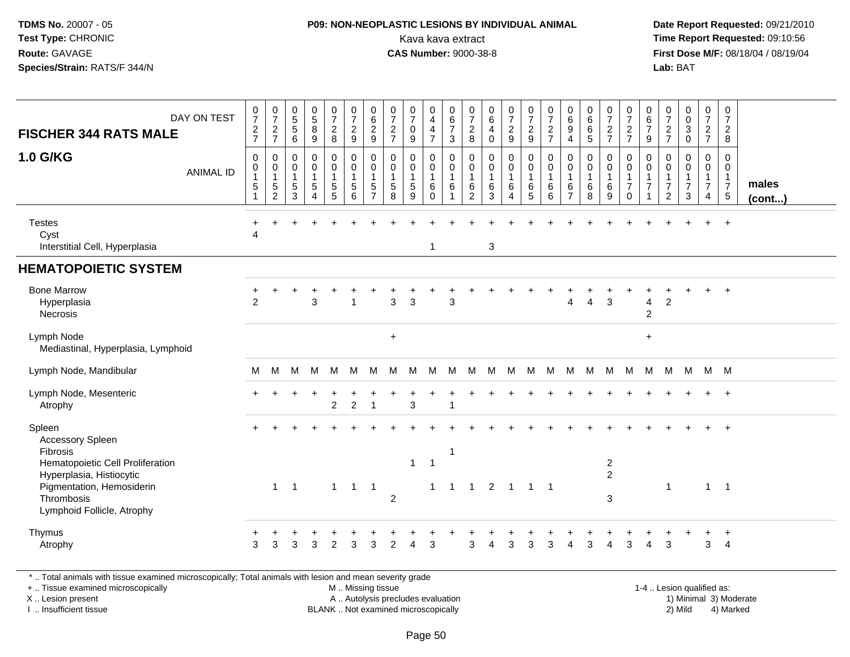### **P09: NON-NEOPLASTIC LESIONS BY INDIVIDUAL ANIMAL**Kava kava extract **Time Report Requested:** 09:10:56<br>**CAS Number:** 9000-38-8<br>**Tirst Dose M/F:** 08/18/04 / 08/19/04

 **Date Report Requested:** 09/21/2010 **First Dose M/F:** 08/18/04 / 08/19/04 Lab: BAT **Lab:** BAT

| DAY ON TEST<br><b>FISCHER 344 RATS MALE</b><br><b>1.0 G/KG</b><br><b>ANIMAL ID</b>                                                         | $\frac{0}{7}$<br>$\frac{2}{7}$<br>$\mathsf{O}\xspace$<br>0<br>$\mathbf{1}$<br>$5\,$<br>$\overline{1}$ | $\begin{array}{c} 0 \\ 7 \end{array}$<br>$\frac{2}{7}$<br>$\mathsf 0$<br>$\pmb{0}$<br>$\overline{1}$<br>$\sqrt{5}$<br>$\sqrt{2}$ | 0<br>5<br>5<br>6<br>$\mathbf 0$<br>0<br>$\overline{1}$<br>$\overline{5}$<br>$\mathbf{3}$ | $\begin{array}{c} 0 \\ 5 \end{array}$<br>$\bf 8$<br>9<br>$\pmb{0}$<br>$\mathbf 0$<br>$\mathbf{1}$<br>$\sqrt{5}$<br>$\overline{4}$ | $\frac{0}{7}$<br>$\frac{2}{8}$<br>0<br>$\mathbf 0$<br>5<br>5 | $\begin{array}{c} 0 \\ 7 \end{array}$<br>$\frac{2}{9}$<br>$\pmb{0}$<br>$\mathbf 0$<br>$\mathbf{1}$<br>5<br>6 | $\begin{array}{c} 0 \\ 6 \end{array}$<br>$\frac{2}{9}$<br>$\mathbf 0$<br>$\mathbf 0$<br>$\mathbf{1}$<br>5<br>$\overline{7}$ | 0<br>$\overline{7}$<br>$\boldsymbol{2}$<br>$\overline{7}$<br>$\mathbf 0$<br>0<br>$\,$ 5 $\,$<br>8 | $\begin{array}{c} 0 \\ 7 \end{array}$<br>$\mathbf 0$<br>9<br>$\mathbf 0$<br>$\mathbf 0$<br>$\mathbf{1}$<br>$\sqrt{5}$<br>9 | 0<br>$\overline{\mathbf{4}}$<br>$\overline{\mathbf{4}}$<br>$\overline{7}$<br>0<br>$\mathbf 0$<br>$\mathbf{1}$<br>6<br>$\mathbf 0$ | $\mathbf 0$<br>$\,6\,$<br>$\overline{7}$<br>$\mathbf{3}$<br>$\mathbf 0$<br>$\mathsf{O}\xspace$<br>$\mathbf{1}$<br>6 | $\frac{0}{7}$<br>$_{\rm 8}^2$<br>0<br>0<br>$\mathbf{1}$<br>6<br>$\overline{2}$ | 0<br>$\,6\,$<br>4<br>$\mathbf 0$<br>$\mathsf 0$<br>0<br>$\mathbf{1}$<br>6<br>3 | $\frac{0}{7}$<br>$\frac{2}{9}$<br>$\pmb{0}$<br>$\pmb{0}$<br>6<br>$\boldsymbol{\Lambda}$ | $\frac{0}{7}$<br>$\frac{2}{9}$<br>$\pmb{0}$<br>$\pmb{0}$<br>$\overline{1}$<br>$\,6$<br>$\sqrt{5}$ | $\frac{0}{7}$<br>$\frac{2}{7}$<br>$\mathbf 0$<br>$\mathbf 0$<br>$\mathbf{1}$<br>6<br>6 | $\begin{array}{c} 0 \\ 6 \end{array}$<br>9<br>$\overline{4}$<br>0<br>0<br>6<br>$\overline{7}$ | $_{6}^{\rm 0}$<br>$\,6\,$<br>$\overline{5}$<br>$\pmb{0}$<br>$\mathbf 0$<br>$\mathbf{1}$<br>6<br>8 | $\frac{0}{7}$<br>$\frac{2}{7}$<br>$\pmb{0}$<br>$\pmb{0}$<br>$\mathbf{1}$<br>6<br>9 | 0<br>$\boldsymbol{7}$<br>$\frac{2}{7}$<br>0<br>$\mathsf{O}$<br>$\overline{7}$<br>$\mathsf 0$ | $\mathbf 0$<br>$6\phantom{1}6$<br>$\overline{7}$<br>9<br>$\mathbf 0$<br>$\mathbf 0$<br>$\overline{1}$<br>$\overline{7}$<br>1 | $\pmb{0}$<br>$\overline{7}$<br>$\boldsymbol{2}$<br>$\overline{7}$<br>$\mathbf 0$<br>0<br>$\mathbf{1}$<br>$\overline{7}$<br>$\overline{c}$ | 0<br>$\mathbf 0$<br>$\sqrt{3}$<br>$\mathbf 0$<br>$\mathbf 0$<br>$\Omega$<br>$\overline{7}$<br>3 | $\frac{0}{7}$<br>$\frac{2}{7}$<br>0<br>0<br>$\mathbf 1$<br>$\overline{7}$<br>$\overline{4}$ | $\mathbf 0$<br>$\boldsymbol{7}$<br>$\overline{2}$<br>$\bf 8$<br>$\mathsf{O}$<br>$\mathbf 0$<br>$\mathbf{1}$<br>$\overline{7}$<br>$5\phantom{.0}$ | males<br>$($ cont $)$ |
|--------------------------------------------------------------------------------------------------------------------------------------------|-------------------------------------------------------------------------------------------------------|----------------------------------------------------------------------------------------------------------------------------------|------------------------------------------------------------------------------------------|-----------------------------------------------------------------------------------------------------------------------------------|--------------------------------------------------------------|--------------------------------------------------------------------------------------------------------------|-----------------------------------------------------------------------------------------------------------------------------|---------------------------------------------------------------------------------------------------|----------------------------------------------------------------------------------------------------------------------------|-----------------------------------------------------------------------------------------------------------------------------------|---------------------------------------------------------------------------------------------------------------------|--------------------------------------------------------------------------------|--------------------------------------------------------------------------------|-----------------------------------------------------------------------------------------|---------------------------------------------------------------------------------------------------|----------------------------------------------------------------------------------------|-----------------------------------------------------------------------------------------------|---------------------------------------------------------------------------------------------------|------------------------------------------------------------------------------------|----------------------------------------------------------------------------------------------|------------------------------------------------------------------------------------------------------------------------------|-------------------------------------------------------------------------------------------------------------------------------------------|-------------------------------------------------------------------------------------------------|---------------------------------------------------------------------------------------------|--------------------------------------------------------------------------------------------------------------------------------------------------|-----------------------|
| <b>Testes</b><br>Cyst<br>Interstitial Cell, Hyperplasia                                                                                    | $\div$<br>4                                                                                           |                                                                                                                                  |                                                                                          |                                                                                                                                   |                                                              |                                                                                                              |                                                                                                                             |                                                                                                   |                                                                                                                            | 1                                                                                                                                 |                                                                                                                     |                                                                                | $\ensuremath{\mathsf{3}}$                                                      |                                                                                         |                                                                                                   |                                                                                        |                                                                                               |                                                                                                   |                                                                                    |                                                                                              |                                                                                                                              |                                                                                                                                           |                                                                                                 |                                                                                             | $\ddot{}$                                                                                                                                        |                       |
| <b>HEMATOPOIETIC SYSTEM</b>                                                                                                                |                                                                                                       |                                                                                                                                  |                                                                                          |                                                                                                                                   |                                                              |                                                                                                              |                                                                                                                             |                                                                                                   |                                                                                                                            |                                                                                                                                   |                                                                                                                     |                                                                                |                                                                                |                                                                                         |                                                                                                   |                                                                                        |                                                                                               |                                                                                                   |                                                                                    |                                                                                              |                                                                                                                              |                                                                                                                                           |                                                                                                 |                                                                                             |                                                                                                                                                  |                       |
| <b>Bone Marrow</b><br>Hyperplasia<br>Necrosis                                                                                              | $\ddot{}$<br>$\overline{2}$                                                                           |                                                                                                                                  |                                                                                          | 3                                                                                                                                 |                                                              | $\overline{1}$                                                                                               |                                                                                                                             | $\mathbf{3}$                                                                                      | $\sqrt{3}$                                                                                                                 |                                                                                                                                   | 3                                                                                                                   |                                                                                |                                                                                |                                                                                         |                                                                                                   |                                                                                        | $\overline{4}$                                                                                | 4                                                                                                 | 3                                                                                  |                                                                                              | $\overline{\mathbf{4}}$<br>$\overline{2}$                                                                                    | $\boldsymbol{2}$                                                                                                                          |                                                                                                 |                                                                                             | $\ddot{}$                                                                                                                                        |                       |
| Lymph Node<br>Mediastinal, Hyperplasia, Lymphoid                                                                                           |                                                                                                       |                                                                                                                                  |                                                                                          |                                                                                                                                   |                                                              |                                                                                                              |                                                                                                                             | $\ddot{}$                                                                                         |                                                                                                                            |                                                                                                                                   |                                                                                                                     |                                                                                |                                                                                |                                                                                         |                                                                                                   |                                                                                        |                                                                                               |                                                                                                   |                                                                                    |                                                                                              | $\ddot{}$                                                                                                                    |                                                                                                                                           |                                                                                                 |                                                                                             |                                                                                                                                                  |                       |
| Lymph Node, Mandibular                                                                                                                     | M                                                                                                     | м                                                                                                                                | м                                                                                        | M                                                                                                                                 | М                                                            | M                                                                                                            | M                                                                                                                           | м                                                                                                 | м                                                                                                                          | М                                                                                                                                 | M                                                                                                                   | M                                                                              | M                                                                              | M                                                                                       | M                                                                                                 | M                                                                                      | M                                                                                             | M                                                                                                 | M                                                                                  | M                                                                                            | M                                                                                                                            | M                                                                                                                                         |                                                                                                 | M M M                                                                                       |                                                                                                                                                  |                       |
| Lymph Node, Mesenteric<br>Atrophy                                                                                                          | $\pm$                                                                                                 |                                                                                                                                  |                                                                                          |                                                                                                                                   | $\overline{2}$                                               | $\overline{c}$                                                                                               | $\overline{1}$                                                                                                              |                                                                                                   | 3                                                                                                                          |                                                                                                                                   |                                                                                                                     |                                                                                |                                                                                |                                                                                         |                                                                                                   |                                                                                        |                                                                                               |                                                                                                   |                                                                                    |                                                                                              |                                                                                                                              |                                                                                                                                           |                                                                                                 |                                                                                             | $\overline{1}$                                                                                                                                   |                       |
| Spleen<br><b>Accessory Spleen</b><br>Fibrosis<br>Hematopoietic Cell Proliferation<br>Hyperplasia, Histiocytic<br>Pigmentation, Hemosiderin |                                                                                                       | $\mathbf{1}$                                                                                                                     | $\overline{1}$                                                                           |                                                                                                                                   | $\mathbf{1}$                                                 | $\mathbf{1}$                                                                                                 | $\overline{1}$                                                                                                              |                                                                                                   | $\overline{1}$                                                                                                             | $\overline{1}$<br>$\mathbf{1}$                                                                                                    | -1<br>$\mathbf{1}$                                                                                                  | $\mathbf{1}$                                                                   | $\overline{2}$                                                                 | $\overline{1}$                                                                          | $\overline{1}$                                                                                    | $\overline{1}$                                                                         |                                                                                               |                                                                                                   | $\overline{a}$<br>$\overline{2}$                                                   |                                                                                              |                                                                                                                              | $\mathbf{1}$                                                                                                                              |                                                                                                 | $\mathbf{1}$                                                                                | $\overline{+}$<br>$\overline{1}$                                                                                                                 |                       |
| Thrombosis<br>Lymphoid Follicle, Atrophy                                                                                                   |                                                                                                       |                                                                                                                                  |                                                                                          |                                                                                                                                   |                                                              |                                                                                                              |                                                                                                                             | $\overline{c}$                                                                                    |                                                                                                                            |                                                                                                                                   |                                                                                                                     |                                                                                |                                                                                |                                                                                         |                                                                                                   |                                                                                        |                                                                                               |                                                                                                   | $\mathbf{3}$                                                                       |                                                                                              |                                                                                                                              |                                                                                                                                           |                                                                                                 |                                                                                             |                                                                                                                                                  |                       |
| Thymus<br>Atrophy                                                                                                                          | +<br>3                                                                                                | +<br>3                                                                                                                           | 3                                                                                        | 3                                                                                                                                 | +<br>$\mathcal{P}$                                           | 3                                                                                                            | $\ddot{}$<br>3                                                                                                              | ÷<br>$\mathfrak{p}$                                                                               | $\overline{\phantom{a}}$                                                                                                   | +<br>3                                                                                                                            |                                                                                                                     | 3                                                                              | $\Lambda$                                                                      | $\ddot{}$<br>3                                                                          | 3                                                                                                 | 3                                                                                      | $\lambda$                                                                                     | 3                                                                                                 | +<br>$\boldsymbol{\Lambda}$                                                        | 3                                                                                            | 4                                                                                                                            | 3                                                                                                                                         |                                                                                                 | $\ddot{}$<br>3                                                                              | $\ddot{}$<br>$\overline{4}$                                                                                                                      |                       |

\* .. Total animals with tissue examined microscopically; Total animals with lesion and mean severity grade

+ .. Tissue examined microscopically

X .. Lesion present

I .. Insufficient tissue

M .. Missing tissue

A .. Autolysis precludes evaluation

BLANK .. Not examined microscopically 2) Mild 4) Marked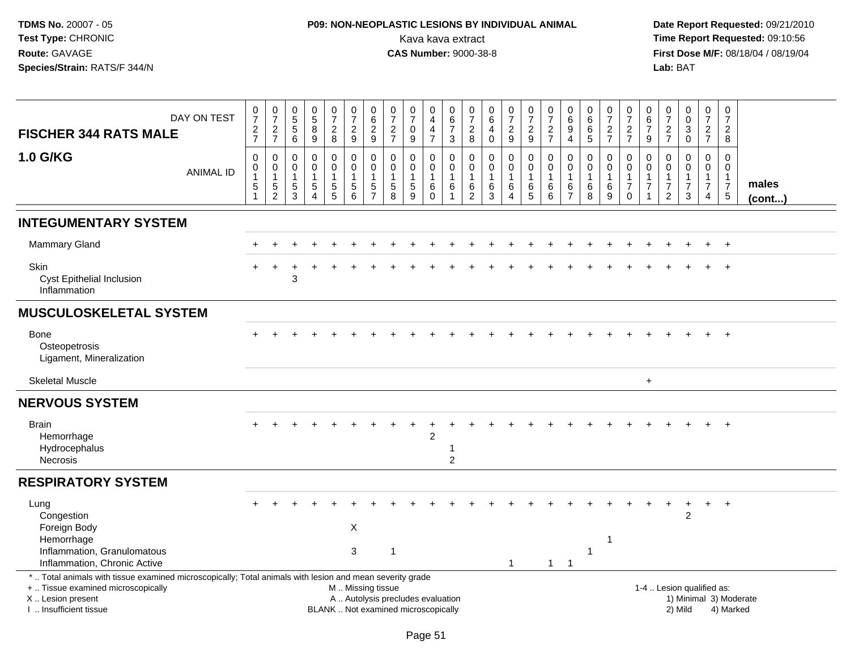# **P09: NON-NEOPLASTIC LESIONS BY INDIVIDUAL ANIMAL**Kava kava extract **Time Report Requested:** 09:10:56<br>**CAS Number:** 9000-38-8 **CAS Number:** 9000-38-8

| <b>FISCHER 344 RATS MALE</b>                                                                                                                                                                  | DAY ON TEST      | $\frac{0}{7}$<br>$\frac{2}{7}$                                          | $\begin{smallmatrix}0\\7\end{smallmatrix}$<br>$\frac{2}{7}$ | $\begin{array}{c} 0 \\ 5 \end{array}$<br>$5\,$<br>$6\phantom{1}$ | $\begin{array}{c} 0 \\ 5 \end{array}$<br>$\bf 8$<br>$\boldsymbol{9}$       | $\begin{smallmatrix}0\\7\end{smallmatrix}$<br>$\frac{2}{8}$                 | $\begin{array}{c} 0 \\ 7 \end{array}$<br>$\boldsymbol{2}$<br>$\boldsymbol{9}$ | $\pmb{0}$<br>$6\phantom{a}$<br>$\boldsymbol{2}$<br>$\boldsymbol{9}$ | $\begin{array}{c} 0 \\ 7 \end{array}$<br>$\overline{c}$<br>$\overline{7}$ | $\begin{array}{c} 0 \\ 7 \end{array}$<br>$\mathbf 0$<br>$\boldsymbol{9}$ | $\pmb{0}$<br>$\overline{4}$<br>$\overline{4}$<br>$\overline{7}$ | $\pmb{0}$<br>$6\phantom{a}$<br>$\overline{7}$<br>$\mathbf{3}$ | 0<br>$\boldsymbol{7}$<br>$\boldsymbol{2}$<br>$\bf 8$        | $\begin{array}{c} 0 \\ 6 \end{array}$<br>$\overline{a}$<br>$\pmb{0}$ | $\begin{array}{c} 0 \\ 7 \end{array}$<br>$\frac{2}{9}$ | $\frac{0}{7}$<br>$\frac{2}{9}$                                           | $\frac{0}{7}$<br>$\frac{2}{7}$                    | $\begin{array}{c} 0 \\ 6 \end{array}$<br>$\boldsymbol{9}$<br>$\overline{4}$ | $_{6}^{\rm 0}$<br>6<br>5                              | $\begin{array}{c} 0 \\ 7 \end{array}$<br>$\frac{2}{7}$          | $\frac{0}{7}$<br>$\frac{2}{7}$                                            | $\boldsymbol{0}$<br>$6\phantom{a}$<br>$\overline{7}$<br>9                    | $\frac{0}{7}$<br>$\frac{2}{7}$                                              | $\pmb{0}$<br>$\ddot{\mathbf{0}}$<br>$\mathbf{3}$<br>$\mathsf{O}\xspace$ | $\pmb{0}$<br>$\overline{7}$<br>$\frac{2}{7}$                                | 0<br>$\overline{7}$<br>$\overline{c}$<br>8    |                        |
|-----------------------------------------------------------------------------------------------------------------------------------------------------------------------------------------------|------------------|-------------------------------------------------------------------------|-------------------------------------------------------------|------------------------------------------------------------------|----------------------------------------------------------------------------|-----------------------------------------------------------------------------|-------------------------------------------------------------------------------|---------------------------------------------------------------------|---------------------------------------------------------------------------|--------------------------------------------------------------------------|-----------------------------------------------------------------|---------------------------------------------------------------|-------------------------------------------------------------|----------------------------------------------------------------------|--------------------------------------------------------|--------------------------------------------------------------------------|---------------------------------------------------|-----------------------------------------------------------------------------|-------------------------------------------------------|-----------------------------------------------------------------|---------------------------------------------------------------------------|------------------------------------------------------------------------------|-----------------------------------------------------------------------------|-------------------------------------------------------------------------|-----------------------------------------------------------------------------|-----------------------------------------------|------------------------|
| <b>1.0 G/KG</b>                                                                                                                                                                               | <b>ANIMAL ID</b> | $\mathbf 0$<br>$\pmb{0}$<br>$\mathbf{1}$<br>$\mathbf 5$<br>$\mathbf{1}$ | 0<br>$\mathbf 0$<br>$\mathbf{1}$<br>5<br>$\overline{2}$     | 0<br>0<br>$\overline{1}$<br>$\mathbf 5$<br>3                     | $\mathbf 0$<br>$\mathbf 0$<br>$\mathbf{1}$<br>$\sqrt{5}$<br>$\overline{4}$ | 0<br>$\mathbf 0$<br>$\overline{1}$<br>$\begin{array}{c} 5 \\ 5 \end{array}$ | $\Omega$<br>$\mathbf 0$<br>$\mathbf{1}$<br>5<br>6                             | $\mathbf 0$<br>$\mathbf 0$<br>$\mathbf{1}$<br>5<br>$\overline{7}$   | 0<br>$\mathbf 0$<br>$\mathbf{1}$<br>$\mathbf 5$<br>8                      | 0<br>$\mathbf 0$<br>$\mathbf{1}$<br>$\sqrt{5}$<br>9                      | 0<br>$\mathbf 0$<br>$\mathbf{1}$<br>$\,6\,$<br>$\mathbf 0$      | 0<br>$\pmb{0}$<br>$\mathbf{1}$<br>$\,6$<br>$\mathbf{1}$       | 0<br>$\mathbf 0$<br>$\mathbf{1}$<br>$\,6$<br>$\overline{c}$ | 0<br>$\pmb{0}$<br>$\mathbf{1}$<br>$^6_3$                             | 0<br>$\mathbf 0$<br>$\mathbf{1}$<br>$\,6$<br>4         | $\mathbf 0$<br>$\mathbf 0$<br>$\mathbf{1}$<br>$\,6\,$<br>$5\phantom{.0}$ | $\Omega$<br>$\mathbf 0$<br>$\mathbf{1}$<br>6<br>6 | 0<br>$\mathbf 0$<br>$\mathbf{1}$<br>$\,6$<br>$\overline{7}$                 | $\mathbf{0}$<br>$\mathbf 0$<br>$\mathbf{1}$<br>6<br>8 | 0<br>$\mathbf 0$<br>$\mathbf{1}$<br>$\,6\,$<br>$\boldsymbol{9}$ | $\mathbf 0$<br>$\mathbf 0$<br>$\mathbf{1}$<br>$\overline{7}$<br>$\pmb{0}$ | $\mathbf 0$<br>$\mathbf 0$<br>$\mathbf{1}$<br>$\overline{7}$<br>$\mathbf{1}$ | $\Omega$<br>$\mathbf 0$<br>$\mathbf{1}$<br>$\overline{7}$<br>$\overline{2}$ | $\mathbf 0$<br>$\mathbf 0$<br>$\mathbf{1}$<br>$\overline{7}$<br>3       | $\Omega$<br>$\mathbf 0$<br>$\mathbf{1}$<br>$\overline{7}$<br>$\overline{4}$ | 0<br>0<br>$\mathbf{1}$<br>$\overline{7}$<br>5 | males<br>(cont)        |
| <b>INTEGUMENTARY SYSTEM</b>                                                                                                                                                                   |                  |                                                                         |                                                             |                                                                  |                                                                            |                                                                             |                                                                               |                                                                     |                                                                           |                                                                          |                                                                 |                                                               |                                                             |                                                                      |                                                        |                                                                          |                                                   |                                                                             |                                                       |                                                                 |                                                                           |                                                                              |                                                                             |                                                                         |                                                                             |                                               |                        |
| <b>Mammary Gland</b>                                                                                                                                                                          |                  |                                                                         |                                                             |                                                                  |                                                                            |                                                                             |                                                                               |                                                                     |                                                                           |                                                                          |                                                                 |                                                               |                                                             |                                                                      |                                                        |                                                                          |                                                   |                                                                             |                                                       |                                                                 |                                                                           |                                                                              |                                                                             |                                                                         |                                                                             | $\ddot{}$                                     |                        |
| <b>Skin</b><br>Cyst Epithelial Inclusion<br>Inflammation                                                                                                                                      |                  |                                                                         |                                                             | 3                                                                |                                                                            |                                                                             |                                                                               |                                                                     |                                                                           |                                                                          |                                                                 |                                                               |                                                             |                                                                      |                                                        |                                                                          |                                                   |                                                                             |                                                       |                                                                 |                                                                           |                                                                              |                                                                             |                                                                         |                                                                             |                                               |                        |
| <b>MUSCULOSKELETAL SYSTEM</b>                                                                                                                                                                 |                  |                                                                         |                                                             |                                                                  |                                                                            |                                                                             |                                                                               |                                                                     |                                                                           |                                                                          |                                                                 |                                                               |                                                             |                                                                      |                                                        |                                                                          |                                                   |                                                                             |                                                       |                                                                 |                                                                           |                                                                              |                                                                             |                                                                         |                                                                             |                                               |                        |
| <b>Bone</b><br>Osteopetrosis<br>Ligament, Mineralization                                                                                                                                      |                  |                                                                         |                                                             |                                                                  |                                                                            |                                                                             |                                                                               |                                                                     |                                                                           |                                                                          |                                                                 |                                                               |                                                             |                                                                      |                                                        |                                                                          |                                                   |                                                                             |                                                       |                                                                 |                                                                           |                                                                              |                                                                             |                                                                         |                                                                             |                                               |                        |
| <b>Skeletal Muscle</b>                                                                                                                                                                        |                  |                                                                         |                                                             |                                                                  |                                                                            |                                                                             |                                                                               |                                                                     |                                                                           |                                                                          |                                                                 |                                                               |                                                             |                                                                      |                                                        |                                                                          |                                                   |                                                                             |                                                       |                                                                 |                                                                           | $+$                                                                          |                                                                             |                                                                         |                                                                             |                                               |                        |
| <b>NERVOUS SYSTEM</b>                                                                                                                                                                         |                  |                                                                         |                                                             |                                                                  |                                                                            |                                                                             |                                                                               |                                                                     |                                                                           |                                                                          |                                                                 |                                                               |                                                             |                                                                      |                                                        |                                                                          |                                                   |                                                                             |                                                       |                                                                 |                                                                           |                                                                              |                                                                             |                                                                         |                                                                             |                                               |                        |
| <b>Brain</b><br>Hemorrhage<br>Hydrocephalus<br><b>Necrosis</b>                                                                                                                                |                  |                                                                         |                                                             |                                                                  |                                                                            |                                                                             |                                                                               |                                                                     |                                                                           |                                                                          | $\overline{2}$                                                  | -1<br>$\overline{c}$                                          |                                                             |                                                                      |                                                        |                                                                          |                                                   |                                                                             |                                                       |                                                                 |                                                                           |                                                                              |                                                                             |                                                                         |                                                                             | $\ddot{}$                                     |                        |
| <b>RESPIRATORY SYSTEM</b>                                                                                                                                                                     |                  |                                                                         |                                                             |                                                                  |                                                                            |                                                                             |                                                                               |                                                                     |                                                                           |                                                                          |                                                                 |                                                               |                                                             |                                                                      |                                                        |                                                                          |                                                   |                                                                             |                                                       |                                                                 |                                                                           |                                                                              |                                                                             |                                                                         |                                                                             |                                               |                        |
| Lung<br>Congestion<br>Foreign Body<br>Hemorrhage<br>Inflammation, Granulomatous<br>Inflammation, Chronic Active                                                                               |                  |                                                                         |                                                             |                                                                  |                                                                            |                                                                             | X<br>3                                                                        |                                                                     | 1                                                                         |                                                                          |                                                                 |                                                               |                                                             |                                                                      | $\mathbf{1}$                                           |                                                                          | $1 \quad 1$                                       |                                                                             | $\mathbf{1}$                                          | 1                                                               |                                                                           |                                                                              |                                                                             | $\overline{\mathbf{c}}$                                                 |                                                                             |                                               |                        |
| *  Total animals with tissue examined microscopically; Total animals with lesion and mean severity grade<br>+  Tissue examined microscopically<br>X  Lesion present<br>I. Insufficient tissue |                  |                                                                         |                                                             |                                                                  |                                                                            |                                                                             | M  Missing tissue                                                             |                                                                     | A  Autolysis precludes evaluation<br>BLANK  Not examined microscopically  |                                                                          |                                                                 |                                                               |                                                             |                                                                      |                                                        |                                                                          |                                                   |                                                                             |                                                       |                                                                 |                                                                           |                                                                              | 1-4  Lesion qualified as:                                                   | 2) Mild                                                                 |                                                                             | 4) Marked                                     | 1) Minimal 3) Moderate |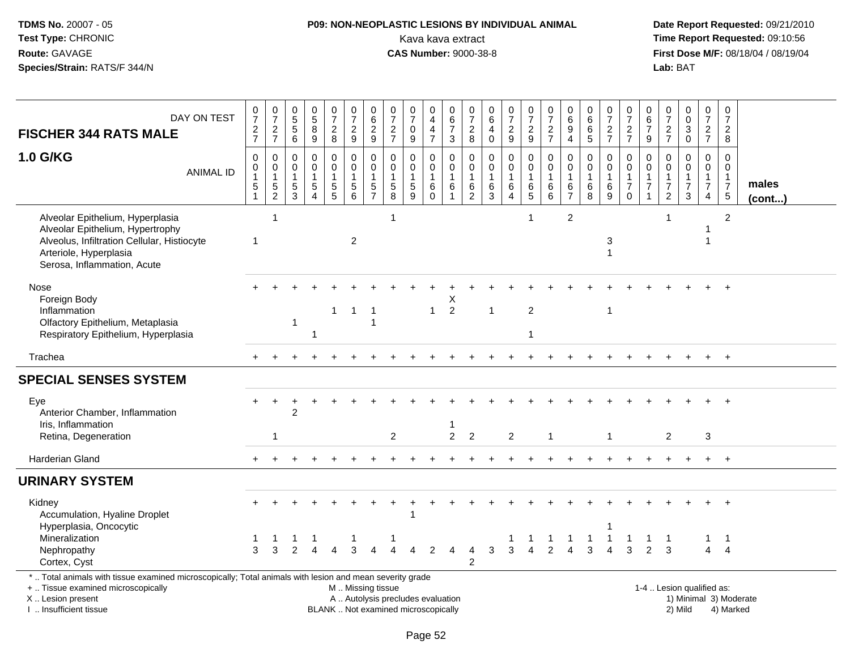# **P09: NON-NEOPLASTIC LESIONS BY INDIVIDUAL ANIMAL**Kava kava extract **Time Report Requested:** 09:10:56<br>**CAS Number:** 9000-38-8 **CAS Number:** 9000-38-8

| DAY ON TEST<br><b>FISCHER 344 RATS MALE</b>                                                                                                                                                   | $\frac{0}{7}$<br>$\frac{2}{7}$                                           | $\frac{0}{7}$<br>$\frac{2}{7}$                              | $\begin{array}{c} 0 \\ 5 \end{array}$<br>$\overline{5}$<br>$\,6\,$ | $\begin{array}{c} 0 \\ 5 \end{array}$<br>$\overline{8}$<br>9         | $\begin{smallmatrix}0\\7\end{smallmatrix}$<br>$\frac{2}{8}$ | $\frac{0}{7}$<br>$\overline{2}$<br>$\boldsymbol{9}$                               | $\begin{array}{c} 0 \\ 6 \end{array}$<br>$\overline{2}$<br>$9\,$ | $\frac{0}{7}$<br>$\frac{2}{7}$                                                      | 0<br>$\overline{7}$<br>$\mathbf 0$<br>$\boldsymbol{9}$                   | 0<br>$\overline{4}$<br>$\overline{\mathbf{4}}$<br>$\overline{7}$         | 0<br>6<br>$\boldsymbol{7}$<br>$\mathfrak{S}$          | $\frac{0}{7}$<br>$_{8}^{\rm 2}$                   | $\pmb{0}$<br>6<br>$\overline{\mathbf{4}}$<br>$\mathsf{O}\xspace$ | $\begin{smallmatrix}0\\7\end{smallmatrix}$<br>$\frac{2}{9}$                     | $\frac{0}{7}$<br>$\sqrt{2}$<br>$9\,$                 | $\frac{0}{7}$<br>$\frac{2}{7}$                       | 0<br>$\overline{6}$<br>$\boldsymbol{9}$<br>$\overline{4}$ | 0<br>$\,6\,$<br>$6\phantom{a}$<br>$\overline{5}$     | $\frac{0}{7}$<br>$\frac{2}{7}$                       | $\frac{0}{7}$<br>$\frac{2}{7}$                    | $\mathbf 0$<br>$\,6$<br>$\overline{7}$<br>9                                    | 0<br>$\overline{7}$<br>$\frac{2}{7}$                                         | 0<br>$\mathbf 0$<br>$\ensuremath{\mathsf{3}}$<br>$\mathbf 0$ | $\frac{0}{7}$<br>$\frac{2}{7}$                                                 | $\begin{smallmatrix}0\\7\end{smallmatrix}$<br>$\sqrt{2}$<br>$\bf 8$            |                       |
|-----------------------------------------------------------------------------------------------------------------------------------------------------------------------------------------------|--------------------------------------------------------------------------|-------------------------------------------------------------|--------------------------------------------------------------------|----------------------------------------------------------------------|-------------------------------------------------------------|-----------------------------------------------------------------------------------|------------------------------------------------------------------|-------------------------------------------------------------------------------------|--------------------------------------------------------------------------|--------------------------------------------------------------------------|-------------------------------------------------------|---------------------------------------------------|------------------------------------------------------------------|---------------------------------------------------------------------------------|------------------------------------------------------|------------------------------------------------------|-----------------------------------------------------------|------------------------------------------------------|------------------------------------------------------|---------------------------------------------------|--------------------------------------------------------------------------------|------------------------------------------------------------------------------|--------------------------------------------------------------|--------------------------------------------------------------------------------|--------------------------------------------------------------------------------|-----------------------|
| 1.0 G/KG<br><b>ANIMAL ID</b>                                                                                                                                                                  | $\mathbf 0$<br>$\pmb{0}$<br>$\mathbf 1$<br>$\,$ 5 $\,$<br>$\overline{1}$ | $\pmb{0}$<br>$\mathbf 0$<br>$\overline{1}$<br>$\frac{5}{2}$ | 0<br>$\mathbf 0$<br>$\mathbf{1}$<br>$\,$ 5 $\,$<br>3               | $\mathbf 0$<br>$\mathbf 0$<br>$\mathbf{1}$<br>$\sqrt{5}$<br>$\Delta$ | 0<br>$\mathbf 0$<br>$\frac{5}{5}$                           | $\pmb{0}$<br>$\mathbf 0$<br>$\mathbf{1}$<br>$\begin{array}{c} 5 \\ 6 \end{array}$ | $\pmb{0}$<br>$\pmb{0}$<br>$\mathbf{1}$<br>$\frac{5}{7}$          | $\mathbf 0$<br>$\mathbf 0$<br>$\mathbf{1}$<br>$\begin{array}{c} 5 \\ 8 \end{array}$ | $\mathbf 0$<br>$\mathbf 0$<br>$\mathbf{1}$<br>$\sqrt{5}$<br>$\mathbf{Q}$ | 0<br>$\mathbf 0$<br>$\mathbf{1}$<br>$\begin{matrix} 6 \\ 0 \end{matrix}$ | 0<br>$\mathbf 0$<br>$\mathbf{1}$<br>6<br>$\mathbf{1}$ | $\mathbf 0$<br>0<br>$\mathbf{1}$<br>$\frac{6}{2}$ | $\mathsf 0$<br>$\mathbf 0$<br>$\mathbf{1}$<br>$^6_3$             | $\pmb{0}$<br>$\pmb{0}$<br>$\mathbf{1}$<br>$\begin{array}{c} 6 \\ 4 \end{array}$ | $\mathbf 0$<br>$\mathbf 0$<br>$\mathbf{1}$<br>$^6$ 5 | $\pmb{0}$<br>$\mathbf 0$<br>$\overline{1}$<br>$^6_6$ | $\mathbf 0$<br>$\mathbf 0$<br>1<br>$\frac{6}{7}$          | $\mathbf 0$<br>$\mathbf 0$<br>$\mathbf{1}$<br>$^6_8$ | $\mathbf 0$<br>$\mathbf 0$<br>$\mathbf{1}$<br>$^6_9$ | 0<br>$\mathbf 0$<br>$\overline{7}$<br>$\mathbf 0$ | $\mathbf 0$<br>$\mathbf 0$<br>$\mathbf{1}$<br>$\overline{7}$<br>$\overline{1}$ | $\mathbf 0$<br>$\mathbf 0$<br>$\mathbf{1}$<br>$\boldsymbol{7}$<br>$\sqrt{2}$ | $\mathbf 0$<br>$\Omega$<br>1<br>$\overline{7}$<br>3          | $\mathbf 0$<br>$\mathbf 0$<br>$\mathbf{1}$<br>$\overline{7}$<br>$\overline{4}$ | $\mathbf 0$<br>$\mathbf 0$<br>$\mathbf{1}$<br>$\overline{7}$<br>$\overline{5}$ | males<br>$($ cont $)$ |
| Alveolar Epithelium, Hyperplasia<br>Alveolar Epithelium, Hypertrophy<br>Alveolus, Infiltration Cellular, Histiocyte<br>Arteriole, Hyperplasia<br>Serosa, Inflammation, Acute                  |                                                                          | $\overline{1}$                                              |                                                                    |                                                                      |                                                             | $\overline{2}$                                                                    |                                                                  | $\mathbf{1}$                                                                        |                                                                          |                                                                          |                                                       |                                                   |                                                                  |                                                                                 |                                                      |                                                      | $\overline{2}$                                            |                                                      | 3<br>$\overline{1}$                                  |                                                   |                                                                                | 1                                                                            |                                                              | 1                                                                              | 2                                                                              |                       |
| Nose<br>Foreign Body<br>Inflammation<br>Olfactory Epithelium, Metaplasia<br>Respiratory Epithelium, Hyperplasia                                                                               |                                                                          |                                                             | $\mathbf{1}$                                                       | -1                                                                   | $\mathbf{1}$                                                | $\mathbf 1$                                                                       | $\overline{1}$<br>-1                                             |                                                                                     |                                                                          | $\mathbf{1}$                                                             | х<br>$\overline{2}$                                   |                                                   | $\mathbf{1}$                                                     |                                                                                 | $\overline{2}$<br>-1                                 |                                                      |                                                           |                                                      | $\mathbf{1}$                                         |                                                   |                                                                                |                                                                              |                                                              |                                                                                |                                                                                |                       |
| Trachea                                                                                                                                                                                       | $+$                                                                      |                                                             |                                                                    |                                                                      |                                                             |                                                                                   |                                                                  |                                                                                     |                                                                          |                                                                          |                                                       |                                                   |                                                                  |                                                                                 |                                                      |                                                      |                                                           |                                                      |                                                      |                                                   |                                                                                |                                                                              |                                                              | $+$                                                                            | $+$                                                                            |                       |
| <b>SPECIAL SENSES SYSTEM</b>                                                                                                                                                                  |                                                                          |                                                             |                                                                    |                                                                      |                                                             |                                                                                   |                                                                  |                                                                                     |                                                                          |                                                                          |                                                       |                                                   |                                                                  |                                                                                 |                                                      |                                                      |                                                           |                                                      |                                                      |                                                   |                                                                                |                                                                              |                                                              |                                                                                |                                                                                |                       |
| Eye<br>Anterior Chamber, Inflammation<br>Iris, Inflammation<br>Retina, Degeneration                                                                                                           |                                                                          | $\ddot{}$<br>$\overline{1}$                                 | 2                                                                  |                                                                      |                                                             |                                                                                   |                                                                  | $\overline{2}$                                                                      |                                                                          |                                                                          | $\overline{2}$                                        | $\overline{2}$                                    |                                                                  | 2                                                                               |                                                      | $\mathbf 1$                                          |                                                           |                                                      | $\overline{1}$                                       |                                                   |                                                                                | $\overline{2}$                                                               |                                                              | 3                                                                              |                                                                                |                       |
| Harderian Gland                                                                                                                                                                               |                                                                          |                                                             |                                                                    |                                                                      |                                                             |                                                                                   |                                                                  |                                                                                     |                                                                          |                                                                          |                                                       |                                                   |                                                                  |                                                                                 |                                                      |                                                      |                                                           |                                                      |                                                      |                                                   |                                                                                |                                                                              |                                                              |                                                                                | $\ddot{}$                                                                      |                       |
| <b>URINARY SYSTEM</b>                                                                                                                                                                         |                                                                          |                                                             |                                                                    |                                                                      |                                                             |                                                                                   |                                                                  |                                                                                     |                                                                          |                                                                          |                                                       |                                                   |                                                                  |                                                                                 |                                                      |                                                      |                                                           |                                                      |                                                      |                                                   |                                                                                |                                                                              |                                                              |                                                                                |                                                                                |                       |
| Kidney<br>Accumulation, Hyaline Droplet<br>Hyperplasia, Oncocytic<br>Mineralization<br>Nephropathy                                                                                            | 3                                                                        | 3                                                           |                                                                    |                                                                      |                                                             | 3                                                                                 |                                                                  |                                                                                     | 4                                                                        | 2                                                                        |                                                       | 4                                                 | 3                                                                | 3                                                                               | $\overline{4}$                                       | -1<br>2                                              |                                                           | -1<br>3                                              | 1<br>$\mathbf{1}$                                    | -1<br>3                                           | -1<br>$\overline{2}$                                                           | $\overline{1}$<br>3                                                          |                                                              | 1<br>$\overline{4}$                                                            | $\ddot{}$<br>$\overline{1}$<br>$\overline{4}$                                  |                       |
| Cortex, Cyst                                                                                                                                                                                  |                                                                          |                                                             |                                                                    |                                                                      |                                                             |                                                                                   |                                                                  |                                                                                     |                                                                          |                                                                          |                                                       | $\mathcal{P}$                                     |                                                                  |                                                                                 |                                                      |                                                      |                                                           |                                                      |                                                      |                                                   |                                                                                |                                                                              |                                                              |                                                                                |                                                                                |                       |
| *  Total animals with tissue examined microscopically; Total animals with lesion and mean severity grade<br>+  Tissue examined microscopically<br>X  Lesion present<br>I  Insufficient tissue |                                                                          |                                                             |                                                                    |                                                                      |                                                             | M. Missing tissue                                                                 |                                                                  | A  Autolysis precludes evaluation<br>BLANK  Not examined microscopically            |                                                                          |                                                                          |                                                       |                                                   |                                                                  |                                                                                 |                                                      |                                                      |                                                           |                                                      |                                                      |                                                   |                                                                                |                                                                              | 1-4  Lesion qualified as:<br>2) Mild                         |                                                                                | 1) Minimal 3) Moderate<br>4) Marked                                            |                       |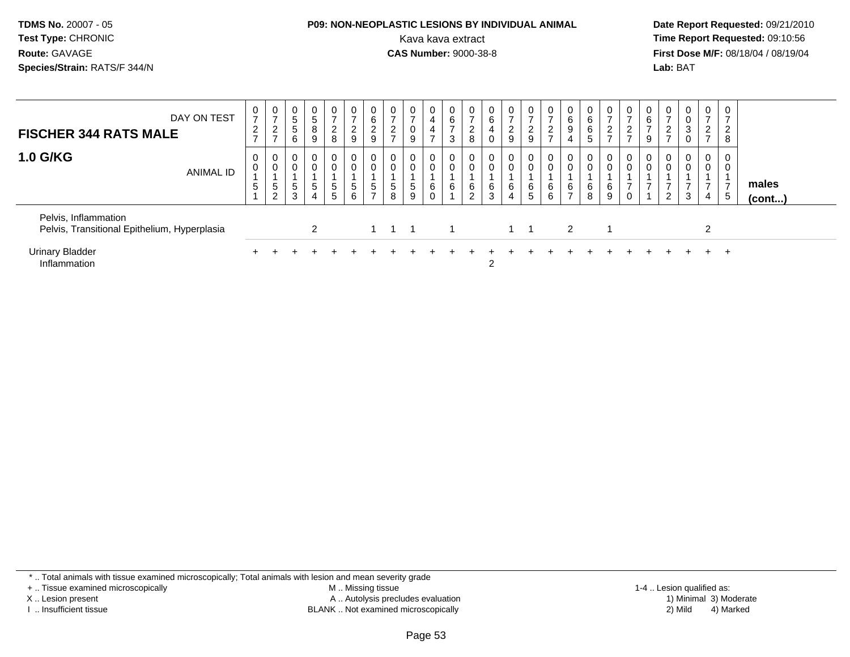# **P09: NON-NEOPLASTIC LESIONS BY INDIVIDUAL ANIMAL**

 **Date Report Requested:** 09/21/2010 Kava kava extract **Time Report Requested:** 09:10:56<br>**CAS Number:** 9000-38-8<br>**Tirst Dose M/F:** 08/18/04 / 08/19/04 **First Dose M/F:** 08/18/04 / 08/19/04 Lab: BAT **Lab:** BAT

| DAY ON TEST<br><b>FISCHER 344 RATS MALE</b>                          | 0<br>$\overline{ }$<br>$\overline{2}$<br>$\rightarrow$ | $\frac{0}{7}$<br>2<br>$\rightarrow$ | $\overline{0}$<br>$\sqrt{5}$<br>5<br>6 | $\mathbf 0$<br>8<br>9 | $\overline{0}$<br>$\overline{2}$<br>8                 | 0<br>$\overline{2}$<br>$\boldsymbol{9}$ | $\mathbf 0$<br>6<br>$\overline{2}$<br>$9\,$ | 0<br>$\overline{ }$<br>$\overline{2}$<br>$\overline{ }$ | $\mathbf 0$<br>$\overline{ }$<br>0<br>9 | 0<br>4<br>4<br>⇁ | 6<br>$\rightarrow$<br>ົ<br>د | $\rightarrow$<br>$\overline{c}$<br>8 | 0<br>6<br>4<br>0 | $\mathbf{0}$<br>$\overline{2}$<br>9 | 0<br>$\overline{ }$<br>$\frac{2}{9}$ | $\frac{0}{7}$<br>$\frac{2}{7}$ | 0<br>$\,6\,$<br>9<br>4 | 6<br>6<br>5 | 0<br>$\rightarrow$<br>$\overline{c}$<br>$\rightarrow$ | 0<br>$\Omega$<br>∼<br>$\rightarrow$ | 0<br>6<br>9 | $\frac{0}{7}$<br>$\frac{2}{7}$             | $\overline{0}$<br>0<br>3<br>0 | $\overline{0}$<br>$\overline{\phantom{a}}$<br>$\overline{2}$<br>$\overline{ }$ | ີ<br>∠<br>8 |                 |  |
|----------------------------------------------------------------------|--------------------------------------------------------|-------------------------------------|----------------------------------------|-----------------------|-------------------------------------------------------|-----------------------------------------|---------------------------------------------|---------------------------------------------------------|-----------------------------------------|------------------|------------------------------|--------------------------------------|------------------|-------------------------------------|--------------------------------------|--------------------------------|------------------------|-------------|-------------------------------------------------------|-------------------------------------|-------------|--------------------------------------------|-------------------------------|--------------------------------------------------------------------------------|-------------|-----------------|--|
| <b>1.0 G/KG</b><br>ANIMAL ID                                         | 0<br>0<br>5                                            | 0<br>$\pmb{0}$<br>5<br>2            | $\mathbf 0$<br>5<br>3                  | 0<br>5<br>4           | $\overline{0}$<br>$\mathbf 0$<br>$5\phantom{.0}$<br>5 | 0<br>$\mathbf 0$<br>$\sqrt{5}$<br>6     | 0<br>0<br>5                                 | 0<br>$\mathbf 0$<br>$\sqrt{5}$<br>8                     | 0<br>0<br>5<br>9                        | 6                | 6                            | $\overline{0}$<br>6<br>2             | 0<br>0<br>6<br>3 | $\mathbf{0}$<br>0<br>6<br>4         | 0<br>$\mathbf 0$<br>6<br>5           | 0<br>$\pmb{0}$<br>6<br>6       | 6<br>-                 | 6<br>8      | 0<br>$\mathbf 0$<br>6<br>9                            | 0<br>0                              | 0<br>0      | 0<br>0<br>$\overline{ }$<br>$\overline{2}$ | $\overline{0}$<br>0<br>3      | $\mathbf 0$<br>0<br>4                                                          | 5           | males<br>(cont) |  |
| Pelvis, Inflammation<br>Pelvis, Transitional Epithelium, Hyperplasia |                                                        |                                     |                                        | 2                     |                                                       |                                         |                                             |                                                         |                                         |                  |                              |                                      |                  | $1 \quad 1$                         |                                      |                                | 2                      |             |                                                       |                                     |             |                                            |                               | 2                                                                              |             |                 |  |
| <b>Urinary Bladder</b><br>Inflammation                               |                                                        |                                     |                                        |                       |                                                       |                                         |                                             |                                                         |                                         |                  |                              |                                      | 2                |                                     |                                      |                                |                        |             |                                                       |                                     |             |                                            |                               | $+$                                                                            | $\div$      |                 |  |

\* .. Total animals with tissue examined microscopically; Total animals with lesion and mean severity grade

+ .. Tissue examined microscopically

X .. Lesion present

I .. Insufficient tissue

 M .. Missing tissueA .. Autolysis precludes evaluation

BLANK .. Not examined microscopically 2) Mild 4) Marked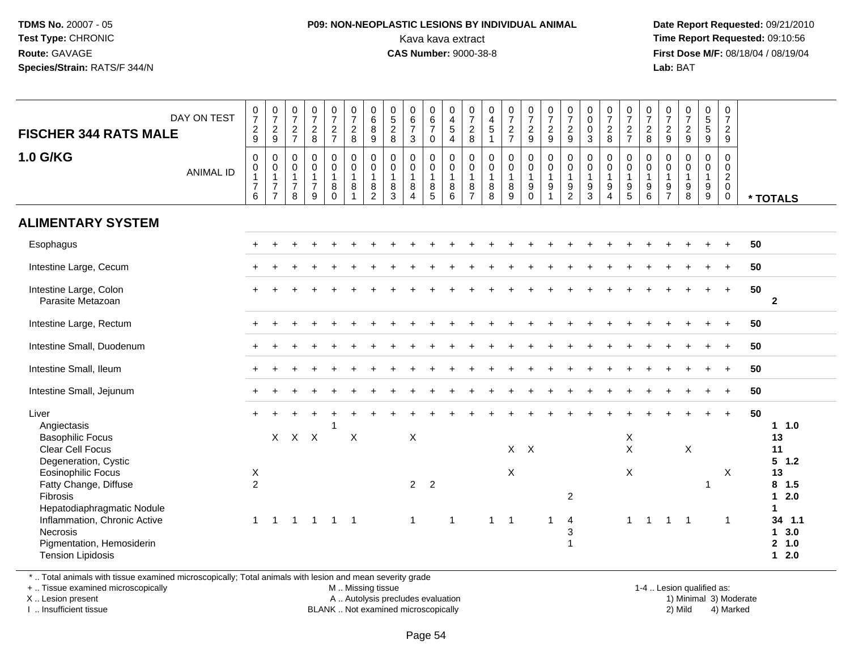### **P09: NON-NEOPLASTIC LESIONS BY INDIVIDUAL ANIMAL**Kava kava extract **Time Report Requested:** 09:10:56<br>**CAS Number:** 9000-38-8<br>**Tirst Dose M/F:** 08/18/04 / 08/19/04

 **Date Report Requested:** 09/21/2010 **First Dose M/F:** 08/18/04 / 08/19/04 Lab: BAT **Lab:** BAT

| DAY ON TEST<br><b>FISCHER 344 RATS MALE</b><br>1.0 G/KG                                            | 0729<br>$\pmb{0}$                                            | $\frac{0}{7}$<br>$\frac{2}{9}$<br>0                                     | $\begin{smallmatrix}0\\7\end{smallmatrix}$<br>$\frac{2}{7}$<br>$\mathsf{O}\xspace$ | $\begin{array}{c} 0 \\ 7 \end{array}$<br>$_{\rm 8}^2$<br>$\pmb{0}$ | $\begin{smallmatrix}0\\7\end{smallmatrix}$<br>$\frac{2}{7}$<br>$\mathsf 0$ | $\frac{0}{7}$<br>$\sqrt{2}$<br>8<br>$\pmb{0}$      | $\begin{matrix} 0 \\ 6 \end{matrix}$<br>$\,8\,$<br>9<br>0 | $\begin{array}{c} 0 \\ 5 \\ 2 \end{array}$<br>8<br>$\pmb{0}$ | 0<br>$rac{6}{7}$<br>3<br>$\mathbf 0$               | $\begin{array}{c} 0 \\ 6 \\ 7 \end{array}$<br>$\mathsf{O}$                                 | 0<br>$\overline{4}$<br>$\overline{5}$<br>$\overline{4}$<br>$\mathbf 0$ | $\begin{smallmatrix}0\\7\end{smallmatrix}$<br>$\frac{2}{8}$<br>$\pmb{0}$ | $\pmb{0}$<br>$\frac{4}{5}$<br>1<br>$\pmb{0}$           | $\frac{0}{7}$<br>$\frac{2}{7}$<br>$\mathbf 0$    | $\frac{0}{7}$<br>$\frac{2}{9}$<br>$\pmb{0}$                       | 0<br>$\overline{7}$<br>$\frac{2}{9}$<br>0 | $\frac{0}{7}$<br>$\overline{2}$<br>9<br>$\pmb{0}$      | 0<br>$\mathbf 0$<br>$\mathbf 0$<br>3<br>$\mathbf 0$  | 0728                                                                                                | $\frac{0}{7}$<br>$\frac{2}{7}$<br>$\pmb{0}$                       | $\begin{smallmatrix}0\\7\end{smallmatrix}$<br>$\frac{2}{8}$<br>$\pmb{0}$ | $\begin{smallmatrix}0\\7\end{smallmatrix}$<br>$\frac{2}{9}$<br>$\mathsf{O}\xspace$ | $\frac{0}{7}$<br>$\frac{2}{9}$<br>$\mathbf 0$                | 0<br>5<br>5<br>9<br>$\pmb{0}$                   | 0<br>$\overline{7}$<br>$\overline{2}$<br>9<br>$\mathbf 0$    |    |                                   |
|----------------------------------------------------------------------------------------------------|--------------------------------------------------------------|-------------------------------------------------------------------------|------------------------------------------------------------------------------------|--------------------------------------------------------------------|----------------------------------------------------------------------------|----------------------------------------------------|-----------------------------------------------------------|--------------------------------------------------------------|----------------------------------------------------|--------------------------------------------------------------------------------------------|------------------------------------------------------------------------|--------------------------------------------------------------------------|--------------------------------------------------------|--------------------------------------------------|-------------------------------------------------------------------|-------------------------------------------|--------------------------------------------------------|------------------------------------------------------|-----------------------------------------------------------------------------------------------------|-------------------------------------------------------------------|--------------------------------------------------------------------------|------------------------------------------------------------------------------------|--------------------------------------------------------------|-------------------------------------------------|--------------------------------------------------------------|----|-----------------------------------|
| <b>ANIMAL ID</b>                                                                                   | $\mathsf{O}\xspace$<br>$\overline{1}$<br>$\overline{7}$<br>6 | $\mathsf{O}\xspace$<br>$\mathbf{1}$<br>$\overline{7}$<br>$\overline{7}$ | 0<br>$\mathbf{1}$<br>$\overline{7}$<br>8                                           | $\mathbf 0$<br>$\mathbf{1}$<br>$\overline{7}$<br>9                 | $\mathsf{O}\xspace$<br>$\mathbf{1}$<br>$\bf 8$<br>$\mathbf 0$              | $\mathbf 0$<br>$\mathbf{1}$<br>8<br>$\overline{1}$ | $\mathbf 0$<br>$\mathbf{1}$<br>8<br>$\overline{2}$        | $\mathbf 0$<br>$\mathbf{1}$<br>$\bf8$<br>3                   | $\mathbf 0$<br>$\mathbf{1}$<br>8<br>$\overline{4}$ | $\begin{smallmatrix}0\0\0\end{smallmatrix}$<br>$\overline{1}$<br>$\bf 8$<br>$\overline{5}$ | $\mathbf 0$<br>$\mathbf{1}$<br>8<br>6                                  | $\pmb{0}$<br>$\mathbf{1}$<br>$\bf 8$<br>$\overline{7}$                   | $\pmb{0}$<br>$\mathbf{1}$<br>$\bf 8$<br>$\overline{8}$ | $\overline{0}$<br>$\overline{1}$<br>$\bf 8$<br>9 | $\overline{0}$<br>$\mathbf{1}$<br>$\boldsymbol{9}$<br>$\mathbf 0$ | $\mathbf 0$<br>$\mathbf{1}$<br>$9\,$<br>1 | $\mathbf 0$<br>$\mathbf{1}$<br>$9\,$<br>$\overline{2}$ | $\mathbf 0$<br>$\mathbf{1}$<br>$\boldsymbol{9}$<br>3 | $\begin{smallmatrix}0\0\0\end{smallmatrix}$<br>$\overline{1}$<br>$\boldsymbol{9}$<br>$\overline{4}$ | $\mathbf 0$<br>$\mathbf{1}$<br>$\boldsymbol{9}$<br>$\overline{5}$ | $\mathsf{O}\xspace$<br>$\mathbf{1}$<br>$^9_6$                            | $\mathbf 0$<br>$\mathbf{1}$<br>$\frac{9}{7}$                                       | $\ddot{\mathbf{0}}$<br>$\mathbf{1}$<br>$\boldsymbol{9}$<br>8 | $\mathsf{O}\xspace$<br>$\mathbf{1}$<br>$_{9}^9$ | $\mathbf 0$<br>$\overline{2}$<br>$\mathbf{0}$<br>$\mathbf 0$ |    | * TOTALS                          |
| <b>ALIMENTARY SYSTEM</b>                                                                           |                                                              |                                                                         |                                                                                    |                                                                    |                                                                            |                                                    |                                                           |                                                              |                                                    |                                                                                            |                                                                        |                                                                          |                                                        |                                                  |                                                                   |                                           |                                                        |                                                      |                                                                                                     |                                                                   |                                                                          |                                                                                    |                                                              |                                                 |                                                              |    |                                   |
| Esophagus                                                                                          |                                                              |                                                                         |                                                                                    |                                                                    |                                                                            |                                                    |                                                           |                                                              |                                                    |                                                                                            |                                                                        |                                                                          |                                                        |                                                  |                                                                   |                                           |                                                        |                                                      |                                                                                                     |                                                                   |                                                                          |                                                                                    |                                                              |                                                 | $\ddot{}$                                                    | 50 |                                   |
| Intestine Large, Cecum                                                                             |                                                              |                                                                         |                                                                                    |                                                                    |                                                                            |                                                    |                                                           |                                                              |                                                    |                                                                                            |                                                                        |                                                                          |                                                        |                                                  |                                                                   |                                           |                                                        |                                                      |                                                                                                     |                                                                   |                                                                          |                                                                                    |                                                              |                                                 |                                                              | 50 |                                   |
| Intestine Large, Colon<br>Parasite Metazoan                                                        |                                                              |                                                                         |                                                                                    |                                                                    |                                                                            |                                                    |                                                           |                                                              |                                                    |                                                                                            |                                                                        |                                                                          |                                                        |                                                  |                                                                   |                                           |                                                        |                                                      |                                                                                                     |                                                                   |                                                                          |                                                                                    |                                                              |                                                 | $+$                                                          | 50 | $\mathbf{2}$                      |
| Intestine Large, Rectum                                                                            |                                                              |                                                                         |                                                                                    |                                                                    |                                                                            |                                                    |                                                           |                                                              |                                                    |                                                                                            |                                                                        |                                                                          |                                                        |                                                  |                                                                   |                                           |                                                        |                                                      |                                                                                                     |                                                                   |                                                                          |                                                                                    |                                                              |                                                 | $+$                                                          | 50 |                                   |
| Intestine Small, Duodenum                                                                          |                                                              |                                                                         |                                                                                    |                                                                    |                                                                            |                                                    |                                                           |                                                              |                                                    |                                                                                            |                                                                        |                                                                          |                                                        |                                                  |                                                                   |                                           |                                                        |                                                      |                                                                                                     |                                                                   |                                                                          |                                                                                    |                                                              |                                                 |                                                              | 50 |                                   |
| Intestine Small, Ileum                                                                             |                                                              |                                                                         |                                                                                    |                                                                    |                                                                            |                                                    |                                                           |                                                              |                                                    |                                                                                            |                                                                        |                                                                          |                                                        |                                                  |                                                                   |                                           |                                                        |                                                      |                                                                                                     |                                                                   |                                                                          |                                                                                    |                                                              |                                                 |                                                              | 50 |                                   |
| Intestine Small, Jejunum                                                                           |                                                              |                                                                         |                                                                                    |                                                                    |                                                                            |                                                    |                                                           |                                                              |                                                    |                                                                                            |                                                                        |                                                                          |                                                        |                                                  |                                                                   |                                           |                                                        |                                                      |                                                                                                     |                                                                   |                                                                          |                                                                                    |                                                              |                                                 |                                                              | 50 |                                   |
| Liver<br>Angiectasis<br><b>Basophilic Focus</b><br><b>Clear Cell Focus</b><br>Degeneration, Cystic |                                                              | $\mathsf{X}$                                                            |                                                                                    | $X$ $X$                                                            |                                                                            | $\times$                                           |                                                           |                                                              | $\mathsf X$                                        |                                                                                            |                                                                        |                                                                          |                                                        |                                                  | $X$ $X$                                                           |                                           |                                                        |                                                      |                                                                                                     | $\mathsf X$<br>$\mathsf{X}$                                       |                                                                          |                                                                                    | X                                                            |                                                 | $+$                                                          | 50 | $1 1.0$<br>13<br>11<br>$5 \t1.2$  |
| <b>Eosinophilic Focus</b><br>Fatty Change, Diffuse<br>Fibrosis<br>Hepatodiaphragmatic Nodule       | X<br>$\overline{2}$                                          |                                                                         |                                                                                    |                                                                    |                                                                            |                                                    |                                                           |                                                              | $2^{\circ}$                                        | $\overline{2}$                                                                             |                                                                        |                                                                          |                                                        | X                                                |                                                                   |                                           | 2                                                      |                                                      |                                                                                                     | X                                                                 |                                                                          |                                                                                    |                                                              | $\overline{1}$                                  | $\boldsymbol{\mathsf{X}}$                                    |    | 13<br>$8$ 1.5<br>$12.0$           |
| Inflammation, Chronic Active<br>Necrosis<br>Pigmentation, Hemosiderin<br><b>Tension Lipidosis</b>  | $\mathbf{1}$                                                 | $\mathbf{1}$                                                            |                                                                                    |                                                                    | 1 1 1 1                                                                    |                                                    |                                                           |                                                              | $\mathbf{1}$                                       |                                                                                            | $\overline{1}$                                                         |                                                                          | $\mathbf{1}$                                           | $\overline{1}$                                   |                                                                   | 1                                         | $\overline{4}$<br>3<br>1                               |                                                      |                                                                                                     | $\mathbf 1$                                                       | $\mathbf{1}$                                                             | $1 \quad 1$                                                                        |                                                              |                                                 | -1                                                           |    | 34 1.1<br>13.0<br>2 1.0<br>$12.0$ |

\* .. Total animals with tissue examined microscopically; Total animals with lesion and mean severity grade

+ .. Tissue examined microscopically

X .. Lesion present

I .. Insufficient tissue

M .. Missing tissue

BLANK .. Not examined microscopically

1-4 .. Lesion qualified as:<br>1) Minimal 3) Moderate A .. Autolysis precludes evaluation 19 (1999) 1999 10: 12 (1999) 1999 10: 12 (1999) A .. Autolysis precludes evaluation 1999 10: 13 (1999) 1999 10: 13 (1999) 1999 10: 13 (1999) 1999 10: 13 (1999) 1999 10: 13 (1999) 1999 10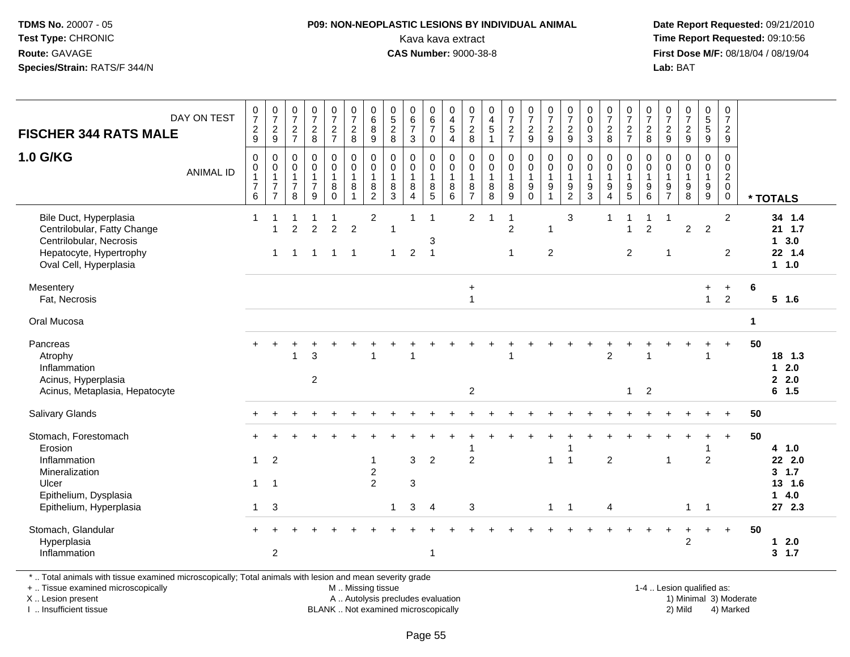# **P09: NON-NEOPLASTIC LESIONS BY INDIVIDUAL ANIMAL**

 **Date Report Requested:** 09/21/2010 Kava kava extract **Time Report Requested:** 09:10:56<br>**CAS Number:** 9000-38-8<br>**Tirst Dose M/F:** 08/18/04 / 08/19/04 **First Dose M/F:** 08/18/04 / 08/19/04 Lab: BAT **Lab:** BAT

| <b>FISCHER 344 RATS MALE</b>                                                                                                          | DAY ON TEST      | $\frac{0}{7}$<br>$\frac{2}{9}$                        | $\begin{array}{c} 0 \\ 7 \end{array}$<br>$\boldsymbol{2}$<br>$\boldsymbol{9}$ | $\begin{array}{c} 0 \\ 7 \end{array}$<br>$\frac{2}{7}$                    | $\frac{0}{7}$<br>$_{\rm 8}^2$                                     | $\frac{0}{7}$<br>$\frac{2}{7}$               | $\frac{0}{7}$<br>$\frac{2}{8}$                                           | $\begin{array}{c} 0 \\ 6 \end{array}$<br>$\,8\,$<br>$9\,$             | $\begin{array}{c} 0 \\ 5 \\ 2 \end{array}$<br>8      | $\begin{array}{c} 0 \\ 6 \\ 7 \end{array}$<br>$\sqrt{3}$            | $\begin{array}{c} 0 \\ 6 \\ 7 \end{array}$<br>$\mathbf 0$                 | $\begin{array}{c} 0 \\ 4 \\ 5 \end{array}$<br>$\overline{4}$    | $\frac{0}{7}$<br>$_{\rm 8}^2$                                           | $\mathbf 0$<br>$\overline{\mathbf{4}}$<br>$\sqrt{5}$<br>$\overline{1}$ | $\frac{0}{7}$<br>$\frac{2}{7}$                           | $\frac{0}{7}$<br>$\frac{2}{9}$                                | $\begin{smallmatrix}0\\7\end{smallmatrix}$<br>$\frac{2}{9}$       | $\frac{0}{7}$<br>$\frac{2}{9}$                                                 | $\begin{smallmatrix} 0\\0 \end{smallmatrix}$<br>$\mathbf 0$<br>3    | $\frac{0}{7}$<br>$\frac{2}{8}$                                        | $\frac{0}{7}$<br>$rac{2}{7}$                              | $\frac{0}{7}$<br>$\overline{2}$<br>$\,8\,$                          | $\frac{0}{7}$<br>$\frac{2}{9}$                    | $\begin{array}{c} 0 \\ 7 \end{array}$<br>$\frac{2}{9}$       | $\begin{array}{c} 0 \\ 5 \\ 5 \end{array}$<br>$\boldsymbol{9}$ | $\frac{0}{7}$<br>$\frac{2}{9}$                                               |              |                                                            |
|---------------------------------------------------------------------------------------------------------------------------------------|------------------|-------------------------------------------------------|-------------------------------------------------------------------------------|---------------------------------------------------------------------------|-------------------------------------------------------------------|----------------------------------------------|--------------------------------------------------------------------------|-----------------------------------------------------------------------|------------------------------------------------------|---------------------------------------------------------------------|---------------------------------------------------------------------------|-----------------------------------------------------------------|-------------------------------------------------------------------------|------------------------------------------------------------------------|----------------------------------------------------------|---------------------------------------------------------------|-------------------------------------------------------------------|--------------------------------------------------------------------------------|---------------------------------------------------------------------|-----------------------------------------------------------------------|-----------------------------------------------------------|---------------------------------------------------------------------|---------------------------------------------------|--------------------------------------------------------------|----------------------------------------------------------------|------------------------------------------------------------------------------|--------------|------------------------------------------------------------|
| 1.0 G/KG                                                                                                                              | <b>ANIMAL ID</b> | 0<br>$\pmb{0}$<br>$\mathbf{1}$<br>$\overline{7}$<br>6 | $\mathbf 0$<br>$\pmb{0}$<br>$\mathbf{1}$<br>$\overline{7}$<br>$\overline{7}$  | $\mathbf 0$<br>$\mathsf{O}\xspace$<br>$\mathbf{1}$<br>$\overline{7}$<br>8 | $\mathbf 0$<br>$\mathsf 0$<br>$\mathbf{1}$<br>$\overline{7}$<br>9 | 0<br>$\mathbf 0$<br>1<br>$\bf 8$<br>$\Omega$ | $\pmb{0}$<br>$\overline{0}$<br>$\overline{1}$<br>$\,8\,$<br>$\mathbf{1}$ | $\pmb{0}$<br>$\mathbf 0$<br>$\mathbf{1}$<br>$\,8\,$<br>$\overline{2}$ | $\mathbf 0$<br>$\mathbf 0$<br>$\mathbf{1}$<br>8<br>3 | $\pmb{0}$<br>$\pmb{0}$<br>$\mathbf{1}$<br>$\,8\,$<br>$\overline{4}$ | $\mathbf 0$<br>$\mathsf{O}\xspace$<br>$\mathbf{1}$<br>8<br>$\overline{5}$ | $\pmb{0}$<br>$\overline{0}$<br>$\mathbf{1}$<br>8<br>$6^{\circ}$ | $\mathbf 0$<br>$\mathbf 0$<br>$\mathbf{1}$<br>$\,8\,$<br>$\overline{7}$ | $\mathbf 0$<br>$\pmb{0}$<br>$\overline{1}$<br>8<br>8                   | $\pmb{0}$<br>$\mathbf 0$<br>$\mathbf{1}$<br>$\,8\,$<br>9 | $\boldsymbol{0}$<br>$\mathsf{O}\xspace$<br>1<br>9<br>$\Omega$ | 0<br>$\ddot{\mathbf{0}}$<br>$\mathbf{1}$<br>$\boldsymbol{9}$<br>1 | $\mathbf 0$<br>$\pmb{0}$<br>$\mathbf{1}$<br>$\boldsymbol{9}$<br>$\overline{2}$ | $\mathbf 0$<br>$\mathbf 0$<br>$\mathbf{1}$<br>$\boldsymbol{9}$<br>3 | $\mathbf 0$<br>$\mathsf 0$<br>$\mathbf{1}$<br>$9\,$<br>$\overline{4}$ | 0<br>$\mathbf 0$<br>$\mathbf{1}$<br>$\boldsymbol{9}$<br>5 | $\mathbf 0$<br>$\mathsf 0$<br>$\mathbf{1}$<br>$\boldsymbol{9}$<br>6 | $\mathbf 0$<br>0<br>$\mathbf{1}$<br>$\frac{9}{7}$ | $\mathbf 0$<br>$\mathbf 0$<br>$\mathbf{1}$<br>$_{8}^{\rm 9}$ | $\pmb{0}$<br>$\mathsf{O}\xspace$<br>$\mathbf{1}$<br>$^9_9$     | $\mathbf 0$<br>$\mathbf 0$<br>$\boldsymbol{2}$<br>$\mathbf 0$<br>$\mathbf 0$ |              | * TOTALS                                                   |
| Bile Duct, Hyperplasia<br>Centrilobular, Fatty Change<br>Centrilobular, Necrosis<br>Hepatocyte, Hypertrophy<br>Oval Cell, Hyperplasia |                  | $\mathbf{1}$                                          | 1                                                                             | $\overline{2}$<br>-1                                                      | $\overline{2}$                                                    | $\overline{2}$<br>$\overline{1}$             | $\overline{2}$<br>$\overline{\phantom{1}}$                               | $\overline{c}$                                                        | $\mathbf{1}$<br>$\mathbf 1$                          | 1<br>$\overline{2}$                                                 | $\overline{1}$<br>3<br>$\overline{1}$                                     |                                                                 | $\overline{2}$                                                          |                                                                        | 1<br>$\overline{c}$<br>$\mathbf{1}$                      |                                                               | -1<br>$\overline{2}$                                              | $\mathsf 3$                                                                    |                                                                     | -1                                                                    | 1<br>$\mathbf{1}$<br>$\overline{2}$                       | $\overline{2}$                                                      | $\overline{1}$<br>-1                              | $\overline{c}$                                               | $\overline{2}$                                                 | $\overline{2}$<br>$\overline{2}$                                             |              | 34 1.4<br>21 1.7<br>3.0<br>$\mathbf{1}$<br>22 1.4<br>1 1.0 |
| Mesentery<br>Fat, Necrosis                                                                                                            |                  |                                                       |                                                                               |                                                                           |                                                                   |                                              |                                                                          |                                                                       |                                                      |                                                                     |                                                                           |                                                                 | $\ddot{}$<br>$\overline{1}$                                             |                                                                        |                                                          |                                                               |                                                                   |                                                                                |                                                                     |                                                                       |                                                           |                                                                     |                                                   |                                                              | $+$<br>$\mathbf{1}$                                            | $\ddot{}$<br>$\overline{2}$                                                  | 6            | $5$ 1.6                                                    |
| Oral Mucosa                                                                                                                           |                  |                                                       |                                                                               |                                                                           |                                                                   |                                              |                                                                          |                                                                       |                                                      |                                                                     |                                                                           |                                                                 |                                                                         |                                                                        |                                                          |                                                               |                                                                   |                                                                                |                                                                     |                                                                       |                                                           |                                                                     |                                                   |                                                              |                                                                |                                                                              | $\mathbf{1}$ |                                                            |
| Pancreas<br>Atrophy<br>Inflammation<br>Acinus, Hyperplasia<br>Acinus, Metaplasia, Hepatocyte                                          |                  | $+$                                                   | $\overline{+}$                                                                |                                                                           | 3<br>$\overline{2}$                                               |                                              |                                                                          |                                                                       |                                                      |                                                                     |                                                                           |                                                                 | 2                                                                       |                                                                        |                                                          |                                                               |                                                                   |                                                                                |                                                                     | $\overline{c}$                                                        | $\mathbf{1}$                                              | $\overline{2}$                                                      |                                                   |                                                              |                                                                |                                                                              | 50           | 18 1.3<br>$12.0$<br>2.0<br>6 1.5                           |
| <b>Salivary Glands</b>                                                                                                                |                  |                                                       |                                                                               |                                                                           |                                                                   |                                              |                                                                          |                                                                       |                                                      |                                                                     |                                                                           |                                                                 |                                                                         |                                                                        |                                                          |                                                               |                                                                   |                                                                                |                                                                     |                                                                       |                                                           |                                                                     |                                                   |                                                              |                                                                | $+$                                                                          | 50           |                                                            |
| Stomach, Forestomach<br>Erosion<br>Inflammation                                                                                       |                  | $\mathbf{1}$                                          | $\overline{2}$                                                                |                                                                           |                                                                   |                                              |                                                                          | $\overline{\mathbf{1}}$                                               |                                                      | $\mathbf{3}$                                                        | $\overline{c}$                                                            |                                                                 | $\overline{2}$                                                          |                                                                        |                                                          |                                                               | $\mathbf{1}$                                                      | -1<br>$\overline{1}$                                                           |                                                                     | $\overline{c}$                                                        |                                                           |                                                                     | $\overline{1}$                                    |                                                              | $\overline{2}$                                                 | $+$                                                                          | 50           | 4 1.0<br>22 2.0                                            |
| Mineralization<br>Ulcer<br>Epithelium, Dysplasia<br>Epithelium, Hyperplasia                                                           |                  | $\mathbf{1}$<br>$\mathbf{1}$                          | $\overline{1}$<br>3                                                           |                                                                           |                                                                   |                                              |                                                                          | $\sqrt{2}$<br>$\overline{2}$                                          | $\mathbf 1$                                          | $\ensuremath{\mathsf{3}}$<br>$\mathbf{3}$                           | $\overline{4}$                                                            |                                                                 | $\sqrt{3}$                                                              |                                                                        |                                                          |                                                               | $\mathbf{1}$                                                      | $\mathbf{1}$                                                                   |                                                                     | 4                                                                     |                                                           |                                                                     |                                                   | $\mathbf{1}$                                                 | -1                                                             |                                                                              |              | 3, 1.7<br>13 1.6<br>4.0<br>$\mathbf{1}$<br>27 2.3          |
| Stomach, Glandular<br>Hyperplasia<br>Inflammation                                                                                     |                  |                                                       | $\overline{2}$                                                                |                                                                           |                                                                   |                                              |                                                                          |                                                                       |                                                      |                                                                     | $\mathbf{1}$                                                              |                                                                 |                                                                         |                                                                        |                                                          |                                                               |                                                                   |                                                                                |                                                                     |                                                                       |                                                           |                                                                     |                                                   | +<br>$\overline{2}$                                          | $\ddot{}$                                                      | $+$                                                                          | 50           | 2.0<br>$\mathbf 1$<br>3, 1.7                               |

\* .. Total animals with tissue examined microscopically; Total animals with lesion and mean severity grade

+ .. Tissue examined microscopically

X .. Lesion present

I .. Insufficient tissue

M .. Missing tissue

A .. Autolysis precludes evaluation

BLANK .. Not examined microscopically 2) Mild 4) Marked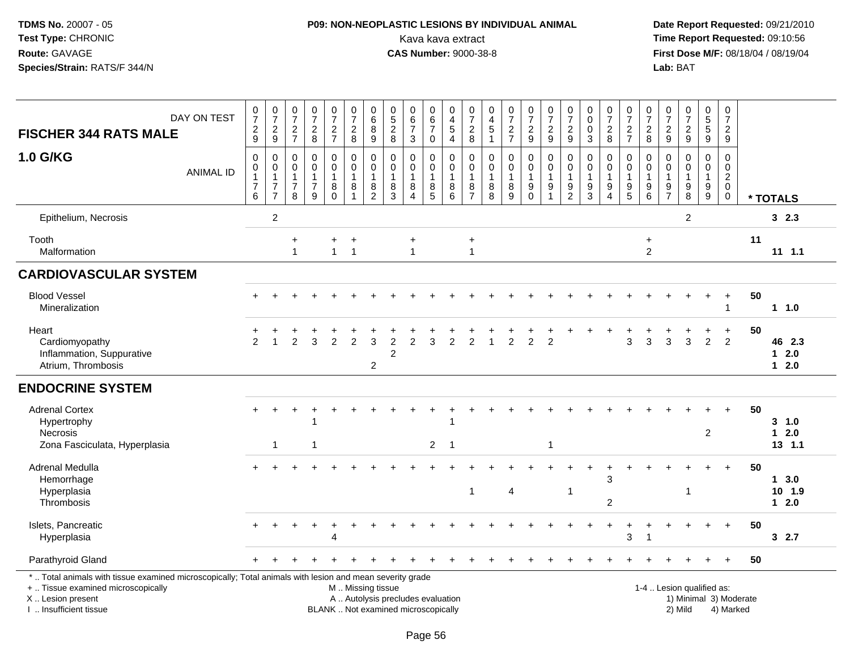# **P09: NON-NEOPLASTIC LESIONS BY INDIVIDUAL ANIMAL**Kava kava extract **Time Report Requested:** 09:10:56

| <b>FISCHER 344 RATS MALE</b>                                                                                                                                                                  | DAY ON TEST      | $\frac{0}{7}$<br>$\frac{2}{9}$ | $\frac{0}{7}$<br>$\frac{2}{9}$                                                         | $\frac{0}{7}$<br>$\frac{2}{7}$                | $\frac{0}{7}$<br>$\frac{2}{8}$                                    | $\frac{0}{7}$<br>$\frac{2}{7}$                   | $\begin{array}{c} 0 \\ 7 \end{array}$<br>$\frac{2}{8}$  | $\begin{array}{c} 0 \\ 6 \end{array}$<br>8<br>$\overline{9}$  | $\begin{array}{c} 0 \\ 5 \end{array}$<br>$_{8}^{\rm 2}$                  | $_{6}^{\rm 0}$<br>$\overline{7}$<br>$\sqrt{3}$                      | 0<br>$6\phantom{a}$<br>$\overline{7}$<br>$\mathbf 0$ | $\,0\,$<br>$\frac{4}{5}$<br>$\overline{4}$                | $\frac{0}{7}$<br>$\frac{2}{8}$                     | $\begin{array}{c} 0 \\ 4 \\ 5 \\ 1 \end{array}$              | $\frac{0}{7}$<br>$\frac{2}{7}$                                                 | $\frac{0}{7}$<br>$\frac{2}{9}$                           | $\frac{0}{7}$<br>$\frac{2}{9}$                                      | $\frac{0}{7}$<br>$\frac{2}{9}$                            | 0<br>$\pmb{0}$<br>$\pmb{0}$<br>$\mathbf{3}$                                    | $\begin{array}{c} 0 \\ 7 \end{array}$<br>$_{\rm 8}^2$ | $\frac{0}{7}$<br>$\frac{2}{7}$                                            | $\frac{0}{7}$<br>$_{\rm 2}^2$              | 0<br>$\overline{7}$<br>$\frac{2}{9}$    | $\begin{array}{c} 0 \\ 7 \end{array}$<br>$\frac{2}{9}$ | $\pmb{0}$<br>$\sqrt{5}$<br>$\sqrt{5}$<br>$\overline{9}$ | $\pmb{0}$<br>$\overline{7}$<br>$\overline{c}$<br>9      |                                     |    |                                       |
|-----------------------------------------------------------------------------------------------------------------------------------------------------------------------------------------------|------------------|--------------------------------|----------------------------------------------------------------------------------------|-----------------------------------------------|-------------------------------------------------------------------|--------------------------------------------------|---------------------------------------------------------|---------------------------------------------------------------|--------------------------------------------------------------------------|---------------------------------------------------------------------|------------------------------------------------------|-----------------------------------------------------------|----------------------------------------------------|--------------------------------------------------------------|--------------------------------------------------------------------------------|----------------------------------------------------------|---------------------------------------------------------------------|-----------------------------------------------------------|--------------------------------------------------------------------------------|-------------------------------------------------------|---------------------------------------------------------------------------|--------------------------------------------|-----------------------------------------|--------------------------------------------------------|---------------------------------------------------------|---------------------------------------------------------|-------------------------------------|----|---------------------------------------|
| <b>1.0 G/KG</b>                                                                                                                                                                               | <b>ANIMAL ID</b> | 0<br>0<br>$\overline{7}$<br>6  | $\pmb{0}$<br>$\mathsf{O}\xspace$<br>$\overline{1}$<br>$\overline{7}$<br>$\overline{7}$ | 0<br>$\mathbf 0$<br>-1<br>$\overline{7}$<br>8 | $\mathbf 0$<br>$\mathbf 0$<br>$\mathbf{1}$<br>$\overline{7}$<br>9 | $\boldsymbol{0}$<br>$\mathbf 0$<br>8<br>$\Omega$ | 0<br>$\mathbf 0$<br>$\mathbf{1}$<br>8<br>$\overline{1}$ | $\pmb{0}$<br>$\pmb{0}$<br>$\mathbf{1}$<br>8<br>$\overline{2}$ | 0<br>$\mathbf 0$<br>-1<br>8<br>$\mathbf{3}$                              | $\pmb{0}$<br>$\pmb{0}$<br>$\mathbf{1}$<br>$\,8\,$<br>$\overline{4}$ | 0<br>$\mathbf 0$<br>-1<br>8<br>$\overline{5}$        | $\pmb{0}$<br>$\mathbf 0$<br>$\overline{1}$<br>$\, 8$<br>6 | 0<br>$\mathbf 0$<br>1<br>$\,8\,$<br>$\overline{7}$ | $\pmb{0}$<br>$\mathsf{O}\xspace$<br>$\mathbf{1}$<br>$_{8}^8$ | $\boldsymbol{0}$<br>$\ddot{\mathbf{0}}$<br>$\mathbf{1}$<br>8<br>$\overline{9}$ | 0<br>$\mathbf 0$<br>1<br>$\boldsymbol{9}$<br>$\mathbf 0$ | $\pmb{0}$<br>$\pmb{0}$<br>$\overline{1}$<br>$9\,$<br>$\overline{1}$ | 0<br>$\mathbf 0$<br>$\overline{1}$<br>9<br>$\overline{c}$ | $\mathbf 0$<br>$\mathbf 0$<br>$\mathbf{1}$<br>$\boldsymbol{9}$<br>$\mathbf{3}$ | 0<br>$\mathbf 0$<br>9<br>4                            | 0<br>$\mathbf 0$<br>$\mathbf{1}$<br>$\begin{array}{c} 9 \\ 5 \end{array}$ | 0<br>$\mathbf 0$<br>$\mathbf{1}$<br>9<br>6 | 0<br>$\mathbf 0$<br>-1<br>$\frac{9}{7}$ | $\mathbf 0$<br>$\mathbf 0$<br>1<br>$_{\rm 8}^{\rm 9}$  | 0<br>$\mathbf 0$<br>$\mathbf{1}$<br>9<br>$9\,$          | $\mathbf 0$<br>$\sqrt{2}$<br>$\mathbf 0$<br>$\mathbf 0$ | 0                                   |    | * TOTALS                              |
| Epithelium, Necrosis                                                                                                                                                                          |                  |                                | $\overline{2}$                                                                         |                                               |                                                                   |                                                  |                                                         |                                                               |                                                                          |                                                                     |                                                      |                                                           |                                                    |                                                              |                                                                                |                                                          |                                                                     |                                                           |                                                                                |                                                       |                                                                           |                                            |                                         | $\overline{2}$                                         |                                                         |                                                         |                                     |    | 32.3                                  |
| Tooth<br>Malformation                                                                                                                                                                         |                  |                                |                                                                                        | $\ddot{}$<br>$\mathbf{1}$                     |                                                                   | +<br>$\mathbf{1}$                                | $\ddot{}$<br>$\overline{1}$                             |                                                               |                                                                          | $\ddot{}$<br>$\overline{1}$                                         |                                                      |                                                           | $\ddot{}$<br>$\mathbf{1}$                          |                                                              |                                                                                |                                                          |                                                                     |                                                           |                                                                                |                                                       |                                                                           | $\ddot{}$<br>$\overline{c}$                |                                         |                                                        |                                                         |                                                         |                                     | 11 | $11 \quad 1.1$                        |
| <b>CARDIOVASCULAR SYSTEM</b>                                                                                                                                                                  |                  |                                |                                                                                        |                                               |                                                                   |                                                  |                                                         |                                                               |                                                                          |                                                                     |                                                      |                                                           |                                                    |                                                              |                                                                                |                                                          |                                                                     |                                                           |                                                                                |                                                       |                                                                           |                                            |                                         |                                                        |                                                         |                                                         |                                     |    |                                       |
| <b>Blood Vessel</b><br>Mineralization                                                                                                                                                         |                  |                                |                                                                                        |                                               |                                                                   |                                                  |                                                         |                                                               |                                                                          |                                                                     |                                                      |                                                           |                                                    |                                                              |                                                                                |                                                          |                                                                     |                                                           |                                                                                |                                                       |                                                                           |                                            |                                         |                                                        |                                                         | -1                                                      |                                     | 50 | 11.0                                  |
| Heart<br>Cardiomyopathy<br>Inflammation, Suppurative<br>Atrium, Thrombosis                                                                                                                    |                  | $\mathfrak{p}$                 |                                                                                        | 2                                             | 3                                                                 | $\overline{2}$                                   | 2                                                       | 3<br>2                                                        | $\overline{c}$<br>$\overline{2}$                                         | 2                                                                   | 3                                                    | $\overline{2}$                                            | 2                                                  | $\mathbf 1$                                                  | $\overline{2}$                                                                 | $\overline{2}$                                           | $\overline{2}$                                                      |                                                           |                                                                                |                                                       | 3                                                                         | 3                                          | 3                                       | 3                                                      | +<br>$\overline{2}$                                     | $\ddot{}$<br>2                                          |                                     | 50 | 46 2.3<br>$12.0$<br>$12.0$            |
| <b>ENDOCRINE SYSTEM</b>                                                                                                                                                                       |                  |                                |                                                                                        |                                               |                                                                   |                                                  |                                                         |                                                               |                                                                          |                                                                     |                                                      |                                                           |                                                    |                                                              |                                                                                |                                                          |                                                                     |                                                           |                                                                                |                                                       |                                                                           |                                            |                                         |                                                        |                                                         |                                                         |                                     |    |                                       |
| <b>Adrenal Cortex</b><br>Hypertrophy<br>Necrosis<br>Zona Fasciculata, Hyperplasia                                                                                                             |                  | +                              | $\overline{1}$                                                                         |                                               | 1                                                                 |                                                  |                                                         |                                                               |                                                                          |                                                                     | $\overline{2}$                                       | -1                                                        |                                                    |                                                              |                                                                                |                                                          | $\overline{\mathbf{1}}$                                             |                                                           |                                                                                |                                                       |                                                                           |                                            |                                         |                                                        | $\overline{2}$                                          |                                                         |                                     | 50 | $3 - 1.0$<br>$1 \quad 2.0$<br>13, 1.1 |
| Adrenal Medulla<br>Hemorrhage<br>Hyperplasia<br>Thrombosis                                                                                                                                    |                  |                                |                                                                                        |                                               |                                                                   |                                                  |                                                         |                                                               |                                                                          |                                                                     |                                                      |                                                           | $\mathbf{1}$                                       |                                                              | $\overline{4}$                                                                 |                                                          |                                                                     | -1                                                        |                                                                                | 3<br>$\overline{2}$                                   |                                                                           |                                            |                                         | -1                                                     |                                                         |                                                         |                                     | 50 | 13.0<br>10 1.9<br>$1 \quad 2.0$       |
| Islets, Pancreatic<br>Hyperplasia                                                                                                                                                             |                  |                                |                                                                                        |                                               |                                                                   | 4                                                |                                                         |                                                               |                                                                          |                                                                     |                                                      |                                                           |                                                    |                                                              |                                                                                |                                                          |                                                                     |                                                           |                                                                                |                                                       | 3                                                                         | $\overline{1}$                             |                                         |                                                        |                                                         |                                                         |                                     | 50 | 32.7                                  |
| Parathyroid Gland                                                                                                                                                                             |                  |                                |                                                                                        |                                               |                                                                   |                                                  |                                                         |                                                               |                                                                          |                                                                     |                                                      |                                                           |                                                    |                                                              |                                                                                |                                                          |                                                                     |                                                           |                                                                                |                                                       |                                                                           |                                            |                                         |                                                        |                                                         |                                                         |                                     | 50 |                                       |
| *  Total animals with tissue examined microscopically; Total animals with lesion and mean severity grade<br>+  Tissue examined microscopically<br>X  Lesion present<br>I. Insufficient tissue |                  |                                |                                                                                        |                                               |                                                                   |                                                  | M  Missing tissue                                       |                                                               | A  Autolysis precludes evaluation<br>BLANK  Not examined microscopically |                                                                     |                                                      |                                                           |                                                    |                                                              |                                                                                |                                                          |                                                                     |                                                           |                                                                                |                                                       |                                                                           | 1-4  Lesion qualified as:                  |                                         | 2) Mild                                                |                                                         |                                                         | 1) Minimal 3) Moderate<br>4) Marked |    |                                       |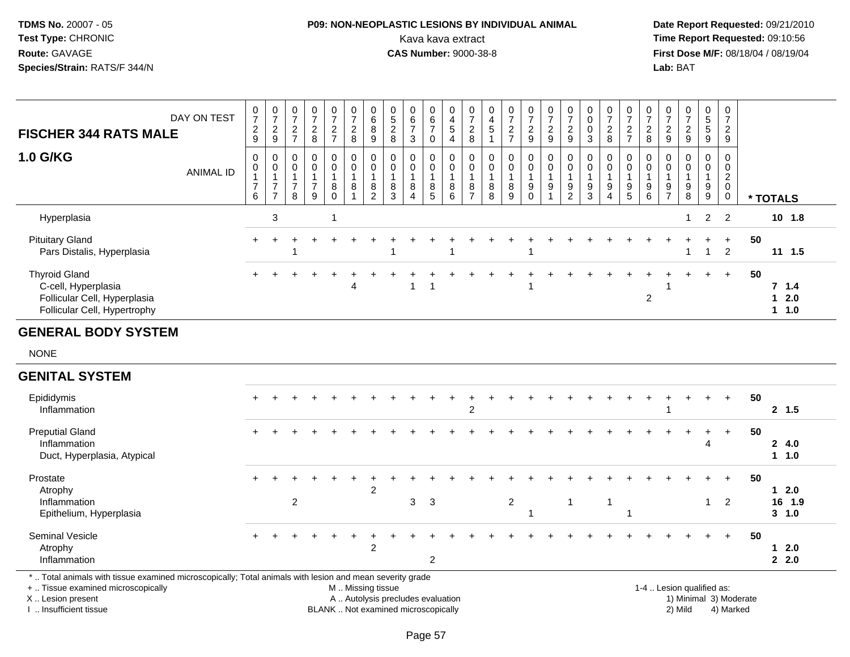## **P09: NON-NEOPLASTIC LESIONS BY INDIVIDUAL ANIMAL**Kava kava extract **Time Report Requested:** 09:10:56<br>**CAS Number:** 9000-38-8<br>**Tirst Dose M/F:** 08/18/04 / 08/19/04

 **Date Report Requested:** 09/21/2010 **First Dose M/F:** 08/18/04 / 08/19/04 Lab: BAT **Lab:** BAT

| DAY ON TEST<br><b>FISCHER 344 RATS MALE</b>                                                                 | $\frac{0}{7}$<br>$\frac{2}{9}$ | 0<br>$\rightarrow$<br>$\overline{2}$<br>$\mathsf g$ | 0<br>$\overline{ }$<br>$\frac{2}{7}$      | $\mathbf 0$<br>$\overline{7}$<br>$\frac{2}{8}$                      | 0<br>$\overline{ }$<br>$\frac{2}{7}$ | 0<br>$\overline{7}$<br>$\frac{2}{8}$ | 0<br>6<br>$\bf8$<br>$\boldsymbol{9}$                                | U<br>$\mathbf 5$<br>$\boldsymbol{2}$<br>8 | $\begin{matrix}0\\6\end{matrix}$<br>$\rightarrow$<br>3 | 0<br>6<br>$\overline{ }$<br>0 | 0<br>$\overline{\mathbf{4}}$<br>5 | $\rightarrow$<br>$\Omega$<br>$\epsilon$<br>8 | $\overline{0}$<br>$\overline{\mathbf{4}}$<br>$\overline{5}$ | 0<br>$\rightarrow$<br>$\frac{2}{7}$ | $\frac{0}{7}$<br>$\frac{2}{9}$                                       | $\frac{0}{7}$<br>$\frac{2}{9}$                                                                     | 0<br>$\overline{ }$<br><sup>o</sup><br>$\frac{2}{9}$ | $\pmb{0}$<br>0<br>3                | 0<br>$\rightarrow$<br>$\overline{2}$<br>8 | 0<br>$\overline{ }$<br>$\frac{2}{7}$ | 0<br>$\overline{ }$<br>$\frac{2}{8}$           | 0<br>$\overline{z}$<br>$\frac{2}{9}$ | 0<br>$\overline{ }$<br>$\Omega$<br>۷<br>9 | 0<br>5<br>5<br>9 | 0<br>$\overline{z}$<br>$\overline{c}$<br>$\boldsymbol{9}$ |                               |
|-------------------------------------------------------------------------------------------------------------|--------------------------------|-----------------------------------------------------|-------------------------------------------|---------------------------------------------------------------------|--------------------------------------|--------------------------------------|---------------------------------------------------------------------|-------------------------------------------|--------------------------------------------------------|-------------------------------|-----------------------------------|----------------------------------------------|-------------------------------------------------------------|-------------------------------------|----------------------------------------------------------------------|----------------------------------------------------------------------------------------------------|------------------------------------------------------|------------------------------------|-------------------------------------------|--------------------------------------|------------------------------------------------|--------------------------------------|-------------------------------------------|------------------|-----------------------------------------------------------|-------------------------------|
| <b>1.0 G/KG</b><br><b>ANIMAL ID</b>                                                                         | 0<br>0<br>$\overline{7}$<br>6  | 0<br>$\pmb{0}$<br>$\rightarrow$<br>-                | $_{\rm 0}^{\rm 0}$<br>$\overline{ }$<br>8 | $\begin{smallmatrix} 0\\0 \end{smallmatrix}$<br>$\overline{7}$<br>9 | 0<br>$\mathsf 0$<br>8<br>$\Omega$    | $\pmb{0}$<br>$\mathsf 0$<br>$\bf8$   | $\begin{smallmatrix} 0\\0 \end{smallmatrix}$<br>8<br>$\overline{2}$ | $\mathbf 0$<br>$\mathbf 0$<br>8<br>3      | 0<br>$\pmb{0}$<br>$\,8\,$<br>$\overline{4}$            | 0<br>0<br>8<br>5              | 0<br>$\pmb{0}$<br>$\, 8$<br>6     | 0<br>$\mathbf 0$<br>8<br>$\rightarrow$       | $\mathbf{0}$<br>$\mathbf 0$<br>$\bf8$<br>8                  | 0<br>$\mathsf 0$<br>8<br>9          | $\begin{matrix} 0 \\ 0 \end{matrix}$<br>$\boldsymbol{9}$<br>$\Omega$ | $\begin{smallmatrix}0\\0\end{smallmatrix}$<br>$\overline{A}$<br>$\boldsymbol{9}$<br>$\overline{A}$ | 0<br>$\mathbf 0$<br>9<br>2                           | $\pmb{0}$<br>$\boldsymbol{9}$<br>3 | 0<br>$\mathbf 0$<br>9<br>$\overline{4}$   | 0<br>0<br>9<br>$5\overline{)}$       | 0<br>$\boldsymbol{0}$<br>$\boldsymbol{9}$<br>6 | 0<br>0<br>9<br>$\overline{ }$        | 0<br>$\pmb{0}$<br>9<br>8                  | 0<br>0<br>9<br>9 | 0<br>$\pmb{0}$<br>$\overline{2}$<br>$\pmb{0}$             | * TOTALS                      |
| Hyperplasia                                                                                                 |                                | 3                                                   |                                           |                                                                     |                                      |                                      |                                                                     |                                           |                                                        |                               |                                   |                                              |                                                             |                                     |                                                                      |                                                                                                    |                                                      |                                    |                                           |                                      |                                                |                                      | 1                                         | $\overline{2}$   | 2                                                         | $10$ 1.8                      |
| <b>Pituitary Gland</b><br>Pars Distalis, Hyperplasia                                                        | $+$                            |                                                     |                                           |                                                                     |                                      |                                      |                                                                     |                                           |                                                        |                               |                                   |                                              |                                                             |                                     |                                                                      |                                                                                                    |                                                      |                                    |                                           |                                      |                                                |                                      |                                           |                  | $+$<br>$\overline{2}$                                     | 50<br>$11 \t1.5$              |
| <b>Thyroid Gland</b><br>C-cell, Hyperplasia<br>Follicular Cell, Hyperplasia<br>Follicular Cell, Hypertrophy |                                |                                                     |                                           |                                                                     |                                      | 4                                    |                                                                     |                                           |                                                        |                               |                                   |                                              |                                                             |                                     |                                                                      |                                                                                                    |                                                      |                                    |                                           |                                      | 2                                              |                                      |                                           |                  | $+$                                                       | 50<br>7, 1.4<br>12.0<br>1 1.0 |

#### **GENERAL BODY SYSTEM**

NONE

#### **GENITAL SYSTEM**

| Epididymis<br>Inflammation                                            | $+$       | ÷ |   |  |   |   |   | ົ |   |  |  |  |  | + |     | $+$      | 50 | 2, 1.5         |
|-----------------------------------------------------------------------|-----------|---|---|--|---|---|---|---|---|--|--|--|--|---|-----|----------|----|----------------|
| <b>Preputial Gland</b><br>Inflammation<br>Duct, Hyperplasia, Atypical | $+$       |   |   |  |   |   |   |   |   |  |  |  |  |   | 4   | $+$      | 50 | 24.0<br>1 1.0  |
| Prostate<br>Atrophy<br>Inflammation                                   | $+$       |   | 2 |  | 2 | 3 | 3 |   | 2 |  |  |  |  |   |     | $+$<br>2 | 50 | 12.0<br>16 1.9 |
| Epithelium, Hyperplasia                                               |           |   |   |  |   |   |   |   |   |  |  |  |  |   |     |          |    | 3, 1.0         |
| Seminal Vesicle<br>Atrophy                                            | $\ddot{}$ |   |   |  | 2 |   |   |   |   |  |  |  |  | ٠ | $+$ | $+$      | 50 | 12.0           |
| Inflammation                                                          |           |   |   |  |   |   | 2 |   |   |  |  |  |  |   |     |          |    | 2.0            |

\* .. Total animals with tissue examined microscopically; Total animals with lesion and mean severity grade

+ .. Tissue examined microscopically

X .. Lesion present

I .. Insufficient tissue

 M .. Missing tissueA .. Autolysis precludes evaluation

BLANK .. Not examined microscopically 2) Mild 4) Marked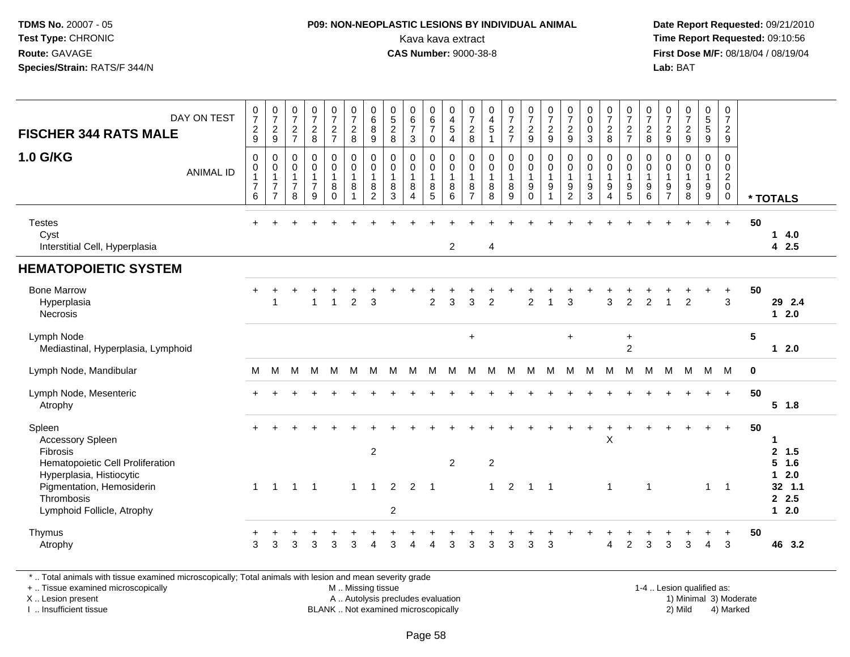### **P09: NON-NEOPLASTIC LESIONS BY INDIVIDUAL ANIMAL**Kava kava extract **Time Report Requested:** 09:10:56<br>**CAS Number:** 9000-38-8<br>**Tirst Dose M/F:** 08/18/04 / 08/19/04

 **Date Report Requested:** 09/21/2010 **First Dose M/F:** 08/18/04 / 08/19/04 Lab: BAT **Lab:** BAT

| DAY ON TEST<br><b>FISCHER 344 RATS MALE</b><br><b>1.0 G/KG</b><br><b>ANIMAL ID</b>                                                                                                            | $\frac{0}{7}$<br>$\frac{2}{9}$<br>$\mathbf 0$<br>0<br>$\mathbf{1}$<br>$\overline{7}$<br>$\,6\,$ | $\frac{0}{7}$<br>$\frac{2}{9}$<br>$\mathbf 0$<br>$\pmb{0}$<br>$\overline{1}$<br>$\overline{7}$<br>$\overline{7}$ | $\frac{0}{7}$<br>$\overline{c}$<br>$\overline{7}$<br>$\mathbf 0$<br>$\mathbf 0$<br>$\mathbf{1}$<br>$\overline{7}$<br>8 | $\frac{0}{7}$<br>$\overline{c}$<br>8<br>$\mathbf 0$<br>$\mathbf 0$<br>$\mathbf{1}$<br>$\overline{7}$<br>9 | $\frac{0}{7}$<br>$\frac{2}{7}$<br>0<br>$\mathsf 0$<br>$\mathbf{1}$<br>8<br>$\Omega$ | $\frac{0}{7}$<br>$\overline{c}$<br>8<br>0<br>$\mathbf 0$<br>$\mathbf{1}$<br>8<br>$\overline{1}$ | $_{6}^{\rm 0}$<br>$\bf 8$<br>$\mathsf g$<br>$\mathbf 0$<br>$\pmb{0}$<br>$\mathbf{1}$<br>$\bf 8$<br>$\overline{c}$ | $\begin{array}{c} 0 \\ 5 \\ 2 \end{array}$<br>8<br>$\mathbf 0$<br>$\mathbf 0$<br>$\overline{1}$<br>8<br>3 | $\begin{array}{c} 0 \\ 6 \\ 7 \end{array}$<br>$\mathbf{3}$<br>$\mathbf 0$<br>$\mathbf 0$<br>$\overline{1}$<br>8<br>$\overline{4}$ | 0<br>$\overline{6}$<br>$\overline{7}$<br>$\pmb{0}$<br>0<br>$\mathbf 0$<br>$\mathbf{1}$<br>8<br>5 | 0<br>$\begin{array}{c} 4 \\ 5 \end{array}$<br>$\overline{\mathbf{4}}$<br>$\mathbf 0$<br>$\boldsymbol{0}$<br>$\overline{1}$<br>$\, 8$<br>6 | $\frac{0}{7}$<br>$\overline{2}$<br>8<br>$\mathbf 0$<br>$\mathbf 0$<br>$\mathbf{1}$<br>8<br>$\overline{7}$ | $\begin{array}{c} 0 \\ 4 \\ 5 \end{array}$<br>$\mathbf{1}$<br>$\mathbf 0$<br>$\mathbf 0$<br>$\mathbf{1}$<br>8<br>8 | $\frac{0}{7}$<br>$\frac{2}{7}$<br>0<br>$\pmb{0}$<br>$\mathbf{1}$<br>$\bf 8$<br>9 | $\frac{0}{7}$<br>$\frac{2}{9}$<br>0<br>$\mathbf 0$<br>$\mathbf{1}$<br>9<br>$\Omega$ | $\frac{0}{7}$<br>9<br>$\mathbf 0$<br>$\mathbf 0$<br>$\overline{1}$<br>9<br>1 | $\frac{0}{7}$<br>$\overline{c}$<br>$\boldsymbol{9}$<br>0<br>$\mathbf 0$<br>$\mathbf{1}$<br>9<br>$\overline{2}$ | $\begin{smallmatrix} 0\\0 \end{smallmatrix}$<br>$\mathbf 0$<br>$\mathbf{3}$<br>$\mathbf 0$<br>$\boldsymbol{0}$<br>$\mathbf{1}$<br>$\boldsymbol{9}$<br>3 | $\frac{0}{7}$<br>$\overline{c}$<br>8<br>0<br>$\mathbf 0$<br>$\mathbf{1}$<br>9<br>4 | $\frac{0}{7}$<br>$\frac{2}{7}$<br>0<br>$\mathbf 0$<br>$\mathbf{1}$<br>$\boldsymbol{9}$<br>$\overline{5}$ | $\frac{0}{7}$<br>$\overline{c}$<br>8<br>0<br>$\pmb{0}$<br>$\mathbf{1}$<br>$\boldsymbol{9}$<br>$6\phantom{1}6$ | $\frac{0}{7}$<br>$\frac{2}{9}$<br>$\mathbf 0$<br>$\mathbf 0$<br>$\mathbf{1}$<br>9<br>$\overline{7}$ | 0729<br>$\mathbf 0$<br>$\mathbf 0$<br>$\mathbf{1}$<br>$\boldsymbol{9}$<br>8 | $\begin{array}{c} 0 \\ 5 \\ 5 \end{array}$<br>$\boldsymbol{9}$<br>0<br>0<br>$\mathbf{1}$<br>9<br>$\boldsymbol{9}$ | 0<br>$\overline{7}$<br>$\overline{2}$<br>$\boldsymbol{9}$<br>0<br>$\mathbf 0$<br>$\overline{a}$<br>$\mathbf 0$<br>0 |             | * TOTALS                                                    |
|-----------------------------------------------------------------------------------------------------------------------------------------------------------------------------------------------|-------------------------------------------------------------------------------------------------|------------------------------------------------------------------------------------------------------------------|------------------------------------------------------------------------------------------------------------------------|-----------------------------------------------------------------------------------------------------------|-------------------------------------------------------------------------------------|-------------------------------------------------------------------------------------------------|-------------------------------------------------------------------------------------------------------------------|-----------------------------------------------------------------------------------------------------------|-----------------------------------------------------------------------------------------------------------------------------------|--------------------------------------------------------------------------------------------------|-------------------------------------------------------------------------------------------------------------------------------------------|-----------------------------------------------------------------------------------------------------------|--------------------------------------------------------------------------------------------------------------------|----------------------------------------------------------------------------------|-------------------------------------------------------------------------------------|------------------------------------------------------------------------------|----------------------------------------------------------------------------------------------------------------|---------------------------------------------------------------------------------------------------------------------------------------------------------|------------------------------------------------------------------------------------|----------------------------------------------------------------------------------------------------------|---------------------------------------------------------------------------------------------------------------|-----------------------------------------------------------------------------------------------------|-----------------------------------------------------------------------------|-------------------------------------------------------------------------------------------------------------------|---------------------------------------------------------------------------------------------------------------------|-------------|-------------------------------------------------------------|
| <b>Testes</b><br>Cyst<br>Interstitial Cell, Hyperplasia                                                                                                                                       | $+$                                                                                             |                                                                                                                  |                                                                                                                        |                                                                                                           |                                                                                     |                                                                                                 |                                                                                                                   |                                                                                                           |                                                                                                                                   |                                                                                                  | $\overline{c}$                                                                                                                            |                                                                                                           | 4                                                                                                                  |                                                                                  |                                                                                     |                                                                              |                                                                                                                |                                                                                                                                                         |                                                                                    |                                                                                                          |                                                                                                               |                                                                                                     |                                                                             | $+$                                                                                                               | $+$                                                                                                                 | 50          | 14.0<br>4 2.5                                               |
| <b>HEMATOPOIETIC SYSTEM</b>                                                                                                                                                                   |                                                                                                 |                                                                                                                  |                                                                                                                        |                                                                                                           |                                                                                     |                                                                                                 |                                                                                                                   |                                                                                                           |                                                                                                                                   |                                                                                                  |                                                                                                                                           |                                                                                                           |                                                                                                                    |                                                                                  |                                                                                     |                                                                              |                                                                                                                |                                                                                                                                                         |                                                                                    |                                                                                                          |                                                                                                               |                                                                                                     |                                                                             |                                                                                                                   |                                                                                                                     |             |                                                             |
| <b>Bone Marrow</b><br>Hyperplasia<br>Necrosis                                                                                                                                                 | +                                                                                               | $\overline{1}$                                                                                                   |                                                                                                                        | $\mathbf{1}$                                                                                              | $\mathbf{1}$                                                                        | $\overline{2}$                                                                                  | $\overline{3}$                                                                                                    |                                                                                                           |                                                                                                                                   | $\overline{2}$                                                                                   | 3                                                                                                                                         | $\overline{3}$                                                                                            | $\overline{2}$                                                                                                     |                                                                                  | $\overline{2}$                                                                      | $\overline{1}$                                                               | 3                                                                                                              |                                                                                                                                                         | 3                                                                                  | $\overline{2}$                                                                                           | $\overline{2}$                                                                                                | $\overline{1}$                                                                                      | $\overline{2}$                                                              |                                                                                                                   | $\ddot{}$<br>$\mathbf{3}$                                                                                           | 50          | 29 2.4<br>$12.0$                                            |
| Lymph Node<br>Mediastinal, Hyperplasia, Lymphoid                                                                                                                                              |                                                                                                 |                                                                                                                  |                                                                                                                        |                                                                                                           |                                                                                     |                                                                                                 |                                                                                                                   |                                                                                                           |                                                                                                                                   |                                                                                                  |                                                                                                                                           | $\ddot{}$                                                                                                 |                                                                                                                    |                                                                                  |                                                                                     |                                                                              | $\ddot{}$                                                                                                      |                                                                                                                                                         |                                                                                    | $\ddot{}$<br>$\overline{c}$                                                                              |                                                                                                               |                                                                                                     |                                                                             |                                                                                                                   |                                                                                                                     | 5           | $12.0$                                                      |
| Lymph Node, Mandibular                                                                                                                                                                        | м                                                                                               | М                                                                                                                | M                                                                                                                      | M                                                                                                         | M                                                                                   | M                                                                                               | M                                                                                                                 | м                                                                                                         | м                                                                                                                                 | M                                                                                                | M                                                                                                                                         | M                                                                                                         | M                                                                                                                  | M                                                                                | M                                                                                   | м                                                                            | M                                                                                                              | M                                                                                                                                                       | M                                                                                  | M                                                                                                        | M                                                                                                             | M                                                                                                   | M                                                                           | M                                                                                                                 | M                                                                                                                   | $\mathbf 0$ |                                                             |
| Lymph Node, Mesenteric<br>Atrophy                                                                                                                                                             |                                                                                                 |                                                                                                                  |                                                                                                                        |                                                                                                           |                                                                                     |                                                                                                 |                                                                                                                   |                                                                                                           |                                                                                                                                   |                                                                                                  |                                                                                                                                           |                                                                                                           |                                                                                                                    |                                                                                  |                                                                                     |                                                                              |                                                                                                                |                                                                                                                                                         |                                                                                    |                                                                                                          |                                                                                                               |                                                                                                     |                                                                             | $+$                                                                                                               | $+$                                                                                                                 | 50          | $5$ 1.8                                                     |
| Spleen<br><b>Accessory Spleen</b><br><b>Fibrosis</b><br>Hematopoietic Cell Proliferation<br>Hyperplasia, Histiocytic<br>Pigmentation, Hemosiderin<br>Thrombosis<br>Lymphoid Follicle, Atrophy | $\mathbf{1}$                                                                                    | $\overline{1}$                                                                                                   | $\mathbf{1}$                                                                                                           | -1                                                                                                        |                                                                                     | $\mathbf{1}$                                                                                    | $\overline{c}$<br>$\mathbf{1}$                                                                                    | 2<br>$\sqrt{2}$                                                                                           | $\overline{2}$                                                                                                                    | $\overline{\phantom{0}}$ 1                                                                       | $\overline{2}$                                                                                                                            |                                                                                                           | $\overline{2}$<br>$\mathbf{1}$                                                                                     | $\overline{2}$                                                                   | $\overline{1}$                                                                      | $\overline{1}$                                                               |                                                                                                                |                                                                                                                                                         | $\overline{\mathsf{X}}$<br>$\mathbf{1}$                                            |                                                                                                          | $\mathbf{1}$                                                                                                  |                                                                                                     |                                                                             | $\mathbf{1}$                                                                                                      | $+$<br>$\overline{1}$                                                                                               | 50          | 1<br>2, 1.5<br>$5$ 1.6<br>$12.0$<br>32 1.1<br>2.5<br>$12.0$ |
| Thymus<br>Atrophy                                                                                                                                                                             | 3                                                                                               | 3                                                                                                                | 3                                                                                                                      | 3                                                                                                         | 3                                                                                   | 3                                                                                               | Δ                                                                                                                 | 3                                                                                                         |                                                                                                                                   | Λ                                                                                                | 3                                                                                                                                         | 3                                                                                                         | 3                                                                                                                  | 3                                                                                | 3                                                                                   | 3                                                                            |                                                                                                                |                                                                                                                                                         | Δ                                                                                  | $\overline{c}$                                                                                           | 3                                                                                                             | 3                                                                                                   | 3                                                                           | 4                                                                                                                 | 3                                                                                                                   | 50          | 46 3.2                                                      |

\* .. Total animals with tissue examined microscopically; Total animals with lesion and mean severity grade

+ .. Tissue examined microscopically

X .. Lesion present

I .. Insufficient tissue

 M .. Missing tissueA .. Autolysis precludes evaluation

BLANK .. Not examined microscopically 2) Mild 4) Marked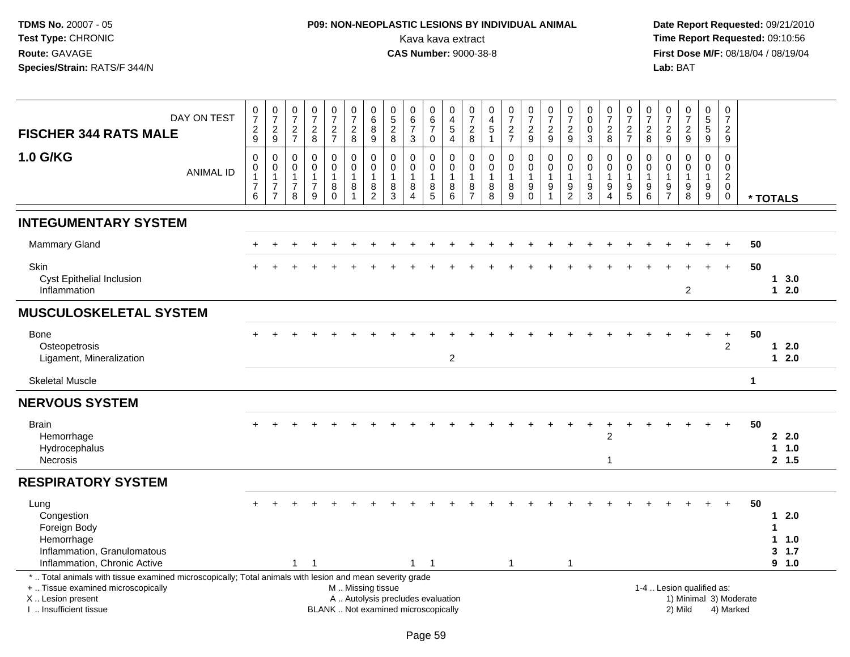# **P09: NON-NEOPLASTIC LESIONS BY INDIVIDUAL ANIMAL**Kava kava extract **Time Report Requested:** 09:10:56<br>**CAS Number:** 9000-38-8 **CAS Number:** 9000-38-8

| <b>FISCHER 344 RATS MALE</b>                                                                                                                                                                  | DAY ON TEST      | $\frac{0}{7}$<br>$\frac{2}{9}$                                         | $\frac{0}{7}$<br>$\frac{2}{9}$                    | $\frac{0}{7}$<br>$\frac{2}{7}$                                    | $\frac{0}{7}$<br>$\frac{2}{8}$                                    | $\frac{0}{7}$<br>$\frac{2}{7}$    | $\frac{0}{7}$<br>$\frac{2}{8}$                                                  | $_{6}^{\rm 0}$<br>$\bf8$<br>$\boldsymbol{9}$                        | $\begin{smallmatrix}0\0\5\end{smallmatrix}$<br>$\frac{2}{8}$             | $\begin{array}{c} 0 \\ 6 \end{array}$<br>$\overline{7}$<br>3 | 0<br>$6\phantom{a}$<br>$\overline{7}$<br>$\mathbf 0$          | $\begin{smallmatrix}0\0\4\end{smallmatrix}$<br>5<br>$\overline{4}$ | $\frac{0}{7}$<br>$_{\rm 8}^2$                    | $\begin{smallmatrix}0\0\4\end{smallmatrix}$<br>$\frac{5}{1}$ | $\frac{0}{7}$<br>$\frac{2}{7}$                          | $\begin{array}{c} 0 \\ 7 \end{array}$<br>$\frac{2}{9}$                         | $\frac{0}{7}$<br>$\frac{2}{9}$  | $\frac{0}{7}$<br>$\frac{2}{9}$                                              | $\begin{smallmatrix}0\0\0\end{smallmatrix}$<br>$\mathbf 0$<br>$\overline{3}$ | $\frac{0}{7}$<br>$_{8}^2$                                              | $\begin{array}{c} 0 \\ 7 \end{array}$<br>$\frac{2}{7}$                                   | $\frac{0}{7}$<br>$\frac{2}{8}$                   | $\begin{smallmatrix}0\\7\end{smallmatrix}$<br>$\frac{2}{9}$ | $\frac{0}{7}$<br>$\frac{2}{9}$                 | $\begin{array}{c} 0 \\ 5 \end{array}$<br>$\frac{5}{9}$                 | $\frac{0}{7}$<br>$\overline{2}$<br>9                                               |                                     |   |                                        |  |
|-----------------------------------------------------------------------------------------------------------------------------------------------------------------------------------------------|------------------|------------------------------------------------------------------------|---------------------------------------------------|-------------------------------------------------------------------|-------------------------------------------------------------------|-----------------------------------|---------------------------------------------------------------------------------|---------------------------------------------------------------------|--------------------------------------------------------------------------|--------------------------------------------------------------|---------------------------------------------------------------|--------------------------------------------------------------------|--------------------------------------------------|--------------------------------------------------------------|---------------------------------------------------------|--------------------------------------------------------------------------------|---------------------------------|-----------------------------------------------------------------------------|------------------------------------------------------------------------------|------------------------------------------------------------------------|------------------------------------------------------------------------------------------|--------------------------------------------------|-------------------------------------------------------------|------------------------------------------------|------------------------------------------------------------------------|------------------------------------------------------------------------------------|-------------------------------------|---|----------------------------------------|--|
| 1.0 G/KG                                                                                                                                                                                      | <b>ANIMAL ID</b> | $\boldsymbol{0}$<br>$\pmb{0}$<br>$\mathbf{1}$<br>$\boldsymbol{7}$<br>6 | 0<br>0<br>1<br>$\boldsymbol{7}$<br>$\overline{7}$ | 0<br>$\ddot{\mathbf{0}}$<br>$\mathbf{1}$<br>$\boldsymbol{7}$<br>8 | $\mathsf 0$<br>$\tilde{0}$<br>$\mathbf{1}$<br>$\overline{7}$<br>9 | 0<br>$\mathbf 0$<br>8<br>$\Omega$ | $\mathbf 0$<br>$\ddot{\mathbf{0}}$<br>$\overline{1}$<br>$\,8\,$<br>$\mathbf{1}$ | $\mathbf 0$<br>$\mathbf 0$<br>$\overline{1}$<br>8<br>$\overline{2}$ | $\mathbf 0$<br>$\mathbf 0$<br>$\mathbf{1}$<br>8<br>3                     | 0<br>$\mathbf 0$<br>8<br>$\overline{4}$                      | $\mathbf 0$<br>$\overline{0}$<br>$\mathbf{1}$<br>$\bf 8$<br>5 | 0<br>$\overline{0}$<br>$\mathbf{1}$<br>8<br>6                      | $\mathbf 0$<br>0<br>$\mathbf 1$<br>$\frac{8}{7}$ | $\mathbf 0$<br>$\overline{0}$<br>$\mathbf{1}$<br>$_{8}^8$    | 0<br>$\mathbf 0$<br>$\mathbf{1}$<br>8<br>$\overline{9}$ | $\pmb{0}$<br>$\overline{0}$<br>$\mathbf{1}$<br>$\boldsymbol{9}$<br>$\mathbf 0$ | $\mathbf 0$<br>$\mathbf 0$<br>9 | $\mathsf{O}\xspace$<br>$\ddot{\mathbf{0}}$<br>$\mathbf{1}$<br>$\frac{9}{2}$ | $\mathbf 0$<br>$\overline{0}$<br>$\mathbf 1$<br>9<br>3                       | 0<br>$\mathbf 0$<br>$\mathbf{1}$<br>$\boldsymbol{9}$<br>$\overline{4}$ | $\mathbf 0$<br>$\overline{0}$<br>$\overline{1}$<br>$\begin{array}{c} 9 \\ 5 \end{array}$ | 0<br>$\mathbf 0$<br>$\overline{1}$<br>$9\,$<br>6 | $\mathbf 0$<br>$\mathbf 0$<br>$\mathbf{1}$<br>$\frac{9}{7}$ | 0<br>$\mathbf 0$<br>1<br>$\boldsymbol{9}$<br>8 | $\mathbf 0$<br>$\overline{0}$<br>$\mathbf{1}$<br>$\boldsymbol{9}$<br>9 | $\mathbf 0$<br>$\mathbf 0$<br>$\overline{2}$<br>$\mathsf{O}\xspace$<br>$\mathbf 0$ |                                     |   | * TOTALS                               |  |
| <b>INTEGUMENTARY SYSTEM</b>                                                                                                                                                                   |                  |                                                                        |                                                   |                                                                   |                                                                   |                                   |                                                                                 |                                                                     |                                                                          |                                                              |                                                               |                                                                    |                                                  |                                                              |                                                         |                                                                                |                                 |                                                                             |                                                                              |                                                                        |                                                                                          |                                                  |                                                             |                                                |                                                                        |                                                                                    |                                     |   |                                        |  |
| <b>Mammary Gland</b>                                                                                                                                                                          |                  |                                                                        |                                                   |                                                                   |                                                                   |                                   |                                                                                 |                                                                     |                                                                          |                                                              |                                                               |                                                                    |                                                  |                                                              |                                                         |                                                                                |                                 |                                                                             |                                                                              |                                                                        |                                                                                          |                                                  |                                                             |                                                |                                                                        |                                                                                    | 50                                  |   |                                        |  |
| Skin<br>Cyst Epithelial Inclusion<br>Inflammation                                                                                                                                             |                  |                                                                        |                                                   |                                                                   |                                                                   |                                   |                                                                                 |                                                                     |                                                                          |                                                              |                                                               |                                                                    |                                                  |                                                              |                                                         |                                                                                |                                 |                                                                             |                                                                              |                                                                        |                                                                                          |                                                  |                                                             | $\overline{c}$                                 |                                                                        | $+$                                                                                | 50                                  |   | 13.0<br>$12.0$                         |  |
| <b>MUSCULOSKELETAL SYSTEM</b>                                                                                                                                                                 |                  |                                                                        |                                                   |                                                                   |                                                                   |                                   |                                                                                 |                                                                     |                                                                          |                                                              |                                                               |                                                                    |                                                  |                                                              |                                                         |                                                                                |                                 |                                                                             |                                                                              |                                                                        |                                                                                          |                                                  |                                                             |                                                |                                                                        |                                                                                    |                                     |   |                                        |  |
| <b>Bone</b><br>Osteopetrosis<br>Ligament, Mineralization                                                                                                                                      |                  |                                                                        |                                                   |                                                                   |                                                                   |                                   |                                                                                 |                                                                     |                                                                          |                                                              |                                                               | $\overline{c}$                                                     |                                                  |                                                              |                                                         |                                                                                |                                 |                                                                             |                                                                              |                                                                        |                                                                                          |                                                  |                                                             |                                                |                                                                        | $\ddot{}$<br>$\overline{2}$                                                        | 50                                  |   | $12.0$<br>$12.0$                       |  |
| <b>Skeletal Muscle</b>                                                                                                                                                                        |                  |                                                                        |                                                   |                                                                   |                                                                   |                                   |                                                                                 |                                                                     |                                                                          |                                                              |                                                               |                                                                    |                                                  |                                                              |                                                         |                                                                                |                                 |                                                                             |                                                                              |                                                                        |                                                                                          |                                                  |                                                             |                                                |                                                                        |                                                                                    | $\mathbf 1$                         |   |                                        |  |
| <b>NERVOUS SYSTEM</b>                                                                                                                                                                         |                  |                                                                        |                                                   |                                                                   |                                                                   |                                   |                                                                                 |                                                                     |                                                                          |                                                              |                                                               |                                                                    |                                                  |                                                              |                                                         |                                                                                |                                 |                                                                             |                                                                              |                                                                        |                                                                                          |                                                  |                                                             |                                                |                                                                        |                                                                                    |                                     |   |                                        |  |
| <b>Brain</b><br>Hemorrhage<br>Hydrocephalus<br>Necrosis                                                                                                                                       |                  |                                                                        |                                                   |                                                                   |                                                                   |                                   |                                                                                 |                                                                     |                                                                          |                                                              |                                                               |                                                                    |                                                  |                                                              |                                                         |                                                                                |                                 |                                                                             | $\pm$                                                                        | +<br>$\overline{2}$<br>1                                               |                                                                                          |                                                  |                                                             |                                                |                                                                        | $\ddot{}$                                                                          | 50                                  |   | 22.0<br>$1 1.0$<br>2, 1.5              |  |
| <b>RESPIRATORY SYSTEM</b>                                                                                                                                                                     |                  |                                                                        |                                                   |                                                                   |                                                                   |                                   |                                                                                 |                                                                     |                                                                          |                                                              |                                                               |                                                                    |                                                  |                                                              |                                                         |                                                                                |                                 |                                                                             |                                                                              |                                                                        |                                                                                          |                                                  |                                                             |                                                |                                                                        |                                                                                    |                                     |   |                                        |  |
| Lung<br>Congestion<br>Foreign Body<br>Hemorrhage<br>Inflammation, Granulomatous<br>Inflammation, Chronic Active                                                                               |                  |                                                                        |                                                   | $\mathbf{1}$                                                      | $\overline{1}$                                                    |                                   |                                                                                 |                                                                     |                                                                          |                                                              | $1 \quad 1$                                                   |                                                                    |                                                  |                                                              | $\overline{1}$                                          |                                                                                |                                 | $\mathbf{1}$                                                                |                                                                              |                                                                        |                                                                                          |                                                  |                                                             |                                                |                                                                        | $+$                                                                                | 50                                  | 1 | 12.0<br>$1 1.0$<br>3, 1.7<br>$9 - 1.0$ |  |
| *  Total animals with tissue examined microscopically; Total animals with lesion and mean severity grade<br>+  Tissue examined microscopically<br>X  Lesion present<br>I  Insufficient tissue |                  |                                                                        |                                                   |                                                                   |                                                                   |                                   | M  Missing tissue                                                               |                                                                     | A  Autolysis precludes evaluation<br>BLANK  Not examined microscopically |                                                              |                                                               |                                                                    |                                                  |                                                              |                                                         |                                                                                |                                 |                                                                             |                                                                              |                                                                        |                                                                                          |                                                  |                                                             | 1-4  Lesion qualified as:<br>2) Mild           |                                                                        |                                                                                    | 1) Minimal 3) Moderate<br>4) Marked |   |                                        |  |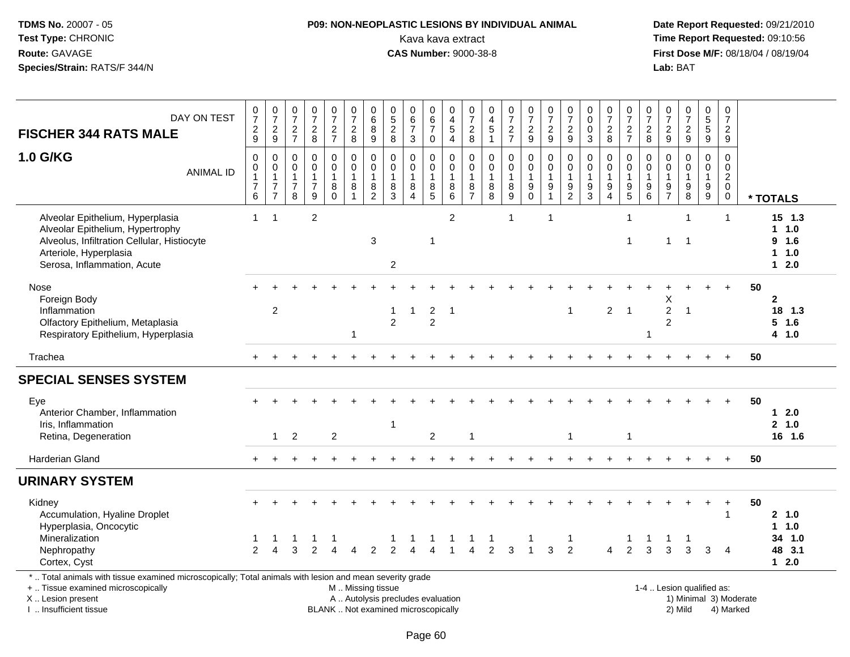# **P09: NON-NEOPLASTIC LESIONS BY INDIVIDUAL ANIMAL**Kava kava extract **Time Report Requested:** 09:10:56<br>**CAS Number:** 9000-38-8 **CAS Number:** 9000-38-8

| DAY ON TEST<br><b>FISCHER 344 RATS MALE</b>                                                                                                                                                   | $\frac{0}{7}$<br>$\frac{2}{9}$                            | $\begin{array}{c} 0 \\ 7 \end{array}$<br>$\frac{2}{9}$             | $\frac{0}{7}$<br>$\frac{2}{7}$                                    | $\begin{array}{c} 0 \\ 7 \end{array}$<br>$\frac{2}{8}$          | $\frac{0}{7}$<br>$\frac{2}{7}$         | $\begin{array}{c} 0 \\ 7 \end{array}$<br>$_{8}^{\rm 2}$                     | $_{6}^{\rm 0}$<br>8<br>$\overline{9}$                           | $\begin{smallmatrix}0\0\5\end{smallmatrix}$<br>$\overline{c}$<br>8 | $_{6}^{\rm o}$<br>$\overline{7}$<br>$\sqrt{3}$                                | 0<br>$6\phantom{a}$<br>$\overline{7}$<br>$\mathsf 0$                        | 0<br>$\frac{4}{5}$<br>$\overline{4}$                                       | $\begin{array}{c} 0 \\ 7 \end{array}$<br>$_{8}^2$     | 0<br>$\frac{4}{5}$                                               | $\frac{0}{7}$<br>$\frac{2}{7}$                                    | $\begin{array}{c} 0 \\ 7 \end{array}$<br>$\frac{2}{9}$      | $\frac{0}{7}$<br>$\frac{2}{9}$                                                        | $\begin{array}{c} 0 \\ 7 \end{array}$<br>$\overline{2}$<br>$9\,$  | 0<br>$\mathbf 0$<br>$\mathbf 0$<br>$\overline{3}$                              | $\frac{0}{7}$<br>$_{8}^{\rm 2}$                         | $\frac{0}{7}$<br>$\frac{2}{7}$                    | $\begin{array}{c} 0 \\ 7 \end{array}$<br>$\boldsymbol{2}$<br>$\,8\,$            | $\frac{0}{7}$<br>$\frac{2}{9}$                                   | $\frac{0}{7}$<br>$rac{2}{9}$                                        | $\begin{array}{c} 0 \\ 5 \\ 5 \end{array}$<br>$\overline{9}$         | 0<br>$\boldsymbol{7}$<br>$\overline{2}$<br>$\boldsymbol{9}$ |    |                                                     |
|-----------------------------------------------------------------------------------------------------------------------------------------------------------------------------------------------|-----------------------------------------------------------|--------------------------------------------------------------------|-------------------------------------------------------------------|-----------------------------------------------------------------|----------------------------------------|-----------------------------------------------------------------------------|-----------------------------------------------------------------|--------------------------------------------------------------------|-------------------------------------------------------------------------------|-----------------------------------------------------------------------------|----------------------------------------------------------------------------|-------------------------------------------------------|------------------------------------------------------------------|-------------------------------------------------------------------|-------------------------------------------------------------|---------------------------------------------------------------------------------------|-------------------------------------------------------------------|--------------------------------------------------------------------------------|---------------------------------------------------------|---------------------------------------------------|---------------------------------------------------------------------------------|------------------------------------------------------------------|---------------------------------------------------------------------|----------------------------------------------------------------------|-------------------------------------------------------------|----|-----------------------------------------------------|
| <b>1.0 G/KG</b><br><b>ANIMAL ID</b>                                                                                                                                                           | 0<br>$\mathbf 0$<br>$\mathbf{1}$<br>$\boldsymbol{7}$<br>6 | 0<br>$\pmb{0}$<br>$\mathbf{1}$<br>$\overline{7}$<br>$\overline{7}$ | $\mathbf 0$<br>$\pmb{0}$<br>$\mathbf{1}$<br>$\boldsymbol{7}$<br>8 | $\pmb{0}$<br>$\mathbf 0$<br>$\mathbf{1}$<br>$\overline{7}$<br>9 | 0<br>$\mathbf 0$<br>1<br>8<br>$\Omega$ | $\pmb{0}$<br>$\ddot{\mathbf{0}}$<br>$\mathbf{1}$<br>$\bf 8$<br>$\mathbf{1}$ | 0<br>$\ddot{\mathbf{0}}$<br>$\mathbf{1}$<br>8<br>$\overline{2}$ | 0<br>$\mathsf{O}\xspace$<br>$\mathbf{1}$<br>8<br>3                 | $\pmb{0}$<br>$\ddot{\mathbf{0}}$<br>$\mathbf{1}$<br>$\bf 8$<br>$\overline{4}$ | 0<br>$\mathbf 0$<br>$\overline{1}$<br>$\begin{array}{c} 8 \\ 5 \end{array}$ | $\mathbf 0$<br>$\ddot{\mathbf{0}}$<br>$\overline{1}$<br>$\bf 8$<br>$\,6\,$ | 0<br>$\pmb{0}$<br>$\mathbf{1}$<br>8<br>$\overline{7}$ | $\pmb{0}$<br>$\ddot{\mathbf{0}}$<br>$\mathbf{1}$<br>$\bf 8$<br>8 | $\boldsymbol{0}$<br>$\ddot{\mathbf{0}}$<br>$\mathbf{1}$<br>$^8_9$ | 0<br>$\overline{0}$<br>$\mathbf{1}$<br>$9\,$<br>$\mathbf 0$ | $\mathbf 0$<br>$\overline{0}$<br>$\overline{1}$<br>$\boldsymbol{9}$<br>$\overline{1}$ | $\mathbf 0$<br>$\mathbf 0$<br>$\mathbf{1}$<br>9<br>$\overline{2}$ | $\mathbf 0$<br>$\pmb{0}$<br>$\mathbf{1}$<br>$\boldsymbol{9}$<br>$\overline{3}$ | 0<br>$\mathbf 0$<br>$\mathbf{1}$<br>9<br>$\overline{4}$ | 0<br>$\mathbf 0$<br>$\mathbf{1}$<br>$\frac{9}{5}$ | $\mathbf 0$<br>$\pmb{0}$<br>$\mathbf{1}$<br>$\boldsymbol{9}$<br>$6\overline{6}$ | $\mathbf 0$<br>$\boldsymbol{0}$<br>$\mathbf{1}$<br>$\frac{9}{7}$ | $\mathbf 0$<br>$\mathbf 0$<br>$\mathbf{1}$<br>$\boldsymbol{9}$<br>8 | 0<br>$\pmb{0}$<br>$\mathbf{1}$<br>$\boldsymbol{9}$<br>$\overline{9}$ | 0<br>$\pmb{0}$<br>$\frac{2}{0}$<br>$\mathbf 0$              |    | * TOTALS                                            |
| Alveolar Epithelium, Hyperplasia<br>Alveolar Epithelium, Hypertrophy<br>Alveolus, Infiltration Cellular, Histiocyte<br>Arteriole, Hyperplasia<br>Serosa, Inflammation, Acute                  | $\mathbf{1}$                                              | $\overline{1}$                                                     |                                                                   | $\overline{2}$                                                  |                                        |                                                                             | 3                                                               | $\overline{2}$                                                     |                                                                               | $\overline{1}$                                                              | $\overline{2}$                                                             |                                                       |                                                                  | $\mathbf{1}$                                                      |                                                             | $\overline{\mathbf{1}}$                                                               |                                                                   |                                                                                |                                                         | $\mathbf 1$<br>-1                                 |                                                                                 | 1                                                                | $\overline{1}$<br>$\overline{\mathbf{1}}$                           |                                                                      | $\mathbf 1$                                                 |    | $15 \t1.3$<br>$1 \t1.0$<br>9 1.6<br>1 1.0<br>$12.0$ |
| Nose<br>Foreign Body<br>Inflammation<br>Olfactory Epithelium, Metaplasia<br>Respiratory Epithelium, Hyperplasia                                                                               |                                                           | 2                                                                  |                                                                   |                                                                 |                                        | -1                                                                          |                                                                 | $\mathbf 1$<br>$\overline{2}$                                      | $\overline{1}$                                                                | $\overline{2}$<br>$\overline{2}$                                            | $\overline{1}$                                                             |                                                       |                                                                  |                                                                   |                                                             |                                                                                       | $\mathbf{1}$                                                      |                                                                                | $\overline{2}$                                          | - 1                                               |                                                                                 | X<br>$\overline{c}$<br>$\overline{2}$                            | $\overline{1}$                                                      |                                                                      |                                                             | 50 | $\mathbf{2}$<br>18 1.3<br>$5$ 1.6<br>4 1.0          |
| Trachea                                                                                                                                                                                       | $+$                                                       |                                                                    |                                                                   |                                                                 |                                        |                                                                             |                                                                 |                                                                    |                                                                               |                                                                             |                                                                            |                                                       |                                                                  |                                                                   |                                                             |                                                                                       |                                                                   |                                                                                |                                                         |                                                   |                                                                                 |                                                                  |                                                                     |                                                                      | $+$                                                         | 50 |                                                     |
| <b>SPECIAL SENSES SYSTEM</b>                                                                                                                                                                  |                                                           |                                                                    |                                                                   |                                                                 |                                        |                                                                             |                                                                 |                                                                    |                                                                               |                                                                             |                                                                            |                                                       |                                                                  |                                                                   |                                                             |                                                                                       |                                                                   |                                                                                |                                                         |                                                   |                                                                                 |                                                                  |                                                                     |                                                                      |                                                             |    |                                                     |
| Eye<br>Anterior Chamber, Inflammation<br>Iris, Inflammation<br>Retina, Degeneration                                                                                                           |                                                           | $\overline{1}$                                                     | 2                                                                 |                                                                 | $\overline{2}$                         |                                                                             |                                                                 | $\mathbf 1$                                                        |                                                                               | $\overline{2}$                                                              |                                                                            | $\mathbf{1}$                                          |                                                                  |                                                                   |                                                             |                                                                                       | $\mathbf{1}$                                                      |                                                                                |                                                         | -1                                                |                                                                                 |                                                                  |                                                                     |                                                                      |                                                             | 50 | $12.0$<br>2, 1.0<br>16 1.6                          |
| Harderian Gland                                                                                                                                                                               |                                                           |                                                                    |                                                                   |                                                                 |                                        |                                                                             |                                                                 |                                                                    |                                                                               |                                                                             |                                                                            |                                                       |                                                                  |                                                                   |                                                             |                                                                                       |                                                                   |                                                                                |                                                         |                                                   |                                                                                 |                                                                  |                                                                     |                                                                      |                                                             | 50 |                                                     |
| <b>URINARY SYSTEM</b>                                                                                                                                                                         |                                                           |                                                                    |                                                                   |                                                                 |                                        |                                                                             |                                                                 |                                                                    |                                                                               |                                                                             |                                                                            |                                                       |                                                                  |                                                                   |                                                             |                                                                                       |                                                                   |                                                                                |                                                         |                                                   |                                                                                 |                                                                  |                                                                     |                                                                      |                                                             |    |                                                     |
| Kidney<br>Accumulation, Hyaline Droplet<br>Hyperplasia, Oncocytic<br>Mineralization                                                                                                           | 1.                                                        |                                                                    |                                                                   |                                                                 |                                        |                                                                             |                                                                 |                                                                    |                                                                               |                                                                             |                                                                            |                                                       |                                                                  |                                                                   |                                                             |                                                                                       | 1                                                                 |                                                                                |                                                         |                                                   |                                                                                 | -1                                                               | -1                                                                  |                                                                      | $\ddot{}$<br>$\mathbf 1$                                    | 50 | 2, 1.0<br>$1 \t1.0$<br>34 1.0                       |
| Nephropathy<br>Cortex, Cyst                                                                                                                                                                   | $\overline{2}$                                            |                                                                    | 3                                                                 | $\mathcal{P}$                                                   |                                        |                                                                             | 2                                                               | $\mathfrak{p}$                                                     |                                                                               |                                                                             |                                                                            |                                                       | $\mathcal{P}$                                                    | 3                                                                 | $\mathbf{1}$                                                | 3                                                                                     | 2                                                                 |                                                                                | $\overline{4}$                                          | $\overline{2}$                                    | 3                                                                               | 3                                                                | 3                                                                   | 3                                                                    | 4                                                           |    | 48 3.1<br>$12.0$                                    |
| *  Total animals with tissue examined microscopically; Total animals with lesion and mean severity grade<br>+  Tissue examined microscopically<br>X  Lesion present<br>I  Insufficient tissue |                                                           |                                                                    |                                                                   |                                                                 |                                        |                                                                             | M  Missing tissue                                               |                                                                    | A  Autolysis precludes evaluation<br>BLANK  Not examined microscopically      |                                                                             |                                                                            |                                                       |                                                                  |                                                                   |                                                             |                                                                                       |                                                                   |                                                                                |                                                         |                                                   |                                                                                 |                                                                  | 1-4  Lesion qualified as:<br>1) Minimal 3) Moderate<br>2) Mild      |                                                                      | 4) Marked                                                   |    |                                                     |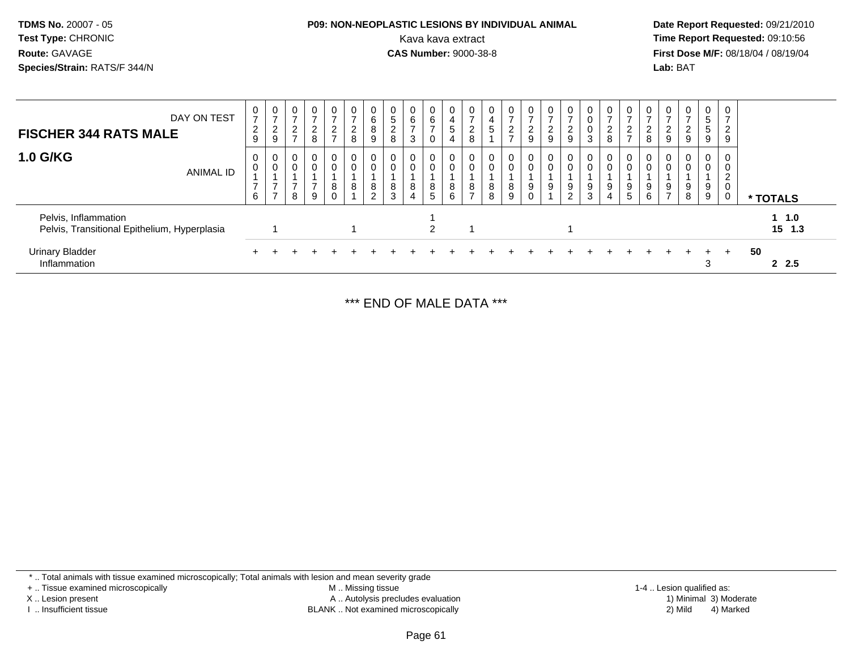| <b>TDMS No. 20007 - 05</b>   |
|------------------------------|
| <b>Test Type: CHRONIC</b>    |
| Route: GAVAGE                |
| Species/Strain: RATS/F 344/N |
|                              |

# **P09: NON-NEOPLASTIC LESIONS BY INDIVIDUAL ANIMAL**Kava kava extract **Time Report Requested:** 09:10:56<br>**CAS Number:** 9000-38-8<br>**Tirst Dose M/F:** 08/18/04 / 08/19/04

 **Date Report Requested:** 09/21/2010 **CAS Number:** 9000-38-8 **First Dose M/F:** 08/18/04 / 08/19/04 **Lab:** BAT

| DAY ON TEST<br><b>FISCHER 344 RATS MALE</b>                          | 0<br>$\overline{ }$<br>$\overline{c}$<br>9 | 0<br>-<br>$\Omega$<br>$\epsilon$<br>9 | 0<br>ົ<br>$\epsilon$<br>$\rightarrow$   | 0<br>$\overline{ }$<br>$_{8}^2$         | 0<br>$\overline{ }$<br>$\frac{2}{7}$ | $\overline{ }$<br>$\frac{2}{8}$ | 0<br>6<br>8<br>9          | 0<br>5<br>$\mathbf{2}$<br>8 | U<br>6<br>3      | 0<br>6<br>$\rightarrow$<br>0         | 0<br>$\overline{a}$<br>5<br>$\overline{4}$ | 0<br>$\overline{ }$<br>າ<br>$\epsilon$<br>8 | 0<br>4<br>G           | -<br>ົ<br>$\frac{2}{7}$ | $\mathbf{0}$<br>$\rightarrow$<br>$\frac{2}{9}$ | <sub>0</sub><br>$\epsilon$<br>9 | 0<br>$\overline{2}$<br>$9\,$            | 0<br>0<br>0<br>3           | 0<br>$\overline{ }$<br>$\frac{2}{8}$ | 0<br>2<br>$\rightarrow$ | L<br>8 | $\mathbf{0}$<br>$\epsilon$<br>9 | 0<br>$\epsilon$<br>9 | $\mathbf{0}$<br>5<br>5<br>9 | 0<br>$\overline{ }$<br>2<br>9 |    |                       |  |
|----------------------------------------------------------------------|--------------------------------------------|---------------------------------------|-----------------------------------------|-----------------------------------------|--------------------------------------|---------------------------------|---------------------------|-----------------------------|------------------|--------------------------------------|--------------------------------------------|---------------------------------------------|-----------------------|-------------------------|------------------------------------------------|---------------------------------|-----------------------------------------|----------------------------|--------------------------------------|-------------------------|--------|---------------------------------|----------------------|-----------------------------|-------------------------------|----|-----------------------|--|
| <b>1.0 G/KG</b><br>ANIMAL ID                                         | 0<br>$\mathbf 0$<br>$\overline{ }$<br>6    | 0<br>0                                | 0<br>$\mathbf 0$<br>$\overline{ }$<br>8 | $\mathbf 0$<br>0<br>$\overline{z}$<br>9 | 0<br>$\boldsymbol{0}$<br>8<br>0      | $\pmb{0}$<br>8                  | 0<br>8<br>ົ<br>$\epsilon$ | 0<br>$\mathbf 0$<br>8<br>3  | 0<br>0<br>8<br>4 | $\mathbf 0$<br>$\mathbf 0$<br>8<br>5 | 0<br>$\mathbf 0$<br>8<br>6                 | 0<br>$\mathbf 0$<br>8<br>$\rightarrow$      | $\mathbf 0$<br>8<br>8 | 8<br>9                  | $\overline{0}$<br>$\mathbf 0$<br>9             | 0<br>0<br>9                     | $\mathbf 0$<br>0<br>9<br>$\overline{2}$ | 0<br>$\mathbf 0$<br>9<br>3 | 0<br>$\mathbf 0$<br>9<br>4           | 0<br>9<br>5             | 9<br>6 | 0<br>9<br>$\overline{7}$        | 0<br>0<br>9<br>8     | 0<br>$\mathbf{0}$<br>9<br>9 | 0<br>0<br>2<br>0<br>0         |    | * TOTALS              |  |
| Pelvis, Inflammation<br>Pelvis, Transitional Epithelium, Hyperplasia |                                            |                                       |                                         |                                         |                                      |                                 |                           |                             |                  | 2                                    |                                            |                                             |                       |                         |                                                |                                 |                                         |                            |                                      |                         |        |                                 |                      |                             |                               |    | $1 \t1.0$<br>$15$ 1.3 |  |
| <b>Urinary Bladder</b><br>Inflammation                               |                                            |                                       |                                         |                                         |                                      |                                 |                           |                             |                  |                                      |                                            |                                             |                       |                         |                                                |                                 |                                         |                            |                                      |                         |        |                                 |                      | 3                           | $+$                           | 50 | 2, 2.5                |  |

\*\*\* END OF MALE DATA \*\*\*

\* .. Total animals with tissue examined microscopically; Total animals with lesion and mean severity grade

+ .. Tissue examined microscopically

X .. Lesion present

I .. Insufficient tissue

 M .. Missing tissueA .. Autolysis precludes evaluation

BLANK .. Not examined microscopically 2) Mild 4) Marked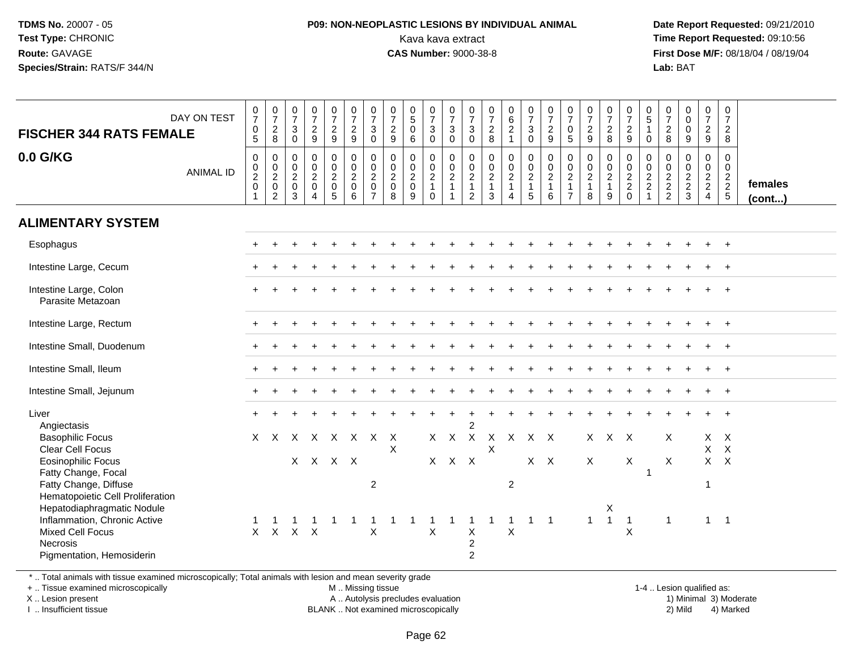### **P09: NON-NEOPLASTIC LESIONS BY INDIVIDUAL ANIMAL**Kava kava extract **Time Report Requested:** 09:10:56<br>**CAS Number:** 9000-38-8<br>**Tirst Dose M/F:** 08/18/04 / 08/19/04

 **Date Report Requested:** 09/21/2010 **First Dose M/F:** 08/18/04 / 08/19/04 Lab: BAT **Lab:** BAT

| DAY ON TEST<br><b>FISCHER 344 RATS FEMALE</b><br>0.0 G/KG<br><b>ANIMAL ID</b>                                                                                                                                                                                                                                                 | $\begin{smallmatrix}0\\7\end{smallmatrix}$<br>$\begin{array}{c} 0 \\ 5 \end{array}$<br>$\boldsymbol{0}$<br>$\begin{smallmatrix} 0\\2\\0 \end{smallmatrix}$<br>-1 | $\frac{0}{7}$<br>$\sqrt{2}$<br>8<br>$\mathbf 0$<br>$\begin{smallmatrix} 0\\2 \end{smallmatrix}$<br>$\mathbf 0$<br>$\sqrt{2}$ | $\frac{0}{7}$<br>3<br>$\mathbf 0$<br>$\mathbf 0$<br>$\mathbf 0$<br>$\sqrt{2}$<br>$\mathbf 0$<br>3 | $\frac{0}{7}$<br>$\frac{2}{9}$<br>$\pmb{0}$<br>$\begin{bmatrix} 0 \\ 2 \\ 0 \end{bmatrix}$<br>$\overline{4}$ | $\frac{0}{7}$<br>$\overline{2}$<br>$9\,$<br>$\pmb{0}$<br>$\frac{0}{2}$<br>5 | $\begin{array}{c} 0 \\ 7 \\ 2 \end{array}$<br>9<br>0<br>$\frac{0}{2}$<br>$\mathsf{O}\xspace$<br>$6\phantom{1}$ | $\frac{0}{7}$<br>$\mathbf{3}$<br>$\mathbf 0$<br>$\pmb{0}$<br>$\frac{0}{2}$<br>$\overline{7}$ | $\frac{0}{7}$<br>$\overline{2}$<br>9<br>0<br>$\boldsymbol{0}$<br>$\sqrt{2}$<br>$\mathbf 0$<br>8 | $\begin{array}{c} 0 \\ 5 \end{array}$<br>$\mathbf 0$<br>6<br>$\pmb{0}$<br>$\begin{smallmatrix} 0\\2 \end{smallmatrix}$<br>$\mathsf 0$<br>9 | $\frac{0}{7}$<br>$\mathbf{3}$<br>$\mathbf 0$<br>0<br>$\mathbf 0$<br>$\sqrt{2}$<br>$\mathbf{1}$<br>$\Omega$ | $\begin{matrix} 0 \\ 7 \\ 3 \end{matrix}$<br>$\mathbf 0$<br>$\begin{array}{c} 0 \\ 0 \\ 2 \\ 1 \end{array}$<br>$\overline{1}$ | $\frac{0}{7}$<br>$\ensuremath{\mathsf{3}}$<br>$\mathbf 0$<br>$\begin{array}{c} 0 \\ 0 \\ 2 \\ 1 \end{array}$<br>$\overline{2}$ | $\frac{0}{7}$<br>$\overline{2}$<br>8<br>0<br>$_2^0$<br>$\mathbf{1}$<br>$\mathbf{3}$ | $\begin{matrix} 0 \\ 6 \\ 2 \end{matrix}$<br>$\overline{1}$<br>0002<br>$\boldsymbol{\Lambda}$ | $\begin{smallmatrix}0\\7\end{smallmatrix}$<br>$\mathbf{3}$<br>$\mathbf{0}$<br>0<br>$\frac{0}{2}$<br>$\mathbf{1}$<br>$\sqrt{5}$ | $\begin{array}{c} 0 \\ 7 \\ 2 \end{array}$<br>9<br>$\mathbf 0$<br>$\mathbf 0$<br>$\sqrt{2}$<br>$\mathbf{1}$<br>$\,6\,$ | $\frac{0}{7}$<br>$\pmb{0}$<br>5<br>$\pmb{0}$<br>$\frac{0}{2}$<br>1<br>$\overline{7}$ | $\frac{0}{7}$<br>$\overline{c}$<br>9<br>0<br>$\begin{smallmatrix} 0\\2 \end{smallmatrix}$<br>$\mathbf{1}$<br>$\bf8$ | $\frac{0}{7}$<br>$\sqrt{2}$<br>8<br>0<br>$\begin{smallmatrix} 0\\2 \end{smallmatrix}$<br>$\mathbf{1}$<br>9 | $\frac{0}{7}$<br>$\sqrt{2}$<br>9<br>0<br>$\frac{0}{2}$<br>$\mathbf 0$ | 0<br>$\overline{5}$<br>$\overline{1}$<br>$\Omega$<br>$\mathbf 0$<br>$\frac{0}{2}$<br>$\overline{1}$ | 0<br>$\overline{7}$<br>$\overline{c}$<br>8<br>$\mathbf 0$<br>$\mathbf 0$<br>$\frac{2}{2}$ | $\begin{smallmatrix}0\\0\end{smallmatrix}$<br>$\mathbf 0$<br>9<br>$\mathbf 0$<br>$\begin{array}{c} 0 \\ 2 \\ 2 \\ 3 \end{array}$ | $\frac{0}{7}$<br>$\overline{a}$<br>9<br>0<br>$\mathbf 0$<br>$\frac{2}{2}$ | 0<br>$\overline{7}$<br>$\overline{2}$<br>8<br>$\mathbf 0$<br>$\begin{array}{c} 0 \\ 2 \\ 2 \\ 5 \end{array}$ | females<br>$($ cont $)$ |
|-------------------------------------------------------------------------------------------------------------------------------------------------------------------------------------------------------------------------------------------------------------------------------------------------------------------------------|------------------------------------------------------------------------------------------------------------------------------------------------------------------|------------------------------------------------------------------------------------------------------------------------------|---------------------------------------------------------------------------------------------------|--------------------------------------------------------------------------------------------------------------|-----------------------------------------------------------------------------|----------------------------------------------------------------------------------------------------------------|----------------------------------------------------------------------------------------------|-------------------------------------------------------------------------------------------------|--------------------------------------------------------------------------------------------------------------------------------------------|------------------------------------------------------------------------------------------------------------|-------------------------------------------------------------------------------------------------------------------------------|--------------------------------------------------------------------------------------------------------------------------------|-------------------------------------------------------------------------------------|-----------------------------------------------------------------------------------------------|--------------------------------------------------------------------------------------------------------------------------------|------------------------------------------------------------------------------------------------------------------------|--------------------------------------------------------------------------------------|---------------------------------------------------------------------------------------------------------------------|------------------------------------------------------------------------------------------------------------|-----------------------------------------------------------------------|-----------------------------------------------------------------------------------------------------|-------------------------------------------------------------------------------------------|----------------------------------------------------------------------------------------------------------------------------------|---------------------------------------------------------------------------|--------------------------------------------------------------------------------------------------------------|-------------------------|
| <b>ALIMENTARY SYSTEM</b>                                                                                                                                                                                                                                                                                                      |                                                                                                                                                                  |                                                                                                                              |                                                                                                   |                                                                                                              |                                                                             |                                                                                                                |                                                                                              |                                                                                                 |                                                                                                                                            |                                                                                                            |                                                                                                                               |                                                                                                                                |                                                                                     |                                                                                               |                                                                                                                                |                                                                                                                        |                                                                                      |                                                                                                                     |                                                                                                            |                                                                       |                                                                                                     |                                                                                           |                                                                                                                                  |                                                                           |                                                                                                              |                         |
| Esophagus                                                                                                                                                                                                                                                                                                                     |                                                                                                                                                                  |                                                                                                                              |                                                                                                   |                                                                                                              |                                                                             |                                                                                                                |                                                                                              |                                                                                                 |                                                                                                                                            |                                                                                                            |                                                                                                                               |                                                                                                                                |                                                                                     |                                                                                               |                                                                                                                                |                                                                                                                        |                                                                                      |                                                                                                                     |                                                                                                            |                                                                       |                                                                                                     |                                                                                           |                                                                                                                                  |                                                                           | $\overline{+}$                                                                                               |                         |
| Intestine Large, Cecum                                                                                                                                                                                                                                                                                                        |                                                                                                                                                                  |                                                                                                                              |                                                                                                   |                                                                                                              |                                                                             |                                                                                                                |                                                                                              |                                                                                                 |                                                                                                                                            |                                                                                                            |                                                                                                                               |                                                                                                                                |                                                                                     |                                                                                               |                                                                                                                                |                                                                                                                        |                                                                                      |                                                                                                                     |                                                                                                            |                                                                       |                                                                                                     |                                                                                           |                                                                                                                                  |                                                                           |                                                                                                              |                         |
| Intestine Large, Colon<br>Parasite Metazoan                                                                                                                                                                                                                                                                                   |                                                                                                                                                                  |                                                                                                                              |                                                                                                   |                                                                                                              |                                                                             |                                                                                                                |                                                                                              |                                                                                                 |                                                                                                                                            |                                                                                                            |                                                                                                                               |                                                                                                                                |                                                                                     |                                                                                               |                                                                                                                                |                                                                                                                        |                                                                                      |                                                                                                                     |                                                                                                            |                                                                       |                                                                                                     |                                                                                           |                                                                                                                                  |                                                                           |                                                                                                              |                         |
| Intestine Large, Rectum                                                                                                                                                                                                                                                                                                       |                                                                                                                                                                  |                                                                                                                              |                                                                                                   |                                                                                                              |                                                                             |                                                                                                                |                                                                                              |                                                                                                 |                                                                                                                                            |                                                                                                            |                                                                                                                               |                                                                                                                                |                                                                                     |                                                                                               |                                                                                                                                |                                                                                                                        |                                                                                      |                                                                                                                     |                                                                                                            |                                                                       |                                                                                                     |                                                                                           |                                                                                                                                  |                                                                           |                                                                                                              |                         |
| Intestine Small, Duodenum                                                                                                                                                                                                                                                                                                     |                                                                                                                                                                  |                                                                                                                              |                                                                                                   |                                                                                                              |                                                                             |                                                                                                                |                                                                                              |                                                                                                 |                                                                                                                                            |                                                                                                            |                                                                                                                               |                                                                                                                                |                                                                                     |                                                                                               |                                                                                                                                |                                                                                                                        |                                                                                      |                                                                                                                     |                                                                                                            |                                                                       |                                                                                                     |                                                                                           |                                                                                                                                  |                                                                           |                                                                                                              |                         |
| Intestine Small, Ileum                                                                                                                                                                                                                                                                                                        |                                                                                                                                                                  |                                                                                                                              |                                                                                                   |                                                                                                              |                                                                             |                                                                                                                |                                                                                              |                                                                                                 |                                                                                                                                            |                                                                                                            |                                                                                                                               |                                                                                                                                |                                                                                     |                                                                                               |                                                                                                                                |                                                                                                                        |                                                                                      |                                                                                                                     |                                                                                                            |                                                                       |                                                                                                     |                                                                                           |                                                                                                                                  |                                                                           |                                                                                                              |                         |
| Intestine Small, Jejunum                                                                                                                                                                                                                                                                                                      |                                                                                                                                                                  |                                                                                                                              |                                                                                                   |                                                                                                              |                                                                             |                                                                                                                |                                                                                              |                                                                                                 |                                                                                                                                            |                                                                                                            |                                                                                                                               |                                                                                                                                |                                                                                     |                                                                                               |                                                                                                                                |                                                                                                                        |                                                                                      |                                                                                                                     |                                                                                                            |                                                                       |                                                                                                     |                                                                                           |                                                                                                                                  |                                                                           |                                                                                                              |                         |
| Liver<br>Angiectasis<br><b>Basophilic Focus</b><br><b>Clear Cell Focus</b><br><b>Eosinophilic Focus</b><br>Fatty Change, Focal<br>Fatty Change, Diffuse<br>Hematopoietic Cell Proliferation<br>Hepatodiaphragmatic Nodule<br>Inflammation, Chronic Active<br>Mixed Cell Focus<br><b>Necrosis</b><br>Pigmentation, Hemosiderin | X                                                                                                                                                                | $\times$<br>$X$ $X$                                                                                                          | X<br>X<br>$X$ $X$                                                                                 | X                                                                                                            | $\times$<br>X X X                                                           | $\mathsf{X}$                                                                                                   | $\times$<br>$\overline{2}$<br>$\mathsf X$                                                    | X<br>X                                                                                          |                                                                                                                                            | X                                                                                                          | $X$ $X$<br>$X$ $X$                                                                                                            | $\overline{2}$<br>$\boldsymbol{X}$<br>$\mathsf{X}$<br>$\pmb{\times}$<br>$\boldsymbol{2}$<br>$\overline{2}$                     | X<br>$\sf X$                                                                        | $\mathsf{X}$<br>$\overline{c}$<br>$\mathbf 1$<br>$\boldsymbol{\mathsf{X}}$                    | X X<br>$\mathbf{1}$                                                                                                            | $X$ $X$<br>$\overline{1}$                                                                                              |                                                                                      | $\times$<br>X<br>$\mathbf{1}$                                                                                       | $X$ $X$<br>Χ<br>$\mathbf{1}$                                                                               | $\mathsf X$<br>$\overline{1}$<br>X                                    | $\overline{1}$                                                                                      | X<br>X<br>$\mathbf{1}$                                                                    |                                                                                                                                  | X<br>$\mathsf{X}$<br>1<br>$1 \quad 1$                                     | X<br>$\mathsf{X}$<br>$X$ $X$                                                                                 |                         |

\* .. Total animals with tissue examined microscopically; Total animals with lesion and mean severity grade

+ .. Tissue examined microscopically

X .. Lesion present

I .. Insufficient tissue

M .. Missing tissue

A .. Autolysis precludes evaluation

BLANK .. Not examined microscopically 2) Mild 4) Marked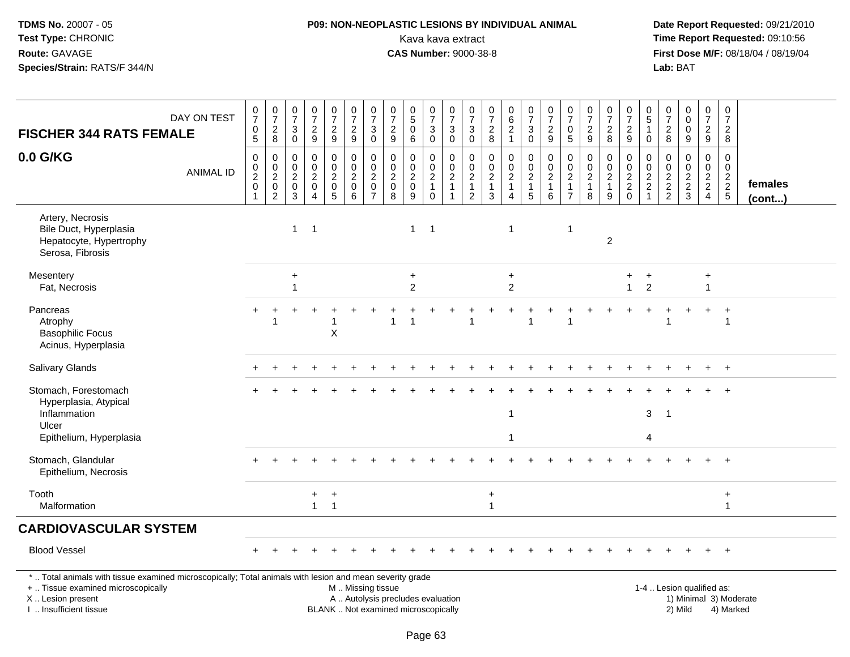# **P09: NON-NEOPLASTIC LESIONS BY INDIVIDUAL ANIMAL**Kava kava extract **Time Report Requested:** 09:10:56<br>**CAS Number:** 9000-38-8<br>**Tirst Dose M/F:** 08/18/04 / 08/19/04

| <b>FISCHER 344 RATS FEMALE</b>                                                                                                                                                                | DAY ON TEST      | $\frac{0}{7}$<br>0<br>5                                                                   | $\frac{0}{7}$<br>$\frac{2}{8}$                                                                            | $\frac{0}{7}$<br>3<br>$\mathbf 0$                      | $\begin{smallmatrix}0\\7\end{smallmatrix}$<br>$\frac{2}{9}$                   | $\begin{array}{c} 0 \\ 7 \end{array}$<br>$\frac{2}{9}$                      | $\begin{array}{c} 0 \\ 7 \end{array}$<br>$\frac{2}{9}$                                        | $\begin{array}{c} 0 \\ 7 \end{array}$<br>$\sqrt{3}$<br>$\mathbf 0$          | $\pmb{0}$<br>$\overline{7}$<br>$\sqrt{2}$<br>9               | $\pmb{0}$<br>$\overline{5}$<br>$\mathbf 0$<br>6                | $\frac{0}{7}$<br>$\mathbf{3}$<br>$\mathbf 0$                   | $\frac{0}{7}$<br>$\ensuremath{\mathsf{3}}$<br>0      | $\frac{0}{7}$<br>$\ensuremath{\mathsf{3}}$<br>0                 | 0<br>$\boldsymbol{7}$<br>$\frac{2}{8}$                | $\begin{array}{c} 0 \\ 6 \end{array}$<br>$\frac{2}{1}$       | $\begin{array}{c} 0 \\ 7 \end{array}$<br>$\ensuremath{\mathsf{3}}$<br>$\pmb{0}$ | $\begin{array}{c} 0 \\ 7 \end{array}$<br>$\frac{2}{9}$ | $\frac{0}{7}$<br>$\mathbf 0$<br>5                                      | $\begin{array}{c} 0 \\ 7 \end{array}$<br>$\frac{2}{9}$                                     | $\frac{0}{7}$<br>$\overline{\mathbf{c}}$<br>8           | $\frac{0}{7}$<br>$\overline{c}$<br>9                        | $\mathbf 0$<br>$\overline{5}$<br>0                                                              | $\mathbf 0$<br>$\overline{7}$<br>$\overline{c}$<br>8               | $\mathbf 0$<br>$\overline{0}$<br>$\mathbf 0$<br>9             | $\boldsymbol{0}$<br>$\overline{7}$<br>$\frac{2}{9}$                       | $\frac{0}{7}$<br>$\overline{\mathbf{c}}$<br>8                 |                   |
|-----------------------------------------------------------------------------------------------------------------------------------------------------------------------------------------------|------------------|-------------------------------------------------------------------------------------------|-----------------------------------------------------------------------------------------------------------|--------------------------------------------------------|-------------------------------------------------------------------------------|-----------------------------------------------------------------------------|-----------------------------------------------------------------------------------------------|-----------------------------------------------------------------------------|--------------------------------------------------------------|----------------------------------------------------------------|----------------------------------------------------------------|------------------------------------------------------|-----------------------------------------------------------------|-------------------------------------------------------|--------------------------------------------------------------|---------------------------------------------------------------------------------|--------------------------------------------------------|------------------------------------------------------------------------|--------------------------------------------------------------------------------------------|---------------------------------------------------------|-------------------------------------------------------------|-------------------------------------------------------------------------------------------------|--------------------------------------------------------------------|---------------------------------------------------------------|---------------------------------------------------------------------------|---------------------------------------------------------------|-------------------|
| 0.0 G/KG                                                                                                                                                                                      | <b>ANIMAL ID</b> | $\mathbf 0$<br>$\begin{smallmatrix}0\0\2\end{smallmatrix}$<br>$\mathsf 0$<br>$\mathbf{1}$ | $\pmb{0}$<br>$\begin{smallmatrix} 0\\2 \end{smallmatrix}$<br>$\begin{smallmatrix} 0\\2 \end{smallmatrix}$ | $\mathbf 0$<br>0<br>$\overline{2}$<br>$\mathbf 0$<br>3 | $\mathbf 0$<br>$\mathbf 0$<br>$\overline{2}$<br>$\mathsf 0$<br>$\overline{4}$ | $\mathbf 0$<br>$\pmb{0}$<br>$\overline{2}$<br>$\mathbf 0$<br>$\overline{5}$ | $\mathbf 0$<br>$\mathbf 0$<br>$\overline{2}$<br>$\mathsf{O}\xspace$<br>6                      | $\mathbf 0$<br>$\mathbf 0$<br>$\overline{2}$<br>$\pmb{0}$<br>$\overline{7}$ | $\mathbf 0$<br>$\mathbf 0$<br>$\sqrt{2}$<br>$\mathbf 0$<br>8 | $\mathbf 0$<br>$\pmb{0}$<br>$\overline{2}$<br>$\mathbf 0$<br>9 | 0<br>$\mathbf 0$<br>$\overline{2}$<br>$\mathbf{1}$<br>$\Omega$ | 0<br>$\frac{0}{2}$<br>$\mathbf{1}$<br>$\overline{1}$ | $\mathbf 0$<br>$_{2}^{\rm 0}$<br>$\mathbf{1}$<br>$\overline{2}$ | 0<br>$\pmb{0}$<br>$\overline{2}$<br>$\mathbf{1}$<br>3 | $\pmb{0}$<br>$\frac{0}{2}$<br>$\mathbf{1}$<br>$\overline{4}$ | 0<br>$\mathsf{O}\xspace$<br>$\overline{2}$<br>$\mathbf{1}$<br>$\overline{5}$    | $\pmb{0}$<br>$\frac{0}{2}$<br>$\mathbf{1}$<br>6        | 0<br>$\mathbf 0$<br>$\boldsymbol{2}$<br>$\mathbf{1}$<br>$\overline{7}$ | 0<br>$\begin{smallmatrix} 0\\2 \end{smallmatrix}$<br>$\begin{array}{c} 1 \\ 8 \end{array}$ | 0<br>$\mathbf 0$<br>$\overline{2}$<br>$\mathbf{1}$<br>9 | 0<br>$\mathsf{O}\xspace$<br>$\overline{2}$<br>$\frac{2}{0}$ | $\mathbf 0$<br>$\begin{smallmatrix} 0\\2 \end{smallmatrix}$<br>$\boldsymbol{2}$<br>$\mathbf{1}$ | $\mathbf 0$<br>$\boldsymbol{0}$<br>$\overline{2}$<br>$\frac{2}{2}$ | $\mathbf 0$<br>$\mathbf 0$<br>$\overline{c}$<br>$\frac{2}{3}$ | 0<br>$\overline{0}$<br>$\overline{2}$<br>$\overline{2}$<br>$\overline{4}$ | $\mathbf 0$<br>$\mathbf 0$<br>$\overline{2}$<br>$\frac{2}{5}$ | females<br>(cont) |
| Artery, Necrosis<br>Bile Duct, Hyperplasia<br>Hepatocyte, Hypertrophy<br>Serosa, Fibrosis                                                                                                     |                  |                                                                                           |                                                                                                           | $\mathbf{1}$                                           | $\overline{1}$                                                                |                                                                             |                                                                                               |                                                                             |                                                              | $\mathbf{1}$                                                   | $\overline{1}$                                                 |                                                      |                                                                 |                                                       | $\overline{1}$                                               |                                                                                 |                                                        | 1                                                                      |                                                                                            | $\overline{2}$                                          |                                                             |                                                                                                 |                                                                    |                                                               |                                                                           |                                                               |                   |
| Mesentery<br>Fat, Necrosis                                                                                                                                                                    |                  |                                                                                           |                                                                                                           | $\ddot{}$<br>$\overline{1}$                            |                                                                               |                                                                             |                                                                                               |                                                                             |                                                              | $\ddot{}$<br>2                                                 |                                                                |                                                      |                                                                 |                                                       | $\ddot{}$<br>$\overline{2}$                                  |                                                                                 |                                                        |                                                                        |                                                                                            |                                                         | $\ddot{}$<br>$\mathbf{1}$                                   | $\ddot{}$<br>$\overline{2}$                                                                     |                                                                    |                                                               | $\ddot{}$<br>$\mathbf{1}$                                                 |                                                               |                   |
| Pancreas<br>Atrophy<br><b>Basophilic Focus</b><br>Acinus, Hyperplasia                                                                                                                         |                  |                                                                                           | -1                                                                                                        |                                                        |                                                                               | $\sf X$                                                                     |                                                                                               |                                                                             | 1                                                            | -1                                                             |                                                                |                                                      | 1                                                               |                                                       |                                                              | 1                                                                               |                                                        | 1                                                                      |                                                                                            |                                                         |                                                             |                                                                                                 |                                                                    |                                                               |                                                                           | 1                                                             |                   |
| Salivary Glands                                                                                                                                                                               |                  |                                                                                           |                                                                                                           |                                                        |                                                                               |                                                                             |                                                                                               |                                                                             |                                                              |                                                                |                                                                |                                                      |                                                                 |                                                       |                                                              |                                                                                 |                                                        |                                                                        |                                                                                            |                                                         |                                                             |                                                                                                 |                                                                    |                                                               |                                                                           |                                                               |                   |
| Stomach, Forestomach<br>Hyperplasia, Atypical<br>Inflammation<br>Ulcer                                                                                                                        |                  |                                                                                           |                                                                                                           |                                                        |                                                                               |                                                                             |                                                                                               |                                                                             |                                                              |                                                                |                                                                |                                                      |                                                                 |                                                       | $\mathbf{1}$                                                 |                                                                                 |                                                        |                                                                        |                                                                                            |                                                         |                                                             | $\mathbf{3}$<br>4                                                                               | $\overline{1}$                                                     |                                                               |                                                                           |                                                               |                   |
| Epithelium, Hyperplasia<br>Stomach, Glandular<br>Epithelium, Necrosis                                                                                                                         |                  |                                                                                           |                                                                                                           |                                                        |                                                                               |                                                                             |                                                                                               |                                                                             |                                                              |                                                                |                                                                |                                                      |                                                                 |                                                       |                                                              |                                                                                 |                                                        |                                                                        |                                                                                            |                                                         |                                                             |                                                                                                 |                                                                    |                                                               |                                                                           |                                                               |                   |
| Tooth<br>Malformation                                                                                                                                                                         |                  |                                                                                           |                                                                                                           |                                                        | $+$<br>$\mathbf{1}$                                                           | $\ddot{}$<br>$\overline{1}$                                                 |                                                                                               |                                                                             |                                                              |                                                                |                                                                |                                                      |                                                                 | $\ddot{}$<br>1                                        |                                                              |                                                                                 |                                                        |                                                                        |                                                                                            |                                                         |                                                             |                                                                                                 |                                                                    |                                                               |                                                                           | $\ddot{}$<br>$\mathbf{1}$                                     |                   |
| <b>CARDIOVASCULAR SYSTEM</b>                                                                                                                                                                  |                  |                                                                                           |                                                                                                           |                                                        |                                                                               |                                                                             |                                                                                               |                                                                             |                                                              |                                                                |                                                                |                                                      |                                                                 |                                                       |                                                              |                                                                                 |                                                        |                                                                        |                                                                                            |                                                         |                                                             |                                                                                                 |                                                                    |                                                               |                                                                           |                                                               |                   |
| <b>Blood Vessel</b>                                                                                                                                                                           |                  |                                                                                           |                                                                                                           |                                                        |                                                                               |                                                                             |                                                                                               |                                                                             |                                                              |                                                                |                                                                |                                                      |                                                                 |                                                       |                                                              |                                                                                 |                                                        |                                                                        |                                                                                            |                                                         |                                                             |                                                                                                 |                                                                    |                                                               |                                                                           | $+$                                                           |                   |
| *  Total animals with tissue examined microscopically; Total animals with lesion and mean severity grade<br>+  Tissue examined microscopically<br>X  Lesion present<br>I. Insufficient tissue |                  |                                                                                           |                                                                                                           |                                                        |                                                                               |                                                                             | M  Missing tissue<br>A  Autolysis precludes evaluation<br>BLANK  Not examined microscopically |                                                                             |                                                              |                                                                |                                                                |                                                      |                                                                 |                                                       |                                                              |                                                                                 |                                                        |                                                                        |                                                                                            |                                                         |                                                             |                                                                                                 |                                                                    | 1-4  Lesion qualified as:<br>2) Mild                          |                                                                           | 1) Minimal 3) Moderate<br>4) Marked                           |                   |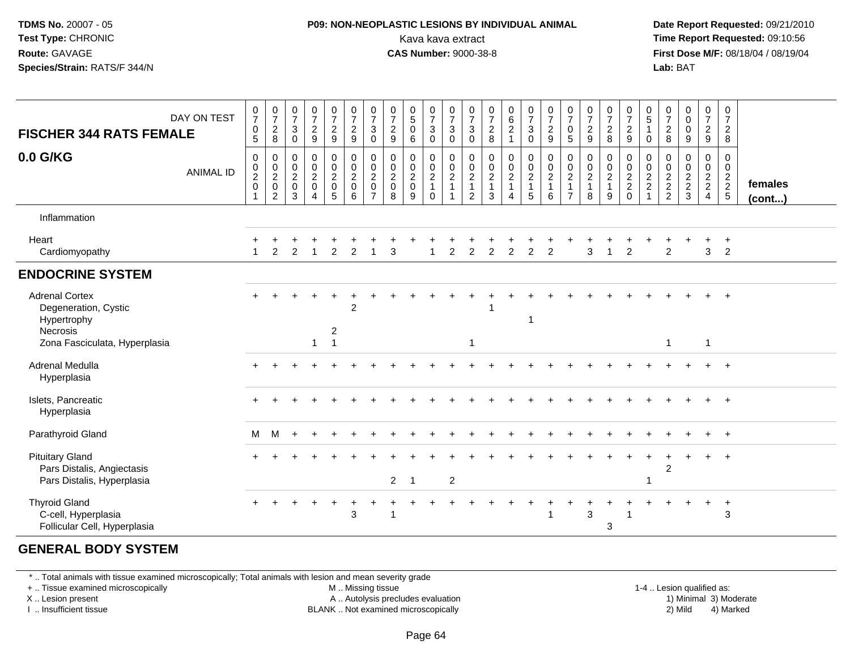### **P09: NON-NEOPLASTIC LESIONS BY INDIVIDUAL ANIMAL**Kava kava extract **Time Report Requested:** 09:10:56<br>**CAS Number:** 9000-38-8<br>**Tirst Dose M/F:** 08/18/04 / 08/19/04

 **Date Report Requested:** 09/21/2010 **First Dose M/F:** 08/18/04 / 08/19/04 Lab: BAT **Lab:** BAT

| <b>FISCHER 344 RATS FEMALE</b>                                                     | DAY ON TEST      | $\begin{smallmatrix}0\\7\end{smallmatrix}$<br>$\pmb{0}$<br>5                           | $\frac{0}{7}$<br>$\sqrt{2}$<br>8                              | $\frac{0}{7}$<br>$\sqrt{3}$<br>0                            | $\frac{0}{7}$<br>$\overline{2}$<br>$\boldsymbol{9}$              | $\frac{0}{7}$<br>$\overline{2}$<br>9                             | $\begin{array}{c} 0 \\ 7 \end{array}$<br>$\mathbf 2$<br>9 | $\frac{0}{7}$<br>$\sqrt{3}$<br>$\pmb{0}$                                       | $\frac{0}{7}$<br>$\sqrt{2}$<br>$\boldsymbol{9}$    | $\begin{array}{c} 0 \\ 5 \end{array}$<br>$\mathbf 0$<br>6        | $\frac{0}{7}$<br>3<br>0                                        | $\begin{array}{c} 0 \\ 7 \\ 3 \end{array}$<br>$\mathsf{O}\xspace$ | $\frac{0}{7}$<br>$\mathbf{3}$<br>0                            | $\frac{0}{7}$<br>$\sqrt{2}$<br>8                                       | $\begin{matrix} 0 \\ 6 \\ 2 \end{matrix}$<br>$\overline{1}$  | $\frac{0}{7}$<br>$\sqrt{3}$<br>$\pmb{0}$          | $\frac{0}{7}$<br>$\frac{2}{9}$                      | $\frac{0}{7}$<br>$\mathbf 0$<br>5                                                   | $\begin{array}{c} 0 \\ 7 \\ 2 \end{array}$<br>$\boldsymbol{9}$ | $\frac{0}{7}$<br>$\overline{2}$<br>8                                   | $\frac{0}{7}$<br>$\frac{2}{9}$                       | $\begin{array}{c} 0 \\ 5 \\ 1 \end{array}$<br>0 | $\frac{0}{7}$<br>8           | 0<br>$\pmb{0}$<br>$\mathsf{O}\xspace$<br>9 | $\frac{0}{7}$<br>$\frac{2}{9}$                      | $\mathbf 0$<br>$\boldsymbol{7}$<br>$\overline{2}$<br>8 |                   |
|------------------------------------------------------------------------------------|------------------|----------------------------------------------------------------------------------------|---------------------------------------------------------------|-------------------------------------------------------------|------------------------------------------------------------------|------------------------------------------------------------------|-----------------------------------------------------------|--------------------------------------------------------------------------------|----------------------------------------------------|------------------------------------------------------------------|----------------------------------------------------------------|-------------------------------------------------------------------|---------------------------------------------------------------|------------------------------------------------------------------------|--------------------------------------------------------------|---------------------------------------------------|-----------------------------------------------------|-------------------------------------------------------------------------------------|----------------------------------------------------------------|------------------------------------------------------------------------|------------------------------------------------------|-------------------------------------------------|------------------------------|--------------------------------------------|-----------------------------------------------------|--------------------------------------------------------|-------------------|
| 0.0 G/KG                                                                           | <b>ANIMAL ID</b> | 0<br>$\begin{smallmatrix} 0\\2 \end{smallmatrix}$<br>$\pmb{0}$<br>$\blacktriangleleft$ | $\mathbf 0$<br>$\frac{0}{2}$<br>$\mathbf 0$<br>$\overline{2}$ | 0<br>$\boldsymbol{0}$<br>$\overline{2}$<br>$\mathbf 0$<br>3 | 0<br>$\begin{smallmatrix} 0\\2 \end{smallmatrix}$<br>$\mathbf 0$ | 0<br>$^{\rm 0}_{\rm 2}$<br>$\begin{array}{c} 0 \\ 5 \end{array}$ | 0<br>$\frac{0}{2}$<br>$\mathsf{O}\xspace$<br>6            | $\begin{smallmatrix} 0\\0\\2 \end{smallmatrix}$<br>$\pmb{0}$<br>$\overline{7}$ | 0<br>$\pmb{0}$<br>$\overline{2}$<br>$\pmb{0}$<br>8 | 0<br>$\boldsymbol{0}$<br>$\overline{2}$<br>$\boldsymbol{0}$<br>9 | 0<br>$\mathbf 0$<br>$\overline{2}$<br>$\mathbf{1}$<br>$\Omega$ | $\begin{smallmatrix} 0\\0\\2 \end{smallmatrix}$<br>$\overline{1}$ | $\pmb{0}$<br>$_{2}^{\rm 0}$<br>$\mathbf{1}$<br>$\overline{2}$ | 0<br>$\begin{smallmatrix} 0\\2 \end{smallmatrix}$<br>$\mathbf{1}$<br>3 | $\pmb{0}$<br>$\frac{0}{2}$<br>$\mathbf{1}$<br>$\overline{4}$ | $\pmb{0}$<br>$\frac{0}{2}$<br>$\overline{1}$<br>5 | $\begin{matrix} 0 \\ 0 \\ 2 \\ 1 \end{matrix}$<br>6 | 0<br>$\begin{smallmatrix} 0\\2 \end{smallmatrix}$<br>$\mathbf{1}$<br>$\overline{7}$ | $\begin{array}{c} 0 \\ 0 \\ 2 \\ 1 \end{array}$<br>8           | 0<br>$\begin{smallmatrix} 0\\2 \end{smallmatrix}$<br>$\mathbf{1}$<br>9 | 0<br>$\begin{array}{c} 0 \\ 2 \\ 2 \\ 0 \end{array}$ | 0<br>$\frac{0}{2}$                              | 0<br>$\frac{0}{2}$<br>2<br>2 | 0<br>$\pmb{0}$<br>$\frac{2}{3}$            | 0<br>$\mathbf 0$<br>$\frac{2}{2}$<br>$\overline{4}$ | 0<br>$\overline{0}$<br>$\frac{2}{2}$<br>5              | females<br>(cont) |
| Inflammation                                                                       |                  |                                                                                        |                                                               |                                                             |                                                                  |                                                                  |                                                           |                                                                                |                                                    |                                                                  |                                                                |                                                                   |                                                               |                                                                        |                                                              |                                                   |                                                     |                                                                                     |                                                                |                                                                        |                                                      |                                                 |                              |                                            |                                                     |                                                        |                   |
| Heart<br>Cardiomyopathy                                                            |                  |                                                                                        | 2                                                             | $\overline{2}$                                              |                                                                  | $\overline{2}$                                                   | $\overline{2}$                                            |                                                                                | 3                                                  |                                                                  |                                                                | 2                                                                 | $\overline{2}$                                                | $\overline{2}$                                                         | $\overline{2}$                                               | $\overline{c}$                                    | $\overline{2}$                                      |                                                                                     | 3                                                              |                                                                        | $\overline{2}$                                       |                                                 | 2                            |                                            | 3                                                   | $\cdot$<br>$\overline{2}$                              |                   |
| <b>ENDOCRINE SYSTEM</b>                                                            |                  |                                                                                        |                                                               |                                                             |                                                                  |                                                                  |                                                           |                                                                                |                                                    |                                                                  |                                                                |                                                                   |                                                               |                                                                        |                                                              |                                                   |                                                     |                                                                                     |                                                                |                                                                        |                                                      |                                                 |                              |                                            |                                                     |                                                        |                   |
| <b>Adrenal Cortex</b><br>Degeneration, Cystic<br>Hypertrophy<br>Necrosis           |                  |                                                                                        |                                                               |                                                             |                                                                  | $\ddot{}$<br>$\overline{\mathbf{c}}$                             | $\overline{2}$                                            |                                                                                |                                                    |                                                                  |                                                                |                                                                   |                                                               |                                                                        |                                                              | -1                                                |                                                     |                                                                                     |                                                                |                                                                        |                                                      |                                                 |                              |                                            |                                                     |                                                        |                   |
| Zona Fasciculata, Hyperplasia                                                      |                  |                                                                                        |                                                               |                                                             | -1                                                               | $\overline{1}$                                                   |                                                           |                                                                                |                                                    |                                                                  |                                                                |                                                                   | $\mathbf 1$                                                   |                                                                        |                                                              |                                                   |                                                     |                                                                                     |                                                                |                                                                        |                                                      |                                                 | -1                           |                                            | 1                                                   |                                                        |                   |
| <b>Adrenal Medulla</b><br>Hyperplasia                                              |                  |                                                                                        |                                                               |                                                             |                                                                  |                                                                  |                                                           |                                                                                |                                                    |                                                                  |                                                                |                                                                   |                                                               |                                                                        |                                                              |                                                   |                                                     |                                                                                     |                                                                |                                                                        |                                                      |                                                 |                              |                                            |                                                     |                                                        |                   |
| Islets, Pancreatic<br>Hyperplasia                                                  |                  |                                                                                        |                                                               |                                                             |                                                                  |                                                                  |                                                           |                                                                                |                                                    |                                                                  |                                                                |                                                                   |                                                               |                                                                        |                                                              |                                                   |                                                     |                                                                                     |                                                                |                                                                        |                                                      |                                                 |                              |                                            |                                                     |                                                        |                   |
| Parathyroid Gland                                                                  |                  | M                                                                                      | M                                                             |                                                             |                                                                  |                                                                  |                                                           |                                                                                |                                                    |                                                                  |                                                                |                                                                   |                                                               |                                                                        |                                                              |                                                   |                                                     |                                                                                     |                                                                |                                                                        |                                                      |                                                 |                              |                                            |                                                     | $+$                                                    |                   |
| <b>Pituitary Gland</b><br>Pars Distalis, Angiectasis<br>Pars Distalis, Hyperplasia |                  |                                                                                        |                                                               |                                                             |                                                                  |                                                                  |                                                           |                                                                                | $2^{\circ}$                                        | -1                                                               |                                                                | 2                                                                 |                                                               |                                                                        |                                                              |                                                   |                                                     |                                                                                     |                                                                |                                                                        |                                                      |                                                 | $\overline{2}$               |                                            | $+$                                                 | $+$                                                    |                   |
| <b>Thyroid Gland</b><br>C-cell, Hyperplasia<br>Follicular Cell, Hyperplasia        |                  | +                                                                                      |                                                               |                                                             |                                                                  | $\ddot{}$                                                        | $\ddot{}$<br>3                                            |                                                                                | -1                                                 |                                                                  |                                                                |                                                                   |                                                               |                                                                        |                                                              |                                                   |                                                     |                                                                                     | 3                                                              | 3                                                                      |                                                      |                                                 |                              |                                            | $\ddot{}$                                           | $\overline{1}$<br>3                                    |                   |

#### **GENERAL BODY SYSTEM**

\* .. Total animals with tissue examined microscopically; Total animals with lesion and mean severity grade

+ .. Tissue examined microscopically

X .. Lesion present

I .. Insufficient tissue

M .. Missing tissue

A .. Autolysis precludes evaluation

BLANK .. Not examined microscopically 2) Mild 4) Marked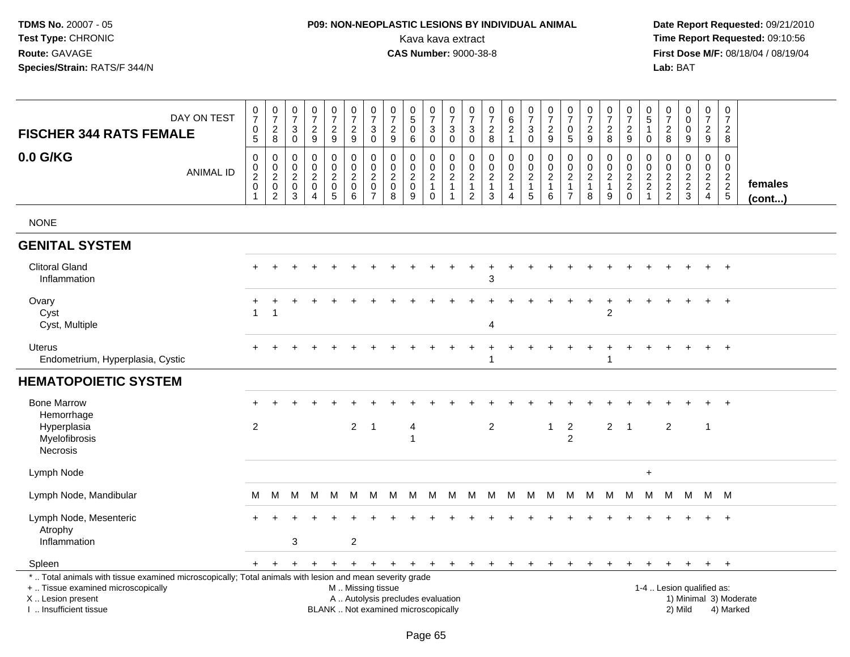# **P09: NON-NEOPLASTIC LESIONS BY INDIVIDUAL ANIMAL**Kava kava extract **Time Report Requested:** 09:10:56<br>**CAS Number:** 9000-38-8 **CAS Number:** 9000-38-8

| DAY ON TEST<br><b>FISCHER 344 RATS FEMALE</b>                                                                                                                                                 |                  | $\begin{array}{c} 0 \\ 7 \end{array}$<br>$\mathsf{O}\xspace$<br>5 | $\begin{array}{c} 0 \\ 7 \end{array}$<br>$\sqrt{2}$<br>8         | $\begin{array}{c} 0 \\ 7 \end{array}$<br>3<br>$\mathbf 0$        | $\begin{smallmatrix} 0\\7 \end{smallmatrix}$<br>$\overline{c}$<br>9               | $\frac{0}{7}$<br>$\sqrt{2}$<br>9                          | $\frac{0}{7}$<br>$\overline{c}$<br>9                 | $\frac{0}{7}$<br>3<br>$\mathbf 0$                               | $\begin{array}{c} 0 \\ 7 \end{array}$<br>$\overline{c}$<br>9 | $\begin{array}{c} 0 \\ 5 \end{array}$<br>$\mathbf 0$<br>6                        | $\begin{array}{c} 0 \\ 7 \end{array}$<br>$\mathsf 3$<br>$\mathbf 0$     | $\frac{0}{7}$<br>$\sqrt{3}$<br>$\mathbf 0$                                              | $\pmb{0}$<br>$\overline{7}$<br>$\mathbf{3}$<br>$\mathbf 0$                 | $\begin{array}{c} 0 \\ 7 \end{array}$<br>$\boldsymbol{2}$<br>8   | $\begin{matrix} 0 \\ 6 \\ 2 \end{matrix}$<br>$\mathbf{1}$            | $\frac{0}{7}$<br>$\mathbf{3}$<br>$\mathsf{O}$    | $\begin{array}{c} 0 \\ 7 \end{array}$<br>$\sqrt{2}$<br>9          | $\begin{smallmatrix}0\\7\end{smallmatrix}$<br>$\mathbf 0$<br>$\sqrt{5}$ | $\begin{array}{c} 0 \\ 7 \end{array}$<br>$\sqrt{2}$<br>$\boldsymbol{9}$ | $\frac{0}{7}$<br>$\sqrt{2}$<br>8                                | $\frac{0}{7}$<br>$\sqrt{2}$<br>9                 | 0<br>5<br>$\mathbf{1}$<br>$\mathbf 0$                                | 0<br>$\boldsymbol{7}$<br>$\sqrt{2}$<br>8                       | $\begin{smallmatrix} 0\\0 \end{smallmatrix}$<br>$\mathbf 0$<br>9 | $\begin{smallmatrix} 0\\7 \end{smallmatrix}$<br>$\sqrt{2}$<br>9 | $\pmb{0}$<br>$\overline{7}$<br>$\overline{2}$<br>8     |                         |
|-----------------------------------------------------------------------------------------------------------------------------------------------------------------------------------------------|------------------|-------------------------------------------------------------------|------------------------------------------------------------------|------------------------------------------------------------------|-----------------------------------------------------------------------------------|-----------------------------------------------------------|------------------------------------------------------|-----------------------------------------------------------------|--------------------------------------------------------------|----------------------------------------------------------------------------------|-------------------------------------------------------------------------|-----------------------------------------------------------------------------------------|----------------------------------------------------------------------------|------------------------------------------------------------------|----------------------------------------------------------------------|--------------------------------------------------|-------------------------------------------------------------------|-------------------------------------------------------------------------|-------------------------------------------------------------------------|-----------------------------------------------------------------|--------------------------------------------------|----------------------------------------------------------------------|----------------------------------------------------------------|------------------------------------------------------------------|-----------------------------------------------------------------|--------------------------------------------------------|-------------------------|
| 0.0 G/KG                                                                                                                                                                                      | <b>ANIMAL ID</b> | $\mathbf 0$<br>$^{\rm 0}_{\rm 2}$<br>$\mathbf 0$                  | 0<br>$\begin{matrix} 0 \\ 2 \\ 0 \end{matrix}$<br>$\overline{c}$ | $\mathbf 0$<br>$\mathbf 0$<br>$\overline{2}$<br>$\mathbf 0$<br>3 | $\mathbf 0$<br>$\pmb{0}$<br>$\overline{2}$<br>$\pmb{0}$<br>$\boldsymbol{\Lambda}$ | 0<br>$\mathbf 0$<br>$\sqrt{2}$<br>$\pmb{0}$<br>$\sqrt{5}$ | 0<br>$\mathsf 0$<br>$\overline{2}$<br>$\pmb{0}$<br>6 | 0<br>$\pmb{0}$<br>$\overline{c}$<br>$\pmb{0}$<br>$\overline{7}$ | 0<br>0<br>$\overline{2}$<br>$\pmb{0}$<br>$\bf8$              | $\mathbf 0$<br>$\mathsf{O}\xspace$<br>$\overline{2}$<br>$\mathsf{O}\xspace$<br>9 | $\mathbf 0$<br>$\mathbf 0$<br>$\sqrt{2}$<br>$\mathbf{1}$<br>$\mathbf 0$ | $\mathbf{0}$<br>$\mathsf{O}\xspace$<br>$\overline{2}$<br>$\mathbf{1}$<br>$\overline{1}$ | $\mathbf 0$<br>$\mathbf 0$<br>$\sqrt{2}$<br>$\mathbf{1}$<br>$\overline{2}$ | 0<br>$\pmb{0}$<br>$\overline{c}$<br>$\mathbf{1}$<br>$\mathbf{3}$ | 0<br>$\mathbf 0$<br>$\overline{2}$<br>$\mathbf{1}$<br>$\overline{4}$ | 0<br>$\mathsf{O}$<br>$\frac{2}{1}$<br>$\sqrt{5}$ | $\mathbf 0$<br>$\pmb{0}$<br>$\boldsymbol{2}$<br>$\mathbf{1}$<br>6 | 0<br>$\mathbf 0$<br>$\sqrt{2}$<br>$\mathbf{1}$<br>$\overline{7}$        | $\Omega$<br>$\pmb{0}$<br>$\sqrt{2}$<br>$\mathbf{1}$<br>8                | 0<br>$\mathsf{O}\xspace$<br>$\overline{2}$<br>$\mathbf{1}$<br>9 | $\mathbf 0$<br>$\mathsf 0$<br>$\frac{2}{2}$<br>0 | 0<br>$\mathbf 0$<br>$\overline{c}$<br>$\overline{a}$<br>$\mathbf{1}$ | $\mathbf 0$<br>0<br>$\begin{array}{c} 2 \\ 2 \\ 2 \end{array}$ | $\mathbf 0$<br>$\mathbf 0$<br>$\frac{2}{3}$                      | $\mathbf 0$<br>$\mathbf 0$<br>$\frac{2}{2}$<br>$\overline{4}$   | $\Omega$<br>$\mathbf 0$<br>$\frac{2}{2}$<br>$\sqrt{5}$ | females<br>$($ cont $)$ |
| <b>NONE</b>                                                                                                                                                                                   |                  |                                                                   |                                                                  |                                                                  |                                                                                   |                                                           |                                                      |                                                                 |                                                              |                                                                                  |                                                                         |                                                                                         |                                                                            |                                                                  |                                                                      |                                                  |                                                                   |                                                                         |                                                                         |                                                                 |                                                  |                                                                      |                                                                |                                                                  |                                                                 |                                                        |                         |
| <b>GENITAL SYSTEM</b>                                                                                                                                                                         |                  |                                                                   |                                                                  |                                                                  |                                                                                   |                                                           |                                                      |                                                                 |                                                              |                                                                                  |                                                                         |                                                                                         |                                                                            |                                                                  |                                                                      |                                                  |                                                                   |                                                                         |                                                                         |                                                                 |                                                  |                                                                      |                                                                |                                                                  |                                                                 |                                                        |                         |
| <b>Clitoral Gland</b><br>Inflammation                                                                                                                                                         |                  |                                                                   |                                                                  |                                                                  |                                                                                   |                                                           |                                                      |                                                                 |                                                              |                                                                                  |                                                                         |                                                                                         |                                                                            | 3                                                                |                                                                      |                                                  |                                                                   |                                                                         |                                                                         |                                                                 |                                                  |                                                                      |                                                                |                                                                  |                                                                 | $\overline{+}$                                         |                         |
| Ovary<br>Cyst<br>Cyst, Multiple                                                                                                                                                               |                  |                                                                   |                                                                  |                                                                  |                                                                                   |                                                           |                                                      |                                                                 |                                                              |                                                                                  |                                                                         |                                                                                         |                                                                            | 4                                                                |                                                                      |                                                  |                                                                   |                                                                         |                                                                         | $\overline{2}$                                                  |                                                  |                                                                      |                                                                |                                                                  |                                                                 | $+$                                                    |                         |
| <b>Uterus</b><br>Endometrium, Hyperplasia, Cystic                                                                                                                                             |                  |                                                                   |                                                                  |                                                                  |                                                                                   |                                                           |                                                      |                                                                 |                                                              |                                                                                  |                                                                         |                                                                                         |                                                                            |                                                                  |                                                                      |                                                  |                                                                   |                                                                         |                                                                         | 1                                                               |                                                  |                                                                      |                                                                |                                                                  |                                                                 | $\overline{+}$                                         |                         |
| <b>HEMATOPOIETIC SYSTEM</b>                                                                                                                                                                   |                  |                                                                   |                                                                  |                                                                  |                                                                                   |                                                           |                                                      |                                                                 |                                                              |                                                                                  |                                                                         |                                                                                         |                                                                            |                                                                  |                                                                      |                                                  |                                                                   |                                                                         |                                                                         |                                                                 |                                                  |                                                                      |                                                                |                                                                  |                                                                 |                                                        |                         |
| <b>Bone Marrow</b><br>Hemorrhage<br>Hyperplasia<br>Myelofibrosis<br>Necrosis                                                                                                                  |                  | $\overline{2}$                                                    |                                                                  |                                                                  |                                                                                   |                                                           | $2^{\circ}$                                          | $\overline{1}$                                                  |                                                              | 4<br>$\overline{1}$                                                              |                                                                         |                                                                                         |                                                                            | $\overline{c}$                                                   |                                                                      |                                                  | $\mathbf{1}$                                                      | $\overline{c}$<br>$\overline{2}$                                        |                                                                         | $\overline{a}$                                                  | $\overline{1}$                                   |                                                                      | $\overline{2}$                                                 |                                                                  | $\overline{1}$                                                  |                                                        |                         |
| Lymph Node                                                                                                                                                                                    |                  |                                                                   |                                                                  |                                                                  |                                                                                   |                                                           |                                                      |                                                                 |                                                              |                                                                                  |                                                                         |                                                                                         |                                                                            |                                                                  |                                                                      |                                                  |                                                                   |                                                                         |                                                                         |                                                                 |                                                  | $\ddot{}$                                                            |                                                                |                                                                  |                                                                 |                                                        |                         |
| Lymph Node, Mandibular                                                                                                                                                                        |                  | M                                                                 | M                                                                | М                                                                | M                                                                                 | M                                                         | M                                                    | M                                                               | M                                                            | M                                                                                | M                                                                       | M                                                                                       |                                                                            | M M M                                                            |                                                                      | <b>M</b>                                         |                                                                   |                                                                         | M M M M M                                                               |                                                                 |                                                  | M                                                                    |                                                                | M M M M                                                          |                                                                 |                                                        |                         |
| Lymph Node, Mesenteric<br>Atrophy<br>Inflammation                                                                                                                                             |                  |                                                                   |                                                                  | 3                                                                |                                                                                   |                                                           | $\overline{c}$                                       |                                                                 |                                                              |                                                                                  |                                                                         |                                                                                         |                                                                            |                                                                  |                                                                      |                                                  |                                                                   |                                                                         |                                                                         |                                                                 |                                                  |                                                                      |                                                                |                                                                  |                                                                 | $+$                                                    |                         |
| Spleen                                                                                                                                                                                        |                  | $+$                                                               | $+$                                                              | $\ddot{}$                                                        | $\ddot{}$                                                                         | $\overline{+}$                                            | $+$                                                  | $+$                                                             | $+$                                                          | $+$                                                                              | $+$                                                                     | $+$                                                                                     | $+$                                                                        | $\ddot{}$                                                        | $\ddot{}$                                                            | $+$                                              | $\ddot{}$                                                         | $+$                                                                     | $\ddot{}$                                                               | $\ddot{}$                                                       |                                                  | $\ddot{}$                                                            |                                                                | $\ddot{}$                                                        | $+$ $+$                                                         |                                                        |                         |
| *  Total animals with tissue examined microscopically; Total animals with lesion and mean severity grade<br>+  Tissue examined microscopically<br>X  Lesion present<br>I  Insufficient tissue |                  |                                                                   |                                                                  |                                                                  |                                                                                   |                                                           | M  Missing tissue                                    |                                                                 |                                                              | A  Autolysis precludes evaluation<br>BLANK  Not examined microscopically         |                                                                         |                                                                                         |                                                                            |                                                                  |                                                                      |                                                  |                                                                   |                                                                         |                                                                         |                                                                 |                                                  |                                                                      |                                                                | 1-4  Lesion qualified as:<br>2) Mild                             |                                                                 | 1) Minimal 3) Moderate<br>4) Marked                    |                         |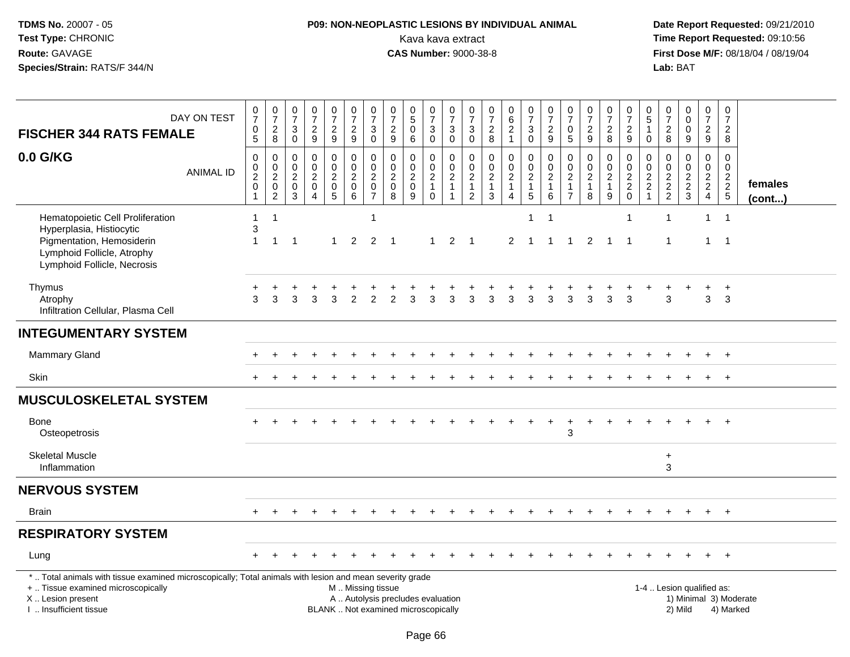# **P09: NON-NEOPLASTIC LESIONS BY INDIVIDUAL ANIMAL**Kava kava extract **Time Report Requested:** 09:10:56<br>**CAS Number:** 9000-38-8 **CAS Number:** 9000-38-8

| DAY ON TEST<br><b>FISCHER 344 RATS FEMALE</b>                                                                                                                                                | $\mathbf 0$<br>$\overline{7}$<br>$\pmb{0}$<br>$\sqrt{5}$                                 | $\frac{0}{7}$<br>$_{\rm 8}^2$                       | 0<br>$\overline{7}$<br>3<br>$\mathbf 0$                | $\pmb{0}$<br>$\overline{7}$<br>$\boldsymbol{2}$<br>9                        | $\frac{0}{7}$<br>$\overline{c}$<br>$\boldsymbol{9}$                                 | $\frac{0}{7}$<br>$\overline{a}$<br>9                                         | $\frac{0}{7}$<br>$\sqrt{3}$<br>$\mathbf 0$                                        | 0<br>$\overline{7}$<br>$\overline{c}$<br>$\boldsymbol{9}$ | $\begin{array}{c} 0 \\ 5 \end{array}$<br>$\overline{0}$<br>$\,6\,$       | $\frac{0}{7}$<br>3<br>$\mathbf 0$                                 | $\frac{0}{7}$<br>$\mathbf{3}$<br>$\mathbf 0$ | 0<br>$\overline{7}$<br>3<br>$\mathsf 0$                              | 0<br>$\boldsymbol{7}$<br>$\frac{2}{8}$      | $\begin{matrix} 0 \\ 6 \\ 2 \end{matrix}$<br>$\mathbf{1}$                            | 0<br>$\overline{7}$<br>$\mathbf{3}$<br>$\mathsf{O}\xspace$  | $\frac{0}{7}$<br>$\boldsymbol{2}$<br>9                       | $\pmb{0}$<br>$\overline{7}$<br>0<br>$\overline{5}$                                 | $\pmb{0}$<br>$\overline{7}$<br>$\sqrt{2}$<br>9 | $\frac{0}{7}$<br>$\overline{c}$<br>8                    | $\frac{0}{7}$<br>$\overline{2}$<br>$9\,$             | 0<br>5<br>$\mathbf{1}$<br>$\mathbf 0$                                                | 0<br>$\overline{7}$<br>$\overline{c}$<br>$\,8\,$ | $\begin{smallmatrix}0\\0\end{smallmatrix}$<br>$\mathsf{O}\xspace$<br>$\boldsymbol{9}$ | $\mathbf 0$<br>$\overline{7}$<br>$\overline{2}$<br>9         | $\pmb{0}$<br>$\overline{7}$<br>$\overline{2}$<br>8 |                         |
|----------------------------------------------------------------------------------------------------------------------------------------------------------------------------------------------|------------------------------------------------------------------------------------------|-----------------------------------------------------|--------------------------------------------------------|-----------------------------------------------------------------------------|-------------------------------------------------------------------------------------|------------------------------------------------------------------------------|-----------------------------------------------------------------------------------|-----------------------------------------------------------|--------------------------------------------------------------------------|-------------------------------------------------------------------|----------------------------------------------|----------------------------------------------------------------------|---------------------------------------------|--------------------------------------------------------------------------------------|-------------------------------------------------------------|--------------------------------------------------------------|------------------------------------------------------------------------------------|------------------------------------------------|---------------------------------------------------------|------------------------------------------------------|--------------------------------------------------------------------------------------|--------------------------------------------------|---------------------------------------------------------------------------------------|--------------------------------------------------------------|----------------------------------------------------|-------------------------|
| 0.0 G/KG<br><b>ANIMAL ID</b>                                                                                                                                                                 | $\pmb{0}$<br>$\begin{smallmatrix} 0\\2 \end{smallmatrix}$<br>$\mathbf 0$<br>$\mathbf{1}$ | 0<br>$\begin{matrix} 0 \\ 2 \\ 0 \\ 2 \end{matrix}$ | 0<br>$\mathbf 0$<br>$\boldsymbol{2}$<br>$\pmb{0}$<br>3 | $\pmb{0}$<br>$\mathbf 0$<br>$\boldsymbol{2}$<br>$\pmb{0}$<br>$\overline{4}$ | 0<br>$\mathsf{O}\xspace$<br>$\overline{c}$<br>$\begin{array}{c} 0 \\ 5 \end{array}$ | $\pmb{0}$<br>$\ddot{\mathbf{0}}$<br>$\overline{2}$<br>$\mathbf 0$<br>$\,6\,$ | $\pmb{0}$<br>$\mathsf{O}\xspace$<br>$\overline{2}$<br>$\pmb{0}$<br>$\overline{7}$ | 0<br>0<br>$\overline{c}$<br>$\pmb{0}$<br>8                | $\pmb{0}$<br>$\pmb{0}$<br>$\frac{2}{0}$<br>9                             | 0<br>$\mathbf 0$<br>$\overline{2}$<br>$\mathbf{1}$<br>$\mathbf 0$ | $\pmb{0}$<br>$\frac{0}{2}$<br>$\overline{1}$ | 0<br>$\mathsf 0$<br>$\overline{c}$<br>$\mathbf{1}$<br>$\overline{2}$ | $\pmb{0}$<br>$\frac{0}{2}$<br>$\frac{1}{3}$ | $\pmb{0}$<br>$\mathsf{O}\xspace$<br>$\overline{2}$<br>$\mathbf{1}$<br>$\overline{4}$ | 0<br>$\frac{0}{2}$<br>$\begin{array}{c} 1 \\ 5 \end{array}$ | $\pmb{0}$<br>$\mathsf{O}\xspace$<br>$\frac{2}{1}$<br>$\,6\,$ | $\mathbf 0$<br>$\mathbf 0$<br>$\boldsymbol{2}$<br>$\overline{1}$<br>$\overline{7}$ | $\pmb{0}$<br>$\pmb{0}$<br>$\frac{2}{1}$        | 0<br>$\mathbf 0$<br>$\overline{c}$<br>$\mathbf{1}$<br>9 | 0<br>$\begin{array}{c} 0 \\ 2 \\ 2 \\ 0 \end{array}$ | $\pmb{0}$<br>$\mathsf{O}\xspace$<br>$\overline{2}$<br>$\overline{c}$<br>$\mathbf{1}$ | 0<br>0<br>$\frac{2}{2}$                          | $\mathbf 0$<br>$\mathsf{O}\xspace$<br>$\frac{2}{3}$                                   | 0<br>$\mathbf 0$<br>$\frac{2}{2}$<br>$\overline{\mathbf{4}}$ | $\mathbf 0$<br>$\mathsf 0$<br>$\frac{2}{2}$        | females<br>$($ cont $)$ |
| Hematopoietic Cell Proliferation<br>Hyperplasia, Histiocytic<br>Pigmentation, Hemosiderin<br>Lymphoid Follicle, Atrophy<br>Lymphoid Follicle, Necrosis                                       | $\mathbf{1}$<br>3<br>$\mathbf{1}$                                                        | $\overline{1}$<br>$\overline{1}$                    | -1                                                     |                                                                             | 1                                                                                   | $\overline{2}$                                                               | $\mathbf{1}$<br>$\overline{2}$                                                    | -1                                                        |                                                                          | $\mathbf 1$                                                       | $\overline{2}$                               | - 1                                                                  |                                             | $\overline{2}$                                                                       | $\mathbf{1}$<br>$\mathbf{1}$                                | $\overline{1}$<br>$\overline{1}$                             | $\mathbf 1$                                                                        | 2                                              | $\mathbf 1$                                             | 1<br>$\overline{1}$                                  |                                                                                      | $\overline{1}$<br>$\overline{1}$                 |                                                                                       | $\mathbf{1}$<br>$\mathbf{1}$                                 | $\overline{1}$<br>$\overline{1}$                   |                         |
| Thymus<br>Atrophy<br>Infiltration Cellular, Plasma Cell                                                                                                                                      | $\ddot{}$<br>3                                                                           | 3                                                   | 3                                                      | 3                                                                           | 3                                                                                   | 2                                                                            | 2                                                                                 | $\mathfrak{p}$                                            | 3                                                                        | 3                                                                 | 3                                            | 3                                                                    | 3                                           | 3                                                                                    | 3                                                           | 3                                                            | 3                                                                                  | 3                                              | 3                                                       | 3                                                    |                                                                                      | 3                                                |                                                                                       | $\ddot{}$<br>3                                               | $+$<br>3                                           |                         |
| <b>INTEGUMENTARY SYSTEM</b>                                                                                                                                                                  |                                                                                          |                                                     |                                                        |                                                                             |                                                                                     |                                                                              |                                                                                   |                                                           |                                                                          |                                                                   |                                              |                                                                      |                                             |                                                                                      |                                                             |                                                              |                                                                                    |                                                |                                                         |                                                      |                                                                                      |                                                  |                                                                                       |                                                              |                                                    |                         |
| <b>Mammary Gland</b>                                                                                                                                                                         |                                                                                          |                                                     |                                                        |                                                                             |                                                                                     |                                                                              |                                                                                   |                                                           |                                                                          |                                                                   |                                              |                                                                      |                                             |                                                                                      |                                                             |                                                              |                                                                                    |                                                |                                                         |                                                      |                                                                                      |                                                  |                                                                                       |                                                              | $\overline{+}$                                     |                         |
| Skin                                                                                                                                                                                         |                                                                                          |                                                     |                                                        |                                                                             |                                                                                     |                                                                              |                                                                                   |                                                           |                                                                          |                                                                   |                                              |                                                                      |                                             |                                                                                      |                                                             |                                                              |                                                                                    |                                                |                                                         |                                                      |                                                                                      |                                                  |                                                                                       |                                                              | $+$                                                |                         |
| <b>MUSCULOSKELETAL SYSTEM</b>                                                                                                                                                                |                                                                                          |                                                     |                                                        |                                                                             |                                                                                     |                                                                              |                                                                                   |                                                           |                                                                          |                                                                   |                                              |                                                                      |                                             |                                                                                      |                                                             |                                                              |                                                                                    |                                                |                                                         |                                                      |                                                                                      |                                                  |                                                                                       |                                                              |                                                    |                         |
| <b>Bone</b><br>Osteopetrosis                                                                                                                                                                 | $+$                                                                                      |                                                     |                                                        |                                                                             |                                                                                     |                                                                              |                                                                                   |                                                           |                                                                          |                                                                   |                                              |                                                                      |                                             |                                                                                      |                                                             |                                                              | 3                                                                                  |                                                |                                                         |                                                      |                                                                                      |                                                  |                                                                                       | $+$                                                          | $+$                                                |                         |
| <b>Skeletal Muscle</b><br>Inflammation                                                                                                                                                       |                                                                                          |                                                     |                                                        |                                                                             |                                                                                     |                                                                              |                                                                                   |                                                           |                                                                          |                                                                   |                                              |                                                                      |                                             |                                                                                      |                                                             |                                                              |                                                                                    |                                                |                                                         |                                                      |                                                                                      | $\ddot{}$<br>3                                   |                                                                                       |                                                              |                                                    |                         |
| <b>NERVOUS SYSTEM</b>                                                                                                                                                                        |                                                                                          |                                                     |                                                        |                                                                             |                                                                                     |                                                                              |                                                                                   |                                                           |                                                                          |                                                                   |                                              |                                                                      |                                             |                                                                                      |                                                             |                                                              |                                                                                    |                                                |                                                         |                                                      |                                                                                      |                                                  |                                                                                       |                                                              |                                                    |                         |
| <b>Brain</b>                                                                                                                                                                                 | $+$                                                                                      |                                                     |                                                        |                                                                             |                                                                                     |                                                                              |                                                                                   |                                                           |                                                                          |                                                                   |                                              |                                                                      |                                             |                                                                                      |                                                             |                                                              |                                                                                    |                                                |                                                         |                                                      |                                                                                      |                                                  | $\overline{ }$                                                                        | $+$                                                          | $+$                                                |                         |
| <b>RESPIRATORY SYSTEM</b>                                                                                                                                                                    |                                                                                          |                                                     |                                                        |                                                                             |                                                                                     |                                                                              |                                                                                   |                                                           |                                                                          |                                                                   |                                              |                                                                      |                                             |                                                                                      |                                                             |                                                              |                                                                                    |                                                |                                                         |                                                      |                                                                                      |                                                  |                                                                                       |                                                              |                                                    |                         |
| Lung                                                                                                                                                                                         |                                                                                          |                                                     |                                                        |                                                                             |                                                                                     |                                                                              |                                                                                   |                                                           |                                                                          |                                                                   |                                              |                                                                      |                                             |                                                                                      |                                                             |                                                              |                                                                                    |                                                |                                                         |                                                      |                                                                                      |                                                  |                                                                                       |                                                              | $\overline{+}$                                     |                         |
| *  Total animals with tissue examined microscopically; Total animals with lesion and mean severity grade<br>+  Tissue examined microscopically<br>X Lesion present<br>I  Insufficient tissue |                                                                                          |                                                     |                                                        |                                                                             |                                                                                     | M  Missing tissue                                                            |                                                                                   |                                                           | A  Autolysis precludes evaluation<br>BLANK  Not examined microscopically |                                                                   |                                              |                                                                      |                                             |                                                                                      |                                                             |                                                              |                                                                                    |                                                |                                                         |                                                      |                                                                                      |                                                  | 1-4  Lesion qualified as:<br>2) Mild                                                  |                                                              | 4) Marked                                          | 1) Minimal 3) Moderate  |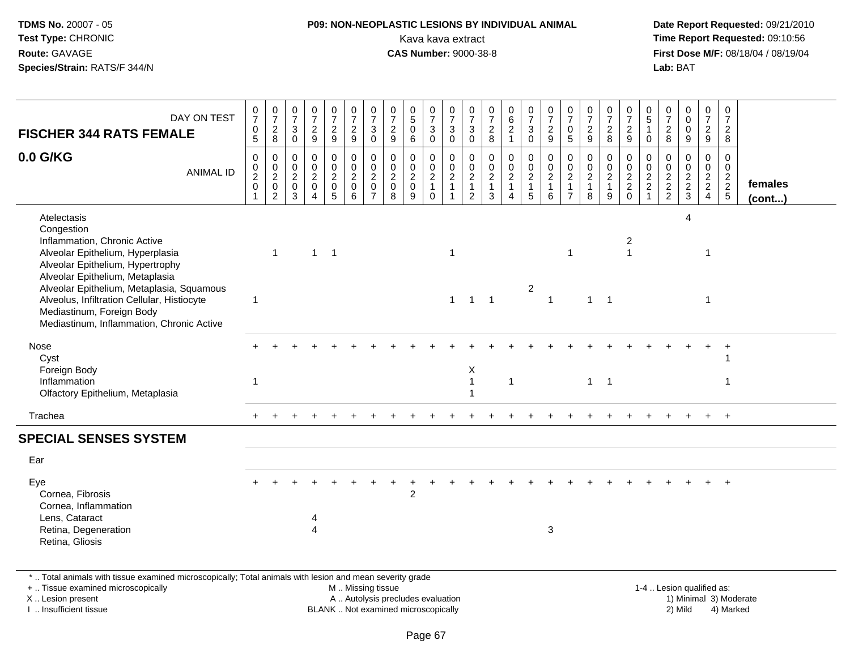### **P09: NON-NEOPLASTIC LESIONS BY INDIVIDUAL ANIMAL**Kava kava extract **Time Report Requested:** 09:10:56<br>**CAS Number:** 9000-38-8<br>**Tirst Dose M/F:** 08/18/04 / 08/19/04

 **Date Report Requested:** 09/21/2010 **First Dose M/F:** 08/18/04 / 08/19/04 Lab: BAT **Lab:** BAT

| $\frac{0}{7}$<br>$\pmb{0}$<br>$\overline{5}$                                   | $\frac{0}{7}$<br>$_{\rm 8}^2$                                                | $\frac{0}{7}$<br>$\mathbf{3}$<br>$\mathbf 0$ | $\frac{0}{7}$<br>$\frac{2}{9}$                                           | $\frac{0}{7}$<br>$\frac{2}{9}$                  | $\frac{0}{7}$<br>$\frac{2}{9}$                                    | $\frac{0}{7}$<br>$\mathbf{3}$<br>$\pmb{0}$ | $\frac{0}{7}$<br>$\frac{2}{9}$                 | $\begin{matrix} 0 \\ 5 \\ 0 \end{matrix}$<br>6 | $\frac{0}{7}$<br>$\sqrt{3}$<br>$\mathsf{O}\xspace$          | $\frac{0}{7}$<br>$\sqrt{3}$<br>$\mathbf 0$                      | $\frac{0}{7}$<br>$_{0}^{3}$                              | $\frac{0}{7}$<br>8                                | $062$<br>$1$                                                      | $\frac{0}{7}$<br>$\ensuremath{\mathsf{3}}$<br>$\mathbf 0$                         | $\frac{0}{7}$<br>$\frac{2}{9}$                    | 0<br>$\overline{7}$<br>$\mathbf 0$<br>$5\phantom{.0}$                                  | $\frac{0}{7}$<br>$\overline{c}$<br>$\boldsymbol{9}$ | 0<br>$\boldsymbol{7}$<br>$_{8}^2$                       | $\frac{0}{7}$<br>9                                     | $\begin{array}{c} 0 \\ 5 \\ 1 \end{array}$<br>$\mathbf 0$ | $\frac{0}{7}$<br>8                        | $\begin{smallmatrix}0\0\0\end{smallmatrix}$<br>$\pmb{0}$<br>$\boldsymbol{9}$ | 0<br>$\overline{7}$<br>$\overline{2}$<br>9 | 0<br>$\overline{7}$<br>$\overline{2}$<br>8                     |                   |
|--------------------------------------------------------------------------------|------------------------------------------------------------------------------|----------------------------------------------|--------------------------------------------------------------------------|-------------------------------------------------|-------------------------------------------------------------------|--------------------------------------------|------------------------------------------------|------------------------------------------------|-------------------------------------------------------------|-----------------------------------------------------------------|----------------------------------------------------------|---------------------------------------------------|-------------------------------------------------------------------|-----------------------------------------------------------------------------------|---------------------------------------------------|----------------------------------------------------------------------------------------|-----------------------------------------------------|---------------------------------------------------------|--------------------------------------------------------|-----------------------------------------------------------|-------------------------------------------|------------------------------------------------------------------------------|--------------------------------------------|----------------------------------------------------------------|-------------------|
| $\pmb{0}$<br>$\begin{smallmatrix} 0\\2\\0 \end{smallmatrix}$<br>$\overline{1}$ | $\mathbf 0$<br>$\begin{bmatrix} 0 \\ 2 \\ 0 \end{bmatrix}$<br>$\overline{2}$ | $\mathbf 0$<br>$\frac{0}{2}$<br>3            | $\pmb{0}$<br>$\overline{0}$<br>$\overline{2}$<br>$\mathbf 0$<br>$\Delta$ | $\mathbf 0$<br>$\frac{0}{2}$<br>$5\phantom{.0}$ | $\pmb{0}$<br>$\overline{0}$<br>$\overline{a}$<br>$\mathbf 0$<br>6 | 0<br>$\ddot{\mathbf{0}}$<br>$^2_{\rm 0}$   | $\pmb{0}$<br>$\mathbf 0$<br>$\frac{2}{0}$<br>8 | 0<br>$\tilde{0}$<br>$\frac{2}{0}$<br>9         | $\begin{array}{c} 0 \\ 0 \\ 2 \\ 1 \end{array}$<br>$\Omega$ | $\mathbf 0$<br>$\overline{0}$<br>$\overline{2}$<br>$\mathbf{1}$ | $\boldsymbol{0}$<br>$\frac{0}{2}$<br>1<br>$\overline{2}$ | $\pmb{0}$<br>$\overline{0}$<br>$\frac{2}{1}$<br>3 | $\begin{array}{c} 0 \\ 0 \\ 2 \\ 1 \end{array}$<br>$\overline{4}$ | $\begin{smallmatrix}0\\0\end{smallmatrix}$<br>$\overline{2}$<br>$\mathbf{1}$<br>5 | $\mathbf 0$<br>$\frac{0}{2}$<br>$\mathbf{1}$<br>6 | $\mathsf{O}\xspace$<br>$\mathbf 0$<br>$\overline{2}$<br>$\mathbf{1}$<br>$\overline{7}$ | 0<br>$\frac{0}{2}$<br>$\mathbf{1}$<br>8             | 0<br>$\mathbf 0$<br>$\overline{2}$<br>$\mathbf{1}$<br>9 | $\mathbf 0$<br>$\overline{0}$<br>$\frac{2}{2}$<br>0    | 0<br>$\frac{0}{2}$                                        | 0<br>$\ddot{\mathbf{0}}$<br>$\frac{2}{2}$ | 0<br>$\ddot{\mathbf{0}}$<br>$\frac{2}{3}$                                    | 0<br>$\overline{0}$<br>$\frac{2}{2}$<br>4  | 0<br>$\mathbf 0$<br>$\begin{array}{c} 2 \\ 2 \\ 5 \end{array}$ | females<br>(cont) |
| $\mathbf 1$                                                                    | $\overline{1}$                                                               |                                              | $\overline{1}$                                                           | $\overline{\phantom{0}}$                        |                                                                   |                                            |                                                |                                                |                                                             | $\overline{1}$<br>$\mathbf{1}$                                  | $\overline{1}$                                           | $\overline{1}$                                    |                                                                   | $\overline{2}$                                                                    | $\overline{1}$                                    | -1                                                                                     | $\mathbf{1}$                                        |                                                         | $\overline{\mathbf{c}}$<br>$\overline{1}$              |                                                           |                                           | 4                                                                            | -1<br>$\overline{1}$                       |                                                                |                   |
|                                                                                |                                                                              |                                              |                                                                          |                                                 |                                                                   |                                            |                                                |                                                |                                                             |                                                                 | $\mathsf X$<br>$\mathbf{1}$                              |                                                   | $\mathbf{1}$                                                      |                                                                                   |                                                   |                                                                                        | $\mathbf{1}$                                        |                                                         |                                                        |                                                           |                                           |                                                                              |                                            | -1                                                             |                   |
|                                                                                |                                                                              |                                              |                                                                          |                                                 |                                                                   |                                            |                                                |                                                |                                                             |                                                                 |                                                          |                                                   |                                                                   |                                                                                   |                                                   |                                                                                        |                                                     |                                                         |                                                        |                                                           |                                           |                                                                              |                                            | $+$                                                            |                   |
|                                                                                |                                                                              |                                              |                                                                          |                                                 |                                                                   |                                            |                                                |                                                |                                                             |                                                                 |                                                          |                                                   |                                                                   |                                                                                   |                                                   |                                                                                        |                                                     |                                                         |                                                        |                                                           |                                           |                                                                              |                                            |                                                                |                   |
|                                                                                |                                                                              |                                              |                                                                          |                                                 |                                                                   |                                            |                                                |                                                |                                                             |                                                                 |                                                          |                                                   |                                                                   |                                                                                   |                                                   |                                                                                        |                                                     |                                                         |                                                        |                                                           |                                           |                                                                              |                                            |                                                                |                   |
|                                                                                |                                                                              |                                              | 4<br>4                                                                   |                                                 |                                                                   |                                            |                                                | $\overline{c}$                                 |                                                             |                                                                 |                                                          |                                                   |                                                                   |                                                                                   | 3                                                 |                                                                                        |                                                     |                                                         |                                                        |                                                           |                                           |                                                                              |                                            |                                                                |                   |
|                                                                                |                                                                              |                                              |                                                                          |                                                 |                                                                   |                                            |                                                |                                                |                                                             |                                                                 |                                                          |                                                   |                                                                   |                                                                                   |                                                   |                                                                                        |                                                     |                                                         | $\overline{\phantom{0}}$ 1<br>$\overline{\phantom{1}}$ |                                                           |                                           |                                                                              |                                            |                                                                |                   |

\* .. Total animals with tissue examined microscopically; Total animals with lesion and mean severity grade

+ .. Tissue examined microscopically

X .. Lesion present

I .. Insufficient tissue

M .. Missing tissue

A .. Autolysis precludes evaluation

BLANK .. Not examined microscopically 2) Mild 4) Marked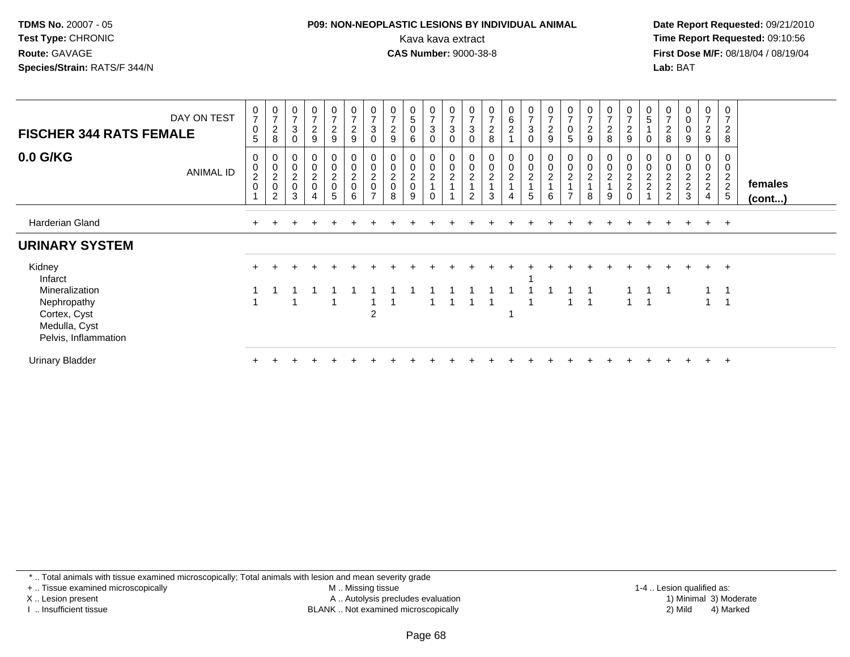### **P09: NON-NEOPLASTIC LESIONS BY INDIVIDUAL ANIMAL**Kava kava extract **Time Report Requested:** 09:10:56<br>**CAS Number:** 9000-38-8<br>**Tirst Dose M/F:** 08/18/04 / 08/19/04

 **Date Report Requested:** 09/21/2010 **First Dose M/F:** 08/18/04 / 08/19/04 Lab: BAT **Lab:** BAT

| DAY ON TEST<br><b>FISCHER 344 RATS FEMALE</b>                                          | $\frac{0}{7}$<br>$\mathbf 0$<br>$\sqrt{5}$ | $\frac{0}{7}$<br>$\overline{2}$<br>8           | $\begin{array}{c} 0 \\ 7 \end{array}$<br>$\sqrt{3}$<br>$\mathbf 0$ | $\begin{array}{c} 0 \\ 7 \end{array}$<br>$\overline{c}$<br>9     | $\frac{0}{7}$<br>$\overline{c}$<br>9 | $\frac{0}{7}$<br>$\overline{2}$<br>$9\,$     | $\frac{0}{7}$<br>3<br>$\mathbf 0$                  | $\frac{0}{7}$<br>$\overline{\mathbf{c}}$<br>9 | $\begin{array}{c} 0 \\ 5 \end{array}$<br>$\pmb{0}$<br>6            | $\begin{smallmatrix}0\\7\end{smallmatrix}$<br>$\mathsf 3$<br>$\mathbf 0$ | $\begin{array}{c} 0 \\ 7 \end{array}$<br>$\sqrt{3}$<br>$\mathbf 0$ | $\frac{0}{7}$<br>$\mathsf 3$<br>$\mathbf 0$        | $\frac{0}{7}$<br>$\overline{c}$<br>8                                     | 0<br>6<br>$\overline{a}$ | $\frac{0}{7}$<br>$\sqrt{3}$<br>$\mathbf 0$ | $\frac{0}{7}$<br>$\sqrt{2}$<br>$9\,$                           | $\begin{array}{c} 0 \\ 7 \end{array}$<br>$\pmb{0}$<br>5           | $\frac{0}{7}$<br>$\sqrt{2}$<br>9 | 0<br>$\overline{7}$<br>$\boldsymbol{2}$<br>8 | $\frac{0}{7}$<br>$\boldsymbol{2}$<br>$9\,$                                     | $\begin{array}{c} 0 \\ 5 \end{array}$<br>0 | 0<br>$\boldsymbol{2}$<br>8                              | $\pmb{0}$<br>$\pmb{0}$<br>$\pmb{0}$<br>9                      | $\frac{0}{7}$<br>$\frac{2}{9}$                                   | 0<br>$\overline{7}$<br>$\overline{c}$<br>8    |                   |
|----------------------------------------------------------------------------------------|--------------------------------------------|------------------------------------------------|--------------------------------------------------------------------|------------------------------------------------------------------|--------------------------------------|----------------------------------------------|----------------------------------------------------|-----------------------------------------------|--------------------------------------------------------------------|--------------------------------------------------------------------------|--------------------------------------------------------------------|----------------------------------------------------|--------------------------------------------------------------------------|--------------------------|--------------------------------------------|----------------------------------------------------------------|-------------------------------------------------------------------|----------------------------------|----------------------------------------------|--------------------------------------------------------------------------------|--------------------------------------------|---------------------------------------------------------|---------------------------------------------------------------|------------------------------------------------------------------|-----------------------------------------------|-------------------|
| 0.0 G/KG<br>ANIMAL ID                                                                  | $\pmb{0}$<br>$\frac{0}{2}$                 | $\mathbf 0$<br>$\frac{0}{2}$<br>$\overline{c}$ | $\begin{matrix} 0 \\ 0 \\ 2 \\ 0 \end{matrix}$<br>$\mathbf{3}$     | $\begin{matrix} 0 \\ 0 \\ 2 \\ 0 \end{matrix}$<br>$\overline{4}$ | 0<br>0<br>$\frac{2}{0}$<br>5         | $\pmb{0}$<br>$\pmb{0}$<br>$\frac{2}{0}$<br>6 | 0<br>$\mathbf 0$<br>$\frac{2}{0}$<br>$\rightarrow$ | $_0^0$<br>$\frac{2}{0}$<br>8                  | $\begin{smallmatrix} 0\\0 \end{smallmatrix}$<br>$\frac{2}{0}$<br>9 | $\begin{smallmatrix} 0\\0\\2 \end{smallmatrix}$<br>$\mathbf 0$           | $\pmb{0}$<br>$\frac{0}{2}$<br>$\mathbf{1}$                         | $_{\rm 0}^{\rm 0}$<br>$\sqrt{2}$<br>$\overline{2}$ | $\begin{smallmatrix}0\\0\end{smallmatrix}$<br>$\boldsymbol{2}$<br>1<br>3 | $_0^0$<br>$\overline{a}$ | $_{\rm 0}^{\rm 0}$<br>$\overline{c}$<br>5  | $\begin{smallmatrix}0\0\0\end{smallmatrix}$<br>$\sqrt{2}$<br>6 | $\begin{smallmatrix} 0\\0\\2 \end{smallmatrix}$<br>$\overline{ }$ | 00021<br>8                       | 0<br>0<br>$\overline{c}$<br>9                | $\pmb{0}$<br>$\ddot{\mathbf{0}}$<br>$\begin{array}{c} 2 \\ 2 \\ 0 \end{array}$ | 0<br>$\pmb{0}$<br>$\frac{2}{2}$            | $\pmb{0}$<br>$\begin{array}{c} 2 \\ 2 \\ 2 \end{array}$ | $\begin{smallmatrix} 0\\0 \end{smallmatrix}$<br>$\frac{2}{3}$ | $\begin{matrix} 0 \\ 0 \\ 2 \\ 2 \end{matrix}$<br>$\overline{4}$ | 0<br>$\pmb{0}$<br>$\frac{2}{2}$<br>$\sqrt{5}$ | females<br>(cont) |
| Harderian Gland                                                                        | ÷.                                         |                                                |                                                                    |                                                                  |                                      |                                              |                                                    |                                               |                                                                    |                                                                          |                                                                    |                                                    |                                                                          |                          |                                            |                                                                |                                                                   |                                  |                                              |                                                                                | $\pm$                                      | $+$                                                     | $+$                                                           | $+$                                                              | $+$                                           |                   |
| <b>URINARY SYSTEM</b>                                                                  |                                            |                                                |                                                                    |                                                                  |                                      |                                              |                                                    |                                               |                                                                    |                                                                          |                                                                    |                                                    |                                                                          |                          |                                            |                                                                |                                                                   |                                  |                                              |                                                                                |                                            |                                                         |                                                               |                                                                  |                                               |                   |
| Kidney<br>Infarct                                                                      |                                            |                                                |                                                                    |                                                                  |                                      |                                              |                                                    |                                               |                                                                    |                                                                          |                                                                    |                                                    |                                                                          |                          |                                            |                                                                |                                                                   |                                  |                                              |                                                                                |                                            |                                                         |                                                               | $+$                                                              | $+$                                           |                   |
| Mineralization<br>Nephropathy<br>Cortex, Cyst<br>Medulla, Cyst<br>Pelvis, Inflammation |                                            |                                                |                                                                    |                                                                  |                                      |                                              | $\overline{2}$                                     |                                               |                                                                    |                                                                          |                                                                    |                                                    |                                                                          |                          |                                            |                                                                |                                                                   | -1                               |                                              |                                                                                |                                            |                                                         |                                                               |                                                                  | -1<br>-1                                      |                   |
| <b>Urinary Bladder</b>                                                                 |                                            |                                                |                                                                    |                                                                  |                                      |                                              |                                                    |                                               |                                                                    |                                                                          |                                                                    |                                                    |                                                                          |                          |                                            |                                                                |                                                                   |                                  |                                              |                                                                                |                                            |                                                         |                                                               |                                                                  | $+$                                           |                   |

\* .. Total animals with tissue examined microscopically; Total animals with lesion and mean severity grade

+ .. Tissue examined microscopically

X .. Lesion present

I .. Insufficient tissue

 M .. Missing tissueA .. Autolysis precludes evaluation

1-4 .. Lesion qualified as:<br>1) Minimal 3) Moderate BLANK .. Not examined microscopically 2) Mild 4) Marked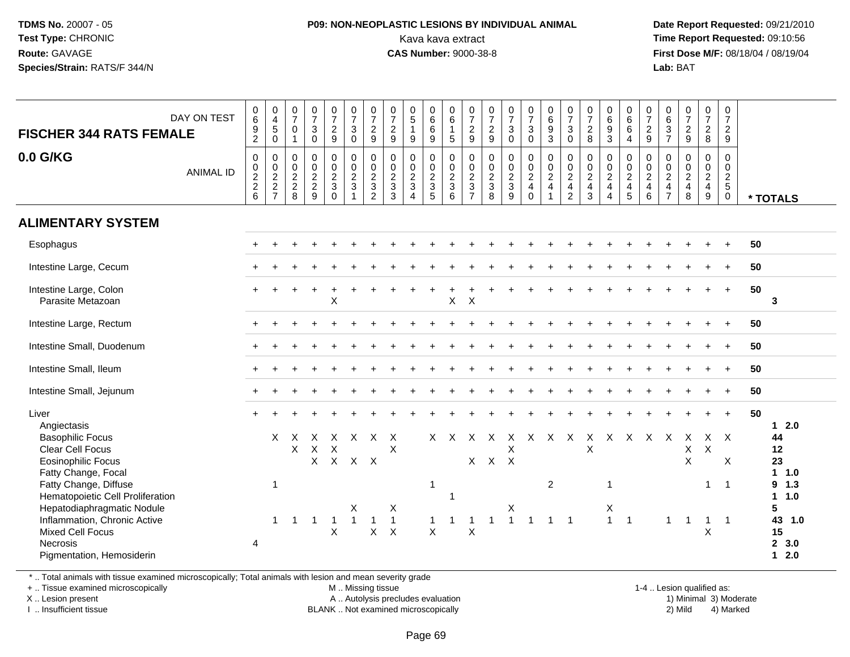### **P09: NON-NEOPLASTIC LESIONS BY INDIVIDUAL ANIMAL**Kava kava extract **Time Report Requested:** 09:10:56<br>**CAS Number:** 9000-38-8<br>**Tirst Dose M/F:** 08/18/04 / 08/19/04

 **Date Report Requested:** 09/21/2010 **First Dose M/F:** 08/18/04 / 08/19/04 Lab: BAT **Lab:** BAT

| DAY ON TEST<br><b>FISCHER 344 RATS FEMALE</b>                                                           | $\begin{matrix} 0 \\ 6 \end{matrix}$<br>$\frac{9}{2}$ | $\begin{array}{c} 0 \\ 4 \\ 5 \\ 0 \end{array}$ | $\frac{0}{7}$<br>$\mathbf 0$<br>$\overline{1}$               | $\frac{0}{7}$<br>$\mathbf 3$<br>$\mathbf 0$ | $\frac{0}{7}$<br>$\frac{2}{9}$                        | $\begin{array}{c} 0 \\ 7 \\ 3 \\ 0 \end{array}$                 | $\frac{0}{7}$<br>$\overline{2}$<br>$\overline{9}$           | $\frac{0}{7}$<br>$\frac{2}{9}$                                    | $\begin{array}{c} 0 \\ 5 \\ 1 \end{array}$<br>$\boldsymbol{9}$ | $\begin{matrix} 0 \\ 6 \\ 6 \end{matrix}$<br>$\overline{9}$    | 0<br>$\overline{6}$<br>$\overline{1}$<br>$\overline{5}$ | $\frac{0}{7}$<br>$\frac{2}{9}$                              | $\frac{0}{7}$<br>$\frac{2}{9}$  | $\frac{0}{7}$<br>$\mathbf{3}$<br>$\overline{0}$             | $\begin{smallmatrix}0\\7\end{smallmatrix}$<br>$\frac{3}{0}$ | $\begin{array}{c} 0 \\ 6 \\ 9 \\ 3 \end{array}$ | $\frac{0}{7}$<br>$\frac{3}{0}$  | $\frac{0}{7}$<br>$\frac{2}{8}$  | $\begin{array}{c} 0 \\ 6 \\ 3 \end{array}$        | 0<br>$6\phantom{a}$<br>$6\overline{6}$<br>$\overline{4}$ | $\frac{0}{7}$<br>$\frac{2}{9}$       | 0637                                                      | $\frac{0}{7}$<br>$\frac{2}{9}$  | $\begin{smallmatrix}0\\7\end{smallmatrix}$<br>$\frac{2}{8}$ | 0<br>$\overline{7}$<br>$\overline{2}$<br>$\boldsymbol{9}$   |    |                                     |
|---------------------------------------------------------------------------------------------------------|-------------------------------------------------------|-------------------------------------------------|--------------------------------------------------------------|---------------------------------------------|-------------------------------------------------------|-----------------------------------------------------------------|-------------------------------------------------------------|-------------------------------------------------------------------|----------------------------------------------------------------|----------------------------------------------------------------|---------------------------------------------------------|-------------------------------------------------------------|---------------------------------|-------------------------------------------------------------|-------------------------------------------------------------|-------------------------------------------------|---------------------------------|---------------------------------|---------------------------------------------------|----------------------------------------------------------|--------------------------------------|-----------------------------------------------------------|---------------------------------|-------------------------------------------------------------|-------------------------------------------------------------|----|-------------------------------------|
| 0.0 G/KG<br><b>ANIMAL ID</b>                                                                            | $\pmb{0}$<br>$0$<br>$2$<br>$2$<br>$6$                 | $\pmb{0}$<br>$\frac{0}{2}$<br>7                 | $\pmb{0}$<br>$\begin{array}{c} 0 \\ 2 \\ 2 \\ 8 \end{array}$ | $\pmb{0}$<br>$\frac{0}{2}$<br>9             | 0<br>$\mathsf{O}\xspace$<br>$\frac{2}{3}$<br>$\Omega$ | $\begin{array}{c} 0 \\ 0 \\ 2 \\ 3 \end{array}$<br>$\mathbf{1}$ | $\pmb{0}$<br>$\mathbf 0$<br>$\frac{2}{3}$<br>$\overline{2}$ | $\pmb{0}$<br>$\begin{smallmatrix} 0\\2\\3 \end{smallmatrix}$<br>3 | $\pmb{0}$<br>$\frac{0}{2}$<br>$\overline{4}$                   | $\pmb{0}$<br>$\begin{array}{c}\n0 \\ 2 \\ 3 \\ 5\n\end{array}$ | 0<br>$\mathbf 0$<br>$\frac{2}{3}$<br>$6\phantom{1}$     | $\mathbf 0$<br>$\pmb{0}$<br>$\frac{2}{3}$<br>$\overline{7}$ | $\pmb{0}$<br>$\frac{0}{2}$<br>8 | 0<br>$\mathsf{O}\xspace$<br>$\frac{2}{3}$<br>$\overline{9}$ | 000240                                                      | $\pmb{0}$<br>$\frac{0}{2}$                      | $\pmb{0}$<br>$\frac{0}{2}$<br>2 | $\pmb{0}$<br>$\frac{0}{2}$<br>3 | 0<br>$\pmb{0}$<br>$\frac{2}{4}$<br>$\overline{4}$ | $\pmb{0}$<br>$\mathbf 0$<br>$\frac{2}{4}$<br>5           | 0<br>$\pmb{0}$<br>$\frac{2}{4}$<br>6 | $\pmb{0}$<br>$\pmb{0}$<br>$\frac{2}{4}$<br>$\overline{7}$ | $\pmb{0}$<br>$\frac{0}{2}$<br>8 | $\mathbf 0$<br>$\frac{0}{2}$<br>9                           | $\mathbf 0$<br>$\mathbf 0$<br>$\frac{2}{5}$<br>$\mathbf{0}$ |    | * TOTALS                            |
| <b>ALIMENTARY SYSTEM</b>                                                                                |                                                       |                                                 |                                                              |                                             |                                                       |                                                                 |                                                             |                                                                   |                                                                |                                                                |                                                         |                                                             |                                 |                                                             |                                                             |                                                 |                                 |                                 |                                                   |                                                          |                                      |                                                           |                                 |                                                             |                                                             |    |                                     |
| Esophagus                                                                                               |                                                       |                                                 |                                                              |                                             |                                                       |                                                                 |                                                             |                                                                   |                                                                |                                                                |                                                         |                                                             |                                 |                                                             |                                                             |                                                 |                                 |                                 |                                                   |                                                          |                                      |                                                           |                                 |                                                             |                                                             | 50 |                                     |
| Intestine Large, Cecum                                                                                  |                                                       |                                                 |                                                              |                                             |                                                       |                                                                 |                                                             |                                                                   |                                                                |                                                                |                                                         |                                                             |                                 |                                                             |                                                             |                                                 |                                 |                                 |                                                   |                                                          |                                      |                                                           |                                 |                                                             | $\ddot{}$                                                   | 50 |                                     |
| Intestine Large, Colon<br>Parasite Metazoan                                                             |                                                       |                                                 |                                                              |                                             | X                                                     |                                                                 |                                                             |                                                                   |                                                                |                                                                | $\sf X$                                                 | $\times$                                                    |                                 |                                                             |                                                             |                                                 |                                 |                                 |                                                   |                                                          |                                      |                                                           |                                 |                                                             | $+$                                                         | 50 | 3                                   |
| Intestine Large, Rectum                                                                                 |                                                       |                                                 |                                                              |                                             |                                                       |                                                                 |                                                             |                                                                   |                                                                |                                                                |                                                         |                                                             |                                 |                                                             |                                                             |                                                 |                                 |                                 |                                                   |                                                          |                                      |                                                           |                                 |                                                             | $\ddot{}$                                                   | 50 |                                     |
| Intestine Small, Duodenum                                                                               |                                                       |                                                 |                                                              |                                             |                                                       |                                                                 |                                                             |                                                                   |                                                                |                                                                |                                                         |                                                             |                                 |                                                             |                                                             |                                                 |                                 |                                 |                                                   |                                                          |                                      |                                                           |                                 |                                                             |                                                             | 50 |                                     |
| Intestine Small, Ileum                                                                                  |                                                       |                                                 |                                                              |                                             |                                                       |                                                                 |                                                             |                                                                   |                                                                |                                                                |                                                         |                                                             |                                 |                                                             |                                                             |                                                 |                                 |                                 |                                                   |                                                          |                                      |                                                           |                                 |                                                             | $\ddot{}$                                                   | 50 |                                     |
| Intestine Small, Jejunum                                                                                |                                                       |                                                 |                                                              |                                             |                                                       |                                                                 |                                                             |                                                                   |                                                                |                                                                |                                                         |                                                             |                                 |                                                             |                                                             |                                                 |                                 |                                 |                                                   |                                                          |                                      |                                                           |                                 |                                                             | $\ddot{}$                                                   | 50 |                                     |
| Liver<br>Angiectasis                                                                                    |                                                       |                                                 |                                                              |                                             |                                                       |                                                                 |                                                             |                                                                   |                                                                |                                                                |                                                         |                                                             |                                 |                                                             |                                                             |                                                 |                                 |                                 |                                                   |                                                          |                                      |                                                           |                                 |                                                             | $\ddot{}$                                                   | 50 | $12.0$                              |
| <b>Basophilic Focus</b><br><b>Clear Cell Focus</b><br>Eosinophilic Focus<br>Fatty Change, Focal         |                                                       | X.                                              | $\mathsf{X}$<br>X                                            | $\times$<br>$\times$<br>$\mathsf{X}$        | X<br>X                                                | $\mathsf{X}$<br>X X X                                           | $\times$                                                    | X<br>X                                                            |                                                                |                                                                | $X \times$                                              |                                                             | x x x<br>$X$ $X$ $X$            | Χ                                                           | X X X                                                       |                                                 |                                 | $\mathsf{X}$<br>X               |                                                   | x x x x                                                  |                                      |                                                           | X<br>X<br>X                     | X                                                           | $X \times$<br>$\boldsymbol{\mathsf{X}}$                     |    | 44<br>12<br>23<br>$1 \t1.0$         |
| Fatty Change, Diffuse<br>Hematopoietic Cell Proliferation<br>Hepatodiaphragmatic Nodule                 |                                                       | $\overline{1}$                                  |                                                              |                                             |                                                       | X                                                               |                                                             | Χ                                                                 |                                                                | $\overline{1}$                                                 | $\overline{1}$                                          |                                                             |                                 | Χ                                                           |                                                             | $\overline{2}$                                  |                                 |                                 | 1<br>X                                            |                                                          |                                      |                                                           |                                 | 1                                                           | $\overline{1}$                                              |    | 9 1.3<br>1 1.0<br>5                 |
| Inflammation, Chronic Active<br><b>Mixed Cell Focus</b><br><b>Necrosis</b><br>Pigmentation, Hemosiderin | 4                                                     | $\mathbf{1}$                                    | $\overline{1}$                                               | $\mathbf 1$                                 | -1<br>$\boldsymbol{\mathsf{X}}$                       | $\mathbf{1}$                                                    | $\mathbf{1}$<br>$\mathsf X$                                 | $\mathbf{1}$<br>$\times$                                          |                                                                | 1<br>$\boldsymbol{\mathsf{X}}$                                 | $\mathbf{1}$                                            | 1<br>$\sf X$                                                | $\mathbf{1}$                    | $\mathbf{1}$                                                | $\mathbf{1}$                                                | $1 \quad 1$                                     |                                 |                                 | 1                                                 | $\overline{1}$                                           |                                      | $\mathbf{1}$                                              | $\overline{1}$                  | $\mathbf{1}$<br>X                                           | $\overline{1}$                                              |    | 43<br>1.0<br>15<br>2, 3.0<br>$12.0$ |

\* .. Total animals with tissue examined microscopically; Total animals with lesion and mean severity grade

+ .. Tissue examined microscopically

X .. Lesion present

I .. Insufficient tissue

M .. Missing tissue

A .. Autolysis precludes evaluation

BLANK .. Not examined microscopically 2) Mild 4) Marked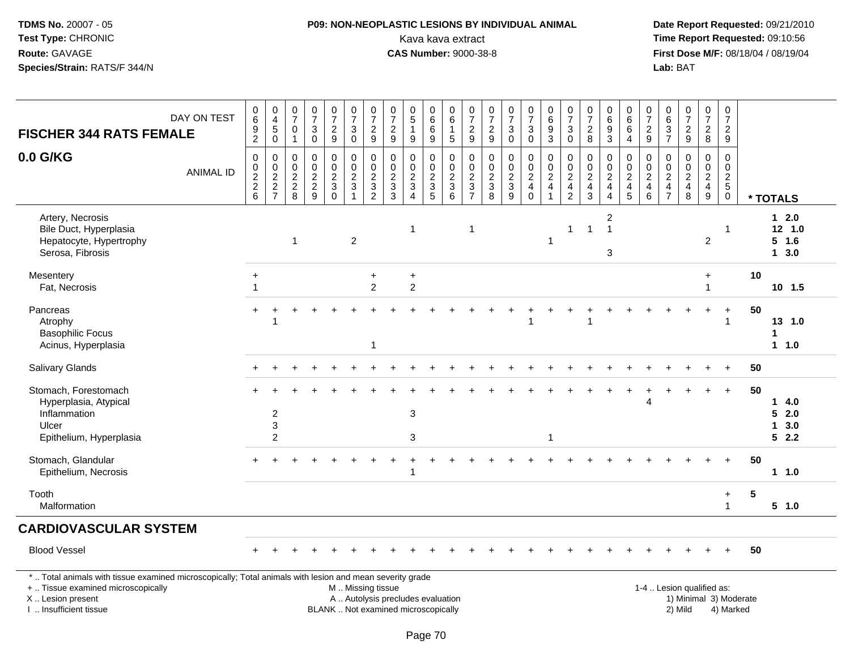# **P09: NON-NEOPLASTIC LESIONS BY INDIVIDUAL ANIMAL**Kava kava extract **Time Report Requested:** 09:10:56

| DAY ON TEST<br><b>FISCHER 344 RATS FEMALE</b>                                                                                                                                                 |                  | 0<br>$6\phantom{a}$<br>$\frac{9}{2}$                                       | 0<br>$\overline{\mathbf{4}}$<br>$\mathbf 5$<br>$\mathbf 0$         | $\frac{0}{7}$<br>0<br>$\mathbf{1}$               | $\begin{array}{c} 0 \\ 7 \end{array}$<br>3<br>$\mathbf 0$   | $\frac{0}{7}$<br>$\frac{2}{9}$                    | $\frac{0}{7}$<br>$\mathfrak{S}$<br>$\mathbf 0$        | $\frac{0}{7}$<br>$\frac{2}{9}$                                  | $\pmb{0}$<br>$\overline{7}$<br>$\overline{\mathbf{c}}$<br>9              | $\begin{array}{c} 0 \\ 5 \end{array}$<br>$\mathbf{1}$<br>9                                          | $\begin{array}{c} 0 \\ 6 \end{array}$<br>$\,6\,$<br>$\boldsymbol{9}$ | $\pmb{0}$<br>$\overline{6}$<br>$\mathbf{1}$<br>$5\phantom{.0}$ | $\frac{0}{7}$<br>$\frac{2}{9}$                      | $\begin{array}{c} 0 \\ 7 \end{array}$<br>$\overline{c}$<br>9 | $\frac{0}{7}$<br>$\ensuremath{\mathsf{3}}$<br>$\mathbf 0$         | $\mathbf 0$<br>$\overline{7}$<br>$\mathsf 3$<br>$\mathbf{0}$        | $\begin{array}{c} 0 \\ 6 \end{array}$<br>$\boldsymbol{9}$<br>$\overline{3}$ | 0<br>$\overline{7}$<br>$\mathbf{3}$<br>$\mathbf 0$ | $\frac{0}{7}$<br>$\boldsymbol{2}$<br>8                      | 0<br>$\overline{6}$<br>$\boldsymbol{9}$<br>3                | $_{6}^{\rm 0}$<br>6<br>$\overline{4}$       | $\frac{0}{7}$<br>$\overline{c}$<br>9                         | $_{6}^{\rm 0}$<br>$\frac{3}{7}$                                    | $\frac{0}{7}$<br>$\frac{2}{9}$                                                      | $\mathbf 0$<br>$\overline{7}$<br>$\frac{2}{8}$                                        | 0<br>$\overline{7}$<br>$\sqrt{2}$<br>9                                    |                        |                                     |
|-----------------------------------------------------------------------------------------------------------------------------------------------------------------------------------------------|------------------|----------------------------------------------------------------------------|--------------------------------------------------------------------|--------------------------------------------------|-------------------------------------------------------------|---------------------------------------------------|-------------------------------------------------------|-----------------------------------------------------------------|--------------------------------------------------------------------------|-----------------------------------------------------------------------------------------------------|----------------------------------------------------------------------|----------------------------------------------------------------|-----------------------------------------------------|--------------------------------------------------------------|-------------------------------------------------------------------|---------------------------------------------------------------------|-----------------------------------------------------------------------------|----------------------------------------------------|-------------------------------------------------------------|-------------------------------------------------------------|---------------------------------------------|--------------------------------------------------------------|--------------------------------------------------------------------|-------------------------------------------------------------------------------------|---------------------------------------------------------------------------------------|---------------------------------------------------------------------------|------------------------|-------------------------------------|
| 0.0 G/KG                                                                                                                                                                                      | <b>ANIMAL ID</b> | $\pmb{0}$<br>$\begin{smallmatrix} 0\\2 \end{smallmatrix}$<br>$\frac{2}{6}$ | $\mathbf 0$<br>$\boldsymbol{0}$<br>$\overline{2}$<br>$\frac{2}{7}$ | 0<br>$\pmb{0}$<br>$\overline{2}$<br>$_{\rm 8}^2$ | $\mathbf 0$<br>$\pmb{0}$<br>$\overline{2}$<br>$\frac{2}{9}$ | 0<br>$\pmb{0}$<br>$\overline{2}$<br>$\frac{3}{0}$ | 0<br>$\overline{0}$<br>$\overline{2}$<br>$\mathbf{3}$ | $\pmb{0}$<br>$\pmb{0}$<br>$\overline{2}$<br>$\overline{3}$<br>2 | $\mathbf 0$<br>$\mathbf 0$<br>$\overline{c}$<br>$\frac{3}{3}$            | $\mathbf 0$<br>$\mathbf 0$<br>$\overline{2}$<br>$\ensuremath{\mathsf{3}}$<br>$\boldsymbol{\Lambda}$ | 0<br>$\mathsf{O}\xspace$<br>$\overline{2}$<br>$\overline{3}$<br>5    | 0<br>$\mathsf{O}\xspace$<br>$\overline{2}$<br>$\frac{3}{6}$    | 0<br>$\mathbf 0$<br>$\overline{2}$<br>$\frac{3}{7}$ | $\mathbf 0$<br>$\mathsf 0$<br>$\overline{2}$<br>$_{8}^{3}$   | $\mathbf 0$<br>$\pmb{0}$<br>$\overline{2}$<br>$\overline{3}$<br>9 | 0<br>$\mathbf 0$<br>$\overline{2}$<br>$\overline{4}$<br>$\mathbf 0$ | $\mathbf 0$<br>$\frac{0}{2}$<br>$\overline{\mathbf{4}}$<br>$\overline{1}$   | 0<br>$\mathbf 0$<br>$\sqrt{2}$<br>$\frac{4}{2}$    | $\mathbf 0$<br>$\pmb{0}$<br>$\overline{2}$<br>$\frac{4}{3}$ | 0<br>$\mathbf 0$<br>$\boldsymbol{2}$<br>$\overline{4}$<br>4 | $\pmb{0}$<br>$\frac{0}{2}$<br>$\frac{4}{5}$ | 0<br>0<br>$\overline{2}$<br>$\overline{4}$<br>$6\phantom{a}$ | $\mathbf 0$<br>$\boldsymbol{0}$<br>$\overline{2}$<br>$\frac{4}{7}$ | $\mathbf 0$<br>$\pmb{0}$<br>$\overline{2}$<br>$\begin{array}{c} 4 \\ 8 \end{array}$ | $\mathbf 0$<br>$\mathbf 0$<br>$\overline{2}$<br>$\begin{array}{c} 4 \\ 9 \end{array}$ | $\mathbf 0$<br>$\mathbf 0$<br>$\overline{c}$<br>$\sqrt{5}$<br>$\mathbf 0$ |                        | * TOTALS                            |
| Artery, Necrosis<br>Bile Duct, Hyperplasia<br>Hepatocyte, Hypertrophy<br>Serosa, Fibrosis                                                                                                     |                  |                                                                            |                                                                    | $\mathbf{1}$                                     |                                                             |                                                   | $\overline{2}$                                        |                                                                 |                                                                          | $\mathbf 1$                                                                                         |                                                                      |                                                                | 1                                                   |                                                              |                                                                   |                                                                     | $\overline{1}$                                                              | 1                                                  | $\overline{1}$                                              | 2<br>$\mathbf{1}$<br>3                                      |                                             |                                                              |                                                                    |                                                                                     | $\overline{2}$                                                                        | $\overline{\mathbf{1}}$                                                   |                        | $12.0$<br>12 1.0<br>$5$ 1.6<br>13.0 |
| Mesentery<br>Fat, Necrosis                                                                                                                                                                    |                  | $\ddot{}$<br>$\mathbf{1}$                                                  |                                                                    |                                                  |                                                             |                                                   |                                                       | $\ddot{}$<br>$\overline{2}$                                     |                                                                          | $\ddot{}$<br>$\overline{c}$                                                                         |                                                                      |                                                                |                                                     |                                                              |                                                                   |                                                                     |                                                                             |                                                    |                                                             |                                                             |                                             |                                                              |                                                                    |                                                                                     | $\ddot{}$<br>$\overline{1}$                                                           |                                                                           | 10                     | 10, 1.5                             |
| Pancreas<br>Atrophy<br><b>Basophilic Focus</b><br>Acinus, Hyperplasia                                                                                                                         |                  |                                                                            |                                                                    |                                                  |                                                             |                                                   |                                                       | $\overline{1}$                                                  |                                                                          |                                                                                                     |                                                                      |                                                                |                                                     |                                                              |                                                                   |                                                                     |                                                                             |                                                    |                                                             |                                                             |                                             |                                                              |                                                                    |                                                                                     | $\ddot{}$                                                                             | $\ddot{}$<br>-1                                                           | 50                     | 13 1.0<br>1<br>$1 \t1.0$            |
| Salivary Glands                                                                                                                                                                               |                  |                                                                            |                                                                    |                                                  |                                                             |                                                   |                                                       |                                                                 |                                                                          |                                                                                                     |                                                                      |                                                                |                                                     |                                                              |                                                                   |                                                                     |                                                                             |                                                    |                                                             |                                                             |                                             |                                                              |                                                                    |                                                                                     |                                                                                       |                                                                           | 50                     |                                     |
| Stomach, Forestomach<br>Hyperplasia, Atypical<br>Inflammation<br>Ulcer<br>Epithelium, Hyperplasia                                                                                             |                  |                                                                            | $\boldsymbol{2}$<br>3<br>$\mathfrak{p}$                            |                                                  |                                                             |                                                   |                                                       |                                                                 |                                                                          | 3<br>3                                                                                              |                                                                      |                                                                |                                                     |                                                              |                                                                   |                                                                     | $\overline{\mathbf{1}}$                                                     |                                                    |                                                             |                                                             |                                             | $\overline{4}$                                               |                                                                    |                                                                                     |                                                                                       | $\ddot{+}$                                                                | 50                     | 14.0<br>52.0<br>3.0<br>1<br>52.2    |
| Stomach, Glandular<br>Epithelium, Necrosis                                                                                                                                                    |                  |                                                                            |                                                                    |                                                  |                                                             |                                                   |                                                       |                                                                 |                                                                          | 1                                                                                                   |                                                                      |                                                                |                                                     |                                                              |                                                                   |                                                                     |                                                                             |                                                    |                                                             |                                                             |                                             |                                                              |                                                                    |                                                                                     |                                                                                       | $+$                                                                       | 50                     | $1 \t1.0$                           |
| Tooth<br>Malformation                                                                                                                                                                         |                  |                                                                            |                                                                    |                                                  |                                                             |                                                   |                                                       |                                                                 |                                                                          |                                                                                                     |                                                                      |                                                                |                                                     |                                                              |                                                                   |                                                                     |                                                                             |                                                    |                                                             |                                                             |                                             |                                                              |                                                                    |                                                                                     |                                                                                       | $\ddot{}$<br>$\overline{1}$                                               | 5                      | 5 1.0                               |
| <b>CARDIOVASCULAR SYSTEM</b>                                                                                                                                                                  |                  |                                                                            |                                                                    |                                                  |                                                             |                                                   |                                                       |                                                                 |                                                                          |                                                                                                     |                                                                      |                                                                |                                                     |                                                              |                                                                   |                                                                     |                                                                             |                                                    |                                                             |                                                             |                                             |                                                              |                                                                    |                                                                                     |                                                                                       |                                                                           |                        |                                     |
| <b>Blood Vessel</b>                                                                                                                                                                           |                  |                                                                            |                                                                    |                                                  |                                                             |                                                   |                                                       |                                                                 |                                                                          |                                                                                                     |                                                                      |                                                                |                                                     |                                                              |                                                                   |                                                                     |                                                                             |                                                    |                                                             |                                                             |                                             |                                                              |                                                                    |                                                                                     |                                                                                       |                                                                           | 50                     |                                     |
| *  Total animals with tissue examined microscopically; Total animals with lesion and mean severity grade<br>+  Tissue examined microscopically<br>X  Lesion present<br>I  Insufficient tissue |                  |                                                                            |                                                                    |                                                  |                                                             |                                                   | M  Missing tissue                                     |                                                                 | A  Autolysis precludes evaluation<br>BLANK  Not examined microscopically |                                                                                                     |                                                                      |                                                                |                                                     |                                                              |                                                                   |                                                                     |                                                                             |                                                    |                                                             |                                                             |                                             | 1-4  Lesion qualified as:                                    |                                                                    | 2) Mild                                                                             |                                                                                       | 4) Marked                                                                 | 1) Minimal 3) Moderate |                                     |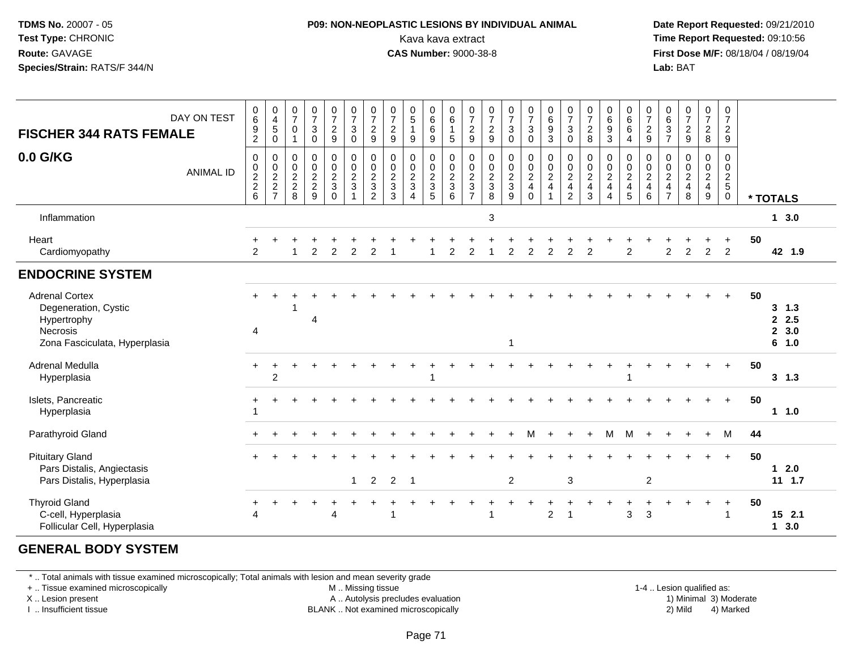### **P09: NON-NEOPLASTIC LESIONS BY INDIVIDUAL ANIMAL**Kava kava extract **Time Report Requested:** 09:10:56<br>**CAS Number:** 9000-38-8<br>**Tirst Dose M/F:** 08/18/04 / 08/19/04

 **Date Report Requested:** 09/21/2010 **First Dose M/F:** 08/18/04 / 08/19/04 Lab: BAT **Lab:** BAT

| <b>FISCHER 344 RATS FEMALE</b><br>0.0 G/KG                                                                       | DAY ON TEST<br><b>ANIMAL ID</b> | $\mathbf 0$<br>6<br>$\frac{9}{2}$<br>0<br>$0$<br>$2$<br>$6$ | $\pmb{0}$<br>$\overline{4}$<br>5<br>$\mathbf 0$<br>0<br>$\frac{0}{2}$<br>7 | $\frac{0}{7}$<br>0<br>$\mathbf{1}$<br>0<br>$\pmb{0}$<br>$\boldsymbol{2}$<br>$\sqrt{2}$<br>8 | $\frac{0}{7}$<br>$\ensuremath{\mathsf{3}}$<br>$\mathbf 0$<br>$\mathbf 0$<br>$\frac{0}{2}$<br>9 | $\frac{0}{7}$<br>$\overline{a}$<br>9<br>$\mathbf 0$<br>$\boldsymbol{0}$<br>$\overline{2}$<br>$\mathfrak{S}$<br>$\Omega$ | $\frac{0}{7}$<br>$\ensuremath{\mathsf{3}}$<br>$\pmb{0}$<br>$\pmb{0}$<br>$\frac{0}{2}$ | $\frac{0}{7}$<br>$\frac{2}{9}$<br>$\pmb{0}$<br>$\begin{array}{c} 0 \\ 2 \\ 3 \\ 2 \end{array}$ | $\frac{0}{7}$<br>$\overline{c}$<br>$9\,$<br>$\boldsymbol{0}$<br>$\pmb{0}$<br>$\frac{2}{3}$<br>3 | $\begin{array}{c} 0 \\ 5 \end{array}$<br>$\mathbf{1}$<br>$9\,$<br>$\pmb{0}$<br>$\begin{smallmatrix} 0\\2 \end{smallmatrix}$<br>$\mathbf{3}$<br>$\boldsymbol{\Lambda}$ | $\begin{array}{c} 0 \\ 6 \end{array}$<br>6<br>9<br>0<br>$\pmb{0}$<br>$\frac{2}{3}$<br>5 | $_{6}^{\rm 0}$<br>$\mathbf{1}$<br>5<br>$\pmb{0}$<br>$\frac{0}{2}$<br>6 | $\frac{0}{7}$<br>$\overline{a}$<br>9<br>0<br>$\boldsymbol{0}$<br>$\overline{2}$<br>3<br>$\overline{7}$ | $\frac{0}{7}$<br>$\overline{c}$<br>9<br>$\pmb{0}$<br>$\begin{array}{c} 0 \\ 2 \\ 3 \\ 8 \end{array}$ | $\begin{array}{c} 0 \\ 7 \end{array}$<br>$\sqrt{3}$<br>$\mathbf 0$<br>$\pmb{0}$<br>$\begin{array}{c} 0 \\ 2 \\ 3 \\ 9 \end{array}$ | $\frac{0}{7}$<br>$\ensuremath{\mathsf{3}}$<br>$\mathbf 0$<br>$\pmb{0}$<br>$\begin{array}{c} 0 \\ 2 \\ 4 \\ 0 \end{array}$ | $\begin{array}{c} 0 \\ 6 \end{array}$<br>$\frac{9}{3}$<br>$\begin{array}{c} 0 \\ 0 \\ 2 \\ 4 \end{array}$<br>$\mathbf{1}$ | $\begin{array}{c} 0 \\ 7 \end{array}$<br>$\mathbf{3}$<br>$\mathbf 0$<br>0<br>$\pmb{0}$<br>$\overline{2}$<br>$\overline{\mathbf{4}}$<br>$\overline{2}$ | $\frac{0}{7}$<br>$\boldsymbol{2}$<br>8<br>$\pmb{0}$<br>$\frac{0}{2}$<br>3 | $\begin{matrix}0\6\9\end{matrix}$<br>3<br>0<br>$\pmb{0}$<br>$\frac{2}{4}$<br>4 | $\begin{matrix}0\0\0\0\end{matrix}$<br>$\overline{4}$<br>0<br>$\frac{0}{2}$<br>$\frac{4}{5}$ | $\frac{0}{7}$<br>$\frac{2}{9}$<br>$\mathbf 0$<br>$\frac{0}{2}$<br>$\,6\,$ | $\begin{array}{c} 0 \\ 6 \end{array}$<br>$\frac{3}{7}$<br>0<br>$\frac{0}{2}$<br>$\frac{2}{7}$ | $\frac{0}{7}$<br>$\overline{2}$<br>9<br>$\mathbf 0$<br>$\frac{0}{2}$<br>8 | $\frac{0}{7}$<br>$\frac{2}{8}$<br>0<br>$\mathbf 0$<br>$\frac{2}{4}$<br>9 | $\frac{0}{7}$<br>$\overline{a}$<br>$\mathsf g$<br>0<br>$\mathbf 0$<br>$\frac{2}{5}$<br>$\mathbf 0$ |    | * TOTALS                         |
|------------------------------------------------------------------------------------------------------------------|---------------------------------|-------------------------------------------------------------|----------------------------------------------------------------------------|---------------------------------------------------------------------------------------------|------------------------------------------------------------------------------------------------|-------------------------------------------------------------------------------------------------------------------------|---------------------------------------------------------------------------------------|------------------------------------------------------------------------------------------------|-------------------------------------------------------------------------------------------------|-----------------------------------------------------------------------------------------------------------------------------------------------------------------------|-----------------------------------------------------------------------------------------|------------------------------------------------------------------------|--------------------------------------------------------------------------------------------------------|------------------------------------------------------------------------------------------------------|------------------------------------------------------------------------------------------------------------------------------------|---------------------------------------------------------------------------------------------------------------------------|---------------------------------------------------------------------------------------------------------------------------|-------------------------------------------------------------------------------------------------------------------------------------------------------|---------------------------------------------------------------------------|--------------------------------------------------------------------------------|----------------------------------------------------------------------------------------------|---------------------------------------------------------------------------|-----------------------------------------------------------------------------------------------|---------------------------------------------------------------------------|--------------------------------------------------------------------------|----------------------------------------------------------------------------------------------------|----|----------------------------------|
| Inflammation                                                                                                     |                                 |                                                             |                                                                            |                                                                                             |                                                                                                |                                                                                                                         |                                                                                       |                                                                                                |                                                                                                 |                                                                                                                                                                       |                                                                                         |                                                                        |                                                                                                        | $\mathbf{3}$                                                                                         |                                                                                                                                    |                                                                                                                           |                                                                                                                           |                                                                                                                                                       |                                                                           |                                                                                |                                                                                              |                                                                           |                                                                                               |                                                                           |                                                                          |                                                                                                    |    | 13.0                             |
| Heart<br>Cardiomyopathy                                                                                          |                                 | 2                                                           |                                                                            |                                                                                             | 2                                                                                              | $\overline{2}$                                                                                                          | $\overline{c}$                                                                        | 2                                                                                              |                                                                                                 |                                                                                                                                                                       |                                                                                         | 2                                                                      | $\overline{2}$                                                                                         |                                                                                                      | 2                                                                                                                                  | $\overline{c}$                                                                                                            | $\overline{a}$                                                                                                            | $\overline{2}$                                                                                                                                        | 2                                                                         |                                                                                | $\overline{2}$                                                                               |                                                                           | $\overline{c}$                                                                                | 2                                                                         | $\overline{c}$                                                           | $\overline{2}$                                                                                     | 50 | 42 1.9                           |
| <b>ENDOCRINE SYSTEM</b>                                                                                          |                                 |                                                             |                                                                            |                                                                                             |                                                                                                |                                                                                                                         |                                                                                       |                                                                                                |                                                                                                 |                                                                                                                                                                       |                                                                                         |                                                                        |                                                                                                        |                                                                                                      |                                                                                                                                    |                                                                                                                           |                                                                                                                           |                                                                                                                                                       |                                                                           |                                                                                |                                                                                              |                                                                           |                                                                                               |                                                                           |                                                                          |                                                                                                    |    |                                  |
| <b>Adrenal Cortex</b><br>Degeneration, Cystic<br>Hypertrophy<br><b>Necrosis</b><br>Zona Fasciculata, Hyperplasia |                                 | 4                                                           |                                                                            |                                                                                             | 4                                                                                              |                                                                                                                         |                                                                                       |                                                                                                |                                                                                                 |                                                                                                                                                                       |                                                                                         |                                                                        |                                                                                                        |                                                                                                      | $\overline{\mathbf{1}}$                                                                                                            |                                                                                                                           |                                                                                                                           |                                                                                                                                                       |                                                                           |                                                                                |                                                                                              |                                                                           |                                                                                               |                                                                           |                                                                          |                                                                                                    | 50 | 3, 1.3<br>2.5<br>2, 3.0<br>6 1.0 |
| Adrenal Medulla<br>Hyperplasia                                                                                   |                                 | $\pm$                                                       | $\overline{c}$                                                             |                                                                                             |                                                                                                |                                                                                                                         |                                                                                       |                                                                                                |                                                                                                 |                                                                                                                                                                       | 1                                                                                       |                                                                        |                                                                                                        |                                                                                                      |                                                                                                                                    |                                                                                                                           |                                                                                                                           |                                                                                                                                                       |                                                                           |                                                                                |                                                                                              |                                                                           |                                                                                               |                                                                           |                                                                          | $\ddot{}$                                                                                          | 50 | 3, 1.3                           |
| Islets, Pancreatic<br>Hyperplasia                                                                                |                                 |                                                             |                                                                            |                                                                                             |                                                                                                |                                                                                                                         |                                                                                       |                                                                                                |                                                                                                 |                                                                                                                                                                       |                                                                                         |                                                                        |                                                                                                        |                                                                                                      |                                                                                                                                    |                                                                                                                           |                                                                                                                           |                                                                                                                                                       |                                                                           |                                                                                |                                                                                              |                                                                           |                                                                                               |                                                                           |                                                                          | $+$                                                                                                | 50 | 1 1.0                            |
| Parathyroid Gland                                                                                                |                                 |                                                             |                                                                            |                                                                                             |                                                                                                |                                                                                                                         |                                                                                       |                                                                                                |                                                                                                 |                                                                                                                                                                       |                                                                                         |                                                                        |                                                                                                        |                                                                                                      |                                                                                                                                    |                                                                                                                           |                                                                                                                           |                                                                                                                                                       |                                                                           | м                                                                              | M                                                                                            |                                                                           |                                                                                               |                                                                           |                                                                          | M                                                                                                  | 44 |                                  |
| <b>Pituitary Gland</b><br>Pars Distalis, Angiectasis<br>Pars Distalis, Hyperplasia                               |                                 |                                                             |                                                                            |                                                                                             |                                                                                                |                                                                                                                         | $\mathbf{1}$                                                                          | $\overline{2}$                                                                                 | $\overline{2}$                                                                                  | $\overline{1}$                                                                                                                                                        |                                                                                         |                                                                        |                                                                                                        |                                                                                                      | $\overline{2}$                                                                                                                     |                                                                                                                           |                                                                                                                           | $\ensuremath{\mathsf{3}}$                                                                                                                             |                                                                           |                                                                                |                                                                                              | $\sqrt{2}$                                                                |                                                                                               |                                                                           |                                                                          | $+$                                                                                                | 50 | $12.0$<br>$11 \t1.7$             |
| <b>Thyroid Gland</b><br>C-cell, Hyperplasia<br>Follicular Cell, Hyperplasia                                      |                                 | Δ                                                           |                                                                            |                                                                                             |                                                                                                | Δ                                                                                                                       |                                                                                       |                                                                                                |                                                                                                 |                                                                                                                                                                       |                                                                                         |                                                                        |                                                                                                        |                                                                                                      |                                                                                                                                    |                                                                                                                           | $\overline{2}$                                                                                                            |                                                                                                                                                       |                                                                           |                                                                                | +<br>3                                                                                       | 3                                                                         |                                                                                               |                                                                           |                                                                          |                                                                                                    | 50 | 15 2.1<br>13.0                   |

#### **GENERAL BODY SYSTEM**

\* .. Total animals with tissue examined microscopically; Total animals with lesion and mean severity grade

+ .. Tissue examined microscopically

X .. Lesion present

I .. Insufficient tissue

M .. Missing tissue

A .. Autolysis precludes evaluation

1-4 .. Lesion qualified as:<br>1) Minimal 3) Moderate BLANK .. Not examined microscopically 2) Mild 4) Marked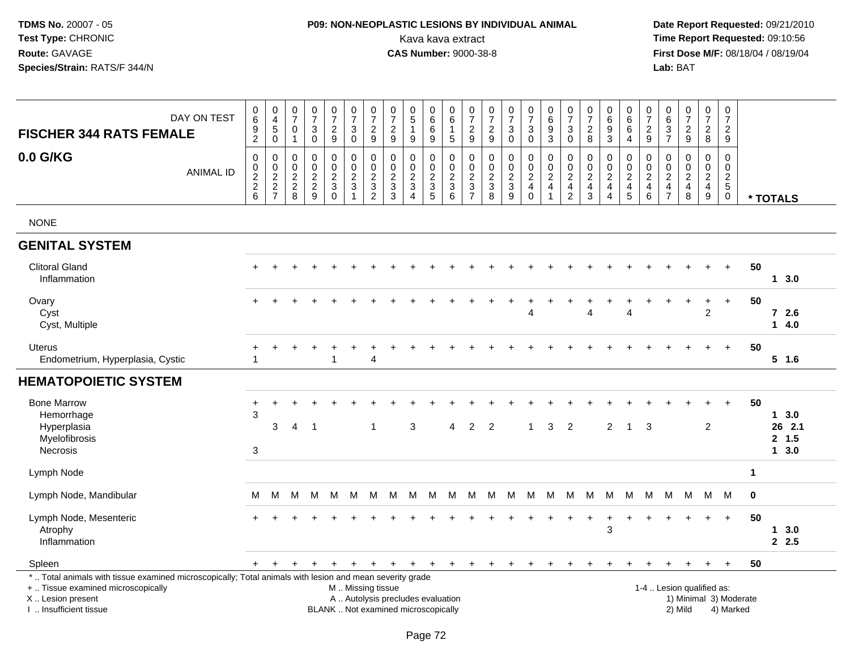# **P09: NON-NEOPLASTIC LESIONS BY INDIVIDUAL ANIMAL**Kava kava extract **Time Report Requested:** 09:10:56<br>**CAS Number:** 9000-38-8 **CAS Number:** 9000-38-8

| DAY ON TEST<br><b>FISCHER 344 RATS FEMALE</b>                                                                                                                                                                                                                                                                                                                                 | $_{6}^{\rm 0}$<br>$\frac{9}{2}$      | $_4^{\rm 0}$<br>$\sqrt{5}$<br>$\mathbf 0$              | 0<br>$\overline{7}$<br>$\mathsf 0$<br>$\mathbf{1}$                           | $\frac{0}{7}$<br>$\sqrt{3}$<br>$\mathbf 0$                | $\frac{0}{7}$<br>$\sqrt{2}$<br>$\boldsymbol{9}$                 | $\frac{0}{7}$<br>$\ensuremath{\mathsf{3}}$<br>$\mathbf 0$                  | $\frac{0}{7}$<br>$\boldsymbol{2}$<br>9                                     | $\frac{0}{7}$<br>$\sqrt{2}$<br>$9\,$                                  | $\begin{array}{c} 0 \\ 5 \end{array}$<br>$\mathbf{1}$<br>9                     | $_{6}^{\rm 0}$<br>$\overline{6}$<br>$\boldsymbol{9}$        | $\begin{array}{c} 0 \\ 6 \end{array}$<br>$\mathbf{1}$<br>$5\phantom{.0}$ | $\frac{0}{7}$<br>$\frac{2}{9}$                        | $\begin{array}{c} 0 \\ 7 \end{array}$<br>$\sqrt{2}$<br>9   | $\frac{0}{7}$<br>$\ensuremath{\mathsf{3}}$<br>$\pmb{0}$   | $\begin{array}{c} 0 \\ 7 \end{array}$<br>$\ensuremath{\mathsf{3}}$<br>$\pmb{0}$ | $\begin{array}{c} 0 \\ 6 \end{array}$<br>$\overline{9}$<br>$\mathbf{3}$                     | 0<br>$\overline{7}$<br>$\ensuremath{\mathsf{3}}$<br>$\mathsf{O}\xspace$ | $\frac{0}{7}$<br>$_{\rm 8}^2$                                                    | $\begin{array}{c} 0 \\ 6 \end{array}$<br>$\overline{9}$<br>$\mathsf 3$   | $\begin{array}{c} 0 \\ 6 \end{array}$<br>$\,6\,$<br>$\overline{4}$                    | $\frac{0}{7}$<br>$\frac{2}{9}$                      | $\begin{array}{c} 0 \\ 6 \\ 3 \\ 7 \end{array}$   | $\frac{0}{7}$<br>$\frac{2}{9}$                                                        | $\begin{array}{c} 0 \\ 7 \end{array}$<br>$\frac{2}{8}$                                        | $\begin{smallmatrix}0\\7\end{smallmatrix}$<br>$\sqrt{2}$<br>9                 |              |                                  |
|-------------------------------------------------------------------------------------------------------------------------------------------------------------------------------------------------------------------------------------------------------------------------------------------------------------------------------------------------------------------------------|--------------------------------------|--------------------------------------------------------|------------------------------------------------------------------------------|-----------------------------------------------------------|-----------------------------------------------------------------|----------------------------------------------------------------------------|----------------------------------------------------------------------------|-----------------------------------------------------------------------|--------------------------------------------------------------------------------|-------------------------------------------------------------|--------------------------------------------------------------------------|-------------------------------------------------------|------------------------------------------------------------|-----------------------------------------------------------|---------------------------------------------------------------------------------|---------------------------------------------------------------------------------------------|-------------------------------------------------------------------------|----------------------------------------------------------------------------------|--------------------------------------------------------------------------|---------------------------------------------------------------------------------------|-----------------------------------------------------|---------------------------------------------------|---------------------------------------------------------------------------------------|-----------------------------------------------------------------------------------------------|-------------------------------------------------------------------------------|--------------|----------------------------------|
| 0.0 G/KG<br><b>ANIMAL ID</b>                                                                                                                                                                                                                                                                                                                                                  | $\pmb{0}$<br>$_2^0$<br>$\frac{2}{6}$ | $\mathsf{O}\xspace$<br>$_{2}^{\rm 0}$<br>$\frac{2}{7}$ | $\mathbf 0$<br>$\pmb{0}$<br>$\boldsymbol{2}$<br>$^{\mathsf{2}}_{\mathsf{8}}$ | $\pmb{0}$<br>$\pmb{0}$<br>$\overline{2}$<br>$\frac{2}{9}$ | 0<br>$\mathbf 0$<br>$\overline{c}$<br>$\sqrt{3}$<br>$\mathbf 0$ | $\pmb{0}$<br>$\mathbf 0$<br>$\overline{2}$<br>$\sqrt{3}$<br>$\overline{1}$ | $\mathbf 0$<br>$\mathbf 0$<br>$\sqrt{2}$<br>$\mathbf{3}$<br>$\overline{c}$ | $\mathsf{O}\xspace$<br>$\mathbf 0$<br>$\overline{2}$<br>$\frac{3}{3}$ | $\mathbf 0$<br>$\mathbf 0$<br>$\overline{c}$<br>$\mathbf{3}$<br>$\overline{4}$ | 0<br>$\mathsf{O}\xspace$<br>$\overline{2}$<br>$\frac{3}{5}$ | 0<br>$\pmb{0}$<br>$\overline{2}$<br>$\frac{3}{6}$                        | 0<br>$\mathbf 0$<br>$\boldsymbol{2}$<br>$\frac{3}{7}$ | $\pmb{0}$<br>$\mathbf 0$<br>$\boldsymbol{2}$<br>$_{8}^{3}$ | 0<br>$\mathbf 0$<br>$\overline{c}$<br>3<br>$\overline{9}$ | $\pmb{0}$<br>$\frac{0}{2}$<br>$\begin{array}{c} 4 \\ 0 \end{array}$             | $\pmb{0}$<br>$\begin{smallmatrix} 0\\2 \end{smallmatrix}$<br>$\overline{4}$<br>$\mathbf{1}$ | 0<br>$\pmb{0}$<br>$\overline{c}$<br>$\overline{4}$<br>$\overline{c}$    | $\mathbf 0$<br>$\mathbf 0$<br>$\overline{2}$<br>$\overline{4}$<br>$\overline{3}$ | 0<br>$\mathbf 0$<br>$\boldsymbol{2}$<br>$\overline{4}$<br>$\overline{4}$ | $\mathbf 0$<br>$\mathbf 0$<br>$\overline{2}$<br>$\begin{array}{c} 4 \\ 5 \end{array}$ | 0<br>$\pmb{0}$<br>$\sqrt{2}$<br>$\overline{4}$<br>6 | 0<br>$\pmb{0}$<br>$\overline{2}$<br>$\frac{4}{7}$ | $\mathsf 0$<br>$\mathsf 0$<br>$\overline{2}$<br>$\begin{array}{c} 4 \\ 8 \end{array}$ | $\mathbf 0$<br>$\mathsf{O}\xspace$<br>$\overline{2}$<br>$\begin{array}{c} 4 \\ 9 \end{array}$ | $\mathbf 0$<br>$\mathbf 0$<br>$\overline{2}$<br>$\overline{5}$<br>$\mathbf 0$ |              | * TOTALS                         |
| <b>NONE</b>                                                                                                                                                                                                                                                                                                                                                                   |                                      |                                                        |                                                                              |                                                           |                                                                 |                                                                            |                                                                            |                                                                       |                                                                                |                                                             |                                                                          |                                                       |                                                            |                                                           |                                                                                 |                                                                                             |                                                                         |                                                                                  |                                                                          |                                                                                       |                                                     |                                                   |                                                                                       |                                                                                               |                                                                               |              |                                  |
| <b>GENITAL SYSTEM</b>                                                                                                                                                                                                                                                                                                                                                         |                                      |                                                        |                                                                              |                                                           |                                                                 |                                                                            |                                                                            |                                                                       |                                                                                |                                                             |                                                                          |                                                       |                                                            |                                                           |                                                                                 |                                                                                             |                                                                         |                                                                                  |                                                                          |                                                                                       |                                                     |                                                   |                                                                                       |                                                                                               |                                                                               |              |                                  |
| <b>Clitoral Gland</b><br>Inflammation                                                                                                                                                                                                                                                                                                                                         |                                      |                                                        |                                                                              |                                                           |                                                                 |                                                                            |                                                                            |                                                                       |                                                                                |                                                             |                                                                          |                                                       |                                                            |                                                           |                                                                                 |                                                                                             |                                                                         |                                                                                  |                                                                          |                                                                                       |                                                     |                                                   |                                                                                       |                                                                                               | $+$                                                                           | 50           | $1 \quad 3.0$                    |
| Ovary<br>Cyst<br>Cyst, Multiple                                                                                                                                                                                                                                                                                                                                               |                                      |                                                        |                                                                              |                                                           |                                                                 |                                                                            |                                                                            |                                                                       |                                                                                |                                                             |                                                                          |                                                       |                                                            |                                                           |                                                                                 |                                                                                             |                                                                         | Δ                                                                                |                                                                          | 4                                                                                     |                                                     |                                                   | $\overline{1}$                                                                        | $\ddot{}$<br>$\overline{2}$                                                                   | $+$                                                                           | 50           | $72.6$<br>14.0                   |
| Uterus<br>Endometrium, Hyperplasia, Cystic                                                                                                                                                                                                                                                                                                                                    |                                      |                                                        |                                                                              |                                                           |                                                                 |                                                                            | 4                                                                          |                                                                       |                                                                                |                                                             |                                                                          |                                                       |                                                            |                                                           |                                                                                 |                                                                                             |                                                                         |                                                                                  |                                                                          |                                                                                       |                                                     |                                                   |                                                                                       |                                                                                               |                                                                               | 50           | $5$ 1.6                          |
| <b>HEMATOPOIETIC SYSTEM</b>                                                                                                                                                                                                                                                                                                                                                   |                                      |                                                        |                                                                              |                                                           |                                                                 |                                                                            |                                                                            |                                                                       |                                                                                |                                                             |                                                                          |                                                       |                                                            |                                                           |                                                                                 |                                                                                             |                                                                         |                                                                                  |                                                                          |                                                                                       |                                                     |                                                   |                                                                                       |                                                                                               |                                                                               |              |                                  |
| <b>Bone Marrow</b><br>Hemorrhage<br>Hyperplasia<br>Myelofibrosis<br><b>Necrosis</b>                                                                                                                                                                                                                                                                                           | $\ddot{}$<br>3<br>3                  | 3                                                      | $\overline{4}$                                                               | -1                                                        |                                                                 |                                                                            | 1                                                                          |                                                                       | 3                                                                              |                                                             | Δ                                                                        | 2                                                     | $\overline{2}$                                             |                                                           |                                                                                 | 3                                                                                           | 2                                                                       |                                                                                  | $\overline{2}$                                                           | $\mathbf{1}$                                                                          | 3                                                   |                                                   |                                                                                       | 2                                                                                             |                                                                               | 50           | 13.0<br>26 2.1<br>2, 1.5<br>13.0 |
| Lymph Node                                                                                                                                                                                                                                                                                                                                                                    |                                      |                                                        |                                                                              |                                                           |                                                                 |                                                                            |                                                                            |                                                                       |                                                                                |                                                             |                                                                          |                                                       |                                                            |                                                           |                                                                                 |                                                                                             |                                                                         |                                                                                  |                                                                          |                                                                                       |                                                     |                                                   |                                                                                       |                                                                                               |                                                                               | $\mathbf{1}$ |                                  |
| Lymph Node, Mandibular                                                                                                                                                                                                                                                                                                                                                        | м                                    | M                                                      | М                                                                            | м                                                         | М                                                               | M                                                                          | М                                                                          | M                                                                     | M                                                                              | M                                                           | M                                                                        | M                                                     | M M                                                        |                                                           | M                                                                               | M                                                                                           |                                                                         | M M                                                                              | M                                                                        | M                                                                                     | M                                                   | М                                                 | M                                                                                     | M M                                                                                           |                                                                               | $\mathbf 0$  |                                  |
| Lymph Node, Mesenteric<br>Atrophy<br>Inflammation                                                                                                                                                                                                                                                                                                                             | $+$                                  |                                                        |                                                                              |                                                           |                                                                 |                                                                            |                                                                            |                                                                       |                                                                                |                                                             |                                                                          |                                                       |                                                            |                                                           |                                                                                 |                                                                                             |                                                                         |                                                                                  | +<br>3                                                                   |                                                                                       |                                                     |                                                   |                                                                                       | $+$                                                                                           | $\ddot{+}$                                                                    | 50           | 13.0<br>2.5                      |
| Spleen                                                                                                                                                                                                                                                                                                                                                                        | $+$                                  | $\ddot{}$                                              | $\ddot{}$                                                                    | $\overline{ }$                                            | $\ddot{}$                                                       |                                                                            | $+$                                                                        | $+$                                                                   | $+$                                                                            | $+$                                                         | $+$                                                                      | $+$                                                   | $+$                                                        | $+$                                                       | $+$                                                                             | $+$                                                                                         | $+$                                                                     | $\overline{+}$                                                                   | $\ddot{}$                                                                |                                                                                       |                                                     |                                                   |                                                                                       | $+$                                                                                           | $+$                                                                           | 50           |                                  |
| *  Total animals with tissue examined microscopically; Total animals with lesion and mean severity grade<br>+  Tissue examined microscopically<br>1-4  Lesion qualified as:<br>M  Missing tissue<br>X  Lesion present<br>A  Autolysis precludes evaluation<br>1) Minimal 3) Moderate<br>I  Insufficient tissue<br>BLANK  Not examined microscopically<br>2) Mild<br>4) Marked |                                      |                                                        |                                                                              |                                                           |                                                                 |                                                                            |                                                                            |                                                                       |                                                                                |                                                             |                                                                          |                                                       |                                                            |                                                           |                                                                                 |                                                                                             |                                                                         |                                                                                  |                                                                          |                                                                                       |                                                     |                                                   |                                                                                       |                                                                                               |                                                                               |              |                                  |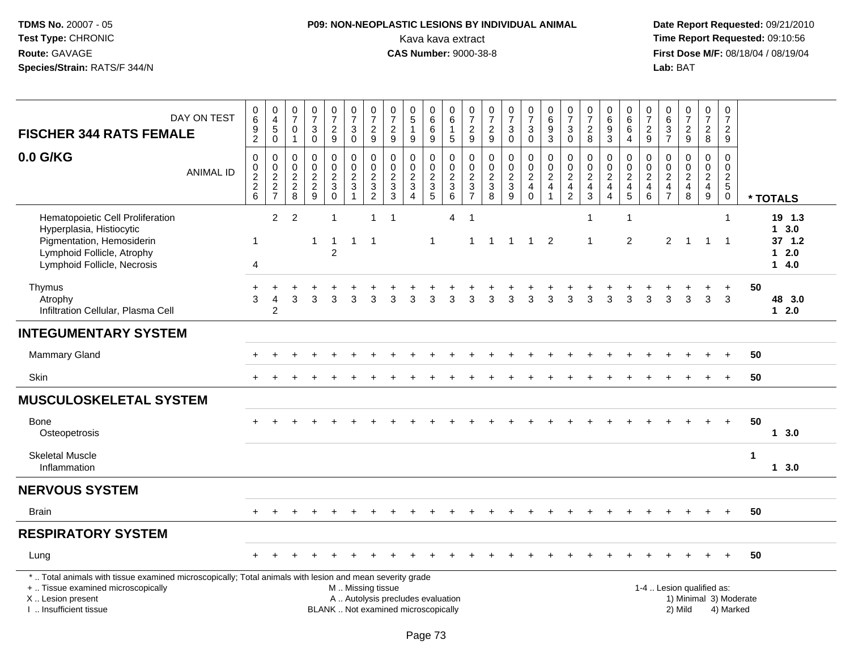# **P09: NON-NEOPLASTIC LESIONS BY INDIVIDUAL ANIMAL**Kava kava extract **Time Report Requested:** 09:10:56<br>**CAS Number:** 9000-38-8 **CAS Number:** 9000-38-8

| DAY ON TEST<br><b>FISCHER 344 RATS FEMALE</b>                                                                                                                                                 | $\begin{array}{c} 0 \\ 6 \end{array}$<br>$\frac{9}{2}$ | $\begin{smallmatrix}0\\4\end{smallmatrix}$<br>$\sqrt{5}$<br>$\overline{0}$ | $\frac{0}{7}$<br>$\mathbf 0$<br>$\overline{1}$ | $\pmb{0}$<br>$\overline{7}$<br>$\mathbf{3}$<br>$\mathbf 0$ | $\frac{0}{7}$<br>$\frac{2}{9}$                   | 0<br>$\overline{7}$<br>$_0^3$                        | $\begin{array}{c} 0 \\ 7 \end{array}$<br>$\frac{2}{9}$ | $\frac{0}{7}$<br>$\frac{2}{9}$                                           | $\begin{array}{c} 0 \\ 5 \end{array}$<br>$\mathbf{1}$<br>$\boldsymbol{9}$ | 0<br>$6\phantom{a}$<br>$\,6\,$<br>9 | $\pmb{0}$<br>$6\phantom{1}6$<br>$\mathbf{1}$<br>$\overline{5}$ | $\frac{0}{7}$<br>$\frac{2}{9}$                                 | $\frac{0}{7}$<br>$\frac{2}{9}$                      | $\frac{0}{7}$<br>$\mathbf{3}$<br>$\overline{0}$ | $\frac{0}{7}$<br>$_0^3$                          | $\begin{array}{c} 0 \\ 6 \end{array}$<br>$\frac{9}{3}$         | $\frac{0}{7}$<br>$\mathbf{3}$<br>$\mathbf 0$                                                       | $\pmb{0}$<br>$\overline{7}$<br>$_{8}^2$                                             | 0<br>$6\phantom{a}$<br>9<br>$\overline{3}$ | 0<br>$6\overline{6}$<br>$\,6$<br>$\overline{4}$ | $\frac{0}{7}$<br>$\frac{2}{9}$                                  | 0<br>$6\phantom{a}$<br>$\frac{3}{7}$                                               | $\begin{smallmatrix}0\\7\end{smallmatrix}$<br>$\frac{2}{9}$ | 0<br>$\overline{7}$<br>$\frac{2}{8}$ | $\pmb{0}$<br>$\overline{7}$<br>$\overline{2}$<br>$\overline{9}$ |                        |                                                             |
|-----------------------------------------------------------------------------------------------------------------------------------------------------------------------------------------------|--------------------------------------------------------|----------------------------------------------------------------------------|------------------------------------------------|------------------------------------------------------------|--------------------------------------------------|------------------------------------------------------|--------------------------------------------------------|--------------------------------------------------------------------------|---------------------------------------------------------------------------|-------------------------------------|----------------------------------------------------------------|----------------------------------------------------------------|-----------------------------------------------------|-------------------------------------------------|--------------------------------------------------|----------------------------------------------------------------|----------------------------------------------------------------------------------------------------|-------------------------------------------------------------------------------------|--------------------------------------------|-------------------------------------------------|-----------------------------------------------------------------|------------------------------------------------------------------------------------|-------------------------------------------------------------|--------------------------------------|-----------------------------------------------------------------|------------------------|-------------------------------------------------------------|
| 0.0 G/KG<br><b>ANIMAL ID</b>                                                                                                                                                                  | $\mathbf 0$<br>$\frac{0}{2}$<br>6                      | $\mathbf 0$<br>$\begin{array}{c}\n0 \\ 2 \\ 2 \\ 7\n\end{array}$           | $\mathbf 0$<br>$\mathbf 0$<br>$\frac{2}{8}$    | $\mathbf 0$<br>$\mathbf 0$<br>$\frac{2}{9}$                | 0<br>$\mathbf 0$<br>$\frac{2}{3}$<br>$\mathbf 0$ | 0<br>$\overline{0}$<br>$\frac{2}{3}$<br>$\mathbf{1}$ | 0<br>$\overline{0}$<br>$\frac{2}{3}$                   | $\mathbf 0$<br>$\mathbf 0$<br>$\frac{2}{3}$<br>$\mathbf{3}$              | $\mathbf 0$<br>$\ddot{\mathbf{0}}$<br>$\frac{2}{3}$                       | 0<br>0<br>$\frac{2}{3}$             | $\mathbf 0$<br>$\ddot{\mathbf{0}}$<br>$\frac{2}{3}$            | 0<br>$\mathbf 0$<br>$\begin{array}{c} 2 \\ 3 \\ 7 \end{array}$ | $\mathbf 0$<br>$\ddot{\mathbf{0}}$<br>$\frac{2}{3}$ | $\mathsf 0$<br>$\tilde{0}$<br>$\frac{2}{3}$     | 0<br>$\mathbf 0$<br>$\frac{2}{4}$<br>$\mathbf 0$ | $\mathbf 0$<br>$\overline{0}$<br>$\frac{2}{4}$<br>$\mathbf{1}$ | $\mathbf 0$<br>$\mathbf 0$<br>$\overline{\mathbf{c}}$<br>$\overline{\mathbf{4}}$<br>$\overline{2}$ | $\mathbf 0$<br>$\mathbf 0$<br>$\sqrt{2}$<br>$\overline{\mathbf{4}}$<br>$\mathbf{3}$ | 0<br>$\mathbf 0$<br>$\frac{2}{4}$<br>4     | 0<br>$\frac{0}{2}$<br>45                        | 0<br>$\Omega$<br>$\overline{\mathbf{c}}$<br>$\overline{4}$<br>6 | $\mathbf 0$<br>$\mathbf 0$<br>$\boldsymbol{2}$<br>$\overline{4}$<br>$\overline{7}$ | $\mathbf 0$<br>$\ddot{\mathbf{0}}$<br>$\frac{2}{4}$<br>8    | 0<br>0<br>$\frac{2}{4}$<br>$9\,$     | $\mathbf 0$<br>$\mathbf 0$<br>$\frac{2}{5}$<br>$\mathbf 0$      |                        | * TOTALS                                                    |
| Hematopoietic Cell Proliferation<br>Hyperplasia, Histiocytic<br>Pigmentation, Hemosiderin<br>Lymphoid Follicle, Atrophy<br>Lymphoid Follicle, Necrosis                                        | $\overline{1}$<br>4                                    | 2                                                                          | $\overline{2}$                                 | $\mathbf{1}$                                               | 1<br>$\mathbf 1$<br>$\overline{2}$               | $\overline{1}$                                       | $\overline{1}$<br>$\overline{1}$                       | $\overline{1}$                                                           |                                                                           | $\overline{1}$                      | 4                                                              | $\overline{1}$<br>$\blacktriangleleft$                         | $\mathbf 1$                                         | $\overline{1}$                                  | $\overline{1}$                                   | $\overline{2}$                                                 |                                                                                                    | $\mathbf{1}$<br>1                                                                   |                                            | 1<br>2                                          |                                                                 | $\overline{c}$                                                                     | $\overline{1}$                                              | $\overline{1}$                       | -1<br>$\overline{1}$                                            |                        | 19 1.3<br>$1 \quad 3.0$<br>37, 1.2<br>$1 \quad 2.0$<br>14.0 |
| Thymus<br>Atrophy<br>Infiltration Cellular, Plasma Cell                                                                                                                                       | $\ddot{}$<br>3                                         | 4<br>$\overline{2}$                                                        | 3                                              | 3                                                          | 3                                                | 3                                                    | 3                                                      | 3                                                                        | 3                                                                         | 3                                   | 3                                                              | 3                                                              | 3                                                   | $\ddot{}$<br>3                                  | ٠<br>3                                           | 3                                                              | 3                                                                                                  | 3                                                                                   | 3                                          | 3                                               | 3                                                               | 3                                                                                  | 3                                                           | +<br>3                               | $\ddot{}$<br>3                                                  | 50                     | 48 3.0<br>$12.0$                                            |
| <b>INTEGUMENTARY SYSTEM</b>                                                                                                                                                                   |                                                        |                                                                            |                                                |                                                            |                                                  |                                                      |                                                        |                                                                          |                                                                           |                                     |                                                                |                                                                |                                                     |                                                 |                                                  |                                                                |                                                                                                    |                                                                                     |                                            |                                                 |                                                                 |                                                                                    |                                                             |                                      |                                                                 |                        |                                                             |
| <b>Mammary Gland</b>                                                                                                                                                                          |                                                        |                                                                            |                                                |                                                            |                                                  |                                                      |                                                        |                                                                          |                                                                           |                                     |                                                                |                                                                |                                                     |                                                 |                                                  |                                                                |                                                                                                    |                                                                                     |                                            |                                                 |                                                                 |                                                                                    |                                                             |                                      |                                                                 | 50                     |                                                             |
| Skin                                                                                                                                                                                          | $+$                                                    |                                                                            |                                                |                                                            |                                                  |                                                      |                                                        |                                                                          |                                                                           |                                     |                                                                |                                                                |                                                     |                                                 |                                                  |                                                                |                                                                                                    |                                                                                     |                                            |                                                 |                                                                 |                                                                                    |                                                             | $+$                                  | $+$                                                             | 50                     |                                                             |
| <b>MUSCULOSKELETAL SYSTEM</b>                                                                                                                                                                 |                                                        |                                                                            |                                                |                                                            |                                                  |                                                      |                                                        |                                                                          |                                                                           |                                     |                                                                |                                                                |                                                     |                                                 |                                                  |                                                                |                                                                                                    |                                                                                     |                                            |                                                 |                                                                 |                                                                                    |                                                             |                                      |                                                                 |                        |                                                             |
| <b>Bone</b><br>Osteopetrosis                                                                                                                                                                  |                                                        |                                                                            |                                                |                                                            |                                                  |                                                      |                                                        |                                                                          |                                                                           |                                     |                                                                |                                                                |                                                     |                                                 |                                                  |                                                                |                                                                                                    |                                                                                     |                                            |                                                 |                                                                 |                                                                                    |                                                             |                                      | $+$                                                             | 50                     | 13.0                                                        |
| <b>Skeletal Muscle</b><br>Inflammation                                                                                                                                                        |                                                        |                                                                            |                                                |                                                            |                                                  |                                                      |                                                        |                                                                          |                                                                           |                                     |                                                                |                                                                |                                                     |                                                 |                                                  |                                                                |                                                                                                    |                                                                                     |                                            |                                                 |                                                                 |                                                                                    |                                                             |                                      |                                                                 | $\mathbf 1$            | 13.0                                                        |
| <b>NERVOUS SYSTEM</b>                                                                                                                                                                         |                                                        |                                                                            |                                                |                                                            |                                                  |                                                      |                                                        |                                                                          |                                                                           |                                     |                                                                |                                                                |                                                     |                                                 |                                                  |                                                                |                                                                                                    |                                                                                     |                                            |                                                 |                                                                 |                                                                                    |                                                             |                                      |                                                                 |                        |                                                             |
| <b>Brain</b>                                                                                                                                                                                  | $+$                                                    |                                                                            |                                                |                                                            |                                                  |                                                      |                                                        |                                                                          |                                                                           |                                     |                                                                |                                                                |                                                     |                                                 |                                                  |                                                                |                                                                                                    |                                                                                     |                                            |                                                 |                                                                 |                                                                                    |                                                             | $\ddot{}$                            | $\ddot{}$                                                       | 50                     |                                                             |
| <b>RESPIRATORY SYSTEM</b>                                                                                                                                                                     |                                                        |                                                                            |                                                |                                                            |                                                  |                                                      |                                                        |                                                                          |                                                                           |                                     |                                                                |                                                                |                                                     |                                                 |                                                  |                                                                |                                                                                                    |                                                                                     |                                            |                                                 |                                                                 |                                                                                    |                                                             |                                      |                                                                 |                        |                                                             |
| Lung                                                                                                                                                                                          |                                                        |                                                                            |                                                |                                                            |                                                  |                                                      |                                                        |                                                                          |                                                                           |                                     |                                                                |                                                                |                                                     |                                                 |                                                  |                                                                |                                                                                                    |                                                                                     |                                            |                                                 |                                                                 |                                                                                    |                                                             |                                      |                                                                 | 50                     |                                                             |
| *  Total animals with tissue examined microscopically; Total animals with lesion and mean severity grade<br>+  Tissue examined microscopically<br>X  Lesion present<br>I  Insufficient tissue |                                                        |                                                                            |                                                |                                                            |                                                  | M  Missing tissue                                    |                                                        | A  Autolysis precludes evaluation<br>BLANK  Not examined microscopically |                                                                           |                                     |                                                                |                                                                |                                                     |                                                 |                                                  |                                                                |                                                                                                    |                                                                                     |                                            |                                                 |                                                                 |                                                                                    | 1-4  Lesion qualified as:<br>2) Mild                        |                                      | 4) Marked                                                       | 1) Minimal 3) Moderate |                                                             |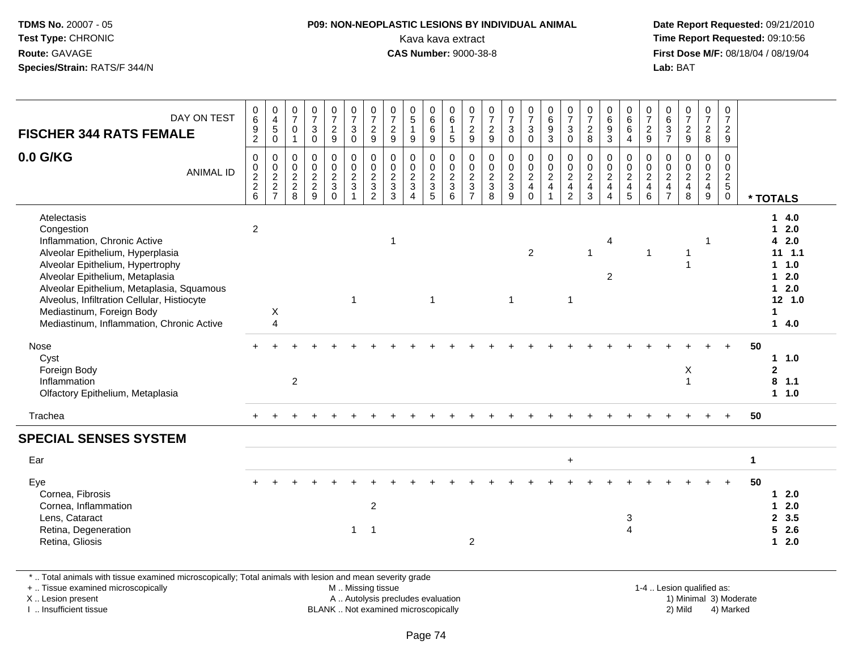# **P09: NON-NEOPLASTIC LESIONS BY INDIVIDUAL ANIMAL**Kava kava extract **Time Report Requested:** 09:10:56<br>**CAS Number:** 9000-38-8<br>**Tirst Dose M/F:** 08/18/04 / 08/19/04

 **Date Report Requested:** 09/21/2010 **First Dose M/F:** 08/18/04 / 08/19/04 Lab: BAT **Lab:** BAT

| DAY ON TEST<br><b>FISCHER 344 RATS FEMALE</b>                                                                                                                                                                                                                                                                                              | 0<br>6<br>$\boldsymbol{9}$<br>$\overline{2}$ | $\mathbf 0$<br>$\overline{4}$<br>$\sqrt{5}$<br>$\mathbf 0$ | 0<br>$\overline{7}$<br>$\Omega$<br>$\mathbf{1}$             | 0<br>$\overline{7}$<br>$\mathsf 3$<br>$\mathbf 0$                           | $\frac{0}{7}$<br>$\frac{2}{9}$                              | $\frac{0}{7}$<br>$\mathbf{3}$<br>$\mathbf 0$                                     | $\pmb{0}$<br>$\overline{7}$<br>$\overline{c}$<br>9                  | $\frac{0}{7}$<br>$\frac{2}{9}$                 | $\begin{array}{c} 0 \\ 5 \end{array}$<br>$\mathbf{1}$<br>$9\,$                       | 0<br>6<br>$\,6\,$<br>$\overline{9}$                                | 0<br>$\,6\,$<br>$\mathbf{1}$<br>$\sqrt{5}$              | 0<br>$\boldsymbol{7}$<br>$\frac{2}{9}$                      | 0<br>$\overline{7}$<br>$\overline{c}$<br>9   | $\frac{0}{7}$<br>$\sqrt{3}$<br>$\mathbf 0$            | 0<br>$\overline{7}$<br>$\mathsf 3$<br>$\mathbf 0$                             | $\mathbf 0$<br>$\,6\,$<br>$\boldsymbol{9}$<br>$\overline{3}$                      | $\frac{0}{7}$<br>$\mathbf{3}$<br>$\mathbf 0$                           | 0<br>$\overline{7}$<br>$\overline{2}$<br>8                        | 0<br>$6\phantom{a}$<br>$\boldsymbol{9}$<br>3                 | 0<br>$6\phantom{1}$<br>$\,6\,$<br>$\overline{4}$ | 0<br>$\overline{7}$<br>$\overline{c}$<br>9                                | 0<br>$\,6\,$<br>$\mathbf{3}$<br>$\overline{7}$                                   | $\begin{smallmatrix}0\\7\end{smallmatrix}$<br>$\frac{2}{9}$ | 0<br>$\overline{7}$<br>$\overline{c}$<br>8                   | $\mathbf 0$<br>$\overline{7}$<br>$\boldsymbol{2}$<br>9 |             |                                                                                              |
|--------------------------------------------------------------------------------------------------------------------------------------------------------------------------------------------------------------------------------------------------------------------------------------------------------------------------------------------|----------------------------------------------|------------------------------------------------------------|-------------------------------------------------------------|-----------------------------------------------------------------------------|-------------------------------------------------------------|----------------------------------------------------------------------------------|---------------------------------------------------------------------|------------------------------------------------|--------------------------------------------------------------------------------------|--------------------------------------------------------------------|---------------------------------------------------------|-------------------------------------------------------------|----------------------------------------------|-------------------------------------------------------|-------------------------------------------------------------------------------|-----------------------------------------------------------------------------------|------------------------------------------------------------------------|-------------------------------------------------------------------|--------------------------------------------------------------|--------------------------------------------------|---------------------------------------------------------------------------|----------------------------------------------------------------------------------|-------------------------------------------------------------|--------------------------------------------------------------|--------------------------------------------------------|-------------|----------------------------------------------------------------------------------------------|
| 0.0 G/KG<br><b>ANIMAL ID</b>                                                                                                                                                                                                                                                                                                               | $\mathbf 0$<br>0, 2, 2, 6                    | 0<br>$\mathbf 0$<br>$\frac{2}{2}$<br>7                     | $\mathbf 0$<br>$\mathbf 0$<br>$\sqrt{2}$<br>$\sqrt{2}$<br>8 | $\mathbf 0$<br>$\ddot{\mathbf{0}}$<br>$\overline{2}$<br>$\overline{2}$<br>9 | $\mathbf 0$<br>$\bar{0}$<br>$\overline{2}$<br>3<br>$\Omega$ | $\begin{smallmatrix} 0\\0\\2 \end{smallmatrix}$<br>$\mathbf 3$<br>$\overline{1}$ | $\pmb{0}$<br>$\ddot{\mathbf{0}}$<br>$\frac{2}{3}$<br>$\overline{2}$ | $\mathbf 0$<br>$\frac{0}{2}$<br>$\overline{3}$ | $\pmb{0}$<br>$\mathbf 0$<br>$\overline{2}$<br>$\mathbf{3}$<br>$\boldsymbol{\Lambda}$ | 0<br>$\mathbf 0$<br>$\overline{2}$<br>$\sqrt{3}$<br>$\overline{5}$ | 0<br>$\mathbf 0$<br>$\overline{2}$<br>$\mathbf{3}$<br>6 | $\mathbf 0$<br>$\pmb{0}$<br>$\frac{2}{3}$<br>$\overline{7}$ | $\pmb{0}$<br>$\pmb{0}$<br>$\frac{2}{3}$<br>8 | $\pmb{0}$<br>$\begin{matrix}0\\2\\3\end{matrix}$<br>9 | $\mathbf 0$<br>$\overline{0}$<br>$\overline{2}$<br>$\overline{4}$<br>$\Omega$ | $\pmb{0}$<br>$\overline{0}$<br>$\overline{2}$<br>$\overline{4}$<br>$\overline{1}$ | 0<br>$\mathbf 0$<br>$\overline{2}$<br>$\overline{4}$<br>$\overline{2}$ | $\pmb{0}$<br>$\mathsf 0$<br>$\overline{2}$<br>$\overline{4}$<br>3 | $\mathbf 0$<br>$\pmb{0}$<br>$\overline{2}$<br>$\overline{4}$ | 0<br>$\frac{0}{2}$<br>$\overline{4}$<br>5        | $\pmb{0}$<br>$\ddot{\mathbf{0}}$<br>$\overline{2}$<br>$\overline{4}$<br>6 | $\mathbf 0$<br>$\mathbf 0$<br>$\overline{2}$<br>$\overline{4}$<br>$\overline{7}$ | $\mathbf 0$<br>$\frac{0}{2}$<br>8                           | 0<br>$\overline{0}$<br>$\overline{2}$<br>$\overline{4}$<br>9 | $\pmb{0}$<br>$\pmb{0}$<br>$rac{2}{5}$<br>$\mathbf 0$   |             | * TOTALS                                                                                     |
| Atelectasis<br>Congestion<br>Inflammation, Chronic Active<br>Alveolar Epithelium, Hyperplasia<br>Alveolar Epithelium, Hypertrophy<br>Alveolar Epithelium, Metaplasia<br>Alveolar Epithelium, Metaplasia, Squamous<br>Alveolus, Infiltration Cellular, Histiocyte<br>Mediastinum, Foreign Body<br>Mediastinum, Inflammation, Chronic Active | $\overline{2}$                               | Χ<br>$\overline{A}$                                        |                                                             |                                                                             |                                                             | $\mathbf{1}$                                                                     |                                                                     | -1                                             |                                                                                      | $\mathbf{1}$                                                       |                                                         |                                                             |                                              | $\overline{1}$                                        | $\overline{2}$                                                                |                                                                                   | $\mathbf{1}$                                                           | 1                                                                 | $\overline{4}$<br>$\overline{2}$                             |                                                  | $\mathbf{1}$                                                              |                                                                                  | 1                                                           | 1                                                            |                                                        |             | 14.0<br>$12.0$<br>42.0<br>$11 \t1.1$<br>$1 \t1.0$<br>$12.0$<br>$12.0$<br>12 1.0<br>1<br>14.0 |
| Nose<br>Cyst<br>Foreign Body<br>Inflammation<br>Olfactory Epithelium, Metaplasia                                                                                                                                                                                                                                                           |                                              |                                                            | $\overline{c}$                                              |                                                                             |                                                             |                                                                                  |                                                                     |                                                |                                                                                      |                                                                    |                                                         |                                                             |                                              |                                                       |                                                                               |                                                                                   |                                                                        |                                                                   |                                                              |                                                  |                                                                           |                                                                                  | X<br>$\overline{1}$                                         |                                                              |                                                        | 50          | 11.0<br>$\mathbf 2$<br>$8$ 1.1<br>1 1.0                                                      |
| Trachea                                                                                                                                                                                                                                                                                                                                    |                                              |                                                            |                                                             |                                                                             |                                                             |                                                                                  |                                                                     |                                                |                                                                                      |                                                                    |                                                         |                                                             |                                              |                                                       |                                                                               |                                                                                   |                                                                        |                                                                   |                                                              |                                                  |                                                                           |                                                                                  |                                                             |                                                              | $+$                                                    | 50          |                                                                                              |
| <b>SPECIAL SENSES SYSTEM</b>                                                                                                                                                                                                                                                                                                               |                                              |                                                            |                                                             |                                                                             |                                                             |                                                                                  |                                                                     |                                                |                                                                                      |                                                                    |                                                         |                                                             |                                              |                                                       |                                                                               |                                                                                   |                                                                        |                                                                   |                                                              |                                                  |                                                                           |                                                                                  |                                                             |                                                              |                                                        |             |                                                                                              |
| Ear                                                                                                                                                                                                                                                                                                                                        |                                              |                                                            |                                                             |                                                                             |                                                             |                                                                                  |                                                                     |                                                |                                                                                      |                                                                    |                                                         |                                                             |                                              |                                                       |                                                                               |                                                                                   | $\ddot{}$                                                              |                                                                   |                                                              |                                                  |                                                                           |                                                                                  |                                                             |                                                              |                                                        | $\mathbf 1$ |                                                                                              |
| Eye<br>Cornea, Fibrosis<br>Cornea, Inflammation<br>Lens, Cataract<br>Retina, Degeneration<br>Retina, Gliosis                                                                                                                                                                                                                               |                                              |                                                            |                                                             |                                                                             |                                                             | 1                                                                                | $\overline{c}$<br>$\overline{1}$                                    |                                                |                                                                                      |                                                                    |                                                         | $\overline{2}$                                              |                                              |                                                       |                                                                               |                                                                                   |                                                                        |                                                                   |                                                              | 3<br>$\overline{4}$                              |                                                                           |                                                                                  |                                                             |                                                              |                                                        | 50          | $12.0$<br>2.0<br>$\mathbf 1$<br>2, 3.5<br>$5$ 2.6<br>$12.0$                                  |

\* .. Total animals with tissue examined microscopically; Total animals with lesion and mean severity grade

+ .. Tissue examined microscopically

X .. Lesion present

I .. Insufficient tissue

M .. Missing tissue

A .. Autolysis precludes evaluation

BLANK .. Not examined microscopically 2) Mild 4) Marked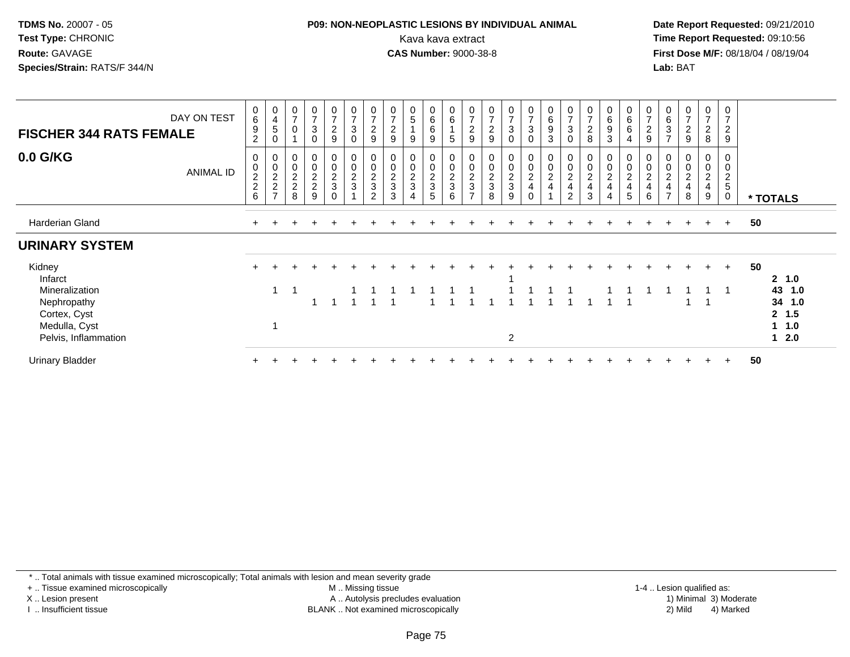#### **P09: NON-NEOPLASTIC LESIONS BY INDIVIDUAL ANIMAL**Kava kava extract **Time Report Requested:** 09:10:56<br>**CAS Number:** 9000-38-8<br>**Tirst Dose M/F:** 08/18/04 / 08/19/04

 **Date Report Requested:** 09/21/2010 **First Dose M/F:** 08/18/04 / 08/19/04 Lab: BAT **Lab:** BAT

| DAY ON TEST<br><b>FISCHER 344 RATS FEMALE</b> | $\begin{array}{c} 0 \\ 6 \end{array}$<br>9<br>$\overline{c}$ | $\begin{array}{c} 0 \\ 4 \end{array}$<br>5<br>0   | 0<br>$\overline{7}$             | 0<br>$\overline{z}$<br>$\mathbf{3}$<br>0 | $\mathbf 0$<br>$\overline{7}$<br>$\overline{c}$<br>$\boldsymbol{9}$ | $\frac{0}{7}$<br>$\sqrt{3}$<br>$\mathbf 0$      | 0<br>$\overline{ }$<br>$\overline{c}$<br>9                  | 0<br>$\overline{7}$<br>$\overline{c}$<br>9 | 0<br>5<br>9                                        | 0<br>6<br>6<br>9        | $\pmb{0}$<br>$\,6\,$<br>5 | 0<br>$\overline{z}$<br>$\overline{c}$<br>9                             | $\pmb{0}$<br>$\overline{7}$<br>$\overline{2}$<br>9 | 0<br>$\overline{7}$<br>3<br>$\Omega$   | $\frac{0}{7}$<br>$\mathbf{3}$<br>$\mathbf 0$ | $\begin{array}{c} 0 \\ 6 \end{array}$<br>$\boldsymbol{9}$<br>3 | 0<br>$\rightarrow$<br>$\sqrt{3}$<br>0        | 0<br>$\overline{7}$<br>$\sqrt{2}$<br>8                                            | 0<br>6<br>9<br>3                                                     | $\mathbf 0$<br>$\,6\,$<br>$\,6\,$<br>$\overline{4}$     | 0<br>$\overline{ }$<br>$\overline{\mathbf{c}}$<br>9 | 0<br>6<br>$\ensuremath{\mathsf{3}}$<br>$\overline{ }$ | 0<br>$\rightarrow$<br>$\overline{a}$<br>9 | 0<br>$\overline{ }$<br>$\overline{c}$<br>8 | 0<br>$\overline{7}$<br>$\overline{c}$<br>9            |                            |
|-----------------------------------------------|--------------------------------------------------------------|---------------------------------------------------|---------------------------------|------------------------------------------|---------------------------------------------------------------------|-------------------------------------------------|-------------------------------------------------------------|--------------------------------------------|----------------------------------------------------|-------------------------|---------------------------|------------------------------------------------------------------------|----------------------------------------------------|----------------------------------------|----------------------------------------------|----------------------------------------------------------------|----------------------------------------------|-----------------------------------------------------------------------------------|----------------------------------------------------------------------|---------------------------------------------------------|-----------------------------------------------------|-------------------------------------------------------|-------------------------------------------|--------------------------------------------|-------------------------------------------------------|----------------------------|
| 0.0 G/KG<br><b>ANIMAL ID</b>                  | 0<br>$\frac{0}{2}$<br>6                                      | $\overline{0}$<br>$\frac{0}{2}$<br>$\overline{ }$ | $\pmb{0}$<br>$\frac{2}{2}$<br>8 | 0<br>$0$<br>$2$<br>$9$                   | 0<br>$\frac{0}{2}$<br>$\Omega$                                      | $\begin{array}{c} 0 \\ 0 \\ 2 \\ 3 \end{array}$ | 0<br>0<br>$\boldsymbol{2}$<br>$\mathsf 3$<br>$\overline{2}$ | $\pmb{0}$<br>$\frac{2}{3}$<br>3            | 0<br>$\mathsf 0$<br>$\overline{2}$<br>$\mathbf{3}$ | 0<br>$\frac{0}{2}$<br>5 | 0<br>$\frac{0}{2}$<br>6   | 0<br>$\begin{smallmatrix} 0\\2\\3 \end{smallmatrix}$<br>$\overline{ }$ | $\pmb{0}$<br>$\frac{0}{2}$<br>8                    | 0<br>$\mathsf 0$<br>$\frac{2}{3}$<br>9 | 0<br>$\frac{0}{2}$                           | $\mathbf 0$<br>$\frac{0}{2}$<br>$\overline{\mathbf{4}}$        | 0<br>$\boldsymbol{2}$<br>$\overline{4}$<br>2 | 0<br>$\begin{smallmatrix} 0\\2 \end{smallmatrix}$<br>$\overline{\mathbf{4}}$<br>3 | 0<br>$\begin{smallmatrix} 0\\ 2 \end{smallmatrix}$<br>$\overline{4}$ | 0<br>$\pmb{0}$<br>$\overline{2}$<br>$\overline{4}$<br>5 | 0<br>$\mathbf 0$<br>$\boldsymbol{2}$<br>4<br>6      | $\boldsymbol{2}$                                      | 0<br>0<br>$\boldsymbol{2}$<br>4<br>8      | 0<br>0<br>$\overline{c}$<br>4<br>9         | 0<br>0<br>$\overline{2}$<br>$\sqrt{5}$<br>$\mathbf 0$ | * TOTALS                   |
| Harderian Gland                               |                                                              |                                                   | +                               |                                          |                                                                     |                                                 |                                                             |                                            |                                                    |                         |                           |                                                                        |                                                    |                                        |                                              |                                                                |                                              |                                                                                   |                                                                      |                                                         |                                                     | $+$                                                   | $+$                                       | $+$                                        | $+$                                                   | 50                         |
| <b>URINARY SYSTEM</b>                         |                                                              |                                                   |                                 |                                          |                                                                     |                                                 |                                                             |                                            |                                                    |                         |                           |                                                                        |                                                    |                                        |                                              |                                                                |                                              |                                                                                   |                                                                      |                                                         |                                                     |                                                       |                                           |                                            |                                                       |                            |
| Kidney<br>Infarct                             |                                                              |                                                   |                                 |                                          |                                                                     |                                                 |                                                             |                                            |                                                    |                         |                           |                                                                        |                                                    |                                        |                                              |                                                                |                                              |                                                                                   |                                                                      |                                                         |                                                     |                                                       |                                           | $+$                                        | $+$                                                   | 50<br>$2 \t1.0$            |
| Mineralization<br>Nephropathy<br>Cortex, Cyst |                                                              |                                                   |                                 |                                          |                                                                     |                                                 |                                                             |                                            |                                                    |                         |                           |                                                                        |                                                    |                                        |                                              |                                                                |                                              |                                                                                   |                                                                      |                                                         |                                                     |                                                       | $\overline{ }$                            |                                            |                                                       | 43 1.0<br>34 1.0<br>2, 1.5 |
| Medulla, Cyst<br>Pelvis, Inflammation         |                                                              |                                                   |                                 |                                          |                                                                     |                                                 |                                                             |                                            |                                                    |                         |                           |                                                                        |                                                    | 2                                      |                                              |                                                                |                                              |                                                                                   |                                                                      |                                                         |                                                     |                                                       |                                           |                                            |                                                       | $1 \t1.0$<br>$1 \quad 2.0$ |
| <b>Urinary Bladder</b>                        |                                                              |                                                   |                                 |                                          |                                                                     |                                                 |                                                             |                                            |                                                    |                         |                           |                                                                        |                                                    |                                        |                                              |                                                                |                                              |                                                                                   |                                                                      |                                                         |                                                     |                                                       |                                           |                                            | $\ddot{}$                                             | 50                         |

\* .. Total animals with tissue examined microscopically; Total animals with lesion and mean severity grade

+ .. Tissue examined microscopically

X .. Lesion present

I .. Insufficient tissue

 M .. Missing tissueA .. Autolysis precludes evaluation

 1-4 .. Lesion qualified as: BLANK .. Not examined microscopically 2) Mild 4) Marked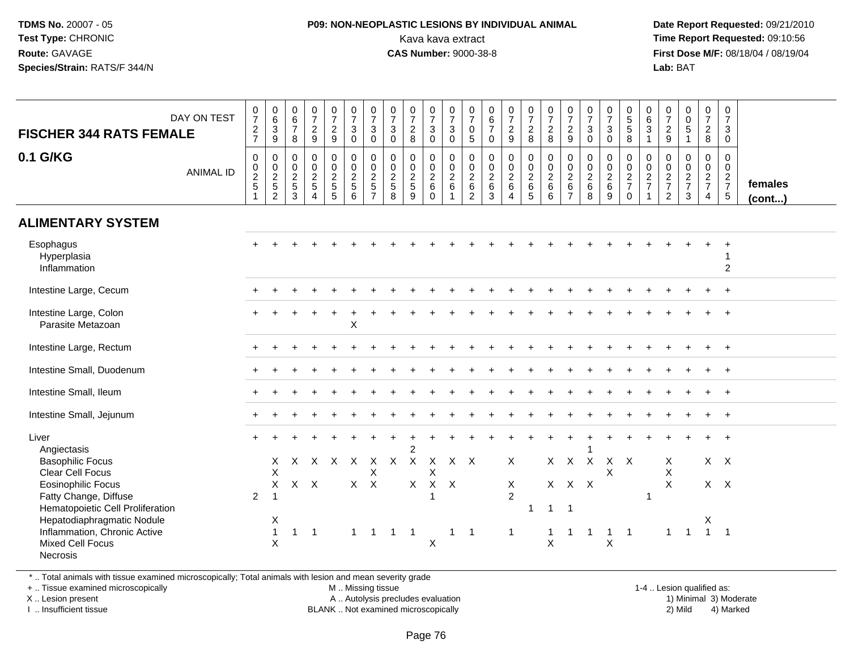#### **P09: NON-NEOPLASTIC LESIONS BY INDIVIDUAL ANIMAL**Kava kava extract **Time Report Requested:** 09:10:56<br>**CAS Number:** 9000-38-8<br>**Tirst Dose M/F:** 08/18/04 / 08/19/04

 **Date Report Requested:** 09/21/2010 **First Dose M/F:** 08/18/04 / 08/19/04 Lab: BAT **Lab:** BAT

| <b>FISCHER 344 RATS FEMALE</b>                                                                                                        | DAY ON TEST      | 0<br>$\overline{7}$<br>$\frac{2}{7}$                            | $\pmb{0}$<br>$\,6\,$<br>$\overline{3}$<br>9  | 0<br>$\frac{6}{7}$<br>8              | $\frac{0}{7}$<br>$\frac{2}{9}$                              | $\frac{0}{7}$<br>$\frac{2}{9}$                               | $\begin{smallmatrix}0\\7\end{smallmatrix}$<br>$\mathsf 3$<br>$\mathbf 0$ | $\frac{0}{7}$<br>$\mathbf 3$<br>$\mathbf 0$                    | $\frac{0}{7}$<br>3<br>$\mathbf 0$                | $\frac{0}{7}$<br>$\frac{2}{8}$                   | $\frac{0}{7}$<br>$\frac{3}{0}$                           | $\frac{0}{7}$<br>$\mathbf{3}$<br>$\mathbf 0$ | $\frac{0}{7}$<br>$\mathbf 0$<br>$\overline{5}$ | $\begin{array}{c} 0 \\ 6 \\ 7 \end{array}$<br>$\mathbf 0$ | $\frac{0}{7}$<br>$\frac{2}{9}$                              | $\frac{0}{7}$<br>$\frac{2}{8}$         | $\frac{0}{7}$<br>8                                   | $\frac{0}{7}$<br>$\frac{2}{9}$                                            | $\frac{0}{7}$<br>$\sqrt{3}$<br>$\mathbf 0$      | $\frac{0}{7}$<br>$\ensuremath{\mathsf{3}}$<br>$\mathbf 0$    | 0<br>5<br>5<br>8                       | 0<br>$6\phantom{a}$<br>$\overline{3}$<br>$\mathbf{1}$        | 0<br>$\boldsymbol{7}$<br>$\frac{2}{9}$              | $\begin{matrix} 0 \\ 0 \\ 5 \end{matrix}$<br>$\mathbf{1}$ | $\frac{0}{7}$<br>$\frac{2}{8}$                                   | $\frac{0}{7}$<br>$\mathbf{3}$<br>$\mathbf 0$                   |                         |
|---------------------------------------------------------------------------------------------------------------------------------------|------------------|-----------------------------------------------------------------|----------------------------------------------|--------------------------------------|-------------------------------------------------------------|--------------------------------------------------------------|--------------------------------------------------------------------------|----------------------------------------------------------------|--------------------------------------------------|--------------------------------------------------|----------------------------------------------------------|----------------------------------------------|------------------------------------------------|-----------------------------------------------------------|-------------------------------------------------------------|----------------------------------------|------------------------------------------------------|---------------------------------------------------------------------------|-------------------------------------------------|--------------------------------------------------------------|----------------------------------------|--------------------------------------------------------------|-----------------------------------------------------|-----------------------------------------------------------|------------------------------------------------------------------|----------------------------------------------------------------|-------------------------|
| 0.1 G/KG                                                                                                                              | <b>ANIMAL ID</b> | 0<br>$\begin{array}{c} 0 \\ 2 \\ 5 \end{array}$<br>$\mathbf{1}$ | $\pmb{0}$<br>$\frac{0}{2}$<br>$\overline{2}$ | 0<br>$\pmb{0}$<br>$\frac{2}{5}$<br>3 | $\pmb{0}$<br>$\mathsf 0$<br>$\frac{2}{5}$<br>$\overline{4}$ | $\pmb{0}$<br>$\begin{array}{c} 0 \\ 2 \\ 5 \end{array}$<br>5 | $\mathbf 0$<br>$\frac{0}{2}$<br>6                                        | $\pmb{0}$<br>$\overline{0}$<br>$\frac{2}{5}$<br>$\overline{7}$ | $\mathbf 0$<br>$\mathbf 0$<br>$\frac{2}{5}$<br>8 | $\mathbf 0$<br>$\mathbf 0$<br>$\frac{2}{5}$<br>9 | 0<br>$\mathsf{O}\xspace$<br>$\frac{2}{6}$<br>$\mathbf 0$ | $\pmb{0}$<br>$\frac{0}{2}$ 6<br>$\mathbf{1}$ | $\pmb{0}$<br>$\frac{0}{2}$ 6<br>$\overline{c}$ | $\mathbf 0$<br>$\frac{0}{2}$<br>$\mathbf{3}$              | $\pmb{0}$<br>$\mathbf 0$<br>$\frac{2}{6}$<br>$\overline{4}$ | 0<br>$\mathbf 0$<br>$\frac{2}{6}$<br>5 | $\begin{array}{c} 0 \\ 0 \\ 2 \\ 6 \end{array}$<br>6 | 0<br>$\pmb{0}$<br>$\begin{array}{c} 2 \\ 6 \end{array}$<br>$\overline{7}$ | $\pmb{0}$<br>$\pmb{0}$<br>$^2\phantom{1}6$<br>8 | $\mathbf 0$<br>$\ddot{\mathbf{0}}$<br>$\frac{2}{6}$<br>$9\,$ | 0<br>$\frac{0}{2}$<br>7<br>$\mathbf 0$ | $\pmb{0}$<br>$\overline{0}$<br>$\frac{2}{7}$<br>$\mathbf{1}$ | 0<br>$\mathbf 0$<br>$\frac{2}{7}$<br>$\overline{2}$ | $\mathbf 0$<br>$\frac{0}{2}$<br>3                         | $\mathbf 0$<br>$\overline{0}$<br>$\frac{2}{7}$<br>$\overline{4}$ | $\mathbf 0$<br>$\mathbf 0$<br>$\frac{2}{7}$<br>$5\phantom{.0}$ | females<br>$($ cont $)$ |
| <b>ALIMENTARY SYSTEM</b>                                                                                                              |                  |                                                                 |                                              |                                      |                                                             |                                                              |                                                                          |                                                                |                                                  |                                                  |                                                          |                                              |                                                |                                                           |                                                             |                                        |                                                      |                                                                           |                                                 |                                                              |                                        |                                                              |                                                     |                                                           |                                                                  |                                                                |                         |
| Esophagus<br>Hyperplasia<br>Inflammation                                                                                              |                  |                                                                 |                                              |                                      |                                                             |                                                              |                                                                          |                                                                |                                                  |                                                  |                                                          |                                              |                                                |                                                           |                                                             |                                        |                                                      |                                                                           |                                                 |                                                              |                                        |                                                              |                                                     |                                                           |                                                                  | 2                                                              |                         |
| Intestine Large, Cecum                                                                                                                |                  |                                                                 |                                              |                                      |                                                             |                                                              |                                                                          |                                                                |                                                  |                                                  |                                                          |                                              |                                                |                                                           |                                                             |                                        |                                                      |                                                                           |                                                 |                                                              |                                        |                                                              |                                                     |                                                           |                                                                  |                                                                |                         |
| Intestine Large, Colon<br>Parasite Metazoan                                                                                           |                  |                                                                 |                                              |                                      |                                                             |                                                              | X                                                                        |                                                                |                                                  |                                                  |                                                          |                                              |                                                |                                                           |                                                             |                                        |                                                      |                                                                           |                                                 |                                                              |                                        |                                                              |                                                     |                                                           |                                                                  |                                                                |                         |
| Intestine Large, Rectum                                                                                                               |                  |                                                                 |                                              |                                      |                                                             |                                                              |                                                                          |                                                                |                                                  |                                                  |                                                          |                                              |                                                |                                                           |                                                             |                                        |                                                      |                                                                           |                                                 |                                                              |                                        |                                                              |                                                     |                                                           | $\div$                                                           | $\ddot{}$                                                      |                         |
| Intestine Small, Duodenum                                                                                                             |                  |                                                                 |                                              |                                      |                                                             |                                                              |                                                                          |                                                                |                                                  |                                                  |                                                          |                                              |                                                |                                                           |                                                             |                                        |                                                      |                                                                           |                                                 |                                                              |                                        |                                                              |                                                     |                                                           |                                                                  | $\pm$                                                          |                         |
| Intestine Small, Ileum                                                                                                                |                  |                                                                 |                                              |                                      |                                                             |                                                              |                                                                          |                                                                |                                                  |                                                  |                                                          |                                              |                                                |                                                           |                                                             |                                        |                                                      |                                                                           |                                                 |                                                              |                                        |                                                              |                                                     |                                                           |                                                                  | $\ddot{}$                                                      |                         |
| Intestine Small, Jejunum                                                                                                              |                  |                                                                 |                                              |                                      |                                                             |                                                              |                                                                          |                                                                |                                                  |                                                  |                                                          |                                              |                                                |                                                           |                                                             |                                        |                                                      |                                                                           |                                                 |                                                              |                                        |                                                              |                                                     |                                                           |                                                                  |                                                                |                         |
| Liver<br>Angiectasis<br><b>Basophilic Focus</b>                                                                                       |                  | $+$                                                             | X                                            | $\times$                             | $\times$                                                    | $\mathsf{X}$                                                 | $\mathsf{X}$                                                             | X                                                              | $\mathsf{X}$                                     | $\overline{2}$<br>$\boldsymbol{\mathsf{X}}$      | $\mathsf{X}$                                             | X X                                          |                                                |                                                           | $\mathsf{X}$                                                |                                        |                                                      | $X$ $X$                                                                   | X                                               |                                                              | $X$ $X$                                |                                                              | Χ                                                   |                                                           | $\ddot{}$                                                        | $+$<br>$X$ $X$                                                 |                         |
| <b>Clear Cell Focus</b><br><b>Eosinophilic Focus</b><br>Fatty Change, Diffuse                                                         |                  | $\overline{2}$                                                  | X<br>X                                       |                                      | $X$ $X$                                                     |                                                              |                                                                          | X<br>$X$ $X$                                                   |                                                  | $\mathsf{X}$                                     | X<br>$\mathsf{X}$                                        | $\mathsf{X}$                                 |                                                |                                                           | X<br>$\overline{2}$                                         |                                        |                                                      | $X$ $X$ $X$                                                               |                                                 | X                                                            |                                        | $\mathbf 1$                                                  | X<br>$\mathsf{X}$                                   |                                                           |                                                                  | $X$ $X$                                                        |                         |
| Hematopoietic Cell Proliferation<br>Hepatodiaphragmatic Nodule<br>Inflammation, Chronic Active<br><b>Mixed Cell Focus</b><br>Necrosis |                  |                                                                 | Χ<br>$\overline{1}$<br>X                     | $\mathbf{1}$                         | -1                                                          |                                                              | 1                                                                        | -1                                                             | $\mathbf 1$                                      |                                                  | Χ                                                        | 1                                            | - 1                                            |                                                           | $\mathbf{1}$                                                | 1                                      | $\mathbf{1}$<br>$\pmb{\times}$                       | $\overline{1}$                                                            |                                                 | X                                                            | -1                                     |                                                              | 1                                                   | $\overline{1}$                                            | X                                                                | $1 \quad 1$                                                    |                         |

\* .. Total animals with tissue examined microscopically; Total animals with lesion and mean severity grade

+ .. Tissue examined microscopically

X .. Lesion present

I .. Insufficient tissue

M .. Missing tissue

A .. Autolysis precludes evaluation

BLANK .. Not examined microscopically 2) Mild 4) Marked

1-4 .. Lesion qualified as: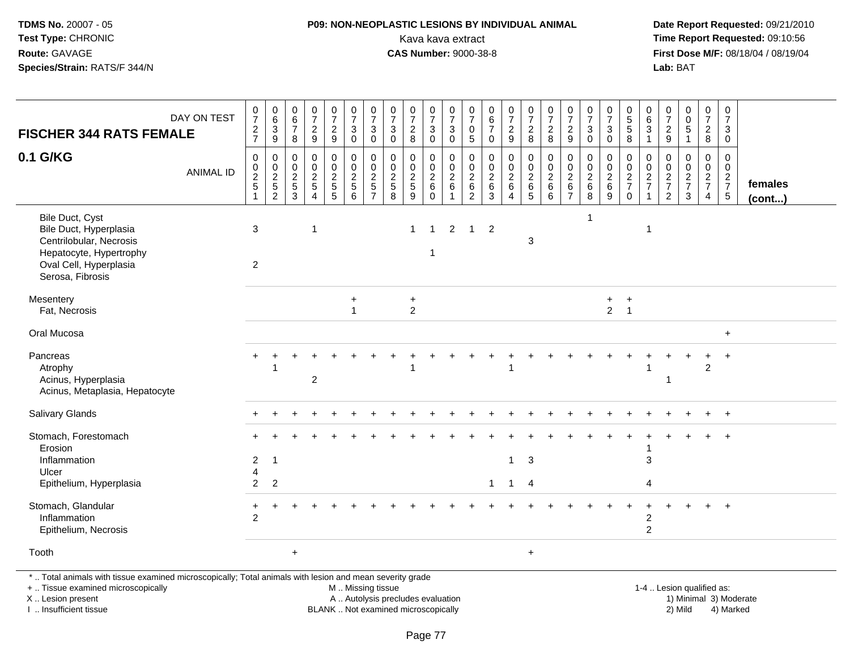# **P09: NON-NEOPLASTIC LESIONS BY INDIVIDUAL ANIMAL**Kava kava extract **Time Report Requested:** 09:10:56<br>**CAS Number:** 9000-38-8<br>**Tirst Dose M/F:** 08/18/04 / 08/19/04

 **Date Report Requested:** 09/21/2010 **First Dose M/F:** 08/18/04 / 08/19/04<br>Lab: BAT **Lab:** BAT

| <b>FISCHER 344 RATS FEMALE</b>                                                                                                                                      | DAY ON TEST      | $\frac{0}{7}$<br>$\frac{2}{7}$ | $\begin{smallmatrix}0\0\0\end{smallmatrix}$<br>$\frac{3}{9}$  | 0<br>$\overline{6}$<br>$\overline{7}$<br>8            | $\frac{0}{7}$<br>$\frac{2}{9}$                                                       | $\frac{0}{7}$<br>$\frac{2}{9}$                        | $\frac{0}{7}$<br>$\sqrt{3}$<br>$\mathbf 0$                                     | $\begin{array}{c} 0 \\ 7 \end{array}$<br>$\ensuremath{\mathsf{3}}$<br>$\mathbf 0$ | $\begin{array}{c} 0 \\ 7 \end{array}$<br>$\ensuremath{\mathsf{3}}$<br>$\mathbf 0$ | $\frac{0}{7}$<br>$\sqrt{2}$<br>8                                | $\begin{array}{c} 0 \\ 7 \end{array}$<br>3<br>$\mathbf 0$ | $\frac{0}{7}$<br>$\ensuremath{\mathsf{3}}$<br>$\mathsf{O}\xspace$ | 0<br>$\overline{7}$<br>0<br>$\sqrt{5}$                          | $\pmb{0}$<br>6<br>$\boldsymbol{7}$<br>$\mathsf{O}\xspace$ | $\begin{array}{c} 0 \\ 7 \end{array}$<br>$\overline{c}$<br>$\boldsymbol{9}$ | $\begin{smallmatrix} 0\\7 \end{smallmatrix}$<br>$\frac{2}{8}$ | $\begin{array}{c} 0 \\ 7 \end{array}$<br>$\sqrt{2}$<br>8 | $\frac{0}{7}$<br>$\overline{c}$<br>9                                      | $\frac{0}{7}$<br>3<br>$\mathbf 0$                        | $\frac{0}{7}$<br>3<br>$\mathbf 0$        | $\begin{array}{c} 0 \\ 5 \end{array}$<br>$\overline{5}$<br>$\bf 8$ | $\mathbf 0$<br>$\overline{6}$<br>$\mathbf{3}$<br>$\mathbf{1}$                | $\mathbf 0$<br>7<br>$\frac{2}{9}$                                        | $\begin{smallmatrix} 0\\0 \end{smallmatrix}$<br>$\overline{5}$<br>$\mathbf{1}$ | 0<br>$\frac{5}{7}$<br>$\overline{a}$<br>$\bf 8$   | $\pmb{0}$<br>$\overline{7}$<br>$\mathbf{3}$<br>$\mathbf 0$ |                        |
|---------------------------------------------------------------------------------------------------------------------------------------------------------------------|------------------|--------------------------------|---------------------------------------------------------------|-------------------------------------------------------|--------------------------------------------------------------------------------------|-------------------------------------------------------|--------------------------------------------------------------------------------|-----------------------------------------------------------------------------------|-----------------------------------------------------------------------------------|-----------------------------------------------------------------|-----------------------------------------------------------|-------------------------------------------------------------------|-----------------------------------------------------------------|-----------------------------------------------------------|-----------------------------------------------------------------------------|---------------------------------------------------------------|----------------------------------------------------------|---------------------------------------------------------------------------|----------------------------------------------------------|------------------------------------------|--------------------------------------------------------------------|------------------------------------------------------------------------------|--------------------------------------------------------------------------|--------------------------------------------------------------------------------|---------------------------------------------------|------------------------------------------------------------|------------------------|
| 0.1 G/KG                                                                                                                                                            | <b>ANIMAL ID</b> | 0<br>0<br>$\overline{c}$<br>5  | $\mathbf 0$<br>$\mathbf 0$<br>$\overline{2}$<br>$\frac{5}{2}$ | 0<br>$\mathbf 0$<br>$\overline{c}$<br>$\sqrt{5}$<br>3 | $\mathbf 0$<br>$\mathbf 0$<br>$\overline{2}$<br>$\sqrt{5}$<br>$\boldsymbol{\Lambda}$ | 0<br>$\mathbf 0$<br>$\overline{c}$<br>$\sqrt{5}$<br>5 | 0<br>$\overline{0}$<br>$\overline{a}$<br>$\begin{array}{c} 5 \\ 6 \end{array}$ | $\mathbf 0$<br>$\ddot{\mathbf{0}}$<br>$rac{2}{5}$                                 | 0<br>$\mathbf 0$<br>$\overline{c}$<br>$\sqrt{5}$<br>8                             | $\mathbf 0$<br>$\mathbf 0$<br>$\overline{2}$<br>$\sqrt{5}$<br>9 | 0<br>$\mathbf 0$<br>$\overline{c}$<br>$\,6\,$<br>$\Omega$ | 0<br>$\mathbf 0$<br>$\overline{c}$<br>$\,6\,$<br>$\mathbf{1}$     | 0<br>$\mathbf 0$<br>$\overline{c}$<br>$\,6\,$<br>$\overline{2}$ | 0<br>$\mathbf 0$<br>$\overline{c}$<br>$\,6\,$<br>3        | $\mathbf 0$<br>$\mathbf 0$<br>$\overline{c}$<br>$\,6\,$<br>$\overline{4}$   | $\mathbf 0$<br>$\mathbf 0$<br>$\overline{c}$<br>$^6$ 5        | 0<br>$\mathbf 0$<br>$\boldsymbol{2}$<br>$\,6\,$<br>6     | $\mathbf 0$<br>$\mathbf 0$<br>$\overline{2}$<br>$\,6\,$<br>$\overline{7}$ | $\mathbf 0$<br>$\mathbf 0$<br>$\sqrt{2}$<br>$\,6\,$<br>8 | 0<br>0<br>$\overline{c}$<br>$\,6\,$<br>9 | 0<br>0<br>$\overline{c}$<br>$\overline{7}$<br>$\mathbf 0$          | 0<br>$\mathsf{O}\xspace$<br>$\overline{2}$<br>$\overline{7}$<br>$\mathbf{1}$ | $\mathbf 0$<br>0<br>$\overline{c}$<br>$\boldsymbol{7}$<br>$\overline{2}$ | $\mathbf 0$<br>$\mathsf{O}\xspace$<br>$\frac{2}{7}$<br>3                       | 0<br>$\mathbf 0$<br>$rac{2}{7}$<br>$\overline{4}$ | 0<br>$\overline{0}$<br>$\frac{2}{7}$<br>$5\phantom{.0}$    | females<br>(cont)      |
| Bile Duct, Cyst<br>Bile Duct, Hyperplasia<br>Centrilobular, Necrosis<br>Hepatocyte, Hypertrophy<br>Oval Cell, Hyperplasia<br>Serosa, Fibrosis                       |                  | 3<br>2                         |                                                               |                                                       | 1                                                                                    |                                                       |                                                                                |                                                                                   |                                                                                   | $\mathbf 1$                                                     | $\overline{1}$<br>1                                       | $\overline{2}$                                                    | $\mathbf{1}$                                                    | $\overline{2}$                                            |                                                                             | 3                                                             |                                                          |                                                                           | 1                                                        |                                          |                                                                    | $\mathbf{1}$                                                                 |                                                                          |                                                                                |                                                   |                                                            |                        |
| Mesentery<br>Fat, Necrosis                                                                                                                                          |                  |                                |                                                               |                                                       |                                                                                      |                                                       | $\ddot{}$                                                                      |                                                                                   |                                                                                   | $\ddot{}$<br>$\overline{2}$                                     |                                                           |                                                                   |                                                                 |                                                           |                                                                             |                                                               |                                                          |                                                                           |                                                          | $+$<br>$2^{\circ}$                       | $\ddot{}$<br>$\overline{1}$                                        |                                                                              |                                                                          |                                                                                |                                                   |                                                            |                        |
| Oral Mucosa                                                                                                                                                         |                  |                                |                                                               |                                                       |                                                                                      |                                                       |                                                                                |                                                                                   |                                                                                   |                                                                 |                                                           |                                                                   |                                                                 |                                                           |                                                                             |                                                               |                                                          |                                                                           |                                                          |                                          |                                                                    |                                                                              |                                                                          |                                                                                |                                                   | $+$                                                        |                        |
| Pancreas<br>Atrophy<br>Acinus, Hyperplasia<br>Acinus, Metaplasia, Hepatocyte                                                                                        |                  |                                |                                                               |                                                       | $\overline{2}$                                                                       |                                                       |                                                                                |                                                                                   |                                                                                   |                                                                 |                                                           |                                                                   |                                                                 |                                                           |                                                                             |                                                               |                                                          |                                                                           |                                                          |                                          |                                                                    |                                                                              | 1                                                                        |                                                                                | $\overline{2}$                                    |                                                            |                        |
| Salivary Glands                                                                                                                                                     |                  |                                |                                                               |                                                       |                                                                                      |                                                       |                                                                                |                                                                                   |                                                                                   |                                                                 |                                                           |                                                                   |                                                                 |                                                           |                                                                             |                                                               |                                                          |                                                                           |                                                          |                                          |                                                                    |                                                                              |                                                                          |                                                                                |                                                   | $+$                                                        |                        |
| Stomach, Forestomach<br>Erosion<br>Inflammation<br>Ulcer<br>Epithelium, Hyperplasia                                                                                 |                  | $\overline{c}$<br>4<br>2       | -1<br>2                                                       |                                                       |                                                                                      |                                                       |                                                                                |                                                                                   |                                                                                   |                                                                 |                                                           |                                                                   |                                                                 | $\mathbf{1}$                                              | $\mathbf{1}$<br>$\overline{1}$                                              | $\mathbf{3}$<br>$\overline{4}$                                |                                                          |                                                                           |                                                          |                                          |                                                                    | 3<br>$\overline{A}$                                                          |                                                                          |                                                                                |                                                   |                                                            |                        |
| Stomach, Glandular<br>Inflammation<br>Epithelium, Necrosis                                                                                                          |                  | +<br>$\mathcal{P}$             |                                                               |                                                       |                                                                                      |                                                       |                                                                                |                                                                                   |                                                                                   |                                                                 |                                                           |                                                                   |                                                                 |                                                           |                                                                             |                                                               |                                                          |                                                                           |                                                          |                                          |                                                                    | $\overline{c}$<br>$\overline{c}$                                             |                                                                          |                                                                                |                                                   |                                                            |                        |
| Tooth                                                                                                                                                               |                  |                                |                                                               | $\ddot{}$                                             |                                                                                      |                                                       |                                                                                |                                                                                   |                                                                                   |                                                                 |                                                           |                                                                   |                                                                 |                                                           |                                                                             | $+$                                                           |                                                          |                                                                           |                                                          |                                          |                                                                    |                                                                              |                                                                          |                                                                                |                                                   |                                                            |                        |
| *  Total animals with tissue examined microscopically; Total animals with lesion and mean severity grade<br>+  Tissue examined microscopically<br>X  Lesion present |                  |                                |                                                               |                                                       |                                                                                      |                                                       | M  Missing tissue<br>A  Autolysis precludes evaluation                         |                                                                                   |                                                                                   |                                                                 |                                                           |                                                                   |                                                                 |                                                           |                                                                             |                                                               |                                                          |                                                                           |                                                          |                                          |                                                                    |                                                                              |                                                                          | 1-4  Lesion qualified as:                                                      |                                                   |                                                            | 1) Minimal 3) Moderate |

I .. Insufficient tissue

BLANK .. Not examined microscopically 2) Mild 4) Marked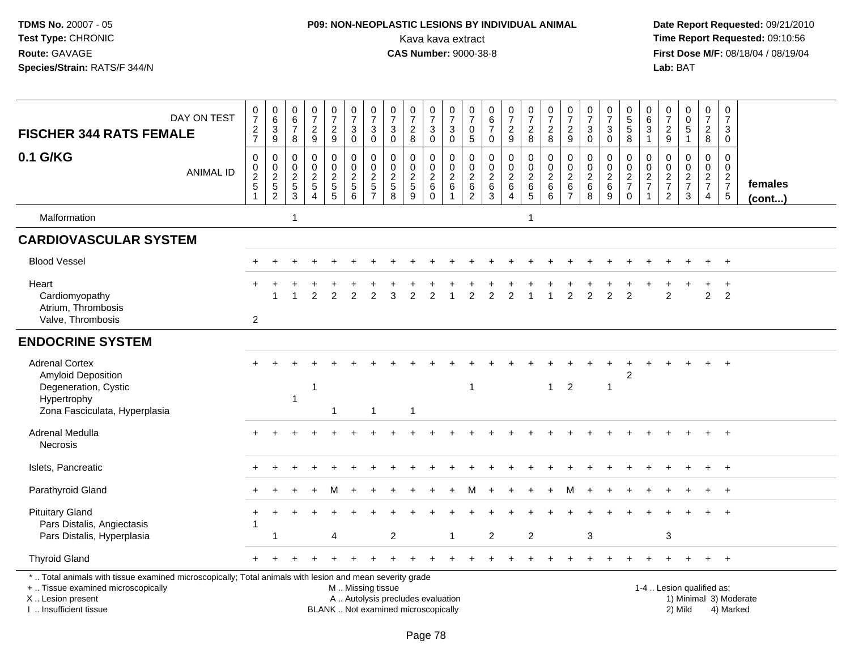# **P09: NON-NEOPLASTIC LESIONS BY INDIVIDUAL ANIMAL**Kava kava extract **Time Report Requested:** 09:10:56<br>**CAS Number:** 9000-38-8 **CAS Number:** 9000-38-8

| <b>FISCHER 344 RATS FEMALE</b>                                                                                                                                                                | DAY ON TEST      | $\frac{0}{7}$<br>$\frac{2}{7}$                 | $\begin{matrix} 0 \\ 6 \\ 3 \end{matrix}$<br>$9\,$ | 0<br>$\,6\,$<br>$\overline{7}$<br>8                            | $\begin{array}{c} 0 \\ 7 \end{array}$<br>$\sqrt{2}$<br>9 | $\frac{0}{7}$<br>$\sqrt{2}$<br>9  | $\begin{array}{c} 0 \\ 7 \end{array}$<br>$\mathbf{3}$<br>$\mathbf 0$ | $\frac{0}{7}$<br>3<br>$\mathbf 0$                                | $\frac{0}{7}$<br>$\mathfrak{Z}$<br>0 | $\frac{0}{7}$<br>$\overline{c}$<br>8                                     | $\frac{0}{7}$<br>$\mathbf{3}$<br>$\mathsf 0$      | $\frac{0}{7}$<br>$\sqrt{3}$<br>$\mathbf 0$                          | $\frac{0}{7}$<br>0<br>$\sqrt{5}$                    | $\begin{array}{c} 0 \\ 6 \end{array}$<br>$\overline{7}$<br>$\mathbf 0$ | $\begin{smallmatrix}0\\7\end{smallmatrix}$<br>$\overline{2}$<br>9     | $\begin{smallmatrix}0\\7\end{smallmatrix}$<br>$\overline{2}$<br>8 | $\begin{array}{c} 0 \\ 7 \end{array}$<br>$\overline{2}$<br>8 | $\frac{0}{7}$<br>$\boldsymbol{2}$<br>9                | $\begin{array}{c} 0 \\ 7 \end{array}$<br>$\sqrt{3}$<br>$\mathbf 0$ | $\frac{0}{7}$<br>$\ensuremath{\mathsf{3}}$<br>$\pmb{0}$ | $\begin{array}{c} 0 \\ 5 \\ 5 \end{array}$<br>8 | 0<br>$\,6$<br>3<br>1              | $\begin{array}{c} 0 \\ 7 \\ 2 \end{array}$<br>9 | $\begin{array}{c} 0 \\ 0 \\ 5 \end{array}$<br>$\mathbf{1}$     | $\begin{array}{c} 0 \\ 7 \end{array}$<br>$\overline{2}$<br>8     | $\begin{array}{c} 0 \\ 7 \end{array}$<br>3<br>$\mathbf 0$ |                         |
|-----------------------------------------------------------------------------------------------------------------------------------------------------------------------------------------------|------------------|------------------------------------------------|----------------------------------------------------|----------------------------------------------------------------|----------------------------------------------------------|-----------------------------------|----------------------------------------------------------------------|------------------------------------------------------------------|--------------------------------------|--------------------------------------------------------------------------|---------------------------------------------------|---------------------------------------------------------------------|-----------------------------------------------------|------------------------------------------------------------------------|-----------------------------------------------------------------------|-------------------------------------------------------------------|--------------------------------------------------------------|-------------------------------------------------------|--------------------------------------------------------------------|---------------------------------------------------------|-------------------------------------------------|-----------------------------------|-------------------------------------------------|----------------------------------------------------------------|------------------------------------------------------------------|-----------------------------------------------------------|-------------------------|
| 0.1 G/KG                                                                                                                                                                                      | <b>ANIMAL ID</b> | $\mathbf 0$<br>$\frac{0}{2}$<br>$\overline{1}$ | 0<br>$0$<br>$2$<br>$5$<br>$2$                      | $\mathbf 0$<br>0<br>$\begin{array}{c} 2 \\ 5 \\ 3 \end{array}$ | 0<br>$\mathsf{O}\xspace$<br>$rac{2}{5}$                  | 0<br>$\mathbf 0$<br>$\frac{2}{5}$ | $\mathbf 0$<br>$\pmb{0}$<br>$\overline{2}$<br>$\sqrt{5}$<br>6        | 0<br>$\pmb{0}$<br>$\overline{2}$<br>$\sqrt{5}$<br>$\overline{7}$ | 0<br>$\pmb{0}$<br>$\frac{2}{5}$<br>8 | 0<br>$\mathbf 0$<br>$\overline{c}$<br>5<br>9                             | 0<br>$\mathbf 0$<br>$^2\phantom{1}6$<br>$\pmb{0}$ | $\mathbf 0$<br>$\mathsf{O}\xspace$<br>$\frac{2}{6}$<br>$\mathbf{1}$ | 0<br>$\mathsf 0$<br>$\frac{2}{6}$<br>$\overline{c}$ | $\mathbf 0$<br>$\mathsf{O}\xspace$<br>$\frac{2}{6}$<br>$\mathbf{3}$    | $\mathbf 0$<br>$\mathbf 0$<br>$\boldsymbol{2}$<br>$\overline{6}$<br>4 | $\mathbf 0$<br>$\mathsf{O}\xspace$<br>$rac{2}{6}$                 | 0<br>$\mathsf{O}\xspace$<br>$\overline{2}$<br>$\,6\,$<br>6   | 0<br>$\mathsf{O}\xspace$<br>$\overline{2}$<br>$\,6\,$ | 0<br>$\pmb{0}$<br>$\frac{2}{6}$<br>8                               | 0<br>$\mathbf 0$<br>$\frac{2}{6}$<br>$\boldsymbol{9}$   | $\mathbf 0$<br>$\frac{0}{2}$<br>$\mathbf 0$     | 0<br>$\mathsf 0$<br>$\frac{2}{7}$ | 0<br>$\mathsf{O}\xspace$<br>$\frac{2}{7}$       | $\mathbf 0$<br>$\mathbf 0$<br>$\frac{2}{7}$<br>3               | $\mathbf 0$<br>$\overline{0}$<br>$\frac{2}{7}$<br>$\overline{4}$ | $\mathbf 0$<br>$\mathbf 0$<br>$\frac{2}{7}$<br>$\sqrt{5}$ | females<br>$($ cont $)$ |
| Malformation                                                                                                                                                                                  |                  |                                                |                                                    | $\overline{1}$                                                 |                                                          |                                   |                                                                      |                                                                  |                                      |                                                                          |                                                   |                                                                     |                                                     |                                                                        |                                                                       | $\overline{1}$                                                    |                                                              |                                                       |                                                                    |                                                         |                                                 |                                   |                                                 |                                                                |                                                                  |                                                           |                         |
| <b>CARDIOVASCULAR SYSTEM</b>                                                                                                                                                                  |                  |                                                |                                                    |                                                                |                                                          |                                   |                                                                      |                                                                  |                                      |                                                                          |                                                   |                                                                     |                                                     |                                                                        |                                                                       |                                                                   |                                                              |                                                       |                                                                    |                                                         |                                                 |                                   |                                                 |                                                                |                                                                  |                                                           |                         |
| <b>Blood Vessel</b>                                                                                                                                                                           |                  |                                                |                                                    |                                                                |                                                          |                                   |                                                                      |                                                                  |                                      |                                                                          |                                                   |                                                                     |                                                     |                                                                        |                                                                       |                                                                   |                                                              |                                                       |                                                                    |                                                         |                                                 |                                   |                                                 |                                                                | $\ddot{}$                                                        | $^{+}$                                                    |                         |
| Heart<br>Cardiomyopathy<br>Atrium, Thrombosis<br>Valve, Thrombosis                                                                                                                            |                  | $\overline{2}$                                 | 1                                                  |                                                                | $\overline{2}$                                           | $\mathcal{P}$                     | $\mathcal{P}$                                                        | $\mathfrak{p}$                                                   | 3                                    | $\mathfrak{p}$                                                           | 2                                                 |                                                                     | $\mathfrak{p}$                                      | $\mathfrak{p}$                                                         | $\mathfrak{p}$                                                        |                                                                   | $\overline{1}$                                               | $\overline{2}$                                        | $\mathfrak{p}$                                                     | $\overline{2}$                                          | $\mathcal{P}$                                   |                                   | 2                                               |                                                                | $\overline{2}$                                                   | $\overline{ }$<br>$\overline{2}$                          |                         |
| <b>ENDOCRINE SYSTEM</b>                                                                                                                                                                       |                  |                                                |                                                    |                                                                |                                                          |                                   |                                                                      |                                                                  |                                      |                                                                          |                                                   |                                                                     |                                                     |                                                                        |                                                                       |                                                                   |                                                              |                                                       |                                                                    |                                                         |                                                 |                                   |                                                 |                                                                |                                                                  |                                                           |                         |
| <b>Adrenal Cortex</b><br>Amyloid Deposition<br>Degeneration, Cystic<br>Hypertrophy<br>Zona Fasciculata, Hyperplasia                                                                           |                  |                                                |                                                    | $\mathbf{1}$                                                   | -1                                                       |                                   |                                                                      | 1                                                                |                                      | $\overline{1}$                                                           |                                                   |                                                                     | -1                                                  |                                                                        |                                                                       |                                                                   | $\mathbf{1}$                                                 | $\overline{2}$                                        |                                                                    | -1                                                      | 2                                               |                                   |                                                 |                                                                |                                                                  |                                                           |                         |
| Adrenal Medulla<br>Necrosis                                                                                                                                                                   |                  |                                                |                                                    |                                                                |                                                          |                                   |                                                                      |                                                                  |                                      |                                                                          |                                                   |                                                                     |                                                     |                                                                        |                                                                       |                                                                   |                                                              |                                                       |                                                                    |                                                         |                                                 |                                   |                                                 |                                                                |                                                                  | $\overline{+}$                                            |                         |
| Islets, Pancreatic                                                                                                                                                                            |                  |                                                |                                                    |                                                                |                                                          |                                   |                                                                      |                                                                  |                                      |                                                                          |                                                   |                                                                     |                                                     |                                                                        |                                                                       |                                                                   |                                                              |                                                       |                                                                    |                                                         |                                                 |                                   |                                                 |                                                                |                                                                  |                                                           |                         |
| Parathyroid Gland                                                                                                                                                                             |                  |                                                |                                                    |                                                                |                                                          |                                   |                                                                      |                                                                  |                                      |                                                                          |                                                   |                                                                     |                                                     |                                                                        |                                                                       |                                                                   |                                                              | м                                                     |                                                                    |                                                         |                                                 |                                   |                                                 |                                                                |                                                                  | $+$                                                       |                         |
| <b>Pituitary Gland</b><br>Pars Distalis, Angiectasis<br>Pars Distalis, Hyperplasia                                                                                                            |                  |                                                |                                                    |                                                                |                                                          | 4                                 |                                                                      |                                                                  | 2                                    |                                                                          |                                                   | -1                                                                  |                                                     | $\overline{2}$                                                         |                                                                       | 2                                                                 |                                                              |                                                       | 3                                                                  |                                                         |                                                 |                                   | 3                                               |                                                                |                                                                  |                                                           |                         |
| <b>Thyroid Gland</b>                                                                                                                                                                          |                  |                                                |                                                    |                                                                |                                                          |                                   |                                                                      |                                                                  |                                      |                                                                          |                                                   |                                                                     |                                                     |                                                                        |                                                                       |                                                                   |                                                              |                                                       |                                                                    |                                                         |                                                 |                                   |                                                 |                                                                | $+$                                                              | $+$                                                       |                         |
| *  Total animals with tissue examined microscopically; Total animals with lesion and mean severity grade<br>+  Tissue examined microscopically<br>X  Lesion present<br>I  Insufficient tissue |                  |                                                |                                                    |                                                                |                                                          |                                   | M  Missing tissue                                                    |                                                                  |                                      | A  Autolysis precludes evaluation<br>BLANK  Not examined microscopically |                                                   |                                                                     |                                                     |                                                                        |                                                                       |                                                                   |                                                              |                                                       |                                                                    |                                                         |                                                 |                                   |                                                 | 1-4  Lesion qualified as:<br>1) Minimal 3) Moderate<br>2) Mild |                                                                  | 4) Marked                                                 |                         |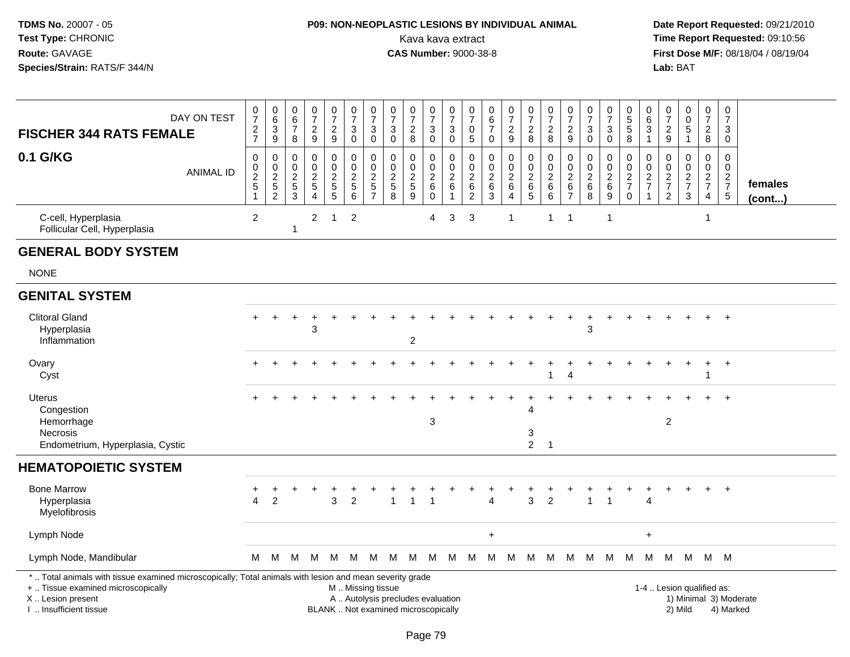# **P09: NON-NEOPLASTIC LESIONS BY INDIVIDUAL ANIMAL**Kava kava extract **Time Report Requested:** 09:10:56<br>**CAS Number:** 9000-38-8 **CAS Number:** 9000-38-8

| <b>FISCHER 344 RATS FEMALE</b>                                                                                                                                                                | DAY ON TEST      | $\frac{0}{7}$<br>$\frac{2}{7}$                         | $_{6}^{\rm 0}$<br>$\overline{3}$<br>$9\,$         | 0<br>$\,6$<br>$\boldsymbol{7}$<br>8                               | $\frac{0}{7}$<br>$\frac{2}{9}$                              | $\begin{array}{c} 0 \\ 7 \end{array}$<br>$\frac{2}{9}$ | $\begin{smallmatrix} 0\\7 \end{smallmatrix}$<br>$\sqrt{3}$<br>$\mathbf 0$ | $\frac{0}{7}$<br>3<br>$\mathbf 0$                                           | $\frac{0}{7}$<br>$\ensuremath{\mathsf{3}}$<br>$\mathbf 0$                | $\frac{0}{7}$<br>$\overline{\mathbf{c}}$<br>8 | $\frac{0}{7}$<br>$\ensuremath{\mathsf{3}}$<br>$\mathbf 0$           | $\frac{0}{7}$<br>$\ensuremath{\mathsf{3}}$<br>$\mathsf{O}\xspace$ | $\frac{0}{7}$<br>0<br>$\sqrt{5}$                          | $\begin{array}{c} 0 \\ 6 \end{array}$<br>$\overline{7}$<br>$\pmb{0}$ | $\begin{smallmatrix}0\\7\end{smallmatrix}$<br>$\frac{2}{9}$ | $\frac{0}{7}$<br>$\sqrt{2}$<br>8                               | $\frac{0}{7}$<br>$\overline{c}$<br>$\bf8$               | $\frac{0}{7}$<br>$\boldsymbol{2}$<br>9                                 | $\frac{0}{7}$<br>3<br>$\mathbf 0$         | $\frac{0}{7}$<br>$\ensuremath{\mathsf{3}}$<br>$\mathbf 0$ | $\begin{array}{c} 0 \\ 5 \end{array}$<br>$\overline{5}$<br>8 | 0<br>6<br>$\ensuremath{\mathsf{3}}$<br>$\mathbf{1}$ | $\begin{array}{c} 0 \\ 7 \end{array}$<br>$\frac{2}{9}$    | $\begin{smallmatrix} 0\\0 \end{smallmatrix}$<br>$\overline{5}$<br>$\mathbf{1}$ | $\pmb{0}$<br>$\overline{7}$<br>$\boldsymbol{2}$<br>8       | $\pmb{0}$<br>$\overline{7}$<br>3<br>0         |                                     |
|-----------------------------------------------------------------------------------------------------------------------------------------------------------------------------------------------|------------------|--------------------------------------------------------|---------------------------------------------------|-------------------------------------------------------------------|-------------------------------------------------------------|--------------------------------------------------------|---------------------------------------------------------------------------|-----------------------------------------------------------------------------|--------------------------------------------------------------------------|-----------------------------------------------|---------------------------------------------------------------------|-------------------------------------------------------------------|-----------------------------------------------------------|----------------------------------------------------------------------|-------------------------------------------------------------|----------------------------------------------------------------|---------------------------------------------------------|------------------------------------------------------------------------|-------------------------------------------|-----------------------------------------------------------|--------------------------------------------------------------|-----------------------------------------------------|-----------------------------------------------------------|--------------------------------------------------------------------------------|------------------------------------------------------------|-----------------------------------------------|-------------------------------------|
| 0.1 G/KG                                                                                                                                                                                      | <b>ANIMAL ID</b> | $\mathbf 0$<br>$\mathbf 0$<br>$\overline{2}$<br>5<br>1 | 0<br>$\pmb{0}$<br>$\overline{c}$<br>$\frac{5}{2}$ | 0<br>$\mathbf 0$<br>$\overline{c}$<br>$\,$ 5 $\,$<br>$\mathbf{3}$ | $\pmb{0}$<br>$\mathbf 0$<br>$\frac{2}{5}$<br>$\overline{4}$ | $\pmb{0}$<br>$\pmb{0}$<br>$\frac{2}{5}$                | 0<br>$\Omega$<br>$\overline{c}$<br>$\sqrt{5}$<br>6                        | $\pmb{0}$<br>$\mathbf{0}$<br>$\overline{c}$<br>$\sqrt{5}$<br>$\overline{7}$ | $\mathbf 0$<br>$\mathbf{0}$<br>$\boldsymbol{2}$<br>$\sqrt{5}$<br>8       | 0<br>$\mathbf 0$<br>$\frac{2}{5}$<br>9        | $\mathbf 0$<br>$\mathbf 0$<br>$\overline{c}$<br>$\,6\,$<br>$\Omega$ | 0<br>$\mathbf 0$<br>$\boldsymbol{2}$<br>$\,6\,$<br>$\mathbf{1}$   | 0<br>$\mathbf 0$<br>$\overline{c}$<br>$\,6$<br>$\sqrt{2}$ | $\pmb{0}$<br>$\mathbf 0$<br>$\boldsymbol{2}$<br>$\,6\,$<br>3         | $\pmb{0}$<br>$\pmb{0}$<br>$\frac{2}{6}$<br>$\overline{4}$   | 0<br>$\Omega$<br>$\boldsymbol{2}$<br>$\,6\,$<br>$\overline{5}$ | $\pmb{0}$<br>$\Omega$<br>$\overline{c}$<br>$\,6\,$<br>6 | $\mathbf 0$<br>$\Omega$<br>$\boldsymbol{2}$<br>$\,6$<br>$\overline{7}$ | 0<br>$\mathbf 0$<br>$^2\phantom{1}6$<br>8 | 0<br>$\mathbf 0$<br>$^2\phantom{1}6$<br>$\boldsymbol{9}$  | 0<br>$\mathbf 0$<br>$\frac{2}{7}$<br>$\Omega$                | 0<br>$\mathbf 0$<br>$\frac{2}{7}$                   | $\mathsf 0$<br>$\mathbf 0$<br>$\frac{2}{7}$<br>$\sqrt{2}$ | $\mathbf 0$<br>$\mathbf 0$<br>$\frac{2}{7}$<br>3                               | $\mathbf 0$<br>$\Omega$<br>$\frac{2}{7}$<br>$\overline{4}$ | $\mathbf 0$<br>$\Omega$<br>$\frac{2}{7}$<br>5 | females<br>$($ cont $)$             |
| C-cell, Hyperplasia<br>Follicular Cell, Hyperplasia                                                                                                                                           |                  | $\overline{2}$                                         |                                                   | $\mathbf{1}$                                                      | $\overline{2}$                                              | $\overline{1}$                                         | $\overline{2}$                                                            |                                                                             |                                                                          |                                               | 4                                                                   | 3                                                                 | 3                                                         |                                                                      | 1                                                           |                                                                | $\mathbf{1}$                                            | -1                                                                     |                                           | -1                                                        |                                                              |                                                     |                                                           |                                                                                | -1                                                         |                                               |                                     |
| <b>GENERAL BODY SYSTEM</b>                                                                                                                                                                    |                  |                                                        |                                                   |                                                                   |                                                             |                                                        |                                                                           |                                                                             |                                                                          |                                               |                                                                     |                                                                   |                                                           |                                                                      |                                                             |                                                                |                                                         |                                                                        |                                           |                                                           |                                                              |                                                     |                                                           |                                                                                |                                                            |                                               |                                     |
| <b>NONE</b>                                                                                                                                                                                   |                  |                                                        |                                                   |                                                                   |                                                             |                                                        |                                                                           |                                                                             |                                                                          |                                               |                                                                     |                                                                   |                                                           |                                                                      |                                                             |                                                                |                                                         |                                                                        |                                           |                                                           |                                                              |                                                     |                                                           |                                                                                |                                                            |                                               |                                     |
| <b>GENITAL SYSTEM</b>                                                                                                                                                                         |                  |                                                        |                                                   |                                                                   |                                                             |                                                        |                                                                           |                                                                             |                                                                          |                                               |                                                                     |                                                                   |                                                           |                                                                      |                                                             |                                                                |                                                         |                                                                        |                                           |                                                           |                                                              |                                                     |                                                           |                                                                                |                                                            |                                               |                                     |
| <b>Clitoral Gland</b><br>Hyperplasia<br>Inflammation                                                                                                                                          |                  |                                                        |                                                   |                                                                   | 3                                                           |                                                        |                                                                           |                                                                             |                                                                          | $\overline{c}$                                |                                                                     |                                                                   |                                                           |                                                                      |                                                             |                                                                |                                                         |                                                                        | 3                                         |                                                           |                                                              |                                                     |                                                           |                                                                                |                                                            |                                               |                                     |
| Ovary<br>Cyst                                                                                                                                                                                 |                  |                                                        |                                                   |                                                                   |                                                             |                                                        |                                                                           |                                                                             |                                                                          |                                               |                                                                     |                                                                   |                                                           |                                                                      |                                                             |                                                                | 1                                                       | 4                                                                      |                                           |                                                           |                                                              |                                                     |                                                           |                                                                                | -1                                                         | $\ddot{}$                                     |                                     |
| <b>Uterus</b><br>Congestion<br>Hemorrhage<br>Necrosis<br>Endometrium, Hyperplasia, Cystic                                                                                                     |                  |                                                        |                                                   |                                                                   |                                                             |                                                        |                                                                           |                                                                             |                                                                          |                                               | 3                                                                   |                                                                   |                                                           |                                                                      |                                                             | 3<br>$\overline{2}$                                            | $\overline{1}$                                          |                                                                        |                                           |                                                           |                                                              |                                                     | $\overline{2}$                                            |                                                                                |                                                            |                                               |                                     |
| <b>HEMATOPOIETIC SYSTEM</b>                                                                                                                                                                   |                  |                                                        |                                                   |                                                                   |                                                             |                                                        |                                                                           |                                                                             |                                                                          |                                               |                                                                     |                                                                   |                                                           |                                                                      |                                                             |                                                                |                                                         |                                                                        |                                           |                                                           |                                                              |                                                     |                                                           |                                                                                |                                                            |                                               |                                     |
| <b>Bone Marrow</b><br>Hyperplasia<br>Myelofibrosis                                                                                                                                            |                  | $\Delta$                                               | 2                                                 |                                                                   |                                                             | 3                                                      | 2                                                                         |                                                                             |                                                                          | $\overline{1}$                                | -1                                                                  |                                                                   |                                                           | $\boldsymbol{\varDelta}$                                             |                                                             | 3                                                              | $\overline{2}$                                          |                                                                        | $\mathbf{1}$                              | $\overline{1}$                                            |                                                              | 4                                                   |                                                           |                                                                                |                                                            | $+$                                           |                                     |
| Lymph Node                                                                                                                                                                                    |                  |                                                        |                                                   |                                                                   |                                                             |                                                        |                                                                           |                                                                             |                                                                          |                                               |                                                                     |                                                                   |                                                           | $\ddot{}$                                                            |                                                             |                                                                |                                                         |                                                                        |                                           |                                                           |                                                              | $\ddot{}$                                           |                                                           |                                                                                |                                                            |                                               |                                     |
| Lymph Node, Mandibular                                                                                                                                                                        |                  | M                                                      | M                                                 |                                                                   | M M                                                         | M                                                      |                                                                           |                                                                             | M M M M M                                                                |                                               |                                                                     | M                                                                 | M                                                         | M                                                                    | M                                                           | M                                                              | M                                                       |                                                                        | M M                                       | M                                                         | M                                                            | M                                                   |                                                           | M M                                                                            |                                                            | M M                                           |                                     |
| *  Total animals with tissue examined microscopically; Total animals with lesion and mean severity grade<br>+  Tissue examined microscopically<br>X  Lesion present<br>I. Insufficient tissue |                  |                                                        |                                                   |                                                                   |                                                             |                                                        | M  Missing tissue                                                         |                                                                             | A  Autolysis precludes evaluation<br>BLANK  Not examined microscopically |                                               |                                                                     |                                                                   |                                                           |                                                                      |                                                             |                                                                |                                                         |                                                                        |                                           |                                                           |                                                              |                                                     |                                                           | 1-4  Lesion qualified as:<br>2) Mild                                           |                                                            |                                               | 1) Minimal 3) Moderate<br>4) Marked |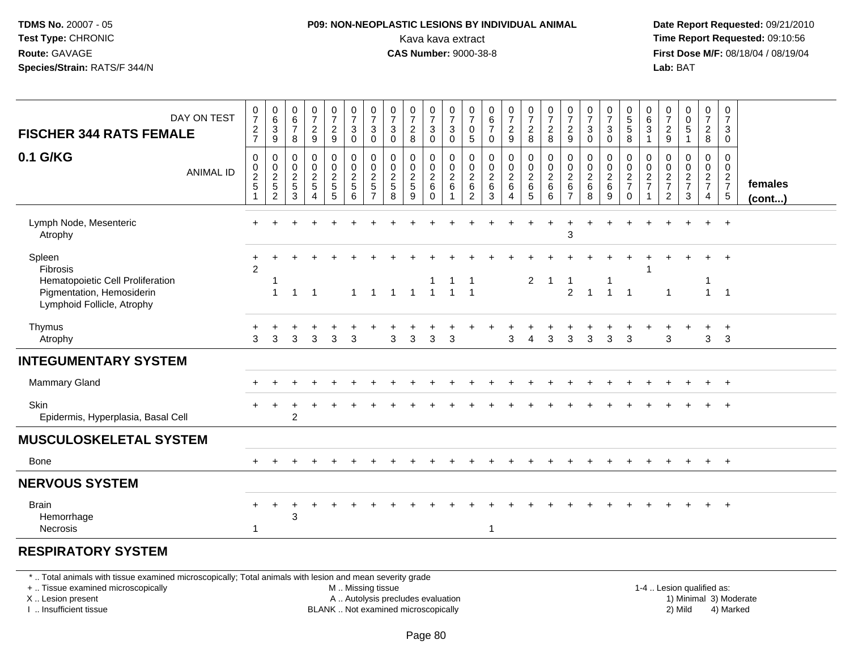#### **P09: NON-NEOPLASTIC LESIONS BY INDIVIDUAL ANIMAL**Kava kava extract **Time Report Requested:** 09:10:56<br>**CAS Number:** 9000-38-8<br>**Tirst Dose M/F:** 08/18/04 / 08/19/04

 **Date Report Requested:** 09/21/2010 **First Dose M/F:** 08/18/04 / 08/19/04 Lab: BAT **Lab:** BAT

| DAY ON TEST<br><b>FISCHER 344 RATS FEMALE</b>                                                                     | $\frac{0}{7}$<br>$\frac{2}{7}$                  | $\begin{array}{c} 0 \\ 6 \end{array}$<br>$\ensuremath{\mathsf{3}}$<br>9 | 0<br>$\,6$<br>$\overline{7}$<br>8 | $\begin{smallmatrix}0\\7\end{smallmatrix}$<br>$\frac{2}{9}$ | $\frac{0}{7}$<br>$\overline{\mathbf{c}}$<br>$\boldsymbol{9}$ | $\frac{0}{7}$<br>$\sqrt{3}$<br>$\pmb{0}$                | $\frac{0}{7}$<br>3<br>$\pmb{0}$                           | $\frac{0}{7}$<br>$\sqrt{3}$<br>0                  | $\frac{0}{7}$<br>$\sqrt{2}$<br>8               | $\frac{0}{7}$<br>$\ensuremath{\mathsf{3}}$<br>0          | $\frac{0}{7}$<br>$\sqrt{3}$<br>$\mathbf 0$ | $\frac{0}{7}$<br>$\mathbf 0$<br>$\sqrt{5}$                  | $\pmb{0}$<br>$\,6$<br>$\overline{7}$<br>$\mathbf 0$        | $\frac{0}{7}$<br>$\frac{2}{9}$ | $\frac{0}{7}$<br>$_{8}^2$                                       | $\frac{0}{7}$<br>$\overline{\mathbf{c}}$<br>8      | $\frac{0}{7}$<br>$\frac{2}{9}$                      | $\frac{0}{7}$<br>$\ensuremath{\mathsf{3}}$<br>$\mathbf 0$ | $\frac{0}{7}$<br>$\ensuremath{\mathsf{3}}$<br>0 | $\begin{array}{c} 0 \\ 5 \end{array}$<br>5<br>8  | $\begin{array}{c} 0 \\ 6 \end{array}$<br>3<br>$\mathbf{1}$ | $\frac{0}{7}$<br>$\frac{2}{9}$            | $\begin{smallmatrix}0\0\0\5\end{smallmatrix}$<br>1   | $\frac{0}{7}$<br>$\frac{2}{8}$                      | 0<br>$\overline{7}$<br>$\mathbf{3}$<br>$\mathbf 0$   |                         |
|-------------------------------------------------------------------------------------------------------------------|-------------------------------------------------|-------------------------------------------------------------------------|-----------------------------------|-------------------------------------------------------------|--------------------------------------------------------------|---------------------------------------------------------|-----------------------------------------------------------|---------------------------------------------------|------------------------------------------------|----------------------------------------------------------|--------------------------------------------|-------------------------------------------------------------|------------------------------------------------------------|--------------------------------|-----------------------------------------------------------------|----------------------------------------------------|-----------------------------------------------------|-----------------------------------------------------------|-------------------------------------------------|--------------------------------------------------|------------------------------------------------------------|-------------------------------------------|------------------------------------------------------|-----------------------------------------------------|------------------------------------------------------|-------------------------|
| 0.1 G/KG<br><b>ANIMAL ID</b>                                                                                      | 0<br>$\begin{array}{c} 0 \\ 2 \\ 5 \end{array}$ | $\pmb{0}$<br>$\begin{array}{c} 0 \\ 2 \\ 5 \end{array}$<br>2            | 0<br>0<br>$\frac{2}{5}$<br>3      | $\mathbf 0$<br>$\ddot{\mathbf{0}}$<br>$\frac{2}{5}$         | 0<br>$\pmb{0}$<br>$\frac{2}{5}$<br>5                         | $\pmb{0}$<br>$\pmb{0}$<br>$\sqrt{2}$<br>$\sqrt{5}$<br>6 | 0<br>$\mathbf 0$<br>$\overline{c}$<br>5<br>$\overline{ }$ | $\mathbf 0$<br>0<br>$\sqrt{2}$<br>$\sqrt{5}$<br>8 | $\mathbf 0$<br>$\pmb{0}$<br>$\frac{2}{5}$<br>9 | 0<br>0<br>$\boldsymbol{2}$<br>$6\phantom{a}$<br>$\Omega$ | 0<br>$\frac{0}{2}$ 6                       | $\mathbf 0$<br>0<br>$\sqrt{2}$<br>$\,6\,$<br>$\overline{2}$ | $\mathbf 0$<br>$\pmb{0}$<br>$\boldsymbol{2}$<br>$\,6$<br>3 | 0<br>0<br>$\frac{2}{6}$        | $\boldsymbol{0}$<br>$\pmb{0}$<br>$\overline{c}$<br>$\,6\,$<br>5 | 0<br>$\pmb{0}$<br>$\boldsymbol{2}$<br>$\,6\,$<br>6 | 0<br>$\mathbf 0$<br>$\frac{2}{6}$<br>$\overline{7}$ | $\mathbf 0$<br>$\mathbf 0$<br>$\sqrt{2}$<br>$\,6\,$<br>8  | 0<br>$\pmb{0}$<br>$\frac{2}{6}$<br>9            | 0<br>$\mathbf 0$<br>$\frac{2}{7}$<br>$\mathbf 0$ | 0<br>0<br>$\frac{2}{7}$                                    | 0<br>0<br>$\frac{2}{7}$<br>$\overline{2}$ | 0<br>$\begin{array}{c} 0 \\ 2 \\ 7 \end{array}$<br>3 | 0<br>$\mathbf 0$<br>$\frac{2}{7}$<br>$\overline{4}$ | 0<br>$\mathbf 0$<br>$\frac{2}{7}$<br>$5\phantom{.0}$ | females<br>$($ cont $)$ |
| Lymph Node, Mesenteric<br>Atrophy                                                                                 |                                                 |                                                                         |                                   |                                                             |                                                              |                                                         |                                                           |                                                   |                                                |                                                          |                                            |                                                             |                                                            |                                |                                                                 |                                                    | 3                                                   |                                                           |                                                 |                                                  |                                                            |                                           |                                                      | $+$                                                 | $+$                                                  |                         |
| Spleen<br>Fibrosis<br>Hematopoietic Cell Proliferation<br>Pigmentation, Hemosiderin<br>Lymphoid Follicle, Atrophy | $\overline{2}$                                  | $\overline{1}$                                                          | 1                                 | $\overline{1}$                                              |                                                              | $\mathbf{1}$                                            | $\overline{1}$                                            | $\overline{1}$                                    | $\overline{1}$                                 | $\overline{1}$                                           | $\overline{1}$                             | $\mathbf 1$<br>$\overline{1}$                               |                                                            |                                | $\overline{2}$                                                  | $\mathbf 1$                                        | $\overline{2}$                                      | $\overline{1}$                                            | $\mathbf{1}$                                    | $\overline{1}$                                   |                                                            | $\overline{1}$                            |                                                      | $\overline{1}$                                      | $+$<br>$\overline{1}$                                |                         |
| Thymus<br>Atrophy                                                                                                 | 3                                               | 3                                                                       | 3                                 | 3                                                           | 3                                                            | 3                                                       |                                                           | 3                                                 | 3                                              | 3                                                        | 3                                          |                                                             |                                                            | 3                              | 4                                                               | 3                                                  | 3                                                   | 3                                                         | 3                                               | 3                                                |                                                            | 3                                         |                                                      | 3                                                   | $\ddot{}$<br>3                                       |                         |
| <b>INTEGUMENTARY SYSTEM</b>                                                                                       |                                                 |                                                                         |                                   |                                                             |                                                              |                                                         |                                                           |                                                   |                                                |                                                          |                                            |                                                             |                                                            |                                |                                                                 |                                                    |                                                     |                                                           |                                                 |                                                  |                                                            |                                           |                                                      |                                                     |                                                      |                         |
| Mammary Gland                                                                                                     |                                                 |                                                                         |                                   |                                                             |                                                              |                                                         |                                                           |                                                   |                                                |                                                          |                                            |                                                             |                                                            |                                |                                                                 |                                                    |                                                     |                                                           |                                                 |                                                  |                                                            |                                           |                                                      |                                                     | $+$                                                  |                         |
| Skin<br>Epidermis, Hyperplasia, Basal Cell                                                                        |                                                 |                                                                         | $\overline{c}$                    |                                                             |                                                              |                                                         |                                                           |                                                   |                                                |                                                          |                                            |                                                             |                                                            |                                |                                                                 |                                                    |                                                     |                                                           |                                                 |                                                  |                                                            |                                           |                                                      |                                                     |                                                      |                         |
| <b>MUSCULOSKELETAL SYSTEM</b>                                                                                     |                                                 |                                                                         |                                   |                                                             |                                                              |                                                         |                                                           |                                                   |                                                |                                                          |                                            |                                                             |                                                            |                                |                                                                 |                                                    |                                                     |                                                           |                                                 |                                                  |                                                            |                                           |                                                      |                                                     |                                                      |                         |
| <b>Bone</b>                                                                                                       |                                                 |                                                                         |                                   |                                                             |                                                              |                                                         |                                                           |                                                   |                                                |                                                          |                                            |                                                             |                                                            |                                |                                                                 |                                                    |                                                     |                                                           |                                                 |                                                  |                                                            |                                           |                                                      | $+$                                                 | $+$                                                  |                         |
| <b>NERVOUS SYSTEM</b>                                                                                             |                                                 |                                                                         |                                   |                                                             |                                                              |                                                         |                                                           |                                                   |                                                |                                                          |                                            |                                                             |                                                            |                                |                                                                 |                                                    |                                                     |                                                           |                                                 |                                                  |                                                            |                                           |                                                      |                                                     |                                                      |                         |
| <b>Brain</b><br>Hemorrhage<br>Necrosis                                                                            | 1                                               | ÷                                                                       | 3                                 |                                                             |                                                              |                                                         |                                                           |                                                   |                                                |                                                          |                                            |                                                             | 1                                                          |                                |                                                                 |                                                    |                                                     |                                                           |                                                 |                                                  |                                                            |                                           |                                                      |                                                     | $+$                                                  |                         |

#### **RESPIRATORY SYSTEM**

\* .. Total animals with tissue examined microscopically; Total animals with lesion and mean severity grade

+ .. Tissue examined microscopically

X .. Lesion present

I .. Insufficient tissue

M .. Missing tissue

- A .. Autolysis precludes evaluation
- BLANK .. Not examined microscopically 2) Mild 4) Marked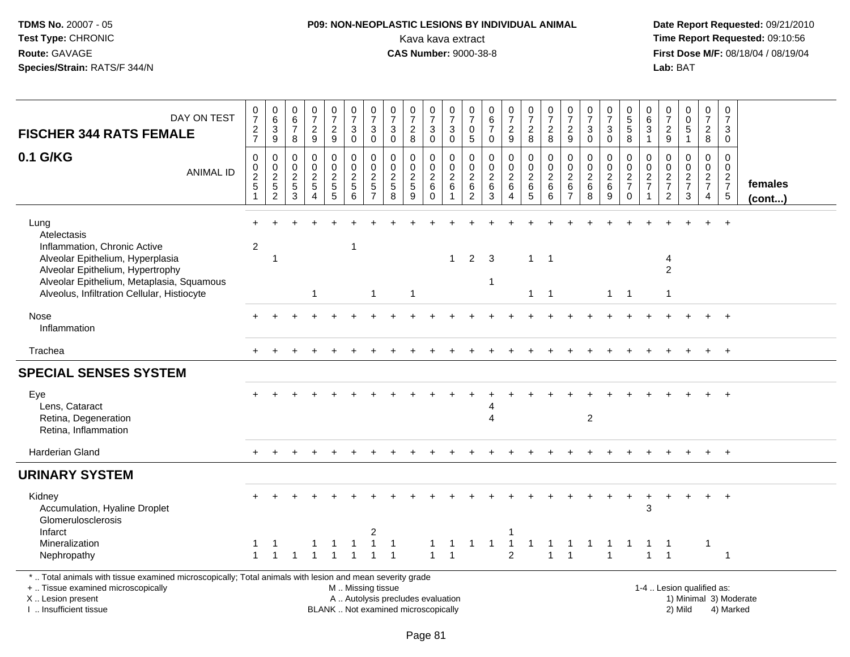# **P09: NON-NEOPLASTIC LESIONS BY INDIVIDUAL ANIMAL**Kava kava extract **Time Report Requested:** 09:10:56<br>**CAS Number:** 9000-38-8 **CAS Number:** 9000-38-8

| DAY ON TEST<br><b>FISCHER 344 RATS FEMALE</b>                                                                                                                                                                           | $\frac{0}{7}$<br>$\frac{2}{7}$                         | $\begin{array}{c} 0 \\ 6 \\ 3 \end{array}$<br>$\overline{9}$ | $\pmb{0}$<br>$\,6\,$<br>$\overline{7}$<br>8 | $\begin{array}{c} 0 \\ 7 \end{array}$<br>$\frac{2}{9}$              | $\begin{array}{c} 0 \\ 7 \end{array}$<br>$\frac{2}{9}$ | $\frac{0}{7}$<br>$\sqrt{3}$<br>$\mathbf 0$ | $\frac{0}{7}$<br>3<br>$\mathbf 0$                                   | $\begin{array}{c} 0 \\ 7 \end{array}$<br>$\ensuremath{\mathsf{3}}$<br>$\pmb{0}$ | $\frac{0}{7}$<br>$\overline{c}$<br>8                                     | 0<br>$\overline{7}$<br>$\ensuremath{\mathsf{3}}$<br>$\mathsf{O}\xspace$ | $\frac{0}{7}$<br>$\sqrt{3}$<br>$\overline{0}$                                | 0<br>$\overline{7}$<br>0<br>$\overline{5}$           | $\pmb{0}$<br>$\,6\,$<br>$\overline{7}$<br>$\mathbf 0$                       | $\begin{array}{c} 0 \\ 7 \end{array}$<br>$\overline{c}$<br>9 | $\begin{array}{c} 0 \\ 7 \end{array}$<br>$\overline{a}$<br>8    | $\frac{0}{7}$<br>$\overline{c}$<br>8                                        | $\pmb{0}$<br>$\overline{7}$<br>$\boldsymbol{2}$<br>9                        | $\frac{0}{7}$<br>$\sqrt{3}$<br>$\mathbf 0$                          | $\begin{array}{c} 0 \\ 7 \end{array}$<br>$\ensuremath{\mathsf{3}}$<br>$\mathbf 0$ | 0<br>5<br>5<br>$\,8\,$                           | 0<br>$\,6$<br>$\overline{3}$<br>$\mathbf{1}$ | 0<br>$\overline{7}$<br>$\overline{c}$<br>$\mathsf g$          | $\begin{smallmatrix}0\0\0\end{smallmatrix}$<br>$\overline{5}$<br>$\mathbf{1}$ | $\pmb{0}$<br>$\overline{7}$<br>$\frac{2}{8}$        | $\mathbf 0$<br>$\overline{7}$<br>3<br>$\mathbf 0$ |                         |
|-------------------------------------------------------------------------------------------------------------------------------------------------------------------------------------------------------------------------|--------------------------------------------------------|--------------------------------------------------------------|---------------------------------------------|---------------------------------------------------------------------|--------------------------------------------------------|--------------------------------------------|---------------------------------------------------------------------|---------------------------------------------------------------------------------|--------------------------------------------------------------------------|-------------------------------------------------------------------------|------------------------------------------------------------------------------|------------------------------------------------------|-----------------------------------------------------------------------------|--------------------------------------------------------------|-----------------------------------------------------------------|-----------------------------------------------------------------------------|-----------------------------------------------------------------------------|---------------------------------------------------------------------|-----------------------------------------------------------------------------------|--------------------------------------------------|----------------------------------------------|---------------------------------------------------------------|-------------------------------------------------------------------------------|-----------------------------------------------------|---------------------------------------------------|-------------------------|
| 0.1 G/KG<br><b>ANIMAL ID</b>                                                                                                                                                                                            | $\boldsymbol{0}$<br>0<br>$\frac{2}{5}$<br>$\mathbf{1}$ | 0<br>$\frac{0}{2}$<br>5<br>2                                 | 0<br>$\boldsymbol{0}$<br>$rac{2}{3}$        | $\mathbf 0$<br>$\pmb{0}$<br>$\frac{2}{5}$<br>$\boldsymbol{\Lambda}$ | 0<br>$\pmb{0}$<br>$rac{2}{5}$                          | $\mathbf 0$<br>$\mathsf 0$<br>$rac{2}{6}$  | 0<br>$\mathbf 0$<br>$\overline{c}$<br>$\,$ 5 $\,$<br>$\overline{7}$ | 0<br>$\mathbf 0$<br>$\frac{2}{5}$                                               | $\mathbf 0$<br>$\mathbf 0$<br>$rac{2}{9}$                                | 0<br>$_2^0$<br>$\,6\,$<br>$\mathbf 0$                                   | $\mathbf 0$<br>$\boldsymbol{0}$<br>$\overline{2}$<br>$\,6\,$<br>$\mathbf{1}$ | 0<br>$\mathbf 0$<br>$\boldsymbol{2}$<br>$\,6\,$<br>2 | $\mathbf 0$<br>$\mathbf 0$<br>$\boldsymbol{2}$<br>$\,6\,$<br>$\overline{3}$ | 0<br>$\mathbf 0$<br>$\frac{2}{6}$<br>$\overline{4}$          | 0<br>$\mathbf 0$<br>$\overline{2}$<br>$\,6\,$<br>$\overline{5}$ | $\mathbf 0$<br>$\begin{smallmatrix} 0\\2 \end{smallmatrix}$<br>$\,6\,$<br>6 | $\mathbf 0$<br>$\mathbf 0$<br>$\boldsymbol{2}$<br>$\,6\,$<br>$\overline{7}$ | $\mathbf 0$<br>$\mathbf 0$<br>$\sqrt{2}$<br>$\,6\,$<br>$\mathbf{8}$ | 0<br>$\mathbf 0$<br>$\overline{2}$<br>$\overline{6}$<br>9                         | 0<br>$\mathbf 0$<br>$\frac{2}{7}$<br>$\mathbf 0$ | $\Omega$<br>$\pmb{0}$<br>$\frac{2}{7}$       | $\mathbf 0$<br>$\mathbf 0$<br>$\frac{2}{7}$<br>$\overline{2}$ | $\mathbf 0$<br>$\mathbf 0$<br>$\frac{2}{7}$<br>3                              | 0<br>$\mathbf 0$<br>$\frac{2}{7}$<br>$\overline{4}$ | $\Omega$<br>$\mathbf 0$<br>$\frac{2}{7}$          | females<br>$($ cont $)$ |
| Lung<br>Atelectasis<br>Inflammation, Chronic Active<br>Alveolar Epithelium, Hyperplasia<br>Alveolar Epithelium, Hypertrophy<br>Alveolar Epithelium, Metaplasia, Squamous<br>Alveolus, Infiltration Cellular, Histiocyte | $\overline{c}$                                         | $\overline{1}$                                               |                                             | $\mathbf{1}$                                                        |                                                        | $\mathbf{1}$                               | $\mathbf{1}$                                                        |                                                                                 | $\mathbf{1}$                                                             |                                                                         | $\overline{1}$                                                               | $\overline{c}$                                       | 3<br>1                                                                      |                                                              | $\mathbf{1}$<br>$\mathbf{1}$                                    | $\overline{1}$<br>$\overline{1}$                                            |                                                                             |                                                                     |                                                                                   | $1 \quad 1$                                      |                                              | 4<br>$\overline{2}$<br>$\mathbf{1}$                           |                                                                               |                                                     |                                                   |                         |
| Nose<br>Inflammation                                                                                                                                                                                                    |                                                        |                                                              |                                             |                                                                     |                                                        |                                            |                                                                     |                                                                                 |                                                                          |                                                                         |                                                                              |                                                      |                                                                             |                                                              |                                                                 |                                                                             |                                                                             |                                                                     |                                                                                   |                                                  |                                              |                                                               |                                                                               |                                                     |                                                   |                         |
| Trachea                                                                                                                                                                                                                 |                                                        |                                                              |                                             |                                                                     |                                                        |                                            |                                                                     |                                                                                 |                                                                          |                                                                         |                                                                              |                                                      |                                                                             |                                                              |                                                                 |                                                                             |                                                                             |                                                                     |                                                                                   |                                                  |                                              |                                                               |                                                                               | $+$                                                 | $+$                                               |                         |
| <b>SPECIAL SENSES SYSTEM</b>                                                                                                                                                                                            |                                                        |                                                              |                                             |                                                                     |                                                        |                                            |                                                                     |                                                                                 |                                                                          |                                                                         |                                                                              |                                                      |                                                                             |                                                              |                                                                 |                                                                             |                                                                             |                                                                     |                                                                                   |                                                  |                                              |                                                               |                                                                               |                                                     |                                                   |                         |
| Eye<br>Lens, Cataract<br>Retina, Degeneration<br>Retina, Inflammation                                                                                                                                                   |                                                        |                                                              |                                             |                                                                     |                                                        |                                            |                                                                     |                                                                                 |                                                                          |                                                                         |                                                                              |                                                      | 4                                                                           |                                                              |                                                                 |                                                                             |                                                                             | 2                                                                   |                                                                                   |                                                  |                                              |                                                               |                                                                               | $+$                                                 | $+$                                               |                         |
| Harderian Gland                                                                                                                                                                                                         |                                                        |                                                              |                                             |                                                                     |                                                        |                                            |                                                                     |                                                                                 |                                                                          |                                                                         |                                                                              |                                                      |                                                                             |                                                              |                                                                 |                                                                             |                                                                             |                                                                     |                                                                                   |                                                  |                                              |                                                               |                                                                               |                                                     | $+$                                               |                         |
| <b>URINARY SYSTEM</b>                                                                                                                                                                                                   |                                                        |                                                              |                                             |                                                                     |                                                        |                                            |                                                                     |                                                                                 |                                                                          |                                                                         |                                                                              |                                                      |                                                                             |                                                              |                                                                 |                                                                             |                                                                             |                                                                     |                                                                                   |                                                  |                                              |                                                               |                                                                               |                                                     |                                                   |                         |
| Kidney<br>Accumulation, Hyaline Droplet<br>Glomerulosclerosis                                                                                                                                                           |                                                        |                                                              |                                             |                                                                     |                                                        |                                            |                                                                     |                                                                                 |                                                                          |                                                                         |                                                                              |                                                      |                                                                             |                                                              |                                                                 |                                                                             |                                                                             |                                                                     |                                                                                   | $\overline{ }$                                   | +<br>3                                       | $\div$                                                        |                                                                               | $\ddot{}$                                           | $+$                                               |                         |
| Infarct<br>Mineralization<br>Nephropathy                                                                                                                                                                                | $\mathbf{1}$                                           | $\overline{1}$                                               | 1                                           | 1                                                                   | $\overline{1}$                                         | 1                                          | 2                                                                   | $\mathbf 1$<br>-1                                                               |                                                                          |                                                                         | $\overline{1}$                                                               |                                                      | 1                                                                           | -1<br>$\overline{2}$                                         |                                                                 | $\overline{1}$                                                              | 1                                                                           |                                                                     | 1                                                                                 |                                                  | $\mathbf{1}$                                 | $\mathbf{1}$                                                  |                                                                               | $\mathbf 1$                                         | $\overline{1}$                                    |                         |
| *  Total animals with tissue examined microscopically; Total animals with lesion and mean severity grade<br>+  Tissue examined microscopically<br>X  Lesion present<br>I  Insufficient tissue                           |                                                        |                                                              |                                             |                                                                     |                                                        | M  Missing tissue                          |                                                                     |                                                                                 | A  Autolysis precludes evaluation<br>BLANK  Not examined microscopically |                                                                         |                                                                              |                                                      |                                                                             |                                                              |                                                                 |                                                                             |                                                                             |                                                                     |                                                                                   |                                                  |                                              |                                                               | 1-4  Lesion qualified as:<br>2) Mild                                          |                                                     | 1) Minimal 3) Moderate<br>4) Marked               |                         |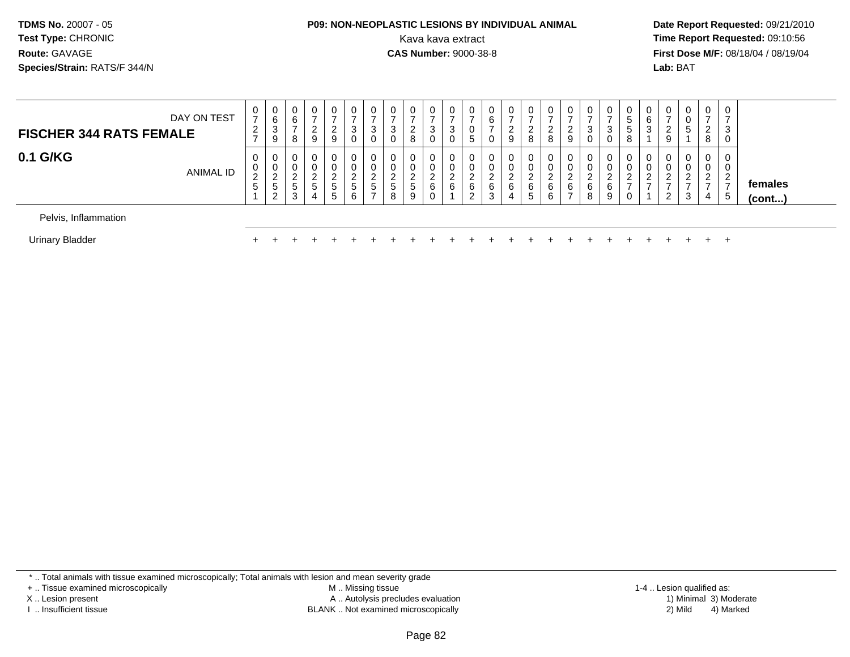# **P09: NON-NEOPLASTIC LESIONS BY INDIVIDUAL ANIMAL**

 **Date Report Requested:** 09/21/2010 Kava kava extract **Time Report Requested:** 09:10:56<br>**CAS Number:** 9000-38-8<br>**Tirst Dose M/F:** 08/18/04 / 08/19/04 **First Dose M/F:** 08/18/04 / 08/19/04 Lab: BAT **Lab:** BAT

| <b>FISCHER 344 RATS FEMALE</b> | DAY ON TEST | U<br>$\rightarrow$<br>2<br>$\rightarrow$ | ັ<br>6<br>$\sim$<br>9 | 0<br>6<br>8 | 0<br>ົ<br>9                         | 0<br>$\overline{ }$<br>ົ<br>∠<br>9 | 0<br>$\overline{ }$<br>3<br>0 | 0<br>3<br>0       | 3 | 0<br>റ<br>$\epsilon$<br>8 | 0<br>3<br>0           | 0<br>-3<br>0 | U<br>$\mathbf{p}$ | 0<br>6<br>0      | 9      | 8      | U<br>8           | 0<br>9                        | U<br>–<br>3<br>0 | 0<br>2<br>P<br>0                | C.<br>G<br>8 | 6<br>3 | 9      | 0<br>0<br>5                       | $\mathbf{0}$<br>$\overline{ }$<br>2<br>8 | 0<br>3<br>0                          |                   |
|--------------------------------|-------------|------------------------------------------|-----------------------|-------------|-------------------------------------|------------------------------------|-------------------------------|-------------------|---|---------------------------|-----------------------|--------------|-------------------|------------------|--------|--------|------------------|-------------------------------|------------------|---------------------------------|--------------|--------|--------|-----------------------------------|------------------------------------------|--------------------------------------|-------------------|
| 0.1 G/KG                       | ANIMAL ID   | 0<br>U<br>$\sim$<br>5                    | _<br>э<br>$\sim$      | 0<br>ა<br>3 | 0<br>0<br>ີ<br>$5\phantom{.0}$<br>4 | 0<br>0<br>ົ<br>∠<br>5<br>5         | 0<br>0<br>2<br>∠<br>5<br>6    | 0<br>0<br>◠<br>C. | 5 | 0<br>0<br>ົ<br>5<br>9     | 0<br>0<br>ົ<br>6<br>U | 0<br>0<br>6  | U<br>ົ<br>6<br>2  | 0<br>ົ<br>6<br>3 | 6<br>4 | 6<br>5 | U<br>U<br>6<br>6 | 0<br>0<br>6<br>$\overline{ }$ | 0<br>ົ<br>6<br>8 | 0<br>0<br>$\sim$<br>∼<br>6<br>9 | ۷            | U      | υ<br>2 | 0<br>0<br>ົ<br><u>_</u><br>-<br>3 | 0<br>0<br>2<br>$\rightarrow$<br>4        | $\overline{0}$<br>0<br>2<br>Е.<br>-5 | females<br>(cont) |
| Pelvis, Inflammation           |             |                                          |                       |             |                                     |                                    |                               |                   |   |                           |                       |              |                   |                  |        |        |                  |                               |                  |                                 |              |        |        |                                   |                                          |                                      |                   |
| Urinary Bladder                |             |                                          |                       |             |                                     |                                    |                               |                   |   |                           |                       |              |                   |                  |        |        |                  |                               |                  |                                 |              |        |        |                                   |                                          | $\div$                               |                   |

<sup>+</sup> <sup>+</sup> <sup>+</sup> <sup>+</sup> <sup>+</sup> <sup>+</sup> <sup>+</sup> <sup>+</sup> <sup>+</sup> <sup>+</sup> <sup>+</sup> <sup>+</sup> <sup>+</sup> <sup>+</sup> <sup>+</sup> <sup>+</sup> <sup>+</sup> <sup>+</sup> <sup>+</sup> <sup>+</sup> <sup>+</sup> <sup>+</sup> <sup>+</sup> <sup>+</sup>

\* .. Total animals with tissue examined microscopically; Total animals with lesion and mean severity grade

r +

+ .. Tissue examined microscopically

X .. Lesion present

I .. Insufficient tissue

 M .. Missing tissueA .. Autolysis precludes evaluation

BLANK .. Not examined microscopically 2) Mild 4) Marked

1-4 .. Lesion qualified as: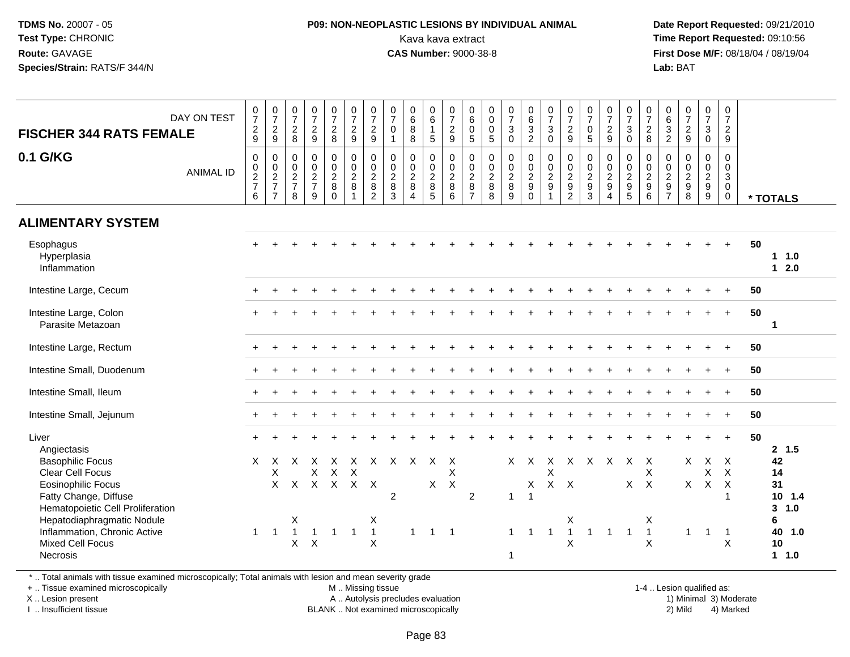#### **P09: NON-NEOPLASTIC LESIONS BY INDIVIDUAL ANIMAL**Kava kava extract **Time Report Requested:** 09:10:56<br>**CAS Number:** 9000-38-8<br>**Tirst Dose M/F:** 08/18/04 / 08/19/04

 **Date Report Requested:** 09/21/2010 **First Dose M/F:** 08/18/04 / 08/19/04 Lab: BAT **Lab:** BAT

| <b>FISCHER 344 RATS FEMALE</b>                                                                                                                                                                                                                                            | DAY ON TEST      | $\frac{0}{7}$<br>$\frac{2}{9}$    | $\frac{0}{7}$<br>$\boldsymbol{2}$<br>9         | $\frac{0}{7}$<br>$\overline{c}$<br>8                                               | $\frac{0}{7}$<br>$\overline{c}$<br>9                                             | $\frac{0}{7}$<br>$\overline{2}$<br>$\bf8$                              | $\frac{0}{7}$<br>$\overline{2}$<br>$9\,$                    | $\frac{0}{7}$<br>$\overline{2}$<br>$\boldsymbol{9}$                 | $\frac{0}{7}$<br>$\mathbf 0$<br>$\mathbf{1}$                                        | $_6^0$<br>8<br>8                                        | $_{6}^{\rm 0}$<br>$\mathbf{1}$<br>$5\phantom{.0}$ | $\frac{0}{7}$<br>$\overline{c}$<br>9                                                    | 0<br>$\overline{6}$<br>$\boldsymbol{0}$<br>$\sqrt{5}$ | $\begin{smallmatrix} 0\\0 \end{smallmatrix}$<br>$\frac{0}{5}$     | $\begin{smallmatrix}0\\7\end{smallmatrix}$<br>$\mathbf{3}$<br>$\mathbf 0$ | $\begin{matrix} 0 \\ 6 \\ 3 \\ 2 \end{matrix}$                   | $\frac{0}{7}$<br>$\ensuremath{\mathsf{3}}$<br>$\mathbf 0$            | $\frac{0}{7}$<br>$\overline{2}$<br>9                                                 | $\frac{0}{7}$<br>$\mathbf 0$<br>5                         | $\begin{array}{c} 0 \\ 7 \\ 2 \end{array}$<br>9 | $\frac{0}{7}$<br>3<br>$\Omega$                                           | $\frac{0}{7}$<br>$\overline{2}$<br>8                   | $\begin{matrix} 0 \\ 6 \\ 3 \end{matrix}$<br>$\overline{2}$ | $\begin{array}{c} 0 \\ 7 \\ 2 \end{array}$<br>9 | $\frac{0}{7}$<br>$\mathbf 3$<br>$\mathbf 0$                        | 0<br>$\overline{7}$<br>$\overline{2}$<br>9                                                                      |    |                                                                                   |
|---------------------------------------------------------------------------------------------------------------------------------------------------------------------------------------------------------------------------------------------------------------------------|------------------|-----------------------------------|------------------------------------------------|------------------------------------------------------------------------------------|----------------------------------------------------------------------------------|------------------------------------------------------------------------|-------------------------------------------------------------|---------------------------------------------------------------------|-------------------------------------------------------------------------------------|---------------------------------------------------------|---------------------------------------------------|-----------------------------------------------------------------------------------------|-------------------------------------------------------|-------------------------------------------------------------------|---------------------------------------------------------------------------|------------------------------------------------------------------|----------------------------------------------------------------------|--------------------------------------------------------------------------------------|-----------------------------------------------------------|-------------------------------------------------|--------------------------------------------------------------------------|--------------------------------------------------------|-------------------------------------------------------------|-------------------------------------------------|--------------------------------------------------------------------|-----------------------------------------------------------------------------------------------------------------|----|-----------------------------------------------------------------------------------|
| 0.1 G/KG                                                                                                                                                                                                                                                                  | <b>ANIMAL ID</b> | $\mathbf 0$<br>$\frac{0}{2}$<br>6 | $\mathsf 0$<br>$\frac{0}{2}$<br>$\overline{7}$ | $\mathbf 0$<br>$\begin{smallmatrix} 0\\2 \end{smallmatrix}$<br>$\overline{7}$<br>8 | $\pmb{0}$<br>$\begin{smallmatrix} 0\\2 \end{smallmatrix}$<br>$\overline{7}$<br>9 | 0<br>$\overline{0}$<br>$\overline{2}$<br>$\bf 8$<br>$\Omega$           | $\mathbf 0$<br>$\frac{0}{2}$<br>$\,8\,$<br>$\overline{1}$   | $\mathbf 0$<br>$\pmb{0}$<br>$\boldsymbol{2}$<br>8<br>$\overline{2}$ | $\pmb{0}$<br>$\begin{smallmatrix} 0\\2 \end{smallmatrix}$<br>$\bf8$<br>$\mathbf{3}$ | $\mathsf{O}$<br>$\mathbf 0$<br>$\overline{a}$<br>8<br>4 | $\pmb{0}$<br>$_2^0$<br>$\bf 8$<br>$\overline{5}$  | $\pmb{0}$<br>$\frac{0}{2}$<br>$\bf 8$<br>6                                              | 0<br>$_2^0$<br>$\bf 8$<br>$\overline{7}$              | $\begin{array}{c} 0 \\ 0 \\ 2 \\ 8 \end{array}$<br>$\overline{8}$ | $\begin{smallmatrix} 0\\0\\2 \end{smallmatrix}$<br>$^8_9$                 | $\pmb{0}$<br>$\frac{0}{2}$<br>$\boldsymbol{9}$<br>$\mathbf 0$    | $\pmb{0}$<br>$\boldsymbol{0}$<br>$\sqrt{2}$<br>$\boldsymbol{9}$<br>1 | $\pmb{0}$<br>$\begin{smallmatrix} 0\\2 \end{smallmatrix}$<br>$9\,$<br>$\overline{2}$ | 0<br>$\pmb{0}$<br>$\overline{c}$<br>$\boldsymbol{9}$<br>3 | $\pmb{0}$<br>$\frac{0}{2}$<br>$\overline{4}$    | 0<br>$\mathbf 0$<br>$\overline{c}$<br>$\boldsymbol{9}$<br>$\overline{5}$ | $\pmb{0}$<br>$0$<br>0<br>0<br>0<br>0<br>0              | $\mathsf 0$<br>$\frac{0}{2}$<br>$\frac{2}{7}$               | 0<br>$\frac{0}{2}$<br>$\overline{8}$            | $\mathsf 0$<br>$\frac{0}{2}$<br>$\boldsymbol{9}$<br>$\overline{9}$ | $\mathbf 0$<br>$\mathbf 0$<br>3<br>$\mathbf{0}$<br>$\overline{0}$                                               |    | * TOTALS                                                                          |
| <b>ALIMENTARY SYSTEM</b>                                                                                                                                                                                                                                                  |                  |                                   |                                                |                                                                                    |                                                                                  |                                                                        |                                                             |                                                                     |                                                                                     |                                                         |                                                   |                                                                                         |                                                       |                                                                   |                                                                           |                                                                  |                                                                      |                                                                                      |                                                           |                                                 |                                                                          |                                                        |                                                             |                                                 |                                                                    |                                                                                                                 |    |                                                                                   |
| Esophagus<br>Hyperplasia<br>Inflammation                                                                                                                                                                                                                                  |                  |                                   |                                                |                                                                                    |                                                                                  |                                                                        |                                                             |                                                                     |                                                                                     |                                                         |                                                   |                                                                                         |                                                       |                                                                   |                                                                           |                                                                  |                                                                      |                                                                                      |                                                           |                                                 |                                                                          |                                                        |                                                             |                                                 |                                                                    | $+$                                                                                                             | 50 | 1.0<br>$\mathbf 1$<br>$12.0$                                                      |
| Intestine Large, Cecum                                                                                                                                                                                                                                                    |                  |                                   |                                                |                                                                                    |                                                                                  |                                                                        |                                                             |                                                                     |                                                                                     |                                                         |                                                   |                                                                                         |                                                       |                                                                   |                                                                           |                                                                  |                                                                      |                                                                                      |                                                           |                                                 |                                                                          |                                                        |                                                             |                                                 |                                                                    | $+$                                                                                                             | 50 |                                                                                   |
| Intestine Large, Colon<br>Parasite Metazoan                                                                                                                                                                                                                               |                  |                                   |                                                |                                                                                    |                                                                                  |                                                                        |                                                             |                                                                     |                                                                                     |                                                         |                                                   |                                                                                         |                                                       |                                                                   |                                                                           |                                                                  |                                                                      |                                                                                      |                                                           |                                                 |                                                                          |                                                        |                                                             |                                                 |                                                                    | $+$                                                                                                             | 50 | $\mathbf 1$                                                                       |
| Intestine Large, Rectum                                                                                                                                                                                                                                                   |                  |                                   |                                                |                                                                                    |                                                                                  |                                                                        |                                                             |                                                                     |                                                                                     |                                                         |                                                   |                                                                                         |                                                       |                                                                   |                                                                           |                                                                  |                                                                      |                                                                                      |                                                           |                                                 |                                                                          |                                                        |                                                             |                                                 |                                                                    |                                                                                                                 | 50 |                                                                                   |
| Intestine Small, Duodenum                                                                                                                                                                                                                                                 |                  |                                   |                                                |                                                                                    |                                                                                  |                                                                        |                                                             |                                                                     |                                                                                     |                                                         |                                                   |                                                                                         |                                                       |                                                                   |                                                                           |                                                                  |                                                                      |                                                                                      |                                                           |                                                 |                                                                          |                                                        |                                                             |                                                 |                                                                    |                                                                                                                 | 50 |                                                                                   |
| Intestine Small, Ileum                                                                                                                                                                                                                                                    |                  |                                   |                                                |                                                                                    |                                                                                  |                                                                        |                                                             |                                                                     |                                                                                     |                                                         |                                                   |                                                                                         |                                                       |                                                                   |                                                                           |                                                                  |                                                                      |                                                                                      |                                                           |                                                 |                                                                          |                                                        |                                                             |                                                 |                                                                    |                                                                                                                 | 50 |                                                                                   |
| Intestine Small, Jejunum                                                                                                                                                                                                                                                  |                  |                                   |                                                |                                                                                    |                                                                                  |                                                                        |                                                             |                                                                     |                                                                                     |                                                         |                                                   |                                                                                         |                                                       |                                                                   |                                                                           |                                                                  |                                                                      |                                                                                      |                                                           |                                                 |                                                                          |                                                        |                                                             |                                                 |                                                                    |                                                                                                                 | 50 |                                                                                   |
| Liver<br>Angiectasis<br><b>Basophilic Focus</b><br><b>Clear Cell Focus</b><br><b>Eosinophilic Focus</b><br>Fatty Change, Diffuse<br>Hematopoietic Cell Proliferation<br>Hepatodiaphragmatic Nodule<br>Inflammation, Chronic Active<br><b>Mixed Cell Focus</b><br>Necrosis |                  | X<br>$\mathbf{1}$                 | X<br>X<br>$\mathsf{X}$<br>$\overline{1}$       | X<br>Х<br>$\overline{1}$<br>X                                                      | $\times$<br>X<br>X X X X X<br>-1<br>$\boldsymbol{\mathsf{X}}$                    | $\boldsymbol{\mathsf{X}}$<br>$\boldsymbol{\mathsf{X}}$<br>$\mathbf{1}$ | $\mathsf{X}$<br>$\boldsymbol{\mathsf{X}}$<br>$\overline{1}$ | X<br>X<br>$\mathbf{1}$<br>$\sf X$                                   | $\mathsf{X}$<br>$\overline{c}$                                                      | $\mathsf{X}$<br>$\mathbf{1}$                            | $\mathsf{X}$<br>X<br>$\overline{1}$               | $\mathsf{X}$<br>$\boldsymbol{\mathsf{X}}$<br>$\mathsf{X}$<br>$\overline{\phantom{0}}$ 1 | $\overline{2}$                                        |                                                                   | $\mathsf{X}$<br>1<br>$\mathbf{1}$                                         | $\mathsf{X}$<br>$\mathsf{X}$<br>$\overline{1}$<br>$\overline{1}$ | X<br>X<br>$\overline{1}$                                             | $X$ $X$<br>$X$ $X$<br>Χ<br>$\overline{1}$<br>X                                       | $\mathbf{1}$                                              | $\mathsf{X}$<br>$\overline{1}$                  | $\boldsymbol{\mathsf{X}}$<br>$\overline{1}$                              | $\mathsf{X}$<br>X<br>$X$ $X$<br>X<br>$\mathbf{1}$<br>X |                                                             | X<br>$\mathsf{X}$<br>$\mathbf{1}$               | $\mathsf{X}$<br>$\pmb{\times}$<br>X<br>-1                          | $+$<br>$\mathsf{X}$<br>$\boldsymbol{\mathsf{X}}$<br>$\boldsymbol{\mathsf{X}}$<br>1<br>$\overline{1}$<br>$\sf X$ | 50 | 2, 1.5<br>42<br>14<br>31<br>10 1.4<br>$3 - 1.0$<br>6<br>40 1.0<br>10<br>$1 \t1.0$ |

\* .. Total animals with tissue examined microscopically; Total animals with lesion and mean severity grade

+ .. Tissue examined microscopically

X .. Lesion present

I .. Insufficient tissue

M .. Missing tissue

A .. Autolysis precludes evaluation

BLANK .. Not examined microscopically 2) Mild 4) Marked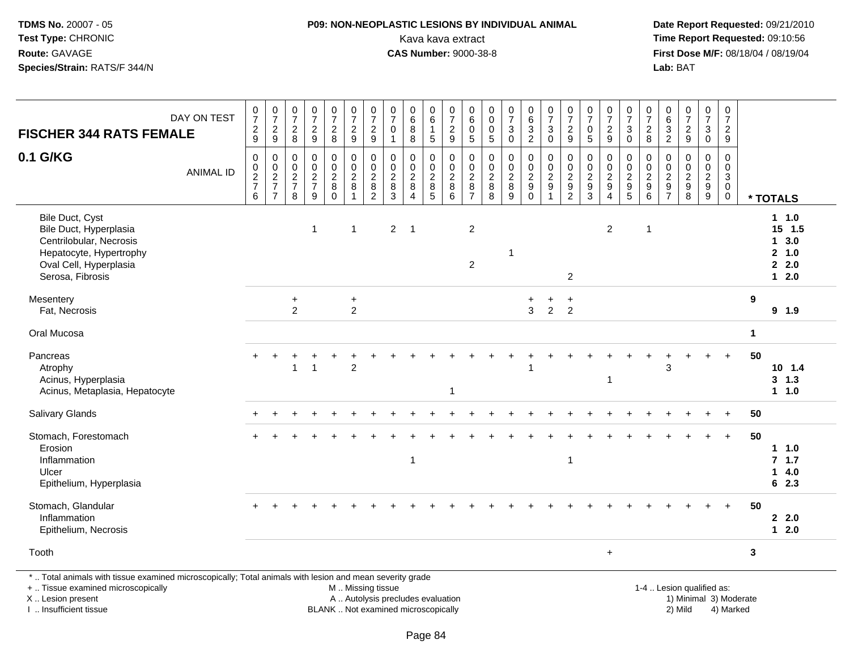# **P09: NON-NEOPLASTIC LESIONS BY INDIVIDUAL ANIMAL**Kava kava extract **Time Report Requested:** 09:10:56<br>**CAS Number:** 9000-38-8 **CAS Number:** 9000-38-8

 **Date Report Requested:** 09/21/2010 **First Dose M/F:** 08/18/04 / 08/19/04 Lab: BAT **Lab:** BAT

|                                                                                                                                               |                                              |                                              |                                                              |                                              |                                                                   |                                                                 | $\pmb{0}$                                                                 |                                                       | 0                                                               |                                                       | 0                                                   | $\pmb{0}$                                                       |                                                            |                                              |                                                                               |                                                               |                                                                                    |                                                   |                                                                                    | 0                                                        |                                                                                 |                                            |                                                                 |                                                                                      | $\pmb{0}$                                               |              |                                                                         |
|-----------------------------------------------------------------------------------------------------------------------------------------------|----------------------------------------------|----------------------------------------------|--------------------------------------------------------------|----------------------------------------------|-------------------------------------------------------------------|-----------------------------------------------------------------|---------------------------------------------------------------------------|-------------------------------------------------------|-----------------------------------------------------------------|-------------------------------------------------------|-----------------------------------------------------|-----------------------------------------------------------------|------------------------------------------------------------|----------------------------------------------|-------------------------------------------------------------------------------|---------------------------------------------------------------|------------------------------------------------------------------------------------|---------------------------------------------------|------------------------------------------------------------------------------------|----------------------------------------------------------|---------------------------------------------------------------------------------|--------------------------------------------|-----------------------------------------------------------------|--------------------------------------------------------------------------------------|---------------------------------------------------------|--------------|-------------------------------------------------------------------------|
| DAY ON TEST                                                                                                                                   | $\frac{0}{7}$                                | $\frac{0}{7}$<br>$\overline{c}$              | $\begin{smallmatrix}0\\7\end{smallmatrix}$<br>$\overline{c}$ | $\begin{smallmatrix}0\\7\end{smallmatrix}$   | $\begin{array}{c} 0 \\ 7 \end{array}$                             | $\begin{array}{c} 0 \\ 7 \end{array}$<br>$\sqrt{2}$             | $\overline{7}$<br>$\overline{2}$                                          | $\begin{array}{c} 0 \\ 7 \end{array}$<br>$\mathbf 0$  | 6<br>$\overline{8}$                                             | $\begin{array}{c} 0 \\ 6 \end{array}$<br>$\mathbf{1}$ | $\overline{7}$<br>$\overline{c}$                    | $\,6\,$<br>$\pmb{0}$                                            | $_{\rm 0}^{\rm 0}$<br>$\pmb{0}$                            | $\frac{0}{7}$<br>$\mathbf{3}$                | $\begin{array}{c} 0 \\ 6 \end{array}$                                         | $\frac{0}{7}$<br>3                                            | $\begin{array}{c} 0 \\ 7 \end{array}$<br>$\overline{c}$                            | $\frac{0}{7}$<br>$\pmb{0}$                        | $\begin{array}{c} 0 \\ 7 \end{array}$<br>$\boldsymbol{2}$                          | $\overline{7}$<br>3                                      | $\frac{0}{7}$                                                                   | $\begin{array}{c} 0 \\ 6 \\ 3 \end{array}$ | $\frac{0}{7}$<br>$\overline{2}$                                 | $\frac{0}{7}$<br>$\sqrt{3}$                                                          | $\overline{7}$<br>$\overline{c}$                        |              |                                                                         |
| <b>FISCHER 344 RATS FEMALE</b>                                                                                                                | $\frac{2}{9}$                                | 9                                            | $\,8\,$                                                      | $\frac{2}{9}$                                | $\frac{2}{8}$                                                     | $9\,$                                                           | $\boldsymbol{9}$                                                          | $\mathbf{1}$                                          | 8                                                               | 5                                                     | 9                                                   | $\overline{5}$                                                  | $\sqrt{5}$                                                 | $\Omega$                                     | $\frac{3}{2}$                                                                 | $\mathbf 0$                                                   | 9                                                                                  | $\sqrt{5}$                                        | $\boldsymbol{9}$                                                                   | $\Omega$                                                 | $\frac{2}{8}$                                                                   | $\overline{2}$                             | 9                                                               | $\pmb{0}$                                                                            | 9                                                       |              |                                                                         |
| 0.1 G/KG<br><b>ANIMAL ID</b>                                                                                                                  | $\pmb{0}$<br>$\pmb{0}$<br>$\frac{2}{7}$<br>6 | $\pmb{0}$<br>$\frac{0}{2}$<br>$\overline{7}$ | 0<br>$\mathbf 0$<br>$\overline{c}$<br>$\overline{7}$<br>8    | $\pmb{0}$<br>$\pmb{0}$<br>$\frac{2}{7}$<br>9 | $\mathbf 0$<br>$\pmb{0}$<br>$\overline{c}$<br>$\bf 8$<br>$\Omega$ | 0<br>$\mathbf 0$<br>$\overline{2}$<br>$\bf 8$<br>$\overline{1}$ | $\mathbf 0$<br>$\mathbf 0$<br>$\overline{2}$<br>$\bf 8$<br>$\overline{2}$ | $\Omega$<br>$\Omega$<br>$\overline{c}$<br>$\bf8$<br>3 | 0<br>$\mathbf 0$<br>$\overline{c}$<br>$\,8\,$<br>$\overline{4}$ | 0<br>$\mathbf 0$<br>$\frac{2}{8}$                     | $\mathbf 0$<br>$\Omega$<br>$\overline{c}$<br>8<br>6 | 0<br>$\mathbf 0$<br>$\overline{c}$<br>$\bf 8$<br>$\overline{7}$ | $\pmb{0}$<br>$\mathbf 0$<br>$\overline{2}$<br>$\bf 8$<br>8 | 0<br>$\mathbf 0$<br>$\overline{2}$<br>8<br>9 | $\pmb{0}$<br>$\mathbf 0$<br>$\overline{2}$<br>$\boldsymbol{9}$<br>$\mathbf 0$ | $\mathbf 0$<br>$\Omega$<br>$\overline{c}$<br>$\boldsymbol{9}$ | $\mathbf 0$<br>$\mathbf 0$<br>$\overline{c}$<br>$\boldsymbol{9}$<br>$\overline{2}$ | 0<br>$\mathbf 0$<br>$\frac{2}{9}$<br>$\mathbf{3}$ | $\mathbf 0$<br>$\mathbf 0$<br>$\overline{c}$<br>$\boldsymbol{9}$<br>$\overline{4}$ | 0<br>$\Omega$<br>$\overline{2}$<br>$\boldsymbol{9}$<br>5 | $\mathbf 0$<br>$\Omega$<br>$\overline{c}$<br>$\boldsymbol{9}$<br>$6\phantom{1}$ | 0<br>0<br>$\frac{2}{9}$<br>$\overline{7}$  | 0<br>$\mathsf{O}$<br>$\begin{array}{c} 2 \\ 9 \\ 8 \end{array}$ | $\mathbf 0$<br>$\mathbf 0$<br>$\overline{c}$<br>$\boldsymbol{9}$<br>$\boldsymbol{9}$ | $\Omega$<br>$\Omega$<br>3<br>$\mathbf 0$<br>$\mathbf 0$ |              | * TOTALS                                                                |
| Bile Duct, Cyst<br>Bile Duct, Hyperplasia<br>Centrilobular, Necrosis<br>Hepatocyte, Hypertrophy<br>Oval Cell, Hyperplasia<br>Serosa, Fibrosis |                                              |                                              |                                                              | $\overline{1}$                               |                                                                   | $\overline{\mathbf{1}}$                                         |                                                                           | $2 \quad 1$                                           |                                                                 |                                                       |                                                     | $\overline{2}$<br>$\overline{2}$                                |                                                            |                                              |                                                                               |                                                               | $\boldsymbol{2}$                                                                   |                                                   | $\overline{2}$                                                                     |                                                          | $\mathbf 1$                                                                     |                                            |                                                                 |                                                                                      |                                                         |              | 1 1.0<br>$15$ 1.5<br>$1 \quad 3.0$<br>2, 1.0<br>$2 \quad 2.0$<br>$12.0$ |
| Mesentery<br>Fat, Necrosis                                                                                                                    |                                              |                                              | $\ddot{}$<br>$\overline{2}$                                  |                                              |                                                                   | $\ddot{}$<br>$\overline{2}$                                     |                                                                           |                                                       |                                                                 |                                                       |                                                     |                                                                 |                                                            |                                              | 3                                                                             | $\overline{2}$                                                | $\ddot{}$<br>$\overline{2}$                                                        |                                                   |                                                                                    |                                                          |                                                                                 |                                            |                                                                 |                                                                                      |                                                         | 9            | 9 1.9                                                                   |
| Oral Mucosa                                                                                                                                   |                                              |                                              |                                                              |                                              |                                                                   |                                                                 |                                                                           |                                                       |                                                                 |                                                       |                                                     |                                                                 |                                                            |                                              |                                                                               |                                                               |                                                                                    |                                                   |                                                                                    |                                                          |                                                                                 |                                            |                                                                 |                                                                                      |                                                         | $\mathbf 1$  |                                                                         |
| Pancreas<br>Atrophy<br>Acinus, Hyperplasia<br>Acinus, Metaplasia, Hepatocyte                                                                  |                                              | $\div$                                       |                                                              | $\overline{1}$                               |                                                                   | $\overline{2}$                                                  |                                                                           |                                                       |                                                                 |                                                       | $\overline{1}$                                      |                                                                 |                                                            |                                              |                                                                               |                                                               |                                                                                    |                                                   | -1                                                                                 |                                                          |                                                                                 | 3                                          |                                                                 |                                                                                      |                                                         | 50           | $10$ 1.4<br>3, 1.3<br>11.0                                              |
| <b>Salivary Glands</b>                                                                                                                        |                                              |                                              |                                                              |                                              |                                                                   |                                                                 |                                                                           |                                                       |                                                                 |                                                       |                                                     |                                                                 |                                                            |                                              |                                                                               |                                                               |                                                                                    |                                                   |                                                                                    |                                                          |                                                                                 |                                            |                                                                 |                                                                                      |                                                         | 50           |                                                                         |
| Stomach, Forestomach<br>Erosion<br>Inflammation<br>Ulcer<br>Epithelium, Hyperplasia                                                           |                                              |                                              |                                                              |                                              |                                                                   |                                                                 |                                                                           |                                                       | $\mathbf{1}$                                                    |                                                       |                                                     |                                                                 |                                                            |                                              |                                                                               |                                                               | $\overline{1}$                                                                     |                                                   |                                                                                    |                                                          |                                                                                 |                                            |                                                                 |                                                                                      |                                                         | 50           | $1 1.0$<br>7.1.7<br>$14.0$<br>6 2.3                                     |
| Stomach, Glandular<br>Inflammation<br>Epithelium, Necrosis                                                                                    |                                              |                                              |                                                              |                                              |                                                                   |                                                                 |                                                                           |                                                       |                                                                 |                                                       |                                                     |                                                                 |                                                            |                                              |                                                                               |                                                               |                                                                                    |                                                   |                                                                                    |                                                          |                                                                                 |                                            |                                                                 |                                                                                      |                                                         | 50           | $2 \quad 2.0$<br>$12.0$                                                 |
|                                                                                                                                               |                                              |                                              |                                                              |                                              |                                                                   |                                                                 |                                                                           |                                                       |                                                                 |                                                       |                                                     |                                                                 |                                                            |                                              |                                                                               |                                                               |                                                                                    |                                                   | $\ddot{}$                                                                          |                                                          |                                                                                 |                                            |                                                                 |                                                                                      |                                                         | $\mathbf{3}$ |                                                                         |

Page 84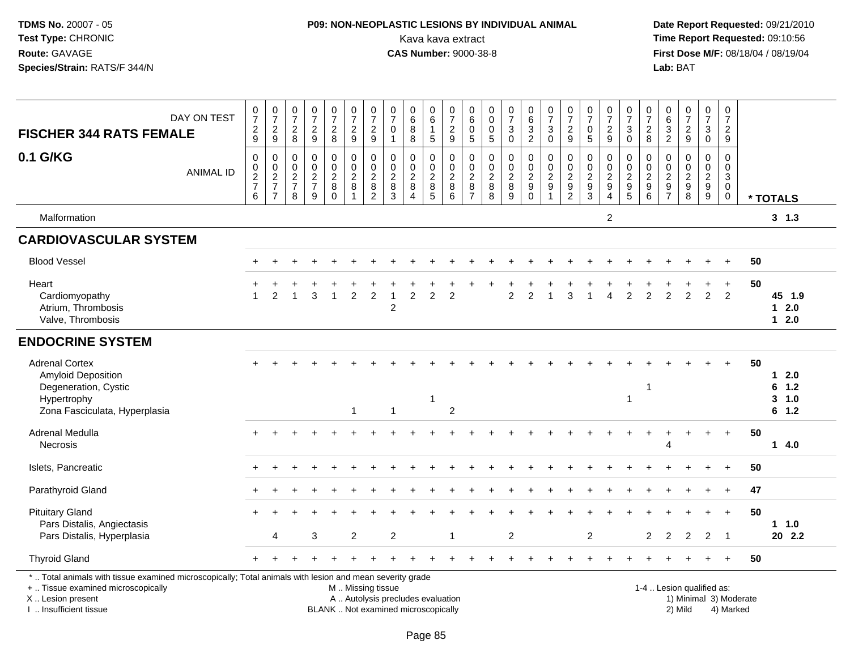# **P09: NON-NEOPLASTIC LESIONS BY INDIVIDUAL ANIMAL**Kava kava extract **Time Report Requested:** 09:10:56<br>**CAS Number:** 9000-38-8 **CAS Number:** 9000-38-8

| <b>FISCHER 344 RATS FEMALE</b>                                                                                                                                                               | DAY ON TEST      | $\frac{0}{7}$<br>$\frac{2}{9}$ | $\frac{0}{7}$<br>$\frac{2}{9}$                 | $\begin{array}{c} 0 \\ 7 \end{array}$<br>$\frac{2}{8}$ | $\frac{0}{7}$<br>$\frac{2}{9}$                      | $\begin{smallmatrix}0\\7\end{smallmatrix}$<br>$\frac{2}{8}$          | $\begin{array}{c} 0 \\ 7 \end{array}$<br>$\frac{2}{9}$                | $\frac{0}{7}$<br>$\frac{2}{9}$                                  | $\frac{0}{7}$<br>0<br>$\mathbf{1}$ | $_{6}^{\rm 0}$<br>8<br>$\overline{8}$                                    | 0<br>6<br>$\mathbf{1}$<br>5                        | $\begin{array}{c} 0 \\ 7 \end{array}$<br>$\frac{2}{9}$ | $\begin{array}{c} 0 \\ 6 \end{array}$<br>$\pmb{0}$<br>$\overline{5}$ | $\pmb{0}$<br>$\ddot{\mathbf{0}}$<br>$\mathbf 0$<br>$\overline{5}$ | $\frac{0}{7}$<br>3<br>$\ddot{\mathbf{0}}$ | $_{6}^{\rm 0}$<br>$\frac{3}{2}$           | $\frac{0}{7}$<br>3<br>$\overline{0}$              | $\frac{0}{7}$<br>$\frac{2}{9}$                      | $\begin{array}{c} 0 \\ 7 \end{array}$<br>$\pmb{0}$<br>$\overline{5}$ | $\begin{array}{c} 0 \\ 7 \end{array}$<br>$\frac{2}{9}$ | $\begin{array}{c} 0 \\ 7 \end{array}$<br>$\ensuremath{\mathsf{3}}$<br>$\overline{0}$ | $\pmb{0}$<br>$\overline{7}$<br>$\frac{2}{8}$                            | 0<br>$6\phantom{1}6$<br>$\frac{3}{2}$                                              | $\frac{0}{7}$<br>$\frac{2}{9}$                    | 0<br>$\overline{7}$<br>3<br>$\overline{0}$ | $\frac{0}{7}$<br>$\overline{2}$<br>9                                     |                        |                                         |
|----------------------------------------------------------------------------------------------------------------------------------------------------------------------------------------------|------------------|--------------------------------|------------------------------------------------|--------------------------------------------------------|-----------------------------------------------------|----------------------------------------------------------------------|-----------------------------------------------------------------------|-----------------------------------------------------------------|------------------------------------|--------------------------------------------------------------------------|----------------------------------------------------|--------------------------------------------------------|----------------------------------------------------------------------|-------------------------------------------------------------------|-------------------------------------------|-------------------------------------------|---------------------------------------------------|-----------------------------------------------------|----------------------------------------------------------------------|--------------------------------------------------------|--------------------------------------------------------------------------------------|-------------------------------------------------------------------------|------------------------------------------------------------------------------------|---------------------------------------------------|--------------------------------------------|--------------------------------------------------------------------------|------------------------|-----------------------------------------|
| 0.1 G/KG                                                                                                                                                                                     | <b>ANIMAL ID</b> | 0<br>$\frac{0}{2}$<br>6        | $\mathbf 0$<br>$\frac{0}{2}$<br>$\overline{7}$ | $\mathbf 0$<br>$\mathbf 0$<br>$\frac{2}{7}$<br>8       | $\mathbf 0$<br>$\overline{0}$<br>$\frac{2}{7}$<br>9 | 0<br>$\mathsf{O}\xspace$<br>$\overline{c}$<br>$\,8\,$<br>$\mathbf 0$ | $\mathbf 0$<br>$\ddot{\mathbf{0}}$<br>$\frac{2}{8}$<br>$\overline{1}$ | 0<br>$\mathbf 0$<br>$\overline{c}$<br>$\,8\,$<br>$\overline{2}$ | 0<br>$\frac{0}{2}$<br>3            | 0<br>$\mathbf 0$<br>$\overline{c}$<br>8<br>$\overline{4}$                | 0<br>$\pmb{0}$<br>$\frac{2}{8}$<br>$5\phantom{.0}$ | 0<br>$\overline{0}$<br>$\frac{2}{8}$<br>$\overline{6}$ | 0<br>$\pmb{0}$<br>$\frac{2}{8}$<br>$\overline{7}$                    | $\mathbf 0$<br>$\mathbf 0$<br>$\frac{2}{8}$<br>8                  | 0<br>$\mathbf 0$<br>$\frac{2}{8}$<br>9    | $\pmb{0}$<br>$\frac{0}{2}$<br>$\mathbf 0$ | 0<br>$\mathbf 0$<br>$\frac{2}{9}$<br>$\mathbf{1}$ | 0<br>$\mathbf 0$<br>$\frac{2}{9}$<br>$\overline{2}$ | $\mathbf 0$<br>$\pmb{0}$<br>$\frac{2}{9}$<br>$\overline{3}$          | 0<br>$\pmb{0}$<br>$\frac{2}{9}$<br>$\overline{4}$      | 0<br>$\overline{0}$<br>$\frac{2}{9}$<br>$\overline{5}$                               | $\mathbf 0$<br>$\mathbf 0$<br>$\boldsymbol{2}$<br>$\boldsymbol{9}$<br>6 | $\mathbf 0$<br>$\mathbf 0$<br>$\overline{c}$<br>$\boldsymbol{9}$<br>$\overline{7}$ | 0<br>$\pmb{0}$<br>$\frac{2}{9}$<br>$\overline{8}$ | 0<br>$\frac{0}{2}$<br>9                    | $\mathbf 0$<br>$\mathsf 0$<br>$\mathbf{3}$<br>$\mathbf 0$<br>$\mathbf 0$ |                        | * TOTALS                                |
| Malformation                                                                                                                                                                                 |                  |                                |                                                |                                                        |                                                     |                                                                      |                                                                       |                                                                 |                                    |                                                                          |                                                    |                                                        |                                                                      |                                                                   |                                           |                                           |                                                   |                                                     |                                                                      | 2                                                      |                                                                                      |                                                                         |                                                                                    |                                                   |                                            |                                                                          |                        | 3, 1.3                                  |
| <b>CARDIOVASCULAR SYSTEM</b>                                                                                                                                                                 |                  |                                |                                                |                                                        |                                                     |                                                                      |                                                                       |                                                                 |                                    |                                                                          |                                                    |                                                        |                                                                      |                                                                   |                                           |                                           |                                                   |                                                     |                                                                      |                                                        |                                                                                      |                                                                         |                                                                                    |                                                   |                                            |                                                                          |                        |                                         |
| <b>Blood Vessel</b>                                                                                                                                                                          |                  |                                |                                                |                                                        |                                                     |                                                                      |                                                                       |                                                                 |                                    |                                                                          |                                                    |                                                        |                                                                      |                                                                   |                                           |                                           |                                                   |                                                     |                                                                      |                                                        |                                                                                      |                                                                         |                                                                                    |                                                   |                                            | $\ddot{}$                                                                | 50                     |                                         |
| Heart<br>Cardiomyopathy<br>Atrium, Thrombosis<br>Valve, Thrombosis                                                                                                                           |                  |                                | 2                                              |                                                        | 3                                                   | $\mathbf{1}$                                                         | $\overline{2}$                                                        | $\overline{c}$                                                  | $\overline{1}$<br>2                | $\overline{2}$                                                           | $\overline{2}$                                     | 2                                                      |                                                                      |                                                                   | $\overline{2}$                            | 2                                         | $\overline{1}$                                    | 3                                                   |                                                                      | 4                                                      | 2                                                                                    | $\overline{2}$                                                          | $\overline{2}$                                                                     | $\overline{2}$                                    | $\overline{2}$                             | $\ddot{}$<br>$\overline{2}$                                              | 50                     | 45 1.9<br>12.0<br>$12.0$                |
| <b>ENDOCRINE SYSTEM</b>                                                                                                                                                                      |                  |                                |                                                |                                                        |                                                     |                                                                      |                                                                       |                                                                 |                                    |                                                                          |                                                    |                                                        |                                                                      |                                                                   |                                           |                                           |                                                   |                                                     |                                                                      |                                                        |                                                                                      |                                                                         |                                                                                    |                                                   |                                            |                                                                          |                        |                                         |
| <b>Adrenal Cortex</b><br><b>Amyloid Deposition</b><br>Degeneration, Cystic<br>Hypertrophy<br>Zona Fasciculata, Hyperplasia                                                                   |                  |                                |                                                |                                                        |                                                     |                                                                      | 1                                                                     |                                                                 | $\mathbf 1$                        |                                                                          |                                                    | 2                                                      |                                                                      |                                                                   |                                           |                                           |                                                   |                                                     |                                                                      |                                                        | $\overline{1}$                                                                       | 1                                                                       |                                                                                    |                                                   |                                            |                                                                          | 50                     | $12.0$<br>6 1.2<br>$3 - 1.0$<br>$6$ 1.2 |
| Adrenal Medulla<br><b>Necrosis</b>                                                                                                                                                           |                  | $+$                            |                                                |                                                        |                                                     |                                                                      |                                                                       |                                                                 |                                    |                                                                          |                                                    |                                                        |                                                                      |                                                                   |                                           |                                           |                                                   |                                                     |                                                                      |                                                        |                                                                                      |                                                                         | Δ                                                                                  |                                                   |                                            | $\ddot{}$                                                                | 50                     | 14.0                                    |
| Islets, Pancreatic                                                                                                                                                                           |                  |                                |                                                |                                                        |                                                     |                                                                      |                                                                       |                                                                 |                                    |                                                                          |                                                    |                                                        |                                                                      |                                                                   |                                           |                                           |                                                   |                                                     |                                                                      |                                                        |                                                                                      |                                                                         |                                                                                    |                                                   |                                            |                                                                          | 50                     |                                         |
| Parathyroid Gland                                                                                                                                                                            |                  |                                |                                                |                                                        |                                                     |                                                                      |                                                                       |                                                                 |                                    |                                                                          |                                                    |                                                        |                                                                      |                                                                   |                                           |                                           |                                                   |                                                     |                                                                      |                                                        |                                                                                      |                                                                         |                                                                                    |                                                   |                                            | $\ddot{}$                                                                | 47                     |                                         |
| <b>Pituitary Gland</b><br>Pars Distalis, Angiectasis<br>Pars Distalis, Hyperplasia                                                                                                           |                  |                                | Δ                                              |                                                        | 3                                                   |                                                                      | 2                                                                     |                                                                 | 2                                  |                                                                          |                                                    | $\overline{\mathbf{1}}$                                |                                                                      |                                                                   | $\overline{c}$                            |                                           |                                                   |                                                     | 2                                                                    |                                                        |                                                                                      | 2                                                                       | 2                                                                                  | 2                                                 | 2                                          | $\ddot{}$<br>$\overline{\mathbf{1}}$                                     | 50                     | 1.1.0<br>20 2.2                         |
| <b>Thyroid Gland</b>                                                                                                                                                                         |                  |                                |                                                |                                                        |                                                     |                                                                      |                                                                       |                                                                 |                                    |                                                                          |                                                    |                                                        |                                                                      |                                                                   |                                           |                                           |                                                   |                                                     |                                                                      |                                                        |                                                                                      |                                                                         |                                                                                    |                                                   |                                            | $\ddot{}$                                                                | 50                     |                                         |
| *  Total animals with tissue examined microscopically; Total animals with lesion and mean severity grade<br>+  Tissue examined microscopically<br>X Lesion present<br>I  Insufficient tissue |                  |                                |                                                |                                                        |                                                     |                                                                      | M  Missing tissue                                                     |                                                                 |                                    | A  Autolysis precludes evaluation<br>BLANK  Not examined microscopically |                                                    |                                                        |                                                                      |                                                                   |                                           |                                           |                                                   |                                                     |                                                                      |                                                        |                                                                                      |                                                                         |                                                                                    | 1-4  Lesion qualified as:<br>2) Mild              |                                            | 4) Marked                                                                | 1) Minimal 3) Moderate |                                         |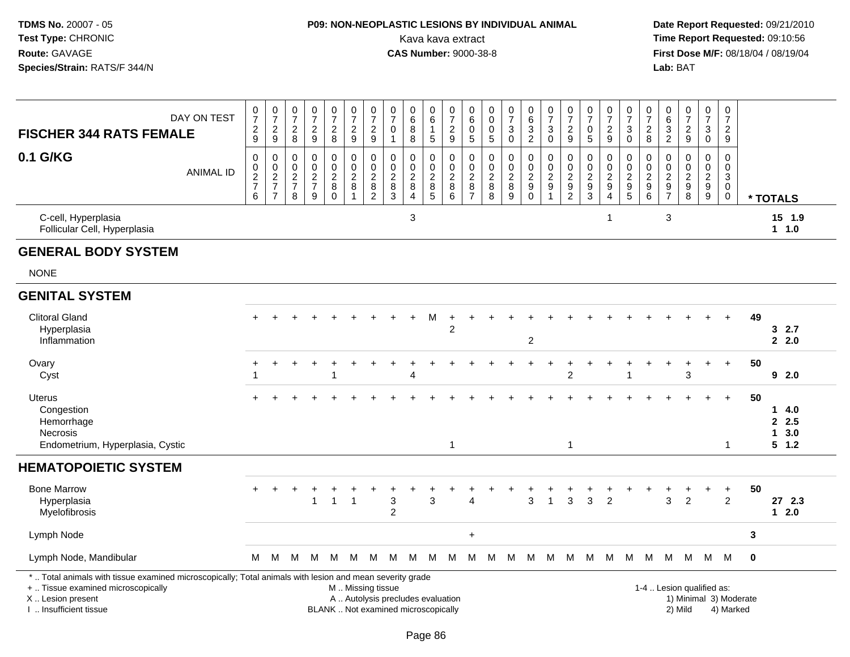# **P09: NON-NEOPLASTIC LESIONS BY INDIVIDUAL ANIMAL**Kava kava extract **Time Report Requested:** 09:10:56<br>**CAS Number:** 9000-38-8 **CAS Number:** 9000-38-8

| <b>FISCHER 344 RATS FEMALE</b>                                                                                                                                                                | DAY ON TEST      | $\frac{0}{7}$<br>$\frac{2}{9}$                                      | $\frac{0}{7}$<br>$\sqrt{2}$<br>$\boldsymbol{9}$                                  | $\frac{0}{7}$<br>$\boldsymbol{2}$<br>8                              | $\frac{0}{7}$<br>$\frac{2}{9}$                                                       | $\frac{0}{7}$<br>$\frac{2}{8}$                    | $\begin{array}{c} 0 \\ 7 \end{array}$<br>$\overline{2}$<br>9          | $\begin{array}{c} 0 \\ 7 \end{array}$<br>$\sqrt{2}$<br>$9\,$                             | $\frac{0}{7}$<br>0<br>$\mathbf{1}$                                       | $\begin{array}{c} 0 \\ 6 \end{array}$<br>$\, 8$<br>8                 | $\begin{array}{c} 0 \\ 6 \end{array}$<br>$\mathbf{1}$<br>$\sqrt{5}$ | $\begin{array}{c} 0 \\ 7 \end{array}$<br>$\boldsymbol{2}$<br>9 | 0<br>$\,6$<br>0<br>5                                   | 0<br>$\overline{0}$<br>$\mathbf 0$<br>$\overline{5}$         | $\frac{0}{7}$<br>$\mathbf{3}$<br>$\mathsf 0$                          | $\begin{array}{c} 0 \\ 6 \end{array}$<br>$\overline{3}$<br>$\overline{2}$   | $\frac{0}{7}$<br>$\sqrt{3}$<br>$\mathbf 0$                                         | $\begin{array}{c} 0 \\ 7 \end{array}$<br>$\overline{c}$<br>$9\,$   | $\begin{matrix} 0 \\ 7 \end{matrix}$<br>$\pmb{0}$<br>$\sqrt{5}$ | $\frac{0}{7}$<br>$\frac{2}{9}$                                | $\frac{0}{7}$<br>3<br>$\mathbf 0$                             | $\frac{0}{7}$<br>$\overline{\mathbf{c}}$<br>8               | $\pmb{0}$<br>$\,6$<br>$\overline{3}$<br>$\sqrt{2}$            | $\frac{0}{7}$<br>$\frac{2}{9}$                               | $\begin{array}{c} 0 \\ 7 \end{array}$<br>$\mathbf{3}$<br>$\mathbf 0$        | $\pmb{0}$<br>$\overline{7}$<br>$\overline{2}$<br>$9\,$                                        |                        |                                              |
|-----------------------------------------------------------------------------------------------------------------------------------------------------------------------------------------------|------------------|---------------------------------------------------------------------|----------------------------------------------------------------------------------|---------------------------------------------------------------------|--------------------------------------------------------------------------------------|---------------------------------------------------|-----------------------------------------------------------------------|------------------------------------------------------------------------------------------|--------------------------------------------------------------------------|----------------------------------------------------------------------|---------------------------------------------------------------------|----------------------------------------------------------------|--------------------------------------------------------|--------------------------------------------------------------|-----------------------------------------------------------------------|-----------------------------------------------------------------------------|------------------------------------------------------------------------------------|--------------------------------------------------------------------|-----------------------------------------------------------------|---------------------------------------------------------------|---------------------------------------------------------------|-------------------------------------------------------------|---------------------------------------------------------------|--------------------------------------------------------------|-----------------------------------------------------------------------------|-----------------------------------------------------------------------------------------------|------------------------|----------------------------------------------|
| 0.1 G/KG                                                                                                                                                                                      | <b>ANIMAL ID</b> | $\mathbf 0$<br>$\pmb{0}$<br>$\boldsymbol{2}$<br>$\overline{7}$<br>6 | 0<br>$\mathsf{O}\xspace$<br>$\boldsymbol{2}$<br>$\overline{7}$<br>$\overline{7}$ | $\mathbf 0$<br>$\mathbf 0$<br>$\overline{c}$<br>$\overline{7}$<br>8 | $\mathbf 0$<br>$\mathbf 0$<br>$\overline{c}$<br>$\boldsymbol{7}$<br>$\boldsymbol{9}$ | 0<br>$\boldsymbol{0}$<br>$\overline{c}$<br>8<br>0 | $\mathsf 0$<br>$\pmb{0}$<br>$\overline{c}$<br>$\bf 8$<br>$\mathbf{1}$ | $\mathbf 0$<br>$\pmb{0}$<br>$\sqrt{2}$<br>$\begin{smallmatrix} 8 \\ 2 \end{smallmatrix}$ | $\mathbf 0$<br>$\mathbf 0$<br>$\overline{c}$<br>$^8_3$                   | $\mathbf 0$<br>$\mathbf 0$<br>$\sqrt{2}$<br>$\, 8$<br>$\overline{4}$ | 0<br>$\mathbf 0$<br>$\sqrt{2}$<br>$^8_5$                            | $\mathbf 0$<br>$\mathbf 0$<br>$\sqrt{2}$<br>$\,8\,$<br>$\,6\,$ | 0<br>$\Omega$<br>$\overline{c}$<br>8<br>$\overline{7}$ | $\mathbf 0$<br>$\pmb{0}$<br>$\boldsymbol{2}$<br>$\bf 8$<br>8 | $\mathsf 0$<br>$\mathbf 0$<br>$\overline{c}$<br>8<br>$\boldsymbol{9}$ | 0<br>$\mathsf{O}\xspace$<br>$\overline{a}$<br>$\boldsymbol{9}$<br>$\pmb{0}$ | $\mathbf 0$<br>$\mathbf 0$<br>$\boldsymbol{2}$<br>$\boldsymbol{9}$<br>$\mathbf{1}$ | $\mathbf 0$<br>$\boldsymbol{0}$<br>$\overline{c}$<br>$\frac{9}{2}$ | $\mathbf 0$<br>$\mathbf 0$<br>$\sqrt{2}$<br>$\frac{9}{3}$       | 0<br>$\mathbf 0$<br>$\boldsymbol{2}$<br>$\boldsymbol{9}$<br>4 | 0<br>$\mathbf 0$<br>$\boldsymbol{2}$<br>$\boldsymbol{9}$<br>5 | 0<br>$\mathbf 0$<br>$\overline{c}$<br>$\boldsymbol{9}$<br>6 | $\mathbf 0$<br>$\mathbf 0$<br>$\overline{c}$<br>$\frac{9}{7}$ | $\mathbf 0$<br>$\pmb{0}$<br>$\overline{c}$<br>$_{8}^{\rm 9}$ | 0<br>$\overline{0}$<br>$\overline{2}$<br>$\boldsymbol{9}$<br>$\overline{9}$ | $\mathbf 0$<br>$\mathbf 0$<br>$\ensuremath{\mathsf{3}}$<br>$\mathsf{O}\xspace$<br>$\mathbf 0$ |                        | * TOTALS                                     |
| C-cell, Hyperplasia<br>Follicular Cell, Hyperplasia                                                                                                                                           |                  |                                                                     |                                                                                  |                                                                     |                                                                                      |                                                   |                                                                       |                                                                                          |                                                                          | $\mathbf{3}$                                                         |                                                                     |                                                                |                                                        |                                                              |                                                                       |                                                                             |                                                                                    |                                                                    |                                                                 | $\mathbf 1$                                                   |                                                               |                                                             | 3                                                             |                                                              |                                                                             |                                                                                               |                        | 15 1.9<br>$1 1.0$                            |
| <b>GENERAL BODY SYSTEM</b>                                                                                                                                                                    |                  |                                                                     |                                                                                  |                                                                     |                                                                                      |                                                   |                                                                       |                                                                                          |                                                                          |                                                                      |                                                                     |                                                                |                                                        |                                                              |                                                                       |                                                                             |                                                                                    |                                                                    |                                                                 |                                                               |                                                               |                                                             |                                                               |                                                              |                                                                             |                                                                                               |                        |                                              |
| <b>NONE</b>                                                                                                                                                                                   |                  |                                                                     |                                                                                  |                                                                     |                                                                                      |                                                   |                                                                       |                                                                                          |                                                                          |                                                                      |                                                                     |                                                                |                                                        |                                                              |                                                                       |                                                                             |                                                                                    |                                                                    |                                                                 |                                                               |                                                               |                                                             |                                                               |                                                              |                                                                             |                                                                                               |                        |                                              |
| <b>GENITAL SYSTEM</b>                                                                                                                                                                         |                  |                                                                     |                                                                                  |                                                                     |                                                                                      |                                                   |                                                                       |                                                                                          |                                                                          |                                                                      |                                                                     |                                                                |                                                        |                                                              |                                                                       |                                                                             |                                                                                    |                                                                    |                                                                 |                                                               |                                                               |                                                             |                                                               |                                                              |                                                                             |                                                                                               |                        |                                              |
| <b>Clitoral Gland</b><br>Hyperplasia<br>Inflammation                                                                                                                                          |                  |                                                                     |                                                                                  |                                                                     |                                                                                      |                                                   |                                                                       |                                                                                          |                                                                          |                                                                      | M                                                                   | $\overline{c}$                                                 |                                                        |                                                              |                                                                       | $\overline{2}$                                                              |                                                                                    |                                                                    |                                                                 |                                                               |                                                               |                                                             |                                                               |                                                              |                                                                             | $+$                                                                                           | 49                     | 32.7<br>2.0                                  |
| Ovary<br>Cyst                                                                                                                                                                                 |                  |                                                                     |                                                                                  |                                                                     |                                                                                      |                                                   |                                                                       |                                                                                          |                                                                          | Δ                                                                    |                                                                     |                                                                |                                                        |                                                              |                                                                       |                                                                             |                                                                                    | $\overline{2}$                                                     |                                                                 |                                                               |                                                               |                                                             |                                                               | 3                                                            |                                                                             | $+$                                                                                           | 50                     | 92.0                                         |
| <b>Uterus</b><br>Congestion<br>Hemorrhage<br>Necrosis<br>Endometrium, Hyperplasia, Cystic                                                                                                     |                  |                                                                     |                                                                                  |                                                                     |                                                                                      |                                                   |                                                                       |                                                                                          |                                                                          |                                                                      |                                                                     | $\mathbf{1}$                                                   |                                                        |                                                              |                                                                       |                                                                             |                                                                                    | -1                                                                 |                                                                 |                                                               |                                                               |                                                             |                                                               |                                                              |                                                                             | $+$<br>$\overline{1}$                                                                         | 50                     | 14.0<br>2.5<br>3.0<br>$\mathbf 1$<br>$5$ 1.2 |
| <b>HEMATOPOIETIC SYSTEM</b>                                                                                                                                                                   |                  |                                                                     |                                                                                  |                                                                     |                                                                                      |                                                   |                                                                       |                                                                                          |                                                                          |                                                                      |                                                                     |                                                                |                                                        |                                                              |                                                                       |                                                                             |                                                                                    |                                                                    |                                                                 |                                                               |                                                               |                                                             |                                                               |                                                              |                                                                             |                                                                                               |                        |                                              |
| <b>Bone Marrow</b><br>Hyperplasia<br>Myelofibrosis                                                                                                                                            |                  | $+$                                                                 |                                                                                  |                                                                     | $\mathbf{1}$                                                                         | $\overline{1}$                                    | $\mathbf{1}$                                                          |                                                                                          | 3<br>$\overline{c}$                                                      |                                                                      | 3                                                                   |                                                                | 4                                                      |                                                              |                                                                       | 3                                                                           | $\overline{1}$                                                                     | 3                                                                  | 3                                                               | $\overline{2}$                                                |                                                               |                                                             | 3                                                             | $\overline{2}$                                               | +                                                                           | $\ddot{}$<br>$\overline{2}$                                                                   | 50                     | 27 2.3<br>$12.0$                             |
| Lymph Node                                                                                                                                                                                    |                  |                                                                     |                                                                                  |                                                                     |                                                                                      |                                                   |                                                                       |                                                                                          |                                                                          |                                                                      |                                                                     |                                                                | $\ddot{}$                                              |                                                              |                                                                       |                                                                             |                                                                                    |                                                                    |                                                                 |                                                               |                                                               |                                                             |                                                               |                                                              |                                                                             |                                                                                               | 3                      |                                              |
| Lymph Node, Mandibular                                                                                                                                                                        |                  | M                                                                   | M                                                                                | M                                                                   | M                                                                                    | <b>M</b>                                          | M                                                                     |                                                                                          | M M                                                                      | <b>M</b>                                                             | M                                                                   | M                                                              | M                                                      | м                                                            | M                                                                     | M                                                                           | M                                                                                  | M                                                                  |                                                                 | M M                                                           | M                                                             |                                                             |                                                               | M M M M M                                                    |                                                                             |                                                                                               | $\mathbf{0}$           |                                              |
| *  Total animals with tissue examined microscopically; Total animals with lesion and mean severity grade<br>+  Tissue examined microscopically<br>X  Lesion present<br>I. Insufficient tissue |                  |                                                                     |                                                                                  |                                                                     |                                                                                      |                                                   | M  Missing tissue                                                     |                                                                                          | A  Autolysis precludes evaluation<br>BLANK  Not examined microscopically |                                                                      |                                                                     |                                                                |                                                        |                                                              |                                                                       |                                                                             |                                                                                    |                                                                    |                                                                 |                                                               |                                                               |                                                             |                                                               | 1-4  Lesion qualified as:<br>2) Mild                         |                                                                             | 4) Marked                                                                                     | 1) Minimal 3) Moderate |                                              |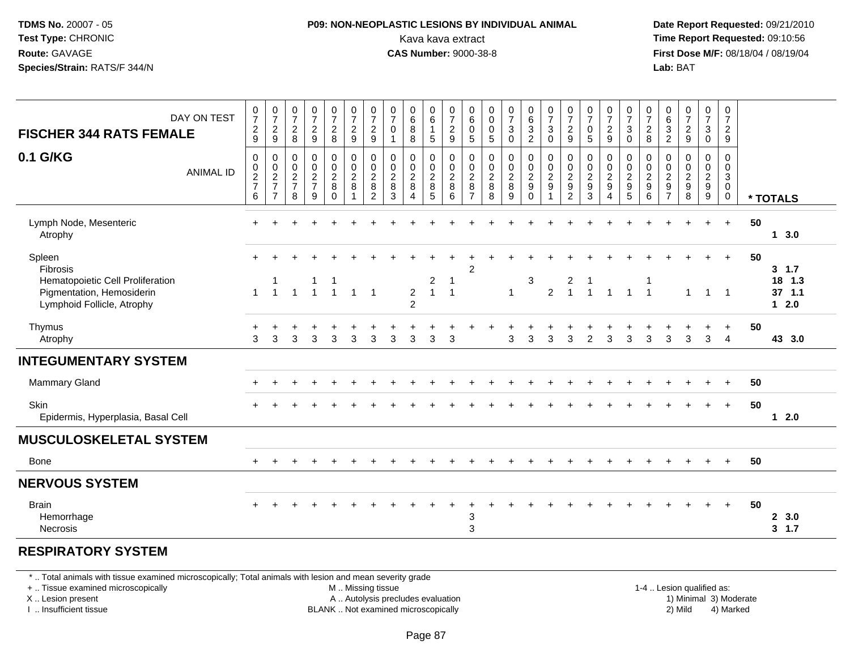#### **P09: NON-NEOPLASTIC LESIONS BY INDIVIDUAL ANIMAL**Kava kava extract **Time Report Requested:** 09:10:56<br>**CAS Number:** 9000-38-8<br>**Tirst Dose M/F:** 08/18/04 / 08/19/04

 **Date Report Requested:** 09/21/2010 **First Dose M/F:** 08/18/04 / 08/19/04 Lab: BAT **Lab:** BAT

| DAY ON TEST<br><b>FISCHER 344 RATS FEMALE</b>           | 0<br>$\overline{7}$<br>$\frac{2}{9}$                | $\frac{0}{7}$<br>$\frac{2}{9}$ | $\frac{0}{7}$<br>$\overline{c}$<br>8                                       | $\frac{0}{7}$<br>$\overline{c}$<br>$\boldsymbol{9}$                   | $\frac{0}{7}$<br>$\overline{a}$<br>8 | $\frac{0}{7}$<br>$\frac{2}{9}$      | $\frac{0}{7}$<br>$\frac{2}{9}$                                    | $\boldsymbol{0}$<br>$\overline{7}$<br>$\mathbf 0$<br>-1          | $\pmb{0}$<br>$\,6\,$<br>8<br>$\, 8$                                           | 0<br>$\,6\,$<br>5                        | $\frac{0}{7}$<br>$\frac{2}{9}$  | $\boldsymbol{0}$<br>$\,6\,$<br>$\pmb{0}$<br>$\sqrt{5}$    | 0<br>0<br>$\mathbf 0$<br>$\sqrt{5}$            | $\frac{0}{7}$<br>$\sqrt{3}$<br>$\pmb{0}$   | $\begin{array}{c} 0 \\ 6 \end{array}$<br>$\overline{3}$<br>$\boldsymbol{2}$ | $\frac{0}{7}$<br>$\ensuremath{\mathsf{3}}$<br>$\pmb{0}$      | $\frac{0}{7}$<br>$\mathbf 2$<br>9                   | 0<br>$\overline{7}$<br>$\mathbf 0$<br>$\mathbf 5$ | $\frac{0}{7}$<br>$\frac{2}{9}$                         | 0<br>$\overline{7}$<br>$\ensuremath{\mathsf{3}}$<br>$\mathsf 0$  | $\frac{0}{7}$<br>$\sqrt{2}$<br>$\bf 8$ | $\begin{matrix} 0 \\ 6 \end{matrix}$<br>$\sqrt{3}$<br>$\sqrt{2}$  | $\frac{0}{7}$<br>$\overline{c}$<br>$\boldsymbol{9}$ | $\frac{0}{7}$<br>$\ensuremath{\mathsf{3}}$<br>$\pmb{0}$                            | 0<br>$\overline{7}$<br>$\frac{2}{9}$                                   |    |                        |
|---------------------------------------------------------|-----------------------------------------------------|--------------------------------|----------------------------------------------------------------------------|-----------------------------------------------------------------------|--------------------------------------|-------------------------------------|-------------------------------------------------------------------|------------------------------------------------------------------|-------------------------------------------------------------------------------|------------------------------------------|---------------------------------|-----------------------------------------------------------|------------------------------------------------|--------------------------------------------|-----------------------------------------------------------------------------|--------------------------------------------------------------|-----------------------------------------------------|---------------------------------------------------|--------------------------------------------------------|------------------------------------------------------------------|----------------------------------------|-------------------------------------------------------------------|-----------------------------------------------------|------------------------------------------------------------------------------------|------------------------------------------------------------------------|----|------------------------|
| 0.1 G/KG<br><b>ANIMAL ID</b>                            | 0<br>$\mathbf 0$<br>$\frac{2}{7}$<br>$6\phantom{1}$ | 00027<br>$\overline{7}$        | $\mathbf 0$<br>$\boldsymbol{0}$<br>$\boldsymbol{2}$<br>$\overline{7}$<br>8 | $\mathbf 0$<br>$\mathbf 0$<br>$\boldsymbol{2}$<br>$\overline{7}$<br>9 | 0<br>$\frac{0}{2}$<br>8<br>$\Omega$  | $_{\rm 0}^{\rm 0}$<br>$\frac{2}{8}$ | $\begin{array}{c} 0 \\ 0 \\ 2 \\ 8 \end{array}$<br>$\overline{c}$ | $\boldsymbol{0}$<br>$\mathbf 0$<br>$\overline{2}$<br>$\bf8$<br>3 | $\mathbf 0$<br>$\pmb{0}$<br>$\sqrt{2}$<br>$\,8\,$<br>$\boldsymbol{\varDelta}$ | 0<br>0<br>$\overline{c}$<br>$\bf 8$<br>5 | $\pmb{0}$<br>$\frac{0}{2}$<br>6 | $\pmb{0}$<br>$\pmb{0}$<br>$\frac{2}{8}$<br>$\overline{7}$ | $\mathbf 0$<br>$\pmb{0}$<br>$\frac{2}{8}$<br>8 | $\pmb{0}$<br>$\frac{0}{2}$<br>$\,8\,$<br>9 | $\pmb{0}$<br>$\pmb{0}$<br>$\boldsymbol{2}$<br>$\boldsymbol{9}$<br>$\Omega$  | $\pmb{0}$<br>$\pmb{0}$<br>$\overline{c}$<br>$\boldsymbol{9}$ | 0<br>$\mathbf 0$<br>$\frac{2}{9}$<br>$\overline{2}$ | 0<br>0<br>$\frac{2}{9}$<br>3                      | $\mathbf 0$<br>$\frac{0}{2}$<br>$\boldsymbol{\Lambda}$ | 0<br>$\mathbf 0$<br>$\sqrt{2}$<br>$\boldsymbol{9}$<br>$\sqrt{5}$ | $\,0\,$<br>$\frac{0}{2}$<br>6          | $\Omega$<br>0<br>$\sqrt{2}$<br>$\boldsymbol{9}$<br>$\overline{7}$ | $\mathbf 0$<br>0<br>$\frac{2}{9}$<br>8              | $\mathbf 0$<br>$\begin{smallmatrix} 0\\2\\9 \end{smallmatrix}$<br>$\boldsymbol{9}$ | 0<br>$\mathbf 0$<br>$\mathbf{3}$<br>$\ddot{\mathbf{0}}$<br>$\mathbf 0$ |    | * TOTALS               |
| Lymph Node, Mesenteric<br>Atrophy                       |                                                     |                                |                                                                            |                                                                       |                                      |                                     |                                                                   |                                                                  |                                                                               |                                          |                                 |                                                           |                                                |                                            |                                                                             |                                                              |                                                     |                                                   |                                                        |                                                                  |                                        |                                                                   |                                                     |                                                                                    | $+$                                                                    | 50 | 13.0                   |
| Spleen<br>Fibrosis<br>Hematopoietic Cell Proliferation  | $+$                                                 |                                |                                                                            |                                                                       |                                      |                                     |                                                                   |                                                                  |                                                                               | $\boldsymbol{2}$                         | -1                              | $\overline{c}$                                            |                                                |                                            | 3                                                                           |                                                              | $\overline{\mathbf{c}}$                             |                                                   |                                                        |                                                                  | 1                                      |                                                                   |                                                     |                                                                                    | $+$                                                                    | 50 | $3 \t1.7$<br>18<br>1.3 |
| Pigmentation, Hemosiderin<br>Lymphoid Follicle, Atrophy | $\mathbf{1}$                                        | $\overline{1}$                 | $\overline{1}$                                                             | $\overline{1}$                                                        | $\overline{1}$                       | $\overline{1}$                      | $\overline{1}$                                                    |                                                                  | $\overline{2}$<br>$\overline{2}$                                              | $\mathbf{1}$                             | $\overline{1}$                  |                                                           |                                                | $\overline{1}$                             |                                                                             | $\overline{2}$                                               | $\overline{1}$                                      | $\mathbf{1}$                                      | $\overline{1}$                                         | $\overline{1}$                                                   | $\overline{1}$                         |                                                                   | 1                                                   | $\overline{1}$                                                                     | $\overline{\phantom{0}}$                                               |    | $37$ 1.1<br>$12.0$     |
| Thymus<br>Atrophy                                       | 3                                                   | 3                              | 3                                                                          | 3                                                                     | 3                                    | 3                                   | $\mathbf{3}$                                                      | 3                                                                | 3                                                                             | 3                                        | 3                               |                                                           |                                                | 3                                          | 3                                                                           | 3                                                            | 3                                                   | 2                                                 | 3                                                      | 3                                                                | 3                                      | 3                                                                 | 3                                                   | $\mathbf{3}$                                                                       | $\ddot{}$<br>$\overline{4}$                                            | 50 | 43 3.0                 |
| <b>INTEGUMENTARY SYSTEM</b>                             |                                                     |                                |                                                                            |                                                                       |                                      |                                     |                                                                   |                                                                  |                                                                               |                                          |                                 |                                                           |                                                |                                            |                                                                             |                                                              |                                                     |                                                   |                                                        |                                                                  |                                        |                                                                   |                                                     |                                                                                    |                                                                        |    |                        |
| Mammary Gland                                           |                                                     |                                |                                                                            |                                                                       |                                      |                                     |                                                                   |                                                                  |                                                                               |                                          |                                 |                                                           |                                                |                                            |                                                                             |                                                              |                                                     |                                                   |                                                        |                                                                  |                                        |                                                                   |                                                     |                                                                                    | $\ddot{}$                                                              | 50 |                        |
| <b>Skin</b><br>Epidermis, Hyperplasia, Basal Cell       |                                                     |                                |                                                                            |                                                                       |                                      |                                     |                                                                   |                                                                  |                                                                               |                                          |                                 |                                                           |                                                |                                            |                                                                             |                                                              |                                                     |                                                   |                                                        |                                                                  |                                        |                                                                   |                                                     |                                                                                    | $+$                                                                    | 50 | $12.0$                 |
| <b>MUSCULOSKELETAL SYSTEM</b>                           |                                                     |                                |                                                                            |                                                                       |                                      |                                     |                                                                   |                                                                  |                                                                               |                                          |                                 |                                                           |                                                |                                            |                                                                             |                                                              |                                                     |                                                   |                                                        |                                                                  |                                        |                                                                   |                                                     |                                                                                    |                                                                        |    |                        |
| <b>Bone</b>                                             |                                                     |                                |                                                                            |                                                                       |                                      |                                     |                                                                   |                                                                  |                                                                               |                                          |                                 |                                                           |                                                |                                            |                                                                             |                                                              |                                                     |                                                   |                                                        |                                                                  |                                        |                                                                   |                                                     |                                                                                    | $\ddot{}$                                                              | 50 |                        |
| <b>NERVOUS SYSTEM</b>                                   |                                                     |                                |                                                                            |                                                                       |                                      |                                     |                                                                   |                                                                  |                                                                               |                                          |                                 |                                                           |                                                |                                            |                                                                             |                                                              |                                                     |                                                   |                                                        |                                                                  |                                        |                                                                   |                                                     |                                                                                    |                                                                        |    |                        |
| <b>Brain</b><br>Hemorrhage<br><b>Necrosis</b>           | $\pm$                                               |                                |                                                                            |                                                                       |                                      |                                     |                                                                   |                                                                  |                                                                               |                                          |                                 | 3<br>3                                                    |                                                |                                            |                                                                             |                                                              |                                                     |                                                   |                                                        |                                                                  |                                        |                                                                   |                                                     | $\ddot{}$                                                                          | $+$                                                                    | 50 | 2, 3.0<br>3, 1.7       |
|                                                         |                                                     |                                |                                                                            |                                                                       |                                      |                                     |                                                                   |                                                                  |                                                                               |                                          |                                 |                                                           |                                                |                                            |                                                                             |                                                              |                                                     |                                                   |                                                        |                                                                  |                                        |                                                                   |                                                     |                                                                                    |                                                                        |    |                        |

#### **RESPIRATORY SYSTEM**

\* .. Total animals with tissue examined microscopically; Total animals with lesion and mean severity grade

+ .. Tissue examined microscopically

X .. Lesion present

I .. Insufficient tissue

M .. Missing tissue

A .. Autolysis precludes evaluation

BLANK .. Not examined microscopically 2) Mild 4) Marked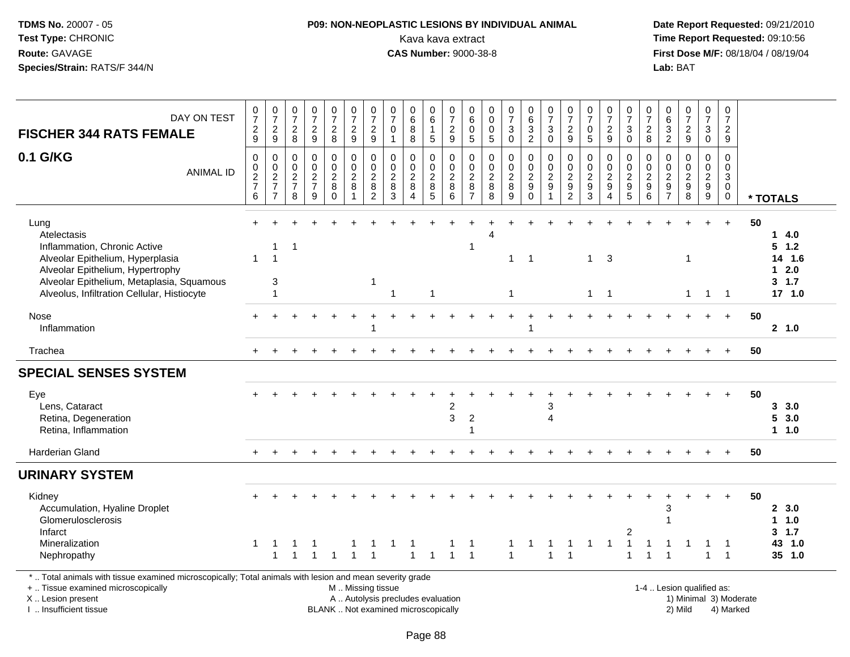# **P09: NON-NEOPLASTIC LESIONS BY INDIVIDUAL ANIMAL**Kava kava extract **Time Report Requested:** 09:10:56<br>**CAS Number:** 9000-38-8 **CAS Number:** 9000-38-8

| DAY ON TEST<br><b>FISCHER 344 RATS FEMALE</b>                                                                                                                                                                           | $\frac{0}{7}$<br>$\frac{2}{9}$                               | $\frac{0}{7}$<br>$\frac{2}{9}$            | $\frac{0}{7}$<br>$\frac{2}{8}$                               | $\frac{0}{7}$<br>$\frac{2}{9}$                                  | $\frac{0}{7}$<br>$\frac{2}{8}$                                     | $\frac{0}{7}$<br>$\frac{2}{9}$                                        | $\frac{0}{7}$<br>$\frac{2}{9}$                                      | $\frac{0}{7}$<br>$\mathbf 0$<br>$\mathbf{1}$                                                  | $\begin{array}{c} 0 \\ 6 \end{array}$<br>$\,8\,$<br>8 | $\begin{array}{c} 0 \\ 6 \end{array}$<br>$\overline{1}$<br>5      | $\frac{0}{7}$<br>$\frac{2}{9}$                                                  | 0<br>$\,6$<br>$\mathbf 0$<br>$5\phantom{.0}$                             | 0<br>$\overline{0}$<br>$\pmb{0}$<br>$\overline{5}$         | $\frac{0}{7}$<br>$\sqrt{3}$<br>$\mathbf 0$                  | $\begin{array}{c} 0 \\ 6 \end{array}$<br>$\ensuremath{\mathsf{3}}$<br>$\overline{2}$ | $\frac{0}{7}$<br>$\mathbf{3}$<br>$\mathbf 0$                      | $\frac{0}{7}$<br>$\overline{\mathbf{c}}$<br>9                                  | $\frac{0}{7}$<br>$\mathbf 0$<br>5                                   | $\frac{0}{7}$<br>$\frac{2}{9}$            | $\frac{0}{7}$<br>3<br>$\mathbf 0$                                       | $\frac{0}{7}$<br>$\begin{array}{c} 2 \\ 8 \end{array}$                        | $\begin{array}{c} 0 \\ 6 \end{array}$<br>$\frac{3}{2}$ | $\frac{0}{7}$<br>$\frac{2}{9}$                                     | $\begin{array}{c} 0 \\ 7 \end{array}$<br>$_0^3$     | $\pmb{0}$<br>$\overline{7}$<br>$\overline{a}$<br>9                                    |                        |                                                             |
|-------------------------------------------------------------------------------------------------------------------------------------------------------------------------------------------------------------------------|--------------------------------------------------------------|-------------------------------------------|--------------------------------------------------------------|-----------------------------------------------------------------|--------------------------------------------------------------------|-----------------------------------------------------------------------|---------------------------------------------------------------------|-----------------------------------------------------------------------------------------------|-------------------------------------------------------|-------------------------------------------------------------------|---------------------------------------------------------------------------------|--------------------------------------------------------------------------|------------------------------------------------------------|-------------------------------------------------------------|--------------------------------------------------------------------------------------|-------------------------------------------------------------------|--------------------------------------------------------------------------------|---------------------------------------------------------------------|-------------------------------------------|-------------------------------------------------------------------------|-------------------------------------------------------------------------------|--------------------------------------------------------|--------------------------------------------------------------------|-----------------------------------------------------|---------------------------------------------------------------------------------------|------------------------|-------------------------------------------------------------|
| 0.1 G/KG<br><b>ANIMAL ID</b>                                                                                                                                                                                            | $\pmb{0}$<br>$\begin{array}{c} 0 \\ 2 \\ 7 \end{array}$<br>6 | 0<br>$\frac{0}{2}$<br>7<br>$\overline{7}$ | $\pmb{0}$<br>$\begin{array}{c} 0 \\ 2 \\ 7 \end{array}$<br>8 | $\mathsf 0$<br>$\mathbf 0$<br>$\frac{2}{7}$<br>$\boldsymbol{9}$ | 0<br>$\mathbf 0$<br>$\overline{\mathbf{c}}$<br>$\bf 8$<br>$\Omega$ | $\pmb{0}$<br>$\pmb{0}$<br>$\boldsymbol{2}$<br>$\bf 8$<br>$\mathbf{1}$ | $\pmb{0}$<br>$\mathbf 0$<br>$\boldsymbol{2}$<br>8<br>$\overline{2}$ | 0<br>0<br>$\overline{\mathbf{c}}$<br>8<br>$\mathbf{3}$                                        | $\pmb{0}$<br>$\pmb{0}$<br>$\frac{2}{8}$<br>$\Delta$   | 0<br>$\mathbf 0$<br>$\boldsymbol{2}$<br>$\,8\,$<br>$\overline{5}$ | $\mathbf 0$<br>$\mathbf 0$<br>$\sqrt{2}$<br>$\boldsymbol{8}$<br>$6\phantom{1}6$ | 0<br>$\mathbf 0$<br>$\overline{\mathbf{c}}$<br>$\bf 8$<br>$\overline{7}$ | $\pmb{0}$<br>$\pmb{0}$<br>$\boldsymbol{2}$<br>$\bf 8$<br>8 | $\mathsf 0$<br>$\pmb{0}$<br>$\frac{2}{8}$<br>$\overline{9}$ | 0<br>$\mathbf 0$<br>$\boldsymbol{2}$<br>$\boldsymbol{9}$<br>$\mathbf 0$              | $\mathbf 0$<br>$\pmb{0}$<br>$\overline{2}$<br>9<br>$\overline{1}$ | $\pmb{0}$<br>$\mathbf 0$<br>$\overline{\mathbf{c}}$<br>$9\,$<br>$\overline{2}$ | $\pmb{0}$<br>$\mathbf 0$<br>$\boldsymbol{2}$<br>9<br>$\overline{3}$ | 0<br>0<br>$\frac{2}{9}$<br>$\overline{4}$ | 0<br>0<br>$\overline{\mathbf{c}}$<br>$\boldsymbol{9}$<br>$\overline{5}$ | $\mathbf 0$<br>$\mathsf 0$<br>$\boldsymbol{2}$<br>$\boldsymbol{9}$<br>$\,6\,$ | $\boldsymbol{0}$<br>$\mathbf 0$<br>$\frac{2}{9}$       | $\pmb{0}$<br>$\Omega$<br>$\boldsymbol{2}$<br>$\boldsymbol{9}$<br>8 | 0<br>$\mathbf 0$<br>$\frac{2}{9}$<br>$\overline{9}$ | $\mathsf 0$<br>$\mathbf 0$<br>$\ensuremath{\mathsf{3}}$<br>$\mathbf 0$<br>$\mathbf 0$ |                        | * TOTALS                                                    |
| Lung<br>Atelectasis<br>Inflammation, Chronic Active<br>Alveolar Epithelium, Hyperplasia<br>Alveolar Epithelium, Hypertrophy<br>Alveolar Epithelium, Metaplasia, Squamous<br>Alveolus, Infiltration Cellular, Histiocyte | $\mathbf{1}$                                                 | -1<br>$\overline{1}$<br>$\mathbf{3}$<br>1 | -1                                                           |                                                                 |                                                                    |                                                                       | 1                                                                   | 1                                                                                             |                                                       | -1                                                                |                                                                                 | $\mathbf 1$                                                              |                                                            | $\mathbf 1$<br>$\mathbf{1}$                                 | $\overline{1}$                                                                       |                                                                   |                                                                                | $\mathbf{1}$<br>$\mathbf{1}$                                        | -3<br>$\overline{1}$                      |                                                                         |                                                                               |                                                        | $\overline{1}$<br>$\mathbf{1}$                                     | $\overline{1}$                                      | $\ddot{}$<br>$\overline{1}$                                                           | 50                     | 14.0<br>$5$ 1.2<br>14 1.6<br>$12.0$<br>$3 \t1.7$<br>17, 1.0 |
| Nose<br>Inflammation                                                                                                                                                                                                    |                                                              |                                           |                                                              |                                                                 |                                                                    |                                                                       |                                                                     |                                                                                               |                                                       |                                                                   |                                                                                 |                                                                          |                                                            |                                                             |                                                                                      |                                                                   |                                                                                |                                                                     |                                           |                                                                         |                                                                               |                                                        |                                                                    |                                                     | $+$                                                                                   | 50                     | 2, 1.0                                                      |
| Trachea                                                                                                                                                                                                                 | $+$                                                          |                                           |                                                              |                                                                 |                                                                    |                                                                       |                                                                     |                                                                                               |                                                       |                                                                   |                                                                                 |                                                                          |                                                            |                                                             |                                                                                      |                                                                   |                                                                                |                                                                     |                                           |                                                                         |                                                                               |                                                        |                                                                    |                                                     | $\ddot{}$                                                                             | 50                     |                                                             |
| <b>SPECIAL SENSES SYSTEM</b>                                                                                                                                                                                            |                                                              |                                           |                                                              |                                                                 |                                                                    |                                                                       |                                                                     |                                                                                               |                                                       |                                                                   |                                                                                 |                                                                          |                                                            |                                                             |                                                                                      |                                                                   |                                                                                |                                                                     |                                           |                                                                         |                                                                               |                                                        |                                                                    |                                                     |                                                                                       |                        |                                                             |
| Eye<br>Lens, Cataract<br>Retina, Degeneration<br>Retina, Inflammation                                                                                                                                                   |                                                              |                                           |                                                              |                                                                 |                                                                    |                                                                       |                                                                     |                                                                                               |                                                       |                                                                   | $\overline{c}$<br>3                                                             | $\overline{2}$<br>1                                                      |                                                            |                                                             |                                                                                      | 3<br>$\overline{4}$                                               |                                                                                |                                                                     |                                           |                                                                         |                                                                               |                                                        |                                                                    |                                                     |                                                                                       | 50                     | 3, 3.0<br>53.0<br>1 1.0                                     |
| Harderian Gland                                                                                                                                                                                                         |                                                              |                                           |                                                              |                                                                 |                                                                    |                                                                       |                                                                     |                                                                                               |                                                       |                                                                   |                                                                                 |                                                                          |                                                            |                                                             |                                                                                      |                                                                   |                                                                                |                                                                     |                                           |                                                                         |                                                                               |                                                        |                                                                    |                                                     |                                                                                       | 50                     |                                                             |
| <b>URINARY SYSTEM</b>                                                                                                                                                                                                   |                                                              |                                           |                                                              |                                                                 |                                                                    |                                                                       |                                                                     |                                                                                               |                                                       |                                                                   |                                                                                 |                                                                          |                                                            |                                                             |                                                                                      |                                                                   |                                                                                |                                                                     |                                           |                                                                         |                                                                               |                                                        |                                                                    |                                                     |                                                                                       |                        |                                                             |
| Kidney<br>Accumulation, Hyaline Droplet<br>Glomerulosclerosis<br>Infarct<br>Mineralization<br>Nephropathy                                                                                                               | 1                                                            | -1<br>1                                   | -1                                                           |                                                                 |                                                                    |                                                                       | $\overline{1}$                                                      |                                                                                               | -1<br>$\overline{1}$                                  |                                                                   |                                                                                 | -1<br>$\overline{1}$                                                     |                                                            | 1<br>$\mathbf{1}$                                           |                                                                                      | $\overline{1}$                                                    | $\mathbf{1}$                                                                   | 1                                                                   | 1                                         | 2<br>$\mathbf 1$<br>$\blacktriangleleft$                                | 1                                                                             | 3                                                      |                                                                    | 1                                                   | $\overline{1}$                                                                        | 50                     | 2, 3.0<br>11.0<br>3, 1.7<br>43 1.0<br>35 1.0                |
| *  Total animals with tissue examined microscopically; Total animals with lesion and mean severity grade<br>+  Tissue examined microscopically<br>X  Lesion present<br>I  Insufficient tissue                           |                                                              |                                           |                                                              |                                                                 |                                                                    |                                                                       |                                                                     | M  Missing tissue<br>A  Autolysis precludes evaluation<br>BLANK  Not examined microscopically |                                                       |                                                                   |                                                                                 |                                                                          |                                                            |                                                             |                                                                                      |                                                                   |                                                                                |                                                                     |                                           |                                                                         |                                                                               |                                                        | 1-4  Lesion qualified as:<br>2) Mild                               |                                                     | 4) Marked                                                                             | 1) Minimal 3) Moderate |                                                             |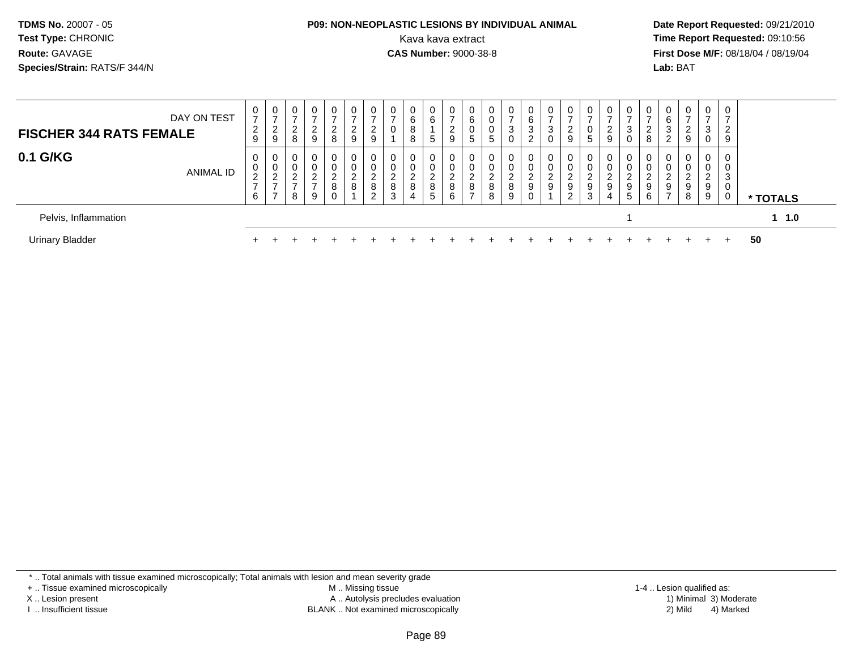#### **P09: NON-NEOPLASTIC LESIONS BY INDIVIDUAL ANIMAL**Kava kava extract **Time Report Requested:** 09:10:56<br>**CAS Number:** 9000-38-8<br>**Tirst Dose M/F:** 08/18/04 / 08/19/04

 **Date Report Requested:** 09/21/2010 **First Dose M/F:** 08/18/04 / 08/19/04 Lab: BAT **Lab:** BAT

| DAY ON TEST<br><b>FISCHER 344 RATS FEMALE</b>  | $\mathbf 0$<br>$\overline{ }$<br>$\overline{2}$                | 0<br>$\overline{ }$<br>2                            | 0<br>$\rightarrow$<br>ົ<br>∼                       | 2                                                               | $\rightarrow$<br>ົ<br>$\epsilon$                                | 0<br>-<br>$\overline{2}$        | U<br>ົ<br>$\epsilon$                                         | 0<br>$\rightarrow$<br>0           | 0<br>6<br>8                     | 0<br>6                          | ⇁           | 6           |                                   | 3                                   | 0<br>6<br>3                                                   | 0<br>$\overline{ }$<br>3               | 0<br>$\overline{ }$<br>2               |                                     | $\rightarrow$ |                       | U                     | 0<br>6<br>3                        | $\mathbf{0}$<br>$\rightarrow$<br>2    | $\overline{0}$<br>$\rightarrow$<br>3 | ⇁<br>2 |                 |
|------------------------------------------------|----------------------------------------------------------------|-----------------------------------------------------|----------------------------------------------------|-----------------------------------------------------------------|-----------------------------------------------------------------|---------------------------------|--------------------------------------------------------------|-----------------------------------|---------------------------------|---------------------------------|-------------|-------------|-----------------------------------|-------------------------------------|---------------------------------------------------------------|----------------------------------------|----------------------------------------|-------------------------------------|---------------|-----------------------|-----------------------|------------------------------------|---------------------------------------|--------------------------------------|--------|-----------------|
| 0.1 G/KG<br>ANIMAL ID                          | 9<br>$\mathbf 0$<br>0<br>$\overline{2}$<br>$\overline{ }$<br>6 | 9<br>0<br>0<br>2<br>$\rightarrow$<br>$\overline{ }$ | 8<br>0<br>0<br>ົ<br><u>_</u><br>$\rightarrow$<br>8 | 9<br>$\mathbf 0$<br>$\overline{0}$<br>ີ<br>$\overline{ }$<br>-9 | 8<br>$\overline{0}$<br>0<br>$\sim$<br>$\epsilon$<br>8<br>$\sim$ | 9<br>0<br>0<br>$\sim$<br>∼<br>8 | 9<br>0<br>0<br>$\sim$<br><u>_</u><br>8<br>$\sim$<br><u>_</u> | 0<br>0<br>ົ<br><u>_</u><br>8<br>3 | 8<br>0<br>0<br>ົ<br>∸<br>8<br>4 | 5<br>0<br>0<br>◠<br>∼<br>8<br>5 | 9<br>8<br>6 | G<br>8<br>- | 5<br>$\Omega$<br>$\sim$<br>8<br>8 | 0<br>0<br>0<br>$\sqrt{2}$<br>8<br>9 | ົ<br>$\epsilon$<br>$\mathbf{0}$<br>0<br>ົ<br>$\sim$<br>9<br>0 | 0<br>0<br>0<br>$\mathcal{D}$<br>∠<br>9 | 9<br>0<br>0<br>ົ<br><u>_</u><br>9<br>2 | 5<br>$\sqrt{2}$<br>9<br>$\sim$<br>đ | 9<br>9<br>4   | 0<br>$\sim$<br>9<br>5 | 8<br>0<br>υ<br>9<br>6 | 2<br>0<br>0<br>9<br>$\overline{ }$ | 9<br>$\mathbf{0}$<br>0<br>2<br>9<br>8 | 0<br>0<br>0<br>2<br>9<br>9           | 9<br>3 | * TOTALS        |
| Pelvis, Inflammation<br><b>Urinary Bladder</b> |                                                                |                                                     |                                                    |                                                                 |                                                                 |                                 |                                                              |                                   |                                 |                                 |             |             |                                   |                                     |                                                               |                                        |                                        |                                     |               |                       |                       |                                    |                                       |                                      |        | $1 \t1.0$<br>50 |

\* .. Total animals with tissue examined microscopically; Total animals with lesion and mean severity grade

+ .. Tissue examined microscopically

X .. Lesion present

I .. Insufficient tissue

 M .. Missing tissueA .. Autolysis precludes evaluation

BLANK .. Not examined microscopically 2) Mild 4) Marked

1-4 .. Lesion qualified as: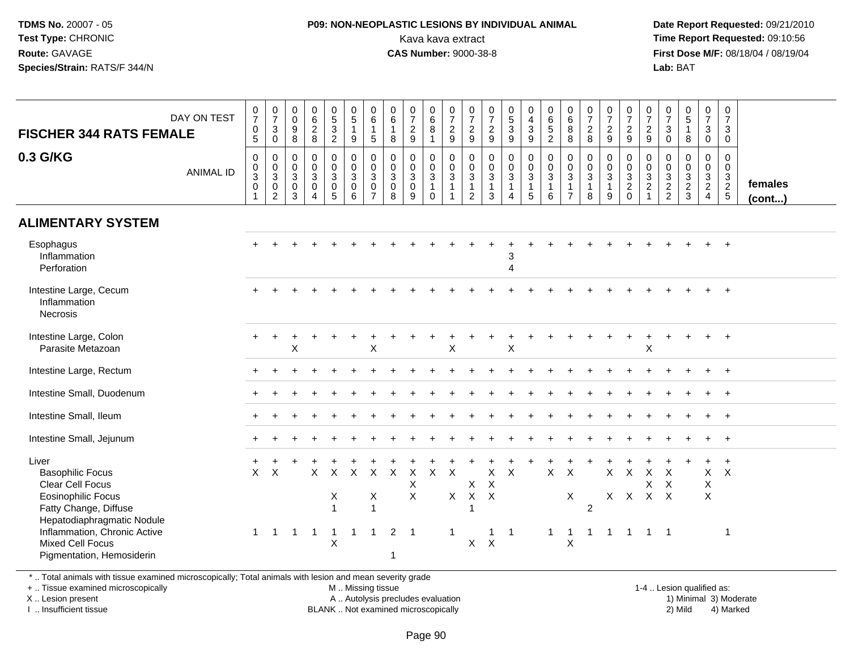#### **P09: NON-NEOPLASTIC LESIONS BY INDIVIDUAL ANIMAL**Kava kava extract **Time Report Requested:** 09:10:56<br>**CAS Number:** 9000-38-8<br>**Tirst Dose M/F:** 08/18/04 / 08/19/04

 **Date Report Requested:** 09/21/2010 **First Dose M/F:** 08/18/04 / 08/19/04 Lab: BAT **Lab:** BAT

| DAY ON TEST<br><b>FISCHER 344 RATS FEMALE</b>                                                                                                                                                                                    | $\frac{0}{7}$<br>$\begin{array}{c} 0 \\ 5 \end{array}$ | $\begin{array}{c} 0 \\ 7 \end{array}$<br>$_0^3$                          | 0<br>$\mathbf 0$<br>9<br>8                | $\mathbf 0$<br>$6\phantom{1}6$<br>$\frac{2}{8}$                                     | $\frac{0}{5}$<br>$\overline{3}$<br>$\overline{c}$            | $\begin{array}{c} 0 \\ 5 \end{array}$<br>$\mathbf{1}$<br>9               | $\begin{array}{c} 0 \\ 6 \end{array}$<br>$\mathbf{1}$<br>5  | $\mathbf 0$<br>$6\phantom{a}$<br>$\overline{1}$<br>8             | $\begin{array}{c} 0 \\ 7 \end{array}$<br>$\frac{2}{9}$             | 0<br>$\overline{6}$<br>$\overline{8}$<br>$\mathbf{1}$                     | $\frac{0}{7}$<br>$\frac{2}{9}$                                   | 0<br>$\overline{7}$<br>$\frac{2}{9}$                                 | $\frac{0}{7}$<br>$\frac{2}{9}$                                    | 0<br>5<br>3<br>9                                             | $\mathbf 0$<br>$\overline{4}$<br>$\ensuremath{\mathsf{3}}$<br>9 | $\begin{array}{c} 0 \\ 6 \end{array}$<br>$\,$ 5 $\,$<br>2       | $\begin{array}{c} 0 \\ 6 \end{array}$<br>8<br>8                                  | $\frac{0}{7}$<br>$\frac{2}{8}$                    | $\frac{0}{7}$<br>$\frac{2}{9}$                        | $\frac{0}{7}$<br>$\frac{2}{9}$              | $\frac{0}{7}$<br>$\frac{2}{9}$               | $\frac{0}{7}$<br>$\mathbf{3}$<br>$\mathbf 0$         | $\begin{array}{c} 0 \\ 5 \\ 1 \end{array}$<br>8 | $\frac{0}{7}$<br>$\mathbf{3}$<br>0                  | $\frac{0}{7}$<br>$\mathbf{3}$<br>$\mathbf 0$ |                         |
|----------------------------------------------------------------------------------------------------------------------------------------------------------------------------------------------------------------------------------|--------------------------------------------------------|--------------------------------------------------------------------------|-------------------------------------------|-------------------------------------------------------------------------------------|--------------------------------------------------------------|--------------------------------------------------------------------------|-------------------------------------------------------------|------------------------------------------------------------------|--------------------------------------------------------------------|---------------------------------------------------------------------------|------------------------------------------------------------------|----------------------------------------------------------------------|-------------------------------------------------------------------|--------------------------------------------------------------|-----------------------------------------------------------------|-----------------------------------------------------------------|----------------------------------------------------------------------------------|---------------------------------------------------|-------------------------------------------------------|---------------------------------------------|----------------------------------------------|------------------------------------------------------|-------------------------------------------------|-----------------------------------------------------|----------------------------------------------|-------------------------|
| 0.3 G/KG<br><b>ANIMAL ID</b>                                                                                                                                                                                                     | 0<br>$_{3}^{\rm 0}$<br>0                               | $\mathbf 0$<br>$\begin{bmatrix} 0 \\ 3 \\ 0 \end{bmatrix}$<br>$\sqrt{2}$ | 0<br>$\mathbf 0$<br>3<br>$\mathbf 0$<br>3 | $\mathbf 0$<br>$\pmb{0}$<br>$\overline{3}$<br>$\mathbf 0$<br>$\boldsymbol{\Lambda}$ | 0<br>$\mathsf{O}\xspace$<br>$\mathbf{3}$<br>$\mathbf 0$<br>5 | $\mathbf 0$<br>$\mathsf{O}\xspace$<br>$\overline{3}$<br>$\mathbf 0$<br>6 | $\pmb{0}$<br>$\frac{0}{3}$<br>$\mathbf 0$<br>$\overline{7}$ | $\mathbf 0$<br>$\mathbf 0$<br>$\overline{3}$<br>$\mathbf 0$<br>8 | $\mathbf 0$<br>$\mathbf 0$<br>$\overline{3}$<br>$\mathbf 0$<br>9   | 0<br>$\mathsf{O}\xspace$<br>$\overline{3}$<br>$\mathbf{1}$<br>$\mathbf 0$ | $\mathbf 0$<br>$\frac{0}{3}$<br>$\overline{1}$<br>$\overline{1}$ | 0<br>$\mathbf 0$<br>$\overline{3}$<br>$\mathbf{1}$<br>$\overline{2}$ | $\mathbf 0$<br>$\pmb{0}$<br>$\overline{3}$<br>$\mathbf{1}$<br>3   | $\pmb{0}$<br>$\frac{0}{3}$<br>$\mathbf{1}$<br>$\overline{4}$ | $\mathbf 0$<br>$\frac{0}{3}$<br>$\mathbf{1}$<br>$\sqrt{5}$      | $\mathbf 0$<br>$\pmb{0}$<br>$\overline{3}$<br>$\mathbf{1}$<br>6 | $\mathbf 0$<br>$\mathbf 0$<br>$\overline{3}$<br>$\overline{1}$<br>$\overline{7}$ | $\mathbf 0$<br>$\frac{0}{3}$<br>$\mathbf{1}$<br>8 | 0<br>$\pmb{0}$<br>$\overline{3}$<br>$\mathbf{1}$<br>9 | 0<br>$\frac{0}{3}$<br>$\mathbf 0$           | $\mathbf 0$<br>$\frac{0}{3}$<br>$\mathbf{1}$ | 0<br>$\begin{array}{c} 0 \\ 3 \\ 2 \\ 2 \end{array}$ | $\mathbf 0$<br>$\mathbf 0$<br>$\frac{3}{2}$     | 0<br>$\mathbf 0$<br>$\frac{3}{2}$<br>$\overline{4}$ | 0<br>$\mathbf 0$<br>$\frac{3}{2}$<br>5       | females<br>$($ cont $)$ |
| <b>ALIMENTARY SYSTEM</b>                                                                                                                                                                                                         |                                                        |                                                                          |                                           |                                                                                     |                                                              |                                                                          |                                                             |                                                                  |                                                                    |                                                                           |                                                                  |                                                                      |                                                                   |                                                              |                                                                 |                                                                 |                                                                                  |                                                   |                                                       |                                             |                                              |                                                      |                                                 |                                                     |                                              |                         |
| Esophagus<br>Inflammation<br>Perforation                                                                                                                                                                                         |                                                        |                                                                          |                                           |                                                                                     |                                                              |                                                                          |                                                             |                                                                  |                                                                    |                                                                           |                                                                  |                                                                      |                                                                   | 3<br>$\overline{4}$                                          |                                                                 |                                                                 |                                                                                  |                                                   |                                                       |                                             |                                              |                                                      |                                                 |                                                     |                                              |                         |
| Intestine Large, Cecum<br>Inflammation<br><b>Necrosis</b>                                                                                                                                                                        | $+$                                                    |                                                                          |                                           |                                                                                     |                                                              |                                                                          |                                                             |                                                                  |                                                                    |                                                                           |                                                                  |                                                                      |                                                                   |                                                              |                                                                 |                                                                 |                                                                                  |                                                   |                                                       |                                             |                                              |                                                      |                                                 |                                                     | $\overline{+}$                               |                         |
| Intestine Large, Colon<br>Parasite Metazoan                                                                                                                                                                                      |                                                        |                                                                          | $\sf X$                                   |                                                                                     |                                                              |                                                                          | Χ                                                           |                                                                  |                                                                    |                                                                           | X                                                                |                                                                      |                                                                   | Χ                                                            |                                                                 |                                                                 |                                                                                  |                                                   |                                                       |                                             | Χ                                            |                                                      |                                                 |                                                     |                                              |                         |
| Intestine Large, Rectum                                                                                                                                                                                                          |                                                        |                                                                          |                                           |                                                                                     |                                                              |                                                                          |                                                             |                                                                  |                                                                    |                                                                           |                                                                  |                                                                      |                                                                   |                                                              |                                                                 |                                                                 |                                                                                  |                                                   |                                                       |                                             |                                              |                                                      |                                                 |                                                     | $+$                                          |                         |
| Intestine Small, Duodenum                                                                                                                                                                                                        |                                                        |                                                                          |                                           |                                                                                     |                                                              |                                                                          |                                                             |                                                                  |                                                                    |                                                                           |                                                                  |                                                                      |                                                                   |                                                              |                                                                 |                                                                 |                                                                                  |                                                   |                                                       |                                             |                                              |                                                      |                                                 |                                                     |                                              |                         |
| Intestine Small, Ileum                                                                                                                                                                                                           |                                                        |                                                                          |                                           |                                                                                     |                                                              |                                                                          |                                                             |                                                                  |                                                                    |                                                                           |                                                                  |                                                                      |                                                                   |                                                              |                                                                 |                                                                 |                                                                                  |                                                   |                                                       |                                             |                                              |                                                      |                                                 |                                                     | $\overline{+}$                               |                         |
| Intestine Small, Jejunum                                                                                                                                                                                                         |                                                        |                                                                          |                                           |                                                                                     |                                                              |                                                                          |                                                             |                                                                  |                                                                    |                                                                           |                                                                  |                                                                      |                                                                   |                                                              |                                                                 |                                                                 |                                                                                  |                                                   |                                                       |                                             |                                              |                                                      |                                                 |                                                     | $\overline{+}$                               |                         |
| Liver<br><b>Basophilic Focus</b><br><b>Clear Cell Focus</b><br>Eosinophilic Focus<br>Fatty Change, Diffuse<br>Hepatodiaphragmatic Nodule<br>Inflammation, Chronic Active<br><b>Mixed Cell Focus</b><br>Pigmentation, Hemosiderin | X<br>$\mathbf{1}$                                      | $\boldsymbol{\mathsf{X}}$<br>$\mathbf{1}$                                | $\mathbf{1}$                              | $\mathsf{X}$<br>$\overline{1}$                                                      | $\mathsf X$<br>Χ<br>$\overline{1}$<br>$\overline{1}$<br>X    | $\boldsymbol{\mathsf{X}}$<br>1                                           | $\mathsf{X}$<br>X<br>$\overline{1}$<br>$\overline{1}$       | $\mathsf X$<br>$\overline{2}$                                    | $\boldsymbol{\mathsf{X}}$<br>$\pmb{\times}$<br>X<br>$\overline{1}$ | X                                                                         | $\boldsymbol{X}$<br>$\mathsf{X}$<br>$\overline{1}$               | Χ<br>$\mathsf X$<br>1<br>X                                           | X<br>$\boldsymbol{\mathsf{X}}$<br>$\times$<br>1<br>$\pmb{\times}$ | $\boldsymbol{\mathsf{X}}$<br>$\mathbf 1$                     |                                                                 | $\mathsf X$<br>$\overline{1}$                                   | $\mathsf X$<br>$\mathsf{X}$<br>$\mathbf{1}$<br>$\sf X$                           | $\overline{2}$<br>$\mathbf{1}$                    | X<br>$\overline{1}$                                   | $\boldsymbol{X}$<br>$X$ $X$<br>$\mathbf{1}$ | X<br>$\mathsf{X}$<br>$X$ $X$<br>$\mathbf{1}$ | X<br>$\boldsymbol{\mathsf{X}}$<br>- 1                |                                                 | $+$<br>$\mathsf{X}$<br>X<br>X                       | $+$<br>$\mathsf{X}$<br>$\mathbf{1}$          |                         |

\* .. Total animals with tissue examined microscopically; Total animals with lesion and mean severity grade

+ .. Tissue examined microscopically

X .. Lesion present

I .. Insufficient tissue

M .. Missing tissue

A .. Autolysis precludes evaluation

BLANK .. Not examined microscopically 2) Mild 4) Marked

1-4 .. Lesion qualified as: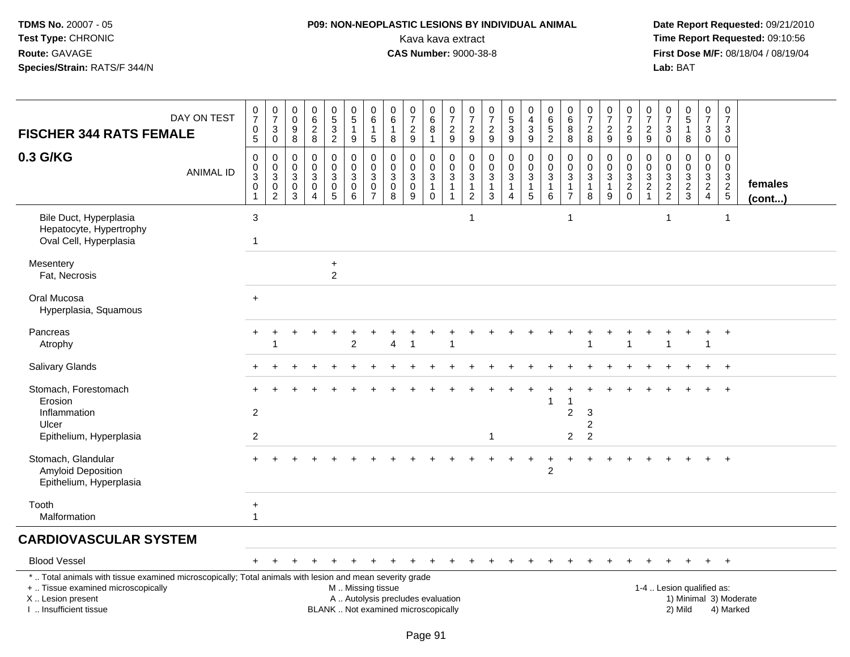# **P09: NON-NEOPLASTIC LESIONS BY INDIVIDUAL ANIMAL**Kava kava extract **Time Report Requested:** 09:10:56<br>**CAS Number:** 9000-38-8<br>**Tirst Dose M/F:** 08/18/04 / 08/19/04

 **Date Report Requested:** 09/21/2010 **First Dose M/F:** 08/18/04 / 08/19/04 Lab: BAT **Lab:** BAT

| <b>FISCHER 344 RATS FEMALE</b>                                                                                                                                      | DAY ON TEST      | $\frac{0}{7}$<br>0<br>5          | $\frac{0}{7}$<br>$\ensuremath{\mathsf{3}}$<br>$\pmb{0}$ | 0<br>$\mathbf 0$<br>9<br>8   | $\pmb{0}$<br>$6\overline{6}$<br>$\frac{2}{8}$          | $\begin{array}{c} 0 \\ 5 \end{array}$<br>$\overline{3}$<br>$\overline{2}$ | $\begin{array}{c} 0 \\ 5 \end{array}$<br>$\overline{1}$<br>$\boldsymbol{9}$ | $\mathbf 0$<br>6<br>$\mathbf{1}$<br>$\overline{5}$                       | $\mathbf 0$<br>6<br>$\mathbf{1}$<br>$\bf8$           | $\frac{0}{7}$<br>$\sqrt{2}$<br>9                 | $_{6}^{\rm 0}$<br>8<br>$\mathbf 1$                           | $\begin{smallmatrix}0\\7\end{smallmatrix}$<br>$\boldsymbol{2}$<br>9            | $\frac{0}{7}$<br>$\sqrt{2}$<br>9                                             | 0<br>$\overline{7}$<br>$\boldsymbol{2}$<br>$\boldsymbol{9}$ | $\begin{smallmatrix}0\5\3\end{smallmatrix}$<br>$\overline{9}$                             | 0<br>$\overline{\mathbf{4}}$<br>$\mathsf 3$<br>$\overline{9}$                 | $_{\rm 6}^{\rm 0}$<br>$\frac{5}{2}$                            | 0<br>6<br>8<br>8                          | $\frac{0}{7}$<br>$\overline{c}$<br>8                    | $\frac{0}{7}$<br>$\overline{c}$<br>9       | $\frac{0}{7}$<br>$\overline{c}$<br>$\mathsf g$         | $\mathbf 0$<br>$\overline{7}$<br>$\sqrt{2}$<br>$9\,$        | $\mathbf 0$<br>$\overline{7}$<br>$\mathbf{3}$<br>$\mathbf 0$             | $\begin{array}{c} 0 \\ 5 \end{array}$<br>-1<br>8       | 0<br>$\overline{7}$<br>$\mathbf{3}$<br>$\mathbf 0$                             | $\frac{0}{7}$<br>3<br>$\mathbf 0$                                   |                         |
|---------------------------------------------------------------------------------------------------------------------------------------------------------------------|------------------|----------------------------------|---------------------------------------------------------|------------------------------|--------------------------------------------------------|---------------------------------------------------------------------------|-----------------------------------------------------------------------------|--------------------------------------------------------------------------|------------------------------------------------------|--------------------------------------------------|--------------------------------------------------------------|--------------------------------------------------------------------------------|------------------------------------------------------------------------------|-------------------------------------------------------------|-------------------------------------------------------------------------------------------|-------------------------------------------------------------------------------|----------------------------------------------------------------|-------------------------------------------|---------------------------------------------------------|--------------------------------------------|--------------------------------------------------------|-------------------------------------------------------------|--------------------------------------------------------------------------|--------------------------------------------------------|--------------------------------------------------------------------------------|---------------------------------------------------------------------|-------------------------|
| 0.3 G/KG                                                                                                                                                            | <b>ANIMAL ID</b> | 0<br>0<br>3<br>$\mathbf 0$       | 0<br>$\overline{0}$<br>$\overline{3}$<br>$\frac{0}{2}$  | 0<br>$\Omega$<br>3<br>0<br>3 | 0<br>$\mathbf 0$<br>3<br>$\mathbf 0$<br>$\overline{4}$ | $\pmb{0}$<br>$\mathbf 0$<br>$\mathbf{3}$<br>$\pmb{0}$<br>5                | 0<br>$\mathbf 0$<br>$\mathsf 3$<br>$\mathsf 0$<br>6                         | $\mathbf 0$<br>$\Omega$<br>$\mathbf{3}$<br>$\mathbf 0$<br>$\overline{7}$ | $\mathbf 0$<br>$\mathbf{0}$<br>3<br>$\mathbf 0$<br>8 | $\mathbf 0$<br>$\Omega$<br>3<br>$\mathbf 0$<br>9 | 0<br>$\mathbf 0$<br>$\mathbf{3}$<br>$\mathbf{1}$<br>$\Omega$ | 0<br>$\ddot{\mathbf{0}}$<br>$\overline{3}$<br>$\overline{1}$<br>$\overline{1}$ | 0<br>$\ddot{\mathbf{0}}$<br>$\overline{3}$<br>$\mathbf{1}$<br>$\overline{2}$ | 0<br>0<br>3<br>$\mathbf{1}$<br>3                            | $\mathbf 0$<br>$\overline{0}$<br>$\overline{3}$<br>$\mathbf{1}$<br>$\boldsymbol{\Lambda}$ | 0<br>$\mathbf 0$<br>$\ensuremath{\mathsf{3}}$<br>$\overline{1}$<br>$\sqrt{5}$ | $\pmb{0}$<br>$\overline{0}$<br>$\sqrt{3}$<br>$\mathbf{1}$<br>6 | 0<br>$\Omega$<br>3<br>1<br>$\overline{7}$ | 0<br>$\mathbf 0$<br>$\overline{3}$<br>$\mathbf{1}$<br>8 | 0<br>$\mathbf 0$<br>3<br>$\mathbf{1}$<br>9 | 0<br>$\ddot{\mathbf{0}}$<br>$\frac{3}{2}$ <sub>0</sub> | 0<br>$\mathbf 0$<br>$\ensuremath{\mathsf{3}}$<br>$\sqrt{2}$ | $\mathbf 0$<br>$\mathbf 0$<br>$\ensuremath{\mathsf{3}}$<br>$\frac{2}{2}$ | $\mathbf 0$<br>$\Omega$<br>$\sqrt{3}$<br>$\frac{2}{3}$ | $\mathbf 0$<br>$\mathbf 0$<br>$\mathbf{3}$<br>$\overline{2}$<br>$\overline{4}$ | $\mathbf 0$<br>$\Omega$<br>$\mathbf{3}$<br>$\sqrt{2}$<br>$\sqrt{5}$ | females<br>$($ cont $)$ |
| Bile Duct, Hyperplasia<br>Hepatocyte, Hypertrophy<br>Oval Cell, Hyperplasia                                                                                         |                  | $\sqrt{3}$<br>$\mathbf{1}$       |                                                         |                              |                                                        |                                                                           |                                                                             |                                                                          |                                                      |                                                  |                                                              |                                                                                | $\mathbf{1}$                                                                 |                                                             |                                                                                           |                                                                               |                                                                | $\mathbf{1}$                              |                                                         |                                            |                                                        |                                                             | 1                                                                        |                                                        |                                                                                | -1                                                                  |                         |
| Mesentery<br>Fat, Necrosis                                                                                                                                          |                  |                                  |                                                         |                              |                                                        | $\ddot{}$<br>$\overline{2}$                                               |                                                                             |                                                                          |                                                      |                                                  |                                                              |                                                                                |                                                                              |                                                             |                                                                                           |                                                                               |                                                                |                                           |                                                         |                                            |                                                        |                                                             |                                                                          |                                                        |                                                                                |                                                                     |                         |
| Oral Mucosa<br>Hyperplasia, Squamous                                                                                                                                |                  | $\ddot{}$                        |                                                         |                              |                                                        |                                                                           |                                                                             |                                                                          |                                                      |                                                  |                                                              |                                                                                |                                                                              |                                                             |                                                                                           |                                                                               |                                                                |                                           |                                                         |                                            |                                                        |                                                             |                                                                          |                                                        |                                                                                |                                                                     |                         |
| Pancreas<br>Atrophy                                                                                                                                                 |                  |                                  |                                                         |                              |                                                        |                                                                           | 2                                                                           |                                                                          | 4                                                    |                                                  |                                                              |                                                                                |                                                                              |                                                             |                                                                                           |                                                                               |                                                                |                                           |                                                         |                                            |                                                        |                                                             |                                                                          |                                                        | $\overline{1}$                                                                 | $\ddot{}$                                                           |                         |
| Salivary Glands                                                                                                                                                     |                  |                                  |                                                         |                              |                                                        |                                                                           |                                                                             |                                                                          |                                                      |                                                  |                                                              |                                                                                |                                                                              |                                                             |                                                                                           |                                                                               |                                                                |                                           |                                                         |                                            |                                                        |                                                             |                                                                          |                                                        |                                                                                | $+$                                                                 |                         |
| Stomach, Forestomach<br>Erosion<br>Inflammation<br>Ulcer<br>Epithelium, Hyperplasia                                                                                 |                  | $\overline{2}$<br>$\overline{c}$ |                                                         |                              |                                                        |                                                                           |                                                                             |                                                                          |                                                      |                                                  |                                                              |                                                                                |                                                                              | $\mathbf 1$                                                 |                                                                                           |                                                                               |                                                                | 1<br>$\overline{c}$<br>2                  | 3<br>2<br>$\overline{c}$                                |                                            |                                                        |                                                             |                                                                          |                                                        |                                                                                |                                                                     |                         |
| Stomach, Glandular<br>Amyloid Deposition<br>Epithelium, Hyperplasia                                                                                                 |                  |                                  |                                                         |                              |                                                        |                                                                           |                                                                             |                                                                          |                                                      |                                                  |                                                              |                                                                                |                                                                              |                                                             |                                                                                           | $\div$                                                                        | $\ddot{}$<br>2                                                 |                                           |                                                         |                                            |                                                        |                                                             |                                                                          |                                                        |                                                                                | $\ddot{}$                                                           |                         |
| Tooth<br>Malformation                                                                                                                                               |                  | $\ddot{}$<br>$\mathbf{1}$        |                                                         |                              |                                                        |                                                                           |                                                                             |                                                                          |                                                      |                                                  |                                                              |                                                                                |                                                                              |                                                             |                                                                                           |                                                                               |                                                                |                                           |                                                         |                                            |                                                        |                                                             |                                                                          |                                                        |                                                                                |                                                                     |                         |
| <b>CARDIOVASCULAR SYSTEM</b>                                                                                                                                        |                  |                                  |                                                         |                              |                                                        |                                                                           |                                                                             |                                                                          |                                                      |                                                  |                                                              |                                                                                |                                                                              |                                                             |                                                                                           |                                                                               |                                                                |                                           |                                                         |                                            |                                                        |                                                             |                                                                          |                                                        |                                                                                |                                                                     |                         |
| <b>Blood Vessel</b>                                                                                                                                                 |                  | $+$                              |                                                         |                              |                                                        |                                                                           |                                                                             |                                                                          |                                                      |                                                  |                                                              |                                                                                | ÷                                                                            | ÷.                                                          | $\pm$                                                                                     | $\ddot{}$                                                                     |                                                                |                                           |                                                         | $\ddot{}$                                  | $+$                                                    | $\ddot{}$                                                   | $+$                                                                      | $+$                                                    | $+$                                                                            | $+$                                                                 |                         |
| *  Total animals with tissue examined microscopically; Total animals with lesion and mean severity grade<br>+  Tissue examined microscopically<br>X  Lesion present |                  |                                  |                                                         |                              |                                                        |                                                                           | M  Missing tissue<br>A  Autolysis precludes evaluation                      |                                                                          |                                                      |                                                  |                                                              |                                                                                |                                                                              |                                                             |                                                                                           |                                                                               |                                                                |                                           |                                                         |                                            |                                                        |                                                             |                                                                          | 1-4  Lesion qualified as:                              |                                                                                |                                                                     | 1) Minimal 3) Moderate  |

I .. Insufficient tissue

BLANK .. Not examined microscopically 2) Mild 4) Marked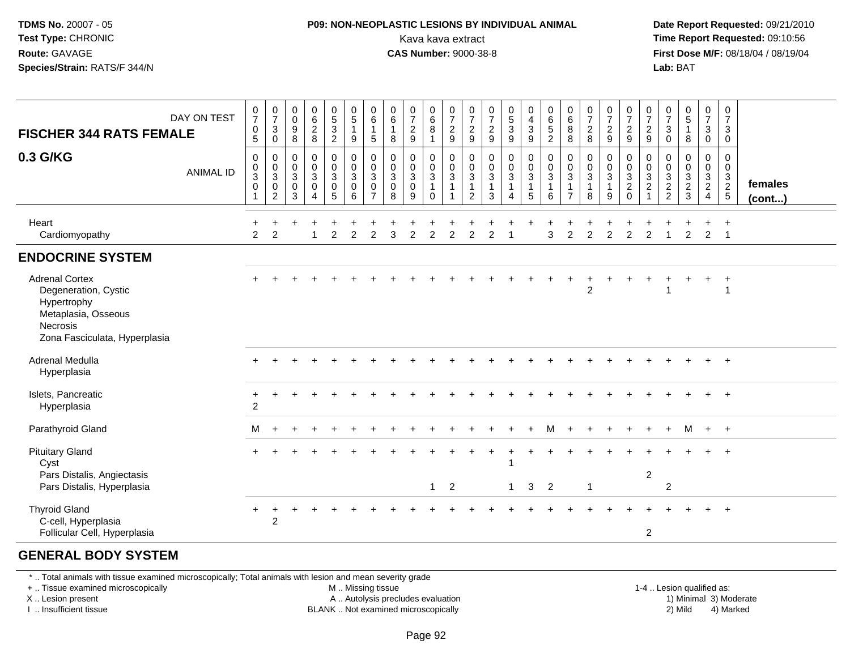#### **P09: NON-NEOPLASTIC LESIONS BY INDIVIDUAL ANIMAL**Kava kava extract **Time Report Requested:** 09:10:56<br>**CAS Number:** 9000-38-8<br>**Tirst Dose M/F:** 08/18/04 / 08/19/04

 **Date Report Requested:** 09/21/2010 **First Dose M/F: 08/18/04 / 08/19/04**<br>**Lab: BAT Lab:** BAT

| <b>FISCHER 344 RATS FEMALE</b>                                                                                                   | DAY ON TEST      | $\frac{0}{7}$<br>$\pmb{0}$<br>5                           | $\frac{0}{7}$<br>$\ensuremath{\mathsf{3}}$<br>0          | 0<br>$\mathsf{O}\xspace$<br>$\boldsymbol{9}$<br>8 | $\begin{array}{c} 0 \\ 6 \end{array}$<br>$\sqrt{2}$<br>8                        | $\begin{array}{c} 0 \\ 5 \\ 2 \end{array}$                                   | $\begin{smallmatrix}0\0\0\end{smallmatrix}$<br>$\mathbf{1}$<br>9         | 0<br>$\,6\,$<br>5                                                | $\begin{array}{c} 0 \\ 6 \end{array}$<br>$\mathbf{1}$<br>8 | $\frac{0}{7}$<br>$\frac{2}{9}$                 | 0<br>6<br>8<br>$\mathbf{1}$                    | $\frac{0}{7}$<br>$\frac{2}{9}$               | $\frac{0}{7}$<br>$\sqrt{2}$<br>9                      | $\frac{0}{7}$<br>$\sqrt{2}$<br>9                          | $\frac{0}{5}$<br>$\mathbf{3}$<br>$\boldsymbol{9}$ | $\begin{smallmatrix}0\0\4\end{smallmatrix}$<br>$\ensuremath{\mathsf{3}}$<br>9 | $\begin{array}{c} 0 \\ 6 \\ 5 \end{array}$<br>$\overline{2}$ | $\begin{matrix} 0 \\ 6 \\ 8 \end{matrix}$<br>8                                   | $\frac{0}{7}$<br>$\sqrt{2}$<br>8                                           | $\frac{0}{7}$<br>$\frac{2}{9}$                          | $\frac{0}{7}$<br>$\frac{2}{9}$              | $\frac{0}{7}$<br>$\overline{c}$<br>9                | 0<br>$\overline{\mathcal{I}}$<br>$\ensuremath{\mathsf{3}}$<br>0 | $\begin{smallmatrix}0\5\end{smallmatrix}$<br>$\mathbf{1}$<br>8 | $\frac{0}{7}$<br>$\ensuremath{\mathsf{3}}$<br>$\mathbf 0$                           | 0<br>$\boldsymbol{7}$<br>$\sqrt{3}$<br>$\mathbf 0$          |                   |
|----------------------------------------------------------------------------------------------------------------------------------|------------------|-----------------------------------------------------------|----------------------------------------------------------|---------------------------------------------------|---------------------------------------------------------------------------------|------------------------------------------------------------------------------|--------------------------------------------------------------------------|------------------------------------------------------------------|------------------------------------------------------------|------------------------------------------------|------------------------------------------------|----------------------------------------------|-------------------------------------------------------|-----------------------------------------------------------|---------------------------------------------------|-------------------------------------------------------------------------------|--------------------------------------------------------------|----------------------------------------------------------------------------------|----------------------------------------------------------------------------|---------------------------------------------------------|---------------------------------------------|-----------------------------------------------------|-----------------------------------------------------------------|----------------------------------------------------------------|-------------------------------------------------------------------------------------|-------------------------------------------------------------|-------------------|
| 0.3 G/KG                                                                                                                         | <b>ANIMAL ID</b> | $\mathbf 0$<br>$\pmb{0}$<br>$\overline{3}$<br>$\mathbf 0$ | $\,0\,$<br>$_{3}^{\rm 0}$<br>$\pmb{0}$<br>$\overline{2}$ | 0<br>$\mathbf 0$<br>$\sqrt{3}$<br>$\pmb{0}$<br>3  | $\pmb{0}$<br>$\pmb{0}$<br>$\overline{3}$<br>$\pmb{0}$<br>$\boldsymbol{\Lambda}$ | $\begin{smallmatrix}0\0\0\3\end{smallmatrix}$<br>$\pmb{0}$<br>$\overline{5}$ | $\mathbf 0$<br>$\ddot{\mathbf{0}}$<br>$\overline{3}$<br>$\mathbf 0$<br>6 | 0<br>$\mathbf 0$<br>3<br>$\mathbf 0$<br>$\overline{\phantom{a}}$ | $\pmb{0}$<br>$\frac{0}{3}$<br>$\pmb{0}$<br>8               | $\mathbf 0$<br>$\frac{0}{3}$<br>$\pmb{0}$<br>9 | 0<br>$\frac{0}{3}$<br>$\mathbf{1}$<br>$\Omega$ | $\pmb{0}$<br>$\frac{0}{3}$<br>$\overline{1}$ | 0<br>$\mathbf 0$<br>$\mathbf{3}$<br>$\mathbf{1}$<br>2 | $\pmb{0}$<br>$\pmb{0}$<br>$\sqrt{3}$<br>$\mathbf{1}$<br>3 | $\mathbf 0$<br>$\mathbf 0$<br>$\overline{3}$      | $\mathbf 0$<br>$\ddot{\mathbf{0}}$<br>$\overline{3}$<br>$\mathbf{1}$<br>5     | $\pmb{0}$<br>$\frac{0}{3}$<br>$\mathbf{1}$<br>6              | $\mathbf 0$<br>$\mathbf 0$<br>$\overline{3}$<br>$\overline{1}$<br>$\overline{7}$ | $\mathbf 0$<br>$\pmb{0}$<br>$\overline{3}$<br>$\mathbf{1}$<br>$\mathsf{R}$ | 0<br>$\mathbf 0$<br>$\overline{3}$<br>$\mathbf{1}$<br>9 | $\pmb{0}$<br>$\frac{0}{3}$<br>$\frac{2}{0}$ | 0<br>0<br>$\overline{3}$<br>$\overline{\mathbf{c}}$ | 0<br>$\pmb{0}$<br>$\overline{3}$<br>$\frac{2}{2}$               | $\mathbf 0$<br>$\frac{0}{3}$<br>$\frac{2}{3}$                  | $\mathbf 0$<br>$\overline{0}$<br>$\overline{3}$<br>$\overline{2}$<br>$\overline{4}$ | $\mathbf 0$<br>$\mathbf 0$<br>$\mathbf{3}$<br>$\frac{2}{5}$ | females<br>(cont) |
| Heart<br>Cardiomyopathy                                                                                                          |                  | 2                                                         | $\overline{2}$                                           |                                                   |                                                                                 | 2                                                                            | $\overline{2}$                                                           | $\overline{2}$                                                   | 3                                                          | $\overline{2}$                                 | 2                                              | 2                                            | $\overline{2}$                                        | $\mathcal{P}$                                             |                                                   |                                                                               | 3                                                            | $\overline{2}$                                                                   | $\overline{2}$                                                             | $\overline{2}$                                          | 2                                           | $\overline{2}$                                      |                                                                 | 2                                                              | 2                                                                                   | $\div$<br>$\overline{1}$                                    |                   |
| <b>ENDOCRINE SYSTEM</b>                                                                                                          |                  |                                                           |                                                          |                                                   |                                                                                 |                                                                              |                                                                          |                                                                  |                                                            |                                                |                                                |                                              |                                                       |                                                           |                                                   |                                                                               |                                                              |                                                                                  |                                                                            |                                                         |                                             |                                                     |                                                                 |                                                                |                                                                                     |                                                             |                   |
| <b>Adrenal Cortex</b><br>Degeneration, Cystic<br>Hypertrophy<br>Metaplasia, Osseous<br>Necrosis<br>Zona Fasciculata, Hyperplasia |                  |                                                           |                                                          |                                                   |                                                                                 |                                                                              |                                                                          |                                                                  |                                                            |                                                |                                                |                                              |                                                       |                                                           |                                                   |                                                                               |                                                              |                                                                                  | $\overline{2}$                                                             |                                                         |                                             |                                                     |                                                                 |                                                                |                                                                                     | $\div$<br>$\overline{1}$                                    |                   |
| Adrenal Medulla<br>Hyperplasia                                                                                                   |                  |                                                           |                                                          |                                                   |                                                                                 |                                                                              |                                                                          |                                                                  |                                                            |                                                |                                                |                                              |                                                       |                                                           |                                                   |                                                                               |                                                              |                                                                                  |                                                                            |                                                         |                                             |                                                     |                                                                 |                                                                |                                                                                     | $\overline{+}$                                              |                   |
| Islets, Pancreatic<br>Hyperplasia                                                                                                |                  | $\ddot{}$<br>$\boldsymbol{2}$                             |                                                          |                                                   |                                                                                 |                                                                              |                                                                          |                                                                  |                                                            |                                                |                                                |                                              |                                                       |                                                           |                                                   |                                                                               |                                                              |                                                                                  |                                                                            |                                                         |                                             |                                                     |                                                                 |                                                                |                                                                                     |                                                             |                   |
| Parathyroid Gland                                                                                                                |                  | м                                                         |                                                          |                                                   |                                                                                 |                                                                              |                                                                          |                                                                  |                                                            |                                                |                                                |                                              |                                                       |                                                           |                                                   |                                                                               | м                                                            |                                                                                  |                                                                            |                                                         |                                             |                                                     |                                                                 | м                                                              | $+$ $+$                                                                             |                                                             |                   |
| <b>Pituitary Gland</b><br>Cyst<br>Pars Distalis, Angiectasis<br>Pars Distalis, Hyperplasia                                       |                  |                                                           |                                                          |                                                   |                                                                                 |                                                                              |                                                                          |                                                                  |                                                            |                                                | $\mathbf{1}$                                   | 2                                            |                                                       |                                                           | $\mathbf{1}$                                      | 3                                                                             | $\overline{2}$                                               |                                                                                  | $\overline{1}$                                                             |                                                         |                                             | $\sqrt{2}$                                          | $\overline{2}$                                                  |                                                                |                                                                                     |                                                             |                   |
| <b>Thyroid Gland</b><br>C-cell, Hyperplasia<br>Follicular Cell, Hyperplasia                                                      |                  | +                                                         | +<br>$\overline{2}$                                      |                                                   |                                                                                 |                                                                              |                                                                          |                                                                  |                                                            |                                                |                                                |                                              |                                                       |                                                           |                                                   |                                                                               |                                                              |                                                                                  |                                                                            |                                                         |                                             | 2                                                   |                                                                 |                                                                | $\pm$                                                                               | $+$                                                         |                   |

#### **GENERAL BODY SYSTEM**

\* .. Total animals with tissue examined microscopically; Total animals with lesion and mean severity grade

+ .. Tissue examined microscopically

X .. Lesion present

I .. Insufficient tissue

M .. Missing tissue

A .. Autolysis precludes evaluation

BLANK .. Not examined microscopically 2) Mild 4) Marked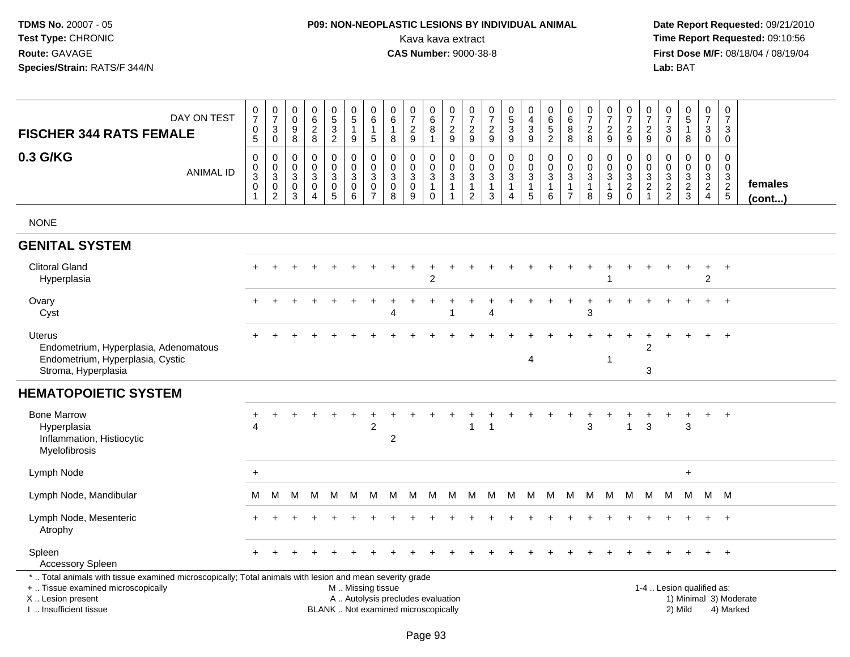# **P09: NON-NEOPLASTIC LESIONS BY INDIVIDUAL ANIMAL**Kava kava extract **Time Report Requested:** 09:10:56<br>**CAS Number:** 9000-38-8 **CAS Number:** 9000-38-8

| DAY ON TEST<br><b>FISCHER 344 RATS FEMALE</b><br>0.3 G/KG<br><b>ANIMAL ID</b>                                                                                                                 | $\mathbf 0$<br>$\overline{7}$<br>$\mathsf{O}\xspace$<br>$\sqrt{5}$<br>0<br>$\mathsf{O}\xspace$<br>$\sqrt{3}$<br>$\mathbf 0$ | $\frac{0}{7}$<br>$\sqrt{3}$<br>$\mathbf 0$<br>0<br>$\pmb{0}$<br>$\overline{3}$<br>$\pmb{0}$<br>$\overline{2}$ | 0<br>$\mathbf 0$<br>$9\,$<br>8<br>0<br>$\mathbf 0$<br>3<br>$\boldsymbol{0}$<br>3 | 0<br>$\,6$<br>$\boldsymbol{2}$<br>8<br>$\mathbf 0$<br>$\mathbf 0$<br>3<br>$\pmb{0}$<br>4 | $\begin{array}{c} 0 \\ 5 \end{array}$<br>$\ensuremath{\mathsf{3}}$<br>$\overline{c}$<br>0<br>$\mathbf 0$<br>$\mathbf{3}$<br>$\pmb{0}$<br>$\overline{5}$ | $\begin{array}{c} 0 \\ 5 \end{array}$<br>$\overline{1}$<br>9<br>$\mathbf 0$<br>$\mathbf 0$<br>$\mathbf{3}$<br>$\mathsf 0$<br>6 | $\pmb{0}$<br>$\overline{6}$<br>$\mathbf{1}$<br>5<br>$\mathbf 0$<br>$\pmb{0}$<br>$\sqrt{3}$<br>$\frac{0}{7}$ | $\mathbf 0$<br>$\,6\,$<br>$\overline{1}$<br>8<br>$\mathbf 0$<br>$\mathbf 0$<br>$\mathbf{3}$<br>$\mathbf 0$<br>8 | $\begin{array}{c} 0 \\ 7 \end{array}$<br>$\boldsymbol{2}$<br>9<br>$\mathbf 0$<br>$\mathbf 0$<br>$\mathbf{3}$<br>$\mathbf 0$<br>9 | 0<br>$6\phantom{a}$<br>8<br>$\mathbf{1}$<br>0<br>$\mathbf 0$<br>$\sqrt{3}$<br>$\mathbf{1}$<br>$\mathbf 0$ | $\frac{0}{7}$<br>$\sqrt{2}$<br>$9\,$<br>0<br>$\mathbf 0$<br>$\mathbf{3}$<br>$\overline{1}$<br>$\overline{1}$ | 0<br>$\overline{7}$<br>$\overline{\mathbf{c}}$<br>9<br>0<br>$\mathbf 0$<br>$\mathbf{3}$<br>1<br>2 | $\begin{smallmatrix}0\\7\end{smallmatrix}$<br>$\sqrt{2}$<br>9<br>0<br>$\mathbf 0$<br>$\sqrt{3}$<br>$\mathbf{1}$<br>$\mathbf{3}$ | $\begin{array}{c} 0 \\ 5 \\ 3 \end{array}$<br>$\boldsymbol{9}$<br>0<br>$\pmb{0}$<br>$\overline{3}$<br>$\mathbf{1}$<br>$\overline{4}$ | 0<br>$\overline{4}$<br>$\ensuremath{\mathsf{3}}$<br>9<br>0<br>$\mathbf 0$<br>$\mathfrak{S}$<br>$\mathbf{1}$<br>5 | $\pmb{0}$<br>$\overline{6}$<br>$\,$ 5 $\,$<br>$\overline{2}$<br>$\mathbf 0$<br>$\pmb{0}$<br>$\sqrt{3}$<br>$\overline{1}$<br>6 | 0<br>$\,6\,$<br>$\bf 8$<br>8<br>0<br>$\mathbf 0$<br>3<br>$\mathbf{1}$<br>$\overline{7}$ | 0<br>$\overline{7}$<br>$\boldsymbol{2}$<br>8<br>$\mathbf 0$<br>$\mathbf 0$<br>3<br>$\mathbf{1}$<br>8 | $\frac{0}{7}$<br>$\overline{\mathbf{c}}$<br>9<br>0<br>$\mathbf 0$<br>3<br>$\mathbf{1}$<br>9 | $\begin{array}{c} 0 \\ 7 \end{array}$<br>$\overline{c}$<br>$9\,$<br>0<br>$\pmb{0}$<br>$\overline{3}$<br>$\frac{2}{0}$ | $\frac{0}{7}$<br>$\boldsymbol{2}$<br>9<br>0<br>$\pmb{0}$<br>$\mathbf{3}$<br>$\sqrt{2}$<br>$\mathbf{1}$ | 0<br>$\overline{7}$<br>$\sqrt{3}$<br>0<br>0<br>$\mathbf 0$<br>$\mathbf{3}$<br>$\frac{2}{2}$ | $\begin{array}{c} 0 \\ 5 \end{array}$<br>$\mathbf{1}$<br>8<br>$\mathbf 0$<br>$\mathbf 0$<br>$\sqrt{3}$<br>$\frac{2}{3}$ | 0<br>$\overline{7}$<br>3<br>$\mathbf 0$<br>0<br>$\mathbf 0$<br>3<br>$\overline{2}$<br>$\overline{4}$ | $\pmb{0}$<br>$\overline{7}$<br>$\mathbf{3}$<br>$\mathbf 0$<br>$\mathbf 0$<br>$\mathbf 0$<br>$\sqrt{3}$<br>$rac{2}{5}$ | females<br>(cont) |
|-----------------------------------------------------------------------------------------------------------------------------------------------------------------------------------------------|-----------------------------------------------------------------------------------------------------------------------------|---------------------------------------------------------------------------------------------------------------|----------------------------------------------------------------------------------|------------------------------------------------------------------------------------------|---------------------------------------------------------------------------------------------------------------------------------------------------------|--------------------------------------------------------------------------------------------------------------------------------|-------------------------------------------------------------------------------------------------------------|-----------------------------------------------------------------------------------------------------------------|----------------------------------------------------------------------------------------------------------------------------------|-----------------------------------------------------------------------------------------------------------|--------------------------------------------------------------------------------------------------------------|---------------------------------------------------------------------------------------------------|---------------------------------------------------------------------------------------------------------------------------------|--------------------------------------------------------------------------------------------------------------------------------------|------------------------------------------------------------------------------------------------------------------|-------------------------------------------------------------------------------------------------------------------------------|-----------------------------------------------------------------------------------------|------------------------------------------------------------------------------------------------------|---------------------------------------------------------------------------------------------|-----------------------------------------------------------------------------------------------------------------------|--------------------------------------------------------------------------------------------------------|---------------------------------------------------------------------------------------------|-------------------------------------------------------------------------------------------------------------------------|------------------------------------------------------------------------------------------------------|-----------------------------------------------------------------------------------------------------------------------|-------------------|
| <b>NONE</b>                                                                                                                                                                                   |                                                                                                                             |                                                                                                               |                                                                                  |                                                                                          |                                                                                                                                                         |                                                                                                                                |                                                                                                             |                                                                                                                 |                                                                                                                                  |                                                                                                           |                                                                                                              |                                                                                                   |                                                                                                                                 |                                                                                                                                      |                                                                                                                  |                                                                                                                               |                                                                                         |                                                                                                      |                                                                                             |                                                                                                                       |                                                                                                        |                                                                                             |                                                                                                                         |                                                                                                      |                                                                                                                       |                   |
| <b>GENITAL SYSTEM</b>                                                                                                                                                                         |                                                                                                                             |                                                                                                               |                                                                                  |                                                                                          |                                                                                                                                                         |                                                                                                                                |                                                                                                             |                                                                                                                 |                                                                                                                                  |                                                                                                           |                                                                                                              |                                                                                                   |                                                                                                                                 |                                                                                                                                      |                                                                                                                  |                                                                                                                               |                                                                                         |                                                                                                      |                                                                                             |                                                                                                                       |                                                                                                        |                                                                                             |                                                                                                                         |                                                                                                      |                                                                                                                       |                   |
| <b>Clitoral Gland</b><br>Hyperplasia                                                                                                                                                          |                                                                                                                             |                                                                                                               |                                                                                  |                                                                                          |                                                                                                                                                         |                                                                                                                                |                                                                                                             |                                                                                                                 |                                                                                                                                  | $\overline{c}$                                                                                            |                                                                                                              |                                                                                                   |                                                                                                                                 |                                                                                                                                      |                                                                                                                  |                                                                                                                               |                                                                                         |                                                                                                      |                                                                                             |                                                                                                                       |                                                                                                        |                                                                                             |                                                                                                                         | +<br>$\overline{c}$                                                                                  | $\overline{+}$                                                                                                        |                   |
| Ovary<br>Cyst                                                                                                                                                                                 |                                                                                                                             |                                                                                                               |                                                                                  |                                                                                          |                                                                                                                                                         |                                                                                                                                |                                                                                                             |                                                                                                                 |                                                                                                                                  |                                                                                                           |                                                                                                              |                                                                                                   |                                                                                                                                 |                                                                                                                                      |                                                                                                                  |                                                                                                                               |                                                                                         | 3                                                                                                    |                                                                                             |                                                                                                                       |                                                                                                        |                                                                                             |                                                                                                                         |                                                                                                      | $+$                                                                                                                   |                   |
| Uterus<br>Endometrium, Hyperplasia, Adenomatous<br>Endometrium, Hyperplasia, Cystic<br>Stroma, Hyperplasia                                                                                    |                                                                                                                             |                                                                                                               |                                                                                  |                                                                                          |                                                                                                                                                         |                                                                                                                                |                                                                                                             |                                                                                                                 |                                                                                                                                  |                                                                                                           |                                                                                                              |                                                                                                   |                                                                                                                                 |                                                                                                                                      | 4                                                                                                                |                                                                                                                               |                                                                                         |                                                                                                      | 1                                                                                           |                                                                                                                       | $\overline{2}$<br>3                                                                                    |                                                                                             |                                                                                                                         |                                                                                                      | $\overline{+}$                                                                                                        |                   |
| <b>HEMATOPOIETIC SYSTEM</b>                                                                                                                                                                   |                                                                                                                             |                                                                                                               |                                                                                  |                                                                                          |                                                                                                                                                         |                                                                                                                                |                                                                                                             |                                                                                                                 |                                                                                                                                  |                                                                                                           |                                                                                                              |                                                                                                   |                                                                                                                                 |                                                                                                                                      |                                                                                                                  |                                                                                                                               |                                                                                         |                                                                                                      |                                                                                             |                                                                                                                       |                                                                                                        |                                                                                             |                                                                                                                         |                                                                                                      |                                                                                                                       |                   |
| <b>Bone Marrow</b><br>Hyperplasia<br>Inflammation, Histiocytic<br>Myelofibrosis                                                                                                               |                                                                                                                             |                                                                                                               |                                                                                  |                                                                                          |                                                                                                                                                         |                                                                                                                                | $\overline{c}$                                                                                              | $\overline{2}$                                                                                                  |                                                                                                                                  |                                                                                                           |                                                                                                              | 1                                                                                                 |                                                                                                                                 |                                                                                                                                      |                                                                                                                  |                                                                                                                               |                                                                                         | 3                                                                                                    |                                                                                             | $\mathbf{1}$                                                                                                          | 3                                                                                                      |                                                                                             | 3                                                                                                                       | $\ddot{}$                                                                                            | $+$                                                                                                                   |                   |
| Lymph Node                                                                                                                                                                                    | $\ddot{}$                                                                                                                   |                                                                                                               |                                                                                  |                                                                                          |                                                                                                                                                         |                                                                                                                                |                                                                                                             |                                                                                                                 |                                                                                                                                  |                                                                                                           |                                                                                                              |                                                                                                   |                                                                                                                                 |                                                                                                                                      |                                                                                                                  |                                                                                                                               |                                                                                         |                                                                                                      |                                                                                             |                                                                                                                       |                                                                                                        |                                                                                             | $\ddot{}$                                                                                                               |                                                                                                      |                                                                                                                       |                   |
| Lymph Node, Mandibular                                                                                                                                                                        | м                                                                                                                           | м                                                                                                             | м                                                                                | м                                                                                        | M                                                                                                                                                       | M                                                                                                                              | M                                                                                                           | м                                                                                                               | M                                                                                                                                | M                                                                                                         | M                                                                                                            | M                                                                                                 | M                                                                                                                               | M                                                                                                                                    | M                                                                                                                | M                                                                                                                             | M                                                                                       | M                                                                                                    | M                                                                                           | M                                                                                                                     | M                                                                                                      | М                                                                                           | M                                                                                                                       | M                                                                                                    | M                                                                                                                     |                   |
| Lymph Node, Mesenteric<br>Atrophy                                                                                                                                                             |                                                                                                                             |                                                                                                               |                                                                                  |                                                                                          |                                                                                                                                                         |                                                                                                                                |                                                                                                             |                                                                                                                 |                                                                                                                                  |                                                                                                           |                                                                                                              |                                                                                                   |                                                                                                                                 |                                                                                                                                      |                                                                                                                  |                                                                                                                               |                                                                                         |                                                                                                      |                                                                                             |                                                                                                                       |                                                                                                        |                                                                                             |                                                                                                                         |                                                                                                      |                                                                                                                       |                   |
| Spleen<br>Accessory Spleen                                                                                                                                                                    |                                                                                                                             |                                                                                                               |                                                                                  |                                                                                          |                                                                                                                                                         |                                                                                                                                |                                                                                                             |                                                                                                                 |                                                                                                                                  |                                                                                                           |                                                                                                              |                                                                                                   |                                                                                                                                 |                                                                                                                                      |                                                                                                                  |                                                                                                                               |                                                                                         |                                                                                                      |                                                                                             |                                                                                                                       |                                                                                                        |                                                                                             |                                                                                                                         |                                                                                                      | $\overline{1}$                                                                                                        |                   |
| *  Total animals with tissue examined microscopically; Total animals with lesion and mean severity grade<br>+  Tissue examined microscopically<br>X  Lesion present<br>I. Insufficient tissue |                                                                                                                             |                                                                                                               |                                                                                  |                                                                                          |                                                                                                                                                         | M  Missing tissue                                                                                                              |                                                                                                             |                                                                                                                 | A  Autolysis precludes evaluation<br>BLANK  Not examined microscopically                                                         |                                                                                                           |                                                                                                              |                                                                                                   |                                                                                                                                 |                                                                                                                                      |                                                                                                                  |                                                                                                                               |                                                                                         |                                                                                                      |                                                                                             |                                                                                                                       |                                                                                                        |                                                                                             | 1-4  Lesion qualified as:<br>2) Mild                                                                                    |                                                                                                      | 1) Minimal 3) Moderate<br>4) Marked                                                                                   |                   |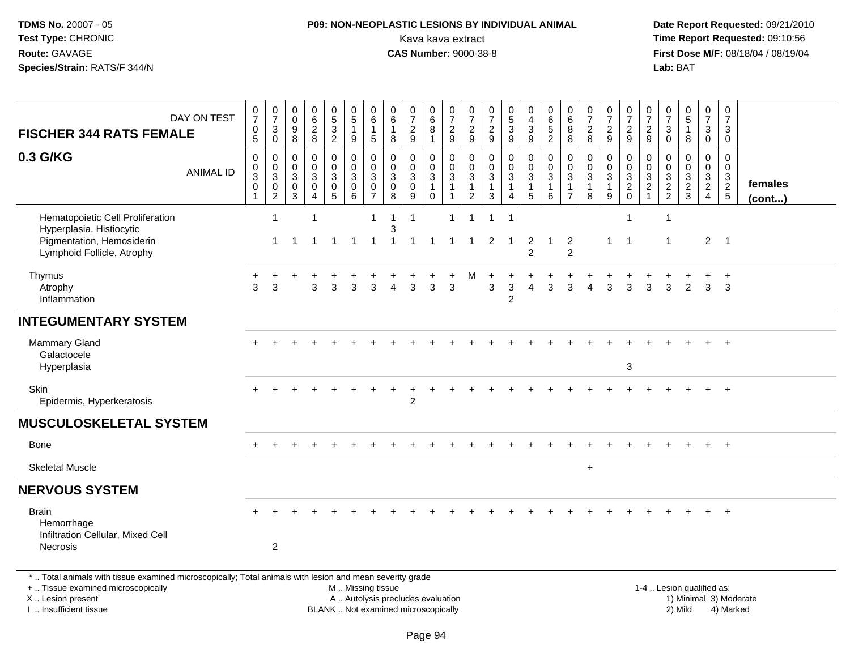# **P09: NON-NEOPLASTIC LESIONS BY INDIVIDUAL ANIMAL**Kava kava extract **Time Report Requested:** 09:10:56<br>**CAS Number:** 9000-38-8 **CAS Number:** 9000-38-8

| <b>FISCHER 344 RATS FEMALE</b>                                                                                                                                                                | DAY ON TEST      | $\frac{0}{7}$<br>$\begin{matrix} 0 \\ 5 \end{matrix}$                  | $\frac{0}{7}$<br>$\ensuremath{\mathsf{3}}$<br>$\mathsf{O}\xspace$ | 0<br>0<br>9<br>8                                          | $\begin{array}{c} 0 \\ 6 \end{array}$<br>$\frac{2}{8}$                          | $\begin{array}{c} 0 \\ 5 \end{array}$<br>$\overline{3}$<br>$\overline{2}$ | $\mathbf 0$<br>$\overline{5}$<br>$\mathbf{1}$<br>9                                            | 0<br>6<br>1<br>$\sqrt{5}$                                         | 0<br>$\overline{6}$<br>$\mathbf{1}$<br>8                                  | $\frac{0}{7}$<br>$\overline{\mathbf{c}}$<br>9                | $_{6}^{\rm 0}$<br>8<br>$\mathbf{1}$                           | $\frac{0}{7}$<br>$\frac{2}{9}$                                                | $\frac{0}{7}$<br>$\overline{2}$<br>9                                          | $\begin{array}{c} 0 \\ 7 \end{array}$<br>$\sqrt{2}$<br>9                 | $\begin{array}{c} 0 \\ 5 \end{array}$<br>$\overline{3}$<br>9           | 0<br>$\overline{4}$<br>$\sqrt{3}$<br>$\boldsymbol{9}$                        | $\begin{array}{c} 0 \\ 6 \end{array}$<br>$\overline{5}$<br>$\overline{2}$ | $\begin{array}{c} 0 \\ 6 \end{array}$<br>$\bf 8$<br>8         | $\begin{array}{c} 0 \\ 7 \end{array}$<br>$\frac{2}{8}$            | $\begin{array}{c} 0 \\ 7 \end{array}$<br>$\sqrt{2}$<br>9             | $\frac{0}{7}$<br>$\overline{c}$<br>9             | $\frac{0}{7}$<br>$\overline{c}$<br>9       | $\frac{0}{7}$<br>$\sqrt{3}$<br>$\mathbf 0$  | $\begin{array}{c} 0 \\ 5 \end{array}$<br>$\mathbf{1}$<br>8 | $\frac{0}{7}$<br>$\mathbf{3}$<br>$\mathbf 0$           | $\pmb{0}$<br>$\overline{7}$<br>3<br>$\mathbf 0$ |                        |
|-----------------------------------------------------------------------------------------------------------------------------------------------------------------------------------------------|------------------|------------------------------------------------------------------------|-------------------------------------------------------------------|-----------------------------------------------------------|---------------------------------------------------------------------------------|---------------------------------------------------------------------------|-----------------------------------------------------------------------------------------------|-------------------------------------------------------------------|---------------------------------------------------------------------------|--------------------------------------------------------------|---------------------------------------------------------------|-------------------------------------------------------------------------------|-------------------------------------------------------------------------------|--------------------------------------------------------------------------|------------------------------------------------------------------------|------------------------------------------------------------------------------|---------------------------------------------------------------------------|---------------------------------------------------------------|-------------------------------------------------------------------|----------------------------------------------------------------------|--------------------------------------------------|--------------------------------------------|---------------------------------------------|------------------------------------------------------------|--------------------------------------------------------|-------------------------------------------------|------------------------|
| 0.3 G/KG                                                                                                                                                                                      | <b>ANIMAL ID</b> | $\pmb{0}$<br>$\mathsf{O}\xspace$<br>$\overline{3}$<br>$\mathbf 0$<br>1 | 0<br>$\mathsf{O}\xspace$<br>$\mathbf{3}$<br>$\frac{0}{2}$         | $\mathbf 0$<br>$\Omega$<br>3<br>$\pmb{0}$<br>$\mathbf{3}$ | $\pmb{0}$<br>$\mathbf 0$<br>$\sqrt{3}$<br>$\mathsf{O}\xspace$<br>$\overline{4}$ | 0<br>$\mathbf 0$<br>3<br>$\pmb{0}$<br>$\overline{5}$                      | $\pmb{0}$<br>$\mathbf 0$<br>$\sqrt{3}$<br>$\mathbf 0$<br>6                                    | $\mathbf 0$<br>$\mathbf{0}$<br>3<br>$\mathbf 0$<br>$\overline{7}$ | $\mathbf 0$<br>$\mathbf 0$<br>$\sqrt{3}$<br>$\mathsf 0$<br>$\overline{8}$ | $\mathbf 0$<br>$\mathbf 0$<br>$\mathbf{3}$<br>$\pmb{0}$<br>9 | 0<br>$\mathsf{O}\xspace$<br>$\mathbf{3}$<br>$\mathbf{1}$<br>0 | 0<br>$\mathbf 0$<br>$\ensuremath{\mathsf{3}}$<br>$\mathbf{1}$<br>$\mathbf{1}$ | 0<br>$\mathbf 0$<br>$\ensuremath{\mathsf{3}}$<br>$\overline{1}$<br>$\sqrt{2}$ | $\pmb{0}$<br>$\mathbf 0$<br>$\sqrt{3}$<br>$\mathbf{1}$<br>$\overline{3}$ | $\boldsymbol{0}$<br>$\mathbf 0$<br>$\mathbf{3}$<br>1<br>$\overline{4}$ | 0<br>$\mathsf{O}\xspace$<br>$\overline{3}$<br>$\mathbf{1}$<br>$\overline{5}$ | $\mathsf 0$<br>$\mathbf 0$<br>$\sqrt{3}$<br>$\mathbf{1}$<br>6             | $\mathbf 0$<br>$\Omega$<br>3<br>$\mathbf 1$<br>$\overline{7}$ | $\mathbf 0$<br>$\mathbf 0$<br>$\overline{3}$<br>$\mathbf{1}$<br>8 | 0<br>$\mathbf 0$<br>$\ensuremath{\mathsf{3}}$<br>$\overline{1}$<br>9 | $\boldsymbol{0}$<br>$\mathbf 0$<br>$\frac{3}{2}$ | $\mathbf 0$<br>$\Omega$<br>3<br>$\sqrt{2}$ | $\mathbf 0$<br>$\mathbf 0$<br>$\frac{3}{2}$ | $\mathbf 0$<br>$\mathbf 0$<br>$\sqrt{3}$<br>$\frac{2}{3}$  | 0<br>$\overline{0}$<br>$\frac{3}{2}$<br>$\overline{4}$ | $\mathbf 0$<br>$\mathbf 0$<br>$\frac{3}{2}$     | females<br>(cont)      |
| Hematopoietic Cell Proliferation<br>Hyperplasia, Histiocytic<br>Pigmentation, Hemosiderin<br>Lymphoid Follicle, Atrophy                                                                       |                  |                                                                        | $\overline{1}$<br>$\mathbf{1}$                                    |                                                           | $\overline{1}$<br>$\overline{1}$                                                | $\overline{1}$                                                            | $\overline{1}$                                                                                | $\mathbf{1}$<br>$\overline{1}$                                    | 1<br>3<br>1                                                               | $\mathbf{1}$<br>$\mathbf{1}$                                 |                                                               | $\overline{1}$                                                                | -1                                                                            | 1<br>2                                                                   | -1<br>-1                                                               | 2<br>$\overline{2}$                                                          | $\mathbf 1$                                                               | $\overline{2}$<br>$\overline{2}$                              |                                                                   | $\mathbf{1}$                                                         | 1<br>$\overline{1}$                              |                                            | -1<br>$\mathbf 1$                           |                                                            | 2                                                      | $\overline{\phantom{0}}$                        |                        |
| Thymus<br>Atrophy<br>Inflammation                                                                                                                                                             |                  | 3                                                                      | 3                                                                 |                                                           | 3                                                                               | 3                                                                         | 3                                                                                             | 3                                                                 |                                                                           | 3                                                            | 3                                                             | 3                                                                             | м                                                                             | 3                                                                        | $\mathbf{3}$<br>2                                                      |                                                                              | 3                                                                         | 3                                                             |                                                                   | 3                                                                    | 3                                                | 3                                          | 3                                           | 2                                                          | 3                                                      | $\overline{+}$<br>3                             |                        |
| <b>INTEGUMENTARY SYSTEM</b>                                                                                                                                                                   |                  |                                                                        |                                                                   |                                                           |                                                                                 |                                                                           |                                                                                               |                                                                   |                                                                           |                                                              |                                                               |                                                                               |                                                                               |                                                                          |                                                                        |                                                                              |                                                                           |                                                               |                                                                   |                                                                      |                                                  |                                            |                                             |                                                            |                                                        |                                                 |                        |
| <b>Mammary Gland</b><br>Galactocele<br>Hyperplasia                                                                                                                                            |                  |                                                                        |                                                                   |                                                           |                                                                                 |                                                                           |                                                                                               |                                                                   |                                                                           |                                                              |                                                               |                                                                               |                                                                               |                                                                          |                                                                        |                                                                              |                                                                           |                                                               |                                                                   |                                                                      | 3                                                |                                            |                                             |                                                            |                                                        | $+$                                             |                        |
| <b>Skin</b><br>Epidermis, Hyperkeratosis                                                                                                                                                      |                  |                                                                        |                                                                   |                                                           |                                                                                 |                                                                           |                                                                                               |                                                                   |                                                                           | $\overline{c}$                                               |                                                               |                                                                               |                                                                               |                                                                          |                                                                        |                                                                              |                                                                           |                                                               |                                                                   |                                                                      |                                                  |                                            |                                             |                                                            |                                                        |                                                 |                        |
| <b>MUSCULOSKELETAL SYSTEM</b>                                                                                                                                                                 |                  |                                                                        |                                                                   |                                                           |                                                                                 |                                                                           |                                                                                               |                                                                   |                                                                           |                                                              |                                                               |                                                                               |                                                                               |                                                                          |                                                                        |                                                                              |                                                                           |                                                               |                                                                   |                                                                      |                                                  |                                            |                                             |                                                            |                                                        |                                                 |                        |
| <b>Bone</b>                                                                                                                                                                                   |                  |                                                                        |                                                                   |                                                           |                                                                                 |                                                                           |                                                                                               |                                                                   |                                                                           |                                                              |                                                               |                                                                               |                                                                               |                                                                          |                                                                        |                                                                              |                                                                           |                                                               |                                                                   |                                                                      |                                                  |                                            |                                             |                                                            | $\pm$                                                  | $+$                                             |                        |
| <b>Skeletal Muscle</b>                                                                                                                                                                        |                  |                                                                        |                                                                   |                                                           |                                                                                 |                                                                           |                                                                                               |                                                                   |                                                                           |                                                              |                                                               |                                                                               |                                                                               |                                                                          |                                                                        |                                                                              |                                                                           |                                                               | $\ddot{}$                                                         |                                                                      |                                                  |                                            |                                             |                                                            |                                                        |                                                 |                        |
| <b>NERVOUS SYSTEM</b>                                                                                                                                                                         |                  |                                                                        |                                                                   |                                                           |                                                                                 |                                                                           |                                                                                               |                                                                   |                                                                           |                                                              |                                                               |                                                                               |                                                                               |                                                                          |                                                                        |                                                                              |                                                                           |                                                               |                                                                   |                                                                      |                                                  |                                            |                                             |                                                            |                                                        |                                                 |                        |
| <b>Brain</b><br>Hemorrhage<br>Infiltration Cellular, Mixed Cell<br>Necrosis                                                                                                                   |                  |                                                                        | $\overline{2}$                                                    |                                                           |                                                                                 |                                                                           |                                                                                               |                                                                   |                                                                           |                                                              |                                                               |                                                                               |                                                                               |                                                                          |                                                                        |                                                                              |                                                                           |                                                               |                                                                   |                                                                      |                                                  |                                            |                                             |                                                            |                                                        |                                                 |                        |
| *  Total animals with tissue examined microscopically; Total animals with lesion and mean severity grade<br>+  Tissue examined microscopically<br>X  Lesion present<br>I. Insufficient tissue |                  |                                                                        |                                                                   |                                                           |                                                                                 |                                                                           | M  Missing tissue<br>A  Autolysis precludes evaluation<br>BLANK  Not examined microscopically |                                                                   |                                                                           |                                                              |                                                               |                                                                               |                                                                               |                                                                          |                                                                        |                                                                              |                                                                           |                                                               |                                                                   |                                                                      |                                                  |                                            |                                             | 1-4  Lesion qualified as:<br>2) Mild                       |                                                        | 4) Marked                                       | 1) Minimal 3) Moderate |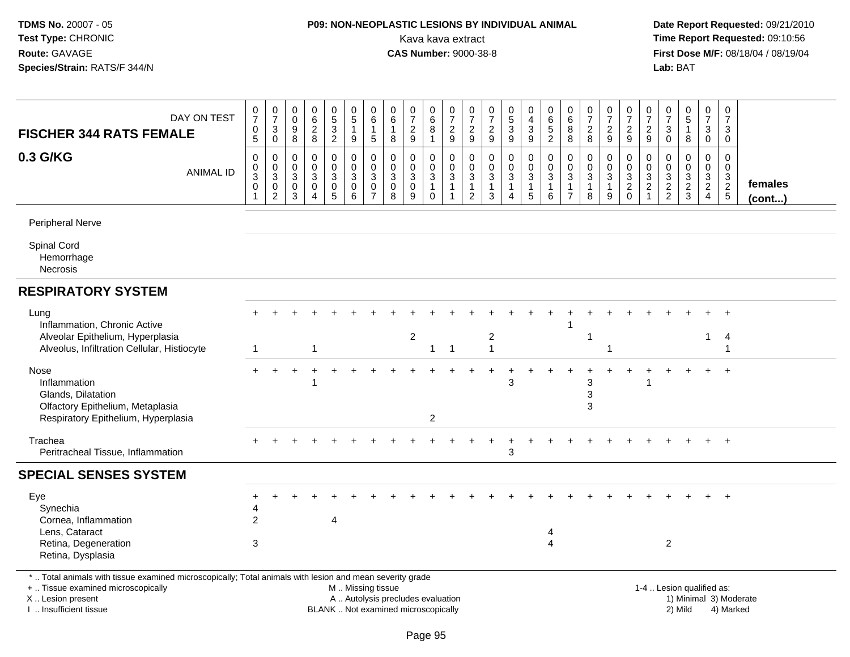# **P09: NON-NEOPLASTIC LESIONS BY INDIVIDUAL ANIMAL**Kava kava extract **Time Report Requested:** 09:10:56<br>**CAS Number:** 9000-38-8 **CAS Number:** 9000-38-8

| DAY ON TEST<br><b>FISCHER 344 RATS FEMALE</b>                                                                                                                                                | 0<br>$\overline{7}$<br>$\begin{array}{c} 0 \\ 5 \end{array}$ | $\frac{0}{7}$<br>$\sqrt{3}$<br>$\mathbf 0$        | $\pmb{0}$<br>$\boldsymbol{0}$<br>$9\,$<br>8           | $\pmb{0}$<br>$\,6\,$<br>$\overline{c}$<br>8                      | $\begin{array}{c} 0 \\ 5 \end{array}$<br>$\overline{3}$<br>$\boldsymbol{2}$ | 0<br>$5\phantom{.0}$<br>$\mathbf{1}$<br>9                         | 0<br>6<br>$\mathbf{1}$<br>5                  | 0<br>6<br>$\mathbf{1}$<br>8                    | $\pmb{0}$<br>$\overline{7}$<br>$\overline{c}$<br>$\boldsymbol{9}$                 | $\boldsymbol{0}$<br>6<br>8<br>$\mathbf{1}$                                   | $\pmb{0}$<br>$\overline{7}$<br>$\frac{2}{9}$                                 | 0<br>$\overline{7}$<br>$\overline{c}$<br>$9\,$          | 0<br>$\overline{7}$<br>$\overline{\mathbf{c}}$<br>$9\,$ | $\begin{array}{c} 0 \\ 5 \end{array}$<br>$\overline{3}$<br>9 | $\pmb{0}$<br>$\overline{4}$<br>$\ensuremath{\mathsf{3}}$<br>$9\,$          | $\pmb{0}$<br>$\,6\,$<br>$\overline{5}$<br>$\overline{c}$         | 0<br>$\,6\,$<br>8<br>8                                            | $\pmb{0}$<br>$\overline{7}$<br>$\overline{c}$<br>8                           | 0<br>$\overline{7}$<br>$\overline{c}$<br>9 | $\pmb{0}$<br>$\overline{7}$<br>$\overline{c}$<br>$9\,$ | 0<br>$\overline{7}$<br>$\overline{2}$<br>$\boldsymbol{9}$ | 0<br>$\overline{7}$<br>3<br>$\mathsf 0$ | $\begin{matrix} 0 \\ 5 \end{matrix}$<br>$\mathbf{1}$<br>8      | 0<br>$\overline{7}$<br>3<br>$\mathbf 0$                              | $\boldsymbol{0}$<br>$\overline{7}$<br>3<br>$\mathbf 0$ |                         |
|----------------------------------------------------------------------------------------------------------------------------------------------------------------------------------------------|--------------------------------------------------------------|---------------------------------------------------|-------------------------------------------------------|------------------------------------------------------------------|-----------------------------------------------------------------------------|-------------------------------------------------------------------|----------------------------------------------|------------------------------------------------|-----------------------------------------------------------------------------------|------------------------------------------------------------------------------|------------------------------------------------------------------------------|---------------------------------------------------------|---------------------------------------------------------|--------------------------------------------------------------|----------------------------------------------------------------------------|------------------------------------------------------------------|-------------------------------------------------------------------|------------------------------------------------------------------------------|--------------------------------------------|--------------------------------------------------------|-----------------------------------------------------------|-----------------------------------------|----------------------------------------------------------------|----------------------------------------------------------------------|--------------------------------------------------------|-------------------------|
| 0.3 G/KG<br><b>ANIMAL ID</b>                                                                                                                                                                 | $\pmb{0}$<br>$\frac{0}{3}$<br>$\mathbf 0$<br>$\overline{1}$  | 0<br>$\frac{0}{3}$<br>$\pmb{0}$<br>$\overline{c}$ | 0<br>$\boldsymbol{0}$<br>$\sqrt{3}$<br>$_{3}^{\rm 0}$ | $\mathbf 0$<br>$\mathbf 0$<br>3<br>$\mathbf 0$<br>$\overline{4}$ | 0<br>$\pmb{0}$<br>3<br>$\pmb{0}$<br>5                                       | 0<br>$\mathsf 0$<br>$\ensuremath{\mathsf{3}}$<br>$\mathbf 0$<br>6 | 0<br>0<br>3<br>$\mathbf 0$<br>$\overline{7}$ | 0<br>$\mathbf 0$<br>3<br>$\mathbf 0$<br>$\bf8$ | $\mathbf 0$<br>$\mathsf{O}\xspace$<br>$\ensuremath{\mathsf{3}}$<br>$\pmb{0}$<br>9 | 0<br>$\mathbf 0$<br>$\ensuremath{\mathsf{3}}$<br>$\mathbf{1}$<br>$\mathbf 0$ | $\mathbf 0$<br>$\mathbf 0$<br>$\sqrt{3}$<br>$\overline{1}$<br>$\overline{1}$ | 0<br>$\mathbf 0$<br>3<br>$\mathbf{1}$<br>$\overline{2}$ | $\mathbf 0$<br>$\mathbf 0$<br>3<br>$\mathbf{1}$<br>3    | 0<br>$\mathbf 0$<br>3<br>$\mathbf{1}$<br>$\overline{4}$      | 0<br>$\mathsf{O}\xspace$<br>$\mathbf{3}$<br>$\mathbf{1}$<br>$\overline{5}$ | 0<br>$\pmb{0}$<br>$\ensuremath{\mathsf{3}}$<br>$\mathbf{1}$<br>6 | $\mathbf 0$<br>$\mathbf 0$<br>3<br>$\mathbf{1}$<br>$\overline{7}$ | $\mathbf 0$<br>$\mathbf 0$<br>$\ensuremath{\mathsf{3}}$<br>$\mathbf{1}$<br>8 | 0<br>$\mathbf 0$<br>3<br>$\mathbf{1}$<br>9 | 0<br>$\boldsymbol{0}$<br>$\sqrt{3}$<br>$\frac{2}{0}$   | 0<br>$\mathbf 0$<br>3<br>$\overline{c}$<br>$\mathbf{1}$   | 0<br>$\mathbf 0$<br>3<br>$\frac{2}{2}$  | 0<br>$\mathsf 0$<br>$\ensuremath{\mathsf{3}}$<br>$\frac{2}{3}$ | 0<br>$\mathbf 0$<br>$\mathbf{3}$<br>$\overline{2}$<br>$\overline{4}$ | $\mathbf 0$<br>$\mathbf 0$<br>$\frac{3}{2}$            | females<br>$($ cont $)$ |
| Peripheral Nerve                                                                                                                                                                             |                                                              |                                                   |                                                       |                                                                  |                                                                             |                                                                   |                                              |                                                |                                                                                   |                                                                              |                                                                              |                                                         |                                                         |                                                              |                                                                            |                                                                  |                                                                   |                                                                              |                                            |                                                        |                                                           |                                         |                                                                |                                                                      |                                                        |                         |
| Spinal Cord<br>Hemorrhage<br>Necrosis                                                                                                                                                        |                                                              |                                                   |                                                       |                                                                  |                                                                             |                                                                   |                                              |                                                |                                                                                   |                                                                              |                                                                              |                                                         |                                                         |                                                              |                                                                            |                                                                  |                                                                   |                                                                              |                                            |                                                        |                                                           |                                         |                                                                |                                                                      |                                                        |                         |
| <b>RESPIRATORY SYSTEM</b>                                                                                                                                                                    |                                                              |                                                   |                                                       |                                                                  |                                                                             |                                                                   |                                              |                                                |                                                                                   |                                                                              |                                                                              |                                                         |                                                         |                                                              |                                                                            |                                                                  |                                                                   |                                                                              |                                            |                                                        |                                                           |                                         |                                                                |                                                                      |                                                        |                         |
| Lung<br>Inflammation, Chronic Active                                                                                                                                                         |                                                              |                                                   |                                                       |                                                                  |                                                                             |                                                                   |                                              |                                                |                                                                                   |                                                                              |                                                                              |                                                         |                                                         |                                                              |                                                                            |                                                                  |                                                                   |                                                                              |                                            |                                                        |                                                           |                                         |                                                                |                                                                      |                                                        |                         |
| Alveolar Epithelium, Hyperplasia<br>Alveolus, Infiltration Cellular, Histiocyte                                                                                                              | 1                                                            |                                                   |                                                       | -1                                                               |                                                                             |                                                                   |                                              |                                                | $\overline{2}$                                                                    | $\mathbf{1}$                                                                 | $\overline{\mathbf{1}}$                                                      |                                                         | 2<br>-1                                                 |                                                              |                                                                            |                                                                  |                                                                   | 1                                                                            |                                            |                                                        |                                                           |                                         |                                                                |                                                                      | 4<br>-1                                                |                         |
| Nose<br>Inflammation<br>Glands, Dilatation<br>Olfactory Epithelium, Metaplasia<br>Respiratory Epithelium, Hyperplasia                                                                        | $+$                                                          |                                                   |                                                       |                                                                  |                                                                             |                                                                   |                                              |                                                |                                                                                   | $\overline{2}$                                                               |                                                                              |                                                         |                                                         | 3                                                            |                                                                            |                                                                  |                                                                   | 3<br>3<br>3                                                                  |                                            |                                                        |                                                           |                                         |                                                                |                                                                      |                                                        |                         |
| Trachea<br>Peritracheal Tissue, Inflammation                                                                                                                                                 |                                                              |                                                   |                                                       |                                                                  |                                                                             |                                                                   |                                              |                                                |                                                                                   |                                                                              |                                                                              |                                                         |                                                         | 3                                                            |                                                                            |                                                                  |                                                                   |                                                                              |                                            |                                                        |                                                           |                                         |                                                                |                                                                      | $+$                                                    |                         |
| <b>SPECIAL SENSES SYSTEM</b>                                                                                                                                                                 |                                                              |                                                   |                                                       |                                                                  |                                                                             |                                                                   |                                              |                                                |                                                                                   |                                                                              |                                                                              |                                                         |                                                         |                                                              |                                                                            |                                                                  |                                                                   |                                                                              |                                            |                                                        |                                                           |                                         |                                                                |                                                                      |                                                        |                         |
| Eye<br>Synechia<br>Cornea, Inflammation                                                                                                                                                      | 2                                                            |                                                   |                                                       |                                                                  | 4                                                                           |                                                                   |                                              |                                                |                                                                                   |                                                                              |                                                                              |                                                         |                                                         |                                                              |                                                                            |                                                                  |                                                                   |                                                                              |                                            |                                                        |                                                           |                                         |                                                                |                                                                      | $+$                                                    |                         |
| Lens, Cataract<br>Retina, Degeneration<br>Retina, Dysplasia                                                                                                                                  | 3                                                            |                                                   |                                                       |                                                                  |                                                                             |                                                                   |                                              |                                                |                                                                                   |                                                                              |                                                                              |                                                         |                                                         |                                                              |                                                                            | 4<br>$\overline{4}$                                              |                                                                   |                                                                              |                                            |                                                        |                                                           | $\overline{2}$                          |                                                                |                                                                      |                                                        |                         |
| *  Total animals with tissue examined microscopically; Total animals with lesion and mean severity grade<br>+  Tissue examined microscopically<br>X Lesion present<br>I  Insufficient tissue |                                                              |                                                   |                                                       |                                                                  |                                                                             | M  Missing tissue                                                 |                                              |                                                | A  Autolysis precludes evaluation<br>BLANK  Not examined microscopically          |                                                                              |                                                                              |                                                         |                                                         |                                                              |                                                                            |                                                                  |                                                                   |                                                                              |                                            |                                                        |                                                           |                                         | 1-4  Lesion qualified as:<br>2) Mild                           |                                                                      | 4) Marked                                              | 1) Minimal 3) Moderate  |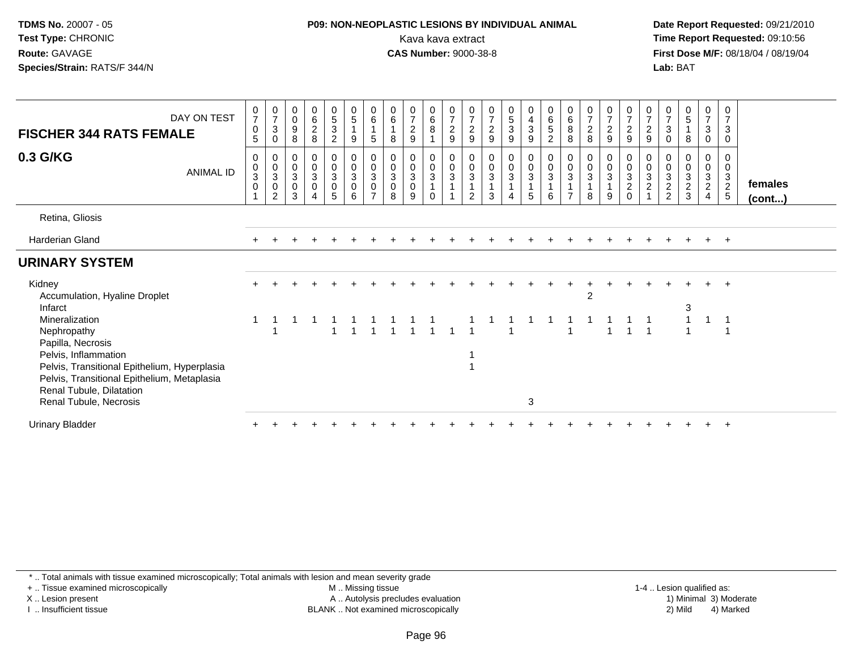# **P09: NON-NEOPLASTIC LESIONS BY INDIVIDUAL ANIMAL**Kava kava extract **Time Report Requested:** 09:10:56<br>**CAS Number:** 9000-38-8<br>**Tirst Dose M/F:** 08/18/04 / 08/19/04

 **Date Report Requested:** 09/21/2010 **First Dose M/F:** 08/18/04 / 08/19/04 Lab: BAT **Lab:** BAT

| <b>FISCHER 344 RATS FEMALE</b><br>0.3 G/KG                                                                                               | DAY ON TEST<br>ANIMAL ID | $\frac{0}{7}$<br>$\mathbf 0$<br>$5\,$<br>0<br>$\begin{bmatrix} 0 \\ 3 \\ 0 \end{bmatrix}$ | $\frac{0}{7}$<br>$\sqrt{3}$<br>0<br>0<br>$_{3}^{\rm 0}$ | $\mathbf 0$<br>$\pmb{0}$<br>$\boldsymbol{9}$<br>8<br>0<br>$\mathbf 0$<br>$\sqrt{3}$ | 0628<br>$\mathbf 0$<br>$\frac{0}{3}$ | $\begin{array}{c} 0 \\ 5 \\ 3 \end{array}$<br>$\overline{2}$<br>$\mathbf 0$<br>$\begin{bmatrix} 0 \\ 3 \\ 0 \end{bmatrix}$ | $\begin{array}{c} 0 \\ 5 \end{array}$<br>9<br>0<br>$\begin{bmatrix} 0 \\ 3 \\ 0 \end{bmatrix}$ | $\begin{array}{c} 0 \\ 6 \end{array}$<br>$\sqrt{5}$<br>$\mathbf 0$<br>$\begin{matrix} 0 \\ 3 \\ 0 \end{matrix}$ | $\begin{array}{c} 0 \\ 6 \end{array}$<br>8<br>0<br>0<br>$\sqrt{3}$                       | $\frac{0}{7}$<br>$\overline{2}$<br>$9\,$<br>0<br>$\pmb{0}$<br>$\mathbf{3}$ | $\begin{array}{c} 0 \\ 6 \\ 8 \end{array}$<br>0<br>$\boldsymbol{0}$<br>$\mathbf{3}$ | 0729<br>0<br>$\overline{0}$<br>3 | $\frac{0}{7}$<br>$\frac{2}{9}$<br>0<br>$\frac{0}{3}$ | $\frac{0}{7}$<br>$\frac{2}{9}$<br>0<br>0<br>3 | 0<br>5<br>3<br>9<br>$\begin{matrix} 0 \\ 0 \\ 3 \\ 1 \end{matrix}$ | $\begin{array}{c} 0 \\ 4 \\ 3 \end{array}$<br>$\boldsymbol{9}$<br>0<br>$\frac{0}{3}$ | $\begin{matrix} 0 \\ 6 \\ 5 \end{matrix}$<br>$\overline{c}$<br>0<br>$\boldsymbol{0}$<br>$\sqrt{3}$ | $\begin{matrix}0\\6\\8\end{matrix}$<br>8<br>0<br>$\pmb{0}$<br>$\mathbf{3}$ | $\frac{0}{7}$<br>8<br>$\pmb{0}$<br>$\sqrt{3}$ | $\frac{0}{7}$<br>$\overline{2}$<br>$\boldsymbol{9}$<br>$\pmb{0}$<br>$\sqrt{3}$ | $\begin{smallmatrix}0\\7\end{smallmatrix}$<br>$\sqrt{2}$<br>$\boldsymbol{9}$<br>0<br>$\mathsf{O}\xspace$<br>$\mathsf 3$ | $\frac{0}{7}$<br>$\frac{2}{9}$<br>0<br>$\mathbf 0$<br>$\frac{3}{2}$ | $\frac{0}{7}$<br>$\sqrt{3}$<br>0<br>0<br>$\pmb{0}$<br>$\sqrt{3}$ | $\begin{array}{c} 0 \\ 5 \end{array}$<br>$\mathbf{1}$<br>8<br>0<br>$\pmb{0}$<br>$\mathbf{3}$ | $\frac{0}{7}$<br>3<br>0<br>0<br>0<br>$\frac{3}{2}$ | $\boldsymbol{0}$<br>$\overline{7}$<br>$\mathbf{3}$<br>$\pmb{0}$<br>0<br>$\mathsf 0$<br>$\frac{3}{2}$ | females |
|------------------------------------------------------------------------------------------------------------------------------------------|--------------------------|-------------------------------------------------------------------------------------------|---------------------------------------------------------|-------------------------------------------------------------------------------------|--------------------------------------|----------------------------------------------------------------------------------------------------------------------------|------------------------------------------------------------------------------------------------|-----------------------------------------------------------------------------------------------------------------|------------------------------------------------------------------------------------------|----------------------------------------------------------------------------|-------------------------------------------------------------------------------------|----------------------------------|------------------------------------------------------|-----------------------------------------------|--------------------------------------------------------------------|--------------------------------------------------------------------------------------|----------------------------------------------------------------------------------------------------|----------------------------------------------------------------------------|-----------------------------------------------|--------------------------------------------------------------------------------|-------------------------------------------------------------------------------------------------------------------------|---------------------------------------------------------------------|------------------------------------------------------------------|----------------------------------------------------------------------------------------------|----------------------------------------------------|------------------------------------------------------------------------------------------------------|---------|
|                                                                                                                                          |                          |                                                                                           | $\overline{0}$<br>2                                     | $\pmb{0}$<br>3                                                                      | $\boldsymbol{\Lambda}$               | 5                                                                                                                          | 6                                                                                              | $\overline{7}$                                                                                                  | $\mathsf{O}\xspace$<br>8                                                                 | $\pmb{0}$<br>9                                                             | $\Omega$                                                                            |                                  | $\mathbf{1}$<br>$\overline{2}$                       | 3                                             | $\overline{4}$                                                     | $\mathbf{1}$<br>5                                                                    | 1<br>6                                                                                             | $\overline{7}$                                                             | $\mathbf{1}$<br>8                             | 9                                                                              | $\overline{2}$<br>$\Omega$                                                                                              |                                                                     | $\overline{2}$<br>$\overline{2}$                                 | $\overline{2}$<br>3                                                                          | $\overline{4}$                                     | $\sqrt{5}$                                                                                           | (cont)  |
| Retina, Gliosis                                                                                                                          |                          |                                                                                           |                                                         |                                                                                     |                                      |                                                                                                                            |                                                                                                |                                                                                                                 |                                                                                          |                                                                            |                                                                                     |                                  |                                                      |                                               |                                                                    |                                                                                      |                                                                                                    |                                                                            |                                               |                                                                                |                                                                                                                         |                                                                     |                                                                  |                                                                                              |                                                    |                                                                                                      |         |
| Harderian Gland                                                                                                                          |                          |                                                                                           |                                                         |                                                                                     |                                      |                                                                                                                            |                                                                                                |                                                                                                                 |                                                                                          |                                                                            |                                                                                     |                                  |                                                      |                                               |                                                                    |                                                                                      |                                                                                                    |                                                                            |                                               |                                                                                |                                                                                                                         |                                                                     |                                                                  |                                                                                              | $+$                                                | $+$                                                                                                  |         |
| <b>URINARY SYSTEM</b>                                                                                                                    |                          |                                                                                           |                                                         |                                                                                     |                                      |                                                                                                                            |                                                                                                |                                                                                                                 |                                                                                          |                                                                            |                                                                                     |                                  |                                                      |                                               |                                                                    |                                                                                      |                                                                                                    |                                                                            |                                               |                                                                                |                                                                                                                         |                                                                     |                                                                  |                                                                                              |                                                    |                                                                                                      |         |
| Kidney<br>Accumulation, Hyaline Droplet                                                                                                  |                          |                                                                                           |                                                         |                                                                                     |                                      |                                                                                                                            |                                                                                                |                                                                                                                 |                                                                                          |                                                                            |                                                                                     |                                  |                                                      |                                               |                                                                    |                                                                                      |                                                                                                    |                                                                            | $\overline{2}$                                |                                                                                |                                                                                                                         |                                                                     |                                                                  |                                                                                              |                                                    |                                                                                                      |         |
| Infarct<br>Mineralization<br>Nephropathy                                                                                                 |                          |                                                                                           |                                                         |                                                                                     |                                      |                                                                                                                            |                                                                                                |                                                                                                                 | $\begin{array}{cccccccc} 1 & 1 & 1 & 1 & 1 & 1 \\ 1 & 1 & 1 & 1 & 1 & 1 & 1 \end{array}$ |                                                                            |                                                                                     |                                  |                                                      | $\begin{array}{cc} 1 & 1 \\ & 1 \end{array}$  |                                                                    |                                                                                      |                                                                                                    |                                                                            |                                               |                                                                                |                                                                                                                         |                                                                     |                                                                  | 3                                                                                            |                                                    |                                                                                                      |         |
| Papilla, Necrosis<br>Pelvis, Inflammation<br>Pelvis, Transitional Epithelium, Hyperplasia<br>Pelvis, Transitional Epithelium, Metaplasia |                          |                                                                                           |                                                         |                                                                                     |                                      |                                                                                                                            |                                                                                                |                                                                                                                 |                                                                                          |                                                                            |                                                                                     |                                  |                                                      |                                               |                                                                    |                                                                                      |                                                                                                    |                                                                            |                                               |                                                                                |                                                                                                                         |                                                                     |                                                                  |                                                                                              |                                                    |                                                                                                      |         |
| Renal Tubule, Dilatation<br>Renal Tubule, Necrosis                                                                                       |                          |                                                                                           |                                                         |                                                                                     |                                      |                                                                                                                            |                                                                                                |                                                                                                                 |                                                                                          |                                                                            |                                                                                     |                                  |                                                      |                                               |                                                                    | 3                                                                                    |                                                                                                    |                                                                            |                                               |                                                                                |                                                                                                                         |                                                                     |                                                                  |                                                                                              |                                                    |                                                                                                      |         |
| <b>Urinary Bladder</b>                                                                                                                   |                          |                                                                                           |                                                         |                                                                                     |                                      |                                                                                                                            |                                                                                                |                                                                                                                 |                                                                                          |                                                                            |                                                                                     |                                  |                                                      |                                               |                                                                    |                                                                                      |                                                                                                    |                                                                            |                                               |                                                                                |                                                                                                                         |                                                                     |                                                                  |                                                                                              |                                                    |                                                                                                      |         |

\* .. Total animals with tissue examined microscopically; Total animals with lesion and mean severity grade

+ .. Tissue examined microscopically

X .. Lesion present

I .. Insufficient tissue

M .. Missing tissue

Lesion present A .. Autolysis precludes evaluation 1) Minimal 3) Moderate

 1-4 .. Lesion qualified as: BLANK .. Not examined microscopically 2) Mild 4) Marked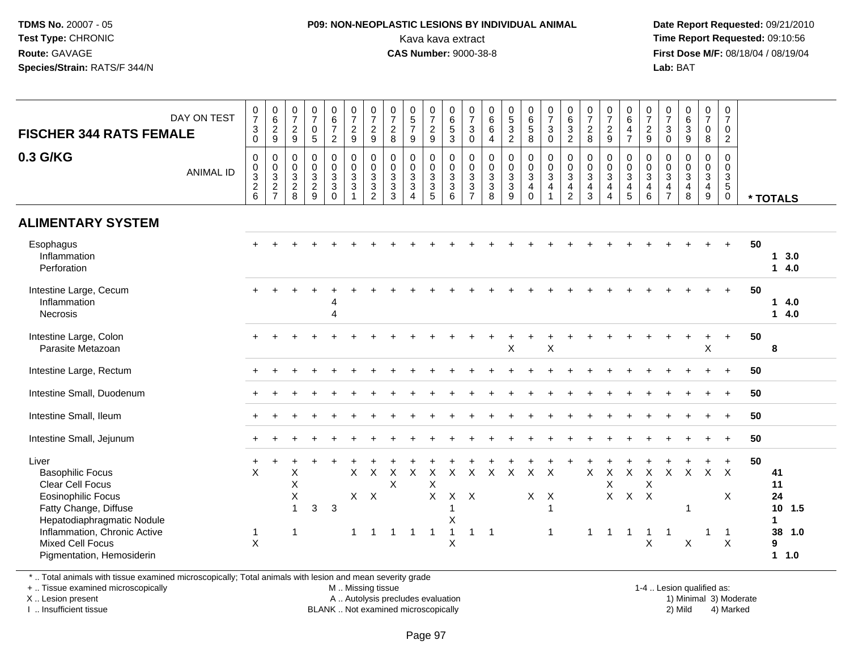#### **P09: NON-NEOPLASTIC LESIONS BY INDIVIDUAL ANIMAL**Kava kava extract **Time Report Requested:** 09:10:56<br>**CAS Number:** 9000-38-8<br>**Tirst Dose M/F:** 08/18/04 / 08/19/04

 **Date Report Requested:** 09/21/2010 **First Dose M/F:** 08/18/04 / 08/19/04 Lab: BAT **Lab:** BAT

| <b>FISCHER 344 RATS FEMALE</b><br>0.3 G/KG<br><b>ALIMENTARY SYSTEM</b>                                                                                                                                                                  | DAY ON TEST<br><b>ANIMAL ID</b> | $\frac{0}{7}$<br>$\overline{3}$<br>$\mathsf{O}\xspace$<br>$\pmb{0}$<br>$\frac{0}{2}$ 8 | 0629<br>$\mathsf{O}\xspace$<br>$\begin{array}{c} 0 \\ 3 \\ 2 \\ 7 \end{array}$ | $\frac{0}{7}$<br>9<br>$\mathbf 0$<br>$\mathbf 0$<br>$\frac{3}{2}$<br>8 | $\frac{0}{7}$<br>$\mathbf 0$<br>$\overline{5}$<br>$\mathbf 0$<br>$\mathbf 0$<br>$\frac{3}{2}$<br>9 | $\begin{array}{c} 0 \\ 6 \\ 7 \end{array}$<br>$\overline{2}$<br>$\boldsymbol{0}$<br>$\mathbf 0$<br>3<br>3<br>$\mathbf 0$ | $\frac{0}{7}$<br>9<br>$\begin{matrix}0\\0\\3\\3\end{matrix}$<br>$\mathbf{1}$ | $\frac{0}{7}$<br>$\frac{2}{9}$<br>$\pmb{0}$<br>$\mathsf{O}\xspace$<br>$\overline{3}$<br>3<br>$\overline{2}$ | $\frac{0}{7}$<br>$\sqrt{2}$<br>8<br>$\mathsf{O}\xspace$<br>0<br>$\frac{3}{3}$<br>3 | $\begin{array}{c} 0 \\ 5 \\ 7 \end{array}$<br>9<br>$\mathsf{O}\xspace$<br>$\ddot{\mathbf{0}}$<br>$\frac{3}{3}$<br>$\boldsymbol{\Lambda}$ | 0729<br>$\boldsymbol{0}$<br>$\mathsf{O}\xspace$<br>$\frac{3}{3}$<br>$\overline{5}$ | $\begin{array}{c} 0 \\ 6 \end{array}$<br>$\overline{5}$<br>$\mathbf{3}$<br>$\pmb{0}$<br>$\mathbf 0$<br>$\frac{3}{3}$<br>6 | $\frac{0}{7}$<br>$\sqrt{3}$<br>$\boldsymbol{0}$<br>$\pmb{0}$<br>$\mathbf 0$<br>$\ensuremath{\mathsf{3}}$<br>$\sqrt{3}$<br>$\overline{7}$ | $\begin{array}{c} 0 \\ 6 \\ 6 \end{array}$<br>$\overline{4}$<br>$\mathsf{O}\xspace$<br>$\ddot{\mathbf{0}}$<br>$\frac{3}{3}$<br>8 | $\begin{array}{c} 0 \\ 5 \\ 3 \end{array}$<br>$\overline{a}$<br>$\mathsf{O}\xspace$<br>$\mathbf 0$<br>$\frac{3}{3}$<br>9 | 0<br>6<br>5<br>8<br>$\begin{matrix} 0 \\ 0 \\ 3 \\ 4 \end{matrix}$<br>$\mathbf 0$ | $\frac{0}{7}$<br>$\mathfrak{Z}$<br>$\mathsf{O}\xspace$<br>$_{\rm 0}^{\rm 0}$<br>$\overline{3}$<br>4 | $063$<br>2<br>$\pmb{0}$<br>$\frac{0}{3}$<br>$\overline{\mathbf{4}}$<br>$\overline{c}$ | $\frac{0}{7}$<br>$\frac{2}{8}$<br>$\pmb{0}$<br>$\mathbf 0$<br>$\overline{3}$<br>$\overline{4}$<br>3 | $\frac{0}{7}$<br>$\frac{2}{9}$<br>0<br>$\mathbf 0$<br>$\overline{3}$<br>4<br>$\overline{\mathbf{4}}$ | 0<br>$6\phantom{a}$<br>$\overline{4}$<br>$\overline{7}$<br>$\pmb{0}$<br>$\overline{0}$<br>$\overline{3}$<br>4<br>$\overline{5}$ | 0729<br>$\mathbf 0$<br>$_{3}^{\rm 0}$<br>4<br>6     | $\frac{0}{7}$<br>$\mathbf{3}$<br>$\mathsf{O}\xspace$<br>$\pmb{0}$<br>$\mathbf 0$<br>$\overline{3}$<br>$\overline{4}$<br>$\overline{7}$ | $\begin{matrix} 0 \\ 6 \\ 3 \end{matrix}$<br>$\boldsymbol{9}$<br>$\pmb{0}$<br>$\ddot{\mathbf{0}}$<br>$\overline{3}$<br>$\overline{\mathbf{4}}$<br>8 | $\begin{smallmatrix}0\\7\end{smallmatrix}$<br>$\mathbf 0$<br>$\bf 8$<br>$\mathbf 0$<br>$\mathbf 0$<br>$\overline{3}$<br>$\overline{4}$<br>9 | 0<br>$\overline{7}$<br>$\mathbf 0$<br>$\overline{2}$<br>0<br>$\mathbf 0$<br>$\mathbf{3}$<br>$5\phantom{.0}$<br>$\overline{0}$ |    | * TOTALS                                                                             |
|-----------------------------------------------------------------------------------------------------------------------------------------------------------------------------------------------------------------------------------------|---------------------------------|----------------------------------------------------------------------------------------|--------------------------------------------------------------------------------|------------------------------------------------------------------------|----------------------------------------------------------------------------------------------------|--------------------------------------------------------------------------------------------------------------------------|------------------------------------------------------------------------------|-------------------------------------------------------------------------------------------------------------|------------------------------------------------------------------------------------|------------------------------------------------------------------------------------------------------------------------------------------|------------------------------------------------------------------------------------|---------------------------------------------------------------------------------------------------------------------------|------------------------------------------------------------------------------------------------------------------------------------------|----------------------------------------------------------------------------------------------------------------------------------|--------------------------------------------------------------------------------------------------------------------------|-----------------------------------------------------------------------------------|-----------------------------------------------------------------------------------------------------|---------------------------------------------------------------------------------------|-----------------------------------------------------------------------------------------------------|------------------------------------------------------------------------------------------------------|---------------------------------------------------------------------------------------------------------------------------------|-----------------------------------------------------|----------------------------------------------------------------------------------------------------------------------------------------|-----------------------------------------------------------------------------------------------------------------------------------------------------|---------------------------------------------------------------------------------------------------------------------------------------------|-------------------------------------------------------------------------------------------------------------------------------|----|--------------------------------------------------------------------------------------|
| Esophagus<br>Inflammation<br>Perforation                                                                                                                                                                                                |                                 |                                                                                        |                                                                                |                                                                        |                                                                                                    |                                                                                                                          |                                                                              |                                                                                                             |                                                                                    |                                                                                                                                          |                                                                                    |                                                                                                                           |                                                                                                                                          |                                                                                                                                  |                                                                                                                          |                                                                                   |                                                                                                     |                                                                                       |                                                                                                     |                                                                                                      |                                                                                                                                 |                                                     |                                                                                                                                        |                                                                                                                                                     |                                                                                                                                             | $+$                                                                                                                           | 50 | 13.0<br>14.0                                                                         |
| Intestine Large, Cecum<br>Inflammation<br><b>Necrosis</b>                                                                                                                                                                               |                                 |                                                                                        |                                                                                |                                                                        |                                                                                                    | 4<br>4                                                                                                                   |                                                                              |                                                                                                             |                                                                                    |                                                                                                                                          |                                                                                    |                                                                                                                           |                                                                                                                                          |                                                                                                                                  |                                                                                                                          |                                                                                   |                                                                                                     |                                                                                       |                                                                                                     |                                                                                                      |                                                                                                                                 |                                                     |                                                                                                                                        |                                                                                                                                                     |                                                                                                                                             | $+$                                                                                                                           | 50 | 14.0<br>14.0                                                                         |
| Intestine Large, Colon<br>Parasite Metazoan                                                                                                                                                                                             |                                 |                                                                                        |                                                                                |                                                                        |                                                                                                    |                                                                                                                          |                                                                              |                                                                                                             |                                                                                    |                                                                                                                                          |                                                                                    |                                                                                                                           |                                                                                                                                          |                                                                                                                                  | X                                                                                                                        |                                                                                   | $\sf X$                                                                                             |                                                                                       |                                                                                                     |                                                                                                      |                                                                                                                                 |                                                     |                                                                                                                                        |                                                                                                                                                     | $\pmb{\times}$                                                                                                                              |                                                                                                                               | 50 | 8                                                                                    |
| Intestine Large, Rectum                                                                                                                                                                                                                 |                                 |                                                                                        |                                                                                |                                                                        |                                                                                                    |                                                                                                                          |                                                                              |                                                                                                             |                                                                                    |                                                                                                                                          |                                                                                    |                                                                                                                           |                                                                                                                                          |                                                                                                                                  |                                                                                                                          |                                                                                   |                                                                                                     |                                                                                       |                                                                                                     |                                                                                                      |                                                                                                                                 |                                                     |                                                                                                                                        |                                                                                                                                                     |                                                                                                                                             | $+$                                                                                                                           | 50 |                                                                                      |
| Intestine Small, Duodenum                                                                                                                                                                                                               |                                 |                                                                                        |                                                                                |                                                                        |                                                                                                    |                                                                                                                          |                                                                              |                                                                                                             |                                                                                    |                                                                                                                                          |                                                                                    |                                                                                                                           |                                                                                                                                          |                                                                                                                                  |                                                                                                                          |                                                                                   |                                                                                                     |                                                                                       |                                                                                                     |                                                                                                      |                                                                                                                                 |                                                     |                                                                                                                                        |                                                                                                                                                     |                                                                                                                                             | $+$                                                                                                                           | 50 |                                                                                      |
| Intestine Small, Ileum                                                                                                                                                                                                                  |                                 |                                                                                        |                                                                                |                                                                        |                                                                                                    |                                                                                                                          |                                                                              |                                                                                                             |                                                                                    |                                                                                                                                          |                                                                                    |                                                                                                                           |                                                                                                                                          |                                                                                                                                  |                                                                                                                          |                                                                                   |                                                                                                     |                                                                                       |                                                                                                     |                                                                                                      |                                                                                                                                 |                                                     |                                                                                                                                        |                                                                                                                                                     |                                                                                                                                             | $\ddot{}$                                                                                                                     | 50 |                                                                                      |
| Intestine Small, Jejunum                                                                                                                                                                                                                |                                 |                                                                                        |                                                                                |                                                                        |                                                                                                    |                                                                                                                          |                                                                              |                                                                                                             |                                                                                    |                                                                                                                                          |                                                                                    |                                                                                                                           |                                                                                                                                          |                                                                                                                                  |                                                                                                                          |                                                                                   |                                                                                                     |                                                                                       |                                                                                                     |                                                                                                      |                                                                                                                                 |                                                     |                                                                                                                                        |                                                                                                                                                     |                                                                                                                                             | $+$                                                                                                                           | 50 |                                                                                      |
| Liver<br><b>Basophilic Focus</b><br><b>Clear Cell Focus</b><br><b>Eosinophilic Focus</b><br>Fatty Change, Diffuse<br>Hepatodiaphragmatic Nodule<br>Inflammation, Chronic Active<br><b>Mixed Cell Focus</b><br>Pigmentation, Hemosiderin |                                 | X<br>$\mathbf{1}$<br>X                                                                 |                                                                                | X<br>Χ<br>X<br>$\overline{1}$<br>-1                                    | $\mathbf{3}$                                                                                       | $\mathbf{3}$                                                                                                             | $\mathsf{X}$<br>1                                                            | $\times$<br>$X$ $X$<br>1                                                                                    | X<br>$\sf X$<br>-1                                                                 | $\pmb{\times}$<br>-1                                                                                                                     | $\mathsf X$<br>X<br>$\mathsf{X}$<br>-1                                             | $\sf X$<br>$X$ $X$<br>1<br>X<br>$\overline{1}$<br>$\sf X$                                                                 | $\sf X$<br>1                                                                                                                             | $\mathsf{X}$<br>$\overline{1}$                                                                                                   | $\boldsymbol{\mathsf{X}}$                                                                                                | $\mathsf X$                                                                       | $\mathsf{X}$<br>$X$ $X$<br>$\overline{1}$<br>$\mathbf{1}$                                           |                                                                                       | X<br>$\overline{1}$                                                                                 | $\pmb{\times}$<br>X<br>$\overline{1}$                                                                | $\mathsf X$<br>$X$ $X$ $X$<br>$\overline{1}$                                                                                    | $\boldsymbol{\mathsf{X}}$<br>X<br>$\mathbf{1}$<br>X | $\mathsf{X}$<br>$\mathbf{1}$                                                                                                           | $\boldsymbol{\mathsf{X}}$<br>$\overline{1}$<br>$\boldsymbol{\mathsf{X}}$                                                                            | 1                                                                                                                                           | $+$<br>$X$ $X$<br>X<br>-1<br>$\pmb{\times}$                                                                                   | 50 | 41<br>11<br>24<br>10 <sup>1</sup><br>1.5<br>$\mathbf 1$<br>38<br>1.0<br>9<br>$1 1.0$ |

\* .. Total animals with tissue examined microscopically; Total animals with lesion and mean severity grade

+ .. Tissue examined microscopically

X .. Lesion present

I .. Insufficient tissue

M .. Missing tissue

A .. Autolysis precludes evaluation

BLANK .. Not examined microscopically 2) Mild 4) Marked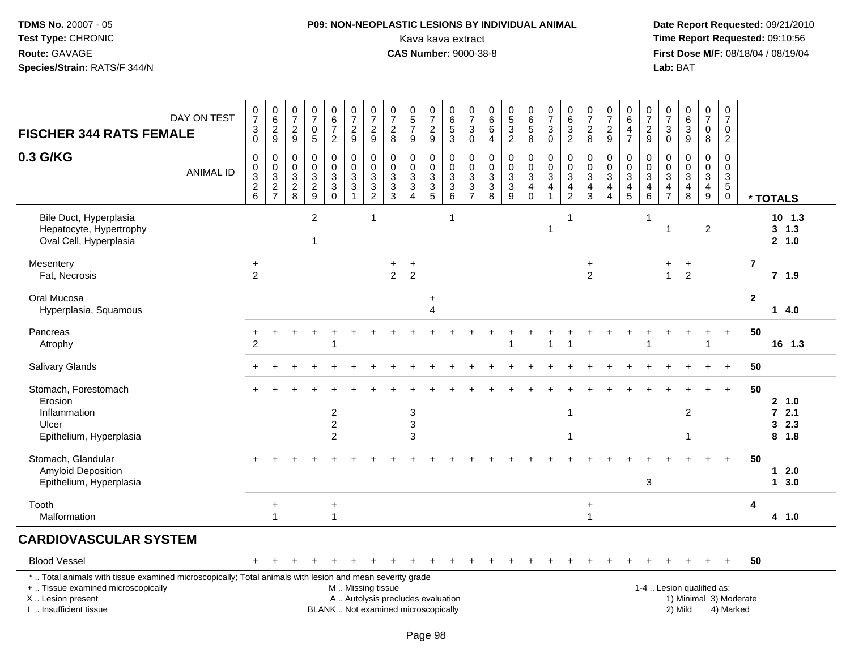# **P09: NON-NEOPLASTIC LESIONS BY INDIVIDUAL ANIMAL**Kava kava extract **Time Report Requested:** 09:10:56<br>**CAS Number:** 9000-38-8<br>**Tirst Dose M/F:** 08/18/04 / 08/19/04

 **Date Report Requested:** 09/21/2010 **First Dose M/F:** 08/18/04 / 08/19/04 Lab: BAT **Lab:** BAT

| <b>FISCHER 344 RATS FEMALE</b>                                                                                                                                      | DAY ON TEST      | $\frac{0}{7}$<br>$\ensuremath{\mathsf{3}}$<br>$\mathsf 0$      | $\begin{array}{c} 0 \\ 6 \end{array}$<br>$\frac{2}{9}$ | $\frac{0}{7}$<br>$\overline{2}$<br>9            | $\begin{smallmatrix}0\\7\end{smallmatrix}$<br>$\mathbf 0$<br>$\overline{5}$ | $\begin{array}{c} 0 \\ 6 \\ 7 \end{array}$<br>$\boldsymbol{2}$ | $\frac{0}{7}$<br>$\frac{2}{9}$                                                                     | $\frac{0}{7}$<br>$\overline{c}$<br>9 | $\frac{0}{7}$<br>$\overline{c}$<br>8            | $\begin{array}{c} 0 \\ 5 \\ 7 \end{array}$<br>9                               | $\frac{0}{7}$<br>$\frac{2}{9}$                                           | $\begin{array}{c} 0 \\ 6 \end{array}$<br>$\sqrt{5}$<br>$\mathbf{3}$ | $\frac{0}{7}$<br>$\mathbf{3}$<br>$\mathbf 0$                               | 0<br>$\,6\,$<br>$\,6\,$<br>$\overline{4}$                | $\begin{array}{c} 0 \\ 5 \end{array}$<br>$\overline{3}$<br>$\overline{2}$ | $\begin{array}{c} 0 \\ 6 \end{array}$<br>$\overline{5}$<br>8                          | $\frac{0}{7}$<br>$\ensuremath{\mathsf{3}}$<br>$\mathbf 0$               | $\begin{array}{c} 0 \\ 6 \end{array}$<br>$\ensuremath{\mathsf{3}}$<br>$\overline{c}$ | $\frac{0}{7}$<br>$\sqrt{2}$<br>8                                                          | $\frac{0}{7}$<br>$\boldsymbol{2}$<br>$9\,$                              | $\begin{array}{c} 0 \\ 6 \end{array}$<br>$\overline{\mathbf{4}}$<br>$\overline{7}$ | $\frac{0}{7}$<br>$\boldsymbol{2}$<br>$9\,$ | $\frac{0}{7}$<br>$\sqrt{3}$<br>$\mathbf 0$                                     | $\begin{array}{c} 0 \\ 6 \\ 3 \end{array}$<br>9       | $\begin{smallmatrix}0\\7\end{smallmatrix}$<br>$\mathbf 0$<br>8                                 | 0<br>$\overline{7}$<br>0<br>$\overline{2}$                        |                        |                                        |
|---------------------------------------------------------------------------------------------------------------------------------------------------------------------|------------------|----------------------------------------------------------------|--------------------------------------------------------|-------------------------------------------------|-----------------------------------------------------------------------------|----------------------------------------------------------------|----------------------------------------------------------------------------------------------------|--------------------------------------|-------------------------------------------------|-------------------------------------------------------------------------------|--------------------------------------------------------------------------|---------------------------------------------------------------------|----------------------------------------------------------------------------|----------------------------------------------------------|---------------------------------------------------------------------------|---------------------------------------------------------------------------------------|-------------------------------------------------------------------------|--------------------------------------------------------------------------------------|-------------------------------------------------------------------------------------------|-------------------------------------------------------------------------|------------------------------------------------------------------------------------|--------------------------------------------|--------------------------------------------------------------------------------|-------------------------------------------------------|------------------------------------------------------------------------------------------------|-------------------------------------------------------------------|------------------------|----------------------------------------|
| 0.3 G/KG                                                                                                                                                            | <b>ANIMAL ID</b> | $\mathbf 0$<br>0<br>$\ensuremath{\mathsf{3}}$<br>$\frac{2}{6}$ | 0<br>$\pmb{0}$<br>$\frac{3}{2}$                        | $\mathbf 0$<br>0<br>$\sqrt{3}$<br>$\frac{2}{8}$ | $\mathbf 0$<br>$\mathbf 0$<br>$\sqrt{3}$<br>$\frac{2}{9}$                   | $\mathbf 0$<br>$\pmb{0}$<br>3<br>$\frac{3}{0}$                 | $\mathbf 0$<br>$\pmb{0}$<br>$\ensuremath{\mathsf{3}}$<br>$\ensuremath{\mathsf{3}}$<br>$\mathbf{1}$ | 0<br>0<br>3<br>3<br>$\overline{2}$   | $\mathbf 0$<br>0<br>$\sqrt{3}$<br>$\frac{3}{3}$ | $\mathbf 0$<br>0<br>$\ensuremath{\mathsf{3}}$<br>$\sqrt{3}$<br>$\overline{4}$ | $\mathbf 0$<br>$\mathbf 0$<br>$\ensuremath{\mathsf{3}}$<br>$\frac{3}{5}$ | $\mathbf 0$<br>$\mathbf 0$<br>$\frac{3}{6}$                         | $\mathbf 0$<br>$\mathbf 0$<br>$\sqrt{3}$<br>$\mathbf{3}$<br>$\overline{7}$ | $\Omega$<br>$\mathbf 0$<br>$\sqrt{3}$<br>$\sqrt{3}$<br>8 | 0<br>0<br>$\ensuremath{\mathsf{3}}$<br>$\mathbf{3}$<br>9                  | $\mathbf 0$<br>$\mathbf 0$<br>$\ensuremath{\mathsf{3}}$<br>$\overline{4}$<br>$\Omega$ | $\mathbf 0$<br>$\pmb{0}$<br>$\ensuremath{\mathsf{3}}$<br>$\overline{4}$ | $\Omega$<br>0<br>$\ensuremath{\mathsf{3}}$<br>$\frac{4}{2}$                          | $\mathbf 0$<br>$\pmb{0}$<br>$\ensuremath{\mathsf{3}}$<br>$\overline{4}$<br>$\overline{3}$ | 0<br>0<br>$\ensuremath{\mathsf{3}}$<br>$\overline{4}$<br>$\overline{4}$ | $\mathbf 0$<br>$\mathbf 0$<br>$\sqrt{3}$<br>$\begin{array}{c} 4 \\ 5 \end{array}$  | 0<br>0<br>3<br>4<br>6                      | $\Omega$<br>0<br>$\ensuremath{\mathsf{3}}$<br>$\overline{4}$<br>$\overline{7}$ | $\mathbf 0$<br>0<br>3<br>$\overline{\mathbf{4}}$<br>8 | $\mathbf 0$<br>$\pmb{0}$<br>$\ensuremath{\mathsf{3}}$<br>$\begin{array}{c} 4 \\ 9 \end{array}$ | $\mathbf 0$<br>0<br>$\ensuremath{\mathsf{3}}$<br>5<br>$\mathbf 0$ |                        | * TOTALS                               |
| Bile Duct, Hyperplasia<br>Hepatocyte, Hypertrophy<br>Oval Cell, Hyperplasia                                                                                         |                  |                                                                |                                                        |                                                 | $\overline{c}$<br>1                                                         |                                                                |                                                                                                    | 1                                    |                                                 |                                                                               |                                                                          | $\overline{1}$                                                      |                                                                            |                                                          |                                                                           |                                                                                       | $\mathbf{1}$                                                            |                                                                                      |                                                                                           |                                                                         |                                                                                    | $\mathbf{1}$                               | $\overline{1}$                                                                 |                                                       | $\overline{2}$                                                                                 |                                                                   |                        | $10$ 1.3<br>3, 1.3<br>2 1.0            |
| Mesentery<br>Fat, Necrosis                                                                                                                                          |                  | $\ddot{}$<br>$\overline{2}$                                    |                                                        |                                                 |                                                                             |                                                                |                                                                                                    |                                      | $+$<br>$\overline{2}$                           | $\ddot{}$<br>$\overline{2}$                                                   |                                                                          |                                                                     |                                                                            |                                                          |                                                                           |                                                                                       |                                                                         |                                                                                      | $\ddot{}$<br>$\overline{2}$                                                               |                                                                         |                                                                                    |                                            | $+$<br>$\mathbf{1}$                                                            | $\ddot{}$<br>$\overline{2}$                           |                                                                                                |                                                                   | $\overline{7}$         | $7$ 1.9                                |
| Oral Mucosa<br>Hyperplasia, Squamous                                                                                                                                |                  |                                                                |                                                        |                                                 |                                                                             |                                                                |                                                                                                    |                                      |                                                 |                                                                               | $\ddot{}$<br>4                                                           |                                                                     |                                                                            |                                                          |                                                                           |                                                                                       |                                                                         |                                                                                      |                                                                                           |                                                                         |                                                                                    |                                            |                                                                                |                                                       |                                                                                                |                                                                   | $\mathbf{2}$           | 14.0                                   |
| Pancreas<br>Atrophy                                                                                                                                                 |                  | $\overline{2}$                                                 |                                                        |                                                 |                                                                             | 1                                                              |                                                                                                    |                                      |                                                 |                                                                               |                                                                          |                                                                     |                                                                            |                                                          | 1                                                                         |                                                                                       | 1                                                                       |                                                                                      |                                                                                           |                                                                         |                                                                                    |                                            |                                                                                |                                                       | -1                                                                                             |                                                                   | 50                     | 16 1.3                                 |
| <b>Salivary Glands</b>                                                                                                                                              |                  |                                                                |                                                        |                                                 |                                                                             |                                                                |                                                                                                    |                                      |                                                 |                                                                               |                                                                          |                                                                     |                                                                            |                                                          |                                                                           |                                                                                       |                                                                         |                                                                                      |                                                                                           |                                                                         |                                                                                    |                                            |                                                                                |                                                       |                                                                                                |                                                                   | 50                     |                                        |
| Stomach, Forestomach<br>Erosion<br>Inflammation<br>Ulcer<br>Epithelium, Hyperplasia                                                                                 |                  |                                                                |                                                        |                                                 |                                                                             | $\overline{\mathbf{c}}$<br>$\boldsymbol{2}$<br>$\overline{2}$  |                                                                                                    |                                      |                                                 | $\ensuremath{\mathsf{3}}$<br>$\mathsf 3$<br>3                                 |                                                                          |                                                                     |                                                                            |                                                          |                                                                           |                                                                                       |                                                                         | $\mathbf{1}$<br>-1                                                                   |                                                                                           |                                                                         |                                                                                    |                                            |                                                                                | $\overline{2}$<br>1                                   |                                                                                                | $\overline{+}$                                                    | 50                     | 2 1.0<br>$72.1$<br>2.3<br>3<br>$8$ 1.8 |
| Stomach, Glandular<br><b>Amyloid Deposition</b><br>Epithelium, Hyperplasia                                                                                          |                  |                                                                |                                                        |                                                 |                                                                             |                                                                |                                                                                                    |                                      |                                                 |                                                                               |                                                                          |                                                                     |                                                                            |                                                          |                                                                           |                                                                                       |                                                                         |                                                                                      |                                                                                           |                                                                         |                                                                                    | 3                                          |                                                                                |                                                       |                                                                                                |                                                                   | 50                     | $1 2.0$<br>13.0                        |
| Tooth<br>Malformation                                                                                                                                               |                  |                                                                | $\ddot{}$<br>$\overline{1}$                            |                                                 |                                                                             | $\ddot{}$<br>$\mathbf{1}$                                      |                                                                                                    |                                      |                                                 |                                                                               |                                                                          |                                                                     |                                                                            |                                                          |                                                                           |                                                                                       |                                                                         |                                                                                      | $\ddot{}$<br>$\overline{1}$                                                               |                                                                         |                                                                                    |                                            |                                                                                |                                                       |                                                                                                |                                                                   | 4                      | 4 1.0                                  |
| <b>CARDIOVASCULAR SYSTEM</b>                                                                                                                                        |                  |                                                                |                                                        |                                                 |                                                                             |                                                                |                                                                                                    |                                      |                                                 |                                                                               |                                                                          |                                                                     |                                                                            |                                                          |                                                                           |                                                                                       |                                                                         |                                                                                      |                                                                                           |                                                                         |                                                                                    |                                            |                                                                                |                                                       |                                                                                                |                                                                   |                        |                                        |
| <b>Blood Vessel</b>                                                                                                                                                 |                  |                                                                |                                                        |                                                 |                                                                             |                                                                |                                                                                                    |                                      |                                                 |                                                                               |                                                                          |                                                                     |                                                                            |                                                          |                                                                           |                                                                                       |                                                                         |                                                                                      |                                                                                           |                                                                         |                                                                                    |                                            |                                                                                |                                                       | $+$                                                                                            | $+$                                                               | 50                     |                                        |
| *  Total animals with tissue examined microscopically; Total animals with lesion and mean severity grade<br>+  Tissue examined microscopically<br>X  Lesion present |                  |                                                                |                                                        |                                                 |                                                                             |                                                                | M  Missing tissue<br>A  Autolysis precludes evaluation                                             |                                      |                                                 |                                                                               |                                                                          |                                                                     |                                                                            |                                                          |                                                                           |                                                                                       |                                                                         |                                                                                      |                                                                                           |                                                                         |                                                                                    |                                            |                                                                                | 1-4  Lesion qualified as:                             |                                                                                                |                                                                   | 1) Minimal 3) Moderate |                                        |

I .. Insufficient tissue

BLANK .. Not examined microscopically 2) Mild 4) Marked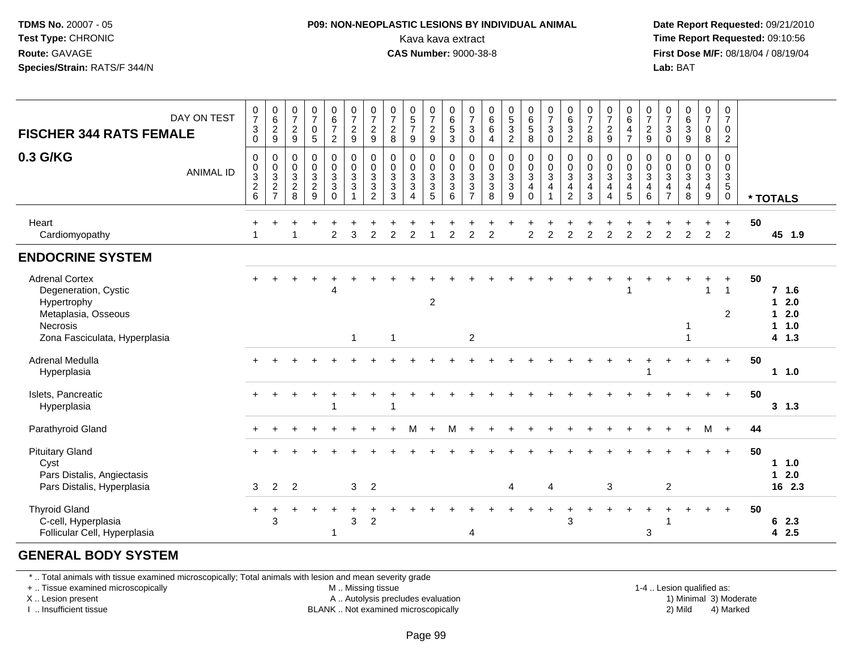#### **P09: NON-NEOPLASTIC LESIONS BY INDIVIDUAL ANIMAL**Kava kava extract **Time Report Requested:** 09:10:56<br>**CAS Number:** 9000-38-8<br>**Tirst Dose M/F:** 08/18/04 / 08/19/04

 **Date Report Requested:** 09/21/2010 **First Dose M/F: 08/18/04 / 08/19/04**<br>**Lab: BAT Lab:** BAT

| <b>FISCHER 344 RATS FEMALE</b>                                                                                                   | DAY ON TEST      | $\pmb{0}$<br>$\overline{7}$<br>$\ensuremath{\mathsf{3}}$<br>0                | $\begin{matrix} 0 \\ 6 \end{matrix}$<br>$\overline{2}$<br>9 | $\begin{smallmatrix}0\\7\end{smallmatrix}$<br>$\overline{c}$<br>9 | $\frac{0}{7}$<br>$\mathbf 0$<br>$\sqrt{5}$ | $\begin{array}{c} 0 \\ 6 \end{array}$<br>$\overline{7}$<br>$\boldsymbol{2}$               | $\frac{0}{7}$<br>$\sqrt{2}$<br>$9\,$                                   | $\frac{0}{7}$<br>$\overline{c}$<br>9                                                    | $\frac{0}{7}$<br>$\boldsymbol{2}$<br>8                                   | $\begin{array}{c} 0 \\ 5 \\ 7 \end{array}$<br>$9\,$              | $\frac{0}{7}$<br>$\frac{2}{9}$                                                   | 0<br>$\,6\,$<br>5<br>$\mathbf{3}$                                            | $\frac{0}{7}$<br>$\sqrt{3}$<br>$\mathbf 0$                                 | $0$<br>6<br>6<br>$\overline{4}$   | 0<br>5<br>3<br>2                                                       | $\begin{array}{c} 0 \\ 6 \\ 5 \end{array}$<br>8       | $\frac{0}{7}$<br>$\mathbf{3}$<br>$\pmb{0}$                                                 | $\begin{array}{c} 0 \\ 6 \end{array}$<br>$\overline{3}$<br>$\overline{2}$  | $\frac{0}{7}$<br>$\mathbf 2$<br>8                                             | $\frac{0}{7}$<br>$\overline{c}$<br>9                                                    | $\begin{array}{c} 0 \\ 6 \\ 4 \end{array}$<br>$\overline{7}$                       | $\frac{0}{7}$<br>$\frac{2}{9}$                             | $\frac{0}{7}$<br>$\sqrt{3}$<br>$\mathbf 0$                       | $\begin{array}{c} 0 \\ 6 \end{array}$<br>$\overline{3}$<br>$9\,$       | $\frac{0}{7}$<br>0<br>8                                 | $\frac{0}{7}$<br>0<br>$\overline{2}$                                |    |                                                |
|----------------------------------------------------------------------------------------------------------------------------------|------------------|------------------------------------------------------------------------------|-------------------------------------------------------------|-------------------------------------------------------------------|--------------------------------------------|-------------------------------------------------------------------------------------------|------------------------------------------------------------------------|-----------------------------------------------------------------------------------------|--------------------------------------------------------------------------|------------------------------------------------------------------|----------------------------------------------------------------------------------|------------------------------------------------------------------------------|----------------------------------------------------------------------------|-----------------------------------|------------------------------------------------------------------------|-------------------------------------------------------|--------------------------------------------------------------------------------------------|----------------------------------------------------------------------------|-------------------------------------------------------------------------------|-----------------------------------------------------------------------------------------|------------------------------------------------------------------------------------|------------------------------------------------------------|------------------------------------------------------------------|------------------------------------------------------------------------|---------------------------------------------------------|---------------------------------------------------------------------|----|------------------------------------------------|
| 0.3 G/KG                                                                                                                         | <b>ANIMAL ID</b> | $\mathbf 0$<br>$\pmb{0}$<br>$\ensuremath{\mathsf{3}}$<br>$\overline{c}$<br>6 | 0<br>$\pmb{0}$<br>$\overline{3}$<br>$\frac{2}{7}$           | $\pmb{0}$<br>$\pmb{0}$<br>$\mathbf{3}$<br>$\overline{2}$<br>8     | 000329                                     | $\mathbf 0$<br>$\mathsf{O}\xspace$<br>$\sqrt{3}$<br>$\ensuremath{\mathsf{3}}$<br>$\Omega$ | $_{\rm 0}^{\rm 0}$<br>$\mathbf{3}$<br>$\overline{3}$<br>$\overline{1}$ | $\mathbf 0$<br>$\pmb{0}$<br>$\mathbf{3}$<br>$\ensuremath{\mathsf{3}}$<br>$\overline{2}$ | $\pmb{0}$<br>$\mathbf 0$<br>$\sqrt{3}$<br>$\ensuremath{\mathsf{3}}$<br>3 | $\mathsf{O}\xspace$<br>$\pmb{0}$<br>$\sqrt{3}$<br>$\overline{3}$ | $\mathbf 0$<br>$\mathsf{O}\xspace$<br>$\sqrt{3}$<br>$\overline{3}$<br>$\sqrt{5}$ | $\pmb{0}$<br>$\mathbf 0$<br>$\mathbf{3}$<br>$\overline{3}$<br>$6\phantom{1}$ | $\mathbf 0$<br>$\mathbf 0$<br>$\sqrt{3}$<br>$\mathbf{3}$<br>$\overline{7}$ | $\mathbf 0$<br>$\frac{0}{3}$<br>8 | $\begin{smallmatrix} 0\\0\\3 \end{smallmatrix}$<br>$\overline{3}$<br>9 | $_0^0$<br>3<br>$\overline{\mathbf{4}}$<br>$\mathbf 0$ | $\begin{smallmatrix}0\\0\\3\end{smallmatrix}$<br>$\overline{\mathbf{4}}$<br>$\overline{ }$ | $\mathbf 0$<br>$\pmb{0}$<br>$\sqrt{3}$<br>$\overline{4}$<br>$\overline{c}$ | $\mathbf 0$<br>$\boldsymbol{0}$<br>$\sqrt{3}$<br>$\overline{\mathbf{4}}$<br>3 | 0<br>$\mathbf 0$<br>$\overline{3}$<br>$\overline{\mathbf{4}}$<br>$\boldsymbol{\Lambda}$ | $\begin{smallmatrix}0\0\0\end{smallmatrix}$<br>$\mathbf{3}$<br>$\overline{4}$<br>5 | 0<br>$\ddot{\mathbf{0}}$<br>$\overline{3}$<br>4<br>$\,6\,$ | 0<br>$\pmb{0}$<br>$\sqrt{3}$<br>$\overline{4}$<br>$\overline{7}$ | $\mathbf 0$<br>$\pmb{0}$<br>$\sqrt{3}$<br>$\overline{\mathbf{4}}$<br>8 | 0<br>$\mathbf 0$<br>$\mathbf{3}$<br>$\overline{4}$<br>9 | $\mathsf 0$<br>0<br>$\mathfrak{S}$<br>$\overline{5}$<br>$\mathbf 0$ |    | * TOTALS                                       |
| Heart<br>Cardiomyopathy                                                                                                          |                  |                                                                              |                                                             |                                                                   |                                            | $\overline{2}$                                                                            | 3                                                                      | $\overline{2}$                                                                          | 2                                                                        | $\overline{2}$                                                   |                                                                                  | $\overline{2}$                                                               | 2                                                                          | $\mathfrak{p}$                    |                                                                        | $\overline{2}$                                        | $\overline{2}$                                                                             | $\overline{2}$                                                             | 2                                                                             | $\overline{2}$                                                                          | 2                                                                                  | $\mathfrak{p}$                                             | $\mathfrak{p}$                                                   | $\mathcal{P}$                                                          | $\overline{2}$                                          | $\overline{2}$                                                      | 50 | 45 1.9                                         |
| <b>ENDOCRINE SYSTEM</b>                                                                                                          |                  |                                                                              |                                                             |                                                                   |                                            |                                                                                           |                                                                        |                                                                                         |                                                                          |                                                                  |                                                                                  |                                                                              |                                                                            |                                   |                                                                        |                                                       |                                                                                            |                                                                            |                                                                               |                                                                                         |                                                                                    |                                                            |                                                                  |                                                                        |                                                         |                                                                     |    |                                                |
| <b>Adrenal Cortex</b><br>Degeneration, Cystic<br>Hypertrophy<br>Metaplasia, Osseous<br>Necrosis<br>Zona Fasciculata, Hyperplasia |                  |                                                                              |                                                             |                                                                   |                                            | 4                                                                                         | $\overline{1}$                                                         |                                                                                         | -1                                                                       |                                                                  | 2                                                                                |                                                                              | $\overline{c}$                                                             |                                   |                                                                        |                                                       |                                                                                            |                                                                            |                                                                               |                                                                                         |                                                                                    |                                                            |                                                                  | 1                                                                      | 1                                                       | $\overline{1}$<br>$\overline{2}$                                    | 50 | 7, 1.6<br>$12.0$<br>$12.0$<br>$1 1.0$<br>4 1.3 |
| Adrenal Medulla<br>Hyperplasia                                                                                                   |                  |                                                                              |                                                             |                                                                   |                                            |                                                                                           |                                                                        |                                                                                         |                                                                          |                                                                  |                                                                                  |                                                                              |                                                                            |                                   |                                                                        |                                                       |                                                                                            |                                                                            |                                                                               |                                                                                         |                                                                                    |                                                            |                                                                  |                                                                        |                                                         | $+$                                                                 | 50 | 11.0                                           |
| Islets, Pancreatic<br>Hyperplasia                                                                                                |                  |                                                                              |                                                             |                                                                   |                                            |                                                                                           |                                                                        |                                                                                         |                                                                          |                                                                  |                                                                                  |                                                                              |                                                                            |                                   |                                                                        |                                                       |                                                                                            |                                                                            |                                                                               |                                                                                         |                                                                                    |                                                            |                                                                  |                                                                        |                                                         | $+$                                                                 | 50 | 3, 1.3                                         |
| Parathyroid Gland                                                                                                                |                  |                                                                              |                                                             |                                                                   |                                            |                                                                                           |                                                                        |                                                                                         |                                                                          | м                                                                | $\ddot{}$                                                                        | м                                                                            | $\div$                                                                     |                                   |                                                                        |                                                       |                                                                                            |                                                                            |                                                                               |                                                                                         |                                                                                    |                                                            |                                                                  |                                                                        | М                                                       | $+$                                                                 | 44 |                                                |
| <b>Pituitary Gland</b><br>Cyst<br>Pars Distalis, Angiectasis<br>Pars Distalis, Hyperplasia                                       |                  | 3                                                                            | $\overline{2}$                                              | 2                                                                 |                                            |                                                                                           | 3                                                                      | $\overline{c}$                                                                          |                                                                          |                                                                  |                                                                                  |                                                                              |                                                                            |                                   | 4                                                                      |                                                       | 4                                                                                          |                                                                            |                                                                               | 3                                                                                       |                                                                                    |                                                            | 2                                                                |                                                                        |                                                         | $+$                                                                 | 50 | 11.0<br>$12.0$<br>16 2.3                       |
| <b>Thyroid Gland</b><br>C-cell, Hyperplasia<br>Follicular Cell, Hyperplasia                                                      |                  |                                                                              | 3                                                           |                                                                   |                                            |                                                                                           | 3                                                                      | ÷<br>$\overline{c}$                                                                     |                                                                          |                                                                  |                                                                                  |                                                                              | 4                                                                          |                                   |                                                                        |                                                       |                                                                                            | ÷<br>3                                                                     |                                                                               |                                                                                         |                                                                                    | 3                                                          |                                                                  |                                                                        | $\div$                                                  | $+$                                                                 | 50 | 62.3<br>42.5                                   |

#### **GENERAL BODY SYSTEM**

\* .. Total animals with tissue examined microscopically; Total animals with lesion and mean severity grade

+ .. Tissue examined microscopically

X .. Lesion present

I .. Insufficient tissue

M .. Missing tissue

A .. Autolysis precludes evaluation

BLANK .. Not examined microscopically 2) Mild 4) Marked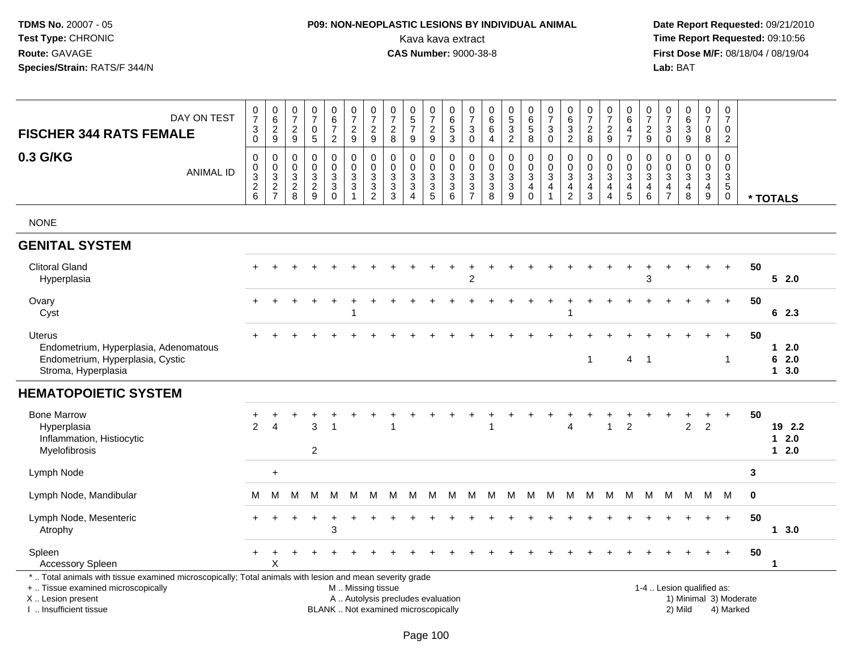# **P09: NON-NEOPLASTIC LESIONS BY INDIVIDUAL ANIMAL**Kava kava extract **Time Report Requested:** 09:10:56

| DAY ON TEST<br><b>FISCHER 344 RATS FEMALE</b>                                                                                                                                                 | $\frac{0}{7}$<br>$_{0}^{3}$                    | $\begin{array}{c} 0 \\ 6 \end{array}$<br>$\sqrt{2}$<br>9 | $\begin{array}{c} 0 \\ 7 \end{array}$<br>$\sqrt{2}$<br>$9\,$ | $\frac{0}{7}$<br>$\pmb{0}$<br>$5\phantom{.0}$                          | $\begin{array}{c} 0 \\ 6 \\ 7 \end{array}$<br>$\overline{2}$ | $\begin{array}{c} 0 \\ 7 \end{array}$<br>$\frac{2}{9}$                                       | $\frac{0}{7}$<br>$\frac{2}{9}$                | $\frac{0}{7}$<br>$\frac{2}{8}$                                           | $\begin{array}{c} 0 \\ 5 \\ 7 \end{array}$<br>9                                           | $\frac{0}{7}$<br>$\sqrt{2}$<br>$\boldsymbol{9}$                        | 0<br>6<br>$\mathbf 5$<br>$\mathbf{3}$            | $\frac{0}{7}$<br>$\ensuremath{\mathsf{3}}$<br>$\mathsf{O}\xspace$                                              | 0<br>$\,6\,$<br>6<br>$\overline{4}$                                                   | $\begin{array}{c} 0 \\ 5 \\ 2 \end{array}$                  | $\begin{array}{c} 0 \\ 6 \end{array}$<br>$\overline{5}$<br>8        | $\frac{0}{7}$<br>$\ensuremath{\mathsf{3}}$<br>$\mathbf 0$                                          | $\begin{array}{c} 0 \\ 6 \end{array}$<br>$\ensuremath{\mathsf{3}}$<br>2 | $\frac{0}{7}$<br>$\sqrt{2}$<br>8                                                                      | $\frac{0}{7}$<br>$\frac{2}{9}$                                                        | $\begin{array}{c} 0 \\ 6 \end{array}$<br>$\overline{\mathbf{4}}$<br>$\overline{7}$ | $\frac{0}{7}$<br>$\sqrt{2}$<br>9                                                 | 0<br>$\overline{7}$<br>$\ensuremath{\mathsf{3}}$<br>$\mathbf 0$ | 0<br>0<br>0<br>0<br>0                                                             | $\frac{0}{7}$<br>$\pmb{0}$<br>8                                        | $\frac{0}{7}$<br>$\mathsf{O}\xspace$<br>$\overline{2}$              |    |                            |
|-----------------------------------------------------------------------------------------------------------------------------------------------------------------------------------------------|------------------------------------------------|----------------------------------------------------------|--------------------------------------------------------------|------------------------------------------------------------------------|--------------------------------------------------------------|----------------------------------------------------------------------------------------------|-----------------------------------------------|--------------------------------------------------------------------------|-------------------------------------------------------------------------------------------|------------------------------------------------------------------------|--------------------------------------------------|----------------------------------------------------------------------------------------------------------------|---------------------------------------------------------------------------------------|-------------------------------------------------------------|---------------------------------------------------------------------|----------------------------------------------------------------------------------------------------|-------------------------------------------------------------------------|-------------------------------------------------------------------------------------------------------|---------------------------------------------------------------------------------------|------------------------------------------------------------------------------------|----------------------------------------------------------------------------------|-----------------------------------------------------------------|-----------------------------------------------------------------------------------|------------------------------------------------------------------------|---------------------------------------------------------------------|----|----------------------------|
| 0.3 G/KG<br><b>ANIMAL ID</b>                                                                                                                                                                  | $\mathbf 0$<br>$_{3}^{\rm 0}$<br>$\frac{2}{6}$ | 0<br>$\mathsf 0$<br>$\overline{3}$<br>$\frac{2}{7}$      | $\mathbf 0$<br>$\mathbf 0$<br>3<br>$\frac{2}{8}$             | $\pmb{0}$<br>$\mathsf 0$<br>$\ensuremath{\mathsf{3}}$<br>$\frac{2}{9}$ | $\mathsf{O}$<br>$\mathsf{O}$<br>3<br>$\mathbf{3}$<br>0       | $\pmb{0}$<br>$\boldsymbol{0}$<br>$\overline{3}$<br>$\ensuremath{\mathsf{3}}$<br>$\mathbf{1}$ | $\mathbf 0$<br>$\frac{0}{3}$<br>$\frac{3}{2}$ | $\mathbf 0$<br>$\mathbf 0$<br>$\ensuremath{\mathsf{3}}$<br>$\frac{3}{3}$ | $\mathbf 0$<br>$\mathbf 0$<br>$\mathbf{3}$<br>$\ensuremath{\mathsf{3}}$<br>$\overline{A}$ | 0<br>$\mathsf{O}\xspace$<br>$\ensuremath{\mathsf{3}}$<br>$\frac{3}{5}$ | 0<br>$\mathsf 0$<br>$\mathbf{3}$<br>3<br>$\,6\,$ | $\mathbf 0$<br>$\mathsf{O}\xspace$<br>$\ensuremath{\mathsf{3}}$<br>$\ensuremath{\mathsf{3}}$<br>$\overline{7}$ | $\pmb{0}$<br>$\pmb{0}$<br>$\ensuremath{\mathsf{3}}$<br>$\ensuremath{\mathsf{3}}$<br>8 | $\mathbf 0$<br>$\pmb{0}$<br>$\overline{3}$<br>$\frac{3}{9}$ | 0<br>$\mathbf 0$<br>$\overline{3}$<br>$\overline{4}$<br>$\mathbf 0$ | $\mathbf 0$<br>$\mathbf 0$<br>$\ensuremath{\mathsf{3}}$<br>$\overline{\mathbf{4}}$<br>$\mathbf{1}$ | 0<br>$\mathbf 0$<br>$\mathbf{3}$<br>$\overline{4}$<br>$\overline{c}$    | $\mathbf 0$<br>$\boldsymbol{0}$<br>$\ensuremath{\mathsf{3}}$<br>$\overline{\mathbf{4}}$<br>$\sqrt{3}$ | 0<br>$\mathsf{O}\xspace$<br>$\mathbf{3}$<br>$\overline{\mathbf{4}}$<br>$\overline{4}$ | 0<br>$\mathbf 0$<br>$\overline{3}$<br>$\frac{4}{5}$                                | $\mathbf 0$<br>$\mathbf 0$<br>$\overline{3}$<br>$\overline{\mathbf{4}}$<br>$\,6$ | 0<br>$\mathsf 0$<br>3<br>$\overline{4}$<br>$\overline{7}$       | $\mathbf 0$<br>$\mathsf{O}\xspace$<br>$\overline{3}$<br>$\overline{4}$<br>$\,8\,$ | 0<br>$\mathbf 0$<br>$\mathbf{3}$<br>$\overline{4}$<br>$\boldsymbol{9}$ | $\mathbf 0$<br>$\pmb{0}$<br>$\sqrt{3}$<br>$\sqrt{5}$<br>$\mathbf 0$ |    | * TOTALS                   |
| <b>NONE</b>                                                                                                                                                                                   |                                                |                                                          |                                                              |                                                                        |                                                              |                                                                                              |                                               |                                                                          |                                                                                           |                                                                        |                                                  |                                                                                                                |                                                                                       |                                                             |                                                                     |                                                                                                    |                                                                         |                                                                                                       |                                                                                       |                                                                                    |                                                                                  |                                                                 |                                                                                   |                                                                        |                                                                     |    |                            |
| <b>GENITAL SYSTEM</b>                                                                                                                                                                         |                                                |                                                          |                                                              |                                                                        |                                                              |                                                                                              |                                               |                                                                          |                                                                                           |                                                                        |                                                  |                                                                                                                |                                                                                       |                                                             |                                                                     |                                                                                                    |                                                                         |                                                                                                       |                                                                                       |                                                                                    |                                                                                  |                                                                 |                                                                                   |                                                                        |                                                                     |    |                            |
| <b>Clitoral Gland</b><br>Hyperplasia                                                                                                                                                          |                                                |                                                          |                                                              |                                                                        |                                                              |                                                                                              |                                               |                                                                          |                                                                                           |                                                                        |                                                  | $\overline{2}$                                                                                                 |                                                                                       |                                                             |                                                                     |                                                                                                    |                                                                         |                                                                                                       |                                                                                       |                                                                                    | 3                                                                                |                                                                 |                                                                                   |                                                                        | $\ddot{}$                                                           | 50 | 52.0                       |
| Ovary<br>Cyst                                                                                                                                                                                 |                                                |                                                          |                                                              |                                                                        |                                                              |                                                                                              |                                               |                                                                          |                                                                                           |                                                                        |                                                  |                                                                                                                |                                                                                       |                                                             |                                                                     |                                                                                                    |                                                                         |                                                                                                       |                                                                                       |                                                                                    |                                                                                  |                                                                 |                                                                                   |                                                                        | $+$                                                                 | 50 | 62.3                       |
| Uterus<br>Endometrium, Hyperplasia, Adenomatous<br>Endometrium, Hyperplasia, Cystic<br>Stroma, Hyperplasia                                                                                    |                                                |                                                          |                                                              |                                                                        |                                                              |                                                                                              |                                               |                                                                          |                                                                                           |                                                                        |                                                  |                                                                                                                |                                                                                       |                                                             |                                                                     |                                                                                                    |                                                                         | $\mathbf{1}$                                                                                          |                                                                                       | 4                                                                                  | -1                                                                               |                                                                 |                                                                                   |                                                                        | 1                                                                   | 50 | 12.0<br>62.0<br>13.0       |
| <b>HEMATOPOIETIC SYSTEM</b>                                                                                                                                                                   |                                                |                                                          |                                                              |                                                                        |                                                              |                                                                                              |                                               |                                                                          |                                                                                           |                                                                        |                                                  |                                                                                                                |                                                                                       |                                                             |                                                                     |                                                                                                    |                                                                         |                                                                                                       |                                                                                       |                                                                                    |                                                                                  |                                                                 |                                                                                   |                                                                        |                                                                     |    |                            |
| <b>Bone Marrow</b><br>Hyperplasia<br>Inflammation, Histiocytic<br>Myelofibrosis                                                                                                               | $\mathfrak{p}$                                 | Δ                                                        |                                                              | 3<br>$\overline{c}$                                                    | 1                                                            |                                                                                              |                                               |                                                                          |                                                                                           |                                                                        |                                                  |                                                                                                                |                                                                                       |                                                             |                                                                     |                                                                                                    | 4                                                                       |                                                                                                       | $\mathbf{1}$                                                                          | 2                                                                                  |                                                                                  |                                                                 | $\overline{2}$                                                                    | $\overline{2}$                                                         |                                                                     | 50 | 19 2.2<br>$12.0$<br>$12.0$ |
| Lymph Node                                                                                                                                                                                    |                                                | $\ddot{}$                                                |                                                              |                                                                        |                                                              |                                                                                              |                                               |                                                                          |                                                                                           |                                                                        |                                                  |                                                                                                                |                                                                                       |                                                             |                                                                     |                                                                                                    |                                                                         |                                                                                                       |                                                                                       |                                                                                    |                                                                                  |                                                                 |                                                                                   |                                                                        |                                                                     | 3  |                            |
| Lymph Node, Mandibular                                                                                                                                                                        | м                                              | м                                                        | М                                                            | M                                                                      | M                                                            | M                                                                                            | M                                             | M                                                                        | M                                                                                         | M                                                                      | М                                                | M                                                                                                              | M                                                                                     | M                                                           | M                                                                   | M                                                                                                  | M                                                                       | M                                                                                                     | <b>M</b>                                                                              | M                                                                                  | M                                                                                | М                                                               | M                                                                                 | M                                                                      | M                                                                   | 0  |                            |
| Lymph Node, Mesenteric<br>Atrophy                                                                                                                                                             |                                                |                                                          |                                                              |                                                                        | 3                                                            |                                                                                              |                                               |                                                                          |                                                                                           |                                                                        |                                                  |                                                                                                                |                                                                                       |                                                             |                                                                     |                                                                                                    |                                                                         |                                                                                                       |                                                                                       |                                                                                    |                                                                                  |                                                                 |                                                                                   |                                                                        | $+$                                                                 | 50 | 13.0                       |
| Spleen<br><b>Accessory Spleen</b>                                                                                                                                                             |                                                | X                                                        |                                                              |                                                                        |                                                              |                                                                                              |                                               |                                                                          |                                                                                           |                                                                        |                                                  |                                                                                                                |                                                                                       |                                                             |                                                                     |                                                                                                    |                                                                         |                                                                                                       |                                                                                       |                                                                                    |                                                                                  |                                                                 |                                                                                   |                                                                        |                                                                     | 50 | 1                          |
| *  Total animals with tissue examined microscopically; Total animals with lesion and mean severity grade<br>+  Tissue examined microscopically<br>X  Lesion present<br>I. Insufficient tissue |                                                |                                                          |                                                              |                                                                        | BLANK  Not examined microscopically                          | M  Missing tissue                                                                            |                                               | A  Autolysis precludes evaluation                                        |                                                                                           |                                                                        |                                                  |                                                                                                                |                                                                                       |                                                             |                                                                     |                                                                                                    |                                                                         |                                                                                                       |                                                                                       |                                                                                    |                                                                                  |                                                                 | 1-4  Lesion qualified as:<br>2) Mild                                              |                                                                        | 1) Minimal 3) Moderate<br>4) Marked                                 |    |                            |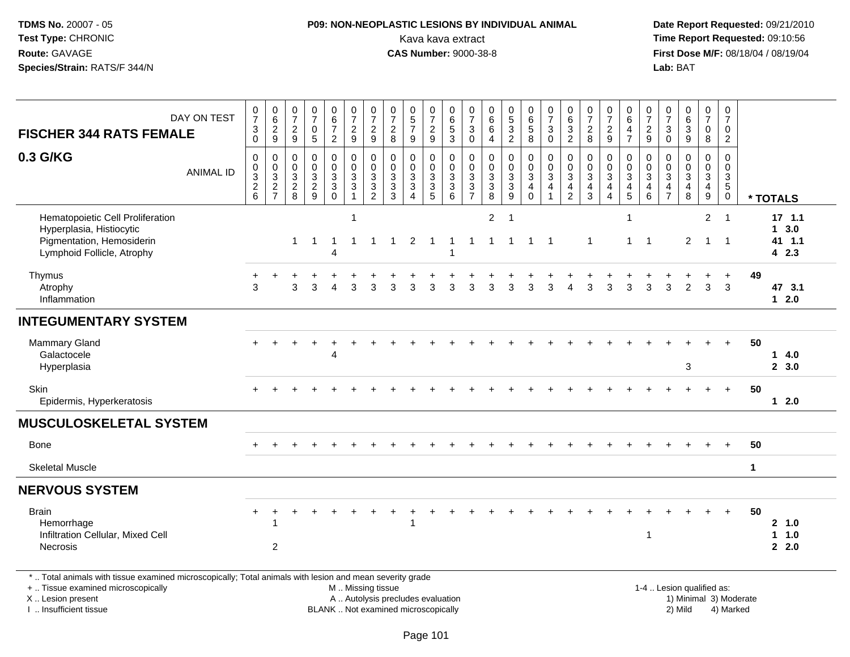# **P09: NON-NEOPLASTIC LESIONS BY INDIVIDUAL ANIMAL**Kava kava extract **Time Report Requested:** 09:10:56<br>**CAS Number:** 9000-38-8 **CAS Number:** 9000-38-8

 **Date Report Requested:** 09/21/2010 **First Dose M/F:** 08/18/04 / 08/19/04 Lab: BAT **Lab:** BAT

| <b>FISCHER 344 RATS FEMALE</b>                                                                                                                                                                | DAY ON TEST      | $\frac{0}{7}$<br>$\sqrt{3}$<br>$\pmb{0}$                 | $_{6}^{\rm 0}$<br>$\overline{2}$<br>9                     | $\begin{array}{c} 0 \\ 7 \end{array}$<br>$\overline{c}$<br>9 | $\begin{array}{c} 0 \\ 7 \end{array}$<br>$\mathbf 0$<br>$\overline{5}$ | $\begin{array}{c} 0 \\ 6 \\ 7 \end{array}$<br>$\overline{2}$ | $\frac{0}{7}$<br>$\boldsymbol{2}$<br>$\boldsymbol{9}$                       | $\frac{0}{7}$<br>$\overline{2}$<br>$\boldsymbol{9}$                            | $\frac{0}{7}$<br>$\boldsymbol{2}$<br>8                                   | $\begin{array}{c} 0 \\ 5 \\ 7 \end{array}$<br>9                                        | $\frac{0}{7}$<br>$\overline{2}$<br>9        | $_{6}^{\rm 0}$<br>$\overline{5}$<br>$\mathfrak{S}$      | 0<br>$\overline{7}$<br>$\mathbf{3}$<br>$\Omega$                      | $\begin{array}{c} 0 \\ 6 \end{array}$<br>$\overline{6}$<br>$\overline{4}$ | $\begin{array}{c} 0 \\ 5 \\ 3 \end{array}$<br>$\overline{2}$  | $\begin{array}{c} 0 \\ 6 \end{array}$<br>$\overline{5}$<br>$\boldsymbol{8}$ | $\begin{array}{c} 0 \\ 7 \end{array}$<br>$\sqrt{3}$<br>$\Omega$ | $\begin{array}{c} 0 \\ 6 \end{array}$<br>$\frac{3}{2}$              | $\frac{0}{7}$<br>$\overline{c}$<br>8        | $\frac{0}{7}$<br>$\overline{c}$<br>9                         | $_{6}^{\rm 0}$<br>4<br>$\overline{7}$                                                   | $\begin{smallmatrix}0\\7\end{smallmatrix}$<br>$\boldsymbol{2}$<br>9 | $\begin{array}{c} 0 \\ 7 \end{array}$<br>$\mathbf{3}$<br>$\mathbf 0$           | $\begin{array}{c} 0 \\ 6 \end{array}$<br>$\overline{3}$<br>$\boldsymbol{9}$ | $\frac{0}{7}$<br>$\mathbf 0$<br>8                           | 0<br>$\overline{7}$<br>0<br>$\overline{2}$ |                                     |                                   |  |
|-----------------------------------------------------------------------------------------------------------------------------------------------------------------------------------------------|------------------|----------------------------------------------------------|-----------------------------------------------------------|--------------------------------------------------------------|------------------------------------------------------------------------|--------------------------------------------------------------|-----------------------------------------------------------------------------|--------------------------------------------------------------------------------|--------------------------------------------------------------------------|----------------------------------------------------------------------------------------|---------------------------------------------|---------------------------------------------------------|----------------------------------------------------------------------|---------------------------------------------------------------------------|---------------------------------------------------------------|-----------------------------------------------------------------------------|-----------------------------------------------------------------|---------------------------------------------------------------------|---------------------------------------------|--------------------------------------------------------------|-----------------------------------------------------------------------------------------|---------------------------------------------------------------------|--------------------------------------------------------------------------------|-----------------------------------------------------------------------------|-------------------------------------------------------------|--------------------------------------------|-------------------------------------|-----------------------------------|--|
| 0.3 G/KG                                                                                                                                                                                      | <b>ANIMAL ID</b> | $\mathbf 0$<br>$\mathsf{O}\xspace$<br>$\frac{3}{2}$<br>6 | 0<br>$\mathbf 0$<br>3<br>$\overline{2}$<br>$\overline{7}$ | $\mathbf 0$<br>$\mathbf 0$<br>$\mathbf{3}$<br>$\frac{2}{8}$  | $\pmb{0}$<br>$\mathbf 0$<br>$\frac{3}{2}$<br>9                         | 0<br>$\mathbf 0$<br>$\frac{3}{3}$                            | $\mathbf 0$<br>$\Omega$<br>$\mathbf{3}$<br>$\overline{3}$<br>$\overline{1}$ | $\mathbf 0$<br>$\mathbf 0$<br>3<br>$\ensuremath{\mathsf{3}}$<br>$\overline{2}$ | $\Omega$<br>$\Omega$<br>3<br>$\overline{3}$<br>3                         | $\mathbf 0$<br>$\mathbf 0$<br>$\mathbf{3}$<br>$\overline{3}$<br>$\boldsymbol{\Lambda}$ | $\mathbf 0$<br>$\mathbf 0$<br>$\frac{3}{3}$ | 0<br>$\mathbf 0$<br>$\mathbf{3}$<br>$\overline{3}$<br>6 | $\mathbf 0$<br>$\mathbf{0}$<br>3<br>$\overline{3}$<br>$\overline{7}$ | $\pmb{0}$<br>$\mathbf 0$<br>$\frac{3}{8}$                                 | $\mathbf 0$<br>$\pmb{0}$<br>$\sqrt{3}$<br>$\overline{3}$<br>9 | $\mathbf 0$<br>$\mathbf 0$<br>$\sqrt{3}$<br>$\overline{4}$<br>$\mathbf 0$   | $\mathbf 0$<br>$\mathbf 0$<br>3<br>4                            | $\mathbf 0$<br>$\mathbf 0$<br>3<br>$\overline{4}$<br>$\overline{2}$ | 0<br>0<br>3<br>$\overline{\mathbf{4}}$<br>3 | $\mathbf 0$<br>$\mathbf 0$<br>$\mathbf{3}$<br>$\overline{4}$ | $\mathbf 0$<br>$\mathbf 0$<br>$\ensuremath{\mathsf{3}}$<br>$\overline{\mathbf{4}}$<br>5 | $\mathbf 0$<br>$\Omega$<br>3<br>$\overline{4}$<br>6                 | $\mathbf 0$<br>$\mathbf 0$<br>$\mathbf{3}$<br>$\overline{4}$<br>$\overline{7}$ | 0<br>$\mathbf 0$<br>3<br>$\overline{4}$<br>8                                | $\mathbf 0$<br>$\mathbf 0$<br>$\mathbf{3}$<br>$\frac{4}{9}$ | $\Omega$<br>0                              | $\Omega$<br>3<br>$5\phantom{.0}$    | * TOTALS                          |  |
| Hematopoietic Cell Proliferation<br>Hyperplasia, Histiocytic<br>Pigmentation, Hemosiderin<br>Lymphoid Follicle, Atrophy                                                                       |                  |                                                          |                                                           | $\mathbf{1}$                                                 | -1                                                                     | -1<br>4                                                      | -1<br>$\mathbf{1}$                                                          | 1                                                                              | -1                                                                       | 2                                                                                      | -1                                          | -1<br>$\overline{1}$                                    | -1                                                                   | $\overline{2}$<br>$\mathbf 1$                                             | - 1                                                           | -1                                                                          | -1                                                              |                                                                     | $\mathbf{1}$                                |                                                              | -1<br>$\mathbf{1}$                                                                      | $\overline{1}$                                                      |                                                                                | $\overline{2}$                                                              | $\overline{2}$<br>$\mathbf{1}$                              | $\overline{1}$<br>$\overline{1}$           |                                     | 17, 1.1<br>13.0<br>41 1.1<br>42.3 |  |
| Thymus<br>Atrophy<br>Inflammation                                                                                                                                                             |                  | 3                                                        |                                                           | 3                                                            | 3                                                                      | Δ                                                            | 3                                                                           | 3                                                                              | З                                                                        | 3                                                                                      | 3                                           | 3                                                       | 3                                                                    | 3                                                                         | 3                                                             | 3                                                                           | 3                                                               |                                                                     | 3                                           | 3                                                            | 3                                                                                       | 3                                                                   | 3                                                                              | $\overline{2}$                                                              | 3                                                           | 3                                          | 49                                  | 47 3.1<br>$1 \quad 2.0$           |  |
| <b>INTEGUMENTARY SYSTEM</b>                                                                                                                                                                   |                  |                                                          |                                                           |                                                              |                                                                        |                                                              |                                                                             |                                                                                |                                                                          |                                                                                        |                                             |                                                         |                                                                      |                                                                           |                                                               |                                                                             |                                                                 |                                                                     |                                             |                                                              |                                                                                         |                                                                     |                                                                                |                                                                             |                                                             |                                            |                                     |                                   |  |
| <b>Mammary Gland</b><br>Galactocele<br>Hyperplasia                                                                                                                                            |                  |                                                          |                                                           |                                                              |                                                                        | 4                                                            |                                                                             |                                                                                |                                                                          |                                                                                        |                                             |                                                         |                                                                      |                                                                           |                                                               |                                                                             |                                                                 |                                                                     |                                             |                                                              |                                                                                         |                                                                     |                                                                                | 3                                                                           |                                                             |                                            | 50                                  | 14.0<br>2, 3.0                    |  |
| Skin<br>Epidermis, Hyperkeratosis                                                                                                                                                             |                  |                                                          |                                                           |                                                              |                                                                        |                                                              |                                                                             |                                                                                |                                                                          |                                                                                        |                                             |                                                         |                                                                      |                                                                           |                                                               |                                                                             |                                                                 |                                                                     |                                             |                                                              |                                                                                         |                                                                     |                                                                                |                                                                             |                                                             | $\ddot{}$                                  | 50                                  | $12.0$                            |  |
| <b>MUSCULOSKELETAL SYSTEM</b>                                                                                                                                                                 |                  |                                                          |                                                           |                                                              |                                                                        |                                                              |                                                                             |                                                                                |                                                                          |                                                                                        |                                             |                                                         |                                                                      |                                                                           |                                                               |                                                                             |                                                                 |                                                                     |                                             |                                                              |                                                                                         |                                                                     |                                                                                |                                                                             |                                                             |                                            |                                     |                                   |  |
| <b>Bone</b>                                                                                                                                                                                   |                  |                                                          | $\ddot{}$                                                 |                                                              |                                                                        |                                                              |                                                                             |                                                                                |                                                                          |                                                                                        |                                             |                                                         |                                                                      |                                                                           |                                                               |                                                                             |                                                                 |                                                                     |                                             |                                                              |                                                                                         |                                                                     |                                                                                |                                                                             |                                                             | $\ddot{}$                                  | 50                                  |                                   |  |
| <b>Skeletal Muscle</b>                                                                                                                                                                        |                  |                                                          |                                                           |                                                              |                                                                        |                                                              |                                                                             |                                                                                |                                                                          |                                                                                        |                                             |                                                         |                                                                      |                                                                           |                                                               |                                                                             |                                                                 |                                                                     |                                             |                                                              |                                                                                         |                                                                     |                                                                                |                                                                             |                                                             |                                            | $\mathbf{1}$                        |                                   |  |
| <b>NERVOUS SYSTEM</b>                                                                                                                                                                         |                  |                                                          |                                                           |                                                              |                                                                        |                                                              |                                                                             |                                                                                |                                                                          |                                                                                        |                                             |                                                         |                                                                      |                                                                           |                                                               |                                                                             |                                                                 |                                                                     |                                             |                                                              |                                                                                         |                                                                     |                                                                                |                                                                             |                                                             |                                            |                                     |                                   |  |
| <b>Brain</b><br>Hemorrhage<br>Infiltration Cellular, Mixed Cell<br>Necrosis                                                                                                                   |                  |                                                          | -1<br>$\overline{c}$                                      |                                                              |                                                                        |                                                              |                                                                             |                                                                                |                                                                          | 1                                                                                      |                                             |                                                         |                                                                      |                                                                           |                                                               |                                                                             |                                                                 |                                                                     |                                             |                                                              |                                                                                         | 1                                                                   |                                                                                |                                                                             |                                                             |                                            | 50                                  | 2 1.0<br>1 1.0<br>2.0             |  |
| *  Total animals with tissue examined microscopically; Total animals with lesion and mean severity grade<br>+  Tissue examined microscopically<br>X  Lesion present<br>I  Insufficient tissue |                  |                                                          |                                                           |                                                              |                                                                        |                                                              | M  Missing tissue                                                           |                                                                                | A  Autolysis precludes evaluation<br>BLANK  Not examined microscopically |                                                                                        |                                             |                                                         |                                                                      |                                                                           |                                                               |                                                                             |                                                                 |                                                                     |                                             |                                                              |                                                                                         |                                                                     | 1-4  Lesion qualified as:                                                      | 2) Mild                                                                     |                                                             |                                            | 1) Minimal 3) Moderate<br>4) Marked |                                   |  |

I .. Insufficient tissue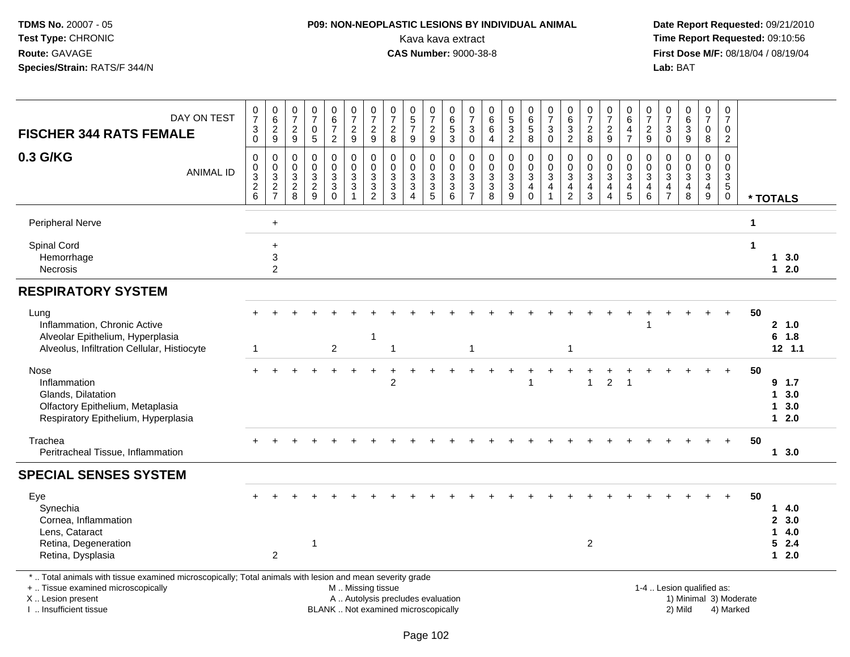# **P09: NON-NEOPLASTIC LESIONS BY INDIVIDUAL ANIMAL**Kava kava extract **Time Report Requested:** 09:10:56<br>**CAS Number:** 9000-38-8 **CAS Number:** 9000-38-8

 **Date Report Requested:** 09/21/2010 **First Dose M/F:** 08/18/04 / 08/19/04 Lab: BAT **Lab:** BAT

| DAY ON TEST<br><b>FISCHER 344 RATS FEMALE</b>                                                                                                                                                 | $\frac{0}{7}$<br>$\ensuremath{\mathsf{3}}$<br>$\mathsf{O}\xspace$ | $\begin{array}{c} 0 \\ 6 \end{array}$<br>$\overline{2}$<br>$9\,$ | $\frac{0}{7}$<br>$\frac{2}{9}$                                                | $\frac{0}{7}$<br>$\mathbf 0$<br>5                        | $\begin{array}{c} 0 \\ 6 \end{array}$<br>$\overline{7}$<br>$\overline{2}$ | $\frac{0}{7}$<br>$\overline{2}$<br>9                                          | $\frac{0}{7}$<br>$\frac{2}{9}$                                           | $\frac{0}{7}$<br>$\sqrt{2}$<br>$\bf8$                                    | $\begin{array}{c} 0 \\ 5 \\ 7 \end{array}$<br>9                                              | $\begin{smallmatrix}0\\7\end{smallmatrix}$<br>$\sqrt{2}$<br>9 | $\begin{array}{c} 0 \\ 6 \end{array}$<br>$\frac{5}{3}$ | 0<br>$\overline{7}$<br>3<br>$\mathbf 0$                | 0<br>$\,6\,$<br>$\,6\,$<br>$\overline{4}$                                                        | $\begin{matrix} 0 \\ 5 \end{matrix}$<br>$\overline{3}$<br>$\overline{2}$ | $\begin{array}{c} 0 \\ 6 \end{array}$<br>$\overline{5}$<br>8                | $\frac{0}{7}$<br>$\mathbf{3}$<br>$\mathbf 0$                      | $\begin{array}{c} 0 \\ 6 \end{array}$<br>$\ensuremath{\mathsf{3}}$<br>$\overline{2}$        | $\frac{0}{7}$<br>$\frac{2}{8}$                                                              | $\frac{0}{7}$<br>$\sqrt{2}$<br>9                      | 0<br>$\,6\,$<br>$\overline{4}$<br>$\overline{7}$                                       | $\frac{0}{7}$<br>$\sqrt{2}$<br>$9\,$                | $\frac{0}{7}$<br>$\ensuremath{\mathsf{3}}$<br>$\mathbf 0$                      | $\begin{array}{c} 0 \\ 6 \\ 3 \end{array}$<br>9 | $\begin{smallmatrix}0\\7\end{smallmatrix}$<br>$\mathsf{O}$<br>8 | 0<br>$\overline{7}$<br>0<br>$\overline{2}$        |                        |                                              |
|-----------------------------------------------------------------------------------------------------------------------------------------------------------------------------------------------|-------------------------------------------------------------------|------------------------------------------------------------------|-------------------------------------------------------------------------------|----------------------------------------------------------|---------------------------------------------------------------------------|-------------------------------------------------------------------------------|--------------------------------------------------------------------------|--------------------------------------------------------------------------|----------------------------------------------------------------------------------------------|---------------------------------------------------------------|--------------------------------------------------------|--------------------------------------------------------|--------------------------------------------------------------------------------------------------|--------------------------------------------------------------------------|-----------------------------------------------------------------------------|-------------------------------------------------------------------|---------------------------------------------------------------------------------------------|---------------------------------------------------------------------------------------------|-------------------------------------------------------|----------------------------------------------------------------------------------------|-----------------------------------------------------|--------------------------------------------------------------------------------|-------------------------------------------------|-----------------------------------------------------------------|---------------------------------------------------|------------------------|----------------------------------------------|
| 0.3 G/KG<br><b>ANIMAL ID</b>                                                                                                                                                                  | 0<br>$\pmb{0}$<br>$\overline{3}$<br>$\frac{2}{6}$                 | 0<br>$\pmb{0}$<br>$\overline{3}$<br>$\frac{2}{7}$                | $\mathbf 0$<br>$\boldsymbol{0}$<br>$\ensuremath{\mathsf{3}}$<br>$\frac{2}{8}$ | $\mathbf 0$<br>$\Omega$<br>$\mathbf{3}$<br>$\frac{2}{9}$ | 0<br>$\mathbf 0$<br>$\mathbf{3}$<br>$_{0}^{3}$                            | 0<br>$\mathbf 0$<br>$\ensuremath{\mathsf{3}}$<br>$\sqrt{3}$<br>$\overline{1}$ | $\mathbf 0$<br>$\mathbf 0$<br>$\ensuremath{\mathsf{3}}$<br>$\frac{3}{2}$ | $\mathbf 0$<br>$\mathbf 0$<br>3<br>$\frac{3}{3}$                         | 0<br>$\mathbf 0$<br>$\ensuremath{\mathsf{3}}$<br>$\ensuremath{\mathsf{3}}$<br>$\overline{4}$ | 0<br>$\mathbf 0$<br>$\mathbf{3}$<br>$\sqrt{3}$<br>5           | $\mathbf 0$<br>$\mathbf 0$<br>$\frac{3}{3}$<br>6       | 0<br>$\mathbf{0}$<br>3<br>$\sqrt{3}$<br>$\overline{7}$ | $\mathbf 0$<br>$\mathbf 0$<br>$\ensuremath{\mathsf{3}}$<br>$\begin{array}{c} 3 \\ 8 \end{array}$ | 0<br>$\mathbf 0$<br>$\mathbf{3}$<br>$\mathbf{3}$<br>9                    | 0<br>$\mathsf{O}\xspace$<br>$\overline{3}$<br>$\overline{4}$<br>$\mathsf 0$ | $\mathbf 0$<br>$\mathbf 0$<br>$\mathbf{3}$<br>$\overline{4}$<br>1 | $\mathbf 0$<br>$\mathbf 0$<br>$\ensuremath{\mathsf{3}}$<br>$\overline{4}$<br>$\overline{2}$ | $\mathbf 0$<br>$\mathbf 0$<br>$\ensuremath{\mathsf{3}}$<br>$\overline{a}$<br>$\overline{3}$ | 0<br>$\mathbf 0$<br>$\sqrt{3}$<br>4<br>$\overline{4}$ | 0<br>$\mathbf 0$<br>$\ensuremath{\mathsf{3}}$<br>$\begin{array}{c} 4 \\ 5 \end{array}$ | $\mathbf 0$<br>$\Omega$<br>3<br>$\overline{4}$<br>6 | $\mathbf 0$<br>$\mathbf 0$<br>$\ensuremath{\mathsf{3}}$<br>4<br>$\overline{7}$ | $\mathbf 0$<br>$\mathbf 0$<br>3<br>4<br>8       | 0<br>$\mathbf 0$<br>$\frac{3}{4}$                               | $\mathbf 0$<br>$\mathbf 0$<br>3<br>5<br>$\pmb{0}$ |                        | * TOTALS                                     |
| <b>Peripheral Nerve</b>                                                                                                                                                                       |                                                                   | $\ddot{}$                                                        |                                                                               |                                                          |                                                                           |                                                                               |                                                                          |                                                                          |                                                                                              |                                                               |                                                        |                                                        |                                                                                                  |                                                                          |                                                                             |                                                                   |                                                                                             |                                                                                             |                                                       |                                                                                        |                                                     |                                                                                |                                                 |                                                                 |                                                   | -1                     |                                              |
| Spinal Cord<br>Hemorrhage<br><b>Necrosis</b>                                                                                                                                                  |                                                                   | $\ddot{}$<br>$\sqrt{3}$<br>$\overline{2}$                        |                                                                               |                                                          |                                                                           |                                                                               |                                                                          |                                                                          |                                                                                              |                                                               |                                                        |                                                        |                                                                                                  |                                                                          |                                                                             |                                                                   |                                                                                             |                                                                                             |                                                       |                                                                                        |                                                     |                                                                                |                                                 |                                                                 |                                                   |                        | 13.0<br>$12.0$                               |
| <b>RESPIRATORY SYSTEM</b>                                                                                                                                                                     |                                                                   |                                                                  |                                                                               |                                                          |                                                                           |                                                                               |                                                                          |                                                                          |                                                                                              |                                                               |                                                        |                                                        |                                                                                                  |                                                                          |                                                                             |                                                                   |                                                                                             |                                                                                             |                                                       |                                                                                        |                                                     |                                                                                |                                                 |                                                                 |                                                   |                        |                                              |
| Lung<br>Inflammation, Chronic Active<br>Alveolar Epithelium, Hyperplasia<br>Alveolus, Infiltration Cellular, Histiocyte                                                                       | -1                                                                |                                                                  |                                                                               |                                                          | $\overline{2}$                                                            |                                                                               | $\mathbf{1}$                                                             | -1                                                                       |                                                                                              |                                                               |                                                        | $\mathbf 1$                                            |                                                                                                  |                                                                          |                                                                             |                                                                   | $\mathbf{1}$                                                                                |                                                                                             |                                                       |                                                                                        |                                                     |                                                                                |                                                 |                                                                 |                                                   | 50                     | 2 1.0<br>6 1.8<br>$12$ 1.1                   |
| Nose<br>Inflammation<br>Glands, Dilatation<br>Olfactory Epithelium, Metaplasia<br>Respiratory Epithelium, Hyperplasia                                                                         |                                                                   |                                                                  |                                                                               |                                                          |                                                                           |                                                                               |                                                                          | $\ddot{}$<br>$\overline{2}$                                              |                                                                                              |                                                               |                                                        |                                                        |                                                                                                  |                                                                          |                                                                             |                                                                   |                                                                                             | 1                                                                                           | $\overline{2}$                                        | 1                                                                                      |                                                     |                                                                                |                                                 |                                                                 |                                                   | 50                     | $9$ 1.7<br>13.0<br>13.0<br>$12.0$            |
| Trachea<br>Peritracheal Tissue, Inflammation                                                                                                                                                  |                                                                   |                                                                  |                                                                               |                                                          |                                                                           |                                                                               |                                                                          |                                                                          |                                                                                              |                                                               |                                                        |                                                        |                                                                                                  |                                                                          |                                                                             |                                                                   |                                                                                             |                                                                                             |                                                       |                                                                                        |                                                     |                                                                                |                                                 |                                                                 | $+$                                               | 50                     | 13.0                                         |
| <b>SPECIAL SENSES SYSTEM</b>                                                                                                                                                                  |                                                                   |                                                                  |                                                                               |                                                          |                                                                           |                                                                               |                                                                          |                                                                          |                                                                                              |                                                               |                                                        |                                                        |                                                                                                  |                                                                          |                                                                             |                                                                   |                                                                                             |                                                                                             |                                                       |                                                                                        |                                                     |                                                                                |                                                 |                                                                 |                                                   |                        |                                              |
| Eye<br>Synechia<br>Cornea, Inflammation<br>Lens, Cataract<br>Retina, Degeneration<br>Retina, Dysplasia                                                                                        |                                                                   | $\sqrt{2}$                                                       |                                                                               | $\overline{\mathbf{1}}$                                  |                                                                           |                                                                               |                                                                          |                                                                          |                                                                                              |                                                               |                                                        |                                                        |                                                                                                  |                                                                          |                                                                             |                                                                   |                                                                                             | 2                                                                                           |                                                       |                                                                                        |                                                     |                                                                                |                                                 |                                                                 |                                                   | 50                     | 14.0<br>2, 3.0<br>14.0<br>5<br>2.4<br>$12.0$ |
| *  Total animals with tissue examined microscopically; Total animals with lesion and mean severity grade<br>+  Tissue examined microscopically<br>X  Lesion present<br>I  Insufficient tissue |                                                                   |                                                                  |                                                                               |                                                          |                                                                           | M  Missing tissue                                                             |                                                                          | A  Autolysis precludes evaluation<br>BLANK  Not examined microscopically |                                                                                              |                                                               |                                                        |                                                        |                                                                                                  |                                                                          |                                                                             |                                                                   |                                                                                             |                                                                                             |                                                       |                                                                                        |                                                     |                                                                                | 1-4  Lesion qualified as:<br>2) Mild            |                                                                 | 4) Marked                                         | 1) Minimal 3) Moderate |                                              |

Page 102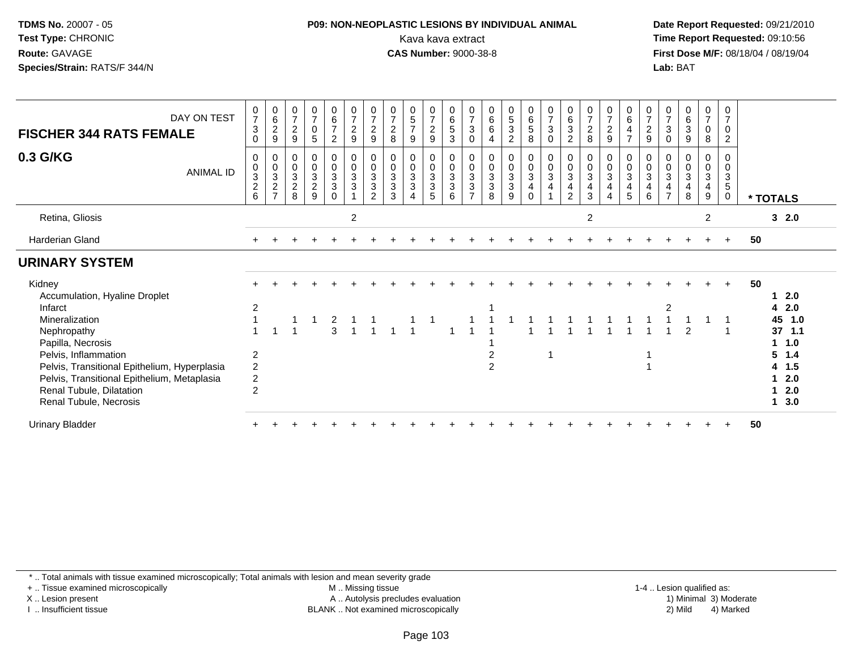#### **P09: NON-NEOPLASTIC LESIONS BY INDIVIDUAL ANIMAL**Kava kava extract **Time Report Requested:** 09:10:56<br>**CAS Number:** 9000-38-8<br>**Tirst Dose M/F:** 08/18/04 / 08/19/04

 **Date Report Requested:** 09/21/2010 **First Dose M/F:** 08/18/04 / 08/19/04 Lab: BAT **Lab:** BAT

| DAY ON TEST<br><b>FISCHER 344 RATS FEMALE</b>                                                     | $\frac{0}{7}$<br>$\sqrt{3}$<br>0 | $\begin{matrix} 0 \\ 6 \\ 2 \end{matrix}$<br>$\boldsymbol{9}$ | $\frac{0}{7}$<br>$\overline{2}$<br>$\boldsymbol{9}$ | $\begin{matrix} 0 \\ 7 \\ 0 \end{matrix}$<br>$\sqrt{5}$ | $\begin{array}{c} 0 \\ 6 \\ 7 \end{array}$<br>$\overline{c}$ | $\begin{array}{c} 0 \\ 7 \\ 2 \end{array}$<br>$\boldsymbol{9}$ | $\frac{0}{7}$<br>$\overline{c}$<br>9 | $\frac{0}{7}$<br>$\boldsymbol{2}$<br>8    | $\begin{array}{c} 0 \\ 5 \\ 7 \end{array}$<br>9        | $\frac{0}{7}$<br>$\overline{c}$<br>$\boldsymbol{9}$  | $\begin{array}{c} 0 \\ 6 \\ 5 \end{array}$<br>$\mathbf{3}$           | $\frac{0}{7}$<br>$\sqrt{3}$<br>0           | $0$<br>6<br>6           | $\begin{matrix}0\\5\\3\end{matrix}$<br>$\overline{c}$ | $\begin{matrix} 0 \\ 6 \\ 5 \end{matrix}$<br>8                                   | $\begin{array}{c} 0 \\ 7 \\ 3 \end{array}$<br>$\mathbf 0$         | $\begin{matrix} 0 \\ 6 \\ 3 \end{matrix}$<br>$\overline{2}$ | $\frac{0}{7}$<br>$\overline{2}$<br>8                  | $\frac{0}{7}$<br>$\overline{c}$<br>9       | $\begin{array}{c} 0 \\ 6 \\ 4 \end{array}$<br>$\overline{7}$ | $\frac{0}{7}$<br>$\sqrt{2}$<br>$\boldsymbol{9}$             | $\frac{0}{7}$<br>3<br>0                       | $\begin{matrix} 0 \\ 6 \\ 3 \end{matrix}$<br>$9\,$                              | $\begin{smallmatrix}0\\7\end{smallmatrix}$<br>0<br>8 | 0<br>$\overline{7}$<br>$\mathbf 0$<br>$\overline{c}$ |                            |
|---------------------------------------------------------------------------------------------------|----------------------------------|---------------------------------------------------------------|-----------------------------------------------------|---------------------------------------------------------|--------------------------------------------------------------|----------------------------------------------------------------|--------------------------------------|-------------------------------------------|--------------------------------------------------------|------------------------------------------------------|----------------------------------------------------------------------|--------------------------------------------|-------------------------|-------------------------------------------------------|----------------------------------------------------------------------------------|-------------------------------------------------------------------|-------------------------------------------------------------|-------------------------------------------------------|--------------------------------------------|--------------------------------------------------------------|-------------------------------------------------------------|-----------------------------------------------|---------------------------------------------------------------------------------|------------------------------------------------------|------------------------------------------------------|----------------------------|
| 0.3 G/KG<br>ANIMAL ID                                                                             | 0<br>$_{3}^{\rm 0}$<br>$^2$ 6    | $_{\rm 0}^{\rm 0}$<br>$\frac{3}{2}$                           | $\begin{matrix} 0 \\ 0 \\ 3 \\ 2 \end{matrix}$<br>8 | $\begin{matrix} 0 \\ 0 \\ 3 \\ 2 \end{matrix}$<br>9     | 0<br>$\mathbf 0$<br>$\overline{3}$<br>3<br>$\Omega$          | 0<br>$\frac{0}{3}$                                             | $_0^0$<br>$\frac{3}{3}$<br>2         | 0<br>0<br>$\sqrt{3}$<br>$\mathbf{3}$<br>3 | $\mathbf 0$<br>$\frac{0}{3}$<br>$\boldsymbol{\Lambda}$ | 0<br>$\frac{0}{3}$<br>$\ensuremath{\mathsf{3}}$<br>5 | $\begin{smallmatrix}0\\0\\3\end{smallmatrix}$<br>$\overline{3}$<br>6 | 0<br>$\pmb{0}$<br>3<br>3<br>$\overline{ }$ | 0<br>$\frac{0}{3}$<br>8 | $\begin{matrix} 0 \\ 0 \\ 3 \\ 3 \end{matrix}$<br>9   | $\begin{matrix} 0 \\ 0 \\ 3 \end{matrix}$<br>$\overline{\mathbf{4}}$<br>$\Omega$ | $\begin{smallmatrix} 0\\0\\3 \end{smallmatrix}$<br>$\overline{4}$ | 0<br>$\pmb{0}$<br>$\overline{3}$<br>$\overline{4}$<br>2     | 0<br>$\pmb{0}$<br>$\mathbf{3}$<br>$\overline{4}$<br>3 | 0<br>$\pmb{0}$<br>$\overline{3}$<br>4<br>4 | 0<br>$\frac{0}{3}$<br>$\overline{\mathbf{4}}$<br>5           | $_{\rm 0}^{\rm 0}$<br>$\overline{3}$<br>$\overline{4}$<br>6 | 0<br>0<br>$\mathbf{3}$<br>4<br>$\overline{ }$ | $\begin{smallmatrix} 0\\0\\3 \end{smallmatrix}$<br>$\overline{\mathbf{4}}$<br>8 | 0<br>$\frac{0}{3}$<br>4<br>9                         | 0<br>$\mathbf 0$<br>3<br>5<br>$\mathbf 0$            | * TOTALS                   |
| Retina, Gliosis                                                                                   |                                  |                                                               |                                                     |                                                         |                                                              | $\overline{2}$                                                 |                                      |                                           |                                                        |                                                      |                                                                      |                                            |                         |                                                       |                                                                                  |                                                                   |                                                             | $\overline{2}$                                        |                                            |                                                              |                                                             |                                               |                                                                                 | $\overline{2}$                                       |                                                      | 32.0                       |
| Harderian Gland                                                                                   |                                  |                                                               |                                                     |                                                         |                                                              |                                                                |                                      |                                           |                                                        |                                                      |                                                                      |                                            |                         |                                                       |                                                                                  |                                                                   |                                                             |                                                       |                                            |                                                              |                                                             |                                               |                                                                                 |                                                      | $\ddot{}$                                            | 50                         |
| <b>URINARY SYSTEM</b>                                                                             |                                  |                                                               |                                                     |                                                         |                                                              |                                                                |                                      |                                           |                                                        |                                                      |                                                                      |                                            |                         |                                                       |                                                                                  |                                                                   |                                                             |                                                       |                                            |                                                              |                                                             |                                               |                                                                                 |                                                      |                                                      |                            |
| Kidney<br>Accumulation, Hyaline Droplet                                                           |                                  |                                                               |                                                     |                                                         |                                                              |                                                                |                                      |                                           |                                                        |                                                      |                                                                      |                                            |                         |                                                       |                                                                                  |                                                                   |                                                             |                                                       |                                            |                                                              |                                                             |                                               |                                                                                 |                                                      |                                                      | 50<br>2.0                  |
| Infarct<br>Mineralization<br>Nephropathy                                                          | $\overline{2}$                   |                                                               |                                                     |                                                         | 2<br>$\overline{3}$                                          |                                                                |                                      |                                           |                                                        |                                                      |                                                                      |                                            |                         |                                                       |                                                                                  |                                                                   |                                                             |                                                       |                                            |                                                              |                                                             | 2                                             |                                                                                 |                                                      |                                                      | 42.0<br>45 1.0<br>$37$ 1.1 |
| Papilla, Necrosis<br>Pelvis, Inflammation<br>Pelvis, Transitional Epithelium, Hyperplasia         | $\overline{2}$<br>$\overline{2}$ |                                                               |                                                     |                                                         |                                                              |                                                                |                                      |                                           |                                                        |                                                      |                                                                      |                                            | 2<br>$\overline{c}$     |                                                       |                                                                                  |                                                                   |                                                             |                                                       |                                            |                                                              |                                                             |                                               |                                                                                 |                                                      |                                                      | 1.0<br>$5 \t1.4$<br>4 1.5  |
| Pelvis, Transitional Epithelium, Metaplasia<br>Renal Tubule, Dilatation<br>Renal Tubule, Necrosis | $\overline{c}$<br>$\overline{2}$ |                                                               |                                                     |                                                         |                                                              |                                                                |                                      |                                           |                                                        |                                                      |                                                                      |                                            |                         |                                                       |                                                                                  |                                                                   |                                                             |                                                       |                                            |                                                              |                                                             |                                               |                                                                                 |                                                      |                                                      | 2.0<br>2.0<br>3.0<br>1     |
| <b>Urinary Bladder</b>                                                                            |                                  |                                                               |                                                     |                                                         |                                                              |                                                                |                                      |                                           |                                                        |                                                      |                                                                      |                                            |                         |                                                       |                                                                                  |                                                                   |                                                             |                                                       |                                            |                                                              |                                                             |                                               |                                                                                 |                                                      |                                                      | 50                         |

\* .. Total animals with tissue examined microscopically; Total animals with lesion and mean severity grade

+ .. Tissue examined microscopically

X .. Lesion present

I .. Insufficient tissue

 M .. Missing tissueA .. Autolysis precludes evaluation

1-4 .. Lesion qualified as:<br>1) Minimal 3) Moderate BLANK .. Not examined microscopically 2) Mild 4) Marked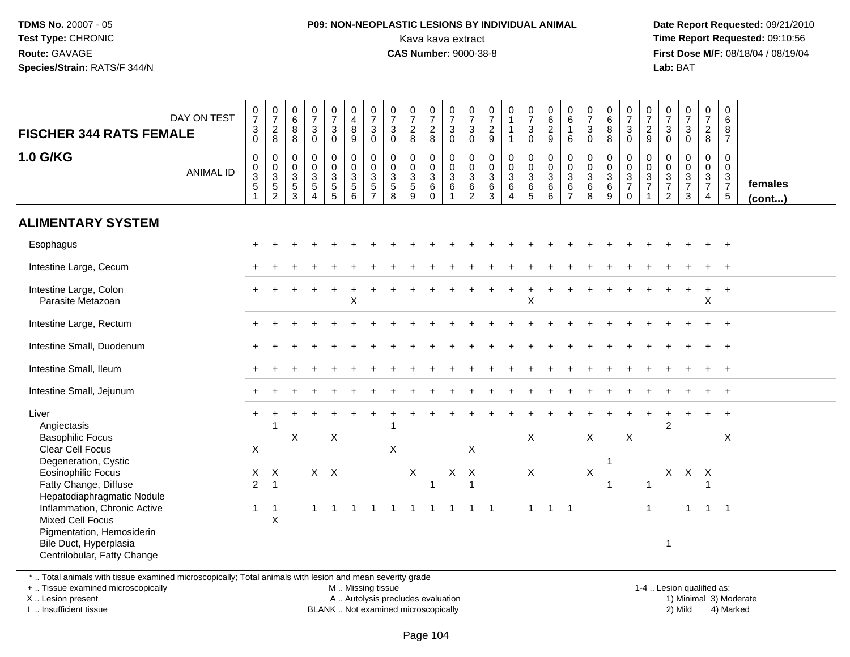#### **P09: NON-NEOPLASTIC LESIONS BY INDIVIDUAL ANIMAL**Kava kava extract **Time Report Requested:** 09:10:56<br>**CAS Number:** 9000-38-8<br>**Tirst Dose M/F:** 08/18/04 / 08/19/04

 **Date Report Requested:** 09/21/2010 **First Dose M/F:** 08/18/04 / 08/19/04 Lab: BAT **Lab:** BAT

| DAY ON TEST<br><b>FISCHER 344 RATS FEMALE</b>                                                                                                                                                                                                                                                                                           | $\frac{0}{7}$<br>$\mathsf 3$<br>$\mathbf 0$ | $\frac{0}{7}$<br>$\frac{2}{8}$                                     | $\begin{array}{c} 0 \\ 6 \end{array}$<br>8<br>8                   | $\begin{array}{c} 0 \\ 7 \end{array}$<br>$\mathbf{3}$<br>$\mathbf 0$ | $\frac{0}{7}$<br>$\mathbf{3}$<br>$\mathbf 0$         | $\begin{smallmatrix}0\\4\\8\end{smallmatrix}$<br>9           | $\begin{array}{c} 0 \\ 7 \\ 3 \end{array}$<br>$\mathbf 0$            | $\begin{array}{c} 0 \\ 7 \end{array}$<br>$\mathbf{3}$<br>$\mathbf 0$ | $\begin{array}{c} 0 \\ 7 \\ 2 \end{array}$<br>8     | $\frac{0}{7}$<br>$\overline{c}$<br>$\bf8$                         | $\begin{array}{c} 0 \\ 7 \\ 3 \end{array}$<br>$\boldsymbol{0}$ | $\frac{0}{7}$<br>3<br>0                                        | $\frac{0}{7}$<br>$\overline{a}$<br>$\boldsymbol{9}$ | $\begin{smallmatrix}0\\1\end{smallmatrix}$<br>$\mathbf{1}$<br>$\mathbf{1}$ | $\frac{0}{7}$<br>$\ensuremath{\mathsf{3}}$<br>$\mathbf 0$ | $\begin{matrix} 0 \\ 6 \\ 2 \end{matrix}$<br>9   | $^{\rm 0}_{\rm 6}$<br>$\mathbf{1}$<br>6                   | $\frac{0}{7}$<br>$\ensuremath{\mathsf{3}}$<br>$\mathbf 0$ | $\begin{array}{c} 0 \\ 6 \\ 8 \end{array}$<br>8 | $\frac{0}{7}$<br>$\mathbf{3}$<br>$\mathbf 0$              | $\frac{0}{7}$<br>$\frac{2}{9}$                         | $\frac{0}{7}$<br>$\mathbf{3}$<br>$\pmb{0}$                         | $\frac{0}{7}$<br>$\ensuremath{\mathsf{3}}$<br>$\mathbf 0$         | $\frac{0}{7}$<br>$\overline{a}$<br>8                        | $\begin{array}{c} 0 \\ 6 \end{array}$<br>$\bf 8$<br>$\overline{7}$ |                   |
|-----------------------------------------------------------------------------------------------------------------------------------------------------------------------------------------------------------------------------------------------------------------------------------------------------------------------------------------|---------------------------------------------|--------------------------------------------------------------------|-------------------------------------------------------------------|----------------------------------------------------------------------|------------------------------------------------------|--------------------------------------------------------------|----------------------------------------------------------------------|----------------------------------------------------------------------|-----------------------------------------------------|-------------------------------------------------------------------|----------------------------------------------------------------|----------------------------------------------------------------|-----------------------------------------------------|----------------------------------------------------------------------------|-----------------------------------------------------------|--------------------------------------------------|-----------------------------------------------------------|-----------------------------------------------------------|-------------------------------------------------|-----------------------------------------------------------|--------------------------------------------------------|--------------------------------------------------------------------|-------------------------------------------------------------------|-------------------------------------------------------------|--------------------------------------------------------------------|-------------------|
| <b>1.0 G/KG</b><br><b>ANIMAL ID</b>                                                                                                                                                                                                                                                                                                     | $\mathbf 0$<br>0<br>$\frac{3}{5}$           | $\mathsf{O}\xspace$<br>$\frac{0}{3}$<br>$\overline{2}$             | $\boldsymbol{0}$<br>$\mathbf 0$<br>$\mathsf 3$<br>$\sqrt{5}$<br>3 | $\pmb{0}$<br>$\mathbf 0$<br>$\overline{3}$<br>$\sqrt{5}$<br>4        | 0<br>$\begin{array}{c} 0 \\ 3 \\ 5 \\ 5 \end{array}$ | $\pmb{0}$<br>$\begin{array}{c} 0 \\ 3 \\ 5 \\ 6 \end{array}$ | $\pmb{0}$<br>$\overline{0}$<br>3<br>$\overline{5}$<br>$\overline{7}$ | $\pmb{0}$<br>$\begin{array}{c} 0 \\ 3 \\ 5 \\ 8 \end{array}$         | $\mathbf 0$<br>$\frac{0}{3}$<br>$\overline{5}$<br>9 | $\mathbf 0$<br>$\pmb{0}$<br>$\overline{3}$<br>$\,6\,$<br>$\Omega$ | $\pmb{0}$<br>$\frac{0}{3}$<br>1                                | $\pmb{0}$<br>$\frac{0}{3}$<br>$\overline{6}$<br>$\overline{2}$ | $\mathbf 0$<br>$_{3}^{\rm 0}$<br>$^6_3$             | $\pmb{0}$<br>$\frac{0}{3}$<br>$\boldsymbol{\Lambda}$                       | 0<br>$\begin{array}{c} 0 \\ 3 \\ 6 \\ 5 \end{array}$      | $\pmb{0}$<br>$\overline{0}$<br>3<br>$\,6\,$<br>6 | $\mathbf 0$<br>$\frac{0}{3}$<br>$\,6\,$<br>$\overline{7}$ | $\pmb{0}$<br>$\frac{0}{3}$<br>6<br>8                      | 0<br>$\begin{matrix}0\\3\\6\end{matrix}$<br>9   | 0<br>$\mathsf{O}\xspace$<br>$\frac{3}{7}$<br>$\mathbf{0}$ | $\mathsf{O}\xspace$<br>$\frac{0}{3}$<br>$\overline{1}$ | $\mathbf 0$<br>$\boldsymbol{0}$<br>$\frac{3}{7}$<br>$\overline{2}$ | $\pmb{0}$<br>$\mathbf 0$<br>$\overline{3}$<br>$\overline{7}$<br>3 | 0<br>$\mathsf{O}\xspace$<br>$\frac{3}{7}$<br>$\overline{4}$ | $\mathbf 0$<br>$\mathbf 0$<br>$\frac{3}{7}$<br>$\overline{5}$      | females<br>(cont) |
| <b>ALIMENTARY SYSTEM</b>                                                                                                                                                                                                                                                                                                                |                                             |                                                                    |                                                                   |                                                                      |                                                      |                                                              |                                                                      |                                                                      |                                                     |                                                                   |                                                                |                                                                |                                                     |                                                                            |                                                           |                                                  |                                                           |                                                           |                                                 |                                                           |                                                        |                                                                    |                                                                   |                                                             |                                                                    |                   |
| Esophagus                                                                                                                                                                                                                                                                                                                               |                                             |                                                                    |                                                                   |                                                                      |                                                      |                                                              |                                                                      |                                                                      |                                                     |                                                                   |                                                                |                                                                |                                                     |                                                                            |                                                           |                                                  |                                                           |                                                           |                                                 |                                                           |                                                        |                                                                    |                                                                   |                                                             | $+$                                                                |                   |
| Intestine Large, Cecum                                                                                                                                                                                                                                                                                                                  |                                             |                                                                    |                                                                   |                                                                      |                                                      |                                                              |                                                                      |                                                                      |                                                     |                                                                   |                                                                |                                                                |                                                     |                                                                            |                                                           |                                                  |                                                           |                                                           |                                                 |                                                           |                                                        |                                                                    |                                                                   |                                                             | $\ddot{}$                                                          |                   |
| Intestine Large, Colon<br>Parasite Metazoan                                                                                                                                                                                                                                                                                             |                                             |                                                                    |                                                                   |                                                                      |                                                      | X                                                            |                                                                      |                                                                      |                                                     |                                                                   |                                                                |                                                                |                                                     |                                                                            | X                                                         |                                                  |                                                           |                                                           |                                                 |                                                           |                                                        |                                                                    |                                                                   | $\sf X$                                                     |                                                                    |                   |
| Intestine Large, Rectum                                                                                                                                                                                                                                                                                                                 |                                             |                                                                    |                                                                   |                                                                      |                                                      |                                                              |                                                                      |                                                                      |                                                     |                                                                   |                                                                |                                                                |                                                     |                                                                            |                                                           |                                                  |                                                           |                                                           |                                                 |                                                           |                                                        |                                                                    |                                                                   |                                                             | $\overline{+}$                                                     |                   |
| Intestine Small, Duodenum                                                                                                                                                                                                                                                                                                               |                                             |                                                                    |                                                                   |                                                                      |                                                      |                                                              |                                                                      |                                                                      |                                                     |                                                                   |                                                                |                                                                |                                                     |                                                                            |                                                           |                                                  |                                                           |                                                           |                                                 |                                                           |                                                        |                                                                    |                                                                   |                                                             |                                                                    |                   |
| Intestine Small, Ileum                                                                                                                                                                                                                                                                                                                  |                                             |                                                                    |                                                                   |                                                                      |                                                      |                                                              |                                                                      |                                                                      |                                                     |                                                                   |                                                                |                                                                |                                                     |                                                                            |                                                           |                                                  |                                                           |                                                           |                                                 |                                                           |                                                        |                                                                    |                                                                   |                                                             | $\ddot{}$                                                          |                   |
| Intestine Small, Jejunum                                                                                                                                                                                                                                                                                                                |                                             |                                                                    |                                                                   |                                                                      |                                                      |                                                              |                                                                      |                                                                      |                                                     |                                                                   |                                                                |                                                                |                                                     |                                                                            |                                                           |                                                  |                                                           |                                                           |                                                 |                                                           |                                                        |                                                                    |                                                                   |                                                             | $\overline{+}$                                                     |                   |
| Liver<br>Angiectasis<br><b>Basophilic Focus</b><br><b>Clear Cell Focus</b><br>Degeneration, Cystic<br><b>Eosinophilic Focus</b><br>Fatty Change, Diffuse<br>Hepatodiaphragmatic Nodule<br>Inflammation, Chronic Active<br><b>Mixed Cell Focus</b><br>Pigmentation, Hemosiderin<br>Bile Duct, Hyperplasia<br>Centrilobular, Fatty Change | X<br>X<br>$\overline{2}$<br>$\mathbf{1}$    | -1<br>$\mathsf{X}$<br>$\overline{1}$<br>$\overline{1}$<br>$\times$ | X                                                                 | 1                                                                    | Χ<br>$X$ $X$<br>-1                                   | 1                                                            | $\mathbf{1}$                                                         | $\boldsymbol{\mathsf{X}}$<br>$\overline{1}$                          | $\mathsf{X}$<br>$\overline{1}$                      | 1<br>$\overline{1}$                                               | X<br>$\overline{1}$                                            | X<br>$\mathsf{X}$<br>$\overline{1}$<br>$\mathbf{1}$            | $\overline{1}$                                      |                                                                            | X<br>$\mathsf{X}$<br>$\overline{1}$                       | $1 \quad 1$                                      |                                                           | $\mathsf X$<br>$\mathsf X$                                | $\mathbf{1}$<br>$\overline{\mathbf{1}}$         | $\mathsf X$                                               | $\overline{1}$<br>$\overline{1}$                       | $\overline{2}$<br>1                                                | X X X<br>$\mathbf 1$                                              | $\overline{1}$                                              | $\ddot{}$<br>X<br>$\overline{\phantom{0}}$ 1                       |                   |

\* .. Total animals with tissue examined microscopically; Total animals with lesion and mean severity grade

+ .. Tissue examined microscopically

X .. Lesion present

I .. Insufficient tissue

M .. Missing tissue

A .. Autolysis precludes evaluation

BLANK .. Not examined microscopically 2) Mild 4) Marked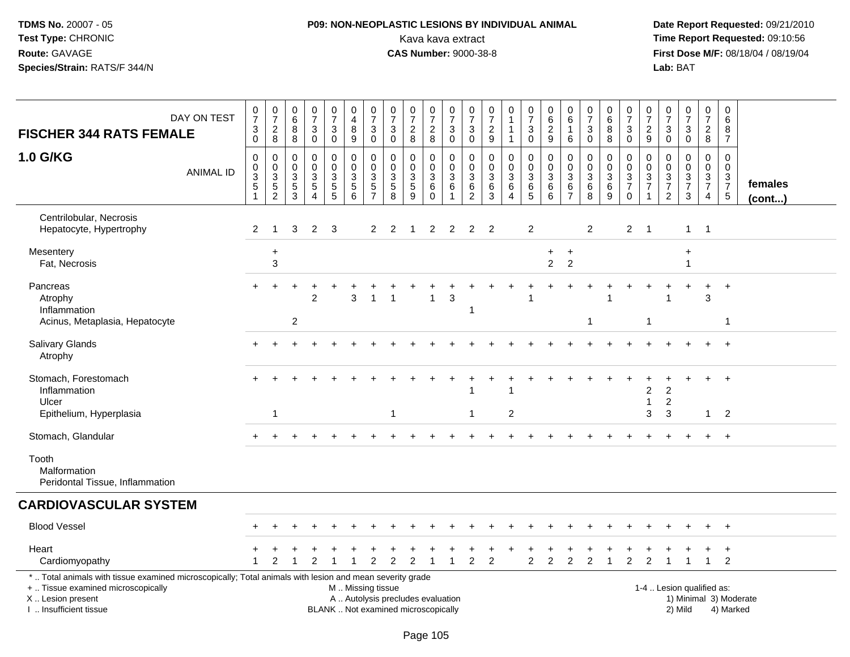# **P09: NON-NEOPLASTIC LESIONS BY INDIVIDUAL ANIMAL**Kava kava extract **Time Report Requested:** 09:10:56<br>**CAS Number:** 9000-38-8<br>**Tirst Dose M/F:** 08/18/04 / 08/19/04

 **Date Report Requested:** 09/21/2010 **First Dose M/F:** 08/18/04 / 08/19/04 Lab: BAT **Lab:** BAT

| DAY ON TEST<br><b>FISCHER 344 RATS FEMALE</b>                                                                                                                                                 | 0<br>$\overline{7}$<br>$^3_{\rm 0}$                     | $\begin{array}{c} 0 \\ 7 \end{array}$<br>$_{\rm 8}^2$     | 0<br>6<br>8<br>8                       | 0<br>$\overline{7}$<br>3<br>$\mathbf 0$                | $\frac{0}{7}$<br>3<br>0                           | 0<br>$\overline{\mathbf{4}}$<br>$\bf 8$<br>$\overline{9}$      | $\frac{0}{7}$<br>$_{\rm 0}^3$                             | $\begin{array}{c} 0 \\ 7 \end{array}$<br>$\ensuremath{\mathsf{3}}$<br>$\mathbf 0$ | $\frac{0}{7}$<br>$\overline{2}$<br>8                | $\begin{array}{c} 0 \\ 7 \end{array}$<br>$^2_{\bf 8}$ | $\begin{array}{c} 0 \\ 7 \end{array}$<br>3<br>$\mathbf 0$ | 0<br>$\overline{7}$<br>3<br>0 | 0<br>$\overline{7}$<br>$\boldsymbol{2}$<br>$\boldsymbol{9}$ | $\pmb{0}$<br>$\mathbf{1}$<br>$\mathbf{1}$                      | $\begin{array}{c} 0 \\ 7 \end{array}$<br>$\sqrt{3}$<br>$\mathbf 0$ | $\pmb{0}$<br>$6\phantom{a}$<br>$\frac{2}{9}$           | 0<br>$6\phantom{a}$<br>$\overline{1}$<br>6                     | $\frac{0}{7}$<br>3<br>0                      | 0<br>$6\phantom{a}$<br>8<br>8                 | $\begin{array}{c} 0 \\ 7 \end{array}$<br>3<br>$\mathbf 0$              | 0<br>$\overline{7}$<br>2<br>$\boldsymbol{9}$ | 0<br>$\overline{7}$<br>$\mathbf{3}$<br>$\mathsf{O}\xspace$  | $\frac{0}{7}$<br>3<br>$\mathsf{O}$                             | $\frac{0}{7}$<br>$\frac{2}{8}$                                                 |                | $\mathbf 0$<br>$6\phantom{1}$<br>8<br>$\overline{7}$                       |                         |
|-----------------------------------------------------------------------------------------------------------------------------------------------------------------------------------------------|---------------------------------------------------------|-----------------------------------------------------------|----------------------------------------|--------------------------------------------------------|---------------------------------------------------|----------------------------------------------------------------|-----------------------------------------------------------|-----------------------------------------------------------------------------------|-----------------------------------------------------|-------------------------------------------------------|-----------------------------------------------------------|-------------------------------|-------------------------------------------------------------|----------------------------------------------------------------|--------------------------------------------------------------------|--------------------------------------------------------|----------------------------------------------------------------|----------------------------------------------|-----------------------------------------------|------------------------------------------------------------------------|----------------------------------------------|-------------------------------------------------------------|----------------------------------------------------------------|--------------------------------------------------------------------------------|----------------|----------------------------------------------------------------------------|-------------------------|
| 1.0 G/KG<br><b>ANIMAL ID</b>                                                                                                                                                                  | $\mathbf 0$<br>0<br>$\overline{3}$<br>5<br>$\mathbf{1}$ | $\mathbf 0$<br>$\pmb{0}$<br>$\mathbf{3}$<br>$\frac{5}{2}$ | $\Omega$<br>0<br>3<br>$\,$ 5 $\,$<br>3 | $\mathbf 0$<br>$\Omega$<br>3<br>$\sqrt{5}$<br>$\Delta$ | $\mathbf 0$<br>0<br>$\mathbf{3}$<br>$\frac{5}{5}$ | $\mathbf 0$<br>0<br>3<br>$\begin{array}{c} 5 \\ 6 \end{array}$ | $\mathbf 0$<br>$\mathbf 0$<br>$\sqrt{3}$<br>$\frac{5}{7}$ | 0<br>0<br>$\ensuremath{\mathsf{3}}$<br>$\begin{array}{c} 5 \\ 8 \end{array}$      | $\mathbf 0$<br>$\mathbf{0}$<br>3<br>$\sqrt{5}$<br>9 | 0<br>0<br>$\sqrt{3}$<br>$^6_0$                        | $\mathbf 0$<br>$\mathbf 0$<br>3<br>6<br>$\overline{1}$    | $\Omega$<br>0<br>3<br>6<br>2  | 0<br>$\Omega$<br>$\sqrt{3}$<br>6<br>$\overline{3}$          | $\mathbf 0$<br>$\mathbf 0$<br>3<br>6<br>$\boldsymbol{\Lambda}$ | 0<br>0<br>$\mathfrak{Z}$<br>$6\over 5$                             | $\mathbf 0$<br>$\mathbf 0$<br>$\mathfrak{Z}$<br>$^6_6$ | $\mathbf 0$<br>0<br>$\ensuremath{\mathsf{3}}$<br>$\frac{6}{7}$ | $\Omega$<br>$\mathbf 0$<br>3<br>$\,6\,$<br>8 | 0<br>0<br>$\ensuremath{\mathsf{3}}$<br>$^6_9$ | $\Omega$<br>$\mathbf 0$<br>$\sqrt{3}$<br>$\overline{7}$<br>$\mathbf 0$ | $\Omega$<br>$\Omega$<br>3<br>$\overline{7}$  | $\Omega$<br>$\Omega$<br>$\sqrt{3}$<br>$\boldsymbol{7}$<br>2 | $\mathbf 0$<br>$\mathbf 0$<br>3<br>$\overline{7}$<br>3         | $\mathbf 0$<br>$\mathbf 0$<br>$\mathbf{3}$<br>$\overline{7}$<br>$\overline{4}$ |                | $\Omega$<br>0<br>$\ensuremath{\mathsf{3}}$<br>$\overline{7}$<br>$\sqrt{5}$ | females<br>$($ cont $)$ |
| Centrilobular, Necrosis<br>Hepatocyte, Hypertrophy                                                                                                                                            | 2                                                       | -1                                                        | 3                                      | $\overline{c}$                                         | 3                                                 |                                                                | $\overline{2}$                                            | $\overline{c}$                                                                    | -1                                                  | 2                                                     | $\overline{c}$                                            | 2                             | $\overline{2}$                                              |                                                                | $\overline{2}$                                                     |                                                        |                                                                | $\overline{2}$                               |                                               | $\overline{2}$                                                         | $\overline{1}$                               |                                                             | $\mathbf{1}$                                                   | $\overline{1}$                                                                 |                |                                                                            |                         |
| Mesentery<br>Fat, Necrosis                                                                                                                                                                    |                                                         | $\ddot{}$<br>3                                            |                                        |                                                        |                                                   |                                                                |                                                           |                                                                                   |                                                     |                                                       |                                                           |                               |                                                             |                                                                |                                                                    | $\ddot{}$<br>$\overline{2}$                            | $\pm$<br>$\overline{2}$                                        |                                              |                                               |                                                                        |                                              |                                                             | $\ddot{}$                                                      |                                                                                |                |                                                                            |                         |
| Pancreas<br>Atrophy<br>Inflammation                                                                                                                                                           |                                                         |                                                           |                                        | $\mathcal{P}$                                          |                                                   | 3                                                              |                                                           |                                                                                   |                                                     |                                                       | 3                                                         | 1                             |                                                             |                                                                |                                                                    |                                                        |                                                                |                                              |                                               |                                                                        |                                              |                                                             |                                                                | $+$<br>3                                                                       | $\ddot{}$      |                                                                            |                         |
| Acinus, Metaplasia, Hepatocyte                                                                                                                                                                |                                                         |                                                           | $\overline{c}$                         |                                                        |                                                   |                                                                |                                                           |                                                                                   |                                                     |                                                       |                                                           |                               |                                                             |                                                                |                                                                    |                                                        |                                                                | -1                                           |                                               |                                                                        | $\mathbf 1$                                  |                                                             |                                                                |                                                                                | $\mathbf{1}$   |                                                                            |                         |
| Salivary Glands<br>Atrophy                                                                                                                                                                    |                                                         |                                                           |                                        |                                                        |                                                   |                                                                |                                                           |                                                                                   |                                                     |                                                       |                                                           |                               |                                                             |                                                                |                                                                    |                                                        |                                                                |                                              |                                               |                                                                        |                                              |                                                             |                                                                |                                                                                | $\ddot{}$      |                                                                            |                         |
| Stomach, Forestomach<br>Inflammation<br>Ulcer                                                                                                                                                 |                                                         |                                                           |                                        |                                                        |                                                   |                                                                |                                                           |                                                                                   |                                                     |                                                       |                                                           |                               |                                                             |                                                                |                                                                    |                                                        |                                                                |                                              |                                               |                                                                        | 2                                            | 2<br>2                                                      |                                                                | $\pm$                                                                          | $\overline{+}$ |                                                                            |                         |
| Epithelium, Hyperplasia                                                                                                                                                                       |                                                         | -1                                                        |                                        |                                                        |                                                   |                                                                |                                                           | -1                                                                                |                                                     |                                                       |                                                           | $\mathbf{1}$                  |                                                             | $\overline{c}$                                                 |                                                                    |                                                        |                                                                |                                              |                                               |                                                                        | 3                                            | 3                                                           |                                                                | $\mathbf{1}$                                                                   | 2              |                                                                            |                         |
| Stomach, Glandular                                                                                                                                                                            |                                                         |                                                           |                                        |                                                        |                                                   |                                                                |                                                           |                                                                                   |                                                     |                                                       |                                                           |                               |                                                             |                                                                |                                                                    |                                                        |                                                                |                                              |                                               |                                                                        |                                              |                                                             |                                                                |                                                                                | $+$            |                                                                            |                         |
| Tooth<br>Malformation<br>Peridontal Tissue, Inflammation                                                                                                                                      |                                                         |                                                           |                                        |                                                        |                                                   |                                                                |                                                           |                                                                                   |                                                     |                                                       |                                                           |                               |                                                             |                                                                |                                                                    |                                                        |                                                                |                                              |                                               |                                                                        |                                              |                                                             |                                                                |                                                                                |                |                                                                            |                         |
| <b>CARDIOVASCULAR SYSTEM</b>                                                                                                                                                                  |                                                         |                                                           |                                        |                                                        |                                                   |                                                                |                                                           |                                                                                   |                                                     |                                                       |                                                           |                               |                                                             |                                                                |                                                                    |                                                        |                                                                |                                              |                                               |                                                                        |                                              |                                                             |                                                                |                                                                                |                |                                                                            |                         |
| <b>Blood Vessel</b>                                                                                                                                                                           |                                                         |                                                           |                                        |                                                        |                                                   |                                                                |                                                           |                                                                                   |                                                     |                                                       |                                                           |                               |                                                             |                                                                |                                                                    |                                                        |                                                                |                                              |                                               |                                                                        |                                              |                                                             |                                                                |                                                                                | $\ddot{}$      |                                                                            |                         |
| Heart                                                                                                                                                                                         |                                                         |                                                           |                                        |                                                        |                                                   |                                                                |                                                           |                                                                                   |                                                     |                                                       |                                                           |                               |                                                             |                                                                |                                                                    |                                                        |                                                                |                                              |                                               |                                                                        |                                              |                                                             |                                                                |                                                                                |                | $\ddot{}$                                                                  |                         |
| Cardiomyopathy                                                                                                                                                                                |                                                         |                                                           |                                        |                                                        |                                                   |                                                                | 2                                                         | 2                                                                                 | 2                                                   |                                                       |                                                           | 2                             | 2                                                           |                                                                | $\overline{2}$                                                     | 2                                                      | 2                                                              | $\overline{2}$                               | $\mathbf{1}$                                  | 2                                                                      | 2                                            |                                                             |                                                                | $\mathbf{1}$                                                                   |                | 2                                                                          |                         |
| *  Total animals with tissue examined microscopically; Total animals with lesion and mean severity grade<br>+  Tissue examined microscopically<br>X  Lesion present<br>I  Insufficient tissue |                                                         |                                                           |                                        |                                                        |                                                   | M  Missing tissue                                              |                                                           | A  Autolysis precludes evaluation<br>BLANK  Not examined microscopically          |                                                     |                                                       |                                                           |                               |                                                             |                                                                |                                                                    |                                                        |                                                                |                                              |                                               |                                                                        |                                              |                                                             | 1-4  Lesion qualified as:<br>1) Minimal 3) Moderate<br>2) Mild |                                                                                |                | 4) Marked                                                                  |                         |

I .. Insufficient tissue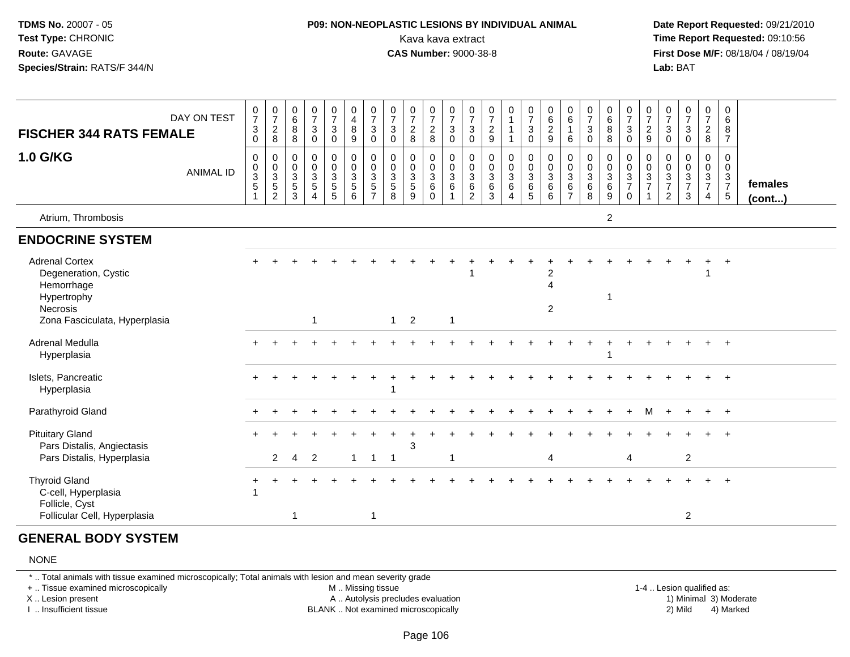#### **P09: NON-NEOPLASTIC LESIONS BY INDIVIDUAL ANIMAL**Kava kava extract **Time Report Requested:** 09:10:56<br>**CAS Number:** 9000-38-8<br>**Tirst Dose M/F:** 08/18/04 / 08/19/04

 **Date Report Requested:** 09/21/2010 **First Dose M/F: 08/18/04 / 08/19/04**<br>**Lab: BAT Lab:** BAT

| <b>FISCHER 344 RATS FEMALE</b><br><b>1.0 G/KG</b>                                      | DAY ON TEST<br><b>ANIMAL ID</b> | $\frac{0}{7}$<br>$\ensuremath{\mathsf{3}}$<br>0<br>0<br>$\pmb{0}$<br>$\mathbf{3}$<br>$\sqrt{5}$ | $\frac{0}{7}$<br>$\sqrt{2}$<br>8<br>0<br>$\,0\,$<br>$\frac{3}{5}$ | 0<br>$6\overline{6}$<br>8<br>8<br>0<br>$\mathsf 0$<br>3<br>$\sqrt{5}$ | $\frac{0}{7}$<br>$\sqrt{3}$<br>$\Omega$<br>0<br>$\mathbf 0$<br>$\sqrt{3}$<br>$\overline{5}$ | $\frac{0}{7}$<br>$\mathbf{3}$<br>$\mathbf 0$<br>$\pmb{0}$<br>$\pmb{0}$<br>$\frac{3}{5}$ | $\begin{smallmatrix}0\0\4\end{smallmatrix}$<br>8<br>9<br>0<br>$\overline{0}$<br>$\frac{3}{5}$ | $\frac{0}{7}$<br>$\ensuremath{\mathsf{3}}$<br>$\mathbf 0$<br>$\pmb{0}$<br>$\begin{array}{c} 0 \\ 3 \\ 5 \\ 7 \end{array}$ | $\frac{0}{7}$<br>$\mathbf{3}$<br>$\mathbf 0$<br>0<br>$\mathbf 0$<br>$\mathbf{3}$<br>$\sqrt{5}$ | $\frac{0}{7}$<br>$\sqrt{2}$<br>8<br>$\mathbf 0$<br>$\mathbf 0$<br>3<br>$\overline{5}$ | $\frac{0}{7}$<br>$\overline{a}$<br>8<br>0<br>$\mathbf 0$<br>3<br>6 | $\frac{0}{7}$<br>$\mathbf{3}$<br>$\mathbf 0$<br>$_{\rm 0}^{\rm 0}$<br>$\frac{3}{6}$ | $\frac{0}{7}$<br>$\mathbf{3}$<br>$\Omega$<br>0<br>$\mathbf 0$<br>$\mathbf{3}$<br>$\,6$ | $\frac{0}{7}$<br>$\sqrt{2}$<br>9<br>0<br>$\pmb{0}$<br>$\ensuremath{\mathsf{3}}$ | $\begin{smallmatrix}0\\1\end{smallmatrix}$<br>$\begin{smallmatrix} 0\\0 \end{smallmatrix}$<br>$\frac{3}{6}$ | $\frac{0}{7}$<br>$\mathbf 3$<br>$\mathbf 0$<br>$\begin{smallmatrix} 0\\0 \end{smallmatrix}$<br>$\frac{3}{6}$ | $\begin{matrix} 0 \\ 6 \\ 2 \end{matrix}$<br>9<br>$\begin{matrix}0\\0\\3\\6\end{matrix}$ | $\begin{matrix} 0 \\ 6 \end{matrix}$<br>$\mathbf{1}$<br>6<br>0<br>$\mathbf 0$<br>3<br>6 | $\frac{0}{7}$<br>$\mathsf 3$<br>$\Omega$<br>$\pmb{0}$<br>$\mathbf 0$<br>$\frac{3}{6}$ | $_6^0$<br>$\overline{8}$<br>8<br>0<br>$\overline{0}$<br>$\frac{3}{6}$ | $\frac{0}{7}$<br>$\mathbf{3}$<br>$\mathbf 0$<br>$\begin{smallmatrix}0\0\0\end{smallmatrix}$<br>$\frac{3}{7}$ | $\frac{0}{7}$<br>$\sqrt{2}$<br>$9\,$<br>0<br>$\mathbf 0$<br>$\frac{3}{7}$ | $\frac{0}{7}$<br>$\ensuremath{\mathsf{3}}$<br>$\mathbf 0$<br>$\mathbf 0$<br>$\begin{array}{c} 0 \\ 3 \\ 7 \end{array}$ | $\frac{0}{7}$<br>$\sqrt{3}$<br>$\Omega$<br>0<br>$\mathbf 0$<br>$\frac{3}{7}$ | $\frac{0}{7}$<br>$\overline{a}$<br>$\bf8$<br>0<br>$\mathbf 0$<br>$\frac{3}{7}$ | 0<br>6<br>8<br>$\overline{7}$<br>0<br>$\mathbf 0$<br>$\frac{3}{7}$ | females |
|----------------------------------------------------------------------------------------|---------------------------------|-------------------------------------------------------------------------------------------------|-------------------------------------------------------------------|-----------------------------------------------------------------------|---------------------------------------------------------------------------------------------|-----------------------------------------------------------------------------------------|-----------------------------------------------------------------------------------------------|---------------------------------------------------------------------------------------------------------------------------|------------------------------------------------------------------------------------------------|---------------------------------------------------------------------------------------|--------------------------------------------------------------------|-------------------------------------------------------------------------------------|----------------------------------------------------------------------------------------|---------------------------------------------------------------------------------|-------------------------------------------------------------------------------------------------------------|--------------------------------------------------------------------------------------------------------------|------------------------------------------------------------------------------------------|-----------------------------------------------------------------------------------------|---------------------------------------------------------------------------------------|-----------------------------------------------------------------------|--------------------------------------------------------------------------------------------------------------|---------------------------------------------------------------------------|------------------------------------------------------------------------------------------------------------------------|------------------------------------------------------------------------------|--------------------------------------------------------------------------------|--------------------------------------------------------------------|---------|
|                                                                                        |                                 |                                                                                                 | $\overline{2}$                                                    | 3                                                                     | $\boldsymbol{\Lambda}$                                                                      |                                                                                         |                                                                                               |                                                                                                                           | 8                                                                                              | 9                                                                                     | $\Omega$                                                           |                                                                                     | $\overline{2}$                                                                         | $^6_3$                                                                          | $\Delta$                                                                                                    |                                                                                                              | 6                                                                                        | $\overline{7}$                                                                          | $\overline{8}$                                                                        | $\overline{9}$                                                        | $\mathbf 0$                                                                                                  |                                                                           | $\overline{2}$                                                                                                         | $\mathbf{3}$                                                                 | 4                                                                              | $\overline{5}$                                                     | (cont)  |
| Atrium, Thrombosis                                                                     |                                 |                                                                                                 |                                                                   |                                                                       |                                                                                             |                                                                                         |                                                                                               |                                                                                                                           |                                                                                                |                                                                                       |                                                                    |                                                                                     |                                                                                        |                                                                                 |                                                                                                             |                                                                                                              |                                                                                          |                                                                                         |                                                                                       | $\overline{2}$                                                        |                                                                                                              |                                                                           |                                                                                                                        |                                                                              |                                                                                |                                                                    |         |
| <b>ENDOCRINE SYSTEM</b>                                                                |                                 |                                                                                                 |                                                                   |                                                                       |                                                                                             |                                                                                         |                                                                                               |                                                                                                                           |                                                                                                |                                                                                       |                                                                    |                                                                                     |                                                                                        |                                                                                 |                                                                                                             |                                                                                                              |                                                                                          |                                                                                         |                                                                                       |                                                                       |                                                                                                              |                                                                           |                                                                                                                        |                                                                              |                                                                                |                                                                    |         |
| <b>Adrenal Cortex</b><br>Degeneration, Cystic<br>Hemorrhage<br>Hypertrophy<br>Necrosis |                                 | $+$                                                                                             |                                                                   |                                                                       |                                                                                             |                                                                                         |                                                                                               |                                                                                                                           |                                                                                                |                                                                                       |                                                                    |                                                                                     |                                                                                        |                                                                                 |                                                                                                             |                                                                                                              | $\overline{c}$<br>$\boldsymbol{\Lambda}$<br>$\overline{2}$                               |                                                                                         |                                                                                       |                                                                       |                                                                                                              |                                                                           |                                                                                                                        |                                                                              |                                                                                |                                                                    |         |
| Zona Fasciculata, Hyperplasia                                                          |                                 |                                                                                                 |                                                                   |                                                                       | $\overline{1}$                                                                              |                                                                                         |                                                                                               |                                                                                                                           |                                                                                                | $1 \quad 2$                                                                           |                                                                    | $\overline{1}$                                                                      |                                                                                        |                                                                                 |                                                                                                             |                                                                                                              |                                                                                          |                                                                                         |                                                                                       |                                                                       |                                                                                                              |                                                                           |                                                                                                                        |                                                                              |                                                                                |                                                                    |         |
| Adrenal Medulla<br>Hyperplasia                                                         |                                 | ∔                                                                                               |                                                                   |                                                                       |                                                                                             |                                                                                         |                                                                                               |                                                                                                                           |                                                                                                |                                                                                       |                                                                    |                                                                                     |                                                                                        |                                                                                 |                                                                                                             |                                                                                                              |                                                                                          |                                                                                         |                                                                                       |                                                                       |                                                                                                              |                                                                           |                                                                                                                        |                                                                              |                                                                                | $\overline{+}$                                                     |         |
| Islets, Pancreatic<br>Hyperplasia                                                      |                                 |                                                                                                 |                                                                   |                                                                       |                                                                                             |                                                                                         |                                                                                               |                                                                                                                           |                                                                                                |                                                                                       |                                                                    |                                                                                     |                                                                                        |                                                                                 |                                                                                                             |                                                                                                              |                                                                                          |                                                                                         |                                                                                       |                                                                       |                                                                                                              |                                                                           |                                                                                                                        |                                                                              |                                                                                | $+$                                                                |         |
| Parathyroid Gland                                                                      |                                 |                                                                                                 |                                                                   |                                                                       |                                                                                             |                                                                                         |                                                                                               |                                                                                                                           |                                                                                                |                                                                                       |                                                                    |                                                                                     |                                                                                        |                                                                                 |                                                                                                             |                                                                                                              |                                                                                          |                                                                                         |                                                                                       |                                                                       |                                                                                                              | м                                                                         |                                                                                                                        |                                                                              |                                                                                | $+$                                                                |         |
| <b>Pituitary Gland</b><br>Pars Distalis, Angiectasis<br>Pars Distalis, Hyperplasia     |                                 |                                                                                                 | $\overline{2}$                                                    | 4                                                                     | 2                                                                                           |                                                                                         | $\mathbf{1}$                                                                                  | $\overline{1}$                                                                                                            |                                                                                                | 3                                                                                     |                                                                    |                                                                                     |                                                                                        |                                                                                 |                                                                                                             |                                                                                                              | 4                                                                                        |                                                                                         |                                                                                       |                                                                       | $\overline{4}$                                                                                               |                                                                           |                                                                                                                        | $\overline{c}$                                                               |                                                                                |                                                                    |         |
|                                                                                        |                                 |                                                                                                 |                                                                   |                                                                       |                                                                                             |                                                                                         |                                                                                               |                                                                                                                           |                                                                                                |                                                                                       |                                                                    |                                                                                     |                                                                                        |                                                                                 |                                                                                                             |                                                                                                              |                                                                                          |                                                                                         |                                                                                       |                                                                       |                                                                                                              |                                                                           |                                                                                                                        |                                                                              |                                                                                |                                                                    |         |
| <b>Thyroid Gland</b><br>C-cell, Hyperplasia<br>Follicle, Cyst                          |                                 |                                                                                                 |                                                                   |                                                                       |                                                                                             |                                                                                         |                                                                                               |                                                                                                                           |                                                                                                |                                                                                       |                                                                    |                                                                                     |                                                                                        |                                                                                 |                                                                                                             |                                                                                                              |                                                                                          |                                                                                         |                                                                                       |                                                                       |                                                                                                              |                                                                           |                                                                                                                        |                                                                              |                                                                                |                                                                    |         |
| Follicular Cell, Hyperplasia                                                           |                                 |                                                                                                 |                                                                   | 1                                                                     |                                                                                             |                                                                                         |                                                                                               | -1                                                                                                                        |                                                                                                |                                                                                       |                                                                    |                                                                                     |                                                                                        |                                                                                 |                                                                                                             |                                                                                                              |                                                                                          |                                                                                         |                                                                                       |                                                                       |                                                                                                              |                                                                           |                                                                                                                        | 2                                                                            |                                                                                |                                                                    |         |

#### **GENERAL BODY SYSTEM**

#### NONE

\* .. Total animals with tissue examined microscopically; Total animals with lesion and mean severity grade

+ .. Tissue examined microscopically

X .. Lesion present

I .. Insufficient tissue

M .. Missing tissue

A .. Autolysis precludes evaluation

BLANK .. Not examined microscopically 2) Mild 4) Marked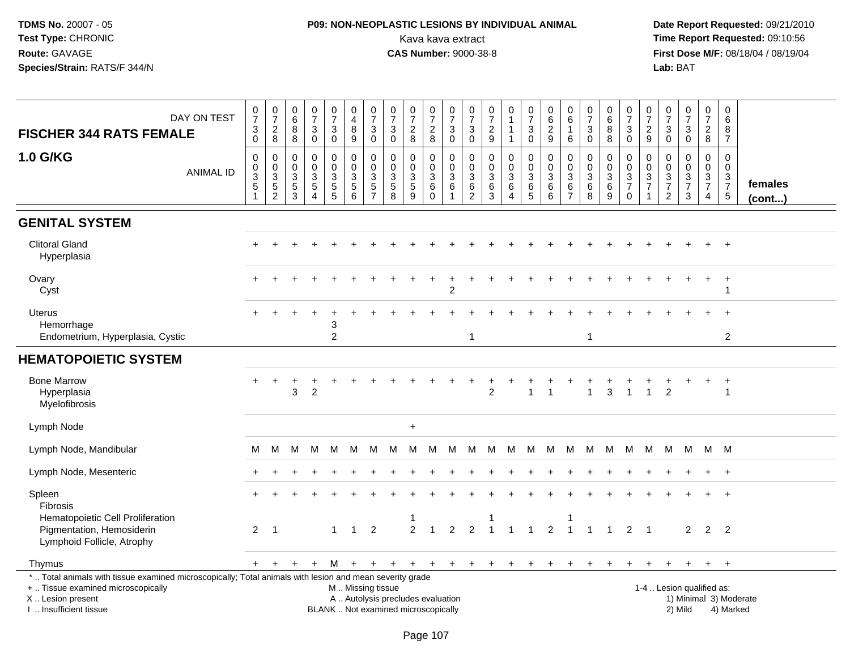# **P09: NON-NEOPLASTIC LESIONS BY INDIVIDUAL ANIMAL**Kava kava extract **Time Report Requested:** 09:10:56

| DAY ON TEST<br><b>FISCHER 344 RATS FEMALE</b>                                                                                                                                                 | $\frac{0}{7}$<br>$\frac{3}{0}$                             | $\begin{array}{c} 0 \\ 7 \end{array}$<br>$_{\rm 8}^2$           | $\begin{array}{c} 0 \\ 6 \end{array}$<br>$\frac{8}{8}$         | $\frac{0}{7}$<br>$\ensuremath{\mathsf{3}}$<br>$\pmb{0}$                                       | $\begin{array}{c} 0 \\ 7 \end{array}$<br>$_{\rm 0}^3$ | 0<br>$\overline{\mathbf{4}}$<br>$\bf8$<br>9        | $\begin{array}{c} 0 \\ 7 \end{array}$<br>$\ensuremath{\mathsf{3}}$<br>$\mathbf 0$ | $\frac{0}{7}$<br>$\ensuremath{\mathsf{3}}$<br>$\mathbf 0$                | $\frac{0}{7}$<br>$_{8}^2$                | $\frac{0}{7}$<br>$\sqrt{2}$<br>8                     | $\frac{0}{7}$<br>$\ensuremath{\mathsf{3}}$<br>$\mathsf{O}\xspace$        | $\frac{0}{7}$<br>$\ensuremath{\mathsf{3}}$<br>$\mathsf 0$               | $\begin{array}{c} 0 \\ 7 \end{array}$<br>$\sqrt{2}$<br>9   | 0<br>$\mathbf{1}$<br>$\mathbf{1}$<br>$\mathbf{1}$ | $\frac{0}{7}$<br>$\ensuremath{\mathsf{3}}$<br>$\mathbf 0$                       | $^{\rm 0}_{\rm 6}$<br>$\overline{2}$<br>$\boldsymbol{9}$ | 0<br>6<br>$\mathbf{1}$<br>6                                  | $\frac{0}{7}$<br>$\ensuremath{\mathsf{3}}$<br>$\mathbf 0$                     | $\begin{array}{c} 0 \\ 6 \end{array}$<br>8<br>8 | $\frac{0}{7}$<br>$_{0}^{3}$                                | 0<br>$\overline{7}$<br>$\overline{c}$<br>9 | 0<br>$\frac{5}{7}$<br>$\ensuremath{\mathsf{3}}$<br>$\mathbf 0$                 | $\frac{0}{7}$<br>$\sqrt{3}$<br>$\mathbf 0$                                      | $\begin{array}{c} 0 \\ 7 \end{array}$<br>$\frac{2}{8}$        | $\mathbf 0$<br>6<br>8<br>$\overline{7}$                     |                         |
|-----------------------------------------------------------------------------------------------------------------------------------------------------------------------------------------------|------------------------------------------------------------|-----------------------------------------------------------------|----------------------------------------------------------------|-----------------------------------------------------------------------------------------------|-------------------------------------------------------|----------------------------------------------------|-----------------------------------------------------------------------------------|--------------------------------------------------------------------------|------------------------------------------|------------------------------------------------------|--------------------------------------------------------------------------|-------------------------------------------------------------------------|------------------------------------------------------------|---------------------------------------------------|---------------------------------------------------------------------------------|----------------------------------------------------------|--------------------------------------------------------------|-------------------------------------------------------------------------------|-------------------------------------------------|------------------------------------------------------------|--------------------------------------------|--------------------------------------------------------------------------------|---------------------------------------------------------------------------------|---------------------------------------------------------------|-------------------------------------------------------------|-------------------------|
| <b>1.0 G/KG</b><br><b>ANIMAL ID</b>                                                                                                                                                           | $\pmb{0}$<br>$_{3}^{\rm 0}$<br>$\,$ 5 $\,$<br>$\mathbf{1}$ | 0<br>$\pmb{0}$<br>$\mathbf{3}$<br>$\,$ 5 $\,$<br>$\overline{c}$ | 0<br>$\mathbf 0$<br>$\ensuremath{\mathsf{3}}$<br>$\frac{5}{3}$ | $\mathbf 0$<br>$\pmb{0}$<br>$\ensuremath{\mathsf{3}}$<br>$\sqrt{5}$<br>$\boldsymbol{\Lambda}$ | 0<br>$\mathsf{O}\xspace$<br>$\frac{3}{5}$             | $\mathbf 0$<br>$\mathbf 0$<br>3<br>$\sqrt{5}$<br>6 | $\mathbf 0$<br>$\mathbf 0$<br>3<br>$\sqrt{5}$<br>$\overline{7}$                   | $\mathbf 0$<br>$\mathbf 0$<br>3<br>$\sqrt{5}$<br>8                       | 0<br>$\mathbf 0$<br>3<br>$\sqrt{5}$<br>9 | 0<br>$\mathbf 0$<br>$\mathbf{3}$<br>6<br>$\mathbf 0$ | 0<br>$\pmb{0}$<br>$\ensuremath{\mathsf{3}}$<br>$\,6\,$<br>$\overline{1}$ | $\mathbf 0$<br>$\mathsf 0$<br>$\mathbf{3}$<br>$\,6\,$<br>$\overline{2}$ | $\mathbf 0$<br>$\mathbf 0$<br>3<br>$\,6\,$<br>$\mathbf{3}$ | 0<br>$\mathbf 0$<br>3<br>6<br>$\overline{4}$      | $\mathbf 0$<br>$\mathbf 0$<br>$\mathbf{3}$<br>$6\phantom{1}6$<br>$\overline{5}$ | $\mathbf 0$<br>$\pmb{0}$<br>3<br>$\,6$<br>6              | $\mathbf 0$<br>$\mathbf 0$<br>3<br>$\,6\,$<br>$\overline{7}$ | $\mathbf 0$<br>$\mathsf{O}\xspace$<br>$\ensuremath{\mathsf{3}}$<br>$\,6$<br>8 | $\mathbf 0$<br>$\mathbf 0$<br>3<br>6<br>9       | $\mathbf 0$<br>$\mathbf 0$<br>$\frac{3}{7}$<br>$\mathbf 0$ | 0<br>$\mathbf 0$<br>3<br>$\overline{7}$    | $\mathbf 0$<br>$\mathbf 0$<br>$\sqrt{3}$<br>$\boldsymbol{7}$<br>$\overline{2}$ | 0<br>$\mathbf 0$<br>$\ensuremath{\mathsf{3}}$<br>$\overline{7}$<br>$\mathbf{3}$ | $\mathbf 0$<br>$\mathbf 0$<br>$\frac{3}{7}$<br>$\overline{4}$ | $\Omega$<br>$\mathbf 0$<br>$\frac{3}{7}$<br>$5\phantom{.0}$ | females<br>$($ cont $)$ |
| <b>GENITAL SYSTEM</b>                                                                                                                                                                         |                                                            |                                                                 |                                                                |                                                                                               |                                                       |                                                    |                                                                                   |                                                                          |                                          |                                                      |                                                                          |                                                                         |                                                            |                                                   |                                                                                 |                                                          |                                                              |                                                                               |                                                 |                                                            |                                            |                                                                                |                                                                                 |                                                               |                                                             |                         |
| <b>Clitoral Gland</b><br>Hyperplasia                                                                                                                                                          |                                                            |                                                                 |                                                                |                                                                                               |                                                       |                                                    |                                                                                   |                                                                          |                                          |                                                      |                                                                          |                                                                         |                                                            |                                                   |                                                                                 |                                                          |                                                              |                                                                               |                                                 |                                                            |                                            |                                                                                |                                                                                 |                                                               | $\overline{+}$                                              |                         |
| Ovary<br>Cyst                                                                                                                                                                                 |                                                            |                                                                 |                                                                |                                                                                               |                                                       |                                                    |                                                                                   |                                                                          |                                          |                                                      | $\overline{c}$                                                           |                                                                         |                                                            |                                                   |                                                                                 |                                                          |                                                              |                                                                               |                                                 |                                                            |                                            |                                                                                |                                                                                 |                                                               | $\overline{1}$<br>$\mathbf{1}$                              |                         |
| Uterus<br>Hemorrhage<br>Endometrium, Hyperplasia, Cystic                                                                                                                                      |                                                            |                                                                 |                                                                |                                                                                               | 3<br>2                                                |                                                    |                                                                                   |                                                                          |                                          |                                                      |                                                                          | $\mathbf{1}$                                                            |                                                            |                                                   |                                                                                 |                                                          |                                                              | $\mathbf{1}$                                                                  |                                                 |                                                            |                                            |                                                                                |                                                                                 |                                                               | $\overline{1}$<br>$\overline{c}$                            |                         |
| <b>HEMATOPOIETIC SYSTEM</b>                                                                                                                                                                   |                                                            |                                                                 |                                                                |                                                                                               |                                                       |                                                    |                                                                                   |                                                                          |                                          |                                                      |                                                                          |                                                                         |                                                            |                                                   |                                                                                 |                                                          |                                                              |                                                                               |                                                 |                                                            |                                            |                                                                                |                                                                                 |                                                               |                                                             |                         |
| <b>Bone Marrow</b><br>Hyperplasia<br>Myelofibrosis                                                                                                                                            |                                                            |                                                                 | 3                                                              | $\overline{c}$                                                                                |                                                       |                                                    |                                                                                   |                                                                          |                                          |                                                      |                                                                          |                                                                         | $\overline{c}$                                             |                                                   | $\mathbf{1}$                                                                    | $\overline{1}$                                           |                                                              | $\overline{1}$                                                                | 3                                               | $\overline{1}$                                             | $\mathbf{1}$                               | $\overline{2}$                                                                 |                                                                                 |                                                               | $\overline{1}$<br>$\mathbf{1}$                              |                         |
| Lymph Node                                                                                                                                                                                    |                                                            |                                                                 |                                                                |                                                                                               |                                                       |                                                    |                                                                                   |                                                                          | $\ddot{}$                                |                                                      |                                                                          |                                                                         |                                                            |                                                   |                                                                                 |                                                          |                                                              |                                                                               |                                                 |                                                            |                                            |                                                                                |                                                                                 |                                                               |                                                             |                         |
| Lymph Node, Mandibular                                                                                                                                                                        | М                                                          | M                                                               | M                                                              | M                                                                                             | M                                                     | M                                                  | M                                                                                 | M                                                                        | M                                        | M                                                    | M                                                                        |                                                                         | M M M                                                      |                                                   | M M                                                                             |                                                          | M                                                            | M                                                                             | M                                               | M                                                          | <b>M</b>                                   |                                                                                | M M                                                                             |                                                               | M M                                                         |                         |
| Lymph Node, Mesenteric                                                                                                                                                                        |                                                            |                                                                 |                                                                |                                                                                               |                                                       |                                                    |                                                                                   |                                                                          |                                          |                                                      |                                                                          |                                                                         |                                                            |                                                   |                                                                                 |                                                          |                                                              |                                                                               |                                                 |                                                            |                                            |                                                                                |                                                                                 |                                                               | $\overline{+}$                                              |                         |
| Spleen<br><b>Fibrosis</b>                                                                                                                                                                     |                                                            |                                                                 |                                                                |                                                                                               |                                                       |                                                    |                                                                                   |                                                                          |                                          |                                                      |                                                                          |                                                                         |                                                            |                                                   |                                                                                 |                                                          |                                                              |                                                                               |                                                 |                                                            |                                            |                                                                                |                                                                                 |                                                               | $\overline{1}$                                              |                         |
| Hematopoietic Cell Proliferation<br>Pigmentation, Hemosiderin<br>Lymphoid Follicle, Atrophy                                                                                                   | 2                                                          | $\overline{1}$                                                  |                                                                |                                                                                               | $\overline{1}$                                        | $\mathbf{1}$                                       | $\overline{2}$                                                                    |                                                                          | 1<br>$\overline{2}$                      | $\overline{1}$                                       | $\overline{2}$                                                           | 2                                                                       | $\overline{1}$                                             | $\overline{1}$                                    | $\overline{1}$                                                                  | $\overline{2}$                                           |                                                              | $\overline{1}$                                                                | $\overline{1}$                                  | $\overline{2}$                                             | $\overline{1}$                             |                                                                                | $\overline{2}$                                                                  |                                                               | 2 <sub>2</sub>                                              |                         |
| Thymus                                                                                                                                                                                        | $+$                                                        | $+$                                                             | $+$                                                            | $+$                                                                                           |                                                       |                                                    |                                                                                   | $M + + + + +$                                                            |                                          | $+$                                                  |                                                                          |                                                                         | $+$ $+$ $+$ $+$                                            |                                                   | $+$                                                                             | $+$                                                      | $+$                                                          | $\ddot{}$                                                                     | $\ddot{}$                                       | $+$                                                        | +                                          |                                                                                | $\ddot{}$                                                                       | $+$                                                           | $+$                                                         |                         |
| *  Total animals with tissue examined microscopically; Total animals with lesion and mean severity grade<br>+  Tissue examined microscopically<br>X  Lesion present<br>I. Insufficient tissue |                                                            |                                                                 |                                                                |                                                                                               |                                                       | M  Missing tissue                                  |                                                                                   | A  Autolysis precludes evaluation<br>BLANK  Not examined microscopically |                                          |                                                      |                                                                          |                                                                         |                                                            |                                                   |                                                                                 |                                                          |                                                              |                                                                               |                                                 |                                                            |                                            |                                                                                | 1-4  Lesion qualified as:<br>2) Mild                                            |                                                               | 1) Minimal 3) Moderate<br>4) Marked                         |                         |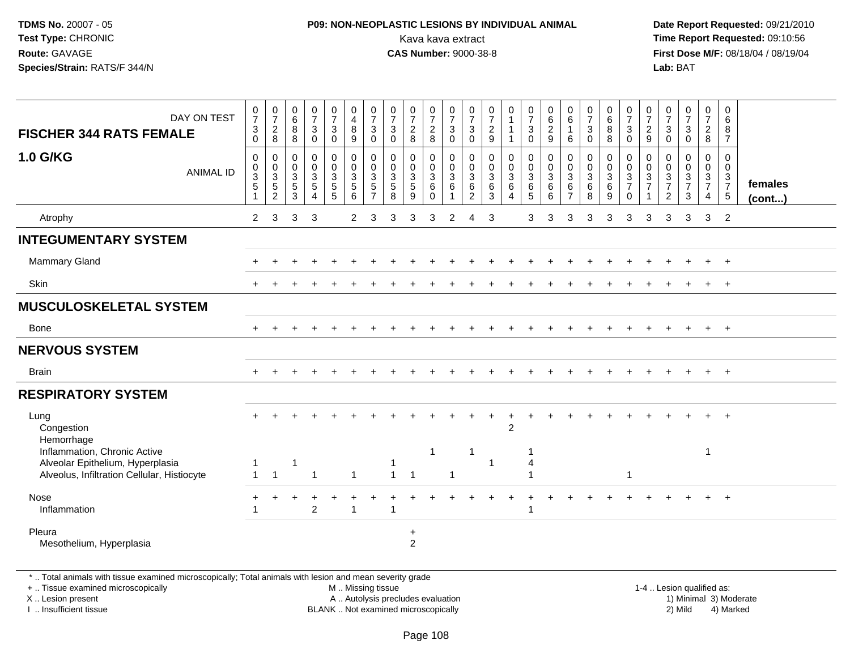#### **P09: NON-NEOPLASTIC LESIONS BY INDIVIDUAL ANIMAL**Kava kava extract **Time Report Requested:** 09:10:56<br>**CAS Number:** 9000-38-8<br>**Tirst Dose M/F:** 08/18/04 / 08/19/04

 **Date Report Requested:** 09/21/2010 **First Dose M/F:** 08/18/04 / 08/19/04 Lab: BAT **Lab:** BAT

|                               |                                                               | $6\overline{6}$                                       |                                 | $\overline{7}$                                          | $\overline{\mathbf{4}}$                                |                                            |                                                         |                                                          |                                                          |                                             |                                          |                                            | $\mathbf{1}$                                        |                                                  |                                        | $\,6\,$                         |                                                         |                                                     |                                                                  |                                                 |                                               |                                               |                                     | $\,6\,$                                                                      |                                   |
|-------------------------------|---------------------------------------------------------------|-------------------------------------------------------|---------------------------------|---------------------------------------------------------|--------------------------------------------------------|--------------------------------------------|---------------------------------------------------------|----------------------------------------------------------|----------------------------------------------------------|---------------------------------------------|------------------------------------------|--------------------------------------------|-----------------------------------------------------|--------------------------------------------------|----------------------------------------|---------------------------------|---------------------------------------------------------|-----------------------------------------------------|------------------------------------------------------------------|-------------------------------------------------|-----------------------------------------------|-----------------------------------------------|-------------------------------------|------------------------------------------------------------------------------|-----------------------------------|
| $\mathbf 0$                   | 8                                                             | $\,8\,$                                               | $\overline{0}$                  | $\ddot{\mathbf{0}}$                                     | $9\,$                                                  | $\mathbf 0$                                | $\mathbf 0$                                             |                                                          |                                                          | $\overline{0}$                              | $\overline{0}$                           |                                            | $\mathbf{1}$                                        | $\bar{0}$                                        |                                        | $6\phantom{1}$                  | $\overline{0}$                                          | $\overline{8}$                                      | $\mathbf 0$                                                      | $\boldsymbol{9}$                                | $\overline{0}$                                | $\mathbf 0$                                   |                                     | $\overline{7}$                                                               |                                   |
| $\mathbf 0$<br>$\pmb{0}$<br>3 | 0<br>$\mathbf 0$                                              | 0<br>0<br>$\mathsf 3$                                 | $\pmb{0}$<br>$\pmb{0}$          | $\mathbf 0$<br>$\mathbf 0$<br>$\ensuremath{\mathsf{3}}$ | $\mathbf 0$<br>$\mathbf 0$<br>$\mathbf 3$              | $\mathbf 0$<br>$\mathbf 0$<br>$\mathbf{3}$ | $\mathbf 0$<br>$\mathbf 0$<br>$\ensuremath{\mathsf{3}}$ | 0<br>$\mathbf 0$<br>$\mathbf{3}$                         | 0<br>$\mathbf 0$<br>$\mathsf 3$                          | 0<br>$\pmb{0}$<br>$\ensuremath{\mathsf{3}}$ | $\mathbf 0$<br>$\mathbf 0$<br>$\sqrt{3}$ | $\mathbf 0$<br>$\mathbf 0$<br>$\mathbf{3}$ | $\pmb{0}$<br>$\pmb{0}$<br>$\ensuremath{\mathsf{3}}$ | $\pmb{0}$<br>$\mathsf{O}\xspace$<br>$\mathbf{3}$ | 0<br>$\mathbf 0$<br>3                  | 0<br>$\mathbf 0$<br>$\mathsf 3$ | $\mathbf 0$<br>$\mathbf 0$<br>$\ensuremath{\mathsf{3}}$ | $\mathbf 0$<br>$\mathbf 0$                          | 0<br>$\mathbf 0$<br>$\ensuremath{\mathsf{3}}$                    | 0<br>$\mathbf 0$<br>$\ensuremath{\mathsf{3}}$   | 0<br>$\mathbf 0$<br>$\ensuremath{\mathsf{3}}$ | 0<br>$\mathbf 0$                              | 0<br>$\mathbf 0$                    | $\mathbf 0$<br>$\mathbf 0$                                                   | females                           |
| $\overline{1}$                | $\overline{2}$                                                | 3                                                     | $\overline{4}$                  | 5                                                       | 6                                                      | $\overline{7}$                             | 8                                                       | 9                                                        | $\Omega$                                                 |                                             | $\overline{2}$                           | 3                                          | $\overline{4}$                                      | 5                                                | 6                                      | $\overline{7}$                  | 8                                                       | $9\,$                                               | $\mathbf 0$                                                      |                                                 | $\overline{2}$                                | 3                                             | $\overline{4}$                      | $5\,$                                                                        | $($ cont $)$                      |
| $\overline{2}$                | 3                                                             | 3                                                     | 3                               |                                                         | $\overline{2}$                                         | 3                                          | 3                                                       | 3                                                        | 3                                                        | 2                                           | 4                                        | 3                                          |                                                     | 3                                                | 3                                      | 3                               | 3                                                       | 3                                                   | 3                                                                | 3                                               | 3                                             | 3                                             | 3                                   | $\overline{2}$                                                               |                                   |
|                               |                                                               |                                                       |                                 |                                                         |                                                        |                                            |                                                         |                                                          |                                                          |                                             |                                          |                                            |                                                     |                                                  |                                        |                                 |                                                         |                                                     |                                                                  |                                                 |                                               |                                               |                                     |                                                                              |                                   |
|                               |                                                               |                                                       |                                 |                                                         |                                                        |                                            |                                                         |                                                          |                                                          |                                             |                                          |                                            |                                                     |                                                  |                                        |                                 |                                                         |                                                     |                                                                  |                                                 |                                               |                                               |                                     | $^{+}$                                                                       |                                   |
|                               |                                                               |                                                       |                                 |                                                         |                                                        |                                            |                                                         |                                                          |                                                          |                                             |                                          |                                            |                                                     |                                                  |                                        |                                 |                                                         |                                                     |                                                                  |                                                 |                                               |                                               | $\pm$                               | $+$                                                                          |                                   |
|                               |                                                               |                                                       |                                 |                                                         |                                                        |                                            |                                                         |                                                          |                                                          |                                             |                                          |                                            |                                                     |                                                  |                                        |                                 |                                                         |                                                     |                                                                  |                                                 |                                               |                                               |                                     |                                                                              |                                   |
| $+$                           |                                                               |                                                       |                                 |                                                         |                                                        |                                            |                                                         |                                                          |                                                          |                                             |                                          |                                            |                                                     |                                                  |                                        |                                 |                                                         |                                                     |                                                                  |                                                 |                                               |                                               | $+$                                 | $+$                                                                          |                                   |
|                               |                                                               |                                                       |                                 |                                                         |                                                        |                                            |                                                         |                                                          |                                                          |                                             |                                          |                                            |                                                     |                                                  |                                        |                                 |                                                         |                                                     |                                                                  |                                                 |                                               |                                               |                                     |                                                                              |                                   |
| $\pm$                         |                                                               |                                                       |                                 |                                                         |                                                        |                                            |                                                         |                                                          |                                                          |                                             |                                          |                                            |                                                     |                                                  |                                        |                                 |                                                         |                                                     |                                                                  |                                                 |                                               |                                               | $+$                                 | $+$                                                                          |                                   |
|                               |                                                               |                                                       |                                 |                                                         |                                                        |                                            |                                                         |                                                          |                                                          |                                             |                                          |                                            |                                                     |                                                  |                                        |                                 |                                                         |                                                     |                                                                  |                                                 |                                               |                                               |                                     |                                                                              |                                   |
|                               |                                                               |                                                       |                                 |                                                         |                                                        |                                            |                                                         |                                                          |                                                          |                                             |                                          |                                            | $\overline{2}$                                      |                                                  |                                        |                                 |                                                         |                                                     |                                                                  |                                                 |                                               |                                               | $+$                                 | $+$                                                                          |                                   |
| $\mathbf{1}$                  | $\mathbf{1}$                                                  | 1                                                     | $\mathbf 1$                     |                                                         | $\overline{1}$                                         |                                            | 1<br>$\mathbf{1}$                                       | $\overline{1}$                                           | $\mathbf{1}$                                             | $\mathbf 1$                                 | $\overline{1}$                           | $\overline{\mathbf{1}}$                    |                                                     | 4                                                |                                        |                                 |                                                         |                                                     | -1                                                               |                                                 |                                               |                                               | $\mathbf{1}$                        |                                                                              |                                   |
|                               |                                                               |                                                       |                                 |                                                         |                                                        |                                            |                                                         |                                                          |                                                          |                                             |                                          |                                            |                                                     |                                                  |                                        |                                 |                                                         |                                                     |                                                                  |                                                 |                                               |                                               |                                     |                                                                              |                                   |
|                               |                                                               |                                                       | $\overline{2}$                  |                                                         | $\overline{\mathbf{1}}$                                |                                            |                                                         |                                                          |                                                          |                                             |                                          |                                            |                                                     |                                                  |                                        |                                 |                                                         |                                                     |                                                                  |                                                 |                                               |                                               |                                     |                                                                              |                                   |
|                               |                                                               |                                                       |                                 |                                                         |                                                        |                                            |                                                         | $\ddot{}$<br>2                                           |                                                          |                                             |                                          |                                            |                                                     |                                                  |                                        |                                 |                                                         |                                                     |                                                                  |                                                 |                                               |                                               |                                     |                                                                              |                                   |
|                               | $\frac{0}{7}$<br>$\sqrt{3}$<br><b>ANIMAL ID</b><br>$\sqrt{5}$ | $\frac{0}{7}$<br>$\overline{c}$<br>$\frac{3}{5}$<br>+ | 0<br>$\bf 8$<br>$\sqrt{5}$<br>+ | $\frac{0}{7}$<br>$\sqrt{3}$<br>$\frac{3}{5}$<br>+       | $\mathbf 0$<br>$\mathbf{3}$<br>$\sqrt{5}$<br>$\ddot{}$ | 0<br>$\, 8$<br>5<br>$\ddot{}$              | $\frac{0}{7}$<br>3<br>$\sqrt{5}$<br>+                   | $\frac{0}{7}$<br>$\ensuremath{\mathsf{3}}$<br>$\sqrt{5}$ | $\frac{0}{7}$<br>$_{8}^2$<br>$\overline{5}$<br>$\ddot{}$ | $\frac{0}{7}$<br>$_{\rm 8}^2$<br>6          | $\frac{0}{7}$<br>$\sqrt{3}$<br>$\,6\,$   | $\frac{0}{7}$<br>$\sqrt{3}$<br>$\,6\,$     | $\frac{0}{7}$<br>$\frac{2}{9}$<br>$\,6$             | $\pmb{0}$<br>$\mathbf{1}$<br>$\,6\,$             | $\frac{0}{7}$<br>$\mathbf{3}$<br>$\,6$ | 0629<br>6                       | 0<br>$\mathbf{1}$<br>$\,6\,$                            | $\frac{0}{7}$<br>$\ensuremath{\mathsf{3}}$<br>$\,6$ | $\begin{array}{c} 0 \\ 6 \end{array}$<br>$\bf8$<br>$\frac{3}{6}$ | $\frac{0}{7}$<br>$\mathbf{3}$<br>$\overline{7}$ | $\frac{0}{7}$<br>$\sqrt{2}$<br>$\overline{7}$ | $\frac{0}{7}$<br>$\sqrt{3}$<br>$\overline{7}$ | $\frac{0}{7}$<br>3<br>$\frac{3}{7}$ | $\begin{smallmatrix}0\\7\end{smallmatrix}$<br>$\frac{2}{8}$<br>$\frac{3}{7}$ | 0<br>8<br>$\frac{3}{7}$<br>$^{+}$ |

\* .. Total animals with tissue examined microscopically; Total animals with lesion and mean severity grade

+ .. Tissue examined microscopically

X .. Lesion present

I .. Insufficient tissue

M .. Missing tissue

A .. Autolysis precludes evaluation

BLANK .. Not examined microscopically 2) Mild 4) Marked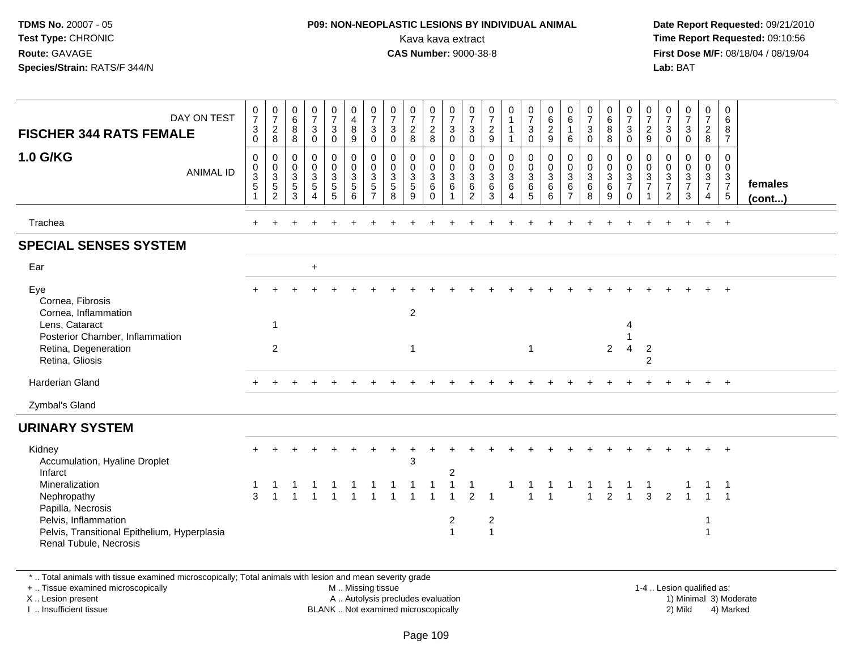### **P09: NON-NEOPLASTIC LESIONS BY INDIVIDUAL ANIMAL**Kava kava extract **Time Report Requested:** 09:10:56<br>**CAS Number:** 9000-38-8<br>**Tirst Dose M/F:** 08/18/04 / 08/19/04

 **Date Report Requested:** 09/21/2010 **First Dose M/F:** 08/18/04 / 08/19/04 Lab: BAT **Lab:** BAT

|                                                                                                                     |                                                                              |                                               |                                                             |                                                     |                                        |                                                                  |                                                                      |                                                |                                             |                                                  |                                                                         |                                                         |                                                          | 0                                          |                                            |                                                             |                                                     |                                                          |                                                  |                                                                             |                                                   |                                           |                                                         |                                                            | 0                                                      |                   |
|---------------------------------------------------------------------------------------------------------------------|------------------------------------------------------------------------------|-----------------------------------------------|-------------------------------------------------------------|-----------------------------------------------------|----------------------------------------|------------------------------------------------------------------|----------------------------------------------------------------------|------------------------------------------------|---------------------------------------------|--------------------------------------------------|-------------------------------------------------------------------------|---------------------------------------------------------|----------------------------------------------------------|--------------------------------------------|--------------------------------------------|-------------------------------------------------------------|-----------------------------------------------------|----------------------------------------------------------|--------------------------------------------------|-----------------------------------------------------------------------------|---------------------------------------------------|-------------------------------------------|---------------------------------------------------------|------------------------------------------------------------|--------------------------------------------------------|-------------------|
| DAY ON TEST                                                                                                         | $\frac{0}{7}$                                                                | $\frac{0}{7}$                                 | $\begin{array}{c} 0 \\ 6 \end{array}$                       | $\frac{0}{7}$                                       | $\frac{0}{7}$                          | $\begin{smallmatrix}0\0\4\end{smallmatrix}$                      | $\frac{0}{7}$                                                        | $\frac{0}{7}$                                  | $\frac{0}{7}$                               | $\frac{0}{7}$                                    | $\frac{0}{7}$                                                           | $\frac{0}{7}$                                           | $\frac{0}{7}$                                            | $\mathbf{1}$                               | $\frac{0}{7}$                              | $\begin{matrix} 0 \\ 6 \\ 2 \end{matrix}$                   | $\begin{matrix} 0 \\ 6 \end{matrix}$                | $\frac{0}{7}$                                            | $\begin{matrix}0\\6\\8\end{matrix}$              | $\begin{array}{c} 0 \\ 7 \\ 3 \end{array}$                                  | $\frac{0}{7}$                                     | $\frac{0}{7}$                             | $\frac{0}{7}$                                           | $\frac{0}{7}$                                              | 6                                                      |                   |
| <b>FISCHER 344 RATS FEMALE</b>                                                                                      | $\sqrt{3}$<br>$\mathsf 0$                                                    | $_{8}^2$                                      | 8<br>$\bf 8$                                                | 3<br>$\pmb{0}$                                      | $\ensuremath{\mathsf{3}}$<br>$\pmb{0}$ | $\bf 8$<br>$9\,$                                                 | 3<br>$\mathsf{O}\xspace$                                             | $\mathbf{3}$<br>$\pmb{0}$                      | $\overline{2}$<br>8                         | $_{8}^2$                                         | $\sqrt{3}$<br>$\mathbf 0$                                               | $\sqrt{3}$<br>$\pmb{0}$                                 | $\overline{c}$<br>$\boldsymbol{9}$                       | $\mathbf{1}$                               | 3<br>$\mathbf 0$                           | $\boldsymbol{9}$                                            | $\overline{1}$<br>$\,6\,$                           | $\mathbf{3}$<br>$\pmb{0}$                                | 8                                                | $\mathbf 0$                                                                 | $\frac{2}{9}$                                     | $\ensuremath{\mathsf{3}}$<br>$\pmb{0}$    | $\ensuremath{\mathsf{3}}$<br>$\pmb{0}$                  | $\frac{2}{8}$                                              | 8<br>$\overline{7}$                                    |                   |
| <b>1.0 G/KG</b><br><b>ANIMAL ID</b>                                                                                 | $\mathbf 0$<br>$\mathbf 0$<br>$\ensuremath{\mathsf{3}}$<br>5<br>$\mathbf{1}$ | 0<br>$\pmb{0}$<br>$\frac{3}{5}$<br>$\sqrt{2}$ | $\mathbf 0$<br>$\mathbf 0$<br>$\sqrt{3}$<br>$\sqrt{5}$<br>3 | 0<br>$\mathbf 0$<br>$\frac{3}{5}$<br>$\overline{4}$ | 0<br>$\pmb{0}$<br>$\frac{3}{5}$        | $\mathbf 0$<br>$\mathbf 0$<br>$\mathbf 3$<br>$\overline{5}$<br>6 | 0<br>$\mathbf 0$<br>$\ensuremath{\mathsf{3}}$<br>5<br>$\overline{7}$ | $\mathbf 0$<br>$\pmb{0}$<br>$\frac{3}{5}$<br>8 | 0<br>$\mathsf{O}$<br>$\mathbf{3}$<br>5<br>9 | 0<br>0<br>$\mathbf{3}$<br>$\,6\,$<br>$\mathbf 0$ | $\mathbf 0$<br>$\mathbf 0$<br>$\overline{3}$<br>$\,6\,$<br>$\mathbf{1}$ | 0<br>$\mathbf 0$<br>$\mathbf{3}$<br>6<br>$\overline{2}$ | $\mathbf 0$<br>$\mathbf 0$<br>$\sqrt{3}$<br>$\,6\,$<br>3 | 0<br>$\mathbf 0$<br>$\mathbf{3}$<br>6<br>4 | 0<br>$\mathbf 0$<br>$\mathbf{3}$<br>6<br>5 | 0<br>$\pmb{0}$<br>$\ensuremath{\mathsf{3}}$<br>$\,6\,$<br>6 | 0<br>$\mathbf 0$<br>$\frac{3}{6}$<br>$\overline{7}$ | $\mathbf 0$<br>$\mathbf 0$<br>$\sqrt{3}$<br>$\,6\,$<br>8 | 0<br>$\mathbf 0$<br>$\mathbf{3}$<br>$\,6\,$<br>9 | $\mathbf 0$<br>$\mathsf 0$<br>$\mathbf{3}$<br>$\overline{7}$<br>$\mathbf 0$ | 0<br>$\mathbf 0$<br>$\frac{3}{7}$<br>$\mathbf{1}$ | 0<br>0<br>$\frac{3}{7}$<br>$\overline{2}$ | 0<br>$\mathsf{O}\xspace$<br>$\frac{3}{7}$<br>$\sqrt{3}$ | 0<br>0<br>$\mathbf{3}$<br>$\overline{7}$<br>$\overline{4}$ | $\mathbf 0$<br>$\Omega$<br>$\frac{3}{7}$<br>$\sqrt{5}$ | females<br>(cont) |
| Trachea                                                                                                             |                                                                              |                                               |                                                             |                                                     |                                        |                                                                  |                                                                      |                                                |                                             |                                                  |                                                                         |                                                         |                                                          |                                            |                                            |                                                             |                                                     |                                                          |                                                  |                                                                             |                                                   |                                           |                                                         | $+$                                                        | $+$                                                    |                   |
| <b>SPECIAL SENSES SYSTEM</b>                                                                                        |                                                                              |                                               |                                                             |                                                     |                                        |                                                                  |                                                                      |                                                |                                             |                                                  |                                                                         |                                                         |                                                          |                                            |                                            |                                                             |                                                     |                                                          |                                                  |                                                                             |                                                   |                                           |                                                         |                                                            |                                                        |                   |
| Ear                                                                                                                 |                                                                              |                                               |                                                             | $\ddot{}$                                           |                                        |                                                                  |                                                                      |                                                |                                             |                                                  |                                                                         |                                                         |                                                          |                                            |                                            |                                                             |                                                     |                                                          |                                                  |                                                                             |                                                   |                                           |                                                         |                                                            |                                                        |                   |
| Eye<br>Cornea, Fibrosis<br>Cornea, Inflammation                                                                     |                                                                              |                                               |                                                             |                                                     |                                        |                                                                  |                                                                      |                                                | $\overline{c}$                              |                                                  |                                                                         |                                                         |                                                          |                                            |                                            |                                                             |                                                     |                                                          |                                                  |                                                                             |                                                   |                                           |                                                         |                                                            |                                                        |                   |
| Lens, Cataract<br>Posterior Chamber, Inflammation                                                                   |                                                                              | $\mathbf{1}$                                  |                                                             |                                                     |                                        |                                                                  |                                                                      |                                                |                                             |                                                  |                                                                         |                                                         |                                                          |                                            |                                            |                                                             |                                                     |                                                          |                                                  | 4                                                                           |                                                   |                                           |                                                         |                                                            |                                                        |                   |
| Retina, Degeneration<br>Retina, Gliosis                                                                             |                                                                              | $\overline{2}$                                |                                                             |                                                     |                                        |                                                                  |                                                                      |                                                | $\mathbf{1}$                                |                                                  |                                                                         |                                                         |                                                          |                                            |                                            |                                                             |                                                     |                                                          | $\overline{2}$                                   | $\overline{4}$                                                              | $\overline{2}$<br>$\overline{2}$                  |                                           |                                                         |                                                            |                                                        |                   |
| <b>Harderian Gland</b>                                                                                              |                                                                              |                                               |                                                             |                                                     |                                        |                                                                  |                                                                      |                                                |                                             |                                                  |                                                                         |                                                         |                                                          |                                            |                                            |                                                             |                                                     |                                                          |                                                  |                                                                             |                                                   |                                           |                                                         |                                                            | $\ddot{}$                                              |                   |
| Zymbal's Gland                                                                                                      |                                                                              |                                               |                                                             |                                                     |                                        |                                                                  |                                                                      |                                                |                                             |                                                  |                                                                         |                                                         |                                                          |                                            |                                            |                                                             |                                                     |                                                          |                                                  |                                                                             |                                                   |                                           |                                                         |                                                            |                                                        |                   |
| <b>URINARY SYSTEM</b>                                                                                               |                                                                              |                                               |                                                             |                                                     |                                        |                                                                  |                                                                      |                                                |                                             |                                                  |                                                                         |                                                         |                                                          |                                            |                                            |                                                             |                                                     |                                                          |                                                  |                                                                             |                                                   |                                           |                                                         |                                                            |                                                        |                   |
| Kidney<br>Accumulation, Hyaline Droplet<br>Infarct                                                                  |                                                                              |                                               |                                                             |                                                     |                                        |                                                                  |                                                                      |                                                | 3                                           |                                                  | $\overline{\mathbf{c}}$                                                 |                                                         |                                                          |                                            |                                            |                                                             |                                                     |                                                          |                                                  |                                                                             |                                                   |                                           |                                                         |                                                            | $\ddot{}$                                              |                   |
| Mineralization<br>Nephropathy                                                                                       | 3                                                                            |                                               |                                                             |                                                     |                                        |                                                                  |                                                                      |                                                |                                             |                                                  | $\mathbf 1$                                                             | $\mathbf{1}$<br>$\overline{2}$                          |                                                          |                                            |                                            | $\overline{1}$                                              |                                                     | $\overline{1}$                                           | $\overline{2}$                                   |                                                                             | 3                                                 | 2                                         |                                                         |                                                            |                                                        |                   |
| Papilla, Necrosis<br>Pelvis, Inflammation<br>Pelvis, Transitional Epithelium, Hyperplasia<br>Renal Tubule, Necrosis |                                                                              |                                               |                                                             |                                                     |                                        |                                                                  |                                                                      |                                                |                                             |                                                  | $\overline{2}$<br>$\overline{1}$                                        |                                                         | $\overline{c}$<br>$\overline{1}$                         |                                            |                                            |                                                             |                                                     |                                                          |                                                  |                                                                             |                                                   |                                           |                                                         |                                                            |                                                        |                   |

\* .. Total animals with tissue examined microscopically; Total animals with lesion and mean severity grade

+ .. Tissue examined microscopically

X .. Lesion present

I .. Insufficient tissue

M .. Missing tissue

A .. Autolysis precludes evaluation

BLANK .. Not examined microscopically 2) Mild 4) Marked

1-4 .. Lesion qualified as: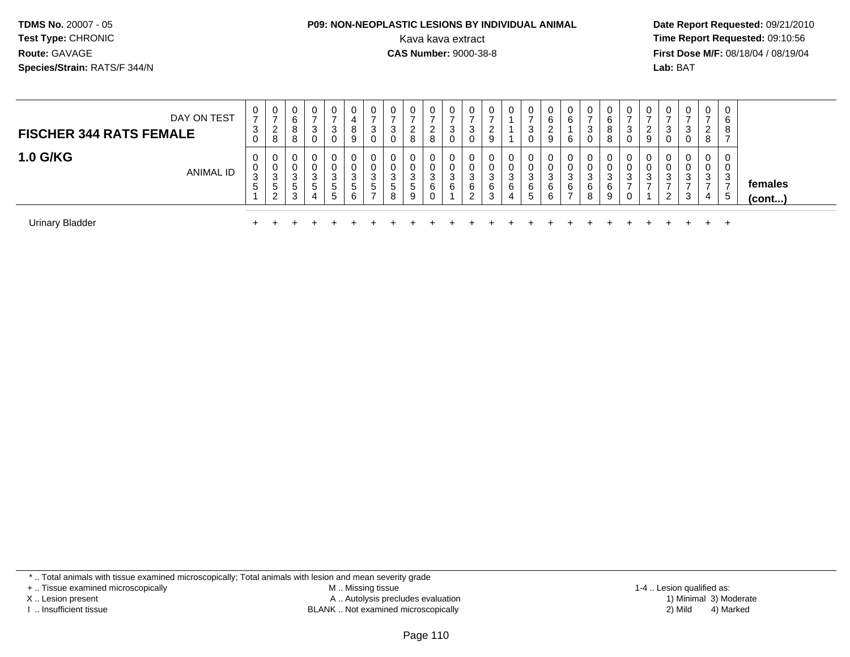# **P09: NON-NEOPLASTIC LESIONS BY INDIVIDUAL ANIMAL**

 **Date Report Requested:** 09/21/2010 Kava kava extract **Time Report Requested:** 09:10:56<br>**CAS Number:** 9000-38-8<br>**Tirst Dose M/F:** 08/18/04 / 08/19/04 **First Dose M/F:** 08/18/04 / 08/19/04 Lab: BAT **Lab:** BAT

| DAY ON TEST<br><b>FISCHER 344 RATS FEMALE</b> | U<br>$\overline{ }$<br>3 | 0<br>-<br>ົ<br>∠<br>8                       | 0<br>6<br>8<br>o<br>o      | 0<br>$\overline{\phantom{a}}$<br>3<br>0 | 0<br>3<br>0                      | υ<br>8       | ◡<br>ົ      | 0<br>3                                  | 0<br><u>L</u><br>8 | 0<br>ົ<br>$\epsilon$<br>8 | U<br>3<br>U                 | 0<br>P<br>0                |             |             | 0<br>3<br>U           | U<br>6<br>9           | 0<br>6<br>6                       | 0<br>$\overline{\phantom{a}}$<br>3<br>0 | U<br>6<br>8<br>8  | 3 | $\mathbf{0}$<br>ົ<br><u>L</u><br>9 | U<br>◠             | 0<br>3<br>0                | $\mathbf{0}$<br>-<br>$\sim$<br>∠<br>8 | 0<br>6<br>8       |                   |  |
|-----------------------------------------------|--------------------------|---------------------------------------------|----------------------------|-----------------------------------------|----------------------------------|--------------|-------------|-----------------------------------------|--------------------|---------------------------|-----------------------------|----------------------------|-------------|-------------|-----------------------|-----------------------|-----------------------------------|-----------------------------------------|-------------------|---|------------------------------------|--------------------|----------------------------|---------------------------------------|-------------------|-------------------|--|
| <b>1.0 G/KG</b><br><b>ANIMAL ID</b>           | U<br>U<br>ົ<br>ა<br>C    | 0<br>0<br>$\sim$<br>ა<br>ა<br>$\Omega$<br>∠ | 0<br>0<br>3<br>∽<br>◡<br>3 | 0<br>0<br>3<br><sub>5</sub><br>4        | 0<br>0<br>3<br>5<br><sub>5</sub> | 3<br>'5<br>6 | ົ<br>د<br>5 | 0<br><b>U</b><br>3<br>$\mathbf{p}$<br>8 | 0<br>3<br>5<br>9   | 0<br>0<br>3<br>6<br>0     | $\mathbf{0}$<br>U<br>3<br>6 | 0<br>0<br>3<br>6<br>ົ<br>▵ | 3<br>6<br>3 | ົ<br>J<br>6 | 0<br>U<br>3<br>6<br>5 | 0<br>0<br>3<br>6<br>6 | 0<br>0<br>3<br>6<br>$\rightarrow$ | 0<br>0<br>3<br>6<br>8                   | C.<br>J<br>6<br>9 | 3 | 0<br>0<br>ີ<br>- 3                 | 3<br>◠<br><u>L</u> | 0<br>$\mathbf 0$<br>3<br>3 | 0<br>U<br>3<br>4                      | 0<br>0<br>3<br>.5 | females<br>(cont) |  |
| <b>Urinary Bladder</b>                        |                          |                                             |                            |                                         |                                  |              |             |                                         |                    |                           |                             |                            |             |             |                       |                       |                                   |                                         |                   |   |                                    |                    |                            | $\leftarrow$                          | $^+$              |                   |  |

\* .. Total animals with tissue examined microscopically; Total animals with lesion and mean severity grade

+ .. Tissue examined microscopically

X .. Lesion present

I .. Insufficient tissue

 M .. Missing tissueA .. Autolysis precludes evaluation

BLANK .. Not examined microscopically 2) Mild 4) Marked

1-4 .. Lesion qualified as:<br>1) Minimal 3) Moderate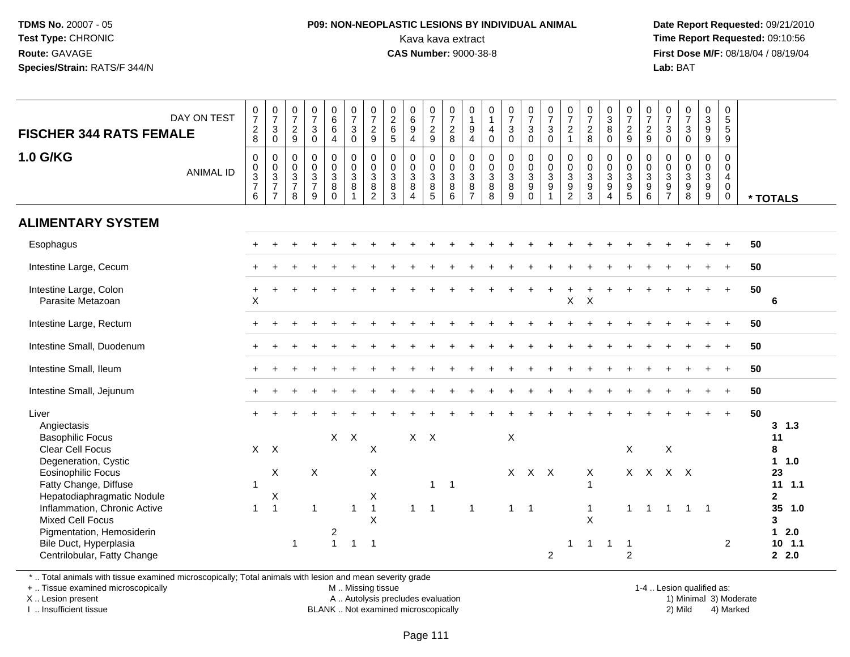### **P09: NON-NEOPLASTIC LESIONS BY INDIVIDUAL ANIMAL**Kava kava extract **Time Report Requested:** 09:10:56<br>**CAS Number:** 9000-38-8<br>**Tirst Dose M/F:** 08/18/04 / 08/19/04

 **Date Report Requested:** 09/21/2010 **First Dose M/F:** 08/18/04 / 08/19/04 Lab: BAT **Lab:** BAT

| <b>FISCHER 344 RATS FEMALE</b>                                                                                                                                                                                                                                                                    | DAY ON TEST      | $\frac{0}{7}$<br>$_{\rm 8}^2$                      | $\frac{0}{7}$<br>$\mathbf{3}$<br>$\mathbf 0$ | $\frac{0}{7}$<br>$\overline{a}$<br>$9\,$      | $\begin{smallmatrix}0\\7\end{smallmatrix}$<br>$\mathsf 3$<br>$\mathsf{O}\xspace$ | $\begin{array}{c} 0 \\ 6 \\ 6 \end{array}$<br>$\overline{4}$            | $\frac{0}{7}$<br>$_{\rm 0}^3$                                              | $\frac{0}{7}$<br>$\frac{2}{9}$                                      | $\begin{array}{c} 0 \\ 2 \\ 6 \end{array}$<br>5       | $\begin{array}{c} 0 \\ 6 \end{array}$<br>$\boldsymbol{9}$<br>$\overline{4}$ | $\frac{0}{7}$<br>$\frac{2}{9}$            | $\frac{0}{7}$<br>8                                                      | $\begin{smallmatrix}0\\1\end{smallmatrix}$<br>$\boldsymbol{9}$<br>$\overline{4}$ | $\begin{smallmatrix}0\\1\end{smallmatrix}$<br>$\overline{a}$<br>$\pmb{0}$ | $\frac{0}{7}$<br>$\mathbf 3$<br>$\mathbf 0$ | $\frac{0}{7}$<br>$\mathbf{3}$<br>$\mathbf 0$ | $\begin{matrix} 0 \\ 7 \\ 3 \end{matrix}$<br>$\overline{0}$     | $\frac{0}{7}$<br>$\overline{c}$<br>$\mathbf{1}$     | $\frac{0}{7}$<br>$_{\rm 8}^2$                           | $\begin{smallmatrix}0\3\8\end{smallmatrix}$<br>$\pmb{0}$  | $\frac{0}{7}$<br>$\frac{2}{9}$                                                                 | $\begin{array}{c} 0 \\ 7 \\ 2 \end{array}$<br>$\boldsymbol{9}$ | $\frac{0}{7}$<br>$\mathbf{3}$<br>$\mathbf 0$      | $\begin{matrix} 0 \\ 7 \\ 3 \end{matrix}$<br>$\mathsf{O}\xspace$ | $\begin{smallmatrix}0\3\9\end{smallmatrix}$<br>$\boldsymbol{9}$ | 0<br>5<br>5<br>9                                                                        |    |                                                                                                               |
|---------------------------------------------------------------------------------------------------------------------------------------------------------------------------------------------------------------------------------------------------------------------------------------------------|------------------|----------------------------------------------------|----------------------------------------------|-----------------------------------------------|----------------------------------------------------------------------------------|-------------------------------------------------------------------------|----------------------------------------------------------------------------|---------------------------------------------------------------------|-------------------------------------------------------|-----------------------------------------------------------------------------|-------------------------------------------|-------------------------------------------------------------------------|----------------------------------------------------------------------------------|---------------------------------------------------------------------------|---------------------------------------------|----------------------------------------------|-----------------------------------------------------------------|-----------------------------------------------------|---------------------------------------------------------|-----------------------------------------------------------|------------------------------------------------------------------------------------------------|----------------------------------------------------------------|---------------------------------------------------|------------------------------------------------------------------|-----------------------------------------------------------------|-----------------------------------------------------------------------------------------|----|---------------------------------------------------------------------------------------------------------------|
| <b>1.0 G/KG</b>                                                                                                                                                                                                                                                                                   | <b>ANIMAL ID</b> | $\pmb{0}$<br>$_{3}^{\rm 0}$<br>$\overline{7}$<br>6 | $\pmb{0}$<br>$\frac{0}{3}$<br>$\overline{7}$ | 0<br>0<br>$\mathbf{3}$<br>$\overline{7}$<br>8 | $\mathbf 0$<br>$\pmb{0}$<br>$\overline{3}$<br>$\overline{7}$<br>9                | $\begin{smallmatrix}0\0\0\3\end{smallmatrix}$<br>$\bf 8$<br>$\mathbf 0$ | $\begin{smallmatrix}0\\0\\3\end{smallmatrix}$<br>$\,8\,$<br>$\overline{1}$ | $\pmb{0}$<br>$\frac{0}{3}$<br>$\overline{2}$                        | 0<br>$\boldsymbol{0}$<br>$\mathbf{3}$<br>$\bf 8$<br>3 | $\pmb{0}$<br>$\frac{0}{3}$<br>8<br>$\overline{4}$                           | $\mathbf 0$<br>$\mathbf 0$<br>3<br>8<br>5 | $\begin{smallmatrix} 0\\0\\3 \end{smallmatrix}$<br>8<br>$6\overline{6}$ | 0<br>$\frac{0}{3}$<br>$\bf 8$<br>$\overline{7}$                                  | $\mathbf 0$<br>$_{3}^{\rm 0}$<br>$\,8\,$<br>8                             | $\pmb{0}$<br>$_{3}^{\rm 0}$<br>$\,8\,$<br>9 | 0<br>$\mathbf 0$<br>3<br>9<br>$\mathbf 0$    | $\begin{array}{c} 0 \\ 0 \\ 3 \\ 9 \end{array}$<br>$\mathbf{1}$ | $\mathbf 0$<br>$\frac{0}{3}$<br>9<br>$\overline{2}$ | 0<br>$_{3}^{\rm 0}$<br>$\boldsymbol{9}$<br>$\mathbf{3}$ | $\mathbf 0$<br>$\overline{0}$<br>3<br>9<br>$\overline{4}$ | $\pmb{0}$<br>$\overline{0}$<br>$\ensuremath{\mathsf{3}}$<br>$\boldsymbol{9}$<br>$\overline{5}$ | $\mathbf 0$<br>$\frac{0}{3}$<br>$6\phantom{1}$                 | 0<br>0<br>3<br>$\boldsymbol{9}$<br>$\overline{7}$ | $\mathbf 0$<br>0<br>8<br>8                                       | $\pmb{0}$<br>$\frac{0}{3}$<br>$\frac{9}{9}$                     | $\mathsf{O}$<br>$\mathbf 0$<br>$\overline{\mathbf{4}}$<br>$\mathbf 0$<br>$\overline{0}$ |    | * TOTALS                                                                                                      |
| <b>ALIMENTARY SYSTEM</b>                                                                                                                                                                                                                                                                          |                  |                                                    |                                              |                                               |                                                                                  |                                                                         |                                                                            |                                                                     |                                                       |                                                                             |                                           |                                                                         |                                                                                  |                                                                           |                                             |                                              |                                                                 |                                                     |                                                         |                                                           |                                                                                                |                                                                |                                                   |                                                                  |                                                                 |                                                                                         |    |                                                                                                               |
| Esophagus                                                                                                                                                                                                                                                                                         |                  |                                                    |                                              |                                               |                                                                                  |                                                                         |                                                                            |                                                                     |                                                       |                                                                             |                                           |                                                                         |                                                                                  |                                                                           |                                             |                                              |                                                                 |                                                     |                                                         |                                                           |                                                                                                |                                                                |                                                   |                                                                  |                                                                 |                                                                                         | 50 |                                                                                                               |
| Intestine Large, Cecum                                                                                                                                                                                                                                                                            |                  |                                                    |                                              |                                               |                                                                                  |                                                                         |                                                                            |                                                                     |                                                       |                                                                             |                                           |                                                                         |                                                                                  |                                                                           |                                             |                                              |                                                                 |                                                     |                                                         |                                                           |                                                                                                |                                                                |                                                   |                                                                  |                                                                 |                                                                                         | 50 |                                                                                                               |
| Intestine Large, Colon<br>Parasite Metazoan                                                                                                                                                                                                                                                       |                  | $\ddot{}$<br>X                                     |                                              |                                               |                                                                                  |                                                                         |                                                                            |                                                                     |                                                       |                                                                             |                                           |                                                                         |                                                                                  |                                                                           |                                             |                                              |                                                                 | $\pmb{\times}$                                      | $\boldsymbol{\mathsf{X}}$                               |                                                           |                                                                                                |                                                                |                                                   |                                                                  |                                                                 | $+$                                                                                     | 50 | 6                                                                                                             |
| Intestine Large, Rectum                                                                                                                                                                                                                                                                           |                  |                                                    |                                              |                                               |                                                                                  |                                                                         |                                                                            |                                                                     |                                                       |                                                                             |                                           |                                                                         |                                                                                  |                                                                           |                                             |                                              |                                                                 |                                                     |                                                         |                                                           |                                                                                                |                                                                |                                                   |                                                                  |                                                                 |                                                                                         | 50 |                                                                                                               |
| Intestine Small, Duodenum                                                                                                                                                                                                                                                                         |                  |                                                    |                                              |                                               |                                                                                  |                                                                         |                                                                            |                                                                     |                                                       |                                                                             |                                           |                                                                         |                                                                                  |                                                                           |                                             |                                              |                                                                 |                                                     |                                                         |                                                           |                                                                                                |                                                                |                                                   |                                                                  |                                                                 |                                                                                         | 50 |                                                                                                               |
| Intestine Small, Ileum                                                                                                                                                                                                                                                                            |                  |                                                    |                                              |                                               |                                                                                  |                                                                         |                                                                            |                                                                     |                                                       |                                                                             |                                           |                                                                         |                                                                                  |                                                                           |                                             |                                              |                                                                 |                                                     |                                                         |                                                           |                                                                                                |                                                                |                                                   |                                                                  |                                                                 |                                                                                         | 50 |                                                                                                               |
| Intestine Small, Jejunum                                                                                                                                                                                                                                                                          |                  | $+$                                                |                                              |                                               |                                                                                  |                                                                         |                                                                            |                                                                     |                                                       |                                                                             |                                           |                                                                         |                                                                                  |                                                                           |                                             |                                              |                                                                 |                                                     |                                                         |                                                           |                                                                                                |                                                                |                                                   |                                                                  |                                                                 | $+$                                                                                     | 50 |                                                                                                               |
| Liver<br>Angiectasis<br><b>Basophilic Focus</b><br><b>Clear Cell Focus</b><br>Degeneration, Cystic<br><b>Eosinophilic Focus</b><br>Fatty Change, Diffuse<br>Hepatodiaphragmatic Nodule<br>Inflammation, Chronic Active<br>Mixed Cell Focus<br>Pigmentation, Hemosiderin<br>Bile Duct, Hyperplasia |                  | $\mathbf{1}$<br>$\mathbf{1}$                       | $X$ $X$<br>X<br>Χ<br>$\overline{1}$          | $\overline{1}$                                | X<br>$\mathbf{1}$                                                                | $X -$<br>$\overline{c}$<br>$\overline{1}$                               | $\times$<br>$\overline{1}$<br>$\overline{1}$                               | $\mathsf X$<br>X<br>X<br>$\mathbf{1}$<br>$\times$<br>$\overline{1}$ |                                                       | $\mathbf{1}$                                                                | $X$ $X$<br>$\mathbf{1}$<br>$\overline{1}$ | $\overline{1}$                                                          | $\overline{1}$                                                                   |                                                                           | $\mathsf X$<br>$1 \quad 1$                  | X X X                                        |                                                                 |                                                     | X<br>$\mathbf{1}$<br>X                                  | -1                                                        | X<br>$\mathbf{1}$<br>$\overline{1}$                                                            | X X<br>$\mathbf{1}$                                            | $\boldsymbol{\mathsf{X}}$                         | $X$ $X$<br>$1 \quad 1 \quad 1$                                   |                                                                 | $+$<br>$\overline{2}$                                                                   | 50 | $3 \t1.3$<br>11<br>8<br>1 1.0<br>23<br>$11 \quad 1.1$<br>$\mathbf{2}$<br>35<br>1.0<br>3<br>$12.0$<br>$10$ 1.1 |
| Centrilobular, Fatty Change                                                                                                                                                                                                                                                                       |                  |                                                    |                                              |                                               |                                                                                  |                                                                         |                                                                            |                                                                     |                                                       |                                                                             |                                           |                                                                         |                                                                                  |                                                                           |                                             |                                              | $\overline{2}$                                                  |                                                     |                                                         |                                                           | 2                                                                                              |                                                                |                                                   |                                                                  |                                                                 |                                                                                         |    | 2.0                                                                                                           |

\* .. Total animals with tissue examined microscopically; Total animals with lesion and mean severity grade

+ .. Tissue examined microscopically

X .. Lesion present

I .. Insufficient tissue

M .. Missing tissue

A .. Autolysis precludes evaluation

BLANK .. Not examined microscopically 2) Mild 4) Marked

1-4 .. Lesion qualified as: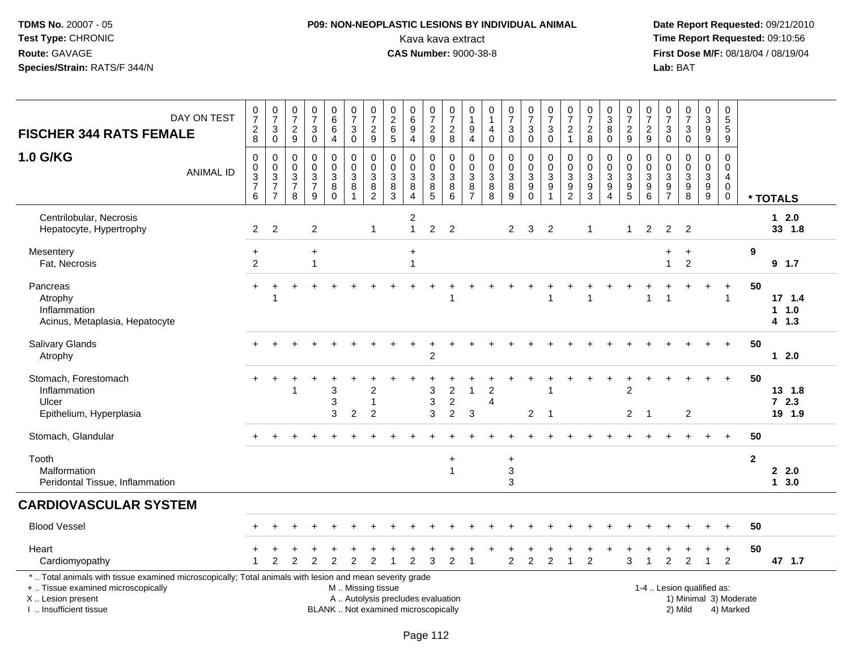## **P09: NON-NEOPLASTIC LESIONS BY INDIVIDUAL ANIMAL**Kava kava extract **Time Report Requested:** 09:10:56<br>**CAS Number:** 9000-38-8<br>**Tirst Dose M/F:** 08/18/04 / 08/19/04

 **Date Report Requested:** 09/21/2010 **First Dose M/F:** 08/18/04 / 08/19/04<br>Lab: BAT **Lab:** BAT

| DAY ON TEST<br><b>FISCHER 344 RATS FEMALE</b>                                                                                                                                                 | $\frac{0}{7}$<br>$_{\rm 8}^2$                                        | $\frac{0}{7}$<br>$\sqrt{3}$<br>$\overline{0}$                          | $\frac{0}{7}$<br>$\sqrt{2}$<br>9                                             | 0<br>$\overline{7}$<br>3<br>0                          | $\begin{array}{c} 0 \\ 6 \end{array}$<br>$\,6\,$<br>4               | $\frac{0}{7}$<br>3<br>$\ddot{\mathbf{0}}$ | $\frac{0}{7}$<br>$\frac{2}{9}$                                         | 0<br>$\overline{2}$<br>6<br>$\overline{5}$ | $\pmb{0}$<br>$6\phantom{a}$<br>$\boldsymbol{9}$<br>4          | $\frac{0}{7}$<br>$\frac{2}{9}$                          | $\begin{array}{c} 0 \\ 7 \end{array}$<br>$\frac{2}{8}$                    | 0<br>$\mathbf{1}$<br>9<br>$\overline{4}$                  | $\pmb{0}$<br>$\overline{1}$<br>$\overline{4}$<br>$\pmb{0}$ | $\frac{0}{7}$<br>$\mathbf{3}$<br>$\pmb{0}$       | $\frac{0}{7}$<br>3<br>$\overline{0}$                        | $\frac{0}{7}$<br>$\ensuremath{\mathsf{3}}$<br>$\mathsf{O}\xspace$ | $\begin{array}{c} 0 \\ 7 \end{array}$<br>$\overline{c}$<br>$\mathbf{1}$ | $\frac{0}{7}$<br>$\boldsymbol{2}$<br>8 | $_{3}^{\rm 0}$<br>8<br>$\pmb{0}$                                                    | $\begin{array}{c} 0 \\ 7 \end{array}$<br>$\frac{2}{9}$                            | $\frac{0}{7}$<br>$\frac{2}{9}$                                                    | 0<br>$\overline{7}$<br>3<br>$\mathsf 0$       | $\begin{array}{c} 0 \\ 7 \end{array}$<br>3<br>$\pmb{0}$ | 0<br>$\overline{3}$<br>$\boldsymbol{9}$<br>$\overline{9}$ | $\begin{array}{c} 0 \\ 5 \end{array}$<br>$\sqrt{5}$<br>$\overline{9}$ |                        |                             |
|-----------------------------------------------------------------------------------------------------------------------------------------------------------------------------------------------|----------------------------------------------------------------------|------------------------------------------------------------------------|------------------------------------------------------------------------------|--------------------------------------------------------|---------------------------------------------------------------------|-------------------------------------------|------------------------------------------------------------------------|--------------------------------------------|---------------------------------------------------------------|---------------------------------------------------------|---------------------------------------------------------------------------|-----------------------------------------------------------|------------------------------------------------------------|--------------------------------------------------|-------------------------------------------------------------|-------------------------------------------------------------------|-------------------------------------------------------------------------|----------------------------------------|-------------------------------------------------------------------------------------|-----------------------------------------------------------------------------------|-----------------------------------------------------------------------------------|-----------------------------------------------|---------------------------------------------------------|-----------------------------------------------------------|-----------------------------------------------------------------------|------------------------|-----------------------------|
| <b>1.0 G/KG</b><br><b>ANIMAL ID</b>                                                                                                                                                           | $\mathbf 0$<br>0<br>$\ensuremath{\mathsf{3}}$<br>$\overline{7}$<br>6 | 0<br>$\mathbf 0$<br>$\overline{3}$<br>$\overline{7}$<br>$\overline{7}$ | $\pmb{0}$<br>$\mathbf 0$<br>$\ensuremath{\mathsf{3}}$<br>$\overline{7}$<br>8 | $\mathbf 0$<br>$\mathbf 0$<br>3<br>$\overline{7}$<br>9 | $\mathbf 0$<br>$\mathbf 0$<br>$\overline{3}$<br>$\,8\,$<br>$\Omega$ | 0<br>$\mathbf 0$<br>$\sqrt{3}$<br>8       | $\pmb{0}$<br>$\mathbf 0$<br>$\ensuremath{\mathsf{3}}$<br>$\frac{8}{2}$ | $\mathbf 0$<br>$\mathbf 0$<br>3<br>8<br>3  | $\mathbf 0$<br>$\mathbf 0$<br>$\overline{3}$<br>$\frac{8}{4}$ | $\mathbf 0$<br>$\Omega$<br>$\mathbf 3$<br>$\frac{8}{5}$ | $\mathbf 0$<br>$\mathsf{O}\xspace$<br>$\ensuremath{\mathsf{3}}$<br>$^8_6$ | $\mathbf 0$<br>$\mathbf 0$<br>$\sqrt{3}$<br>$\frac{8}{7}$ | $\mathbf 0$<br>0<br>$\sqrt{3}$<br>$_{\rm 8}^{\rm 8}$       | $\pmb{0}$<br>$\mathbf 0$<br>$\sqrt{3}$<br>8<br>9 | 0<br>$\mathbf 0$<br>$\ensuremath{\mathsf{3}}$<br>$_{0}^{9}$ | $\mathbf 0$<br>$\mathbf 0$<br>$\sqrt{3}$<br>9<br>1                | $\mathsf 0$<br>$\mathbf 0$<br>3<br>$\frac{9}{2}$                        | 0<br>$\mathbf 0$<br>3<br>$\frac{9}{3}$ | 0<br>$\mathbf 0$<br>$\ensuremath{\mathsf{3}}$<br>$\boldsymbol{9}$<br>$\overline{A}$ | $\mathbf 0$<br>$\mathbf 0$<br>$\sqrt{3}$<br>$\begin{array}{c} 9 \\ 5 \end{array}$ | $\mathbf 0$<br>$\mathbf 0$<br>$\sqrt{3}$<br>$\begin{array}{c} 9 \\ 6 \end{array}$ | 0<br>$\mathbf{0}$<br>3<br>9<br>$\overline{7}$ | $\mathbf 0$<br>$\Omega$<br>3<br>9<br>8                  | 0<br>$\mathbf 0$<br>$\mathbf 3$<br>$^9_9$                 | 0<br>$\mathbf 0$<br>4<br>0<br>0                                       |                        | * TOTALS                    |
| Centrilobular, Necrosis<br>Hepatocyte, Hypertrophy                                                                                                                                            | $\overline{2}$                                                       | $\overline{2}$                                                         |                                                                              | $\overline{2}$                                         |                                                                     |                                           | $\mathbf{1}$                                                           |                                            | $\overline{\mathbf{c}}$<br>$\mathbf{1}$                       | $\overline{2}$                                          | $\overline{2}$                                                            |                                                           |                                                            | $\overline{2}$                                   | 3                                                           | $\overline{2}$                                                    |                                                                         | $\mathbf{1}$                           |                                                                                     | $\mathbf{1}$                                                                      | 2                                                                                 | 2                                             | 2                                                       |                                                           |                                                                       |                        | $1 \quad 2.0$<br>33 1.8     |
| Mesentery<br>Fat, Necrosis                                                                                                                                                                    | $\ddot{}$<br>$\overline{c}$                                          |                                                                        |                                                                              | $\ddot{}$                                              |                                                                     |                                           |                                                                        |                                            | $\ddot{}$<br>1                                                |                                                         |                                                                           |                                                           |                                                            |                                                  |                                                             |                                                                   |                                                                         |                                        |                                                                                     |                                                                                   |                                                                                   | +<br>$\mathbf{1}$                             | $\ddot{}$<br>$\overline{2}$                             |                                                           |                                                                       | 9                      | $9$ 1.7                     |
| Pancreas<br>Atrophy<br>Inflammation<br>Acinus, Metaplasia, Hepatocyte                                                                                                                         | +                                                                    |                                                                        |                                                                              |                                                        |                                                                     |                                           |                                                                        |                                            |                                                               |                                                         |                                                                           |                                                           |                                                            |                                                  |                                                             |                                                                   |                                                                         |                                        |                                                                                     |                                                                                   | 1                                                                                 | $\overline{1}$                                |                                                         |                                                           | $\overline{1}$                                                        | 50                     | 17, 1.4<br>1 1.0<br>$4$ 1.3 |
| Salivary Glands<br>Atrophy                                                                                                                                                                    |                                                                      |                                                                        |                                                                              |                                                        |                                                                     |                                           |                                                                        |                                            |                                                               | $\overline{2}$                                          |                                                                           |                                                           |                                                            |                                                  |                                                             |                                                                   |                                                                         |                                        |                                                                                     |                                                                                   |                                                                                   |                                               |                                                         |                                                           | $+$                                                                   | 50                     | 12.0                        |
| Stomach, Forestomach<br>Inflammation<br>Ulcer<br>Epithelium, Hyperplasia                                                                                                                      |                                                                      |                                                                        | $\overline{1}$                                                               |                                                        | 3<br>3<br>3                                                         | $\overline{2}$                            | $\overline{c}$<br>1<br>$\overline{2}$                                  |                                            |                                                               | 3<br>$\ensuremath{\mathsf{3}}$<br>3                     | $\sqrt{2}$<br>$\sqrt{2}$<br>$\overline{2}$                                | $\overline{1}$<br>$\mathbf{3}$                            | $\overline{c}$<br>$\overline{4}$                           |                                                  | $\overline{c}$                                              | $\overline{1}$                                                    |                                                                         |                                        |                                                                                     | $\overline{c}$<br>$\overline{2}$                                                  | -1                                                                                |                                               | $\overline{c}$                                          |                                                           | $+$                                                                   | 50                     | 13 1.8<br>$72.3$<br>19 1.9  |
| Stomach, Glandular                                                                                                                                                                            |                                                                      |                                                                        |                                                                              |                                                        |                                                                     |                                           |                                                                        |                                            |                                                               |                                                         |                                                                           |                                                           |                                                            |                                                  |                                                             |                                                                   |                                                                         |                                        |                                                                                     |                                                                                   |                                                                                   |                                               |                                                         |                                                           |                                                                       | 50                     |                             |
| Tooth<br>Malformation<br>Peridontal Tissue, Inflammation                                                                                                                                      |                                                                      |                                                                        |                                                                              |                                                        |                                                                     |                                           |                                                                        |                                            |                                                               |                                                         | $\ddot{}$<br>$\mathbf{1}$                                                 |                                                           |                                                            | $\ddot{}$<br>$\mathbf{3}$<br>3                   |                                                             |                                                                   |                                                                         |                                        |                                                                                     |                                                                                   |                                                                                   |                                               |                                                         |                                                           |                                                                       | $\mathbf{2}$           | 2.0<br>$1 \quad 3.0$        |
| <b>CARDIOVASCULAR SYSTEM</b>                                                                                                                                                                  |                                                                      |                                                                        |                                                                              |                                                        |                                                                     |                                           |                                                                        |                                            |                                                               |                                                         |                                                                           |                                                           |                                                            |                                                  |                                                             |                                                                   |                                                                         |                                        |                                                                                     |                                                                                   |                                                                                   |                                               |                                                         |                                                           |                                                                       |                        |                             |
| <b>Blood Vessel</b>                                                                                                                                                                           |                                                                      |                                                                        |                                                                              |                                                        |                                                                     |                                           |                                                                        |                                            |                                                               |                                                         |                                                                           |                                                           |                                                            |                                                  |                                                             |                                                                   |                                                                         |                                        |                                                                                     |                                                                                   |                                                                                   |                                               |                                                         |                                                           |                                                                       | 50                     |                             |
| Heart<br>Cardiomyopathy                                                                                                                                                                       |                                                                      |                                                                        | 2                                                                            |                                                        |                                                                     | 2                                         | 2                                                                      |                                            |                                                               | 3                                                       | $\overline{2}$                                                            |                                                           |                                                            | $\overline{2}$                                   | $\overline{2}$                                              | 2                                                                 | $\overline{1}$                                                          | $\overline{2}$                         |                                                                                     | 3                                                                                 |                                                                                   | $\overline{2}$                                | $\mathcal{P}$                                           | $\mathbf{1}$                                              | $\ddot{}$<br>2                                                        | 50                     | 47 1.7                      |
| *  Total animals with tissue examined microscopically; Total animals with lesion and mean severity grade<br>+  Tissue examined microscopically<br>X  Lesion present<br>I. Insufficient tissue |                                                                      |                                                                        |                                                                              |                                                        | BLANK  Not examined microscopically                                 | M  Missing tissue                         |                                                                        | A  Autolysis precludes evaluation          |                                                               |                                                         |                                                                           |                                                           |                                                            |                                                  |                                                             |                                                                   |                                                                         |                                        |                                                                                     |                                                                                   |                                                                                   |                                               | 1-4  Lesion qualified as:<br>2) Mild                    |                                                           | 4) Marked                                                             | 1) Minimal 3) Moderate |                             |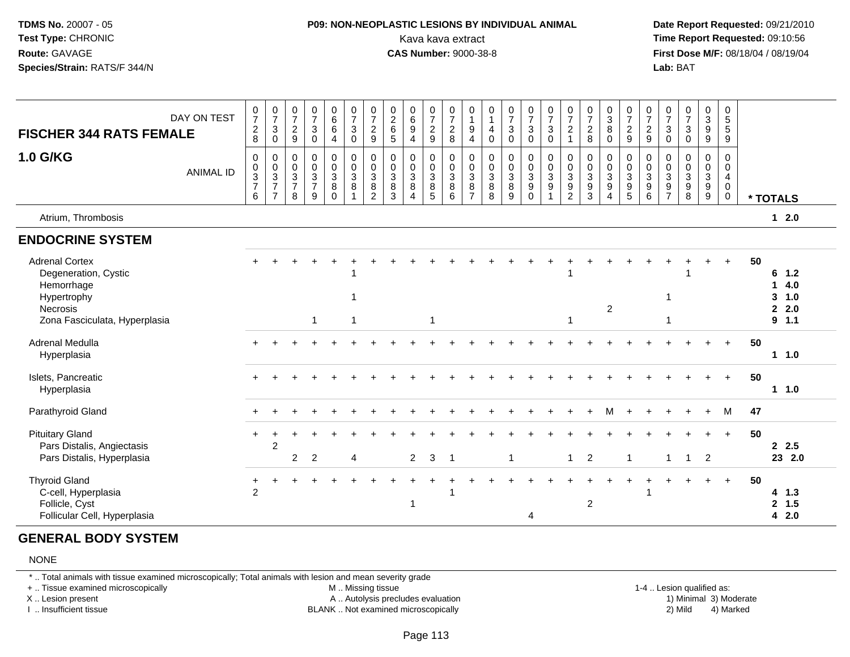### **P09: NON-NEOPLASTIC LESIONS BY INDIVIDUAL ANIMAL**Kava kava extract **Time Report Requested:** 09:10:56<br>**CAS Number:** 9000-38-8<br>**Tirst Dose M/F:** 08/18/04 / 08/19/04

 **Date Report Requested:** 09/21/2010 **First Dose M/F:** 08/18/04 / 08/19/04 Lab: BAT **Lab:** BAT

| <b>FISCHER 344 RATS FEMALE</b>                                                                                                 | DAY ON TEST      | $\frac{0}{7}$<br>$\overline{c}$<br>8                                 | $\frac{0}{7}$<br>3<br>0                             | $\frac{0}{7}$<br>$\boldsymbol{2}$<br>$\boldsymbol{9}$   | $\frac{0}{7}$<br>$\sqrt{3}$<br>$\pmb{0}$       | $\begin{array}{c} 0 \\ 6 \end{array}$<br>$\,6\,$<br>$\overline{4}$ | $\frac{0}{7}$<br>$\mathbf{3}$<br>0 | $\frac{0}{7}$<br>$\overline{c}$<br>$\boldsymbol{9}$              | $\begin{array}{c} 0 \\ 2 \\ 6 \end{array}$<br>5 | $\begin{array}{c} 0 \\ 6 \end{array}$<br>9<br>$\overline{4}$         | $\frac{0}{7}$<br>$\sqrt{2}$<br>$\overline{9}$              | $\frac{0}{7}$<br>$\boldsymbol{2}$<br>8 | $\begin{smallmatrix}0\\1\end{smallmatrix}$<br>$\boldsymbol{9}$<br>4 | 0<br>$\mathbf{1}$<br>4<br>$\mathbf 0$ | $\frac{0}{7}$<br>$\sqrt{3}$<br>$\mathbf 0$                  | $\frac{0}{7}$<br>$\mathsf 3$<br>$\mathbf 0$                   | $\frac{0}{7}$<br>$\mathbf{3}$<br>$\mathbf 0$ | $\frac{0}{7}$<br>$\overline{a}$<br>$\overline{1}$                        | $\frac{0}{7}$<br>$_{\rm 8}^2$                                        | $\begin{smallmatrix}0\3\8\end{smallmatrix}$<br>$\mathbf 0$ | $\frac{0}{7}$<br>$\boldsymbol{2}$<br>$\boldsymbol{9}$                  | $\frac{0}{7}$<br>$\frac{2}{9}$         | $\frac{0}{7}$<br>$\sqrt{3}$<br>$\mathbf 0$                               | $\frac{0}{7}$<br>3<br>0                    | $\begin{smallmatrix} 0\\ 3\\ 9 \end{smallmatrix}$<br>$\boldsymbol{9}$    | $\begin{array}{c} 0 \\ 5 \end{array}$<br>$\sqrt{5}$<br>9 |    |                                   |            |
|--------------------------------------------------------------------------------------------------------------------------------|------------------|----------------------------------------------------------------------|-----------------------------------------------------|---------------------------------------------------------|------------------------------------------------|--------------------------------------------------------------------|------------------------------------|------------------------------------------------------------------|-------------------------------------------------|----------------------------------------------------------------------|------------------------------------------------------------|----------------------------------------|---------------------------------------------------------------------|---------------------------------------|-------------------------------------------------------------|---------------------------------------------------------------|----------------------------------------------|--------------------------------------------------------------------------|----------------------------------------------------------------------|------------------------------------------------------------|------------------------------------------------------------------------|----------------------------------------|--------------------------------------------------------------------------|--------------------------------------------|--------------------------------------------------------------------------|----------------------------------------------------------|----|-----------------------------------|------------|
| <b>1.0 G/KG</b>                                                                                                                | <b>ANIMAL ID</b> | $\mathbf 0$<br>0<br>$\ensuremath{\mathsf{3}}$<br>$\overline{7}$<br>6 | 0<br>$\mathbf 0$<br>$\frac{3}{7}$<br>$\overline{7}$ | 0<br>$\pmb{0}$<br>$\overline{3}$<br>$\overline{7}$<br>8 | $\mathbf 0$<br>$\pmb{0}$<br>$\frac{3}{7}$<br>9 | $\pmb{0}$<br>$\mathbf 0$<br>$\overline{3}$<br>$\, 8$<br>$\Omega$   | 0<br>$\mathbf 0$<br>3<br>8         | $_{\rm 0}^{\rm 0}$<br>$\overline{3}$<br>$\bf8$<br>$\overline{2}$ | 0<br>$\pmb{0}$<br>$\overline{3}$<br>$\bf8$<br>3 | 0<br>$\mathbf 0$<br>$\mathbf{3}$<br>$\bf8$<br>$\boldsymbol{\Lambda}$ | $\mathbf 0$<br>$\mathsf{O}\xspace$<br>$\sqrt{3}$<br>8<br>5 | 0<br>0<br>$\sqrt{3}$<br>$\, 8$<br>6    | 0<br>$\mathbf 0$<br>$\mathbf{3}$<br>8<br>$\overline{7}$             | 0<br>0<br>3<br>8<br>8                 | 0<br>$\pmb{0}$<br>$\ensuremath{\mathsf{3}}$<br>$\bf 8$<br>9 | $\mathbf 0$<br>$_{3}^{\rm 0}$<br>$\boldsymbol{9}$<br>$\Omega$ | 0<br>0<br>$\overline{3}$<br>$\boldsymbol{9}$ | 0<br>$\mathbf 0$<br>$\overline{3}$<br>$\boldsymbol{9}$<br>$\overline{2}$ | 0<br>$\pmb{0}$<br>$\ensuremath{\mathsf{3}}$<br>$\boldsymbol{9}$<br>3 | $\pmb{0}$<br>0<br>$\frac{3}{9}$<br>$\boldsymbol{\Lambda}$  | $\pmb{0}$<br>$\overline{0}$<br>$\overline{3}$<br>$\boldsymbol{9}$<br>5 | 0<br>$\mathbf 0$<br>$\frac{3}{9}$<br>6 | 0<br>$\mathbf 0$<br>$\overline{3}$<br>$\boldsymbol{9}$<br>$\overline{7}$ | 0<br>$\mathbf 0$<br>$\mathbf{3}$<br>9<br>8 | 0<br>$\pmb{0}$<br>$\overline{3}$<br>$\boldsymbol{9}$<br>$\boldsymbol{9}$ | 0<br>$\mathbf 0$<br>4<br>0<br>0                          |    | * TOTALS                          |            |
| Atrium, Thrombosis                                                                                                             |                  |                                                                      |                                                     |                                                         |                                                |                                                                    |                                    |                                                                  |                                                 |                                                                      |                                                            |                                        |                                                                     |                                       |                                                             |                                                               |                                              |                                                                          |                                                                      |                                                            |                                                                        |                                        |                                                                          |                                            |                                                                          |                                                          |    | $12.0$                            |            |
| <b>ENDOCRINE SYSTEM</b>                                                                                                        |                  |                                                                      |                                                     |                                                         |                                                |                                                                    |                                    |                                                                  |                                                 |                                                                      |                                                            |                                        |                                                                     |                                       |                                                             |                                                               |                                              |                                                                          |                                                                      |                                                            |                                                                        |                                        |                                                                          |                                            |                                                                          |                                                          |    |                                   |            |
| <b>Adrenal Cortex</b><br>Degeneration, Cystic<br>Hemorrhage<br>Hypertrophy<br><b>Necrosis</b><br>Zona Fasciculata, Hyperplasia |                  |                                                                      |                                                     |                                                         | $\mathbf{1}$                                   |                                                                    | 1                                  |                                                                  |                                                 |                                                                      | -1                                                         |                                        |                                                                     |                                       |                                                             |                                                               |                                              | -1                                                                       |                                                                      | $\overline{c}$                                             |                                                                        |                                        | 1<br>1                                                                   |                                            |                                                                          | $\ddot{}$                                                | 50 | $6$ 1.2<br>1<br>3<br>2.0<br>9 1.1 | 4.0<br>1.0 |
| Adrenal Medulla<br>Hyperplasia                                                                                                 |                  |                                                                      |                                                     |                                                         |                                                |                                                                    |                                    |                                                                  |                                                 |                                                                      |                                                            |                                        |                                                                     |                                       |                                                             |                                                               |                                              |                                                                          |                                                                      |                                                            |                                                                        |                                        |                                                                          |                                            |                                                                          | $\overline{+}$                                           | 50 | 11.0                              |            |
| Islets, Pancreatic<br>Hyperplasia                                                                                              |                  |                                                                      |                                                     |                                                         |                                                |                                                                    |                                    |                                                                  |                                                 |                                                                      |                                                            |                                        |                                                                     |                                       |                                                             |                                                               |                                              |                                                                          |                                                                      |                                                            |                                                                        |                                        |                                                                          |                                            |                                                                          | $\ddot{}$                                                | 50 | 11.0                              |            |
| Parathyroid Gland                                                                                                              |                  |                                                                      |                                                     |                                                         |                                                |                                                                    |                                    |                                                                  |                                                 |                                                                      |                                                            |                                        |                                                                     |                                       |                                                             |                                                               |                                              |                                                                          |                                                                      |                                                            |                                                                        |                                        |                                                                          |                                            |                                                                          | M                                                        | 47 |                                   |            |
| <b>Pituitary Gland</b><br>Pars Distalis, Angiectasis<br>Pars Distalis, Hyperplasia                                             |                  | $+$                                                                  | $\overline{2}$                                      | 2                                                       | 2                                              |                                                                    | 4                                  |                                                                  |                                                 | $\overline{2}$                                                       | 3                                                          | $\overline{1}$                         |                                                                     |                                       | $\mathbf{1}$                                                |                                                               |                                              | $\mathbf{1}$                                                             | $\overline{2}$                                                       |                                                            | $\mathbf{1}$                                                           |                                        | 1                                                                        | $\mathbf{1}$                               | $\overline{2}$                                                           | $\ddot{+}$                                               | 50 | 2.5<br>23 2.0                     |            |
| <b>Thyroid Gland</b><br>C-cell, Hyperplasia<br>Follicle, Cyst<br>Follicular Cell, Hyperplasia                                  |                  | +<br>2                                                               |                                                     |                                                         |                                                |                                                                    |                                    |                                                                  |                                                 |                                                                      |                                                            |                                        |                                                                     |                                       |                                                             | 4                                                             |                                              |                                                                          | $\overline{c}$                                                       |                                                            |                                                                        |                                        |                                                                          |                                            |                                                                          | $\ddot{}$                                                | 50 | 4 1.3<br>$\mathbf{2}$<br>4        | 1.5<br>2.0 |

### **GENERAL BODY SYSTEM**

#### NONE

\* .. Total animals with tissue examined microscopically; Total animals with lesion and mean severity grade

+ .. Tissue examined microscopically

X .. Lesion present

I .. Insufficient tissue

M .. Missing tissue

A .. Autolysis precludes evaluation

BLANK .. Not examined microscopically 2) Mild 4) Marked

1-4 .. Lesion qualified as:<br>1) Minimal 3) Moderate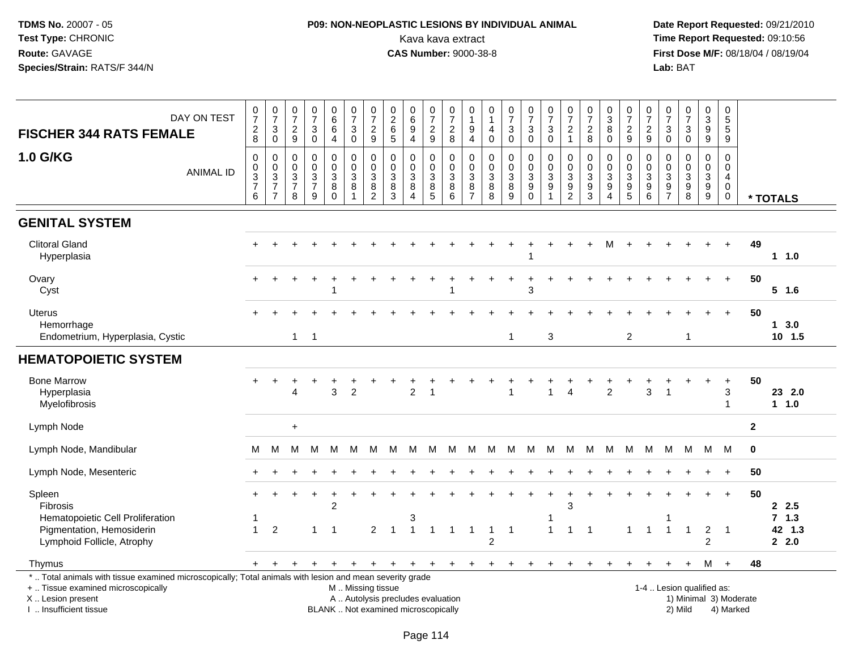## **P09: NON-NEOPLASTIC LESIONS BY INDIVIDUAL ANIMAL**Kava kava extract **Time Report Requested:** 09:10:56<br>**CAS Number:** 9000-38-8 **CAS Number:** 9000-38-8

 **Date Report Requested:** 09/21/2010 **First Dose M/F:** 08/18/04 / 08/19/04<br>Lab: BAT **Lab:** BAT

| DAY ON TEST<br><b>FISCHER 344 RATS FEMALE</b>                                                                                                                                                 | 0<br>$\overline{7}$<br>$\frac{2}{8}$                 | $\frac{0}{7}$<br>$\mathbf{3}$        | 0<br>$\overline{7}$<br>$\overline{c}$ | $\pmb{0}$<br>$\overline{7}$<br>$\ensuremath{\mathsf{3}}$        | $_{6}^{\rm 0}$<br>$6\phantom{a}$       | 0<br>$\overline{7}$<br>$\sqrt{3}$                               | $\begin{array}{c} 0 \\ 7 \end{array}$<br>$\overline{c}$ | $\pmb{0}$<br>$\frac{2}{6}$                             | $\begin{array}{c} 0 \\ 6 \end{array}$<br>$\overline{9}$                  | 0<br>$\overline{7}$<br>$\overline{c}$ | $\pmb{0}$<br>$\overline{7}$<br>$\boldsymbol{2}$                        | 0<br>$\mathbf{1}$<br>9                                                         | 0<br>$\mathbf{1}$<br>4              | $\frac{0}{7}$<br>$\ensuremath{\mathsf{3}}$                               | $\mathbf 0$<br>$\overline{7}$<br>$\ensuremath{\mathsf{3}}$        | $\frac{0}{7}$<br>$\ensuremath{\mathsf{3}}$                             | $\begin{array}{c} 0 \\ 7 \end{array}$<br>$\overline{c}$     | $\frac{0}{7}$<br>$\sqrt{2}$                                            | $\frac{0}{3}$<br>$\overline{8}$    | 0<br>$\overline{7}$<br>$\frac{2}{9}$                | $\begin{array}{c} 0 \\ 7 \end{array}$<br>$\boldsymbol{2}$                              | $\frac{0}{7}$<br>$_{0}^{3}$                   | $\frac{0}{7}$<br>$\sqrt{3}$                            | $\pmb{0}$<br>3<br>$\overline{9}$                    | 0<br>5<br>$\overline{5}$                                                   |              |                           |
|-----------------------------------------------------------------------------------------------------------------------------------------------------------------------------------------------|------------------------------------------------------|--------------------------------------|---------------------------------------|-----------------------------------------------------------------|----------------------------------------|-----------------------------------------------------------------|---------------------------------------------------------|--------------------------------------------------------|--------------------------------------------------------------------------|---------------------------------------|------------------------------------------------------------------------|--------------------------------------------------------------------------------|-------------------------------------|--------------------------------------------------------------------------|-------------------------------------------------------------------|------------------------------------------------------------------------|-------------------------------------------------------------|------------------------------------------------------------------------|------------------------------------|-----------------------------------------------------|----------------------------------------------------------------------------------------|-----------------------------------------------|--------------------------------------------------------|-----------------------------------------------------|----------------------------------------------------------------------------|--------------|---------------------------|
|                                                                                                                                                                                               |                                                      | $\pmb{0}$                            | $\boldsymbol{9}$                      | $\mathbf 0$                                                     | $\overline{4}$                         | $\mathbf 0$                                                     | 9                                                       | $\sqrt{5}$                                             | $\overline{4}$                                                           | $\boldsymbol{9}$                      | $\,8\,$                                                                | $\overline{4}$                                                                 | $\mathsf{O}\xspace$                 | $\pmb{0}$                                                                | $\mathsf{O}\xspace$                                               | $\mathbf 0$                                                            | $\mathbf{1}$                                                | 8                                                                      | $\mathbf 0$                        |                                                     | $\boldsymbol{9}$                                                                       |                                               | $\mathbf 0$                                            | $\boldsymbol{9}$                                    | $\overline{9}$                                                             |              |                           |
| <b>1.0 G/KG</b><br><b>ANIMAL ID</b>                                                                                                                                                           | $\pmb{0}$<br>$_{3}^{\rm 0}$<br>$\boldsymbol{7}$<br>6 | 0<br>$\frac{0}{3}$<br>$\overline{7}$ | 0<br>0<br>3<br>$\overline{7}$<br>8    | $\mathbf 0$<br>$\mathbf 0$<br>$\sqrt{3}$<br>$\overline{7}$<br>9 | 0<br>$\mathbf 0$<br>3<br>8<br>$\Omega$ | 0<br>$\mathbf 0$<br>$\mathfrak{Z}$<br>$\bf 8$<br>$\overline{1}$ | $\pmb{0}$<br>$\frac{0}{3}$<br>$\bf 8$<br>$\overline{2}$ | $\pmb{0}$<br>$\mathbf 0$<br>$\sqrt{3}$<br>$\,8\,$<br>3 | 0<br>$\mathbf 0$<br>3<br>8<br>$\overline{4}$                             | 0<br>$\mathbf 0$<br>3<br>$\bf 8$<br>5 | $\mathbf 0$<br>$\mathsf{O}\xspace$<br>$\sqrt{3}$<br>$\,8\,$<br>$\,6\,$ | $\mathbf 0$<br>$\mathbf 0$<br>$\ensuremath{\mathsf{3}}$<br>8<br>$\overline{7}$ | 0<br>$\pmb{0}$<br>3<br>$\bf 8$<br>8 | 0<br>$\pmb{0}$<br>$\ensuremath{\mathsf{3}}$<br>$\bf 8$<br>$\overline{9}$ | 0<br>$\mathbf 0$<br>$\sqrt{3}$<br>$\boldsymbol{9}$<br>$\mathbf 0$ | 0<br>$\mathbf 0$<br>$\mathbf{3}$<br>$\boldsymbol{9}$<br>$\overline{1}$ | 0<br>$\mathbf 0$<br>3<br>$\boldsymbol{9}$<br>$\overline{c}$ | $\pmb{0}$<br>$\mathbf 0$<br>$\ensuremath{\mathsf{3}}$<br>$\frac{9}{3}$ | 0<br>0<br>3<br>9<br>$\overline{4}$ | 0<br>$\mathbf 0$<br>$\overline{3}$<br>$\frac{9}{5}$ | $\mathbf 0$<br>$\mathsf 0$<br>$\ensuremath{\mathsf{3}}$<br>$\boldsymbol{9}$<br>$\,6\,$ | 0<br>$\pmb{0}$<br>$\sqrt{3}$<br>$\frac{9}{7}$ | $\mathbf 0$<br>$\mathbf 0$<br>$\sqrt{3}$<br>$9\,$<br>8 | 0<br>$\mathbf 0$<br>$\overline{3}$<br>$\frac{9}{9}$ | $\mathbf 0$<br>$\mathsf 0$<br>$\overline{4}$<br>$\mathbf 0$<br>$\mathbf 0$ |              | * TOTALS                  |
| <b>GENITAL SYSTEM</b>                                                                                                                                                                         |                                                      |                                      |                                       |                                                                 |                                        |                                                                 |                                                         |                                                        |                                                                          |                                       |                                                                        |                                                                                |                                     |                                                                          |                                                                   |                                                                        |                                                             |                                                                        |                                    |                                                     |                                                                                        |                                               |                                                        |                                                     |                                                                            |              |                           |
| <b>Clitoral Gland</b><br>Hyperplasia                                                                                                                                                          |                                                      |                                      |                                       |                                                                 |                                        |                                                                 |                                                         |                                                        |                                                                          |                                       |                                                                        |                                                                                |                                     |                                                                          |                                                                   |                                                                        |                                                             |                                                                        |                                    |                                                     |                                                                                        |                                               |                                                        |                                                     |                                                                            | 49           | 1 1.0                     |
| Ovary<br>Cyst                                                                                                                                                                                 |                                                      |                                      |                                       |                                                                 |                                        |                                                                 |                                                         |                                                        |                                                                          |                                       |                                                                        |                                                                                |                                     |                                                                          | 3                                                                 |                                                                        |                                                             |                                                                        |                                    |                                                     |                                                                                        |                                               |                                                        |                                                     |                                                                            | 50           | $5$ 1.6                   |
| <b>Uterus</b><br>Hemorrhage<br>Endometrium, Hyperplasia, Cystic                                                                                                                               |                                                      |                                      | $\overline{1}$                        | $\overline{1}$                                                  |                                        |                                                                 |                                                         |                                                        |                                                                          |                                       |                                                                        |                                                                                |                                     | $\overline{1}$                                                           |                                                                   | 3                                                                      |                                                             |                                                                        |                                    | $\overline{2}$                                      |                                                                                        |                                               | $\mathbf{1}$                                           |                                                     |                                                                            | 50           | $1 \quad 3.0$<br>$10$ 1.5 |
| <b>HEMATOPOIETIC SYSTEM</b>                                                                                                                                                                   |                                                      |                                      |                                       |                                                                 |                                        |                                                                 |                                                         |                                                        |                                                                          |                                       |                                                                        |                                                                                |                                     |                                                                          |                                                                   |                                                                        |                                                             |                                                                        |                                    |                                                     |                                                                                        |                                               |                                                        |                                                     |                                                                            |              |                           |
| <b>Bone Marrow</b><br>Hyperplasia<br>Myelofibrosis                                                                                                                                            |                                                      |                                      | 4                                     |                                                                 | 3                                      | $\overline{2}$                                                  |                                                         |                                                        | $\overline{c}$                                                           | 1                                     |                                                                        |                                                                                |                                     | $\overline{1}$                                                           |                                                                   | 1                                                                      | $\overline{4}$                                              |                                                                        | $\overline{2}$                     |                                                     | $\mathbf{3}$                                                                           | -1                                            |                                                        |                                                     | 3<br>-1                                                                    | 50           | 23 2.0<br>$1 1.0$         |
| Lymph Node                                                                                                                                                                                    |                                                      |                                      | $\ddot{}$                             |                                                                 |                                        |                                                                 |                                                         |                                                        |                                                                          |                                       |                                                                        |                                                                                |                                     |                                                                          |                                                                   |                                                                        |                                                             |                                                                        |                                    |                                                     |                                                                                        |                                               |                                                        |                                                     |                                                                            | $\mathbf{2}$ |                           |
| Lymph Node, Mandibular                                                                                                                                                                        | м                                                    | M                                    | M                                     | м                                                               | М                                      | M                                                               | M                                                       | M                                                      | м                                                                        | M                                     | M                                                                      | M                                                                              | M                                   | M                                                                        | M                                                                 | М                                                                      | M                                                           | M                                                                      | M                                  | M                                                   | M                                                                                      | M                                             | М                                                      | M M                                                 |                                                                            | $\mathbf 0$  |                           |
| Lymph Node, Mesenteric                                                                                                                                                                        |                                                      |                                      |                                       |                                                                 |                                        |                                                                 |                                                         |                                                        |                                                                          |                                       |                                                                        |                                                                                |                                     |                                                                          |                                                                   |                                                                        |                                                             |                                                                        |                                    |                                                     |                                                                                        |                                               |                                                        |                                                     |                                                                            | 50           |                           |
| Spleen<br><b>Fibrosis</b><br>Hematopoietic Cell Proliferation                                                                                                                                 | $+$                                                  | $\ddot{}$                            |                                       |                                                                 | $\ddot{}$<br>$\overline{2}$            | +                                                               |                                                         |                                                        | 3                                                                        |                                       |                                                                        |                                                                                |                                     |                                                                          |                                                                   | $\ddot{}$<br>-1                                                        | $\ddot{}$<br>3                                              |                                                                        |                                    |                                                     |                                                                                        |                                               |                                                        |                                                     | $\ddot{}$                                                                  | 50           | 2.5<br>7, 1.3             |
| Pigmentation, Hemosiderin<br>Lymphoid Follicle, Atrophy                                                                                                                                       | $\mathbf{1}$                                         | $\overline{2}$                       |                                       | $\mathbf{1}$                                                    | $\overline{1}$                         |                                                                 | $\overline{2}$                                          |                                                        | $\overline{1}$                                                           | $\mathbf{1}$                          | $\mathbf{1}$                                                           | $\blacktriangleleft$                                                           | $\overline{c}$                      | $\overline{1}$                                                           |                                                                   | $\overline{1}$                                                         | $\mathbf{1}$                                                | $\overline{1}$                                                         |                                    | $\mathbf{1}$                                        | $\overline{1}$                                                                         | $\overline{1}$                                | $\overline{1}$                                         | $\overline{c}$<br>$\overline{2}$                    | $\overline{1}$                                                             |              | 42 1.3<br>2.0             |
| Thymus                                                                                                                                                                                        | $+$                                                  |                                      |                                       |                                                                 |                                        |                                                                 | $\ddot{}$                                               | $+$                                                    | $\overline{+}$                                                           | $+$                                   | $+$                                                                    | $+$                                                                            | $+$                                 | $\ddot{}$                                                                | $\ddot{}$                                                         | $\ddot{}$                                                              |                                                             |                                                                        |                                    |                                                     |                                                                                        |                                               | $\ddot{}$                                              |                                                     | $M +$                                                                      | 48           |                           |
| *  Total animals with tissue examined microscopically; Total animals with lesion and mean severity grade<br>+  Tissue examined microscopically<br>X  Lesion present<br>I  Insufficient tissue |                                                      |                                      |                                       |                                                                 |                                        | M  Missing tissue                                               |                                                         |                                                        | A  Autolysis precludes evaluation<br>BLANK  Not examined microscopically |                                       |                                                                        |                                                                                |                                     |                                                                          |                                                                   |                                                                        |                                                             |                                                                        |                                    |                                                     |                                                                                        |                                               | 1-4  Lesion qualified as:<br>2) Mild                   |                                                     | 1) Minimal 3) Moderate<br>4) Marked                                        |              |                           |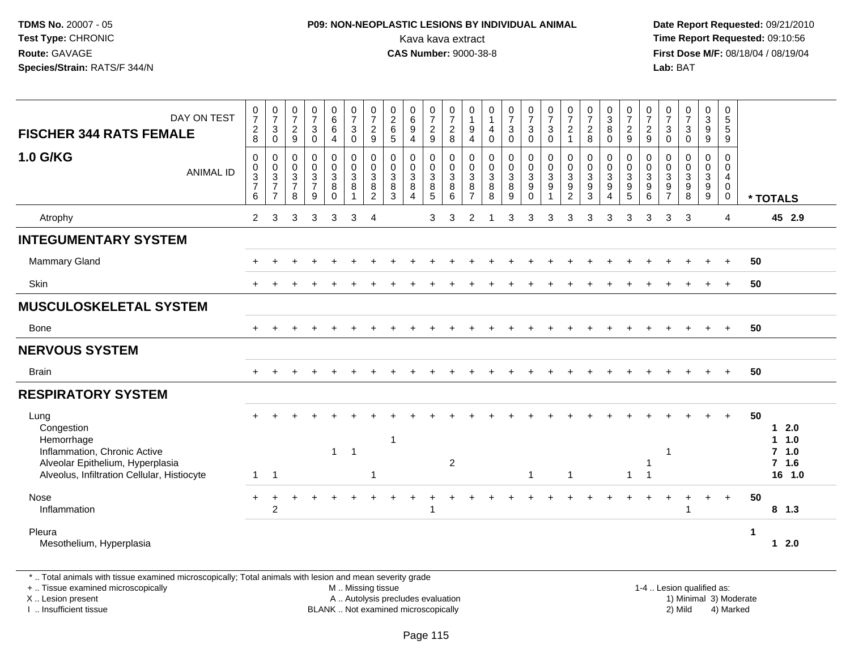## **P09: NON-NEOPLASTIC LESIONS BY INDIVIDUAL ANIMAL**Kava kava extract **Time Report Requested:** 09:10:56<br>**CAS Number:** 9000-38-8<br>**Tirst Dose M/F:** 08/18/04 / 08/19/04

 **Date Report Requested:** 09/21/2010 **First Dose M/F:** 08/18/04 / 08/19/04 Lab: BAT **Lab:** BAT

| DAY ON TEST<br><b>FISCHER 344 RATS FEMALE</b>                                                                                                       | $\frac{0}{7}$<br>$\sqrt{2}$<br>8                                             | $\frac{0}{7}$<br>$\sqrt{3}$<br>$\mathbf 0$                                   | $\frac{0}{7}$<br>$\sqrt{2}$<br>$\boldsymbol{9}$                              | $\frac{0}{7}$<br>3<br>$\mathsf{O}$                           | 0<br>$6\phantom{a}$<br>6<br>$\overline{4}$             | $\frac{0}{7}$<br>$\sqrt{3}$<br>$\mathbf 0$           | $\frac{0}{7}$<br>$\sqrt{2}$<br>9                                  | $\begin{array}{c} 0 \\ 2 \\ 6 \end{array}$<br>$\sqrt{5}$ | 0<br>$\,6$<br>$\boldsymbol{9}$<br>$\overline{4}$        | $\frac{0}{7}$<br>$\frac{2}{9}$       | $\frac{0}{7}$<br>$\sqrt{2}$<br>8                     | 0<br>$\boldsymbol{9}$<br>$\overline{4}$             | $\begin{smallmatrix}0\\1\end{smallmatrix}$<br>$\overline{4}$<br>$\pmb{0}$ | $\frac{0}{7}$<br>$\sqrt{3}$<br>$\mathsf 0$                    | $\frac{0}{7}$<br>$\ensuremath{\mathsf{3}}$<br>$\pmb{0}$   | $\frac{0}{7}$<br>$\ensuremath{\mathsf{3}}$<br>$\mathbf 0$ | $\frac{0}{7}$<br>$\sqrt{2}$<br>$\mathbf{1}$                       | $\frac{0}{7}$<br>$_{\rm 8}^2$                                   | 0<br>$\frac{3}{8}$<br>$\mathbf 0$                            | $\frac{0}{7}$<br>$\frac{2}{9}$                                  | $\frac{0}{7}$<br>$\frac{2}{9}$                         | 0<br>$\overline{7}$<br>3<br>$\boldsymbol{0}$                                      | $\frac{0}{7}$<br>$\mathbf{3}$<br>$\mathbf 0$ | 0<br>$\mathbf{3}$<br>$\boldsymbol{9}$<br>9                             | 0<br>$\sqrt{5}$<br>$\sqrt{5}$<br>$\boldsymbol{9}$         |             |                                                           |
|-----------------------------------------------------------------------------------------------------------------------------------------------------|------------------------------------------------------------------------------|------------------------------------------------------------------------------|------------------------------------------------------------------------------|--------------------------------------------------------------|--------------------------------------------------------|------------------------------------------------------|-------------------------------------------------------------------|----------------------------------------------------------|---------------------------------------------------------|--------------------------------------|------------------------------------------------------|-----------------------------------------------------|---------------------------------------------------------------------------|---------------------------------------------------------------|-----------------------------------------------------------|-----------------------------------------------------------|-------------------------------------------------------------------|-----------------------------------------------------------------|--------------------------------------------------------------|-----------------------------------------------------------------|--------------------------------------------------------|-----------------------------------------------------------------------------------|----------------------------------------------|------------------------------------------------------------------------|-----------------------------------------------------------|-------------|-----------------------------------------------------------|
| <b>1.0 G/KG</b><br><b>ANIMAL ID</b>                                                                                                                 | $\mathbf 0$<br>$\pmb{0}$<br>$\ensuremath{\mathsf{3}}$<br>$\overline{7}$<br>6 | $\mathbf 0$<br>$\mathbf 0$<br>$\sqrt{3}$<br>$\overline{7}$<br>$\overline{7}$ | $\mathbf 0$<br>$\pmb{0}$<br>$\ensuremath{\mathsf{3}}$<br>$\overline{7}$<br>8 | $\mathsf{O}$<br>$\boldsymbol{0}$<br>3<br>$\overline{7}$<br>9 | $\pmb{0}$<br>$\pmb{0}$<br>$\mathbf 3$<br>8<br>$\Omega$ | $\pmb{0}$<br>$\pmb{0}$<br>$\sqrt{3}$<br>$\bf 8$<br>1 | $\mathbf 0$<br>$\mathbf 0$<br>$\mathbf{3}$<br>8<br>$\overline{2}$ | $\mathbf 0$<br>$\mathbf 0$<br>$\sqrt{3}$<br>8<br>3       | 0<br>$\mathbf 0$<br>$\ensuremath{\mathsf{3}}$<br>8<br>4 | $\pmb{0}$<br>$\frac{0}{3}$<br>8<br>5 | $\mathbf 0$<br>$\mathsf 0$<br>$\mathbf{3}$<br>8<br>6 | 0<br>$\pmb{0}$<br>$\sqrt{3}$<br>8<br>$\overline{7}$ | $\mathbf 0$<br>$\pmb{0}$<br>$\sqrt{3}$<br>$\, 8$<br>8                     | 0<br>$\mathbf 0$<br>$\ensuremath{\mathsf{3}}$<br>$\bf 8$<br>9 | $\pmb{0}$<br>$\pmb{0}$<br>$\sqrt{3}$<br>$9\,$<br>$\Omega$ | 0<br>$\pmb{0}$<br>$\mathbf{3}$<br>9                       | $\mathbf 0$<br>$\pmb{0}$<br>$\sqrt{3}$<br>$9\,$<br>$\overline{2}$ | $\mathbf 0$<br>$\pmb{0}$<br>$\sqrt{3}$<br>$\boldsymbol{9}$<br>3 | 0<br>$\pmb{0}$<br>$\mathsf 3$<br>9<br>$\boldsymbol{\Lambda}$ | $\mathbf 0$<br>$\pmb{0}$<br>$\sqrt{3}$<br>$\boldsymbol{9}$<br>5 | $\mathbf 0$<br>$\pmb{0}$<br>$\mathbf{3}$<br>$9\,$<br>6 | 0<br>$\pmb{0}$<br>$\ensuremath{\mathsf{3}}$<br>$\boldsymbol{9}$<br>$\overline{7}$ | 0<br>0<br>3<br>$\boldsymbol{9}$<br>8         | $\pmb{0}$<br>$\mathbf 0$<br>$\ensuremath{\mathsf{3}}$<br>$\frac{9}{9}$ | $\mathbf 0$<br>$\mathsf{O}\xspace$<br>4<br>0<br>$\pmb{0}$ |             | * TOTALS                                                  |
| Atrophy                                                                                                                                             | $\overline{2}$                                                               | 3                                                                            | 3                                                                            | 3                                                            | 3                                                      | 3                                                    | $\overline{4}$                                                    |                                                          |                                                         | 3                                    | 3                                                    | 2                                                   |                                                                           | 3                                                             | 3                                                         | 3                                                         | 3                                                                 | 3                                                               | 3                                                            | 3                                                               | 3                                                      | 3                                                                                 | 3                                            |                                                                        | $\overline{4}$                                            |             | 45 2.9                                                    |
| <b>INTEGUMENTARY SYSTEM</b>                                                                                                                         |                                                                              |                                                                              |                                                                              |                                                              |                                                        |                                                      |                                                                   |                                                          |                                                         |                                      |                                                      |                                                     |                                                                           |                                                               |                                                           |                                                           |                                                                   |                                                                 |                                                              |                                                                 |                                                        |                                                                                   |                                              |                                                                        |                                                           |             |                                                           |
| <b>Mammary Gland</b>                                                                                                                                |                                                                              |                                                                              |                                                                              |                                                              |                                                        |                                                      |                                                                   |                                                          |                                                         |                                      |                                                      |                                                     |                                                                           |                                                               |                                                           |                                                           |                                                                   |                                                                 |                                                              |                                                                 |                                                        |                                                                                   |                                              |                                                                        | $\ddot{}$                                                 | 50          |                                                           |
| Skin                                                                                                                                                |                                                                              |                                                                              |                                                                              |                                                              |                                                        |                                                      |                                                                   |                                                          |                                                         |                                      |                                                      |                                                     |                                                                           |                                                               |                                                           |                                                           |                                                                   |                                                                 |                                                              |                                                                 |                                                        |                                                                                   |                                              |                                                                        |                                                           | 50          |                                                           |
| <b>MUSCULOSKELETAL SYSTEM</b>                                                                                                                       |                                                                              |                                                                              |                                                                              |                                                              |                                                        |                                                      |                                                                   |                                                          |                                                         |                                      |                                                      |                                                     |                                                                           |                                                               |                                                           |                                                           |                                                                   |                                                                 |                                                              |                                                                 |                                                        |                                                                                   |                                              |                                                                        |                                                           |             |                                                           |
| Bone                                                                                                                                                |                                                                              |                                                                              |                                                                              |                                                              |                                                        |                                                      |                                                                   |                                                          |                                                         |                                      |                                                      |                                                     |                                                                           |                                                               |                                                           |                                                           |                                                                   |                                                                 |                                                              |                                                                 |                                                        |                                                                                   |                                              |                                                                        | $\ddot{}$                                                 | 50          |                                                           |
| <b>NERVOUS SYSTEM</b>                                                                                                                               |                                                                              |                                                                              |                                                                              |                                                              |                                                        |                                                      |                                                                   |                                                          |                                                         |                                      |                                                      |                                                     |                                                                           |                                                               |                                                           |                                                           |                                                                   |                                                                 |                                                              |                                                                 |                                                        |                                                                                   |                                              |                                                                        |                                                           |             |                                                           |
| <b>Brain</b>                                                                                                                                        | $\div$                                                                       |                                                                              |                                                                              |                                                              |                                                        |                                                      |                                                                   |                                                          |                                                         |                                      |                                                      |                                                     |                                                                           |                                                               |                                                           |                                                           |                                                                   |                                                                 |                                                              |                                                                 |                                                        |                                                                                   |                                              |                                                                        | $+$                                                       | 50          |                                                           |
| <b>RESPIRATORY SYSTEM</b>                                                                                                                           |                                                                              |                                                                              |                                                                              |                                                              |                                                        |                                                      |                                                                   |                                                          |                                                         |                                      |                                                      |                                                     |                                                                           |                                                               |                                                           |                                                           |                                                                   |                                                                 |                                                              |                                                                 |                                                        |                                                                                   |                                              |                                                                        |                                                           |             |                                                           |
| Lung<br>Congestion<br>Hemorrhage<br>Inflammation, Chronic Active<br>Alveolar Epithelium, Hyperplasia<br>Alveolus, Infiltration Cellular, Histiocyte | $\mathbf{1}$                                                                 | $\overline{1}$                                                               |                                                                              |                                                              | $\mathbf{1}$                                           | $\overline{1}$                                       | -1                                                                | 1                                                        |                                                         |                                      | 2                                                    |                                                     |                                                                           |                                                               | 1                                                         |                                                           | -1                                                                |                                                                 |                                                              | $\overline{1}$                                                  | 1<br>$\overline{1}$                                    | -1                                                                                |                                              |                                                                        |                                                           | 50          | 2.0<br>1<br>11.0<br>$7$ 1.0<br>7 <sub>1.6</sub><br>16 1.0 |
| Nose<br>Inflammation                                                                                                                                | $\div$                                                                       | $\boldsymbol{2}$                                                             |                                                                              |                                                              |                                                        |                                                      |                                                                   |                                                          |                                                         | 1                                    |                                                      |                                                     |                                                                           |                                                               |                                                           |                                                           |                                                                   |                                                                 |                                                              |                                                                 |                                                        |                                                                                   | -1                                           |                                                                        | $\ddot{}$                                                 | 50          | $8$ 1.3                                                   |
| Pleura<br>Mesothelium, Hyperplasia                                                                                                                  |                                                                              |                                                                              |                                                                              |                                                              |                                                        |                                                      |                                                                   |                                                          |                                                         |                                      |                                                      |                                                     |                                                                           |                                                               |                                                           |                                                           |                                                                   |                                                                 |                                                              |                                                                 |                                                        |                                                                                   |                                              |                                                                        |                                                           | $\mathbf 1$ | $12.0$                                                    |

+ .. Tissue examined microscopically

X .. Lesion present

I .. Insufficient tissue

M .. Missing tissue

BLANK .. Not examined microscopically

 1-4 .. Lesion qualified as: A .. Autolysis precludes evaluation 19 and 10 minimal 3) Moderate 1 and 20 minimal 3) Moderate 19 minimal 3) Moderat<br>19 and 19 and 19 and 19 and 19 and 19 and 19 and 19 and 19 and 19 and 19 and 19 and 19 and 19 and 19 and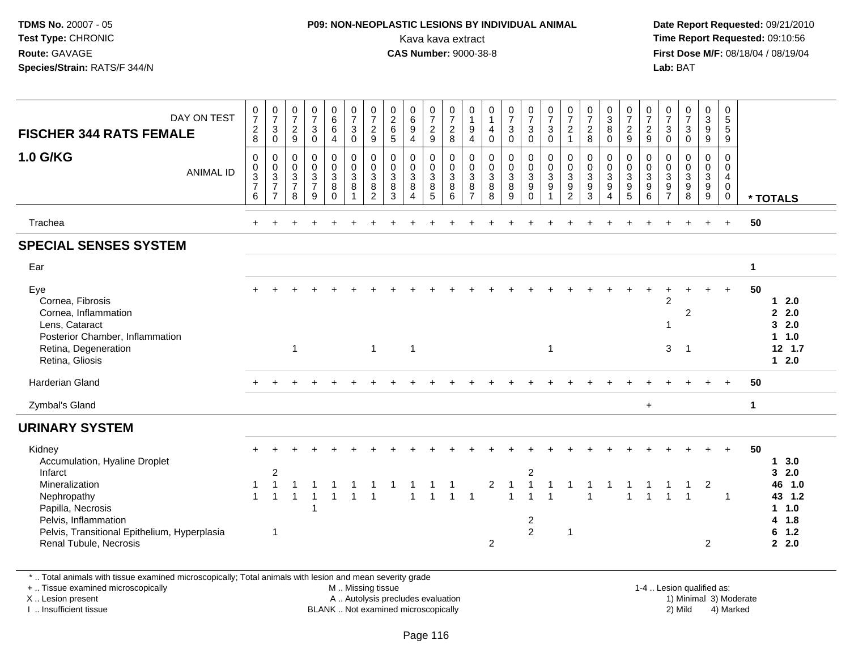### **P09: NON-NEOPLASTIC LESIONS BY INDIVIDUAL ANIMAL**Kava kava extract **Time Report Requested:** 09:10:56<br>**CAS Number:** 9000-38-8<br>**Tirst Dose M/F:** 08/18/04 / 08/19/04

 **Date Report Requested:** 09/21/2010 **First Dose M/F:** 08/18/04 / 08/19/04 Lab: BAT **Lab:** BAT

| DAY ON TEST<br><b>FISCHER 344 RATS FEMALE</b>                                                                                                   | $\frac{0}{7}$<br>$_{\rm 8}^2$                             | $\frac{0}{7}$<br>$\sqrt{3}$<br>$\mathbf 0$ | $\frac{0}{7}$<br>$\sqrt{2}$<br>9                                    | $\frac{0}{7}$<br>$\ensuremath{\mathsf{3}}$<br>$\mathbf 0$  | $0$<br>6<br>6<br>$\overline{\mathbf{4}}$             | $\frac{0}{7}$<br>$\frac{3}{0}$                                | $\frac{0}{7}$<br>$\frac{2}{9}$                                                     | $0$<br>$6$<br>$5$                                           | $\begin{matrix}0\\6\end{matrix}$<br>$\overline{9}$<br>$\overline{4}$   | $\frac{0}{7}$<br>$\frac{2}{9}$  | 0<br>$\overline{7}$<br>$\frac{2}{8}$             | 0<br>$\mathbf{1}$<br>$\boldsymbol{9}$<br>$\overline{4}$ | 0<br>$\mathbf{1}$<br>4<br>$\mathbf 0$            | $\frac{0}{7}$<br>$\sqrt{3}$<br>$\mathbf 0$               | $\frac{0}{7}$<br>$\ensuremath{\mathsf{3}}$<br>$\pmb{0}$           | $\frac{0}{7}$<br>$\overline{3}$<br>$\mathsf{O}\xspace$                            | $\frac{0}{7}$<br>$\overline{c}$<br>$\mathbf{1}$ | $\frac{0}{7}$<br>$\overline{2}$<br>8    | $\begin{array}{c} 0 \\ 3 \\ 8 \end{array}$<br>$\mathbf 0$ | $\frac{0}{7}$<br>$\frac{2}{9}$          | $\frac{0}{7}$<br>$\frac{2}{9}$                               | 0<br>$\overline{7}$<br>$\sqrt{3}$<br>$\pmb{0}$                         | $\frac{0}{7}$<br>$\mathsf 3$<br>$\mathbf 0$ | 0<br>9<br>9                                                            | 0<br>$\overline{5}$<br>$\frac{5}{9}$                                        |                      |                                                                                                   |
|-------------------------------------------------------------------------------------------------------------------------------------------------|-----------------------------------------------------------|--------------------------------------------|---------------------------------------------------------------------|------------------------------------------------------------|------------------------------------------------------|---------------------------------------------------------------|------------------------------------------------------------------------------------|-------------------------------------------------------------|------------------------------------------------------------------------|---------------------------------|--------------------------------------------------|---------------------------------------------------------|--------------------------------------------------|----------------------------------------------------------|-------------------------------------------------------------------|-----------------------------------------------------------------------------------|-------------------------------------------------|-----------------------------------------|-----------------------------------------------------------|-----------------------------------------|--------------------------------------------------------------|------------------------------------------------------------------------|---------------------------------------------|------------------------------------------------------------------------|-----------------------------------------------------------------------------|----------------------|---------------------------------------------------------------------------------------------------|
| <b>1.0 G/KG</b><br><b>ANIMAL ID</b>                                                                                                             | 0<br>$\mathbf 0$<br>3<br>$\overline{7}$<br>$6\phantom{1}$ | 0<br>$\frac{0}{3}$<br>$\overline{7}$       | $\mathbf 0$<br>$\mathbf 0$<br>$\mathbf{3}$<br>$\boldsymbol{7}$<br>8 | 0<br>0<br>$\mathbf{3}$<br>$\overline{7}$<br>$\overline{9}$ | 0<br>$\mathsf{O}\xspace$<br>3<br>8<br>$\overline{0}$ | $_{\rm 0}^{\rm 0}$<br>$\mathbf{3}$<br>$\bf 8$<br>$\mathbf{1}$ | $_{\rm 0}^{\rm 0}$<br>$\sqrt{3}$<br>$\begin{smallmatrix} 8 \\ 2 \end{smallmatrix}$ | 0<br>$\mathbf 0$<br>$\mathbf{3}$<br>$\bf 8$<br>$\mathbf{3}$ | $\mathbf 0$<br>$\mathbf 0$<br>$\mathbf{3}$<br>$\, 8$<br>$\overline{4}$ | 0<br>$\mathbf 0$<br>3<br>8<br>5 | 0<br>$_{3}^{\rm 0}$<br>$\bf 8$<br>$6\phantom{a}$ | $\pmb{0}$<br>$\pmb{0}$<br>$\mathbf{3}$<br>$\frac{8}{7}$ | $\mathbf 0$<br>0<br>$\mathbf{3}$<br>$\bf 8$<br>8 | $\mathbf 0$<br>$\mathbf 0$<br>$\mathbf 3$<br>$\, 8$<br>9 | 0<br>$\pmb{0}$<br>$\mathbf{3}$<br>$\boldsymbol{9}$<br>$\mathbf 0$ | $\boldsymbol{0}$<br>$\pmb{0}$<br>$\mathbf{3}$<br>$\boldsymbol{9}$<br>$\mathbf{1}$ | 0<br>0<br>$\mathbf{3}$<br>9<br>$\overline{2}$   | 0<br>0<br>$\mathbf{3}$<br>$\frac{9}{3}$ | 0<br>$_{3}^{\rm 0}$<br>$\boldsymbol{9}$<br>$\overline{4}$ | 0<br>0<br>$\mathbf{3}$<br>$\frac{9}{5}$ | $\mathbf 0$<br>$_{3}^{\rm 0}$<br>$\boldsymbol{9}$<br>$\,6\,$ | 0<br>$\mathbf 0$<br>$\mathbf{3}$<br>$\boldsymbol{9}$<br>$\overline{7}$ | 0<br>0<br>$\mathbf{3}$<br>$\frac{9}{8}$     | $\mathbf 0$<br>$\pmb{0}$<br>$\ensuremath{\mathsf{3}}$<br>$\frac{9}{9}$ | $\mathbf 0$<br>$\mathbf 0$<br>$\overline{4}$<br>$\mathsf{O}$<br>$\mathbf 0$ |                      | * TOTALS                                                                                          |
| Trachea                                                                                                                                         |                                                           |                                            |                                                                     |                                                            |                                                      |                                                               |                                                                                    |                                                             |                                                                        |                                 |                                                  |                                                         |                                                  |                                                          |                                                                   |                                                                                   |                                                 |                                         |                                                           |                                         |                                                              |                                                                        |                                             |                                                                        | $\ddot{}$                                                                   | 50                   |                                                                                                   |
| <b>SPECIAL SENSES SYSTEM</b>                                                                                                                    |                                                           |                                            |                                                                     |                                                            |                                                      |                                                               |                                                                                    |                                                             |                                                                        |                                 |                                                  |                                                         |                                                  |                                                          |                                                                   |                                                                                   |                                                 |                                         |                                                           |                                         |                                                              |                                                                        |                                             |                                                                        |                                                                             |                      |                                                                                                   |
| Ear                                                                                                                                             |                                                           |                                            |                                                                     |                                                            |                                                      |                                                               |                                                                                    |                                                             |                                                                        |                                 |                                                  |                                                         |                                                  |                                                          |                                                                   |                                                                                   |                                                 |                                         |                                                           |                                         |                                                              |                                                                        |                                             |                                                                        |                                                                             | $\blacktriangleleft$ |                                                                                                   |
| Eye<br>Cornea, Fibrosis<br>Cornea, Inflammation<br>Lens, Cataract<br>Posterior Chamber, Inflammation<br>Retina, Degeneration<br>Retina, Gliosis |                                                           |                                            | $\mathbf{1}$                                                        |                                                            |                                                      |                                                               | $\overline{1}$                                                                     |                                                             | $\mathbf{1}$                                                           |                                 |                                                  |                                                         |                                                  |                                                          |                                                                   | $\mathbf 1$                                                                       |                                                 |                                         |                                                           |                                         |                                                              | $\overline{2}$<br>1<br>3                                               | $\overline{2}$<br>-1                        |                                                                        |                                                                             | 50                   | 2.0<br>$\mathbf 1$<br>2.0<br>$\mathbf{2}$<br>2.0<br>3<br>1.0<br>$\mathbf 1$<br>$12$ 1.7<br>$12.0$ |
| <b>Harderian Gland</b>                                                                                                                          |                                                           |                                            |                                                                     |                                                            |                                                      |                                                               |                                                                                    |                                                             |                                                                        |                                 |                                                  |                                                         |                                                  |                                                          |                                                                   |                                                                                   |                                                 |                                         |                                                           |                                         |                                                              |                                                                        |                                             |                                                                        |                                                                             | 50                   |                                                                                                   |
| Zymbal's Gland                                                                                                                                  |                                                           |                                            |                                                                     |                                                            |                                                      |                                                               |                                                                                    |                                                             |                                                                        |                                 |                                                  |                                                         |                                                  |                                                          |                                                                   |                                                                                   |                                                 |                                         |                                                           |                                         | $+$                                                          |                                                                        |                                             |                                                                        |                                                                             | $\mathbf{1}$         |                                                                                                   |
| <b>URINARY SYSTEM</b>                                                                                                                           |                                                           |                                            |                                                                     |                                                            |                                                      |                                                               |                                                                                    |                                                             |                                                                        |                                 |                                                  |                                                         |                                                  |                                                          |                                                                   |                                                                                   |                                                 |                                         |                                                           |                                         |                                                              |                                                                        |                                             |                                                                        |                                                                             |                      |                                                                                                   |
| Kidney<br>Accumulation, Hyaline Droplet<br>Infarct                                                                                              |                                                           | $\boldsymbol{2}$                           |                                                                     |                                                            |                                                      |                                                               |                                                                                    |                                                             |                                                                        |                                 |                                                  |                                                         |                                                  |                                                          | $\overline{\mathbf{c}}$                                           |                                                                                   |                                                 |                                         |                                                           |                                         |                                                              |                                                                        |                                             |                                                                        | $+$                                                                         | 50                   | 3.0<br>$\mathbf 1$<br>2.0<br>3                                                                    |
| Mineralization<br>Nephropathy<br>Papilla, Necrosis<br>Pelvis, Inflammation                                                                      | 1<br>$\mathbf{1}$                                         | $\overline{1}$<br>$\overline{1}$           | $\mathbf{1}$                                                        |                                                            |                                                      |                                                               |                                                                                    |                                                             | $\overline{1}$                                                         |                                 |                                                  | $\overline{1}$                                          | $\overline{c}$                                   | $\overline{1}$<br>$\overline{1}$                         | $\mathbf{1}$<br>$\overline{1}$<br>2                               |                                                                                   |                                                 |                                         |                                                           |                                         |                                                              |                                                                        |                                             | $\overline{c}$                                                         | $\overline{1}$                                                              |                      | 1.0<br>46<br>43 1.2<br>1 1.0<br>4 1.8                                                             |
| Pelvis, Transitional Epithelium, Hyperplasia<br>Renal Tubule, Necrosis                                                                          |                                                           | $\overline{1}$                             |                                                                     |                                                            |                                                      |                                                               |                                                                                    |                                                             |                                                                        |                                 |                                                  |                                                         | $\overline{2}$                                   |                                                          | $\overline{a}$                                                    |                                                                                   | $\mathbf{1}$                                    |                                         |                                                           |                                         |                                                              |                                                                        |                                             | $\overline{c}$                                                         |                                                                             |                      | 1.2<br>6<br>2.0<br>$\mathbf{2}$                                                                   |

\* .. Total animals with tissue examined microscopically; Total animals with lesion and mean severity grade

+ .. Tissue examined microscopically

X .. Lesion present

I .. Insufficient tissue

M .. Missing tissue

A .. Autolysis precludes evaluation

BLANK .. Not examined microscopically 2) Mild 4) Marked

1-4 .. Lesion qualified as:<br>1) Minimal 3) Moderate